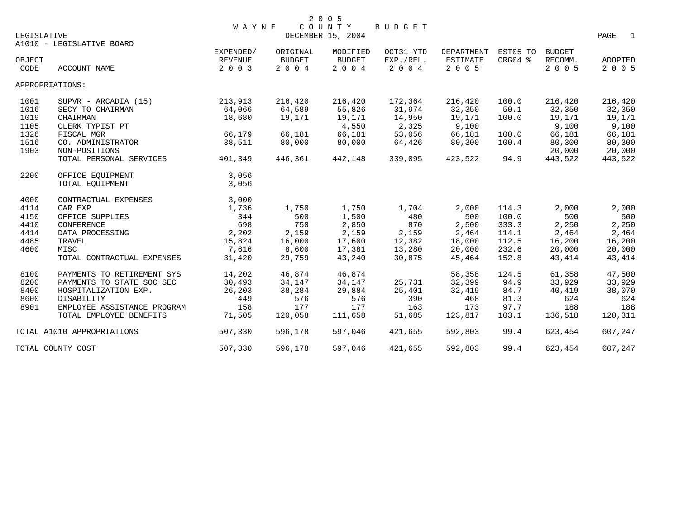|             |                             |              |               | 2 0 0 5           |           |            |                 |         |                        |  |
|-------------|-----------------------------|--------------|---------------|-------------------|-----------|------------|-----------------|---------|------------------------|--|
|             |                             | <b>WAYNE</b> |               | COUNTY            | BUDGET    |            |                 |         |                        |  |
| LEGISLATIVE | A1010 - LEGISLATIVE BOARD   |              |               | DECEMBER 15, 2004 |           |            |                 |         | PAGE<br>$\overline{1}$ |  |
|             |                             | EXPENDED/    | ORIGINAL      | MODIFIED          | OCT31-YTD | DEPARTMENT | EST05 TO BUDGET |         |                        |  |
| OBJECT      |                             | REVENUE      | <b>BUDGET</b> | <b>BUDGET</b>     | EXP./REL. | ESTIMATE   | ORG04 %         | RECOMM. | ADOPTED                |  |
| CODE        | ACCOUNT NAME                | 2 0 0 3      | 2004          | 2 0 0 4           | 2 0 0 4   | 2 0 0 5    |                 | 2 0 0 5 | 2 0 0 5                |  |
|             | APPROPRIATIONS:             |              |               |                   |           |            |                 |         |                        |  |
| 1001        | SUPVR - ARCADIA (15)        | 213,913      | 216,420       | 216,420           | 172,364   | 216,420    | 100.0           | 216,420 | 216,420                |  |
| 1016        | SECY TO CHAIRMAN            | 64,066       | 64,589        | 55,826            | 31,974    | 32,350     | 50.1            | 32,350  | 32,350                 |  |
| 1019        | CHAIRMAN                    | 18,680       | 19,171        | 19,171            | 14,950    | 19,171     | 100.0           | 19,171  | 19,171                 |  |
| 1105        | CLERK TYPIST PT             |              |               | 4,550             | 2,325     | 9,100      |                 | 9,100   | 9,100                  |  |
| 1326        | FISCAL MGR                  | 66,179       | 66,181        | 66,181            | 53,056    | 66,181     | 100.0           | 66,181  | 66,181                 |  |
| 1516        | CO. ADMINISTRATOR           | 38,511       | 80,000        | 80,000            | 64,426    | 80,300     | 100.4           | 80,300  | 80,300                 |  |
| 1903        | NON-POSITIONS               |              |               |                   |           |            |                 | 20,000  | 20,000                 |  |
|             | TOTAL PERSONAL SERVICES     | 401,349      | 446,361       | 442,148           | 339,095   | 423,522    | 94.9            | 443,522 | 443,522                |  |
| 2200        | OFFICE EOUIPMENT            | 3,056        |               |                   |           |            |                 |         |                        |  |
|             | TOTAL EOUIPMENT             | 3,056        |               |                   |           |            |                 |         |                        |  |
| 4000        | CONTRACTUAL EXPENSES        | 3,000        |               |                   |           |            |                 |         |                        |  |
| 4114        | CAR EXP                     | 1,736        | 1,750         | 1,750             | 1,704     | 2,000      | 114.3           | 2,000   | 2,000                  |  |
| 4150        | OFFICE SUPPLIES             | 344          | 500           | 1,500             | 480       | 500        | 100.0           | 500     | 500                    |  |
| 4410        | CONFERENCE                  | 698          | 750           | 2,850             | 870       | 2,500      | 333.3           | 2,250   | 2,250                  |  |
| 4414        | DATA PROCESSING             | 2,202        | 2,159         | 2,159             | 2,159     | 2,464      | 114.1           | 2,464   | 2,464                  |  |
| 4485        | TRAVEL                      | 15,824       | 16,000        | 17,600            | 12,382    | 18,000     | 112.5           | 16,200  | 16,200                 |  |
| 4600        | MISC                        | 7,616        | 8,600         | 17,381            | 13,280    | 20,000     | 232.6           | 20,000  | 20,000                 |  |
|             | TOTAL CONTRACTUAL EXPENSES  | 31,420       | 29,759        | 43,240            | 30,875    | 45,464     | 152.8           | 43,414  | 43, 414                |  |
| 8100        | PAYMENTS TO RETIREMENT SYS  | 14,202       | 46,874        | 46,874            |           | 58,358     | 124.5           | 61,358  | 47,500                 |  |
| 8200        | PAYMENTS TO STATE SOC SEC   | 30,493       | 34,147        | 34,147            | 25,731    | 32,399     | 94.9            | 33,929  | 33,929                 |  |
| 8400        | HOSPITALIZATION EXP.        | 26,203       | 38,284        | 29,884            | 25,401    | 32,419     | 84.7            | 40,419  | 38,070                 |  |
| 8600        | <b>DISABILITY</b>           | 449          | 576           | 576               | 390       | 468        | 81.3            | 624     | 624                    |  |
| 8901        | EMPLOYEE ASSISTANCE PROGRAM | 158          | 177           | 177               | 163       | 173        | 97.7            | 188     | 188                    |  |
|             | TOTAL EMPLOYEE BENEFITS     | 71,505       | 120,058       | 111,658           | 51,685    | 123,817    | 103.1           | 136,518 | 120,311                |  |
|             | TOTAL A1010 APPROPRIATIONS  | 507,330      | 596,178       | 597,046           | 421,655   | 592,803    | 99.4            | 623,454 | 607,247                |  |
|             | TOTAL COUNTY COST           | 507,330      | 596,178       | 597,046           | 421,655   | 592,803    | 99.4            | 623,454 | 607,247                |  |
|             |                             |              |               |                   |           |            |                 |         |                        |  |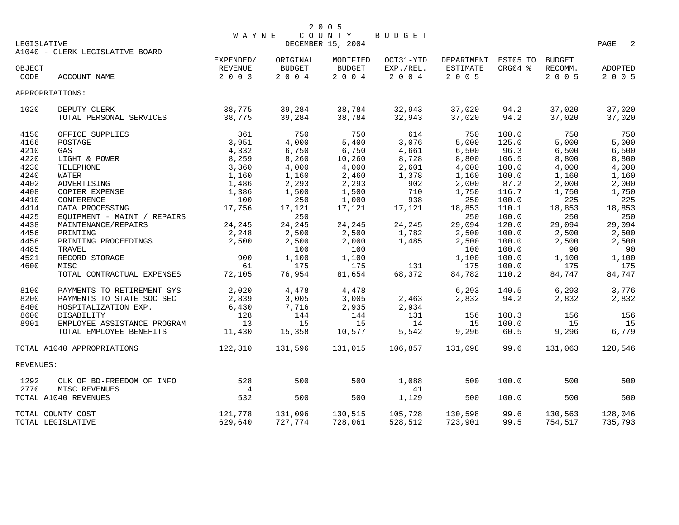| LEGISLATIVE |                                         | WAYNE            |                  | 2 0 0 5<br>COUNTY<br>DECEMBER 15, 2004 | BUDGET           |                  |              |                  | 2<br>PAGE        |
|-------------|-----------------------------------------|------------------|------------------|----------------------------------------|------------------|------------------|--------------|------------------|------------------|
|             | A1040 - CLERK LEGISLATIVE BOARD         | EXPENDED/        | ORIGINAL         | MODIFIED                               | OCT31-YTD        | DEPARTMENT       | EST05 TO     | <b>BUDGET</b>    |                  |
| OBJECT      |                                         | REVENUE          | <b>BUDGET</b>    | <b>BUDGET</b>                          | EXP./REL.        | ESTIMATE         | ORG04 %      | RECOMM.          | <b>ADOPTED</b>   |
| CODE        | ACCOUNT NAME                            | 2 0 0 3          | 2 0 0 4          | 2004                                   | 2 0 0 4          | 2 0 0 5          |              | 2 0 0 5          | 2 0 0 5          |
|             | APPROPRIATIONS:                         |                  |                  |                                        |                  |                  |              |                  |                  |
| 1020        | DEPUTY CLERK<br>TOTAL PERSONAL SERVICES | 38,775<br>38,775 | 39,284<br>39,284 | 38,784<br>38,784                       | 32,943<br>32,943 | 37,020<br>37,020 | 94.2<br>94.2 | 37,020<br>37,020 | 37,020<br>37,020 |
| 4150        | OFFICE SUPPLIES                         | 361              | 750              | 750                                    | 614              | 750              | 100.0        | 750              | 750              |
| 4166        | POSTAGE                                 | 3,951            | 4,000            | 5,400                                  | 3,076            | 5,000            | 125.0        | 5,000            | 5,000            |
| 4210        | GAS                                     | 4,332            | 6,750            | 6,750                                  | 4,661            | 6,500            | 96.3         | 6,500            | 6,500            |
| 4220        | LIGHT & POWER                           | 8,259            | 8,260            | 10,260                                 | 8,728            | 8,800            | 106.5        | 8,800            | 8,800            |
| 4230        | TELEPHONE                               | 3,360            | 4,000            | 4,000                                  | 2,601            | 4,000            | 100.0        | 4,000            | 4,000            |
| 4240        | <b>WATER</b>                            | 1,160            | 1,160            | 2,460                                  | 1,378            | 1,160            | 100.0        | 1,160            | 1,160            |
| 4402        | ADVERTISING                             | 1,486            | 2,293            | 2,293                                  | 902              | 2,000            | 87.2         | 2,000            | 2,000            |
| 4408        | COPIER EXPENSE                          | 1,386            | 1,500            | 1,500                                  | 710              | 1,750            | 116.7        | 1,750            | 1,750            |
| 4410        | CONFERENCE                              | 100              | 250              | 1,000                                  | 938              | 250              | 100.0        | 225              | 225              |
| 4414        | DATA PROCESSING                         | 17,756           | 17,121           | 17,121                                 | 17,121           | 18,853           | 110.1        | 18,853           | 18,853           |
| 4425        | EQUIPMENT - MAINT / REPAIRS             |                  | 250              |                                        |                  | 250              | 100.0        | 250              | 250              |
| 4438        | MAINTENANCE/REPAIRS                     | 24,245           | 24,245           | 24,245                                 | 24,245           | 29,094           | 120.0        | 29,094           | 29,094           |
| 4456        | PRINTING                                | 2,248            | 2,500            | 2,500                                  | 1,782            | 2,500            | 100.0        | 2,500            | 2,500            |
| 4458        | PRINTING PROCEEDINGS                    | 2,500            | 2,500            | 2,000                                  | 1,485            | 2,500            | 100.0        | 2,500            | 2,500            |
| 4485        | TRAVEL                                  |                  | 100              | 100                                    |                  | 100              | 100.0        | 90               | -90              |
| 4521        | RECORD STORAGE                          | 900              | 1,100            | 1,100                                  |                  | 1,100            | 100.0        | 1,100            | 1,100            |
| 4600        | MISC                                    | 61               | 175              | 175                                    | 131              | 175              | 100.0        | 175              | 175              |
|             | TOTAL CONTRACTUAL EXPENSES              | 72,105           | 76,954           | 81,654                                 | 68,372           | 84,782           | 110.2        | 84,747           | 84,747           |
| 8100        | PAYMENTS TO RETIREMENT SYS              | 2,020            | 4,478            | 4,478                                  |                  | 6,293            | 140.5        | 6,293            | 3,776            |
| 8200        | PAYMENTS TO STATE SOC SEC               | 2,839            | 3,005            | 3,005                                  | 2,463            | 2,832            | 94.2         | 2,832            | 2,832            |
| 8400        | HOSPITALIZATION EXP.                    | 6,430            | 7,716            | 2,935                                  | 2,934            |                  |              |                  |                  |
| 8600        | DISABILITY                              | 128              | 144              | 144                                    | 131              | 156              | 108.3        | 156              | 156              |
| 8901        | EMPLOYEE ASSISTANCE PROGRAM             | 13               | 15               | 15                                     | 14               | 15               | 100.0        | 15               | 15               |
|             | TOTAL EMPLOYEE BENEFITS                 | 11,430           | 15,358           | 10,577                                 | 5,542            | 9,296            | 60.5         | 9,296            | 6,779            |
|             | TOTAL A1040 APPROPRIATIONS              | 122,310          | 131,596          | 131,015                                | 106,857          | 131,098          | 99.6         | 131,063          | 128,546          |
| REVENUES:   |                                         |                  |                  |                                        |                  |                  |              |                  |                  |
| 1292        | CLK OF BD-FREEDOM OF INFO               | 528              | 500              | 500                                    | 1,088            | 500              | 100.0        | 500              | 500              |
| 2770        | MISC REVENUES                           | $\overline{4}$   |                  |                                        | 41               |                  |              |                  |                  |
|             | TOTAL A1040 REVENUES                    | 532              | 500              | 500                                    | 1,129            | 500              | 100.0        | 500              | 500              |
|             | TOTAL COUNTY COST                       | 121,778          | 131,096          | 130,515                                | 105,728          | 130,598          | 99.6         | 130,563          | 128,046          |
|             | TOTAL LEGISLATIVE                       | 629,640          | 727,774          | 728,061                                | 528,512          | 723,901          | 99.5         | 754,517          | 735,793          |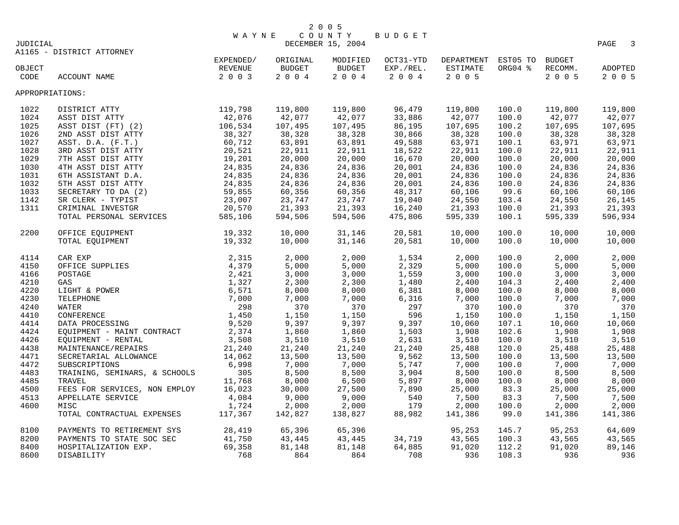|          |                                                       | <b>WAYNE</b>     |          | COUNTY            | BUDGET    |                               |         |               |                                  |
|----------|-------------------------------------------------------|------------------|----------|-------------------|-----------|-------------------------------|---------|---------------|----------------------------------|
| JUDICIAL |                                                       |                  |          | DECEMBER 15, 2004 |           |                               |         |               | $\overline{\phantom{a}}$<br>PAGE |
|          | A1165 - DISTRICT ATTORNEY                             |                  |          |                   |           |                               |         |               |                                  |
|          | EXPENDED/                                             |                  | ORIGINAL | MODIFIED          |           | OCT31-YTD DEPARTMENT EST05 TO |         | <b>BUDGET</b> |                                  |
| OBJECT   |                                                       | REVENUE          | BUDGET   | BUDGET            | EXP./REL. | ESTIMATE                      | ORG04 % | RECOMM.       | ADOPTED                          |
| CODE     | ACCOUNT NAME                                          | 2 0 0 3          | 2004     | 2004              | 2 0 0 4   | 2 0 0 5                       |         | 2 0 0 5       | 2 0 0 5                          |
|          | APPROPRIATIONS:                                       |                  |          |                   |           |                               |         |               |                                  |
| 1022     | DISTRICT ATTY<br>ASST DIST ATTY<br>ASST DIST (FT) (2) | 119,798          | 119,800  | 119,800           | 96,479    | 119,800                       | 100.0   | 119,800       | 119,800                          |
| 1024     |                                                       | 42,076           | 42,077   | 42,077            | 33,886    | 42,077                        | 100.0   | 42,077        | 42,077                           |
| 1025     |                                                       | 106,534          | 107,495  | 107,495           | 86,195    | 107,695                       | 100.2   | 107,695       | 107,695                          |
| 1026     | 2ND ASST DIST ATTY                                    | 38,327           | 38,328   | 38,328            | 30,866    | 38,328                        | 100.0   | 38,328        | 38,328                           |
| 1027     | ASST. $D.A.$ $(F.T.)$                                 | 60,712           | 63,891   | 63,891            | 49,588    | 63,971                        | 100.1   | 63,971        | 63,971                           |
| 1028     | 3RD ASST DIST ATTY                                    | 20,521           | 22,911   | 22,911            | 18,522    | 22,911                        | 100.0   | 22,911        | 22,911                           |
| 1029     | 7TH ASST DIST ATTY                                    | 19,201           | 20,000   | 20,000            | 16,670    | 20,000                        | 100.0   | 20,000        | 20,000                           |
| 1030     | 4TH ASST DIST ATTY                                    | 24,835           | 24,836   | 24,836            | 20,001    | 24,836                        | 100.0   | 24,836        | 24,836                           |
| 1031     | 6TH ASSISTANT D.A.                                    | 24,835           | 24,836   | 24,836            | 20,001    | 24,836                        | 100.0   | 24,836        | 24,836                           |
| 1032     | 5TH ASST DIST ATTY                                    | 24,835           | 24,836   | 24,836            | 20,001    | 24,836                        | 100.0   | 24,836        | 24,836                           |
| 1033     | SIN NEST THE SECRETARY TO DA (2)<br>SR CLERK - TYPIST | 59,855           | 60,356   | 60,356            | 48,317    | 60,106                        | 99.6    | 60,106        | 60,106                           |
| 1142     |                                                       | 23,007           | 23,747   | 23,747            | 19,040    | 24,550                        | 103.4   | 24,550        | 26,145                           |
| 1311     | CRIMINAL INVESTGR                                     | 20,570           | 21,393   | 21,393            | 16,240    | 21,393                        | 100.0   | 21,393        | 21,393                           |
|          | TOTAL PERSONAL SERVICES                               | 585,106          | 594,506  | 594,506           | 475,806   | 595,339                       | 100.1   | 595,339       | 596,934                          |
| 2200     | 19,332<br>19,332<br>OFFICE EQUIPMENT                  |                  | 10,000   | 31,146            | 20,581    | 10,000                        | 100.0   | 10,000        | 10,000                           |
|          | TOTAL EQUIPMENT                                       |                  | 10,000   | 31,146            | 20,581    | 10,000                        | 100.0   | 10,000        | 10,000                           |
| 4114     |                                                       |                  | 2,000    | 2,000             | 1,534     | 2,000                         | 100.0   | 2,000         | 2,000                            |
| 4150     |                                                       |                  | 5,000    | 5,000             | 2,329     | 5,000                         | 100.0   | 5,000         | 5,000                            |
| 4166     |                                                       |                  | 3,000    | 3,000             | 1,559     | 3,000                         | 100.0   | 3,000         | 3,000                            |
| 4210     |                                                       |                  | 2,300    | 2,300             | 1,480     | 2,400                         | 104.3   | 2,400         | 2,400                            |
| 4220     |                                                       |                  | 8,000    | 8,000             | 6,381     | 8,000                         | 100.0   | 8,000         | 8,000                            |
| 4230     |                                                       |                  | 7,000    | 7,000             | 6,316     | 7,000                         | 100.0   | 7,000         | 7,000                            |
| 4240     |                                                       |                  | 370      | 370               | 297       | 370                           | 100.0   | 370           | 370                              |
| 4410     |                                                       |                  | 1,150    | 1,150             | 596       | 1,150                         | 100.0   | 1,150         | 1,150                            |
| 4414     |                                                       |                  | 9,397    | 9,397             | 9,397     | 10,060                        | 107.1   | 10,060        | 10,060                           |
| 4424     | EQUIPMENT - MAINT CONTRACT 2,374                      |                  | 1,860    | 1,860             | 1,503     | 1,908                         | 102.6   | 1,908         | 1,908                            |
| 4426     | EQUIPMENT - RENTAL                                    | 3,508            | 3,510    | 3,510             | 2,631     | 3,510                         | 100.0   | 3,510         | 3,510                            |
| 4438     | MAINTENANCE/REPAIRS                                   | 21,240           | 21,240   | 21,240            | 21,240    | 25,488                        | 120.0   | 25,488        | 25,488                           |
| 4471     | SECRETARIAL ALLOWANCE                                 | 14,062           | 13,500   | 13,500            | 9,562     | 13,500                        | 100.0   | 13,500        | 13,500                           |
| 4472     | SUBSCRIPTIONS                                         | 6,998            | 7,000    | 7,000             | 5,747     | 7,000                         | 100.0   | 7,000         | 7,000                            |
| 4483     | TRAINING, SEMINARS, & SCHOOLS                         | 305              | 8,500    | 8,500             | 3,904     | 8,500                         | 100.0   | 8,500         | 8,500                            |
| 4485     | TRAVEL                                                | 11,768           | 8,000    | 6,500             | 5,897     | 8,000                         | 100.0   | 8,000         | 8,000                            |
| 4500     | FEES FOR SERVICES, NON EMPLOY 16,023                  |                  | 30,000   | 27,500            | 7,890     | 25,000                        | 83.3    | 25,000        | 25,000                           |
| 4513     | APPELLATE SERVICE                                     | 4,084            | 9,000    | 9,000             | 540       | 7,500                         | 83.3    | 7,500         | 7,500                            |
| 4600     | MISC                                                  | 1,724            | 2,000    | 2,000             | 179       | 2,000                         | 100.0   | 2,000         | 2,000                            |
|          | TOTAL CONTRACTUAL EXPENSES                            | 117,367          | 142,827  | 138,827           | 88,982    | 141,386                       | 99.0    | 141,386       | 141,386                          |
| 8100     | PAYMENTS TO RETIREMENT SYS                            | 28,419           | 65,396   | 65,396            |           | 95,253                        | 145.7   | 95,253        | 64,609                           |
| 8200     | PAYMENTS TO STATE SOC SEC                             | 41,750<br>69,358 | 43,445   | 43,445            | 34,719    | 43,565                        | 100.3   | 43,565        | 43,565                           |
| 8400     | HOSPITALIZATION EXP.                                  | 69,358           | 81,148   | 81,148            | 64,885    | 91,020                        | 112.2   | 91,020        | 89,146                           |
| 8600     | DISABILITY                                            | 768              | 864      | 864               | 708       | 936                           | 108.3   | 936           | 936                              |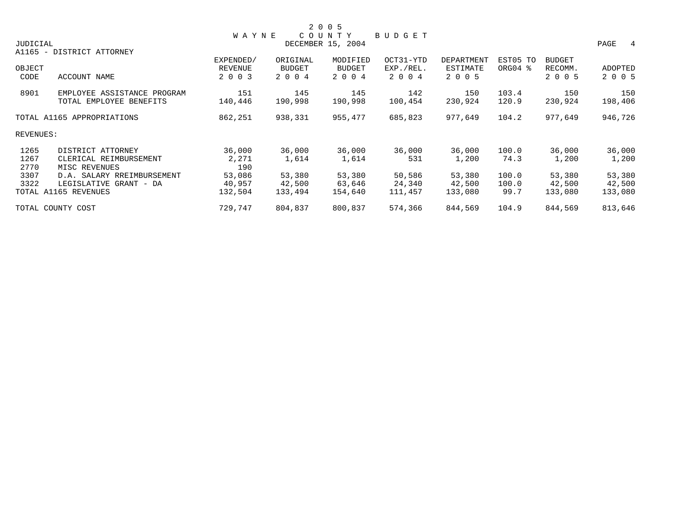|           |                             |                |          | 2 0 0 5           |           |            |          |               |         |
|-----------|-----------------------------|----------------|----------|-------------------|-----------|------------|----------|---------------|---------|
|           |                             | <b>WAYNE</b>   |          | COUNTY            | BUDGET    |            |          |               |         |
| JUDICIAL  |                             |                |          | DECEMBER 15, 2004 |           |            |          |               | PAGE 4  |
|           | A1165 - DISTRICT ATTORNEY   |                |          |                   |           |            |          |               |         |
|           |                             | EXPENDED/      | ORIGINAL | MODIFIED          | OCT31-YTD | DEPARTMENT | EST05 TO | <b>BUDGET</b> |         |
| OBJECT    |                             | <b>REVENUE</b> | BUDGET   | BUDGET            | EXP./REL. | ESTIMATE   | ORG04 %  | RECOMM.       | ADOPTED |
| CODE      | ACCOUNT NAME                | 2 0 0 3        | 2 0 0 4  | 2 0 0 4           | 2 0 0 4   | 2 0 0 5    |          | 2 0 0 5       | 2 0 0 5 |
| 8901      | EMPLOYEE ASSISTANCE PROGRAM | 151            | 145      | 145               | 142       | 150        | 103.4    | 150           | 150     |
|           | TOTAL EMPLOYEE BENEFITS     | 140,446        | 190,998  | 190,998           | 100,454   | 230,924    | 120.9    | 230,924       | 198,406 |
|           | TOTAL A1165 APPROPRIATIONS  | 862,251        | 938,331  | 955,477           | 685,823   | 977,649    | 104.2    | 977,649       | 946,726 |
| REVENUES: |                             |                |          |                   |           |            |          |               |         |
| 1265      | DISTRICT ATTORNEY           | 36,000         | 36,000   | 36,000            | 36,000    | 36,000     | 100.0    | 36,000        | 36,000  |
| 1267      | CLERICAL REIMBURSEMENT      | 2,271          | 1,614    | 1,614             | 531       | 1,200      | 74.3     | 1,200         | 1,200   |
| 2770      | MISC REVENUES               | 190            |          |                   |           |            |          |               |         |
| 3307      | D.A. SALARY RREIMBURSEMENT  | 53,086         | 53,380   | 53,380            | 50,586    | 53,380     | 100.0    | 53,380        | 53,380  |
| 3322      | LEGISLATIVE GRANT - DA      | 40,957         | 42,500   | 63,646            | 24,340    | 42,500     | 100.0    | 42,500        | 42,500  |
|           | TOTAL A1165 REVENUES        | 132,504        | 133,494  | 154,640           | 111,457   | 133,080    | 99.7     | 133,080       | 133,080 |
|           | TOTAL COUNTY COST           | 729,747        | 804,837  | 800,837           | 574,366   | 844,569    | 104.9    | 844,569       | 813,646 |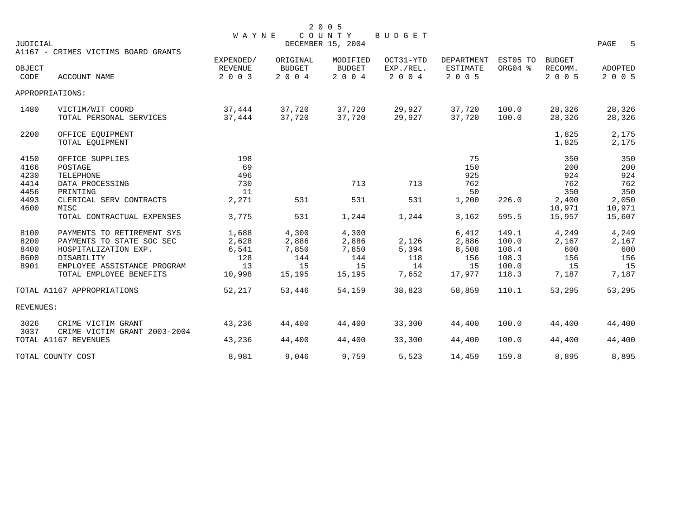| JUDICIAL                             |                                                                                                                                                         | <b>WAYNE</b>                                   |                                                | 2 0 0 5<br>COUNTY<br>DECEMBER 15, 2004         | BUDGET                               |                                                |                                                    |                                             | PAGE<br>- 5                                 |
|--------------------------------------|---------------------------------------------------------------------------------------------------------------------------------------------------------|------------------------------------------------|------------------------------------------------|------------------------------------------------|--------------------------------------|------------------------------------------------|----------------------------------------------------|---------------------------------------------|---------------------------------------------|
|                                      | A1167 - CRIMES VICTIMS BOARD GRANTS                                                                                                                     |                                                |                                                |                                                |                                      |                                                |                                                    |                                             |                                             |
| OBJECT<br>CODE                       | ACCOUNT NAME                                                                                                                                            | EXPENDED/<br><b>REVENUE</b><br>2 0 0 3         | ORIGINAL<br><b>BUDGET</b><br>2 0 0 4           | MODIFIED<br><b>BUDGET</b><br>2 0 0 4           | OCT31-YTD<br>EXP./REL.<br>2 0 0 4    | DEPARTMENT<br>ESTIMATE<br>2 0 0 5              | EST05 TO<br>ORG04 %                                | <b>BUDGET</b><br>RECOMM.<br>2 0 0 5         | ADOPTED<br>2 0 0 5                          |
|                                      | APPROPRIATIONS:                                                                                                                                         |                                                |                                                |                                                |                                      |                                                |                                                    |                                             |                                             |
| 1480                                 | VICTIM/WIT COORD<br>TOTAL PERSONAL SERVICES                                                                                                             | 37,444<br>37,444                               | 37,720<br>37,720                               | 37,720<br>37,720                               | 29,927<br>29,927                     | 37,720<br>37,720                               | 100.0<br>100.0                                     | 28,326<br>28,326                            | 28,326<br>28,326                            |
| 2200                                 | OFFICE EQUIPMENT<br>TOTAL EQUIPMENT                                                                                                                     |                                                |                                                |                                                |                                      |                                                |                                                    | 1,825<br>1,825                              | 2,175<br>2,175                              |
| 4150<br>4166<br>4230<br>4414         | OFFICE SUPPLIES<br>POSTAGE<br>TELEPHONE<br>DATA PROCESSING                                                                                              | 198<br>69<br>496<br>730                        |                                                | 713                                            | 713                                  | 75<br>150<br>925<br>762                        |                                                    | 350<br>200<br>924<br>762                    | 350<br>200<br>924<br>762                    |
| 4456<br>4493<br>4600                 | PRINTING<br>CLERICAL SERV CONTRACTS<br>MISC<br>TOTAL CONTRACTUAL EXPENSES                                                                               | 11<br>2,271<br>3,775                           | 531<br>531                                     | 531<br>1,244                                   | 531<br>1,244                         | 50<br>1,200<br>3,162                           | 226.0<br>595.5                                     | 350<br>2,400<br>10,971<br>15,957            | 350<br>2,050<br>10,971<br>15,607            |
| 8100<br>8200<br>8400<br>8600<br>8901 | PAYMENTS TO RETIREMENT SYS<br>PAYMENTS TO STATE SOC SEC<br>HOSPITALIZATION EXP.<br>DISABILITY<br>EMPLOYEE ASSISTANCE PROGRAM<br>TOTAL EMPLOYEE BENEFITS | 1,688<br>2,628<br>6,541<br>128<br>13<br>10,998 | 4,300<br>2,886<br>7,850<br>144<br>15<br>15,195 | 4,300<br>2,886<br>7,850<br>144<br>15<br>15,195 | 2,126<br>5,394<br>118<br>14<br>7,652 | 6,412<br>2,886<br>8,508<br>156<br>15<br>17,977 | 149.1<br>100.0<br>108.4<br>108.3<br>100.0<br>118.3 | 4,249<br>2,167<br>600<br>156<br>15<br>7,187 | 4,249<br>2,167<br>600<br>156<br>15<br>7,187 |
|                                      | TOTAL A1167 APPROPRIATIONS                                                                                                                              | 52,217                                         | 53,446                                         | 54,159                                         | 38,823                               | 58,859                                         | 110.1                                              | 53,295                                      | 53,295                                      |
| REVENUES:                            |                                                                                                                                                         |                                                |                                                |                                                |                                      |                                                |                                                    |                                             |                                             |
| 3026<br>3037                         | CRIME VICTIM GRANT<br>CRIME VICTIM GRANT 2003-2004                                                                                                      | 43,236                                         | 44,400                                         | 44,400                                         | 33,300                               | 44,400                                         | 100.0                                              | 44,400                                      | 44,400                                      |
|                                      | TOTAL A1167 REVENUES                                                                                                                                    | 43,236                                         | 44,400                                         | 44,400                                         | 33,300                               | 44,400                                         | 100.0                                              | 44,400                                      | 44,400                                      |
|                                      | TOTAL COUNTY COST                                                                                                                                       | 8,981                                          | 9,046                                          | 9,759                                          | 5,523                                | 14,459                                         | 159.8                                              | 8,895                                       | 8,895                                       |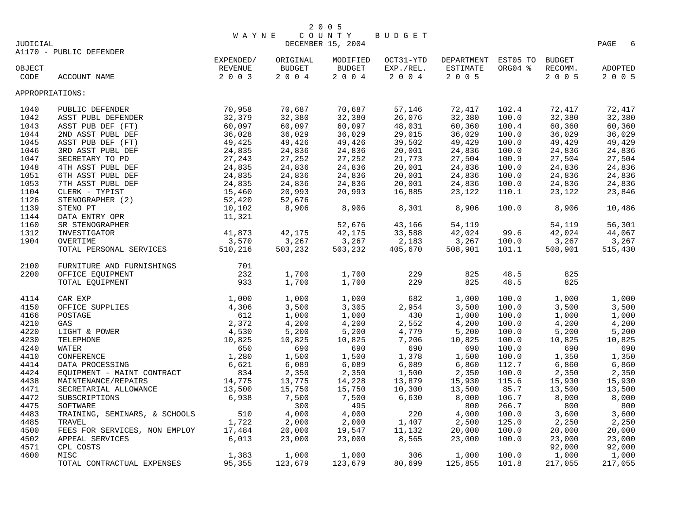|                 |                                                                                                                                                                                                                                                                                                                                                                                                                              | <b>WAYNE</b> |          | COUNTY            | BUDGET    |                               |         |         |           |
|-----------------|------------------------------------------------------------------------------------------------------------------------------------------------------------------------------------------------------------------------------------------------------------------------------------------------------------------------------------------------------------------------------------------------------------------------------|--------------|----------|-------------------|-----------|-------------------------------|---------|---------|-----------|
| JUDICIAL        |                                                                                                                                                                                                                                                                                                                                                                                                                              |              |          | DECEMBER 15, 2004 |           |                               |         |         | PAGE<br>6 |
|                 | A1170 - PUBLIC DEFENDER                                                                                                                                                                                                                                                                                                                                                                                                      |              |          |                   |           |                               |         |         |           |
|                 |                                                                                                                                                                                                                                                                                                                                                                                                                              |              | ORIGINAL | MODIFIED          |           | OCT31-YTD DEPARTMENT EST05 TO |         | BUDGET  |           |
| OBJECT          |                                                                                                                                                                                                                                                                                                                                                                                                                              |              | BUDGET   | BUDGET            | EXP./REL. | ESTIMATE                      | ORG04 % | RECOMM. | ADOPTED   |
| CODE            | WAY<br>EXPENDED/<br>EVENUE<br>2003<br><b>ACCOUNT NAME</b>                                                                                                                                                                                                                                                                                                                                                                    |              | 2004     | 2004              | 2004      | 2 0 0 5                       |         | 2 0 0 5 | 2 0 0 5   |
| APPROPRIATIONS: |                                                                                                                                                                                                                                                                                                                                                                                                                              |              |          |                   |           |                               |         |         |           |
| 1040            | 70,958<br>32,379<br>PUBLIC DEFENDER                                                                                                                                                                                                                                                                                                                                                                                          |              | 70,687   | 70,687            | 57,146    | 72,417                        | 102.4   | 72,417  | 72,417    |
| 1042            | ASST PUBL DEFENDER                                                                                                                                                                                                                                                                                                                                                                                                           |              | 32,380   | 32,380            | 26,076    | 32,380                        | 100.0   | 32,380  | 32,380    |
| 1043            | ASST PUB DEF (FT)                                                                                                                                                                                                                                                                                                                                                                                                            | 60,097       | 60,097   | 60,097            | 48,031    | 60,360                        | 100.4   | 60,360  | 60,360    |
| 1044            | 2ND ASST PUBL DEF                                                                                                                                                                                                                                                                                                                                                                                                            | 36,028       | 36,029   | 36,029            | 29,015    | 36,029                        | 100.0   | 36,029  | 36,029    |
| 1045            | ASST PUB DEF (FT)                                                                                                                                                                                                                                                                                                                                                                                                            | 49,425       | 49,426   | 49,426            | 39,502    | 49,429                        | 100.0   | 49,429  | 49,429    |
| 1046            | 3RD ASST PUBL DEF                                                                                                                                                                                                                                                                                                                                                                                                            | 24,835       | 24,836   | 24,836            | 20,001    | 24,836                        | 100.0   | 24,836  | 24,836    |
| 1047            | SECRETARY TO PD                                                                                                                                                                                                                                                                                                                                                                                                              | 27,243       | 27,252   | 27,252            | 21,773    | 27,504                        | 100.9   | 27,504  | 27,504    |
| 1048            | 4TH ASST PUBL DEF                                                                                                                                                                                                                                                                                                                                                                                                            | 24,835       | 24,836   | 24,836            | 20,001    | 24,836                        | 100.0   | 24,836  | 24,836    |
| 1051            | 6TH ASST PUBL DEF                                                                                                                                                                                                                                                                                                                                                                                                            | 24,835       | 24,836   | 24,836            | 20,001    | 24,836                        | 100.0   | 24,836  | 24,836    |
| 1053            | 7TH ASST PUBL DEF                                                                                                                                                                                                                                                                                                                                                                                                            | 24,835       | 24,836   | 24,836            | 20,001    | 24,836                        | 100.0   | 24,836  | 24,836    |
| 1104            | CLERK - TYPIST                                                                                                                                                                                                                                                                                                                                                                                                               | 15,460       | 20,993   | 20,993            | 16,885    | 23,122                        | 110.1   | 23,122  | 23,846    |
| 1126            | STENOGRAPHER (2)                                                                                                                                                                                                                                                                                                                                                                                                             | 52,420       | 52,676   |                   |           |                               |         |         |           |
| 1139            | STENO PT                                                                                                                                                                                                                                                                                                                                                                                                                     | 10,102       | 8,906    | 8,906             | 8,301     | 8,906                         | 100.0   | 8,906   | 10,486    |
| 1144            | DATA ENTRY OPR                                                                                                                                                                                                                                                                                                                                                                                                               | 11,321       |          |                   |           |                               |         |         |           |
| 1160            | SR STENOGRAPHER                                                                                                                                                                                                                                                                                                                                                                                                              |              |          | 52,676            | 43,166    | 54,119                        |         | 54,119  | 56,301    |
| 1312            | INVESTIGATOR                                                                                                                                                                                                                                                                                                                                                                                                                 | 41,873       | 42,175   | 42,175            | 33,588    | 42,024                        | 99.6    | 42,024  | 44,067    |
| 1904            | OVERTIME                                                                                                                                                                                                                                                                                                                                                                                                                     | 3,570        | 3,267    | 3,267             | 2,183     | 3,267                         | 100.0   | 3,267   | 3,267     |
|                 | TOTAL PERSONAL SERVICES 510,216                                                                                                                                                                                                                                                                                                                                                                                              |              | 503,232  | 503,232           | 405,670   | 508,901                       | 101.1   | 508,901 | 515,430   |
| 2100            | FURNITURE AND FURNISHINGS                                                                                                                                                                                                                                                                                                                                                                                                    | 701          |          |                   |           |                               |         |         |           |
| 2200            | OFFICE EQUIPMENT                                                                                                                                                                                                                                                                                                                                                                                                             | 232          | 1,700    | 1,700             | 229       | 825                           | 48.5    | 825     |           |
|                 | $\begin{tabular}{lllllllllll} & & & & 1 \,, \\ & & & & 4 \,, 3 \,, \\ \hline GAS & & & 61. \\ \text{GAS} & & & 2 \,, 372 \\ \text{IEEEPHONE} & & & 4 \,, 530 \\ \text{TELEPHONE} & & & 4 \,, 530 \\ \text{TEREPHONE} & & & 10 \,, 825 \\ \text{ATER} & & & 650 \\ \text{WFERENCE} & & & 1 \,, 280 \\ \text{PROCESSING} & & & 1 \,, 280 \\ \text{PMENT} & - \text{MAINT} & \text{CONTRACT} \\ & 'ENANCE/REPAIRS \\ & 'PITONS$ |              | 1,700    | 1,700             | 229       | 825                           | 48.5    | 825     |           |
| 4114            |                                                                                                                                                                                                                                                                                                                                                                                                                              |              | 1,000    | 1,000             | 682       | 1,000                         | 100.0   | 1,000   | 1,000     |
| 4150            |                                                                                                                                                                                                                                                                                                                                                                                                                              |              | 3,500    | 3,305             | 2,954     | 3,500                         | 100.0   | 3,500   | 3,500     |
| 4166            |                                                                                                                                                                                                                                                                                                                                                                                                                              |              | 1,000    | 1,000             | 430       | 1,000                         | 100.0   | 1,000   | 1,000     |
| 4210            |                                                                                                                                                                                                                                                                                                                                                                                                                              |              | 4,200    | 4,200             | 2,552     | 4,200                         | 100.0   | 4,200   | 4,200     |
| 4220            |                                                                                                                                                                                                                                                                                                                                                                                                                              |              | 5,200    | 5,200             | 4,779     | 5,200                         | 100.0   | 5,200   | 5,200     |
| 4230            |                                                                                                                                                                                                                                                                                                                                                                                                                              |              | 10,825   | 10,825            | 7,206     | 10,825                        | 100.0   | 10,825  | 10,825    |
| 4240            |                                                                                                                                                                                                                                                                                                                                                                                                                              |              | 690      | 690               | 690       | 690                           | 100.0   | 690     | 690       |
| 4410            |                                                                                                                                                                                                                                                                                                                                                                                                                              |              | 1,500    | 1,500             | 1,378     | 1,500                         | 100.0   | 1,350   | 1,350     |
| 4414            |                                                                                                                                                                                                                                                                                                                                                                                                                              |              | 6,089    | 6,089             | 6,089     | 6,860                         | 112.7   | 6,860   | 6,860     |
| 4424            |                                                                                                                                                                                                                                                                                                                                                                                                                              |              | 2,350    | 2,350             | 1,500     | 2,350                         | 100.0   | 2,350   | 2,350     |
| 4438            |                                                                                                                                                                                                                                                                                                                                                                                                                              |              | 13,775   | 14,228            | 13,879    | 15,930                        | 115.6   | 15,930  | 15,930    |
| 4471            |                                                                                                                                                                                                                                                                                                                                                                                                                              |              | 15,750   | 15,750            | 10,300    | 13,500                        | 85.7    | 13,500  | 13,500    |
| 4472            | SUBSCRIPTIONS                                                                                                                                                                                                                                                                                                                                                                                                                | 6,938        | 7,500    | 7,500             | 6,630     | 8,000                         | 106.7   | 8,000   | 8,000     |
| 4475            | SOFTWARE                                                                                                                                                                                                                                                                                                                                                                                                                     |              | 300      | 495               |           | 800                           | 266.7   | 800     | 800       |
| 4483            | TRAINING, SEMINARS, & SCHOOLS                                                                                                                                                                                                                                                                                                                                                                                                | 510          | 4,000    | 4,000             | 220       | 4,000                         | 100.0   | 3,600   | 3,600     |
| 4485            | TRAVEL                                                                                                                                                                                                                                                                                                                                                                                                                       | 1,722        | 2,000    | 2,000             | 1,407     | 2,500                         | 125.0   | 2,250   | 2,250     |
| 4500            | FEES FOR SERVICES, NON EMPLOY                                                                                                                                                                                                                                                                                                                                                                                                | 17,484       | 20,000   | 19,547            | 11,132    | 20,000                        | 100.0   | 20,000  | 20,000    |
| 4502            | APPEAL SERVICES                                                                                                                                                                                                                                                                                                                                                                                                              | 6,013        | 23,000   | 23,000            | 8,565     | 23,000                        | 100.0   | 23,000  | 23,000    |
| 4571            | CPL COSTS                                                                                                                                                                                                                                                                                                                                                                                                                    |              |          |                   |           |                               |         | 92,000  | 92,000    |
| 4600            | MISC                                                                                                                                                                                                                                                                                                                                                                                                                         | 1,383        | 1,000    | 1,000             | 306       | 1,000                         | 100.0   | 1,000   | 1,000     |
|                 | TOTAL CONTRACTUAL EXPENSES                                                                                                                                                                                                                                                                                                                                                                                                   | 95,355       | 123,679  | 123,679           | 80,699    | 125,855                       | 101.8   | 217,055 | 217,055   |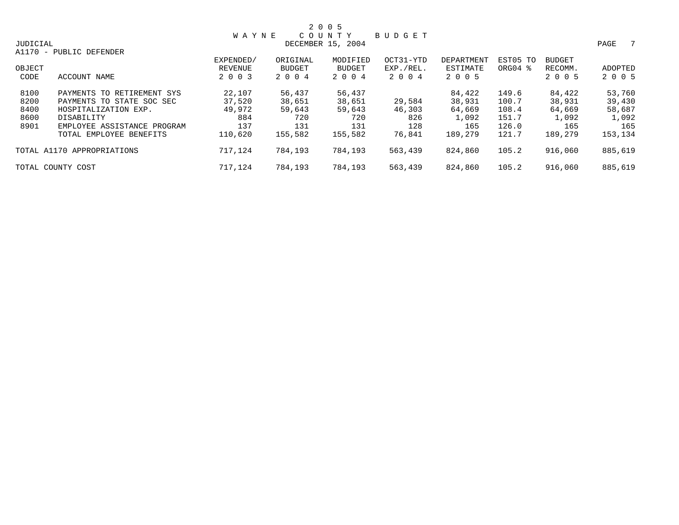|          |                             |              |               | 2 0 0 5           |               |            |          |               |           |
|----------|-----------------------------|--------------|---------------|-------------------|---------------|------------|----------|---------------|-----------|
|          |                             | <b>WAYNE</b> |               | COUNTY            | <b>BUDGET</b> |            |          |               |           |
| JUDICIAL |                             |              |               | DECEMBER 15, 2004 |               |            |          |               | 7<br>PAGE |
|          | A1170 - PUBLIC DEFENDER     |              |               |                   |               |            |          |               |           |
|          |                             | EXPENDED/    | ORIGINAL      | MODIFIED          | OCT31-YTD     | DEPARTMENT | EST05 TO | <b>BUDGET</b> |           |
| OBJECT   |                             | REVENUE      | <b>BUDGET</b> | <b>BUDGET</b>     | EXP./REL.     | ESTIMATE   | ORG04 %  | RECOMM.       | ADOPTED   |
| CODE     | ACCOUNT NAME                | 2 0 0 3      | 2 0 0 4       | 2 0 0 4           | 2004          | 2 0 0 5    |          | 2 0 0 5       | 2 0 0 5   |
| 8100     | PAYMENTS TO RETIREMENT SYS  | 22,107       | 56,437        | 56,437            |               | 84,422     | 149.6    | 84,422        | 53,760    |
| 8200     | PAYMENTS TO STATE SOC SEC   | 37,520       | 38,651        | 38,651            | 29,584        | 38,931     | 100.7    | 38,931        | 39,430    |
| 8400     | HOSPITALIZATION EXP.        | 49,972       | 59,643        | 59,643            | 46,303        | 64,669     | 108.4    | 64,669        | 58,687    |
| 8600     | DISABILITY                  | 884          | 720           | 720               | 826           | 1,092      | 151.7    | 1,092         | 1,092     |
| 8901     | EMPLOYEE ASSISTANCE PROGRAM | 137          | 131           | 131               | 128           | 165        | 126.0    | 165           | 165       |
|          | TOTAL EMPLOYEE BENEFITS     | 110,620      | 155,582       | 155,582           | 76,841        | 189,279    | 121.7    | 189,279       | 153,134   |
|          | TOTAL A1170 APPROPRIATIONS  | 717,124      | 784,193       | 784,193           | 563,439       | 824,860    | 105.2    | 916,060       | 885,619   |
|          | TOTAL COUNTY COST           | 717,124      | 784,193       | 784,193           | 563,439       | 824,860    | 105.2    | 916,060       | 885,619   |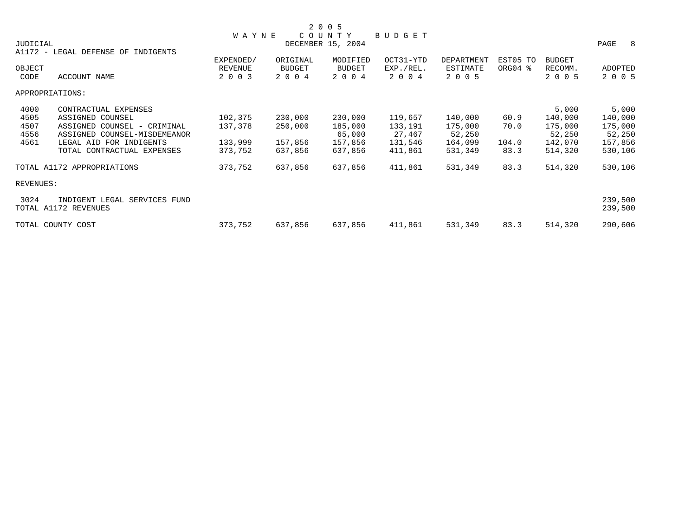|                                      |              |          | 2 0 0 5           |           |            |          |         |             |
|--------------------------------------|--------------|----------|-------------------|-----------|------------|----------|---------|-------------|
|                                      | <b>WAYNE</b> |          | COUNTY            | BUDGET    |            |          |         |             |
| JUDICIAL                             |              |          | DECEMBER 15, 2004 |           |            |          |         | PAGE<br>- 8 |
| A1172 - LEGAL DEFENSE OF INDIGENTS   |              |          |                   |           |            |          |         |             |
|                                      | EXPENDED/    | ORIGINAL | MODIFIED          | OCT31-YTD | DEPARTMENT | EST05 TO | BUDGET  |             |
| OBJECT                               | REVENUE      | BUDGET   | <b>BUDGET</b>     | EXP./REL. | ESTIMATE   | ORG04 %  | RECOMM. | ADOPTED     |
| CODE<br>ACCOUNT NAME                 | 2 0 0 3      | 2 0 0 4  | 2 0 0 4           | 2 0 0 4   | 2 0 0 5    |          | 2 0 0 5 | 2 0 0 5     |
| APPROPRIATIONS:                      |              |          |                   |           |            |          |         |             |
| 4000<br>CONTRACTUAL EXPENSES         |              |          |                   |           |            |          | 5,000   | 5,000       |
| 4505<br>ASSIGNED COUNSEL             | 102,375      | 230,000  | 230,000           | 119,657   | 140,000    | 60.9     | 140,000 | 140,000     |
| 4507<br>ASSIGNED COUNSEL - CRIMINAL  | 137,378      | 250,000  | 185,000           | 133,191   | 175,000    | 70.0     | 175,000 | 175,000     |
| 4556<br>ASSIGNED COUNSEL-MISDEMEANOR |              |          | 65,000            | 27,467    | 52,250     |          | 52,250  | 52,250      |
| LEGAL AID FOR INDIGENTS<br>4561      | 133,999      | 157,856  | 157,856           | 131,546   | 164,099    | 104.0    | 142,070 | 157,856     |
| TOTAL CONTRACTUAL EXPENSES           | 373,752      | 637,856  | 637,856           | 411,861   | 531,349    | 83.3     | 514,320 | 530,106     |
| TOTAL A1172 APPROPRIATIONS           | 373,752      | 637,856  | 637,856           | 411,861   | 531,349    | 83.3     | 514,320 | 530,106     |
| REVENUES:                            |              |          |                   |           |            |          |         |             |
| 3024<br>INDIGENT LEGAL SERVICES FUND |              |          |                   |           |            |          |         | 239,500     |
| TOTAL A1172 REVENUES                 |              |          |                   |           |            |          |         | 239,500     |
| TOTAL COUNTY COST                    | 373,752      | 637,856  | 637,856           | 411,861   | 531,349    | 83.3     | 514,320 | 290,606     |
|                                      |              |          |                   |           |            |          |         |             |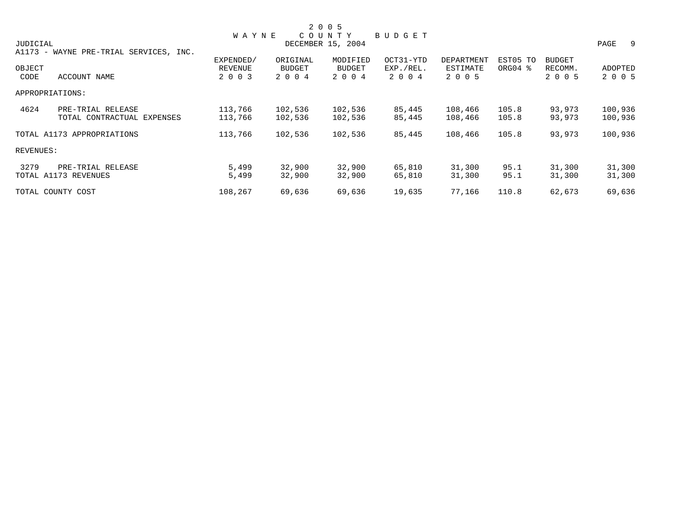|           |                                        |              |               | 2 0 0 5           |           |            |          |               |         |
|-----------|----------------------------------------|--------------|---------------|-------------------|-----------|------------|----------|---------------|---------|
|           |                                        | <b>WAYNE</b> |               | COUNTY            | BUDGET    |            |          |               |         |
| JUDICIAL  |                                        |              |               | DECEMBER 15, 2004 |           |            |          |               | PAGE 9  |
|           | A1173 - WAYNE PRE-TRIAL SERVICES, INC. |              |               |                   |           |            |          |               |         |
|           |                                        | EXPENDED/    | ORIGINAL      | MODIFIED          | OCT31-YTD | DEPARTMENT | EST05 TO | <b>BUDGET</b> |         |
| OBJECT    |                                        | REVENUE      | <b>BUDGET</b> | <b>BUDGET</b>     | EXP./REL. | ESTIMATE   | ORG04 %  | RECOMM.       | ADOPTED |
| CODE      | ACCOUNT NAME                           | 2 0 0 3      | 2 0 0 4       | 2 0 0 4           | 2 0 0 4   | 2 0 0 5    |          | 2 0 0 5       | 2 0 0 5 |
|           | APPROPRIATIONS:                        |              |               |                   |           |            |          |               |         |
| 4624      | PRE-TRIAL RELEASE                      | 113,766      | 102,536       | 102,536           | 85,445    | 108,466    | 105.8    | 93,973        | 100,936 |
|           | TOTAL CONTRACTUAL EXPENSES             | 113,766      | 102,536       | 102,536           | 85,445    | 108,466    | 105.8    | 93,973        | 100,936 |
|           | TOTAL A1173 APPROPRIATIONS             | 113,766      | 102,536       | 102,536           | 85,445    | 108,466    | 105.8    | 93,973        | 100,936 |
| REVENUES: |                                        |              |               |                   |           |            |          |               |         |
| 3279      | PRE-TRIAL RELEASE                      | 5,499        | 32,900        | 32,900            | 65,810    | 31,300     | 95.1     | 31,300        | 31,300  |
|           | TOTAL A1173 REVENUES                   | 5,499        | 32,900        | 32,900            | 65,810    | 31,300     | 95.1     | 31,300        | 31,300  |
|           | TOTAL COUNTY COST                      | 108,267      | 69,636        | 69,636            | 19,635    | 77,166     | 110.8    | 62,673        | 69,636  |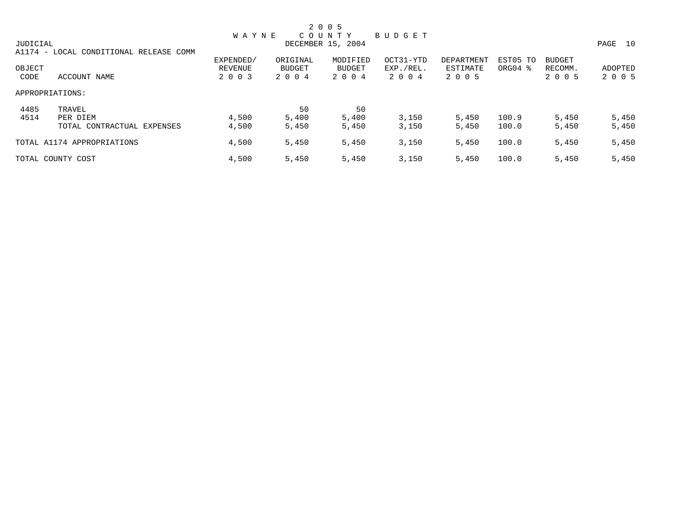|          |                                        |              |          | 2 0 0 5           |           |            |          |               |         |
|----------|----------------------------------------|--------------|----------|-------------------|-----------|------------|----------|---------------|---------|
|          |                                        | <b>WAYNE</b> |          | COUNTY            | BUDGET    |            |          |               |         |
| JUDICIAL |                                        |              |          | DECEMBER 15, 2004 |           |            |          |               | PAGE 10 |
|          | A1174 - LOCAL CONDITIONAL RELEASE COMM |              |          |                   |           |            |          |               |         |
|          |                                        | EXPENDED/    | ORIGINAL | MODIFIED          | OCT31-YTD | DEPARTMENT | EST05 TO | <b>BUDGET</b> |         |
| OBJECT   |                                        | REVENUE      | BUDGET   | BUDGET            | EXP./REL. | ESTIMATE   | ORG04 %  | RECOMM.       | ADOPTED |
| CODE     | ACCOUNT NAME                           | 2 0 0 3      | 2 0 0 4  | 2 0 0 4           | 2 0 0 4   | 2 0 0 5    |          | 2 0 0 5       | 2 0 0 5 |
|          | APPROPRIATIONS:                        |              |          |                   |           |            |          |               |         |
| 4485     | TRAVEL                                 |              | 50       | 50                |           |            |          |               |         |
| 4514     | PER DIEM                               | 4,500        | 5,400    | 5,400             | 3,150     | 5,450      | 100.9    | 5,450         | 5,450   |
|          | TOTAL CONTRACTUAL EXPENSES             | 4,500        | 5,450    | 5,450             | 3,150     | 5,450      | 100.0    | 5,450         | 5,450   |
|          | TOTAL A1174 APPROPRIATIONS             | 4,500        | 5,450    | 5,450             | 3,150     | 5,450      | 100.0    | 5,450         | 5,450   |
|          | TOTAL COUNTY COST                      | 4,500        | 5,450    | 5,450             | 3,150     | 5,450      | 100.0    | 5,450         | 5,450   |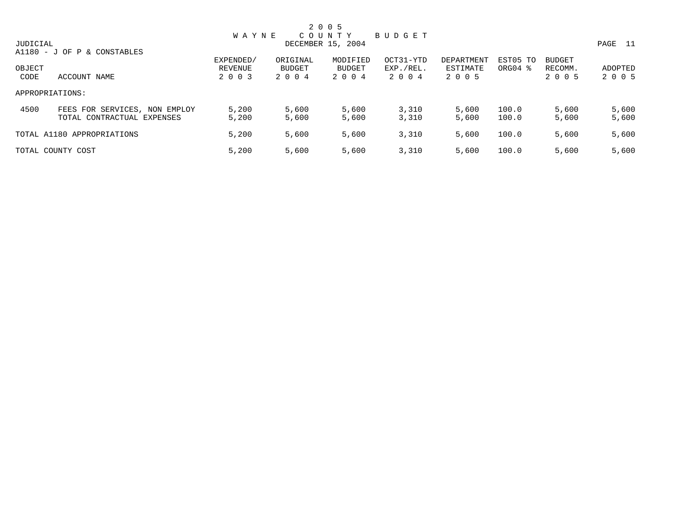|          |                               |              |          | 2 0 0 5           |           |            |                     |               |         |
|----------|-------------------------------|--------------|----------|-------------------|-----------|------------|---------------------|---------------|---------|
|          |                               | <b>WAYNE</b> |          | COUNTY            | BUDGET    |            |                     |               |         |
| JUDICIAL |                               |              |          | DECEMBER 15, 2004 |           |            |                     |               | PAGE 11 |
|          | A1180 - J OF P & CONSTABLES   |              |          |                   |           |            |                     |               |         |
|          |                               | EXPENDED/    | ORIGINAL | MODIFIED          | OCT31-YTD | DEPARTMENT | EST05 TO            | <b>BUDGET</b> |         |
| OBJECT   |                               | REVENUE      | BUDGET   | BUDGET            | EXP./REL. | ESTIMATE   | ORG04 $\frac{8}{3}$ | RECOMM.       | ADOPTED |
| CODE     | ACCOUNT NAME                  | 2 0 0 3      | 2004     | 2 0 0 4           | 2 0 0 4   | 2 0 0 5    |                     | 2 0 0 5       | 2 0 0 5 |
|          | APPROPRIATIONS:               |              |          |                   |           |            |                     |               |         |
| 4500     | FEES FOR SERVICES, NON EMPLOY | 5,200        | 5,600    | 5,600             | 3,310     | 5,600      | 100.0               | 5,600         | 5,600   |
|          | TOTAL CONTRACTUAL EXPENSES    | 5,200        | 5,600    | 5,600             | 3,310     | 5,600      | 100.0               | 5,600         | 5,600   |
|          | TOTAL A1180 APPROPRIATIONS    | 5,200        | 5,600    | 5,600             | 3,310     | 5,600      | 100.0               | 5,600         | 5,600   |
|          | TOTAL COUNTY COST             | 5,200        | 5,600    | 5,600             | 3,310     | 5,600      | 100.0               | 5,600         | 5,600   |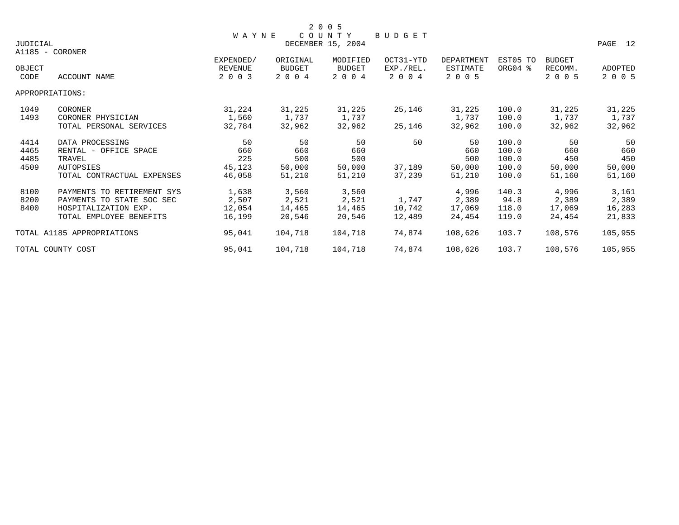|                 |                            |                |               | 2 0 0 5           |               |                 |          |         |                |
|-----------------|----------------------------|----------------|---------------|-------------------|---------------|-----------------|----------|---------|----------------|
|                 |                            | WAYNE          |               | COUNTY            | <b>BUDGET</b> |                 |          |         |                |
| <b>JUDICIAL</b> |                            |                |               | DECEMBER 15, 2004 |               |                 |          |         | PAGE 12        |
|                 | A1185 - CORONER            |                |               |                   |               |                 |          |         |                |
|                 |                            | EXPENDED/      | ORIGINAL      | MODIFIED          | OCT31-YTD     | DEPARTMENT      | EST05 TO | BUDGET  |                |
| OBJECT          |                            | <b>REVENUE</b> | <b>BUDGET</b> | <b>BUDGET</b>     | EXP./REL.     | <b>ESTIMATE</b> | ORG04 %  | RECOMM. | <b>ADOPTED</b> |
| CODE            | ACCOUNT NAME               | 2 0 0 3        | 2 0 0 4       | 2 0 0 4           | 2 0 0 4       | 2 0 0 5         |          | 2 0 0 5 | 2 0 0 5        |
|                 | APPROPRIATIONS:            |                |               |                   |               |                 |          |         |                |
| 1049            | CORONER                    | 31,224         | 31,225        | 31,225            | 25,146        | 31,225          | 100.0    | 31,225  | 31,225         |
| 1493            | CORONER PHYSICIAN          | 1,560          | 1,737         | 1,737             |               | 1,737           | 100.0    | 1,737   | 1,737          |
|                 | TOTAL PERSONAL SERVICES    | 32,784         | 32,962        | 32,962            | 25,146        | 32,962          | 100.0    | 32,962  | 32,962         |
| 4414            | DATA PROCESSING            | 50             | 50            | 50                | 50            | 50              | 100.0    | 50      | 50             |
| 4465            | RENTAL - OFFICE SPACE      | 660            | 660           | 660               |               | 660             | 100.0    | 660     | 660            |
| 4485            | TRAVEL                     | 225            | 500           | 500               |               | 500             | 100.0    | 450     | 450            |
| 4509            | <b>AUTOPSIES</b>           | 45,123         | 50,000        | 50,000            | 37,189        | 50,000          | 100.0    | 50,000  | 50,000         |
|                 | TOTAL CONTRACTUAL EXPENSES | 46,058         | 51,210        | 51,210            | 37,239        | 51,210          | 100.0    | 51,160  | 51,160         |
| 8100            | PAYMENTS TO RETIREMENT SYS | 1,638          | 3,560         | 3,560             |               | 4,996           | 140.3    | 4,996   | 3,161          |
| 8200            | PAYMENTS TO STATE SOC SEC  | 2,507          | 2,521         | 2,521             | 1,747         | 2,389           | 94.8     | 2,389   | 2,389          |
| 8400            | HOSPITALIZATION EXP.       | 12,054         | 14,465        | 14,465            | 10,742        | 17,069          | 118.0    | 17,069  | 16,283         |
|                 | TOTAL EMPLOYEE BENEFITS    | 16,199         | 20,546        | 20,546            | 12,489        | 24,454          | 119.0    | 24,454  | 21,833         |
|                 | TOTAL A1185 APPROPRIATIONS | 95,041         | 104,718       | 104,718           | 74,874        | 108,626         | 103.7    | 108,576 | 105,955        |
|                 | TOTAL COUNTY COST          | 95,041         | 104,718       | 104,718           | 74,874        | 108,626         | 103.7    | 108,576 | 105,955        |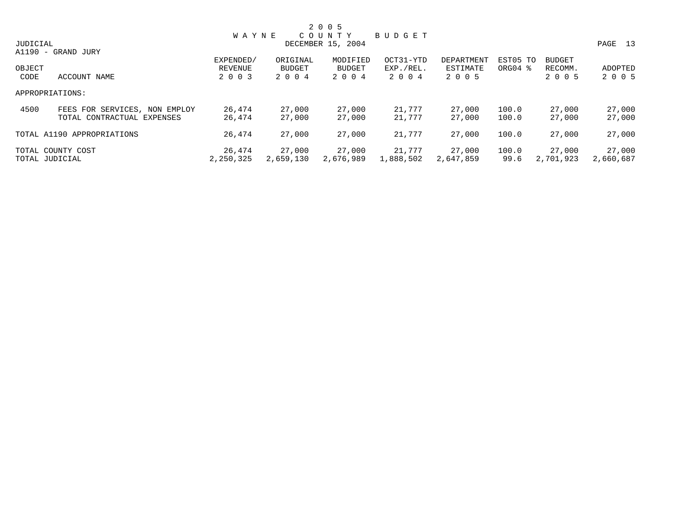|          |                               |              |           | 2 0 0 5           |           |            |                     |               |           |
|----------|-------------------------------|--------------|-----------|-------------------|-----------|------------|---------------------|---------------|-----------|
|          |                               | <b>WAYNE</b> |           | COUNTY            | BUDGET    |            |                     |               |           |
| JUDICIAL |                               |              |           | DECEMBER 15, 2004 |           |            |                     |               | PAGE 13   |
|          | A1190 - GRAND JURY            |              |           |                   |           |            |                     |               |           |
|          |                               | EXPENDED/    | ORIGINAL  | MODIFIED          | OCT31-YTD | DEPARTMENT | EST05 TO            | <b>BUDGET</b> |           |
| OBJECT   |                               | REVENUE      | BUDGET    | BUDGET            | EXP./REL. | ESTIMATE   | ORG04 $\frac{8}{3}$ | RECOMM.       | ADOPTED   |
| CODE     | ACCOUNT NAME                  | 2 0 0 3      | 2 0 0 4   | 2 0 0 4           | 2004      | 2 0 0 5    |                     | 2 0 0 5       | 2 0 0 5   |
|          | APPROPRIATIONS:               |              |           |                   |           |            |                     |               |           |
| 4500     | FEES FOR SERVICES, NON EMPLOY | 26,474       | 27,000    | 27,000            | 21,777    | 27,000     | 100.0               | 27,000        | 27,000    |
|          | TOTAL CONTRACTUAL EXPENSES    | 26,474       | 27,000    | 27,000            | 21,777    | 27,000     | 100.0               | 27,000        | 27,000    |
|          | TOTAL A1190 APPROPRIATIONS    | 26,474       | 27,000    | 27,000            | 21,777    | 27,000     | 100.0               | 27,000        | 27,000    |
|          | TOTAL COUNTY COST             | 26,474       | 27,000    | 27,000            | 21,777    | 27,000     | 100.0               | 27,000        | 27,000    |
|          | TOTAL JUDICIAL                | 2,250,325    | 2,659,130 | 2,676,989         | 1,888,502 | 2,647,859  | 99.6                | 2,701,923     | 2,660,687 |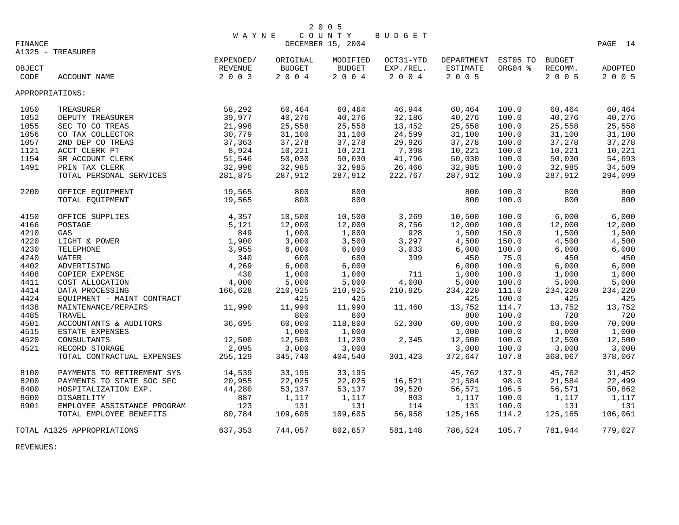|         |                             | <b>WAYNE</b> |          | 2 0 0 5<br>COUNTY | BUDGET    |                            |         |         |         |
|---------|-----------------------------|--------------|----------|-------------------|-----------|----------------------------|---------|---------|---------|
| FINANCE |                             |              |          | DECEMBER 15, 2004 |           |                            |         |         | PAGE 14 |
|         | A1325 - TREASURER           |              |          |                   |           |                            |         |         |         |
|         |                             | EXPENDED/    | ORIGINAL | MODIFIED          | OCT31-YTD | DEPARTMENT EST05 TO BUDGET |         |         |         |
| OBJECT  |                             | REVENUE      | BUDGET   | BUDGET            | EXP./REL. | ESTIMATE                   | ORG04 % | RECOMM. | ADOPTED |
| CODE    | ACCOUNT NAME                | $2 0 0 3$    | 2 0 0 4  | 2 0 0 4           | 2 0 0 4   | 2 0 0 5                    |         | 2 0 0 5 | 2 0 0 5 |
|         | APPROPRIATIONS:             |              |          |                   |           |                            |         |         |         |
| 1050    | TREASURER                   | 58,292       | 60,464   | 60,464            | 46,944    | 60,464                     | 100.0   | 60,464  | 60,464  |
| 1052    | DEPUTY TREASURER            | 39,977       | 40,276   | 40,276            | 32,186    | 40,276                     | 100.0   | 40,276  | 40,276  |
| 1055    | SEC TO CO TREAS             | 21,998       | 25,558   | 25,558            | 13,452    | 25,558                     | 100.0   | 25,558  | 25,558  |
| 1056    | CO TAX COLLECTOR            | 30,779       | 31,100   | 31,100            | 24,599    | 31,100                     | 100.0   | 31,100  | 31,100  |
| 1057    | 2ND DEP CO TREAS            | 37,363       | 37,278   | 37,278            | 29,926    | 37,278                     | 100.0   | 37,278  | 37,278  |
| 1121    | ACCT CLERK PT               | 8,924        | 10,221   | 10,221            | 7,398     | 10,221                     | 100.0   | 10,221  | 10,221  |
| 1154    | SR ACCOUNT CLERK            | 51,546       | 50,030   | 50,030            | 41,796    | 50,030                     | 100.0   | 50,030  | 54,693  |
| 1491    | PRIN TAX CLERK              | 32,996       | 32,985   | 32,985            | 26,466    | 32,985                     | 100.0   | 32,985  | 34,509  |
|         | TOTAL PERSONAL SERVICES     | 281,875      | 287,912  | 287,912           | 222,767   | 287,912                    | 100.0   | 287,912 | 294,099 |
| 2200    | OFFICE EOUIPMENT            | 19,565       | 800      | 800               |           | 800                        | 100.0   | 800     | 800     |
|         | TOTAL EQUIPMENT             | 19,565       | 800      | 800               |           | 800                        | 100.0   | 800     | 800     |
| 4150    | OFFICE SUPPLIES             | 4,357        | 10,500   | 10,500            | 3,269     | 10,500                     | 100.0   | 6,000   | 6,000   |
| 4166    | POSTAGE                     | 5,121        | 12,000   | 12,000            | 8,756     | 12,000                     | 100.0   | 12,000  | 12,000  |
| 4210    | GAS                         | 849          | 1,000    | 1,800             | 928       | 1,500                      | 150.0   | 1,500   | 1,500   |
| 4220    | LIGHT & POWER               | 1,900        | 3,000    | 3,500             | 3,297     | 4,500                      | 150.0   | 4,500   | 4,500   |
| 4230    | TELEPHONE                   | 3,955        | 6,000    | 6,000             | 3,033     | 6,000                      | 100.0   | 6,000   | 6,000   |
| 4240    | WATER                       | 340          | 600      | 600               | 399       | 450                        | 75.0    | 450     | 450     |
| 4402    | ADVERTISING                 | 4,269        | 6,000    | 6,000             |           | 6,000                      | 100.0   | 6,000   | 6,000   |
| 4408    | COPIER EXPENSE              | 430          | 1,000    | 1,000             | 711       | 1,000                      | 100.0   | 1,000   | 1,000   |
| 4411    | COST ALLOCATION             | 4,000        | 5,000    | 5,000             | 4,000     | 5,000                      | 100.0   | 5,000   | 5,000   |
| 4414    | DATA PROCESSING             | 166,628      | 210,925  | 210,925           | 210,925   | 234,220                    | 111.0   | 234,220 | 234,220 |
| 4424    | EQUIPMENT - MAINT CONTRACT  |              | 425      | 425               |           | 425                        | 100.0   | 425     | 425     |
| 4438    | MAINTENANCE/REPAIRS         | 11,990       | 11,990   | 11,990            | 11,460    | 13,752                     | 114.7   | 13,752  | 13,752  |
| 4485    | TRAVEL                      |              | 800      | 800               |           | 800                        | 100.0   | 720     | 720     |
| 4501    | ACCOUNTANTS & AUDITORS      | 36,695       | 60,000   | 118,800           | 52,300    | 60,000                     | 100.0   | 60,000  | 70,000  |
| 4515    | ESTATE EXPENSES             |              | 1,000    | 1,000             |           | 1,000                      | 100.0   | 1,000   | 1,000   |
| 4520    | CONSULTANTS                 | 12,500       | 12,500   | 11,200            | 2,345     | 12,500                     | 100.0   | 12,500  | 12,500  |
| 4521    | RECORD STORAGE              | 2,095        | 3,000    | 3,000             |           | 3,000                      | 100.0   | 3,000   | 3,000   |
|         | TOTAL CONTRACTUAL EXPENSES  | 255,129      | 345,740  | 404,540           | 301,423   | 372,647                    | 107.8   | 368,067 | 378,067 |
| 8100    | PAYMENTS TO RETIREMENT SYS  | 14,539       | 33,195   | 33,195            |           | 45,762                     | 137.9   | 45,762  | 31,452  |
| 8200    | PAYMENTS TO STATE SOC SEC   | 20,955       | 22,025   | 22,025            | 16,521    | 21,584                     | 98.0    | 21,584  | 22,499  |
| 8400    | HOSPITALIZATION EXP.        | 44,280       | 53,137   | 53,137            | 39,520    | 56,571                     | 106.5   | 56,571  | 50,862  |
| 8600    | DISABILITY                  | 887          | 1,117    | 1,117             | 803       | 1,117                      | 100.0   | 1,117   | 1,117   |
| 8901    | EMPLOYEE ASSISTANCE PROGRAM | 123          | 131      | 131               | 114       | 131                        | 100.0   | 131     | 131     |
|         | TOTAL EMPLOYEE BENEFITS     | 80,784       | 109,605  | 109,605           | 56,958    | 125,165                    | 114.2   | 125,165 | 106,061 |
|         | TOTAL A1325 APPROPRIATIONS  | 637,353      | 744,057  | 802,857           | 581,148   | 786,524                    | 105.7   | 781,944 | 779,027 |

REVENUES: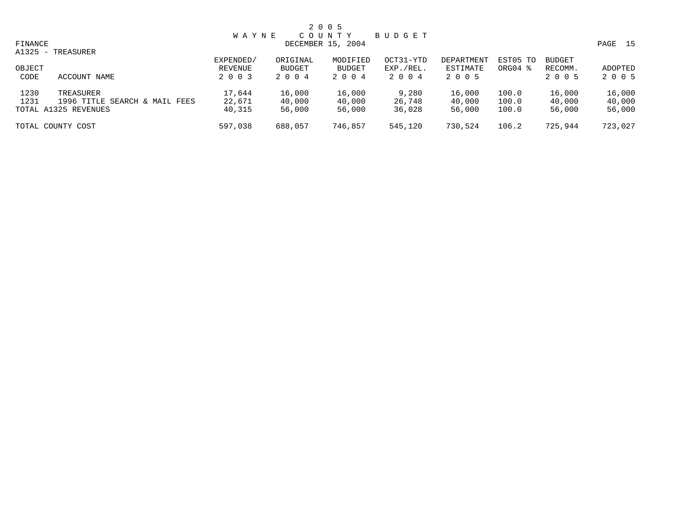|         | 2 0 0 5             |         |  |
|---------|---------------------|---------|--|
|         | WAYNE COUNTY BUDGET |         |  |
| FINANCE | DECEMBER 15, 2004   | PAGE 15 |  |

|                | A1325 - TREASURER                                                  |                                 |                                      |                                      |                                |                                   |                         |                                     |                            |
|----------------|--------------------------------------------------------------------|---------------------------------|--------------------------------------|--------------------------------------|--------------------------------|-----------------------------------|-------------------------|-------------------------------------|----------------------------|
| OBJECT<br>CODE | ACCOUNT NAME                                                       | EXPENDED/<br>REVENUE<br>2 0 0 3 | ORIGINAL<br><b>BUDGET</b><br>2 0 0 4 | MODIFIED<br><b>BUDGET</b><br>2 0 0 4 | OCT31-YTD<br>EXP./REL.<br>2004 | DEPARTMENT<br>ESTIMATE<br>2 0 0 5 | EST05 TO<br>ORG04 %     | <b>BUDGET</b><br>RECOMM.<br>2 0 0 5 | ADOPTED<br>2 0 0 5         |
| 1230<br>1231   | TREASURER<br>1996 TITLE SEARCH & MAIL FEES<br>TOTAL A1325 REVENUES | 17,644<br>22,671<br>40,315      | 16,000<br>40,000<br>56,000           | 16,000<br>40,000<br>56,000           | 9,280<br>26,748<br>36,028      | 16,000<br>40,000<br>56,000        | 100.0<br>100.0<br>100.0 | 16,000<br>40,000<br>56,000          | 16,000<br>40,000<br>56,000 |
|                | TOTAL COUNTY COST                                                  | 597,038                         | 688,057                              | 746,857                              | 545,120                        | 730,524                           | 106.2                   | 725,944                             | 723,027                    |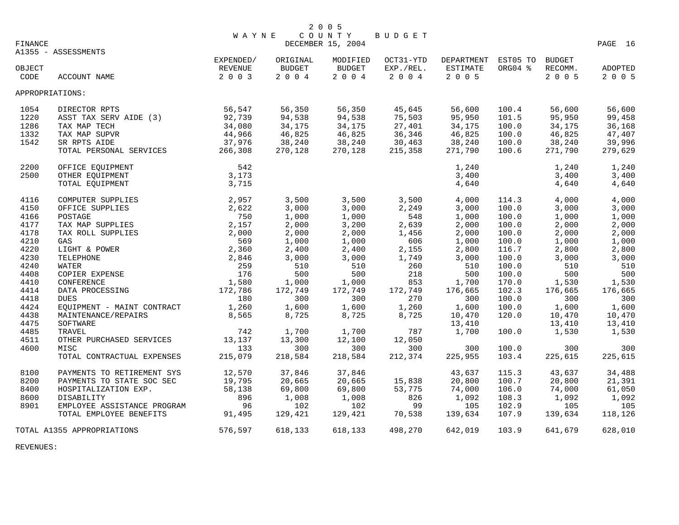| FINANCE |                                 | W A Y N E        |               | COUNTY<br>DECEMBER 15, 2004 | <b>BUDGET</b>                    |                            |         |         | PAGE 16 |
|---------|---------------------------------|------------------|---------------|-----------------------------|----------------------------------|----------------------------|---------|---------|---------|
|         | A1355 - ASSESSMENTS             |                  |               |                             |                                  |                            |         |         |         |
|         |                                 | EXPENDED/        | ORIGINAL      | MODIFIED                    | OCT31-YTD                        | DEPARTMENT EST05 TO BUDGET |         |         |         |
| OBJECT  |                                 | REVENUE          | <b>BUDGET</b> | <b>BUDGET</b>               | EXP./REL.                        | ESTIMATE                   | ORG04 % | RECOMM. | ADOPTED |
| CODE    | ACCOUNT NAME                    | 2 0 0 3          | $2 0 0 4$     | $2 0 0 4$                   | 2 0 0 4                          | 2 0 0 5                    |         | 2 0 0 5 | 2 0 0 5 |
|         | APPROPRIATIONS:                 |                  |               |                             |                                  |                            |         |         |         |
| 1054    | DIRECTOR RPTS                   | 56,547<br>92,739 | 56,350        | 56,350                      | 45,645                           | 56,600                     | 100.4   | 56,600  | 56,600  |
| 1220    | ASST TAX SERV AIDE (3)          |                  | 94,538        | 94,538                      | 75,503                           | 95,950                     | 101.5   | 95,950  | 99,458  |
| 1286    | TAX MAP TECH                    | 34,080           | 34,175        | 34,175                      | $27,401$<br>$36,346$<br>$30,463$ | 34,175                     | 100.0   | 34,175  | 36,168  |
| 1332    | TAX MAP SUPVR                   | 44,966           | 46,825        | 46,825                      |                                  | 46,825                     | 100.0   | 46,825  | 47,407  |
| 1542    | SR RPTS AIDE                    | 37,976           | 38,240        | 38,240                      |                                  | 38,240                     | 100.0   | 38,240  | 39,996  |
|         | TOTAL PERSONAL SERVICES 266,308 |                  | 270,128       | 270,128                     | 215,358                          | 271,790                    | 100.6   | 271,790 | 279,629 |
| 2200    | OFFICE EOUIPMENT                | 542              |               |                             |                                  | 1,240                      |         | 1,240   | 1,240   |
| 2500    | OTHER EQUIPMENT                 | 3,173            |               |                             |                                  | 3,400                      |         | 3,400   | 3,400   |
|         | TOTAL EQUIPMENT                 | 3,715            |               |                             |                                  | 4,640                      |         | 4,640   | 4,640   |
| 4116    | COMPUTER SUPPLIES               | 2,957            | 3,500         | 3,500                       | 3,500                            | 4,000                      | 114.3   | 4,000   | 4,000   |
| 4150    | OFFICE SUPPLIES                 | 2,622            | 3,000         | 3,000                       | 2,249                            | 3,000                      | 100.0   | 3,000   | 3,000   |
| 4166    | POSTAGE                         | 750              | 1,000         | 1,000                       | 548                              | 1,000                      | 100.0   | 1,000   | 1,000   |
| 4177    | TAX MAP SUPPLIES                | 2,157            | 2,000         | 3,200                       | 2,639                            | 2,000                      | 100.0   | 2,000   | 2,000   |
| 4178    | TAX ROLL SUPPLIES               | 2,000            | 2,000         | 2,000                       | 1,456                            | 2,000                      | 100.0   | 2,000   | 2,000   |
| 4210    | GAS                             | 569              | 1,000         | 1,000                       | 606                              | 1,000                      | 100.0   | 1,000   | 1,000   |
| 4220    | 2,360<br>LIGHT & POWER          |                  | 2,400         | 2,400                       | 2,155                            | 2,800                      | 116.7   | 2,800   | 2,800   |
| 4230    | TELEPHONE                       | 2,846            | 3,000         | 3,000                       | 1,749                            | 3,000                      | 100.0   | 3,000   | 3,000   |
| 4240    | WATER                           | 259              | 510           | 510                         | 260                              | 510                        | 100.0   | 510     | 510     |
| 4408    | COPIER EXPENSE                  | 176              | 500           | 500                         | 218                              | 500                        | 100.0   | 500     | 500     |
| 4410    | CONFERENCE                      | 1,580            | 1,000         | 1,000                       | 853                              | 1,700                      | 170.0   | 1,530   | 1,530   |
| 4414    | DATA PROCESSING                 | 172,786          | 172,749       | 172,749                     | 172,749                          | 176,665                    | 102.3   | 176,665 | 176,665 |
| 4418    | <b>DUES</b>                     | 180              | 300           | 300                         | 270                              | 300                        | 100.0   | 300     | 300     |
| 4424    | EQUIPMENT - MAINT CONTRACT      | 1,260            | 1,600         | 1,600                       | 1,260                            | 1,600                      | 100.0   | 1,600   | 1,600   |
| 4438    | MAINTENANCE/REPAIRS             | 8,565            | 8,725         | 8,725                       | 8,725                            | 10,470                     | 120.0   | 10,470  | 10,470  |
| 4475    | SOFTWARE                        |                  |               |                             |                                  | 13,410                     |         | 13,410  | 13,410  |
| 4485    | TRAVEL                          | 742              | 1,700         | 1,700                       | 787                              | 1,700                      | 100.0   | 1,530   | 1,530   |
| 4511    | OTHER PURCHASED SERVICES 13,137 |                  | 13,300        | 12,100                      | 12,050                           |                            |         |         |         |
| 4600    | MISC                            | 133              | 300           | 300                         | 300                              | 300                        | 100.0   | 300     | 300     |
|         | TOTAL CONTRACTUAL EXPENSES      | 215,079          | 218,584       | 218,584                     | 212,374                          | 225,955                    | 103.4   | 225,615 | 225,615 |
| 8100    | PAYMENTS TO RETIREMENT SYS      | 12,570           | 37,846        | 37,846                      |                                  | 43,637                     | 115.3   | 43,637  | 34,488  |
| 8200    | PAYMENTS TO STATE SOC SEC       | 19,795           | 20,665        | 20,665                      | 15,838                           | 20,800                     | 100.7   | 20,800  | 21,391  |
| 8400    | HOSPITALIZATION EXP.            | 58,138           | 69,800        | 69,800                      | 53,775                           | 74,000                     | 106.0   | 74,000  | 61,050  |
| 8600    | DISABILITY                      |                  | 1,008         | 1,008                       | 826                              | 1,092                      | 108.3   | 1,092   | 1,092   |
| 8901    | EMPLOYEE ASSISTANCE PROGRAM     | 896<br>96        | 102           | 102                         | 99                               | 105                        | 102.9   | 105     | 105     |
|         | TOTAL EMPLOYEE BENEFITS         | 91,495           | 129,421       | 129,421                     | 70,538                           | 139,634                    | 107.9   | 139,634 | 118,126 |
|         | TOTAL A1355 APPROPRIATIONS      | 576,597          | 618,133       | 618,133                     | 498,270                          | 642,019                    | 103.9   | 641,679 | 628,010 |

REVENUES: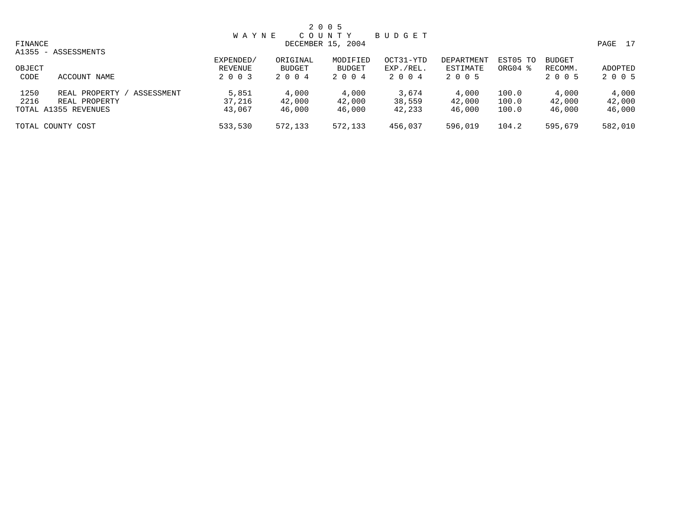|         |                             |              |          | 2 0 0 5           |           |            |          |               |         |
|---------|-----------------------------|--------------|----------|-------------------|-----------|------------|----------|---------------|---------|
|         |                             | <b>WAYNE</b> |          | COUNTY            | BUDGET    |            |          |               |         |
| FINANCE |                             |              |          | DECEMBER 15, 2004 |           |            |          |               | PAGE 17 |
|         | A1355 - ASSESSMENTS         |              |          |                   |           |            |          |               |         |
|         |                             | EXPENDED/    | ORIGINAL | MODIFIED          | OCT31-YTD | DEPARTMENT | EST05 TO | <b>BUDGET</b> |         |
| OBJECT  |                             | REVENUE      | BUDGET   | <b>BUDGET</b>     | EXP./REL. | ESTIMATE   | ORG04 %  | RECOMM.       | ADOPTED |
| CODE    | ACCOUNT NAME                | 2 0 0 3      | 2 0 0 4  | 2004              | 2004      | 2 0 0 5    |          | 2 0 0 5       | 2 0 0 5 |
| 1250    | REAL PROPERTY<br>ASSESSMENT | 5,851        | 4,000    | 4,000             | 3,674     | 4,000      | 100.0    | 4,000         | 4,000   |
| 2216    | REAL PROPERTY               | 37,216       | 42,000   | 42,000            | 38,559    | 42,000     | 100.0    | 42,000        | 42,000  |
|         | TOTAL A1355 REVENUES        | 43,067       | 46,000   | 46,000            | 42,233    | 46,000     | 100.0    | 46,000        | 46,000  |
|         | TOTAL COUNTY COST           | 533,530      | 572,133  | 572,133           | 456,037   | 596,019    | 104.2    | 595,679       | 582,010 |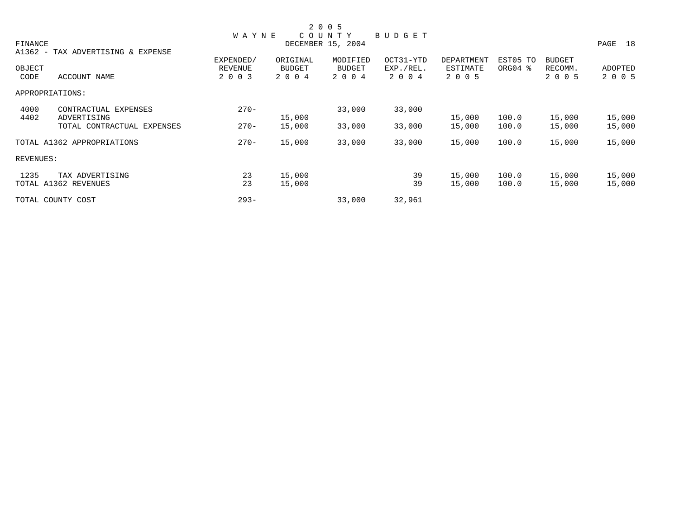|           |                                   |              |               | 2 0 0 5           |           |            |          |               |         |
|-----------|-----------------------------------|--------------|---------------|-------------------|-----------|------------|----------|---------------|---------|
|           |                                   | <b>WAYNE</b> |               | COUNTY            | BUDGET    |            |          |               |         |
| FINANCE   |                                   |              |               | DECEMBER 15, 2004 |           |            |          |               | PAGE 18 |
|           | A1362 - TAX ADVERTISING & EXPENSE | EXPENDED/    | ORIGINAL      | MODIFIED          | OCT31-YTD | DEPARTMENT | EST05 TO | <b>BUDGET</b> |         |
| OBJECT    |                                   | REVENUE      | <b>BUDGET</b> | <b>BUDGET</b>     | EXP./REL. | ESTIMATE   | ORG04 %  | RECOMM.       | ADOPTED |
| CODE      | ACCOUNT NAME                      | 2 0 0 3      | 2 0 0 4       | 2 0 0 4           | 2 0 0 4   | 2 0 0 5    |          | 2 0 0 5       | 2 0 0 5 |
|           | APPROPRIATIONS:                   |              |               |                   |           |            |          |               |         |
| 4000      | CONTRACTUAL EXPENSES              | $270 -$      |               | 33,000            | 33,000    |            |          |               |         |
| 4402      | ADVERTISING                       |              | 15,000        |                   |           | 15,000     | 100.0    | 15,000        | 15,000  |
|           | TOTAL CONTRACTUAL EXPENSES        | $270 -$      | 15,000        | 33,000            | 33,000    | 15,000     | 100.0    | 15,000        | 15,000  |
|           | TOTAL A1362 APPROPRIATIONS        | $270 -$      | 15,000        | 33,000            | 33,000    | 15,000     | 100.0    | 15,000        | 15,000  |
| REVENUES: |                                   |              |               |                   |           |            |          |               |         |
| 1235      | TAX ADVERTISING                   | 23           | 15,000        |                   | 39        | 15,000     | 100.0    | 15,000        | 15,000  |
|           | TOTAL A1362 REVENUES              | 23           | 15,000        |                   | 39        | 15,000     | 100.0    | 15,000        | 15,000  |
|           | TOTAL COUNTY COST                 | $293 -$      |               | 33,000            | 32,961    |            |          |               |         |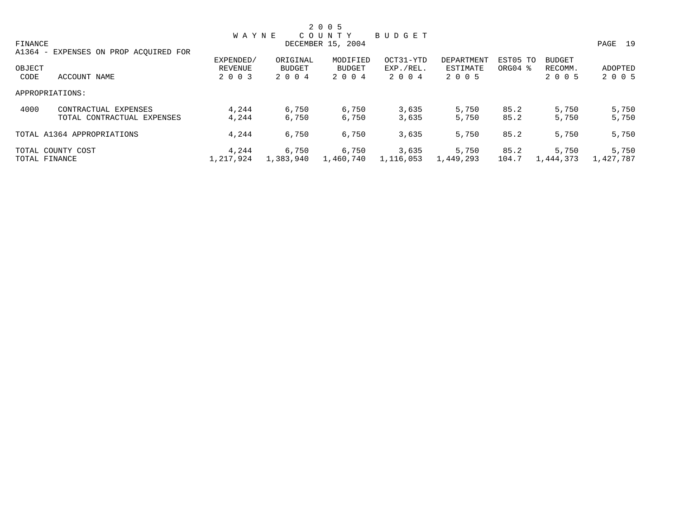|         |                                       |              |           | 2 0 0 5           |               |            |          |               |           |
|---------|---------------------------------------|--------------|-----------|-------------------|---------------|------------|----------|---------------|-----------|
|         |                                       | <b>WAYNE</b> |           | COUNTY            | <b>BUDGET</b> |            |          |               |           |
| FINANCE |                                       |              |           | DECEMBER 15, 2004 |               |            |          |               | PAGE 19   |
|         | A1364 - EXPENSES ON PROP ACQUIRED FOR |              |           |                   |               |            |          |               |           |
|         |                                       | EXPENDED/    | ORIGINAL  | MODIFIED          | OCT31-YTD     | DEPARTMENT | EST05 TO | <b>BUDGET</b> |           |
| OBJECT  |                                       | REVENUE      | BUDGET    | BUDGET            | EXP./REL.     | ESTIMATE   | ORG04 %  | RECOMM.       | ADOPTED   |
| CODE    | ACCOUNT NAME                          | 2 0 0 3      | 2 0 0 4   | 2 0 0 4           | 2004          | 2 0 0 5    |          | 2 0 0 5       | 2 0 0 5   |
|         | APPROPRIATIONS:                       |              |           |                   |               |            |          |               |           |
| 4000    | CONTRACTUAL EXPENSES                  | 4,244        | 6,750     | 6,750             | 3,635         | 5,750      | 85.2     | 5,750         | 5,750     |
|         | TOTAL CONTRACTUAL EXPENSES            | 4,244        | 6,750     | 6,750             | 3,635         | 5,750      | 85.2     | 5,750         | 5,750     |
|         | TOTAL A1364 APPROPRIATIONS            | 4,244        | 6,750     | 6,750             | 3,635         | 5,750      | 85.2     | 5,750         | 5,750     |
|         | TOTAL COUNTY COST                     | 4,244        | 6,750     | 6,750             | 3,635         | 5,750      | 85.2     | 5,750         | 5,750     |
|         | TOTAL FINANCE                         | 1,217,924    | 1,383,940 | 1,460,740         | 1,116,053     | 1,449,293  | 104.7    | 1,444,373     | 1,427,787 |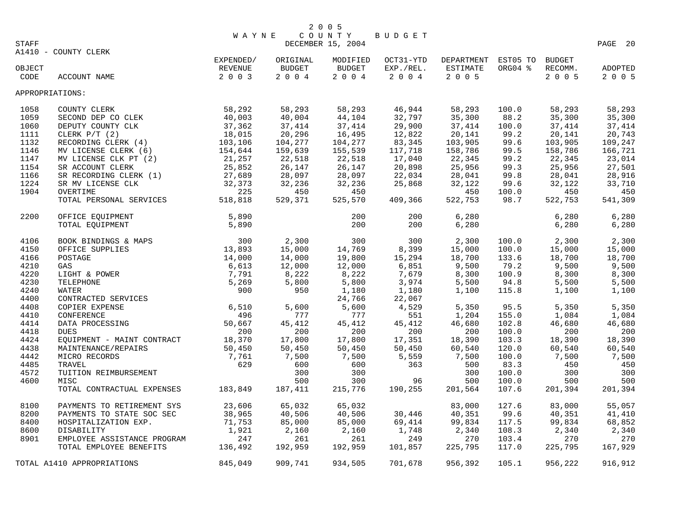|        |                             | <b>WAYNE</b> |               | COUNTY            | BUDGET    |                     |         |               |                |
|--------|-----------------------------|--------------|---------------|-------------------|-----------|---------------------|---------|---------------|----------------|
| STAFF  |                             |              |               | DECEMBER 15, 2004 |           |                     |         |               | PAGE<br>20     |
|        | A1410 - COUNTY CLERK        |              |               |                   |           |                     |         |               |                |
|        |                             | EXPENDED/    | ORIGINAL      | MODIFIED          | OCT31-YTD | DEPARTMENT EST05 TO |         | <b>BUDGET</b> |                |
| OBJECT |                             | REVENUE      | <b>BUDGET</b> | <b>BUDGET</b>     | EXP./REL. | ESTIMATE            | ORG04 % | RECOMM.       | <b>ADOPTED</b> |
| CODE   | ACCOUNT NAME                | 2 0 0 3      | 2004          | 2004              | $2004$    | 2 0 0 5             |         | 2 0 0 5       | 2 0 0 5        |
|        |                             |              |               |                   |           |                     |         |               |                |
|        | APPROPRIATIONS:             |              |               |                   |           |                     |         |               |                |
|        |                             |              |               |                   |           |                     |         |               |                |
| 1058   | COUNTY CLERK                | 58,292       | 58,293        | 58,293            | 46,944    | 58,293              | 100.0   | 58,293        | 58,293         |
| 1059   | SECOND DEP CO CLEK          | 40,003       | 40,004        | 44,104            | 32,797    | 35,300              | 88.2    | 35,300        | 35,300         |
| 1060   | DEPUTY COUNTY CLK           | 37,362       | 37,414        | 37,414            | 29,900    | 37,414              | 100.0   | 37,414        | 37,414         |
| 1111   | CLERK $P/T$ (2)             | 18,015       | 20,296        | 16,495            | 12,822    | 20,141              | 99.2    | 20,141        | 20,743         |
| 1132   | RECORDING CLERK (4)         | 103,106      | 104,277       | 104,277           | 83,345    | 103,905             | 99.6    | 103,905       | 109,247        |
| 1146   | MV LICENSE CLERK (6)        | 154,644      | 159,639       | 155,539           | 117,718   | 158,786             | 99.5    | 158,786       | 166,721        |
| 1147   | MV LICENSE CLK PT (2)       | 21,257       | 22,518        | 22,518            | 17,040    | 22,345              | 99.2    | 22,345        | 23,014         |
| 1154   | SR ACCOUNT CLERK            | 25,852       | 26,147        | 26,147            | 20,898    | 25,956              | 99.3    | 25,956        | 27,501         |
| 1166   | SR RECORDING CLERK (1)      | 27,689       | 28,097        | 28,097            | 22,034    | 28,041              | 99.8    | 28,041        | 28,916         |
| 1224   | SR MV LICENSE CLK           | 32,373       | 32,236        | 32,236            | 25,868    | 32,122              | 99.6    | 32,122        | 33,710         |
| 1904   | OVERTIME                    | 225          | 450           | 450               |           | 450                 | 100.0   | 450           | 450            |
|        | TOTAL PERSONAL SERVICES     | 518,818      | 529,371       | 525,570           | 409,366   | 522,753             | 98.7    | 522,753       | 541,309        |
|        |                             |              |               |                   |           |                     |         |               |                |
| 2200   | OFFICE EOUIPMENT            | 5,890        |               | 200               | 200       | 6,280               |         | 6,280         | 6,280          |
|        | TOTAL EQUIPMENT             | 5,890        |               | 200               | 200       | 6,280               |         | 6,280         | 6,280          |
|        |                             |              |               |                   |           |                     |         |               |                |
| 4106   | BOOK BINDINGS & MAPS        | 300          | 2,300         | 300               | 300       | 2,300               | 100.0   | 2,300         | 2,300          |
| 4150   | OFFICE SUPPLIES             | 13,893       | 15,000        | 14,769            | 8,399     | 15,000              | 100.0   | 15,000        | 15,000         |
| 4166   | POSTAGE                     | 14,000       | 14,000        | 19,800            | 15,294    | 18,700              | 133.6   | 18,700        | 18,700         |
| 4210   | GAS                         | 6,613        | 12,000        | 12,000            | 6,851     | 9,500               | 79.2    | 9,500         | 9,500          |
| 4220   | LIGHT & POWER               | 7,791        | 8,222         | 8,222             | 7,679     | 8,300               | 100.9   | 8,300         | 8,300          |
| 4230   | TELEPHONE                   | 5,269        | 5,800         | 5,800             | 3,974     | 5,500               | 94.8    | 5,500         | 5,500          |
| 4240   | WATER                       | 900          | 950           | 1,180             | 1,180     | 1,100               | 115.8   | 1,100         | 1,100          |
| 4400   | CONTRACTED SERVICES         |              |               | 24,766            | 22,067    |                     |         |               |                |
| 4408   | COPIER EXPENSE              | 6,510        | 5,600         | 5,600             | 4,529     | 5,350               | 95.5    | 5,350         | 5,350          |
| 4410   | CONFERENCE                  | 496          | 777           | 777               | 551       | 1,204               | 155.0   | 1,084         | 1,084          |
| 4414   | DATA PROCESSING             | 50,667       | 45,412        | 45,412            | 45,412    | 46,680              | 102.8   | 46,680        | 46,680         |
| 4418   | <b>DUES</b>                 | 200          | 200           | 200               | 200       | 200                 | 100.0   | 200           | 200            |
| 4424   |                             | 18,370       | 17,800        | 17,800            | 17,351    | 18,390              | 103.3   | 18,390        | 18,390         |
|        | EQUIPMENT - MAINT CONTRACT  |              |               |                   |           |                     |         |               |                |
| 4438   | MAINTENANCE/REPAIRS         | 50,450       | 50,450        | 50,450            | 50,450    | 60,540              | 120.0   | 60,540        | 60,540         |
| 4442   | MICRO RECORDS               | 7,761        | 7,500         | 7,500             | 5,559     | 7,500               | 100.0   | 7,500         | 7,500          |
| 4485   | TRAVEL                      | 629          | 600           | 600               | 363       | 500                 | 83.3    | 450           | 450            |
| 4572   | TUITION REIMBURSEMENT       |              | 300           | 300               |           | 300                 | 100.0   | 300           | 300            |
| 4600   | MISC                        |              | 500           | 300               | 96        | 500                 | 100.0   | 500           | 500            |
|        | TOTAL CONTRACTUAL EXPENSES  | 183,849      | 187,411       | 215,776           | 190,255   | 201,564             | 107.6   | 201,394       | 201,394        |
| 8100   | PAYMENTS TO RETIREMENT SYS  | 23,606       | 65,032        | 65,032            |           | 83,000              | 127.6   | 83,000        | 55,057         |
| 8200   | PAYMENTS TO STATE SOC SEC   | 38,965       | 40,506        | 40,506            | 30,446    | 40,351              | 99.6    | 40,351        | 41,410         |
| 8400   | HOSPITALIZATION EXP.        | 71,753       | 85,000        | 85,000            | 69,414    | 99,834              | 117.5   | 99,834        | 68,852         |
| 8600   | DISABILITY                  | 1,921        | 2,160         | 2,160             | 1,748     | 2,340               | 108.3   | 2,340         | 2,340          |
| 8901   | EMPLOYEE ASSISTANCE PROGRAM | 247          | 261           | 261               | 249       | 270                 | 103.4   | 270           | 270            |
|        | TOTAL EMPLOYEE BENEFITS     | 136,492      | 192,959       | 192,959           | 101,857   | 225,795             | 117.0   | 225,795       | 167,929        |
|        |                             |              |               |                   |           |                     |         |               |                |
|        | TOTAL A1410 APPROPRIATIONS  | 845,049      | 909,741       | 934,505           | 701,678   | 956,392             | 105.1   | 956,222       | 916,912        |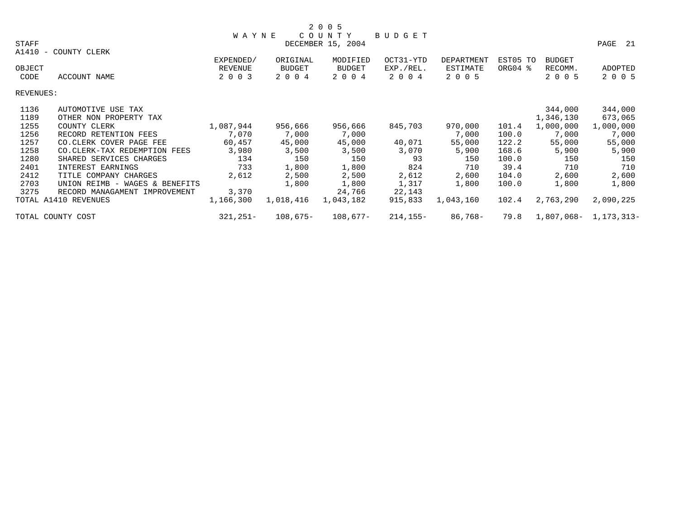| STAFF     |                                | WAYNE      |               | COUNTY<br>DECEMBER 15, 2004 | <b>BUDGET</b> |            |          |               | PAGE<br>21   |
|-----------|--------------------------------|------------|---------------|-----------------------------|---------------|------------|----------|---------------|--------------|
| A1410     | COUNTY CLERK<br>$ \,$          |            |               |                             |               |            |          |               |              |
|           |                                | EXPENDED/  | ORIGINAL      | MODIFIED                    | OCT31-YTD     | DEPARTMENT | EST05 TO | <b>BUDGET</b> |              |
| OBJECT    |                                | REVENUE    | <b>BUDGET</b> | <b>BUDGET</b>               | EXP./REL.     | ESTIMATE   | ORG04 %  | RECOMM.       | ADOPTED      |
| CODE      | ACCOUNT NAME                   | 2 0 0 3    | 2 0 0 4       | 2 0 0 4                     | 2004          | 2 0 0 5    |          | 2 0 0 5       | 2 0 0 5      |
| REVENUES: |                                |            |               |                             |               |            |          |               |              |
| 1136      | AUTOMOTIVE USE TAX             |            |               |                             |               |            |          | 344,000       | 344,000      |
| 1189      | OTHER NON PROPERTY TAX         |            |               |                             |               |            |          | 1,346,130     | 673,065      |
| 1255      | COUNTY CLERK                   | 1,087,944  | 956,666       | 956,666                     | 845,703       | 970,000    | 101.4    | 1,000,000     | 1,000,000    |
| 1256      | RECORD RETENTION FEES          | 7,070      | 7,000         | 7,000                       |               | 7,000      | 100.0    | 7,000         | 7,000        |
| 1257      | CO.CLERK COVER PAGE FEE        | 60,457     | 45,000        | 45,000                      | 40,071        | 55,000     | 122.2    | 55,000        | 55,000       |
| 1258      | CO. CLERK-TAX REDEMPTION FEES  | 3,980      | 3,500         | 3,500                       | 3,070         | 5,900      | 168.6    | 5,900         | 5,900        |
| 1280      | SHARED SERVICES CHARGES        | 134        | 150           | 150                         | 93            | 150        | 100.0    | 150           | 150          |
| 2401      | INTEREST EARNINGS              | 733        | 1,800         | 1,800                       | 824           | 710        | 39.4     | 710           | 710          |
| 2412      | TITLE COMPANY CHARGES          | 2,612      | 2,500         | 2,500                       | 2,612         | 2,600      | 104.0    | 2,600         | 2,600        |
| 2703      | UNION REIMB - WAGES & BENEFITS |            | 1,800         | 1,800                       | 1,317         | 1,800      | 100.0    | 1,800         | 1,800        |
| 3275      | RECORD MANAGAMENT IMPROVEMENT  | 3,370      |               | 24,766                      | 22,143        |            |          |               |              |
|           | TOTAL A1410 REVENUES           | 1,166,300  | 1,018,416     | 1,043,182                   | 915,833       | 1,043,160  | 102.4    | 2,763,290     | 2,090,225    |
|           | TOTAL COUNTY COST              | $321,251-$ | $108,675-$    | $108,677-$                  | $214, 155 -$  | $86,768-$  | 79.8     | $1,807,068-$  | 1, 173, 313- |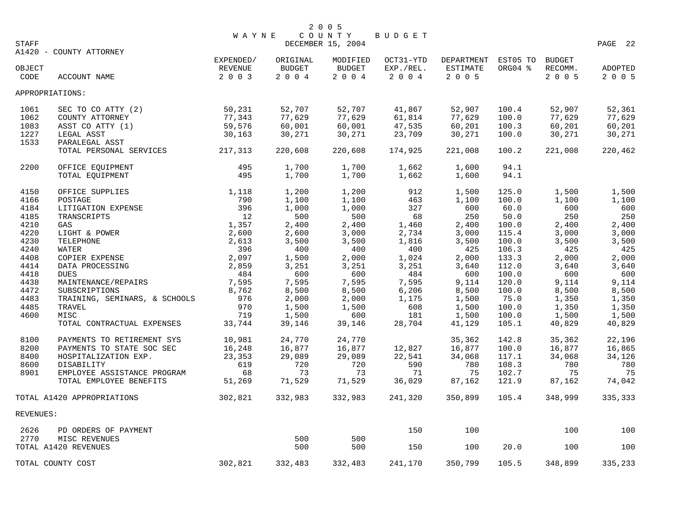|                |                               |                                 |                               | 2 0 0 5                     | <b>BUDGET</b>                     |                                   |                     |                                     |                    |
|----------------|-------------------------------|---------------------------------|-------------------------------|-----------------------------|-----------------------------------|-----------------------------------|---------------------|-------------------------------------|--------------------|
| STAFF          |                               | <b>WAYNE</b>                    |                               | COUNTY<br>DECEMBER 15, 2004 |                                   |                                   |                     |                                     | PAGE 22            |
|                | A1420 - COUNTY ATTORNEY       |                                 |                               |                             |                                   |                                   |                     |                                     |                    |
| OBJECT<br>CODE | ACCOUNT NAME                  | EXPENDED/<br>REVENUE<br>2 0 0 3 | ORIGINAL<br>BUDGET<br>2 0 0 4 | MODIFIED<br>BUDGET<br>2004  | OCT31-YTD<br>EXP./REL.<br>2 0 0 4 | DEPARTMENT<br>ESTIMATE<br>2 0 0 5 | EST05 TO<br>ORG04 % | <b>BUDGET</b><br>RECOMM.<br>2 0 0 5 | ADOPTED<br>2 0 0 5 |
|                | APPROPRIATIONS:               |                                 |                               |                             |                                   |                                   |                     |                                     |                    |
| 1061           | SEC TO CO ATTY (2)            | 50,231                          | 52,707                        | 52,707                      | 41,867                            | 52,907                            | 100.4               | 52,907                              | 52,361             |
| 1062           | COUNTY ATTORNEY               | 77,343                          | 77,629                        | 77,629                      | 61,814                            | 77,629                            | 100.0               | 77,629                              | 77,629             |
| 1083           | ASST CO ATTY (1)              | 59,576                          | 60,001                        | 60,001                      | 47,535                            | 60,201                            | 100.3               | 60,201                              | 60,201             |
| 1227           | LEGAL ASST                    | 30,163                          | 30,271                        | 30,271                      | 23,709                            | 30,271                            | 100.0               | 30,271                              | 30,271             |
| 1533           | PARALEGAL ASST                |                                 |                               |                             |                                   |                                   |                     |                                     |                    |
|                | TOTAL PERSONAL SERVICES       | 217,313                         | 220,608                       | 220,608                     | 174,925                           | 221,008                           | 100.2               | 221,008                             | 220,462            |
| 2200           | OFFICE EQUIPMENT              | 495                             | 1,700                         | 1,700                       | 1,662                             | 1,600                             | 94.1                |                                     |                    |
|                | TOTAL EQUIPMENT               | 495                             | 1,700                         | 1,700                       | 1,662                             | 1,600                             | 94.1                |                                     |                    |
| 4150           | OFFICE SUPPLIES               | 1,118                           | 1,200                         | 1,200                       | 912                               | 1,500                             | 125.0               | 1,500                               | 1,500              |
| 4166           | POSTAGE                       | 790                             | 1,100                         | 1,100                       | 463                               | 1,100                             | 100.0               | 1,100                               | 1,100              |
| 4184           | LITIGATION EXPENSE            | 396                             | 1,000                         | 1,000                       | 327                               | 600                               | 60.0                | 600                                 | 600                |
| 4185           | TRANSCRIPTS                   | 12                              | 500                           | 500                         | 68                                | 250                               | 50.0                | 250                                 | 250                |
| 4210           | GAS                           | 1,357                           | 2,400                         | 2,400                       | 1,460                             | 2,400                             | 100.0               | 2,400                               | 2,400              |
| 4220           | LIGHT & POWER                 | 2,600                           | 2,600                         | 3,000                       | 2,734                             | 3,000                             | 115.4               | 3,000                               | 3,000              |
| 4230           | TELEPHONE                     | 2,613                           | 3,500                         | 3,500                       | 1,816                             | 3,500                             | 100.0               | 3,500                               | 3,500              |
| 4240           | WATER                         | 396                             | 400                           | 400                         | 400                               | 425                               | 106.3               | 425                                 | 425                |
| 4408           |                               | 2,097                           |                               |                             |                                   |                                   |                     |                                     |                    |
|                | COPIER EXPENSE                |                                 | 1,500                         | 2,000                       | 1,024                             | 2,000                             | 133.3               | 2,000                               | 2,000              |
| 4414           | DATA PROCESSING               | 2,859                           | 3,251                         | 3,251                       | 3,251                             | 3,640                             | 112.0               | 3,640                               | 3,640              |
| 4418           | <b>DUES</b>                   | 484                             | 600                           | 600                         | 484                               | 600                               | 100.0               | 600                                 | 600                |
| 4438           | MAINTENANCE/REPAIRS           | 7,595                           | 7,595                         | 7,595                       | 7,595                             | 9,114                             | 120.0               | 9,114                               | 9,114              |
| 4472           | SUBSCRIPTIONS                 | 8,762                           | 8,500                         | 8,500                       | 6,206                             | 8,500                             | 100.0               | 8,500                               | 8,500              |
| 4483           | TRAINING, SEMINARS, & SCHOOLS | 976                             | 2,000                         | 2,000                       | 1,175                             | 1,500                             | 75.0                | 1,350                               | 1,350              |
| 4485           | TRAVEL                        | 970                             | 1,500                         | 1,500                       | 608                               | 1,500                             | 100.0               | 1,350                               | 1,350              |
| 4600           | MISC                          | 719                             | 1,500                         | 600                         | 181                               | 1,500                             | 100.0               | 1,500                               | 1,500              |
|                | TOTAL CONTRACTUAL EXPENSES    | 33,744                          | 39,146                        | 39,146                      | 28,704                            | 41,129                            | 105.1               | 40,829                              | 40,829             |
| 8100           | PAYMENTS TO RETIREMENT SYS    | 10,981                          | 24,770                        | 24,770                      |                                   | 35,362                            | 142.8               | 35,362                              | 22,196             |
| 8200           | PAYMENTS TO STATE SOC SEC     | 16,248                          | 16,877                        | 16,877                      | 12,827                            | 16,877                            | 100.0               | 16,877                              | 16,865             |
| 8400           | HOSPITALIZATION EXP.          | 23,353                          | 29,089                        | 29,089                      | 22,541                            | 34,068                            | 117.1               | 34,068                              | 34,126             |
| 8600           | DISABILITY                    | 619                             | 720                           | 720                         | 590                               | 780                               | 108.3               | 780                                 | 780                |
| 8901           | EMPLOYEE ASSISTANCE PROGRAM   | 68                              | 73                            | 73                          | 71                                | 75                                | 102.7               | 75                                  | 75                 |
|                | TOTAL EMPLOYEE BENEFITS       | 51,269                          | 71,529                        | 71,529                      | 36,029                            | 87,162                            | 121.9               | 87,162                              | 74,042             |
|                | TOTAL A1420 APPROPRIATIONS    | 302,821                         | 332,983                       | 332,983                     | 241,320                           | 350,899                           | 105.4               | 348,999                             | 335,333            |
| REVENUES:      |                               |                                 |                               |                             |                                   |                                   |                     |                                     |                    |
| 2626           | PD ORDERS OF PAYMENT          |                                 |                               |                             | 150                               | 100                               |                     | 100                                 | 100                |
| 2770           | MISC REVENUES                 |                                 | 500                           | 500                         |                                   |                                   |                     |                                     |                    |
|                | TOTAL A1420 REVENUES          |                                 | 500                           | 500                         | 150                               | 100                               | 20.0                | 100                                 | 100                |
|                | TOTAL COUNTY COST             | 302,821                         | 332,483                       | 332,483                     | 241,170                           | 350,799                           | 105.5               | 348,899                             | 335,233            |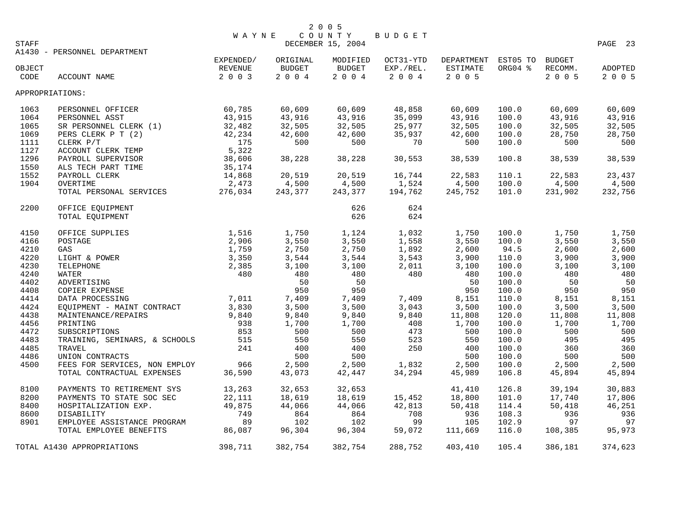| STAFF  |                                 | <b>WAYNE</b> |                | 2 0 0 5<br>$C$ $0$ $U$ $N$ $T$ $Y$<br>DECEMBER 15, 2004 | BUDGET       |            |                |         | PAGE 23 |
|--------|---------------------------------|--------------|----------------|---------------------------------------------------------|--------------|------------|----------------|---------|---------|
|        | A1430 - PERSONNEL DEPARTMENT    | EXPENDED/    | ORIGINAL       | MODIFIED                                                | OCT31-YTD    | DEPARTMENT | EST05 TO       | BUDGET  |         |
| OBJECT |                                 | REVENUE      | <b>BUDGET</b>  | <b>BUDGET</b>                                           | EXP./REL.    | ESTIMATE   | ORG04 %        | RECOMM. | ADOPTED |
| CODE   | ACCOUNT NAME                    | 2 0 0 3      | 2004           | 2 0 0 4                                                 | 2 0 0 4      | 2 0 0 5    |                | 2 0 0 5 | 2 0 0 5 |
|        | APPROPRIATIONS:                 |              |                |                                                         |              |            |                |         |         |
| 1063   | PERSONNEL OFFICER               | 60,785       | 60,609         | 60,609                                                  | 48,858       | 60,609     | 100.0          | 60,609  | 60,609  |
| 1064   | PERSONNEL ASST                  | 43,915       | 43,916         | 43,916                                                  | 35,099       | 43,916     | 100.0          | 43,916  | 43,916  |
| 1065   | SR PERSONNEL CLERK (1)          | 32,482       | 32,505         | 32,505                                                  | 25,977       | 32,505     | 100.0          | 32,505  | 32,505  |
| 1069   | PERS CLERK P T (2)              | 42,234       | 42,600         | 42,600                                                  | 35,937       | 42,600     | 100.0          | 28,750  | 28,750  |
| 1111   | CLERK P/T                       | 175          | 500            | 500                                                     | 70           | 500        | 100.0          | 500     | 500     |
| 1127   | ACCOUNT CLERK TEMP              | 5,322        |                |                                                         |              |            |                |         |         |
| 1296   | PAYROLL SUPERVISOR              | 38,606       | 38,228         | 38,228                                                  | 30,553       | 38,539     | 100.8          | 38,539  | 38,539  |
| 1550   | ALS TECH PART TIME              | 35,174       |                |                                                         |              |            |                |         |         |
| 1552   | PAYROLL CLERK                   | 14,868       | 20,519         | 20,519                                                  | 16,744       | 22,583     | 110.1          | 22,583  | 23,437  |
| 1904   | OVERTIME                        | 2,473        | 4,500          | 4,500                                                   | 1,524        | 4,500      | 100.0          | 4,500   | 4,500   |
|        |                                 |              |                |                                                         |              |            |                |         |         |
|        | TOTAL PERSONAL SERVICES         | 276,034      | 243,377        | 243,377                                                 | 194,762      | 245,752    | 101.0          | 231,902 | 232,756 |
| 2200   | OFFICE EOUIPMENT                |              |                | 626                                                     | 624          |            |                |         |         |
|        | TOTAL EQUIPMENT                 |              |                | 626                                                     | 624          |            |                |         |         |
| 4150   | OFFICE SUPPLIES                 | 1,516        | 1,750          | 1,124                                                   | 1,032        | 1,750      | 100.0          | 1,750   | 1,750   |
| 4166   | POSTAGE                         | 2,906        | 3,550          | 3,550                                                   | 1,558        | 3,550      | 100.0          | 3,550   | 3,550   |
| 4210   | GAS                             | 1,759        | 2,750          | 2,750                                                   | 1,892        | 2,600      | 94.5           | 2,600   | 2,600   |
| 4220   | LIGHT & POWER                   | 3,350        | 3,544          | 3,544                                                   | 3,543        | 3,900      | 110.0          | 3,900   | 3,900   |
| 4230   | TELEPHONE                       | 2,385        | 3,100          | 3,100                                                   | 2,011        | 3,100      | 100.0          | 3,100   | 3,100   |
| 4240   | WATER                           | 480          | 480            | 480                                                     | 480          | 480        | 100.0          | 480     | 480     |
| 4402   | ADVERTISING                     |              | 50             | 50                                                      |              | 50         | 100.0          | 50      | 50      |
| 4408   | COPIER EXPENSE                  |              | 950            | 950                                                     |              | 950        | 100.0          | 950     | 950     |
| 4414   | DATA PROCESSING                 | 7,011        | 7,409          | 7,409                                                   | 7,409        | 8,151      | 110.0          | 8,151   | 8,151   |
| 4424   |                                 | 3,830        | 3,500          | 3,500                                                   | 3,043        | 3,500      | 100.0          | 3,500   | 3,500   |
| 4438   | EQUIPMENT - MAINT CONTRACT      |              |                |                                                         |              |            |                |         |         |
| 4456   | MAINTENANCE/REPAIRS<br>PRINTING | 9,840<br>938 | 9,840<br>1,700 | 9,840                                                   | 9,840<br>408 | 11,808     | 120.0<br>100.0 | 11,808  | 11,808  |
|        |                                 | 853          | 500            | 1,700                                                   |              | 1,700      |                | 1,700   | 1,700   |
| 4472   | SUBSCRIPTIONS                   |              |                | 500                                                     | 473          | 500        | 100.0          | 500     | 500     |
| 4483   | TRAINING, SEMINARS, & SCHOOLS   | 515          | 550            | 550                                                     | 523          | 550        | 100.0          | 495     | 495     |
| 4485   | TRAVEL                          | 241          | 400            | 400                                                     | 250          | 400        | 100.0          | 360     | 360     |
| 4486   | UNION CONTRACTS                 |              | 500            | 500                                                     |              | 500        | 100.0          | 500     | 500     |
| 4500   | FEES FOR SERVICES, NON EMPLOY   | 966          | 2,500          | 2,500                                                   | 1,832        | 2,500      | 100.0          | 2,500   | 2,500   |
|        | TOTAL CONTRACTUAL EXPENSES      | 36,590       | 43,073         | 42,447                                                  | 34,294       | 45,989     | 106.8          | 45,894  | 45,894  |
| 8100   | PAYMENTS TO RETIREMENT SYS      | 13,263       | 32,653         | 32,653                                                  |              | 41,410     | 126.8          | 39,194  | 30,883  |
| 8200   | PAYMENTS TO STATE SOC SEC       | 22,111       | 18,619         | 18,619                                                  | 15,452       | 18,800     | 101.0          | 17,740  | 17,806  |
| 8400   | HOSPITALIZATION EXP.            | 49,875       | 44,066         | 44,066                                                  | 42,813       | 50,418     | 114.4          | 50,418  | 46,251  |
| 8600   | DISABILITY                      | 749          | 864            | 864                                                     | 708          | 936        | 108.3          | 936     | 936     |
| 8901   | EMPLOYEE ASSISTANCE PROGRAM     | 89           | 102            | 102                                                     | 99           | 105        | 102.9          | 97      | 97      |
|        | TOTAL EMPLOYEE BENEFITS         | 86,087       | 96,304         | 96,304                                                  | 59,072       | 111,669    | 116.0          | 108,385 | 95,973  |
|        | TOTAL A1430 APPROPRIATIONS      | 398,711      | 382,754        | 382,754                                                 | 288,752      | 403,410    | 105.4          | 386,181 | 374,623 |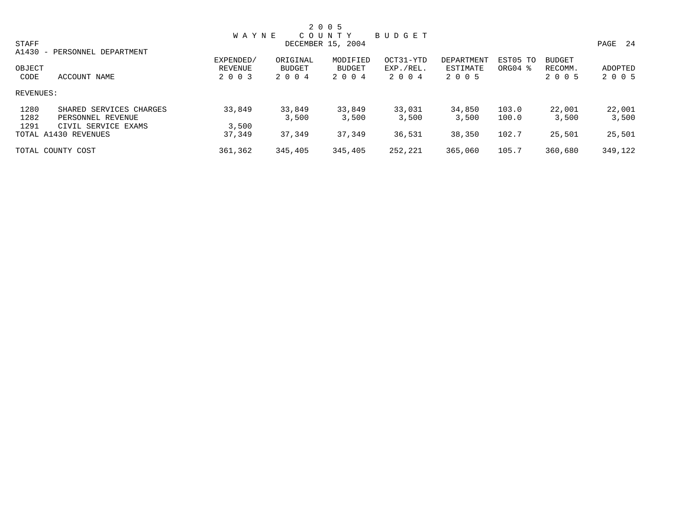|              |                              |              |               | 2 0 0 5           |           |            |          |               |         |
|--------------|------------------------------|--------------|---------------|-------------------|-----------|------------|----------|---------------|---------|
|              |                              | <b>WAYNE</b> |               | C O U N T Y       | BUDGET    |            |          |               |         |
| <b>STAFF</b> |                              |              |               | DECEMBER 15, 2004 |           |            |          |               | PAGE 24 |
|              | A1430 - PERSONNEL DEPARTMENT |              |               |                   |           |            |          |               |         |
|              |                              | EXPENDED/    | ORIGINAL      | MODIFIED          | OCT31-YTD | DEPARTMENT | EST05 TO | <b>BUDGET</b> |         |
| OBJECT       |                              | REVENUE      | <b>BUDGET</b> | BUDGET            | EXP./REL. | ESTIMATE   | ORG04 %  | RECOMM.       | ADOPTED |
| CODE         | ACCOUNT NAME                 | 2 0 0 3      | 2004          | 2 0 0 4           | 2 0 0 4   | 2 0 0 5    |          | 2 0 0 5       | 2 0 0 5 |
| REVENUES:    |                              |              |               |                   |           |            |          |               |         |
| 1280         | SHARED SERVICES CHARGES      | 33,849       | 33,849        | 33,849            | 33,031    | 34,850     | 103.0    | 22,001        | 22,001  |
| 1282         | PERSONNEL REVENUE            |              | 3,500         | 3,500             | 3,500     | 3,500      | 100.0    | 3,500         | 3,500   |
| 1291         | CIVIL SERVICE EXAMS          | 3,500        |               |                   |           |            |          |               |         |
|              | TOTAL A1430 REVENUES         | 37,349       | 37,349        | 37,349            | 36,531    | 38,350     | 102.7    | 25,501        | 25,501  |
|              | TOTAL COUNTY COST            | 361,362      | 345,405       | 345,405           | 252,221   | 365,060    | 105.7    | 360,680       | 349,122 |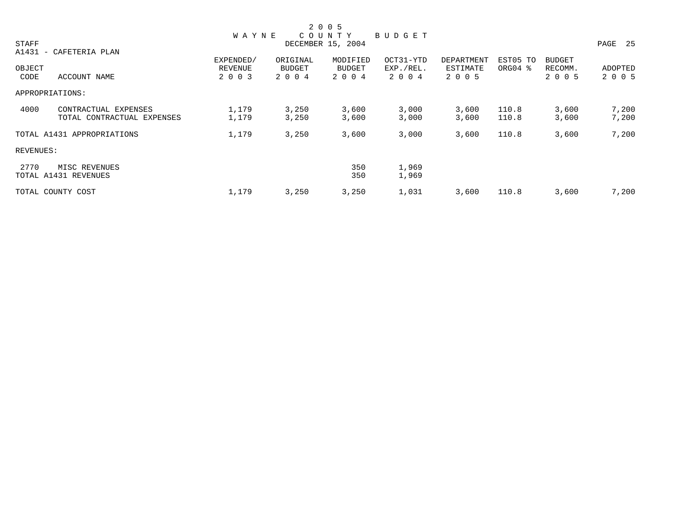|              |                            |              |          | 2 0 0 5           |           |            |          |               |         |
|--------------|----------------------------|--------------|----------|-------------------|-----------|------------|----------|---------------|---------|
|              |                            | <b>WAYNE</b> |          | COUNTY            | BUDGET    |            |          |               |         |
| <b>STAFF</b> |                            |              |          | DECEMBER 15, 2004 |           |            |          |               | PAGE 25 |
|              | A1431 - CAFETERIA PLAN     |              |          |                   |           |            |          |               |         |
|              |                            | EXPENDED/    | ORIGINAL | MODIFIED          | OCT31-YTD | DEPARTMENT | EST05 TO | <b>BUDGET</b> |         |
| OBJECT       |                            | REVENUE      | BUDGET   | BUDGET            | EXP./REL. | ESTIMATE   | ORG04 %  | RECOMM.       | ADOPTED |
| CODE         | ACCOUNT NAME               | 2 0 0 3      | 2 0 0 4  | 2 0 0 4           | 2 0 0 4   | 2 0 0 5    |          | 2 0 0 5       | 2 0 0 5 |
|              | APPROPRIATIONS:            |              |          |                   |           |            |          |               |         |
| 4000         | CONTRACTUAL EXPENSES       | 1,179        | 3,250    | 3,600             | 3,000     | 3,600      | 110.8    | 3,600         | 7,200   |
|              | TOTAL CONTRACTUAL EXPENSES | 1,179        | 3,250    | 3,600             | 3,000     | 3,600      | 110.8    | 3,600         | 7,200   |
|              | TOTAL A1431 APPROPRIATIONS | 1,179        | 3,250    | 3,600             | 3,000     | 3,600      | 110.8    | 3,600         | 7,200   |
|              | REVENUES:                  |              |          |                   |           |            |          |               |         |
| 2770         | MISC REVENUES              |              |          | 350               | 1,969     |            |          |               |         |
|              | TOTAL A1431 REVENUES       |              |          | 350               | 1,969     |            |          |               |         |
|              | TOTAL COUNTY COST          | 1,179        | 3,250    | 3,250             | 1,031     | 3,600      | 110.8    | 3,600         | 7,200   |
|              |                            |              |          |                   |           |            |          |               |         |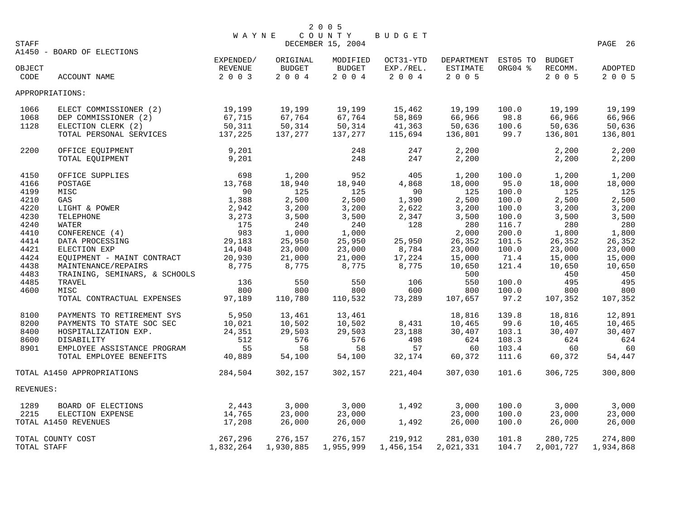| STAFF          |                                                        | <b>WAYNE</b>    |                | 2 0 0 5<br>COUNTY<br>DECEMBER 15, 2004 | BUDGET               |                       |                |                 | PAGE 26            |
|----------------|--------------------------------------------------------|-----------------|----------------|----------------------------------------|----------------------|-----------------------|----------------|-----------------|--------------------|
|                | A1450 - BOARD OF ELECTIONS                             | EXPENDED/       | ORIGINAL       | MODIFIED                               | OCT31-YTD            | DEPARTMENT            | EST05 TO       | <b>BUDGET</b>   |                    |
| OBJECT<br>CODE | ACCOUNT NAME                                           | REVENUE<br>2003 | BUDGET<br>2004 | BUDGET<br>$2\ \ 0\ \ 0\ \ 4$           | EXP./REL.<br>2 0 0 4 | ESTIMATE<br>$2 0 0 5$ | ORG04 %        | RECOMM.<br>2005 | ADOPTED<br>2 0 0 5 |
|                | APPROPRIATIONS:                                        |                 |                |                                        |                      |                       |                |                 |                    |
| 1066           | ELECT COMMISSIONER (2)                                 | 19,199          | 19,199         | 19,199                                 | 15,462               | 19,199                | 100.0          | 19,199          | 19,199             |
| 1068           | DEP COMMISSIONER (2)                                   | 67,715          | 67,764         | 67,764                                 | 58,869               | 66,966                | 98.8           | 66,966          | 66,966             |
| 1128           | ELECTION CLERK (2)                                     | 50,311          | 50,314         | 50,314                                 | 41,363               | 50,636                | 100.6          | 50,636          | 50,636             |
|                | TOTAL PERSONAL SERVICES                                | 137,225         | 137,277        | 137,277                                | 115,694              | 136,801               | 99.7           | 136,801         | 136,801            |
| 2200           | OFFICE EQUIPMENT<br>TOTAL EQUIPMENT                    | 9,201<br>9,201  |                | 248<br>248                             | 247<br>247           | 2,200<br>2,200        |                | 2,200<br>2,200  | 2,200<br>2,200     |
| 4150           | OFFICE SUPPLIES                                        | 698             | 1,200          | 952                                    | 405                  | 1,200                 | 100.0          | 1,200           | 1,200              |
| 4166           | POSTAGE                                                | 13,768          | 18,940         | 18,940                                 | 4,868                | 18,000                | 95.0           | 18,000          | 18,000             |
| 4199           | MISC                                                   | 90              | 125            | 125                                    | 90                   | 125                   | 100.0          | 125             | 125                |
| 4210           | GAS                                                    | 1,388           | 2,500          | 2,500                                  | 1,390                | 2,500                 | 100.0          | 2,500           | 2,500              |
| 4220           | LIGHT & POWER                                          | 2,942           | 3,200          | 3,200                                  | 2,622                | 3,200                 | 100.0          | 3,200           | 3,200              |
| 4230           | TELEPHONE                                              | 3,273           | 3,500          | 3,500                                  | 2,347                | 3,500                 | 100.0          | 3,500           | 3,500              |
| 4240           | WATER                                                  | 175             | 240            | 240                                    | 128                  | 280                   | 116.7          | 280             | 280                |
| 4410           | CONFERENCE (4)                                         | 983             | 1,000          | 1,000                                  |                      | 2,000                 | 200.0          | 1,800           | 1,800              |
| 4414           | DATA PROCESSING                                        | 29,183          | 25,950         | 25,950                                 | 25,950               | 26,352                | 101.5          | 26,352          | 26,352             |
| 4421           | ELECTION EXP                                           | 14,048          | 23,000         | 23,000                                 | 8,784                | 23,000                | 100.0          | 23,000          | 23,000             |
| 4424           | EQUIPMENT - MAINT CONTRACT                             | 20,930          | 21,000         | 21,000                                 | 17,224               | 15,000                | 71.4           | 15,000          | 15,000             |
| 4438           | MAINTENANCE/REPAIRS                                    | 8,775           | 8,775          | 8,775                                  | 8,775                | 10,650                | 121.4          | 10,650          | 10,650             |
| 4483           | TRAINING, SEMINARS, & SCHOOLS                          |                 |                |                                        |                      | 500                   |                | 450             | 450                |
| 4485           | TRAVEL                                                 | 136             | 550            | 550                                    | 106                  | 550                   | 100.0          | 495             | 495                |
| 4600           | MISC                                                   | 800             | 800            | 800                                    | 600                  | 800                   | 100.0          | 800             | 800                |
|                | TOTAL CONTRACTUAL EXPENSES                             | 97,189          | 110,780        | 110,532                                | 73,289               | 107,657               | 97.2           | 107,352         | 107,352            |
| 8100           | PAYMENTS TO RETIREMENT SYS                             | 5,950           | 13,461         | 13,461                                 |                      | 18,816                | 139.8          | 18,816          | 12,891             |
| 8200           | PAYMENTS TO STATE SOC SEC                              | 10,021          | 10,502         | 10,502                                 | 8,431                | 10,465                | 99.6           | 10,465          | 10,465             |
| 8400           | HOSPITALIZATION EXP.                                   | 24,351          | 29,503         | 29,503                                 | 23,188               | 30,407                | 103.1          | 30,407          | 30,407             |
| 8600           | DISABILITY                                             | 512             | 576            | 576                                    | 498                  | 624                   | 108.3          | 624             | 624                |
| 8901           | EMPLOYEE ASSISTANCE PROGRAM<br>TOTAL EMPLOYEE BENEFITS | 55<br>40,889    | 58<br>54,100   | 58<br>54,100                           | 57<br>32,174         | 60<br>60,372          | 103.4<br>111.6 | 60<br>60,372    | 60<br>54,447       |
|                |                                                        |                 |                |                                        |                      |                       |                |                 |                    |
|                | TOTAL A1450 APPROPRIATIONS                             | 284,504         | 302,157        | 302,157                                | 221,404              | 307,030               | 101.6          | 306,725         | 300,800            |
| REVENUES:      |                                                        |                 |                |                                        |                      |                       |                |                 |                    |
| 1289           | BOARD OF ELECTIONS                                     | 2,443           | 3,000          | 3,000                                  | 1,492                | 3,000                 | 100.0          | 3,000           | 3,000              |
| 2215           | ELECTION EXPENSE                                       | 14,765          | 23,000         | 23,000                                 |                      | 23,000                | 100.0          | 23,000          | 23,000             |
|                | TOTAL A1450 REVENUES                                   | 17,208          | 26,000         | 26,000                                 | 1,492                | 26,000                | 100.0          | 26,000          | 26,000             |
|                | TOTAL COUNTY COST                                      | 267,296         | 276,157        | 276,157                                | 219,912              | 281,030               | 101.8          | 280,725         | 274,800            |
| TOTAL STAFF    |                                                        | 1,832,264       | 1,930,885      | 1,955,999                              | 1,456,154            | 2,021,331             | 104.7          | 2,001,727       | 1,934,868          |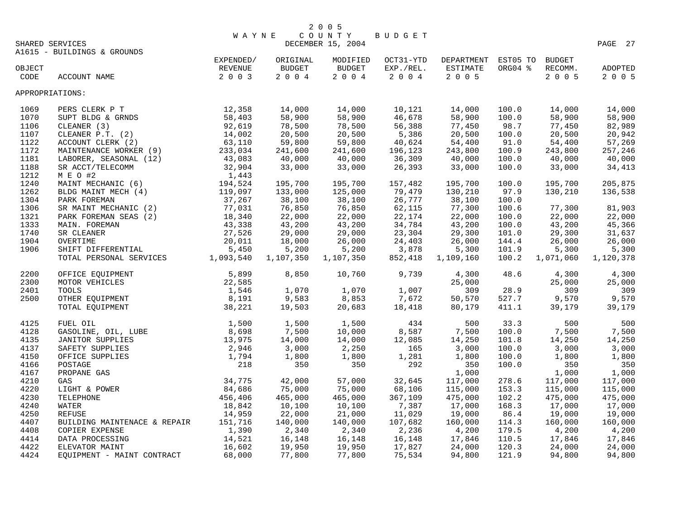|        |                                                                                                                                                                                                                                                          | <b>WAYNE</b>                                                                       |           | COUNTY                   | BUDGET    |                               |         |               |           |
|--------|----------------------------------------------------------------------------------------------------------------------------------------------------------------------------------------------------------------------------------------------------------|------------------------------------------------------------------------------------|-----------|--------------------------|-----------|-------------------------------|---------|---------------|-----------|
|        | SHARED SERVICES                                                                                                                                                                                                                                          |                                                                                    |           | DECEMBER 15, 2004        |           |                               |         |               | PAGE 27   |
|        | A1615 - BUILDINGS & GROUNDS                                                                                                                                                                                                                              |                                                                                    |           |                          |           |                               |         |               |           |
|        |                                                                                                                                                                                                                                                          | $\begin{minipage}{.4\linewidth} \texttt{EXPENDED} / \texttt{NLOED} \end{minipage}$ | ORIGINAL  | MODIFIED                 |           | OCT31-YTD DEPARTMENT EST05 TO |         | <b>BUDGET</b> |           |
| OBJECT |                                                                                                                                                                                                                                                          | REVENUE                                                                            | BUDGET    | <b>BUDGET</b>            | EXP./REL. | ESTIMATE                      | ORG04 % | RECOMM.       | ADOPTED   |
| CODE   | ACCOUNT NAME                                                                                                                                                                                                                                             | 2 0 0 3                                                                            | $2 0 0 4$ | $2\quad 0\quad 0\quad 4$ | 2004      | 2 0 0 5                       |         | 2 0 0 5       | 2 0 0 5   |
|        | APPROPRIATIONS:                                                                                                                                                                                                                                          |                                                                                    |           |                          |           |                               |         |               |           |
| 1069   | PERS CLERK P T                                                                                                                                                                                                                                           | $\frac{12}{58}$ , $\frac{358}{403}$                                                | 14,000    | 14,000                   | 10,121    | 14,000                        | 100.0   | 14,000        | 14,000    |
| 1070   | SUPT BLDG & GRNDS                                                                                                                                                                                                                                        |                                                                                    | 58,900    | 58,900                   | 46,678    | 58,900                        | 100.0   | 58,900        | 58,900    |
| 1106   |                                                                                                                                                                                                                                                          |                                                                                    | 78,500    | 78,500                   | 56,388    | 77,450                        | 98.7    | 77,450        | 82,989    |
| 1107   |                                                                                                                                                                                                                                                          |                                                                                    | 20,500    | 20,500                   | 5,386     | 20,500                        | 100.0   | 20,500        | 20,942    |
| 1122   |                                                                                                                                                                                                                                                          |                                                                                    | 59,800    | 59,800                   | 40,624    | 54,400                        | 91.0    | 54,400        | 57,269    |
| 1172   |                                                                                                                                                                                                                                                          |                                                                                    | 241,600   | 241,600                  | 196,123   | 243,800                       | 100.9   | 243,800       | 257,246   |
| 1181   |                                                                                                                                                                                                                                                          |                                                                                    | 40,000    | 40,000                   | 36,309    | 40,000                        | 100.0   | 40,000        | 40,000    |
| 1188   |                                                                                                                                                                                                                                                          |                                                                                    | 33,000    | 33,000                   | 26,393    | 33,000                        | 100.0   | 33,000        | 34,413    |
| 1212   | SUPT BLDG & GRNDS<br>CLEANER (3)<br>CLEANER P.T. (2)<br>ACCOUNT CLERK (2)<br>ACCOUNT CLERK (2)<br>MAINTENANCE WORKER (9)<br>233,034<br>LABORER, SEASONAL (12)<br>43,083<br>SR ACCT/TELECOMM<br>M E O #2<br>MAINT MECHANIC (6)<br>194,524<br>BLDG MAINT M |                                                                                    |           |                          |           |                               |         |               |           |
| 1240   |                                                                                                                                                                                                                                                          |                                                                                    | 195,700   | 195,700                  | 157,482   | 195,700                       | 100.0   | 195,700       | 205,875   |
| 1262   |                                                                                                                                                                                                                                                          |                                                                                    | 133,000   | 125,000                  | 79,479    | 130,210                       | 97.9    | 130,210       | 136,538   |
| 1304   |                                                                                                                                                                                                                                                          |                                                                                    | 38,100    | 38,100                   | 26,777    | 38,100                        | 100.0   |               |           |
| 1306   |                                                                                                                                                                                                                                                          |                                                                                    | 76,850    | 76,850                   | 62,115    | 77,300                        | 100.6   | 77,300        | 81,903    |
| 1321   |                                                                                                                                                                                                                                                          |                                                                                    | 22,000    | 22,000                   | 22,174    | 22,000                        | 100.0   | 22,000        | 22,000    |
| 1333   |                                                                                                                                                                                                                                                          |                                                                                    | 43,200    | 43,200                   | 34,784    | 43,200                        | 100.0   | 43,200        | 45,366    |
| 1740   |                                                                                                                                                                                                                                                          |                                                                                    | 29,000    | 29,000                   | 23,304    | 29,300                        | 101.0   | 29,300        | 31,637    |
| 1904   |                                                                                                                                                                                                                                                          |                                                                                    | 18,000    | 26,000                   | 24,403    | 26,000                        | 144.4   | 26,000        | 26,000    |
| 1906   |                                                                                                                                                                                                                                                          |                                                                                    | 5,200     | 5,200                    | 3,878     | 5,300                         | 101.9   | 5,300         | 5,300     |
|        | SHIFT DIFFERENTIAL 5,450<br>TOTAL PERSONAL SERVICES 1,093,540                                                                                                                                                                                            |                                                                                    | 1,107,350 | 1,107,350                | 852,418   | 1,109,160                     | 100.2   | 1,071,060     | 1,120,378 |
| 2200   | OFFICE EQUIPMENT                                                                                                                                                                                                                                         |                                                                                    | 8,850     | 10,760                   | 9,739     | 4,300                         | 48.6    | 4,300         | 4,300     |
| 2300   | MOTOR VEHICLES                                                                                                                                                                                                                                           |                                                                                    |           |                          |           | 25,000                        |         | 25,000        | 25,000    |
| 2401   | TOOLS                                                                                                                                                                                                                                                    |                                                                                    | 1,070     | 1,070                    | 1,007     | 309                           | 28.9    | 309           | 309       |
| 2500   | OTHER EQUIPMENT                                                                                                                                                                                                                                          |                                                                                    | 9,583     | 8,853                    | 7,672     | 50,570                        | 527.7   | 9,570         | 9,570     |
|        | T<br>$\begin{array}{r} 5,899 \\ 22,585 \\ 1,546 \\ 8,191 \\ 38,221 \end{array}$<br>TOTAL EQUIPMENT                                                                                                                                                       |                                                                                    | 19,503    | 20,683                   | 18,418    | 80,179                        | 411.1   | 39,179        | 39,179    |
| 4125   |                                                                                                                                                                                                                                                          |                                                                                    | 1,500     | 1,500                    | 434       | 500                           | 33.3    | 500           | 500       |
| 4128   |                                                                                                                                                                                                                                                          |                                                                                    | 7,500     | 10,000                   | 8,587     | 7,500                         | 100.0   | 7,500         | 7,500     |
| 4135   |                                                                                                                                                                                                                                                          |                                                                                    | 14,000    | 14,000                   | 12,085    | 14,250                        | 101.8   | 14,250        | 14,250    |
| 4137   |                                                                                                                                                                                                                                                          |                                                                                    | 3,000     | 2,250                    | 165       | 3,000                         | 100.0   | 3,000         | 3,000     |
| 4150   |                                                                                                                                                                                                                                                          |                                                                                    | 1,800     | 1,800                    | 1,281     | 1,800                         | 100.0   | 1,800         | 1,800     |
| 4166   |                                                                                                                                                                                                                                                          |                                                                                    | 350       | 350                      | 292       | 350                           | 100.0   | 350           | 350       |
| 4167   |                                                                                                                                                                                                                                                          |                                                                                    |           |                          |           | 1,000                         |         | 1,000         | 1,000     |
| 4210   |                                                                                                                                                                                                                                                          |                                                                                    | 42,000    | 57,000                   | 32,645    | 117,000                       | 278.6   | 117,000       | 117,000   |
| 4220   |                                                                                                                                                                                                                                                          |                                                                                    | 75,000    | 75,000                   | 68,106    | 115,000                       | 153.3   | 115,000       | 115,000   |
| 4230   |                                                                                                                                                                                                                                                          |                                                                                    | 465,000   | 465,000                  | 367,109   | 475,000                       | 102.2   | 475,000       | 475,000   |
| 4240   |                                                                                                                                                                                                                                                          |                                                                                    | 10,100    | 10,100                   | 7,387     | 17,000                        | 168.3   | 17,000        | 17,000    |
| 4250   |                                                                                                                                                                                                                                                          |                                                                                    | 22,000    | 21,000                   | 11,029    | 19,000                        | 86.4    | 19,000        | 19,000    |
| 4407   |                                                                                                                                                                                                                                                          |                                                                                    | 140,000   | 140,000                  | 107,682   | 160,000                       | 114.3   | 160,000       | 160,000   |
| 4408   | COPIER EXPENSE                                                                                                                                                                                                                                           | 1,390                                                                              | 2,340     | 2,340                    | 2,236     | 4,200                         | 179.5   | 4,200         | 4,200     |
| 4414   | DATA PROCESSING                                                                                                                                                                                                                                          | 14,521                                                                             | 16,148    | 16,148                   | 16,148    | 17,846                        | 110.5   | 17,846        | 17,846    |
| 4422   | ELEVATOR MAINT                                                                                                                                                                                                                                           | $\frac{1}{16}$ , 602                                                               | 19,950    | 19,950                   | 17,827    | 24,000                        | 120.3   | 24,000        | 24,000    |
| 4424   | EQUIPMENT - MAINT CONTRACT                                                                                                                                                                                                                               | 68,000                                                                             | 77,800    | 77,800                   | 75,534    | 94,800                        | 121.9   | 94,800        | 94,800    |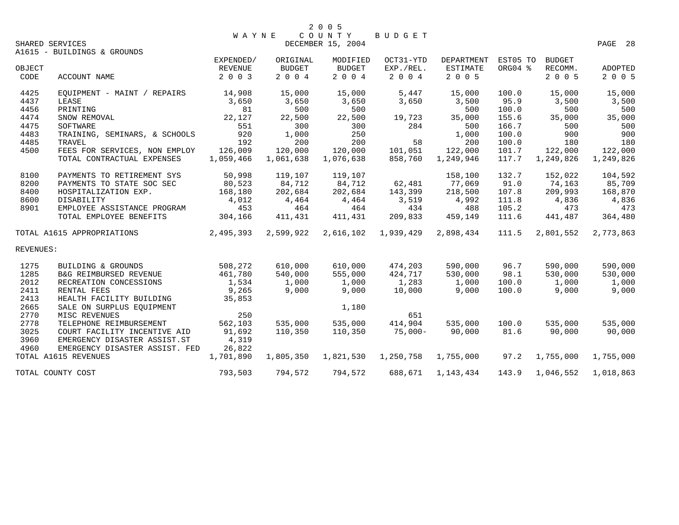|           | SHARED SERVICES                |           |               | DECEMBER 15, 2004 |           |                   |          |               | PAGE 28   |
|-----------|--------------------------------|-----------|---------------|-------------------|-----------|-------------------|----------|---------------|-----------|
|           | A1615 - BUILDINGS & GROUNDS    |           |               |                   |           |                   |          |               |           |
|           |                                | EXPENDED/ | ORIGINAL      | MODIFIED          | OCT31-YTD | <b>DEPARTMENT</b> | EST05 TO | <b>BUDGET</b> |           |
| OBJECT    |                                | REVENUE   | <b>BUDGET</b> | <b>BUDGET</b>     | EXP./REL. | <b>ESTIMATE</b>   | ORG04 %  | RECOMM.       | ADOPTED   |
| CODE      | ACCOUNT NAME                   | 2 0 0 3   | 2004          | 2 0 0 4           | 2 0 0 4   | 2 0 0 5           |          | 2 0 0 5       | 2 0 0 5   |
| 4425      | EOUIPMENT - MAINT / REPAIRS    | 14,908    | 15,000        | 15,000            | 5,447     | 15,000            | 100.0    | 15,000        | 15,000    |
| 4437      | LEASE                          | 3,650     | 3,650         | 3,650             | 3,650     | 3,500             | 95.9     | 3,500         | 3,500     |
| 4456      | PRINTING                       | 81        | 500           | 500               |           | 500               | 100.0    | 500           | 500       |
| 4474      | SNOW REMOVAL                   | 22,127    | 22,500        | 22,500            | 19,723    | 35,000            | 155.6    | 35,000        | 35,000    |
| 4475      | SOFTWARE                       | 551       | 300           | 300               | 284       | 500               | 166.7    | 500           | 500       |
| 4483      | TRAINING, SEMINARS, & SCHOOLS  | 920       | 1,000         | 250               |           | 1,000             | 100.0    | 900           | 900       |
| 4485      | TRAVEL                         | 192       | 200           | 200               | 58        | 200               | 100.0    | 180           | 180       |
| 4500      | FEES FOR SERVICES, NON EMPLOY  | 126,009   | 120,000       | 120,000           | 101,051   | 122,000           | 101.7    | 122,000       | 122,000   |
|           | TOTAL CONTRACTUAL EXPENSES     | 1,059,466 | 1,061,638     | 1,076,638         | 858,760   | 1,249,946         | 117.7    | 1,249,826     | 1,249,826 |
| 8100      | PAYMENTS TO RETIREMENT SYS     | 50,998    | 119,107       | 119,107           |           | 158,100           | 132.7    | 152,022       | 104,592   |
| 8200      | PAYMENTS TO STATE SOC SEC      | 80,523    | 84,712        | 84,712            | 62,481    | 77,069            | 91.0     | 74,163        | 85,709    |
| 8400      | HOSPITALIZATION EXP.           | 168,180   | 202,684       | 202,684           | 143,399   | 218,500           | 107.8    | 209,993       | 168,870   |
| 8600      | DISABILITY                     | 4,012     | 4,464         | 4,464             | 3,519     | 4,992             | 111.8    | 4,836         | 4,836     |
| 8901      | EMPLOYEE ASSISTANCE PROGRAM    | 453       | 464           | 464               | 434       | 488               | 105.2    | 473           | 473       |
|           | TOTAL EMPLOYEE BENEFITS        | 304,166   | 411,431       | 411,431           | 209,833   | 459,149           | 111.6    | 441,487       | 364,480   |
|           | TOTAL A1615 APPROPRIATIONS     | 2,495,393 | 2,599,922     | 2,616,102         | 1,939,429 | 2,898,434         | 111.5    | 2,801,552     | 2,773,863 |
| REVENUES: |                                |           |               |                   |           |                   |          |               |           |
| 1275      | BUILDING & GROUNDS             | 508,272   | 610,000       | 610,000           | 474,203   | 590,000           | 96.7     | 590,000       | 590,000   |
| 1285      | B&G REIMBURSED REVENUE         | 461,780   | 540,000       | 555,000           | 424,717   | 530,000           | 98.1     | 530,000       | 530,000   |
| 2012      | RECREATION CONCESSIONS         | 1,534     | 1,000         | 1,000             | 1,283     | 1,000             | 100.0    | 1,000         | 1,000     |
| 2411      | RENTAL FEES                    | 9,265     | 9,000         | 9,000             | 10,000    | 9,000             | 100.0    | 9,000         | 9,000     |
| 2413      | HEALTH FACILITY BUILDING       | 35,853    |               |                   |           |                   |          |               |           |
| 2665      | SALE ON SURPLUS EQUIPMENT      |           |               | 1,180             |           |                   |          |               |           |
| 2770      | MISC REVENUES                  | 250       |               |                   | 651       |                   |          |               |           |
| 2778      | TELEPHONE REIMBURSEMENT        | 562,103   | 535,000       | 535,000           | 414,904   | 535,000           | 100.0    | 535,000       | 535,000   |
| 3025      | COURT FACILITY INCENTIVE AID   | 91,692    | 110,350       | 110,350           | $75,000-$ | 90,000            | 81.6     | 90,000        | 90,000    |
| 3960      | EMERGENCY DISASTER ASSIST.ST   | 4,319     |               |                   |           |                   |          |               |           |
| 4960      | EMERGENCY DISASTER ASSIST. FED | 26,822    |               |                   |           |                   |          |               |           |
|           | TOTAL A1615 REVENUES           | 1,701,890 | 1,805,350     | 1,821,530         | 1,250,758 | 1,755,000         | 97.2     | 1,755,000     | 1,755,000 |
|           | TOTAL COUNTY COST              | 793,503   | 794,572       | 794,572           | 688,671   | 1,143,434         | 143.9    | 1,046,552     | 1,018,863 |

W A Y N E C O U N T Y B U D G E T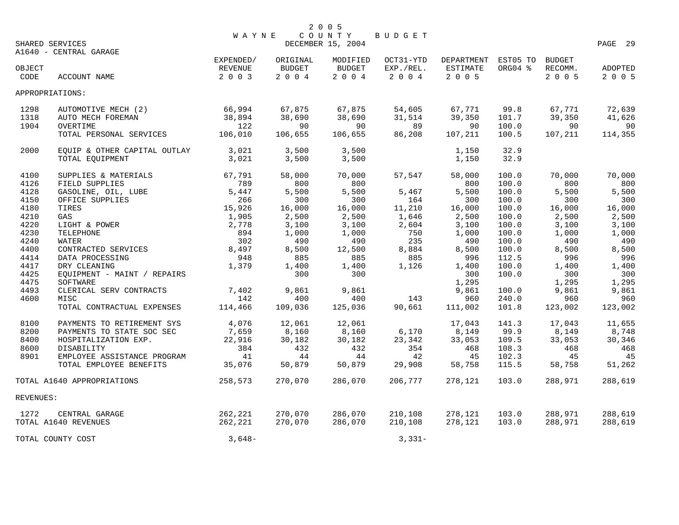|           |                              |              |                          | 2 0 0 5                     |               |                     |         |               |         |
|-----------|------------------------------|--------------|--------------------------|-----------------------------|---------------|---------------------|---------|---------------|---------|
|           | SHARED SERVICES              | <b>WAYNE</b> |                          | COUNTY<br>DECEMBER 15, 2004 | <b>BUDGET</b> |                     |         |               | PAGE 29 |
|           | A1640 - CENTRAL GARAGE       |              |                          |                             |               |                     |         |               |         |
|           |                              | EXPENDED/    | ORIGINAL                 | MODIFIED                    | OCT31-YTD     | DEPARTMENT EST05 TO |         | <b>BUDGET</b> |         |
| OBJECT    |                              | REVENUE      | <b>BUDGET</b>            | BUDGET                      | EXP./REL.     | ESTIMATE            | ORG04 % | RECOMM.       | ADOPTED |
| CODE      | ACCOUNT NAME                 | 2 0 0 3      | $2\quad 0\quad 0\quad 4$ | $2\ 0\ 0\ 4$                | 2 0 0 4       | $2 0 0 5$           |         | 2 0 0 5       | 2 0 0 5 |
|           | APPROPRIATIONS:              |              |                          |                             |               |                     |         |               |         |
| 1298      | AUTOMOTIVE MECH (2)          | 66,994       | 67,875                   | 67,875                      | 54,605        | 67,771              | 99.8    | 67,771        | 72,639  |
| 1318      | AUTO MECH FOREMAN            | 38,894       | 38,690                   | 38,690                      | 31,514        | 39,350              | 101.7   | 39,350        | 41,626  |
| 1904      | OVERTIME                     | 122          | 90                       | 90                          | 89            | 90                  | 100.0   | 90            | 90      |
|           | TOTAL PERSONAL SERVICES      | 106,010      | 106,655                  | 106,655                     | 86,208        | 107,211             | 100.5   | 107,211       | 114,355 |
| 2000      | EQUIP & OTHER CAPITAL OUTLAY | 3,021        | 3,500                    | 3,500                       |               | 1,150               | 32.9    |               |         |
|           | TOTAL EQUIPMENT              | 3,021        | 3,500                    | 3,500                       |               | 1,150               | 32.9    |               |         |
| 4100      | SUPPLIES & MATERIALS         | 67,791       | 58,000                   | 70,000                      | 57,547        | 58,000              | 100.0   | 70,000        | 70,000  |
| 4126      | FIELD SUPPLIES               | 789          | 800                      | 800                         |               | 800                 | 100.0   | 800           | 800     |
| 4128      | GASOLINE, OIL, LUBE          | 5,447        | 5,500                    | 5,500                       | 5,467         | 5,500               | 100.0   | 5,500         | 5,500   |
| 4150      | OFFICE SUPPLIES              | 266          | 300                      | 300                         | 164           | 300                 | 100.0   | 300           | 300     |
| 4180      | TIRES                        | 15,926       | 16,000                   | 16,000                      | 11,210        | 16,000              | 100.0   | 16,000        | 16,000  |
| 4210      | GAS                          | 1,905        | 2,500                    | 2,500                       | 1,646         | 2,500               | 100.0   | 2,500         | 2,500   |
| 4220      | LIGHT & POWER                | 2,778        | 3,100                    | 3,100                       | 2,604         | 3,100               | 100.0   | 3,100         | 3,100   |
| 4230      | TELEPHONE                    | 894          | 1,000                    | 1,000                       | 750           | 1,000               | 100.0   | 1,000         | 1,000   |
| 4240      | WATER                        | 302          | 490                      | 490                         | 235           | 490                 | 100.0   | 490           | 490     |
| 4400      | CONTRACTED SERVICES          | 8,497        | 8,500                    | 12,500                      | 8,884         | 8,500               | 100.0   | 8,500         | 8,500   |
| 4414      | DATA PROCESSING              | 948          | 885                      | 885                         | 885           | 996                 | 112.5   | 996           | 996     |
| 4417      | DRY CLEANING                 | 1,379        | 1,400                    | 1,400                       | 1,126         | 1,400               | 100.0   | 1,400         | 1,400   |
| 4425      | EQUIPMENT - MAINT / REPAIRS  |              | 300                      | 300                         |               | 300                 | 100.0   | 300           | 300     |
| 4475      | SOFTWARE                     |              |                          |                             |               | 1,295               |         | 1,295         | 1,295   |
| 4493      | CLERICAL SERV CONTRACTS      | 7,402        | 9,861                    | 9,861                       |               | 9,861               | 100.0   | 9,861         | 9,861   |
| 4600      | MISC                         | 142          | 400                      | 400                         | 143           | 960                 | 240.0   | 960           | 960     |
|           | TOTAL CONTRACTUAL EXPENSES   | 114,466      | 109,036                  | 125,036                     | 90,661        | 111,002             | 101.8   | 123,002       | 123,002 |
| 8100      | PAYMENTS TO RETIREMENT SYS   | 4,076        | 12,061                   | 12,061                      |               | 17,043              | 141.3   | 17,043        | 11,655  |
| 8200      | PAYMENTS TO STATE SOC SEC    | 7,659        | 8,160                    | 8,160                       | 6,170         | 8,149               | 99.9    | 8,149         | 8,748   |
| 8400      | HOSPITALIZATION EXP.         | 22,916       | 30,182                   | 30,182                      | 23,342        | 33,053              | 109.5   | 33,053        | 30,346  |
| 8600      | DISABILITY                   | 384          | 432                      | 432                         | 354           | 468                 | 108.3   | 468           | 468     |
| 8901      | EMPLOYEE ASSISTANCE PROGRAM  | 41           | 44                       | 44                          | 42            | 45                  | 102.3   | 45            | 45      |
|           | TOTAL EMPLOYEE BENEFITS      | 35,076       | 50,879                   | 50,879                      | 29,908        | 58,758              | 115.5   | 58,758        | 51,262  |
|           | TOTAL A1640 APPROPRIATIONS   | 258,573      | 270,070                  | 286,070                     | 206,777       | 278,121             | 103.0   | 288,971       | 288,619 |
| REVENUES: |                              |              |                          |                             |               |                     |         |               |         |
| 1272      | CENTRAL GARAGE               | 262,221      | 270,070                  | 286,070                     | 210,108       | 278,121             | 103.0   | 288,971       | 288,619 |
|           | TOTAL A1640 REVENUES         | 262,221      | 270,070                  | 286,070                     | 210,108       | 278,121             | 103.0   | 288,971       | 288,619 |
|           | TOTAL COUNTY COST            | $3,648-$     |                          |                             | $3,331-$      |                     |         |               |         |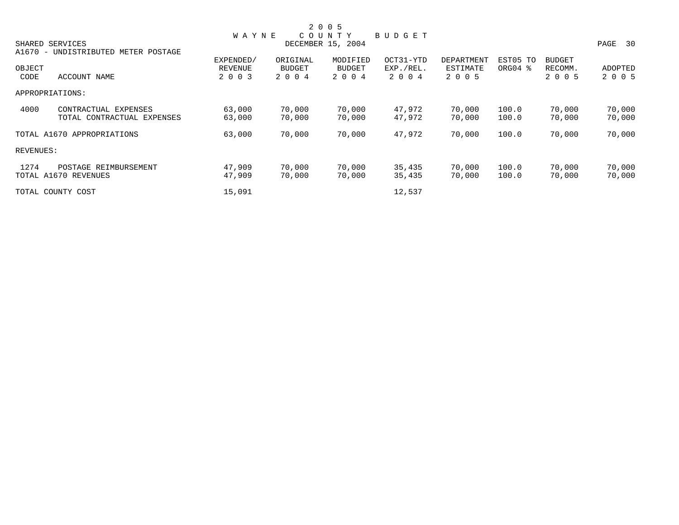|           |                                |              |               | 2 0 0 5           |               |            |          |               |         |
|-----------|--------------------------------|--------------|---------------|-------------------|---------------|------------|----------|---------------|---------|
|           |                                | <b>WAYNE</b> |               | COUNTY            | <b>BUDGET</b> |            |          |               |         |
|           | SHARED SERVICES                |              |               | DECEMBER 15, 2004 |               |            |          |               | PAGE 30 |
| $A1670 -$ | UNDISTRIBUTED<br>METER POSTAGE |              |               |                   |               |            |          |               |         |
|           |                                | EXPENDED/    | ORIGINAL      | MODIFIED          | OCT31-YTD     | DEPARTMENT | EST05 TO | <b>BUDGET</b> |         |
| OBJECT    |                                | REVENUE      | <b>BUDGET</b> | <b>BUDGET</b>     | EXP./REL.     | ESTIMATE   | ORG04 %  | RECOMM.       | ADOPTED |
| CODE      | ACCOUNT NAME                   | 2 0 0 3      | 2 0 0 4       | 2 0 0 4           | 2 0 0 4       | 2 0 0 5    |          | 2 0 0 5       | 2 0 0 5 |
|           | APPROPRIATIONS:                |              |               |                   |               |            |          |               |         |
| 4000      | CONTRACTUAL EXPENSES           | 63,000       | 70,000        | 70,000            | 47,972        | 70,000     | 100.0    | 70,000        | 70,000  |
|           | TOTAL CONTRACTUAL EXPENSES     | 63,000       | 70,000        | 70,000            | 47,972        | 70,000     | 100.0    | 70,000        | 70,000  |
|           | TOTAL A1670 APPROPRIATIONS     | 63,000       | 70,000        | 70,000            | 47,972        | 70,000     | 100.0    | 70,000        | 70,000  |
| REVENUES: |                                |              |               |                   |               |            |          |               |         |
| 1274      | POSTAGE REIMBURSEMENT          | 47,909       | 70,000        | 70,000            | 35,435        | 70,000     | 100.0    | 70,000        | 70,000  |
|           | TOTAL A1670 REVENUES           | 47,909       | 70,000        | 70,000            | 35,435        | 70,000     | 100.0    | 70,000        | 70,000  |
|           | TOTAL COUNTY COST              | 15,091       |               |                   | 12,537        |            |          |               |         |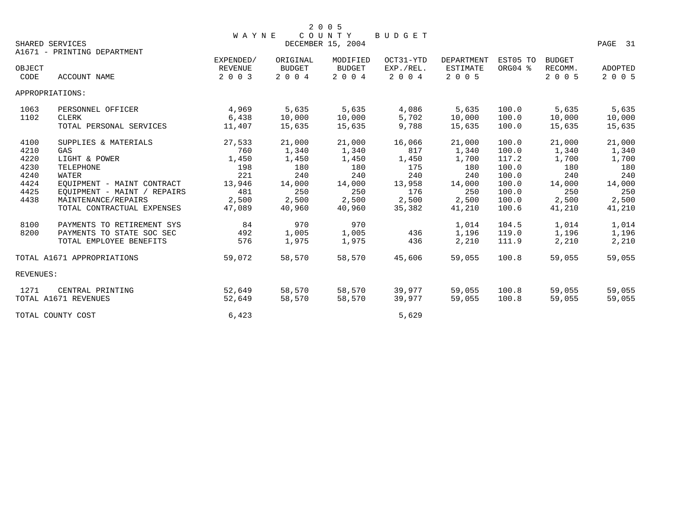|                |                             | <b>WAYNE</b>       |                          | 2 0 0 5<br>COUNTY        | BUDGET               |                            |          |                    |                    |
|----------------|-----------------------------|--------------------|--------------------------|--------------------------|----------------------|----------------------------|----------|--------------------|--------------------|
|                | SHARED SERVICES             |                    |                          | DECEMBER 15, 2004        |                      |                            |          |                    | PAGE 31            |
|                | A1671 - PRINTING DEPARTMENT |                    |                          |                          |                      |                            |          |                    |                    |
|                |                             | EXPENDED/          | ORIGINAL                 | MODIFIED                 | OCT31-YTD            | <b>DEPARTMENT</b>          | EST05 TO | <b>BUDGET</b>      |                    |
| OBJECT<br>CODE | <b>ACCOUNT NAME</b>         | REVENUE<br>2 0 0 3 | <b>BUDGET</b><br>2 0 0 4 | <b>BUDGET</b><br>2 0 0 4 | EXP./REL.<br>2 0 0 4 | <b>ESTIMATE</b><br>2 0 0 5 | ORG04 %  | RECOMM.<br>2 0 0 5 | ADOPTED<br>2 0 0 5 |
|                | APPROPRIATIONS:             |                    |                          |                          |                      |                            |          |                    |                    |
| 1063           | PERSONNEL OFFICER           | 4,969              | 5,635                    | 5,635                    | 4,086                | 5,635                      | 100.0    | 5,635              | 5,635              |
| 1102           | CLERK                       | 6,438              | 10,000                   | 10,000                   | 5,702                | 10,000                     | 100.0    | 10,000             | 10,000             |
|                | TOTAL PERSONAL SERVICES     | 11,407             | 15,635                   | 15,635                   | 9,788                | 15,635                     | 100.0    | 15,635             | 15,635             |
| 4100           | SUPPLIES & MATERIALS        | 27,533             | 21,000                   | 21,000                   | 16,066               | 21,000                     | 100.0    | 21,000             | 21,000             |
| 4210           | <b>GAS</b>                  | 760                | 1,340                    | 1,340                    | 817                  | 1,340                      | 100.0    | 1,340              | 1,340              |
| 4220           | LIGHT & POWER               | 1,450              | 1,450                    | 1,450                    | 1,450                | 1,700                      | 117.2    | 1,700              | 1,700              |
| 4230           | <b>TELEPHONE</b>            | 198                | 180                      | 180                      | 175                  | 180                        | 100.0    | 180                | 180                |
| 4240           | WATER                       | 221                | 240                      | 240                      | 240                  | 240                        | 100.0    | 240                | 240                |
| 4424           | EQUIPMENT - MAINT CONTRACT  | 13,946             | 14,000                   | 14,000                   | 13,958               | 14,000                     | 100.0    | 14,000             | 14,000             |
| 4425           | EQUIPMENT - MAINT / REPAIRS | 481                | 250                      | 250                      | 176                  | 250                        | 100.0    | 250                | 250                |
| 4438           | MAINTENANCE/REPAIRS         | 2,500              | 2,500                    | 2,500                    | 2,500                | 2,500                      | 100.0    | 2,500              | 2,500              |
|                | TOTAL CONTRACTUAL EXPENSES  | 47,089             | 40,960                   | 40,960                   | 35,382               | 41,210                     | 100.6    | 41,210             | 41,210             |
| 8100           | PAYMENTS TO RETIREMENT SYS  | 84                 | 970                      | 970                      |                      | 1,014                      | 104.5    | 1,014              | 1,014              |
| 8200           | PAYMENTS TO STATE SOC SEC   | 492                | 1,005                    | 1,005                    | 436                  | 1,196                      | 119.0    | 1,196              | 1,196              |
|                | TOTAL EMPLOYEE BENEFITS     | 576                | 1,975                    | 1,975                    | 436                  | 2,210                      | 111.9    | 2,210              | 2,210              |
|                | TOTAL A1671 APPROPRIATIONS  | 59,072             | 58,570                   | 58,570                   | 45,606               | 59,055                     | 100.8    | 59,055             | 59,055             |
| REVENUES:      |                             |                    |                          |                          |                      |                            |          |                    |                    |
| 1271           | CENTRAL PRINTING            | 52,649             | 58,570                   | 58,570                   | 39,977               | 59,055                     | 100.8    | 59,055             | 59,055             |
|                | TOTAL A1671 REVENUES        | 52,649             | 58,570                   | 58,570                   | 39,977               | 59,055                     | 100.8    | 59,055             | 59,055             |
|                | TOTAL COUNTY COST           | 6,423              |                          |                          | 5,629                |                            |          |                    |                    |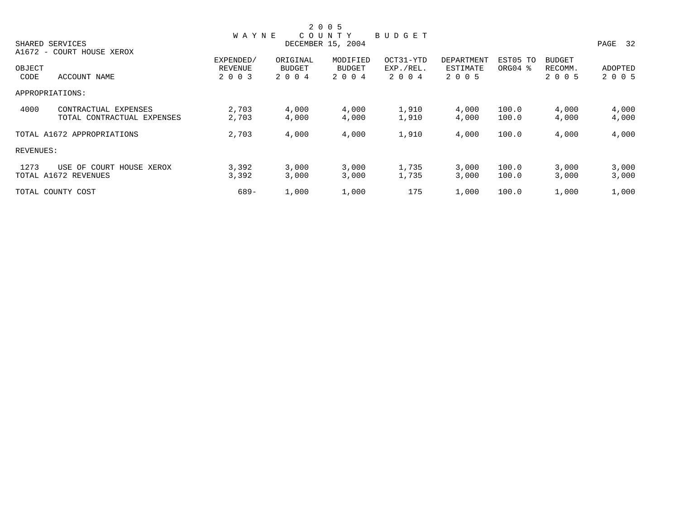|           |                            |              |               | 2 0 0 5           |               |            |          |               |         |
|-----------|----------------------------|--------------|---------------|-------------------|---------------|------------|----------|---------------|---------|
|           |                            | <b>WAYNE</b> |               | COUNTY            | <b>BUDGET</b> |            |          |               |         |
|           | SHARED SERVICES            |              |               | DECEMBER 15, 2004 |               |            |          |               | PAGE 32 |
|           | A1672 - COURT HOUSE XEROX  |              |               |                   |               |            |          |               |         |
|           |                            | EXPENDED/    | ORIGINAL      | MODIFIED          | OCT31-YTD     | DEPARTMENT | EST05 TO | <b>BUDGET</b> |         |
| OBJECT    |                            | REVENUE      | <b>BUDGET</b> | <b>BUDGET</b>     | EXP./REL.     | ESTIMATE   | ORG04 %  | RECOMM.       | ADOPTED |
| CODE      | ACCOUNT NAME               | 2 0 0 3      | 2 0 0 4       | 2 0 0 4           | 2 0 0 4       | 2 0 0 5    |          | 2 0 0 5       | 2 0 0 5 |
|           | APPROPRIATIONS:            |              |               |                   |               |            |          |               |         |
| 4000      | CONTRACTUAL EXPENSES       | 2,703        | 4,000         | 4,000             | 1,910         | 4,000      | 100.0    | 4,000         | 4,000   |
|           | TOTAL CONTRACTUAL EXPENSES | 2,703        | 4,000         | 4,000             | 1,910         | 4,000      | 100.0    | 4,000         | 4,000   |
|           | TOTAL A1672 APPROPRIATIONS | 2,703        | 4,000         | 4,000             | 1,910         | 4,000      | 100.0    | 4,000         | 4,000   |
| REVENUES: |                            |              |               |                   |               |            |          |               |         |
| 1273      | USE OF COURT HOUSE XEROX   | 3,392        | 3,000         | 3,000             | 1,735         | 3,000      | 100.0    | 3,000         | 3,000   |
|           | TOTAL A1672 REVENUES       | 3,392        | 3,000         | 3,000             | 1,735         | 3,000      | 100.0    | 3,000         | 3,000   |
|           | TOTAL COUNTY COST          | $689 -$      | 1,000         | 1,000             | 175           | 1,000      | 100.0    | 1,000         | 1,000   |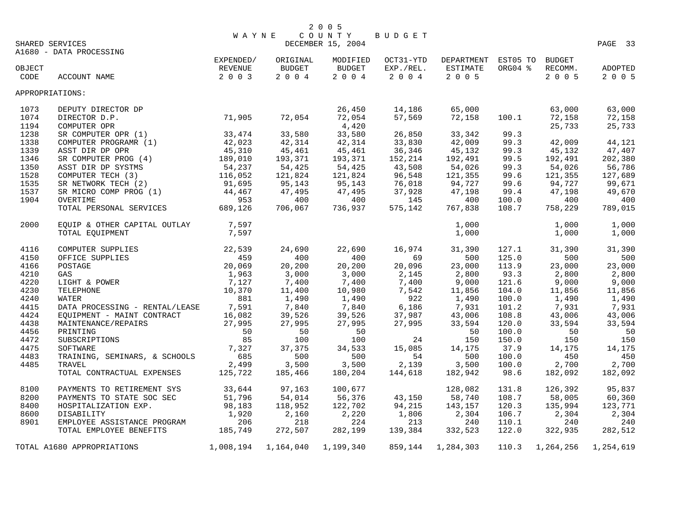|        | WAYI<br>EXPENDED/<br>EXPENDED/<br>SHARED SERVICES     | <b>WAYNE</b> |               | 2 0 0 5<br>COUNTY<br>DECEMBER 15, 2004 | BUDGET    |                     |         |                | PAGE 33        |
|--------|-------------------------------------------------------|--------------|---------------|----------------------------------------|-----------|---------------------|---------|----------------|----------------|
|        | A1680 - DATA PROCESSING                               |              | ORIGINAL      | MODIFIED                               | OCT31-YTD | DEPARTMENT EST05 TO |         | <b>BUDGET</b>  |                |
| OBJECT |                                                       | REVENUE      | <b>BUDGET</b> | BUDGET                                 | EXP./REL. | ESTIMATE            | ORG04 % | RECOMM.        | ADOPTED        |
| CODE   | ACCOUNT NAME                                          | 2 0 0 3      | 2 0 0 4       | $2\quad 0\quad 0\quad 4$               | 2 0 0 4   | 2 0 0 5             |         | 2 0 0 5        | 2 0 0 5        |
|        |                                                       |              |               |                                        |           |                     |         |                |                |
|        | APPROPRIATIONS:                                       |              |               |                                        |           |                     |         |                |                |
| 1073   | DEPUTY DIRECTOR DP                                    |              |               | 26,450                                 | 14,186    | 65,000              |         | 63,000         | 63,000         |
| 1074   | DIRECTOR D.P.                                         | 71,905       | 72,054        | 72,054                                 | 57,569    | 72,158              | 100.1   | 72,158         | 72,158         |
| 1194   | COMPUTER OPR                                          |              |               | 4,420                                  |           |                     |         | 25,733         | 25,733         |
| 1238   | SR COMPUTER OPR (1)                                   | 33,474       | 33,580        | 33,580                                 | 26,850    | 33,342              | 99.3    |                |                |
| 1338   | COMPUTER PROGRAMR (1)                                 | 42,023       | 42,314        | 42,314                                 | 33,830    | 42,009              | 99.3    | 42,009         | 44,121         |
| 1339   | ASST DIR DP OPR                                       | 45,310       | 45,461        | 45,461                                 | 36,346    | 45,132              | 99.3    | 45,132         | 47,407         |
| 1346   | SR COMPUTER PROG (4)                                  | 189,010      | 193,371       |                                        | 152,214   | 192,491             | 99.5    | 192,491        | 202,380        |
|        |                                                       |              |               | 193,371                                |           |                     |         |                |                |
| 1350   | ASST DIR DP SYSTMS                                    | 54,237       | 54,425        | 54,425                                 | 43,508    | 54,026              | 99.3    | 54,026         | 56,786         |
| 1528   | COMPUTER TECH (3)                                     | 116,052      | 121,824       | 121,824                                | 96,548    | 121,355             | 99.6    | 121,355        | 127,689        |
| 1535   | SR NETWORK TECH (2)                                   | 91,695       | 95,143        | 95,143                                 | 76,018    | 94,727              | 99.6    | 94,727         | 99,671         |
| 1537   | SR MICRO COMP PROG (1)                                | 44,467       | 47,495        | 47,495                                 | 37,928    | 47,198              | 99.4    | 47,198         | 49,670         |
| 1904   | OVERTIME                                              | 953          | 400           | 400                                    | 145       | 400                 | 100.0   | 400            | 400            |
|        | TOTAL PERSONAL SERVICES                               | 689,126      | 706,067       | 736,937                                | 575,142   | 767,838             | 108.7   | 758,229        | 789,015        |
| 2000   | EQUIP & OTHER CAPITAL OUTLAY 7,597<br>TOTAL EQUIPMENT | 7,597        |               |                                        |           | 1,000<br>1,000      |         | 1,000<br>1,000 | 1,000<br>1,000 |
| 4116   | COMPUTER SUPPLIES                                     | 22,539       | 24,690        | 22,690                                 | 16,974    | 31,390              | 127.1   | 31,390         | 31,390         |
| 4150   | OFFICE SUPPLIES                                       | 459          | 400           | 400                                    | 69        | 500                 | 125.0   | 500            | 500            |
| 4166   | POSTAGE                                               | 20,069       | 20,200        | 20,200                                 | 20,096    | 23,000              | 113.9   | 23,000         | 23,000         |
|        |                                                       | 1,963        | 3,000         | 3,000                                  | 2,145     | 2,800               | 93.3    | 2,800          | 2,800          |
| 4210   | GAS                                                   |              |               |                                        |           |                     |         |                |                |
| 4220   | LIGHT & POWER                                         | 7,127        | 7,400         | 7,400                                  | 7,400     | 9,000               | 121.6   | 9,000          | 9,000          |
| 4230   | TELEPHONE                                             | 10,370       | 11,400        | 10,980                                 | 7,542     | 11,856              | 104.0   | 11,856         | 11,856         |
| 4240   | <b>WATER</b>                                          | 881          | 1,490         | 1,490                                  | 922       | 1,490               | 100.0   | 1,490          | 1,490          |
| 4415   | DATA PROCESSING - RENTAL/LEASE                        | 7,591        | 7,840         | 7,840                                  | 6,186     | 7,931               | 101.2   | 7,931          | 7,931          |
| 4424   | EQUIPMENT - MAINT CONTRACT                            | 16,082       | 39,526        | 39,526                                 | 37,987    | 43,006              | 108.8   | 43,006         | 43,006         |
| 4438   | MAINTENANCE/REPAIRS                                   | 27,995       | 27,995        | 27,995                                 | 27,995    | 33,594              | 120.0   | 33,594         | 33,594         |
| 4456   | PRINTING                                              | 50           | 50            | 50                                     |           | 50                  | 100.0   | 50             | 50             |
| 4472   | SUBSCRIPTIONS                                         | 85           | 100           | 100                                    | 24        | 150                 | 150.0   | 150            | 150            |
| 4475   | SOFTWARE                                              | 7,327        | 37,375        | 34,533                                 | 15,085    | 14,175              | 37.9    | 14,175         | 14,175         |
| 4483   | TRAINING, SEMINARS, & SCHOOLS                         | 685          | 500           | 500                                    | 54        | 500                 | 100.0   | 450            | 450            |
| 4485   | TRAVEL                                                | 2,499        | 3,500         | 3,500                                  | 2,139     | 3,500               | 100.0   | 2,700          | 2,700          |
|        | TOTAL CONTRACTUAL EXPENSES                            | 125,722      | 185,466       | 180,204                                | 144,618   | 182,942             | 98.6    | 182,092        | 182,092        |
| 8100   | PAYMENTS TO RETIREMENT SYS                            | 33,644       | 97,163        | 100,677                                |           | 128,082             | 131.8   | 126,392        | 95,837         |
|        |                                                       |              |               |                                        |           |                     |         |                |                |
| 8200   | PAYMENTS TO STATE SOC SEC                             | 51,796       | 54,014        | 56,376                                 | 43,150    | 58,740              | 108.7   | 58,005         | 60,360         |
| 8400   | HOSPITALIZATION EXP.                                  | 98,183       | 118,952       | 122,702                                | 94,215    | 143,157             | 120.3   | 135,994        | 123,771        |
| 8600   | <b>DISABILITY</b>                                     | 1,920        | 2,160         | 2,220                                  | 1,806     | 2,304               | 106.7   | 2,304          | 2,304          |
| 8901   | EMPLOYEE ASSISTANCE PROGRAM                           | 206          | 218           | 224                                    | 213       | 240                 | 110.1   | 240            | 240            |
|        | TOTAL EMPLOYEE BENEFITS                               | 185,749      | 272,507       | 282,199                                | 139,384   | 332,523             | 122.0   | 322,935        | 282,512        |
|        | TOTAL A1680 APPROPRIATIONS                            | 1,008,194    | 1,164,040     | 1,199,340                              | 859,144   | 1,284,303           | 110.3   | 1,264,256      | 1,254,619      |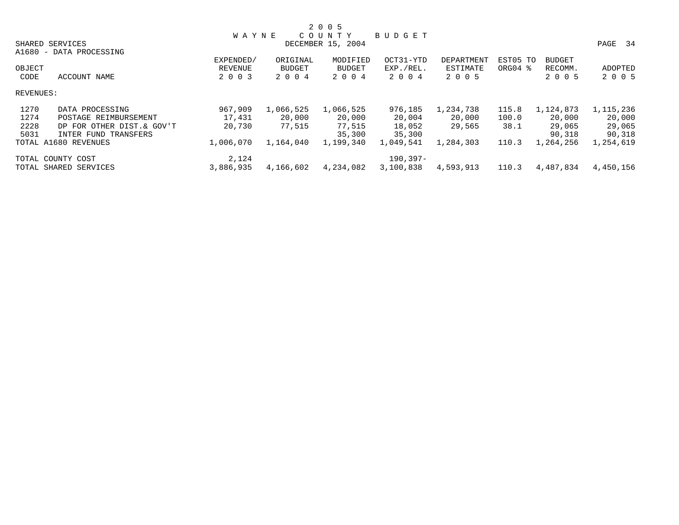|           |                           |              |               | 2 0 0 5           |               |            |          |               |           |
|-----------|---------------------------|--------------|---------------|-------------------|---------------|------------|----------|---------------|-----------|
|           |                           | <b>WAYNE</b> |               | COUNTY            | <b>BUDGET</b> |            |          |               |           |
|           | SHARED SERVICES           |              |               | DECEMBER 15, 2004 |               |            |          |               | PAGE 34   |
|           | A1680 - DATA PROCESSING   |              |               |                   |               |            |          |               |           |
|           |                           | EXPENDED/    | ORIGINAL      | MODIFIED          | OCT31-YTD     | DEPARTMENT | EST05 TO | <b>BUDGET</b> |           |
| OBJECT    |                           | REVENUE      | <b>BUDGET</b> | <b>BUDGET</b>     | EXP./REL.     | ESTIMATE   | ORG04 %  | RECOMM.       | ADOPTED   |
| CODE      | ACCOUNT NAME              | 2 0 0 3      | 2 0 0 4       | 2 0 0 4           | 2004          | 2 0 0 5    |          | 2 0 0 5       | 2 0 0 5   |
| REVENUES: |                           |              |               |                   |               |            |          |               |           |
| 1270      | DATA PROCESSING           | 967,909      | 1,066,525     | 1,066,525         | 976,185       | 1,234,738  | 115.8    | 1,124,873     | 1,115,236 |
| 1274      | POSTAGE REIMBURSEMENT     | 17,431       | 20,000        | 20,000            | 20,004        | 20,000     | 100.0    | 20,000        | 20,000    |
| 2228      | DP FOR OTHER DIST.& GOV'T | 20,730       | 77,515        | 77,515            | 18,052        | 29,565     | 38.1     | 29,065        | 29,065    |
| 5031      | INTER FUND TRANSFERS      |              |               | 35,300            | 35,300        |            |          | 90,318        | 90,318    |
|           | TOTAL A1680 REVENUES      | 1,006,070    | 1,164,040     | 1,199,340         | 1,049,541     | 1,284,303  | 110.3    | 1,264,256     | 1,254,619 |
|           | TOTAL COUNTY COST         | 2,124        |               |                   | 190,397-      |            |          |               |           |
|           | TOTAL SHARED SERVICES     | 3,886,935    | 4,166,602     | 4,234,082         | 3,100,838     | 4,593,913  | 110.3    | 4,487,834     | 4,450,156 |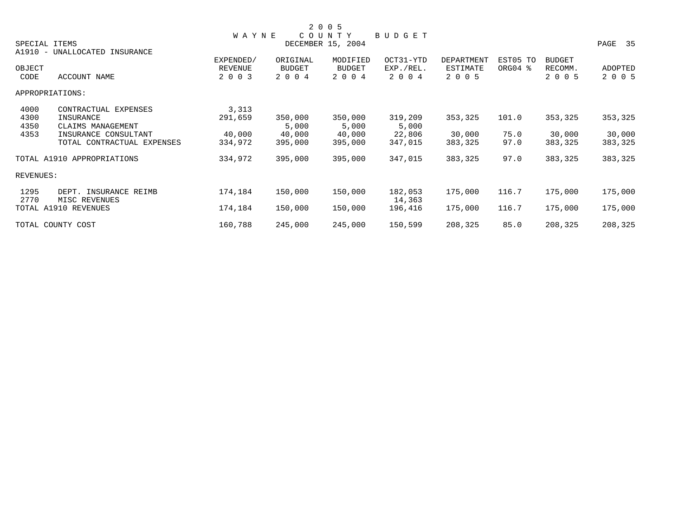|                                                                                                                                              |                                        |                                       | 2 0 0 5                               |                                       |                                   |                       |                                     |                              |
|----------------------------------------------------------------------------------------------------------------------------------------------|----------------------------------------|---------------------------------------|---------------------------------------|---------------------------------------|-----------------------------------|-----------------------|-------------------------------------|------------------------------|
| SPECIAL ITEMS                                                                                                                                | <b>WAYNE</b>                           |                                       | COUNTY<br>DECEMBER 15, 2004           | BUDGET                                |                                   |                       |                                     | PAGE 35                      |
| A1910 - UNALLOCATED INSURANCE<br>OBJECT<br>ACCOUNT NAME<br>CODE                                                                              | EXPENDED/<br><b>REVENUE</b><br>2 0 0 3 | ORIGINAL<br><b>BUDGET</b><br>2 0 0 4  | MODIFIED<br><b>BUDGET</b><br>2 0 0 4  | OCT31-YTD<br>EXP./REL.<br>2 0 0 4     | DEPARTMENT<br>ESTIMATE<br>2 0 0 5 | EST05 TO<br>ORG04 %   | <b>BUDGET</b><br>RECOMM.<br>2 0 0 5 | <b>ADOPTED</b><br>2 0 0 5    |
| APPROPRIATIONS:                                                                                                                              |                                        |                                       |                                       |                                       |                                   |                       |                                     |                              |
| 4000<br>CONTRACTUAL EXPENSES<br>4300<br>INSURANCE<br>4350<br>CLAIMS MANAGEMENT<br>4353<br>INSURANCE CONSULTANT<br>TOTAL CONTRACTUAL EXPENSES | 3,313<br>291,659<br>40,000<br>334,972  | 350,000<br>5,000<br>40,000<br>395,000 | 350,000<br>5,000<br>40,000<br>395,000 | 319,209<br>5,000<br>22,806<br>347,015 | 353,325<br>30,000<br>383,325      | 101.0<br>75.0<br>97.0 | 353,325<br>30,000<br>383,325        | 353,325<br>30,000<br>383,325 |
| TOTAL A1910 APPROPRIATIONS                                                                                                                   | 334,972                                | 395,000                               | 395,000                               | 347,015                               | 383,325                           | 97.0                  | 383,325                             | 383,325                      |
| REVENUES:                                                                                                                                    |                                        |                                       |                                       |                                       |                                   |                       |                                     |                              |
| 1295<br>DEPT. INSURANCE REIMB<br>2770<br>MISC REVENUES                                                                                       | 174,184                                | 150,000                               | 150,000                               | 182,053<br>14,363                     | 175,000                           | 116.7                 | 175,000                             | 175,000                      |
| TOTAL A1910 REVENUES                                                                                                                         | 174,184                                | 150,000                               | 150,000                               | 196,416                               | 175,000                           | 116.7                 | 175,000                             | 175,000                      |
| TOTAL COUNTY COST                                                                                                                            | 160,788                                | 245,000                               | 245,000                               | 150,599                               | 208,325                           | 85.0                  | 208,325                             | 208,325                      |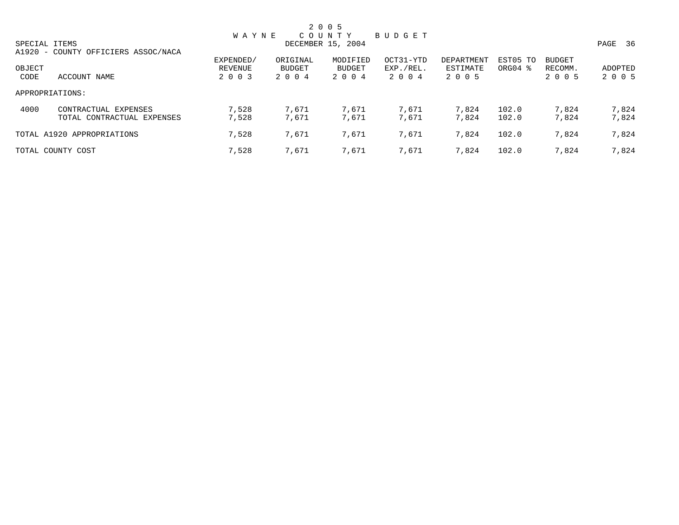|               |                                     |                   |               | 2 0 0 5  |           |            |          |         |         |
|---------------|-------------------------------------|-------------------|---------------|----------|-----------|------------|----------|---------|---------|
|               |                                     | <b>WAYNE</b>      |               | COUNTY   | BUDGET    |            |          |         |         |
| SPECIAL ITEMS |                                     | DECEMBER 15, 2004 |               |          |           |            |          |         | PAGE 36 |
|               | A1920 - COUNTY OFFICIERS ASSOC/NACA |                   |               |          |           |            |          |         |         |
|               |                                     | EXPENDED/         | ORIGINAL      | MODIFIED | OCT31-YTD | DEPARTMENT | EST05 TO | BUDGET  |         |
| OBJECT        |                                     | REVENUE           | <b>BUDGET</b> | BUDGET   | EXP./REL. | ESTIMATE   | ORG04 %  | RECOMM. | ADOPTED |
| CODE          | ACCOUNT NAME                        | 2 0 0 3           | 2 0 0 4       | 2 0 0 4  | 2 0 0 4   | 2 0 0 5    |          | 2 0 0 5 | 2 0 0 5 |
|               | APPROPRIATIONS:                     |                   |               |          |           |            |          |         |         |
| 4000          | CONTRACTUAL EXPENSES                | 7,528             | 7,671         | 7,671    | 7,671     | 7,824      | 102.0    | 7,824   | 7,824   |
|               | TOTAL CONTRACTUAL EXPENSES          | 7,528             | 7,671         | 7,671    | 7,671     | 7,824      | 102.0    | 7,824   | 7,824   |
|               | TOTAL A1920 APPROPRIATIONS          | 7,528             | 7,671         | 7,671    | 7,671     | 7,824      | 102.0    | 7,824   | 7,824   |
|               | TOTAL COUNTY COST                   | 7,528             | 7,671         | 7,671    | 7,671     | 7,824      | 102.0    | 7,824   | 7,824   |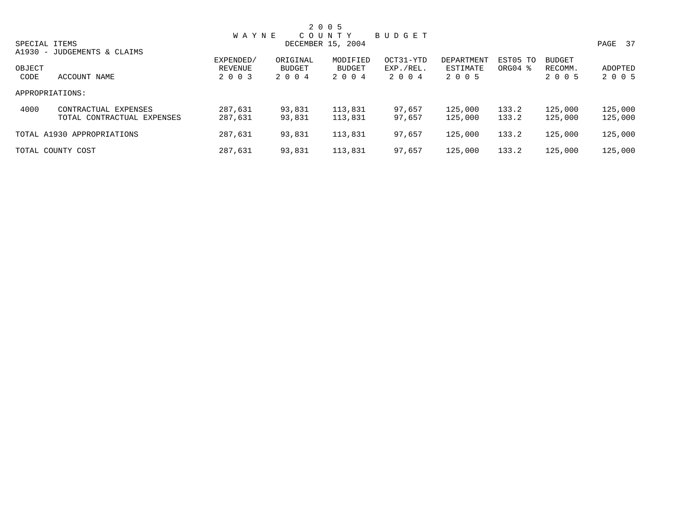|        |                                                    |                      |                    | 2 0 0 5                          |                        |                        |                                 |                          |                    |
|--------|----------------------------------------------------|----------------------|--------------------|----------------------------------|------------------------|------------------------|---------------------------------|--------------------------|--------------------|
|        | SPECIAL ITEMS                                      | <b>WAYNE</b>         |                    | C O U N T Y<br>DECEMBER 15, 2004 | BUDGET                 |                        |                                 |                          | PAGE 37            |
| OBJECT | A1930 - JUDGEMENTS & CLAIMS                        | EXPENDED/<br>REVENUE | ORIGINAL<br>BUDGET | MODIFIED<br>BUDGET               | OCT31-YTD<br>EXP./REL. | DEPARTMENT<br>ESTIMATE | EST05 TO<br>ORG04 $\frac{8}{3}$ | <b>BUDGET</b><br>RECOMM. | ADOPTED            |
| CODE   | ACCOUNT NAME                                       | 2 0 0 3              | 2004               | 2 0 0 4                          | 2004                   | 2 0 0 5                |                                 | 2 0 0 5                  | 2 0 0 5            |
|        | APPROPRIATIONS:                                    |                      |                    |                                  |                        |                        |                                 |                          |                    |
| 4000   | CONTRACTUAL EXPENSES<br>TOTAL CONTRACTUAL EXPENSES | 287,631<br>287,631   | 93,831<br>93,831   | 113,831<br>113,831               | 97,657<br>97,657       | 125,000<br>125,000     | 133.2<br>133.2                  | 125,000<br>125,000       | 125,000<br>125,000 |
|        | TOTAL A1930 APPROPRIATIONS                         | 287,631              | 93,831             | 113,831                          | 97,657                 | 125,000                | 133.2                           | 125,000                  | 125,000            |
|        | TOTAL COUNTY COST                                  | 287,631              | 93,831             | 113,831                          | 97,657                 | 125,000                | 133.2                           | 125,000                  | 125,000            |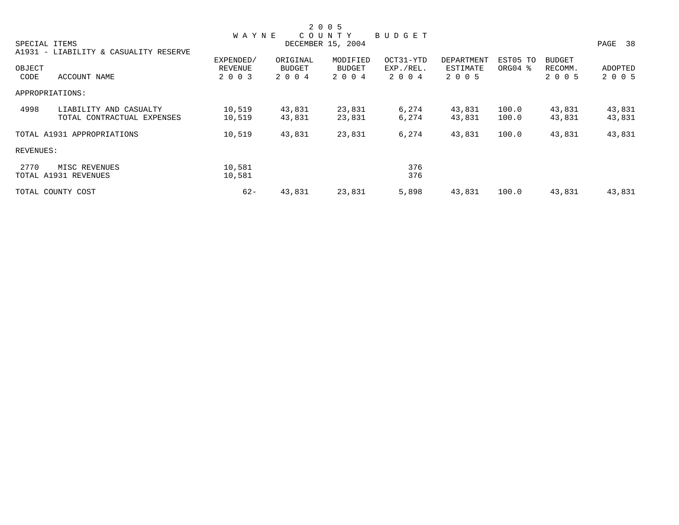|           |                                       |              |          | 2 0 0 5           |               |            |          |               |         |
|-----------|---------------------------------------|--------------|----------|-------------------|---------------|------------|----------|---------------|---------|
|           |                                       | <b>WAYNE</b> |          | COUNTY            | <b>BUDGET</b> |            |          |               |         |
|           | SPECIAL ITEMS                         |              |          | DECEMBER 15, 2004 |               |            |          |               | PAGE 38 |
|           | A1931 - LIABILITY & CASUALITY RESERVE |              |          |                   |               |            |          |               |         |
|           |                                       | EXPENDED/    | ORIGINAL | MODIFIED          | OCT31-YTD     | DEPARTMENT | EST05 TO | <b>BUDGET</b> |         |
| OBJECT    |                                       | REVENUE      | BUDGET   | BUDGET            | EXP./REL.     | ESTIMATE   | ORG04 %  | RECOMM.       | ADOPTED |
| CODE      | ACCOUNT NAME                          | 2 0 0 3      | 2004     | 2 0 0 4           | 2 0 0 4       | 2 0 0 5    |          | 2 0 0 5       | 2 0 0 5 |
|           | APPROPRIATIONS:                       |              |          |                   |               |            |          |               |         |
| 4998      | LIABILITY AND CASUALTY                | 10,519       | 43,831   | 23,831            | 6,274         | 43,831     | 100.0    | 43,831        | 43,831  |
|           | TOTAL CONTRACTUAL EXPENSES            | 10,519       | 43,831   | 23,831            | 6,274         | 43,831     | 100.0    | 43,831        | 43,831  |
|           | TOTAL A1931 APPROPRIATIONS            | 10,519       | 43,831   | 23,831            | 6,274         | 43,831     | 100.0    | 43,831        | 43,831  |
| REVENUES: |                                       |              |          |                   |               |            |          |               |         |
| 2770      | MISC REVENUES                         | 10,581       |          |                   | 376           |            |          |               |         |
|           | TOTAL A1931 REVENUES                  | 10,581       |          |                   | 376           |            |          |               |         |
|           | TOTAL COUNTY COST                     | $62 -$       | 43,831   | 23,831            | 5,898         | 43,831     | 100.0    | 43,831        | 43,831  |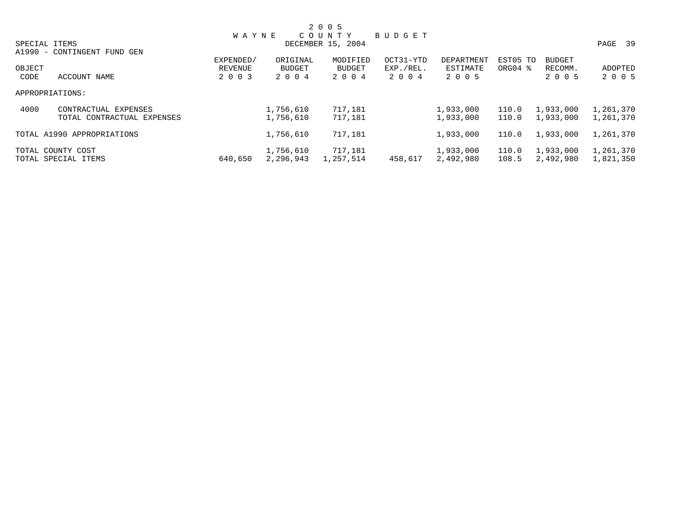|        |                             |              |           | 2 0 0 5           |           |            |          |               |           |
|--------|-----------------------------|--------------|-----------|-------------------|-----------|------------|----------|---------------|-----------|
|        |                             | <b>WAYNE</b> |           | C O U N T Y       | BUDGET    |            |          |               |           |
|        | SPECIAL ITEMS               |              |           | DECEMBER 15, 2004 |           |            |          |               | PAGE 39   |
|        | A1990 - CONTINGENT FUND GEN |              |           |                   |           |            |          |               |           |
|        |                             | EXPENDED/    | ORIGINAL  | MODIFIED          | OCT31-YTD | DEPARTMENT | EST05 TO | <b>BUDGET</b> |           |
| OBJECT |                             | REVENUE      | BUDGET    | BUDGET            | EXP./REL. | ESTIMATE   | ORG04 %  | RECOMM.       | ADOPTED   |
| CODE   | ACCOUNT NAME                | 2 0 0 3      | 2 0 0 4   | 2 0 0 4           | 2 0 0 4   | 2 0 0 5    |          | 2 0 0 5       | 2 0 0 5   |
|        | APPROPRIATIONS:             |              |           |                   |           |            |          |               |           |
| 4000   | CONTRACTUAL EXPENSES        |              | 1,756,610 | 717,181           |           | 1,933,000  | 110.0    | 1,933,000     | 1,261,370 |
|        | TOTAL CONTRACTUAL EXPENSES  |              | 1,756,610 | 717,181           |           | 1,933,000  | 110.0    | 1,933,000     | 1,261,370 |
|        | TOTAL A1990 APPROPRIATIONS  |              | 1,756,610 | 717,181           |           | 1,933,000  | 110.0    | 1,933,000     | 1,261,370 |
|        | TOTAL COUNTY COST           |              | 1,756,610 | 717,181           |           | 1,933,000  | 110.0    | 1,933,000     | 1,261,370 |
|        | TOTAL SPECIAL ITEMS         | 640,650      | 2,296,943 | 1,257,514         | 458,617   | 2,492,980  | 108.5    | 2,492,980     | 1,821,350 |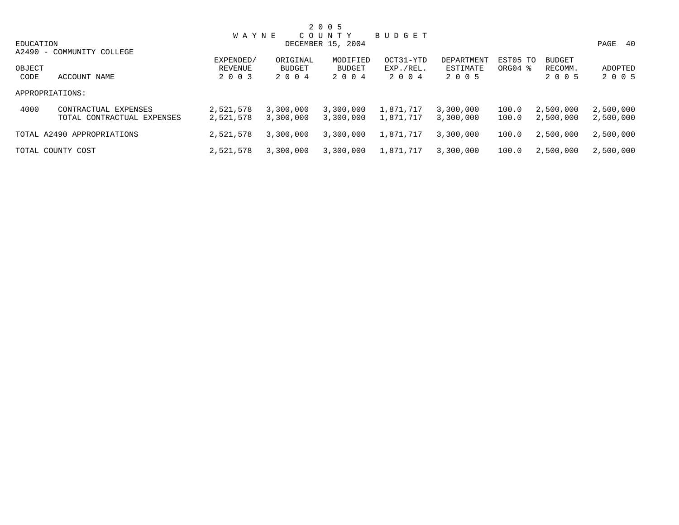|           |                            |              |           | 2 0 0 5           |           |            |             |               |           |
|-----------|----------------------------|--------------|-----------|-------------------|-----------|------------|-------------|---------------|-----------|
|           |                            | <b>WAYNE</b> |           | COUNTY            | BUDGET    |            |             |               |           |
| EDUCATION |                            |              |           | DECEMBER 15, 2004 |           |            |             |               | PAGE 40   |
|           | A2490 - COMMUNITY COLLEGE  |              |           |                   |           |            |             |               |           |
|           |                            | EXPENDED/    | ORIGINAL  | MODIFIED          | OCT31-YTD | DEPARTMENT | EST05 TO    | <b>BUDGET</b> |           |
| OBJECT    |                            | REVENUE      | BUDGET    | <b>BUDGET</b>     | EXP./REL. | ESTIMATE   | $ORG04$ $%$ | RECOMM.       | ADOPTED   |
| CODE      | ACCOUNT NAME               | 2 0 0 3      | 2004      | 2004              | 2004      | 2 0 0 5    |             | 2 0 0 5       | 2 0 0 5   |
|           | APPROPRIATIONS:            |              |           |                   |           |            |             |               |           |
| 4000      | CONTRACTUAL EXPENSES       | 2,521,578    | 3,300,000 | 3,300,000         | 1,871,717 | 3,300,000  | 100.0       | 2,500,000     | 2,500,000 |
|           | TOTAL CONTRACTUAL EXPENSES | 2,521,578    | 3,300,000 | 3,300,000         | 1,871,717 | 3,300,000  | 100.0       | 2,500,000     | 2,500,000 |
|           | TOTAL A2490 APPROPRIATIONS | 2,521,578    | 3,300,000 | 3,300,000         | 1,871,717 | 3,300,000  | 100.0       | 2,500,000     | 2,500,000 |
|           | TOTAL COUNTY COST          | 2,521,578    | 3,300,000 | 3,300,000         | 1,871,717 | 3,300,000  | 100.0       | 2,500,000     | 2,500,000 |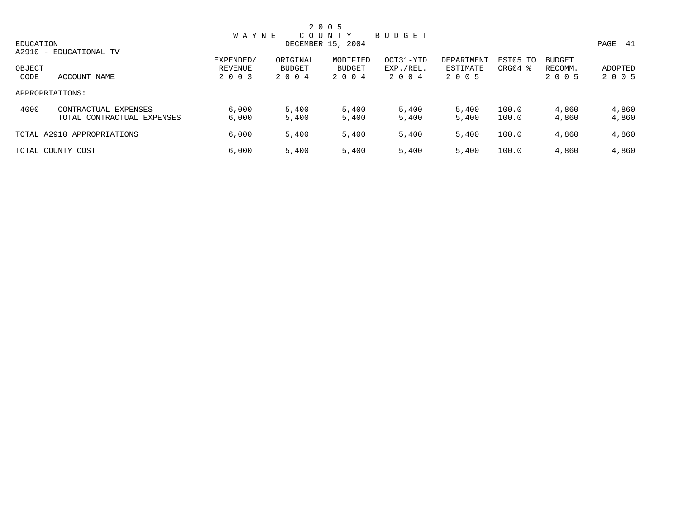|                |                                                    |                                 |                            | 2 0 0 5                       |                                   |                                   |                                 |                                     |                    |
|----------------|----------------------------------------------------|---------------------------------|----------------------------|-------------------------------|-----------------------------------|-----------------------------------|---------------------------------|-------------------------------------|--------------------|
|                |                                                    | <b>WAYNE</b>                    |                            | COUNTY                        | BUDGET                            |                                   |                                 |                                     |                    |
| EDUCATION      | A2910 - EDUCATIONAL TV                             |                                 |                            | DECEMBER 15, 2004             |                                   |                                   |                                 |                                     | PAGE 41            |
| OBJECT<br>CODE | ACCOUNT NAME                                       | EXPENDED/<br>REVENUE<br>2 0 0 3 | ORIGINAL<br>BUDGET<br>2004 | MODIFIED<br>BUDGET<br>2 0 0 4 | OCT31-YTD<br>EXP./REL.<br>2 0 0 4 | DEPARTMENT<br>ESTIMATE<br>2 0 0 5 | EST05 TO<br>ORG04 $\frac{8}{3}$ | <b>BUDGET</b><br>RECOMM.<br>2 0 0 5 | ADOPTED<br>2 0 0 5 |
|                | APPROPRIATIONS:                                    |                                 |                            |                               |                                   |                                   |                                 |                                     |                    |
| 4000           | CONTRACTUAL EXPENSES<br>TOTAL CONTRACTUAL EXPENSES | 6,000<br>6,000                  | 5,400<br>5,400             | 5,400<br>5,400                | 5,400<br>5,400                    | 5,400<br>5,400                    | 100.0<br>100.0                  | 4,860<br>4,860                      | 4,860<br>4,860     |
|                | TOTAL A2910 APPROPRIATIONS                         | 6,000                           | 5,400                      | 5,400                         | 5,400                             | 5,400                             | 100.0                           | 4,860                               | 4,860              |
|                | TOTAL COUNTY COST                                  | 6,000                           | 5,400                      | 5,400                         | 5,400                             | 5,400                             | 100.0                           | 4,860                               | 4,860              |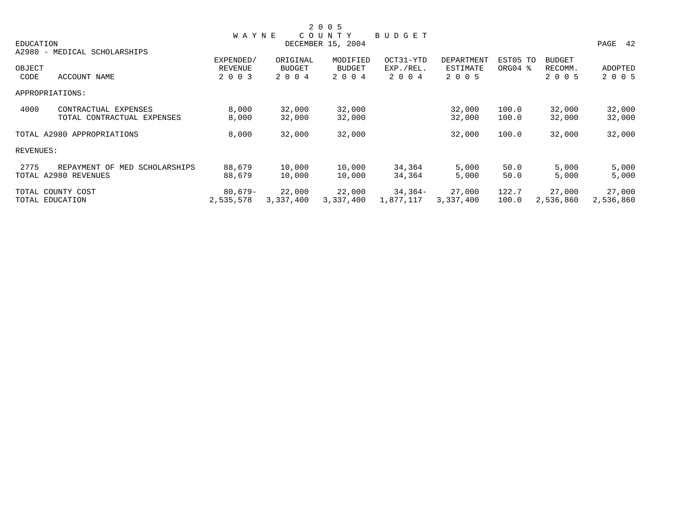|                      |                                     |                |               | 2 0 0 5           |           |            |          |               |           |
|----------------------|-------------------------------------|----------------|---------------|-------------------|-----------|------------|----------|---------------|-----------|
|                      |                                     | <b>WAYNE</b>   |               | COUNTY            | BUDGET    |            |          |               |           |
| EDUCATION            |                                     |                |               | DECEMBER 15, 2004 |           |            |          |               | PAGE 42   |
|                      | A2980 - MEDICAL SCHOLARSHIPS        |                |               |                   |           |            |          |               |           |
|                      |                                     | EXPENDED/      | ORIGINAL      | MODIFIED          | OCT31-YTD | DEPARTMENT | EST05 TO | <b>BUDGET</b> |           |
| OBJECT               |                                     | <b>REVENUE</b> | <b>BUDGET</b> | <b>BUDGET</b>     | EXP./REL. | ESTIMATE   | ORG04 %  | RECOMM.       | ADOPTED   |
| CODE                 | ACCOUNT NAME                        | 2 0 0 3        | 2 0 0 4       | 2 0 0 4           | 2 0 0 4   | 2 0 0 5    |          | 2 0 0 5       | 2 0 0 5   |
| APPROPRIATIONS:      |                                     |                |               |                   |           |            |          |               |           |
| 4000                 | CONTRACTUAL EXPENSES                | 8,000          | 32,000        | 32,000            |           | 32,000     | 100.0    | 32,000        | 32,000    |
|                      | TOTAL CONTRACTUAL EXPENSES          | 8,000          | 32,000        | 32,000            |           | 32,000     | 100.0    | 32,000        | 32,000    |
|                      | TOTAL A2980 APPROPRIATIONS          | 8,000          | 32,000        | 32,000            |           | 32,000     | 100.0    | 32,000        | 32,000    |
| REVENUES:            |                                     |                |               |                   |           |            |          |               |           |
| 2775                 | REPAYMENT OF<br>MED<br>SCHOLARSHIPS | 88,679         | 10,000        | 10,000            | 34,364    | 5,000      | 50.0     | 5,000         | 5,000     |
| TOTAL A2980 REVENUES |                                     | 88,679         | 10,000        | 10,000            | 34,364    | 5,000      | 50.0     | 5,000         | 5,000     |
| TOTAL COUNTY COST    |                                     | $80,679-$      | 22,000        | 22,000            | 34,364-   | 27,000     | 122.7    | 27,000        | 27,000    |
| TOTAL EDUCATION      |                                     | 2,535,578      | 3,337,400     | 3,337,400         | 1,877,117 | 3,337,400  | 100.0    | 2,536,860     | 2,536,860 |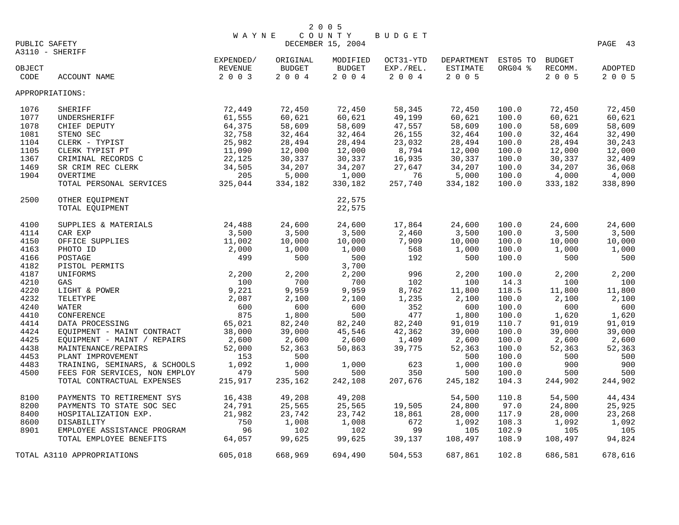|                 |                                                             |                |                | 2 0 0 5                     |                |                     |                |                |                |
|-----------------|-------------------------------------------------------------|----------------|----------------|-----------------------------|----------------|---------------------|----------------|----------------|----------------|
| PUBLIC SAFETY   |                                                             | WAYNE          |                | COUNTY<br>DECEMBER 15, 2004 | <b>BUDGET</b>  |                     |                |                | PAGE 43        |
| A3110 - SHERIFF |                                                             |                |                |                             |                |                     |                |                |                |
|                 |                                                             | EXPENDED/      | ORIGINAL       | MODIFIED                    | OCT31-YTD      | DEPARTMENT EST05 TO |                | <b>BUDGET</b>  |                |
| OBJECT          |                                                             | REVENUE        | <b>BUDGET</b>  | <b>BUDGET</b>               | EXP./REL.      | ESTIMATE            | ORG04 %        | RECOMM.        | ADOPTED        |
| CODE            | ACCOUNT NAME                                                | 2 0 0 3        | 2004           | 2004                        | 2004           | 2 0 0 5             |                | 2 0 0 5        | 2 0 0 5        |
| APPROPRIATIONS: |                                                             |                |                |                             |                |                     |                |                |                |
| 1076            | SHERIFF                                                     | 72,449         | 72,450         | 72,450                      | 58,345         | 72,450              | 100.0          | 72,450         | 72,450         |
| 1077            | UNDERSHERIFF                                                | 61,555         | 60,621         | 60,621                      | 49,199         | 60,621              | 100.0          | 60,621         | 60,621         |
| 1078            | CHIEF DEPUTY                                                | 64,375         | 58,609         | 58,609                      | 47,557         | 58,609              | 100.0          | 58,609         | 58,609         |
| 1081            | STENO SEC                                                   | 32,758         | 32,464         | 32,464                      | 26,155         | 32,464              | 100.0          | 32,464         | 32,490         |
| 1104            | CLERK - TYPIST                                              | 25,982         | 28,494         | 28,494                      | 23,032         | 28,494              | 100.0          | 28,494         | 30,243         |
| 1105            | CLERK TYPIST PT                                             | 11,090         | 12,000         | 12,000                      | 8,794          | 12,000              | 100.0          | 12,000         | 12,000         |
| 1367            | CRIMINAL RECORDS C                                          | 22,125         | 30,337         | 30,337                      | 16,935         | 30,337              | 100.0          | 30,337         | 32,409         |
| 1469            | SR CRIM REC CLERK                                           | 34,505         | 34,207         | 34,207                      | 27,647         | 34,207              | 100.0          | 34,207         | 36,068         |
| 1904            | OVERTIME                                                    | 205            | 5,000          | 1,000                       | 76             | 5,000               | 100.0          | 4,000          | 4,000          |
|                 | TOTAL PERSONAL SERVICES                                     | 325,044        | 334,182        | 330,182                     | 257,740        | 334,182             | 100.0          | 333,182        | 338,890        |
| 2500            | OTHER EQUIPMENT                                             |                |                | 22,575                      |                |                     |                |                |                |
|                 | TOTAL EQUIPMENT                                             |                |                | 22,575                      |                |                     |                |                |                |
| 4100            | SUPPLIES & MATERIALS                                        | 24,488         | 24,600         | 24,600                      | 17,864         | 24,600              | 100.0          | 24,600         | 24,600         |
| 4114            | CAR EXP                                                     | 3,500          | 3,500          | 3,500                       | 2,460          | 3,500               | 100.0          | 3,500          | 3,500          |
| 4150            | OFFICE SUPPLIES                                             | 11,002         | 10,000         | 10,000                      | 7,909          | 10,000              | 100.0          | 10,000         | 10,000         |
| 4163            | PHOTO ID                                                    | 2,000          | 1,000          | 1,000                       | 568            | 1,000               | 100.0          | 1,000          | 1,000          |
| 4166            | POSTAGE                                                     | 499            | 500            | 500                         | 192            | 500                 | 100.0          | 500            | 500            |
| 4182            | PISTOL PERMITS                                              |                |                | 3,700                       |                |                     |                |                |                |
| 4187            | UNIFORMS                                                    | 2,200          | 2,200          | 2,200                       | 996            | 2,200               | 100.0          | 2,200          | 2,200          |
| 4210            | GAS                                                         | 100            | 700            | 700                         | 102            | 100                 | 14.3           | 100            | 100            |
| 4220            | LIGHT & POWER                                               | 9,221          | 9,959          | 9,959                       | 8,762          | 11,800              | 118.5          | 11,800         | 11,800         |
| 4232            | TELETYPE                                                    | 2,087          | 2,100          | 2,100                       | 1,235          | 2,100               | 100.0          | 2,100          | 2,100          |
| 4240            | WATER                                                       | 600            | 600            | 600                         | 352            | 600                 | 100.0          | 600            | 600            |
| 4410            | CONFERENCE                                                  | 875            | 1,800          | 500                         | 477            | 1,800               | 100.0          | 1,620          | 1,620          |
| 4414            | DATA PROCESSING                                             | 65,021         | 82,240         | 82,240                      | 82,240         | 91,019              | 110.7          | 91,019         | 91,019         |
| 4424            | EQUIPMENT - MAINT CONTRACT                                  | 38,000         | 39,000         | 45,546                      | 42,362         | 39,000              | 100.0          | 39,000         | 39,000         |
| 4425            | EQUIPMENT - MAINT / REPAIRS                                 | 2,600          | 2,600          | 2,600                       | 1,409          | 2,600               | 100.0          | 2,600          | 2,600          |
| 4438            | MAINTENANCE/REPAIRS                                         | 52,000         | 52,363         | 50,863                      | 39,775         | 52,363              | 100.0          | 52,363         | 52,363         |
| 4453            | PLANT IMPROVEMENT                                           | 153            | 500            |                             |                | 500                 | 100.0          | 500            | 500            |
| 4483            | TRAINING, SEMINARS, & SCHOOLS                               | 1,092          | 1,000          | 1,000                       | 623            | 1,000               | 100.0          | 900            | 900            |
| 4500            | FEES FOR SERVICES, NON EMPLOY<br>TOTAL CONTRACTUAL EXPENSES | 479<br>215,917 | 500<br>235,162 | 500<br>242,108              | 350<br>207,676 | 500<br>245,182      | 100.0<br>104.3 | 500<br>244,902 | 500<br>244,902 |
|                 |                                                             |                |                |                             |                |                     |                |                |                |
| 8100            | PAYMENTS TO RETIREMENT SYS                                  | 16,438         | 49,208         | 49,208                      |                | 54,500              | 110.8          | 54,500         | 44,434         |
| 8200            | PAYMENTS TO STATE SOC SEC                                   | 24,791         | 25,565         | 25,565                      | 19,505         | 24,800              | 97.0           | 24,800         | 25,925         |
| 8400            | HOSPITALIZATION EXP.                                        | 21,982         | 23,742         | 23,742                      | 18,861         | 28,000              | 117.9          | 28,000         | 23,268         |
| 8600            | <b>DISABILITY</b>                                           | 750            | 1,008          | 1,008                       | 672            | 1,092               | 108.3          | 1,092          | 1,092          |
| 8901            | EMPLOYEE ASSISTANCE PROGRAM                                 | 96             | 102            | 102                         | 99             | 105                 | 102.9          | 105            | 105            |
|                 | TOTAL EMPLOYEE BENEFITS                                     | 64,057         | 99,625         | 99,625                      | 39,137         | 108,497             | 108.9          | 108,497        | 94,824         |
|                 | TOTAL A3110 APPROPRIATIONS                                  | 605,018        | 668,969        | 694,490                     | 504,553        | 687,861             | 102.8          | 686,581        | 678,616        |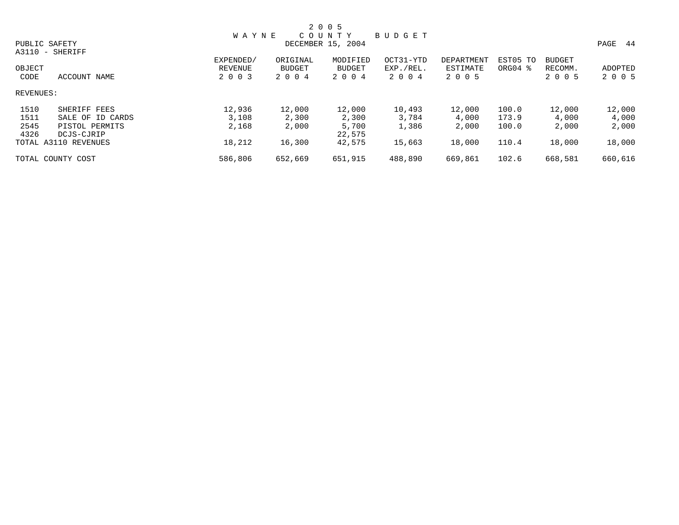|           |                      |              |               | 2 0 0 5           |               |                   |          |               |            |  |
|-----------|----------------------|--------------|---------------|-------------------|---------------|-------------------|----------|---------------|------------|--|
|           |                      | <b>WAYNE</b> |               | C O U N T Y       | <b>BUDGET</b> |                   |          |               |            |  |
|           | PUBLIC SAFETY        |              |               | DECEMBER 15, 2004 |               |                   |          |               | PAGE<br>44 |  |
|           | A3110 - SHERIFF      |              |               |                   |               |                   |          |               |            |  |
|           |                      | EXPENDED/    | ORIGINAL      | MODIFIED          | OCT31-YTD     | <b>DEPARTMENT</b> | EST05 TO | <b>BUDGET</b> |            |  |
| OBJECT    |                      | REVENUE      | <b>BUDGET</b> | BUDGET            | EXP./REL.     | ESTIMATE          | ORG04 %  | RECOMM.       | ADOPTED    |  |
| CODE      | ACCOUNT NAME         | 2 0 0 3      | 2 0 0 4       | 2 0 0 4           | 2 0 0 4       | 2 0 0 5           |          | 2 0 0 5       | 2 0 0 5    |  |
| REVENUES: |                      |              |               |                   |               |                   |          |               |            |  |
| 1510      | SHERIFF FEES         | 12,936       | 12,000        | 12,000            | 10,493        | 12,000            | 100.0    | 12,000        | 12,000     |  |
| 1511      | SALE OF ID CARDS     | 3,108        | 2,300         | 2,300             | 3,784         | 4,000             | 173.9    | 4,000         | 4,000      |  |
| 2545      | PISTOL PERMITS       | 2,168        | 2,000         | 5,700             | 1,386         | 2,000             | 100.0    | 2,000         | 2,000      |  |
| 4326      | DCJS-CJRIP           |              |               | 22,575            |               |                   |          |               |            |  |
|           | TOTAL A3110 REVENUES | 18,212       | 16,300        | 42,575            | 15,663        | 18,000            | 110.4    | 18,000        | 18,000     |  |
|           | TOTAL COUNTY COST    | 586,806      | 652,669       | 651,915           | 488,890       | 669,861           | 102.6    | 668,581       | 660,616    |  |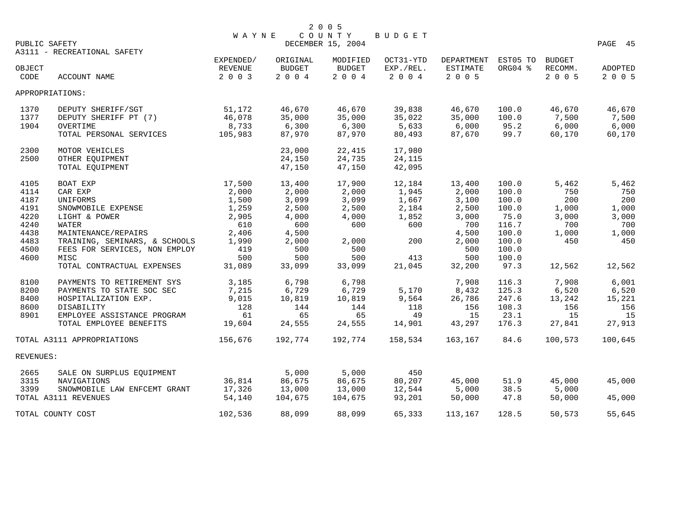| PUBLIC SAFETY                                                                                                        | A3111 - RECREATIONAL SAFETY                                                                                                                                                                                                                                                                                                                    | <b>WAYNE</b>                                                                                                                        |                                                                                                                                      | 2 0 0 5<br>COUNTY<br>DECEMBER 15, 2004                                                                                      | BUDGET                                                                                                   |                                                                                                                                      |                                                                                                                                           |                                                                                                                 | PAGE 45                                                                                                         |
|----------------------------------------------------------------------------------------------------------------------|------------------------------------------------------------------------------------------------------------------------------------------------------------------------------------------------------------------------------------------------------------------------------------------------------------------------------------------------|-------------------------------------------------------------------------------------------------------------------------------------|--------------------------------------------------------------------------------------------------------------------------------------|-----------------------------------------------------------------------------------------------------------------------------|----------------------------------------------------------------------------------------------------------|--------------------------------------------------------------------------------------------------------------------------------------|-------------------------------------------------------------------------------------------------------------------------------------------|-----------------------------------------------------------------------------------------------------------------|-----------------------------------------------------------------------------------------------------------------|
| OBJECT<br>CODE                                                                                                       | ACCOUNT NAME                                                                                                                                                                                                                                                                                                                                   | EXPENDED/<br>REVENUE<br>2 0 0 3                                                                                                     | ORIGINAL<br><b>BUDGET</b><br>2 0 0 4                                                                                                 | MODIFIED<br><b>BUDGET</b><br>2004                                                                                           | OCT31-YTD<br>EXP./REL.<br>2 0 0 4                                                                        | DEPARTMENT<br>ESTIMATE<br>2 0 0 5                                                                                                    | EST05 TO<br>ORG04 %                                                                                                                       | <b>BUDGET</b><br>RECOMM.<br>2 0 0 5                                                                             | ADOPTED<br>2 0 0 5                                                                                              |
|                                                                                                                      | APPROPRIATIONS:                                                                                                                                                                                                                                                                                                                                |                                                                                                                                     |                                                                                                                                      |                                                                                                                             |                                                                                                          |                                                                                                                                      |                                                                                                                                           |                                                                                                                 |                                                                                                                 |
| 1370<br>1377<br>1904                                                                                                 | DEPUTY SHERIFF/SGT<br>DEPUTY SHERIFF PT (7)<br>OVERTIME<br>TOTAL PERSONAL SERVICES                                                                                                                                                                                                                                                             | 51,172<br>46,078<br>8,733<br>105,983                                                                                                | 46,670<br>35,000<br>6,300<br>87,970                                                                                                  | 46,670<br>35,000<br>6,300<br>87,970                                                                                         | 39,838<br>35,022<br>5,633<br>80,493                                                                      | 46,670<br>35,000<br>6,000<br>87,670                                                                                                  | 100.0<br>100.0<br>95.2<br>99.7                                                                                                            | 46,670<br>7,500<br>6,000<br>60,170                                                                              | 46,670<br>7,500<br>6,000<br>60,170                                                                              |
| 2300<br>2500                                                                                                         | MOTOR VEHICLES<br>OTHER EQUIPMENT<br>TOTAL EQUIPMENT                                                                                                                                                                                                                                                                                           |                                                                                                                                     | 23,000<br>24,150<br>47,150                                                                                                           | 22,415<br>24,735<br>47,150                                                                                                  | 17,980<br>24,115<br>42,095                                                                               |                                                                                                                                      |                                                                                                                                           |                                                                                                                 |                                                                                                                 |
| 4105<br>4114<br>4187<br>4191<br>4220<br>4240<br>4438<br>4483<br>4500<br>4600<br>8100<br>8200<br>8400<br>8600<br>8901 | BOAT EXP<br>CAR EXP<br>UNIFORMS<br>SNOWMOBILE EXPENSE<br>LIGHT & POWER<br>WATER<br>MAINTENANCE/REPAIRS<br>TRAINING, SEMINARS, & SCHOOLS<br>FEES FOR SERVICES, NON EMPLOY<br>MISC<br>TOTAL CONTRACTUAL EXPENSES<br>PAYMENTS TO RETIREMENT SYS<br>PAYMENTS TO STATE SOC SEC<br>HOSPITALIZATION EXP.<br>DISABILITY<br>EMPLOYEE ASSISTANCE PROGRAM | 17,500<br>2,000<br>1,500<br>1,259<br>2,905<br>610<br>2,406<br>1,990<br>419<br>500<br>31,089<br>3,185<br>7,215<br>9,015<br>128<br>61 | 13,400<br>2,000<br>3,099<br>2,500<br>4,000<br>600<br>4,500<br>2,000<br>500<br>500<br>33,099<br>6,798<br>6,729<br>10,819<br>144<br>65 | 17,900<br>2,000<br>3,099<br>2,500<br>4,000<br>600<br>2,000<br>500<br>500<br>33,099<br>6,798<br>6,729<br>10,819<br>144<br>65 | 12,184<br>1,945<br>1,667<br>2,184<br>1,852<br>600<br>200<br>413<br>21,045<br>5,170<br>9,564<br>118<br>49 | 13,400<br>2,000<br>3,100<br>2,500<br>3,000<br>700<br>4,500<br>2,000<br>500<br>500<br>32,200<br>7,908<br>8,432<br>26,786<br>156<br>15 | 100.0<br>100.0<br>100.0<br>100.0<br>75.0<br>116.7<br>100.0<br>100.0<br>100.0<br>100.0<br>97.3<br>116.3<br>125.3<br>247.6<br>108.3<br>23.1 | 5,462<br>750<br>200<br>1,000<br>3,000<br>700<br>1,000<br>450<br>12,562<br>7,908<br>6,520<br>13,242<br>156<br>15 | 5,462<br>750<br>200<br>1,000<br>3,000<br>700<br>1,000<br>450<br>12,562<br>6,001<br>6,520<br>15,221<br>156<br>15 |
|                                                                                                                      | TOTAL EMPLOYEE BENEFITS                                                                                                                                                                                                                                                                                                                        | 19,604                                                                                                                              | 24,555                                                                                                                               | 24,555                                                                                                                      | 14,901                                                                                                   | 43,297                                                                                                                               | 176.3                                                                                                                                     | 27,841                                                                                                          | 27,913                                                                                                          |
| REVENUES:                                                                                                            | TOTAL A3111 APPROPRIATIONS                                                                                                                                                                                                                                                                                                                     | 156,676                                                                                                                             | 192,774                                                                                                                              | 192,774                                                                                                                     | 158,534                                                                                                  | 163,167                                                                                                                              | 84.6                                                                                                                                      | 100,573                                                                                                         | 100,645                                                                                                         |
|                                                                                                                      |                                                                                                                                                                                                                                                                                                                                                |                                                                                                                                     |                                                                                                                                      |                                                                                                                             |                                                                                                          |                                                                                                                                      |                                                                                                                                           |                                                                                                                 |                                                                                                                 |
| 2665<br>3315<br>3399                                                                                                 | SALE ON SURPLUS EOUIPMENT<br>NAVIGATIONS<br>SNOWMOBILE LAW ENFCEMT GRANT<br>TOTAL A3111 REVENUES                                                                                                                                                                                                                                               | 36,814<br>17,326<br>54,140                                                                                                          | 5,000<br>86,675<br>13,000<br>104,675                                                                                                 | 5,000<br>86,675<br>13,000<br>104,675                                                                                        | 450<br>80,207<br>12,544<br>93,201                                                                        | 45,000<br>5,000<br>50,000                                                                                                            | 51.9<br>38.5<br>47.8                                                                                                                      | 45,000<br>5,000<br>50,000                                                                                       | 45,000<br>45,000                                                                                                |
|                                                                                                                      | TOTAL COUNTY COST                                                                                                                                                                                                                                                                                                                              | 102,536                                                                                                                             | 88,099                                                                                                                               | 88,099                                                                                                                      | 65,333                                                                                                   | 113,167                                                                                                                              | 128.5                                                                                                                                     | 50,573                                                                                                          | 55,645                                                                                                          |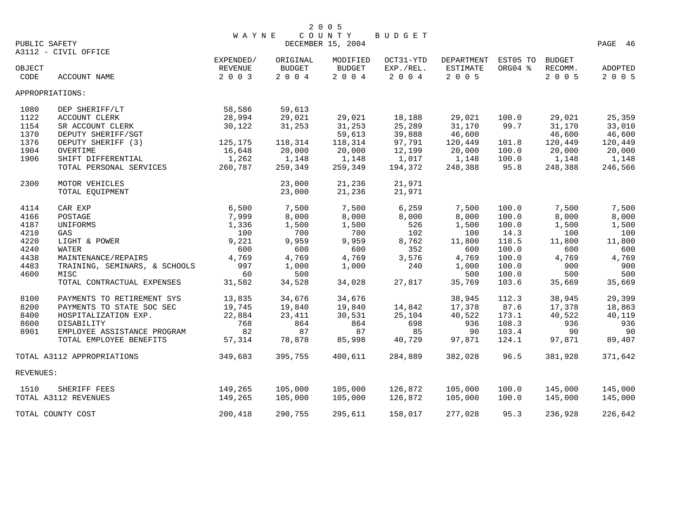|               |                               | <b>WAYNE</b>   |               | COUNTY            | BUDGET    |                     |         |               |                |
|---------------|-------------------------------|----------------|---------------|-------------------|-----------|---------------------|---------|---------------|----------------|
| PUBLIC SAFETY |                               |                |               | DECEMBER 15, 2004 |           |                     |         |               | PAGE 46        |
|               | A3112 - CIVIL OFFICE          |                |               |                   |           |                     |         |               |                |
|               |                               | EXPENDED/      | ORIGINAL      | MODIFIED          | OCT31-YTD | DEPARTMENT EST05 TO |         | <b>BUDGET</b> |                |
| OBJECT        |                               | <b>REVENUE</b> | <b>BUDGET</b> | <b>BUDGET</b>     | EXP./REL. | <b>ESTIMATE</b>     | ORG04 % | RECOMM.       | <b>ADOPTED</b> |
| CODE          | ACCOUNT NAME                  | 2 0 0 3        | 2 0 0 4       | 2 0 0 4           | 2004      | 2 0 0 5             |         | 2 0 0 5       | 2 0 0 5        |
|               | APPROPRIATIONS:               |                |               |                   |           |                     |         |               |                |
| 1080          | DEP SHERIFF/LT                | 58,586         | 59,613        |                   |           |                     |         |               |                |
| 1122          | ACCOUNT CLERK                 | 28,994         | 29,021        | 29,021            | 18,188    | 29,021              | 100.0   | 29,021        | 25,359         |
| 1154          | SR ACCOUNT CLERK              | 30,122         | 31,253        | 31,253            | 25,289    | 31,170              | 99.7    | 31,170        | 33,010         |
| 1370          | DEPUTY SHERIFF/SGT            |                |               | 59,613            | 39,888    | 46,600              |         | 46,600        | 46,600         |
| 1376          | DEPUTY SHERIFF (3)            | 125,175        | 118,314       | 118,314           | 97,791    | 120,449             | 101.8   | 120,449       | 120,449        |
| 1904          | OVERTIME                      | 16,648         | 20,000        | 20,000            | 12,199    | 20,000              | 100.0   | 20,000        | 20,000         |
| 1906          | SHIFT DIFFERENTIAL            | 1,262          | 1,148         | 1,148             | 1,017     | 1,148               | 100.0   | 1,148         | 1,148          |
|               | TOTAL PERSONAL SERVICES       | 260,787        | 259,349       | 259,349           | 194,372   | 248,388             | 95.8    | 248,388       | 246,566        |
| 2300          | MOTOR VEHICLES                |                | 23,000        | 21,236            | 21,971    |                     |         |               |                |
|               | TOTAL EQUIPMENT               |                | 23,000        | 21,236            | 21,971    |                     |         |               |                |
| 4114          | CAR EXP                       | 6,500          | 7,500         | 7,500             | 6,259     | 7,500               | 100.0   | 7,500         | 7,500          |
| 4166          | POSTAGE                       | 7,999          | 8,000         | 8,000             | 8,000     | 8,000               | 100.0   | 8,000         | 8,000          |
| 4187          | UNIFORMS                      | 1,336          | 1,500         | 1,500             | 526       | 1,500               | 100.0   | 1,500         | 1,500          |
| 4210          | GAS                           | 100            | 700           | 700               | 102       | 100                 | 14.3    | 100           | 100            |
| 4220          | LIGHT & POWER                 | 9,221          | 9,959         | 9,959             | 8,762     | 11,800              | 118.5   | 11,800        | 11,800         |
| 4240          | WATER                         | 600            | 600           | 600               | 352       | 600                 | 100.0   | 600           | 600            |
| 4438          | MAINTENANCE/REPAIRS           | 4,769          | 4,769         | 4,769             | 3,576     | 4,769               | 100.0   | 4,769         | 4,769          |
| 4483          | TRAINING, SEMINARS, & SCHOOLS | 997            | 1,000         | 1,000             | 240       | 1,000               | 100.0   | 900           | 900            |
| 4600          | MISC                          | 60             | 500           |                   |           | 500                 | 100.0   | 500           | 500            |
|               | TOTAL CONTRACTUAL EXPENSES    | 31,582         | 34,528        | 34,028            | 27,817    | 35,769              | 103.6   | 35,669        | 35,669         |
| 8100          | PAYMENTS TO RETIREMENT SYS    | 13,835         | 34,676        | 34,676            |           | 38,945              | 112.3   | 38,945        | 29,399         |
| 8200          | PAYMENTS TO STATE SOC SEC     | 19,745         | 19,840        | 19,840            | 14,842    | 17,378              | 87.6    | 17,378        | 18,863         |
| 8400          | HOSPITALIZATION EXP.          | 22,884         | 23,411        | 30,531            | 25,104    | 40,522              | 173.1   | 40,522        | 40,119         |
| 8600          | DISABILITY                    | 768            | 864           | 864               | 698       | 936                 | 108.3   | 936           | 936            |
| 8901          | EMPLOYEE ASSISTANCE PROGRAM   | 82             | 87            | 87                | 85        | 90                  | 103.4   | 90            | 90             |
|               | TOTAL EMPLOYEE BENEFITS       | 57,314         | 78,878        | 85,998            | 40,729    | 97,871              | 124.1   | 97,871        | 89,407         |
|               | TOTAL A3112 APPROPRIATIONS    | 349,683        | 395,755       | 400,611           | 284,889   | 382,028             | 96.5    | 381,928       | 371,642        |
| REVENUES:     |                               |                |               |                   |           |                     |         |               |                |
| 1510          | SHERIFF FEES                  | 149,265        | 105,000       | 105,000           | 126,872   | 105,000             | 100.0   | 145,000       | 145,000        |
|               | TOTAL A3112 REVENUES          | 149,265        | 105,000       | 105,000           | 126,872   | 105,000             | 100.0   | 145,000       | 145,000        |
|               | TOTAL COUNTY COST             | 200,418        | 290,755       | 295,611           | 158,017   | 277,028             | 95.3    | 236,928       | 226,642        |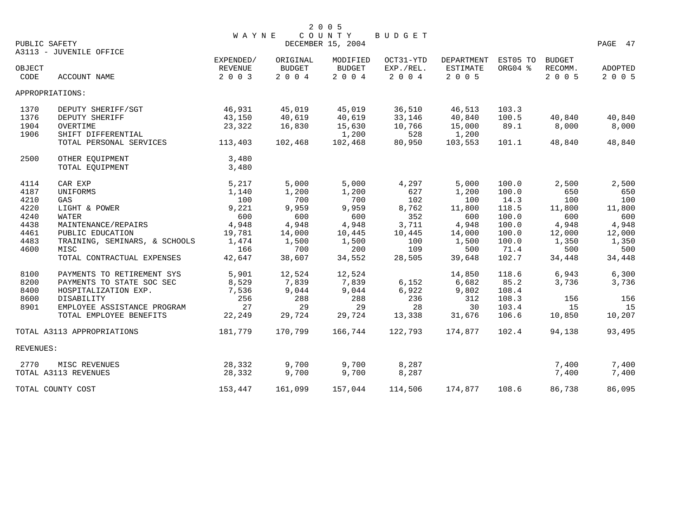| PUBLIC SAFETY   |                               | <b>WAYNE</b>                    |                                     | 2 0 0 5<br>COUNTY<br>DECEMBER 15, 2004 | BUDGET                            |                                   |                     |                              | PAGE 47                   |
|-----------------|-------------------------------|---------------------------------|-------------------------------------|----------------------------------------|-----------------------------------|-----------------------------------|---------------------|------------------------------|---------------------------|
|                 | A3113 - JUVENILE OFFICE       |                                 |                                     |                                        |                                   |                                   |                     |                              |                           |
| OBJECT<br>CODE  | ACCOUNT NAME                  | EXPENDED/<br>REVENUE<br>2 0 0 3 | ORIGINAL<br><b>BUDGET</b><br>$2004$ | MODIFIED<br><b>BUDGET</b><br>2 0 0 4   | OCT31-YTD<br>EXP./REL.<br>2 0 0 4 | DEPARTMENT<br>ESTIMATE<br>2 0 0 5 | EST05 TO<br>ORG04 % | BUDGET<br>RECOMM.<br>2 0 0 5 | <b>ADOPTED</b><br>2 0 0 5 |
| APPROPRIATIONS: |                               |                                 |                                     |                                        |                                   |                                   |                     |                              |                           |
| 1370            | DEPUTY SHERIFF/SGT            | 46,931                          | 45,019                              | 45,019                                 | 36,510                            | 46,513                            | 103.3               |                              |                           |
| 1376            | DEPUTY SHERIFF                | 43,150                          | 40,619                              | 40,619                                 | 33,146                            | 40,840                            | 100.5               | 40,840                       | 40,840                    |
| 1904            | OVERTIME                      | 23,322                          | 16,830                              | 15,630                                 | 10,766                            | 15,000                            | 89.1                | 8,000                        | 8,000                     |
| 1906            | SHIFT DIFFERENTIAL            |                                 |                                     | 1,200                                  | 528                               | 1,200                             |                     |                              |                           |
|                 | TOTAL PERSONAL SERVICES       | 113,403                         | 102,468                             | 102,468                                | 80,950                            | 103,553                           | 101.1               | 48,840                       | 48,840                    |
| 2500            | OTHER EQUIPMENT               | 3,480                           |                                     |                                        |                                   |                                   |                     |                              |                           |
|                 | TOTAL EQUIPMENT               | 3,480                           |                                     |                                        |                                   |                                   |                     |                              |                           |
| 4114            | CAR EXP                       | 5,217                           | 5,000                               | 5,000                                  | 4,297                             | 5,000                             | 100.0               | 2,500                        | 2,500                     |
| 4187            | UNIFORMS                      | 1,140                           | 1,200                               | 1,200                                  | 627                               | 1,200                             | 100.0               | 650                          | 650                       |
| 4210            | GAS                           | 100                             | 700                                 | 700                                    | 102                               | 100                               | 14.3                | 100                          | 100                       |
| 4220            | LIGHT & POWER                 | 9,221                           | 9,959                               | 9,959                                  | 8,762                             | 11,800                            | 118.5               | 11,800                       | 11,800                    |
| 4240            | <b>WATER</b>                  | 600                             | 600                                 | 600                                    | 352                               | 600                               | 100.0               | 600                          | 600                       |
| 4438            | MAINTENANCE/REPAIRS           | 4,948                           | 4,948                               | 4,948                                  | 3,711                             | 4,948                             | 100.0               | 4,948                        | 4,948                     |
| 4461            | PUBLIC EDUCATION              | 19,781                          | 14,000                              | 10,445                                 | 10,445                            | 14,000                            | 100.0               | 12,000                       | 12,000                    |
| 4483            | TRAINING, SEMINARS, & SCHOOLS | 1,474                           | 1,500                               | 1,500                                  | 100                               | 1,500                             | 100.0               | 1,350                        | 1,350                     |
| 4600            | MISC                          | 166                             | 700                                 | 200                                    | 109                               | 500                               | 71.4                | 500                          | 500                       |
|                 | TOTAL CONTRACTUAL EXPENSES    | 42,647                          | 38,607                              | 34,552                                 | 28,505                            | 39,648                            | 102.7               | 34,448                       | 34,448                    |
| 8100            | PAYMENTS TO RETIREMENT SYS    | 5,901                           | 12,524                              | 12,524                                 |                                   | 14,850                            | 118.6               | 6,943                        | 6,300                     |
| 8200            | PAYMENTS TO STATE SOC SEC     | 8,529                           | 7,839                               | 7,839                                  | 6,152                             | 6,682                             | 85.2                | 3,736                        | 3,736                     |
| 8400            | HOSPITALIZATION EXP.          | 7,536                           | 9,044                               | 9,044                                  | 6,922                             | 9,802                             | 108.4               |                              |                           |
| 8600            | DISABILITY                    | 256                             | 288                                 | 288                                    | 236                               | 312                               | 108.3               | 156                          | 156                       |
| 8901            | EMPLOYEE ASSISTANCE PROGRAM   | 27                              | 29                                  | 29                                     | 28                                | 30                                | 103.4               | 15                           | 15                        |
|                 | TOTAL EMPLOYEE BENEFITS       | 22,249                          | 29,724                              | 29,724                                 | 13,338                            | 31,676                            | 106.6               | 10,850                       | 10,207                    |
|                 | TOTAL A3113 APPROPRIATIONS    | 181,779                         | 170,799                             | 166,744                                | 122,793                           | 174,877                           | 102.4               | 94,138                       | 93,495                    |
| REVENUES:       |                               |                                 |                                     |                                        |                                   |                                   |                     |                              |                           |
| 2770            | MISC REVENUES                 | 28,332                          | 9,700                               | 9,700                                  | 8,287                             |                                   |                     | 7,400                        | 7,400                     |
|                 | TOTAL A3113 REVENUES          | 28,332                          | 9,700                               | 9,700                                  | 8,287                             |                                   |                     | 7,400                        | 7,400                     |
|                 | TOTAL COUNTY COST             | 153,447                         | 161,099                             | 157,044                                | 114,506                           | 174,877                           | 108.6               | 86,738                       | 86,095                    |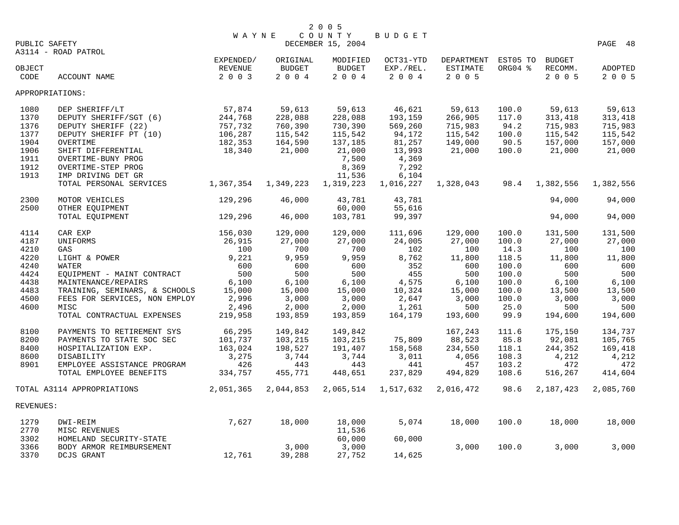| PUBLIC SAFETY                                                        |                                                                                                                                                                                               | <b>WAYNE</b>                                                 |                                                              | 2 0 0 5<br>COUNTY<br>DECEMBER 15, 2004                                                   | BUDGET                                                                                |                                                              |                                                            |                                                              | PAGE 48                                                      |
|----------------------------------------------------------------------|-----------------------------------------------------------------------------------------------------------------------------------------------------------------------------------------------|--------------------------------------------------------------|--------------------------------------------------------------|------------------------------------------------------------------------------------------|---------------------------------------------------------------------------------------|--------------------------------------------------------------|------------------------------------------------------------|--------------------------------------------------------------|--------------------------------------------------------------|
|                                                                      | A3114 - ROAD PATROL                                                                                                                                                                           |                                                              |                                                              |                                                                                          |                                                                                       |                                                              |                                                            |                                                              |                                                              |
| OBJECT<br>CODE                                                       | ACCOUNT NAME                                                                                                                                                                                  | EXPENDED/<br><b>REVENUE</b><br>2 0 0 3                       | ORIGINAL<br><b>BUDGET</b><br>2004                            | MODIFIED<br><b>BUDGET</b><br>2004                                                        | OCT31-YTD<br>EXP./REL.<br>2004                                                        | DEPARTMENT<br><b>ESTIMATE</b><br>2005                        | EST05 TO<br>ORG04 %                                        | BUDGET<br>RECOMM.<br>2 0 0 5                                 | <b>ADOPTED</b><br>2 0 0 5                                    |
| APPROPRIATIONS:                                                      |                                                                                                                                                                                               |                                                              |                                                              |                                                                                          |                                                                                       |                                                              |                                                            |                                                              |                                                              |
| 1080<br>1370<br>1376<br>1377<br>1904<br>1906<br>1911<br>1912<br>1913 | DEP SHERIFF/LT<br>DEPUTY SHERIFF/SGT (6)<br>DEPUTY SHERIFF (22)<br>DEPUTY SHERIFF PT (10)<br>OVERTIME<br>SHIFT DIFFERENTIAL<br>OVERTIME-BUNY PROG<br>OVERTIME-STEP PROG<br>IMP DRIVING DET GR | 57,874<br>244,768<br>757,732<br>106,287<br>182,353<br>18,340 | 59,613<br>228,088<br>760,390<br>115,542<br>164,590<br>21,000 | 59,613<br>228,088<br>730,390<br>115,542<br>137,185<br>21,000<br>7,500<br>8,369<br>11,536 | 46,621<br>193,159<br>569,260<br>94,172<br>81,257<br>13,993<br>4,369<br>7,292<br>6,104 | 59,613<br>266,905<br>715,983<br>115,542<br>149,000<br>21,000 | 100.0<br>117.0<br>94.2<br>100.0<br>90.5<br>100.0           | 59,613<br>313,418<br>715,983<br>115,542<br>157,000<br>21,000 | 59,613<br>313,418<br>715,983<br>115,542<br>157,000<br>21,000 |
|                                                                      | TOTAL PERSONAL SERVICES                                                                                                                                                                       | 1,367,354                                                    | 1,349,223                                                    | 1,319,223                                                                                | 1,016,227                                                                             | 1,328,043                                                    | 98.4                                                       | 1,382,556                                                    | 1,382,556                                                    |
| 2300<br>2500                                                         | MOTOR VEHICLES<br>OTHER EQUIPMENT                                                                                                                                                             | 129,296                                                      | 46,000                                                       | 43,781<br>60,000                                                                         | 43,781<br>55,616                                                                      |                                                              |                                                            | 94,000                                                       | 94,000                                                       |
|                                                                      | TOTAL EQUIPMENT                                                                                                                                                                               | 129,296                                                      | 46,000                                                       | 103,781                                                                                  | 99,397                                                                                |                                                              |                                                            | 94,000                                                       | 94,000                                                       |
| 4114<br>4187<br>4210<br>4220<br>4240<br>4424<br>4438                 | CAR EXP<br>UNIFORMS<br>GAS<br>LIGHT & POWER<br>WATER<br>EQUIPMENT - MAINT CONTRACT<br>MAINTENANCE/REPAIRS                                                                                     | 156,030<br>26,915<br>100<br>9,221<br>600<br>500<br>6,100     | 129,000<br>27,000<br>700<br>9,959<br>600<br>500<br>6,100     | 129,000<br>27,000<br>700<br>9,959<br>600<br>500<br>6,100                                 | 111,696<br>24,005<br>102<br>8,762<br>352<br>455<br>4,575                              | 129,000<br>27,000<br>100<br>11,800<br>600<br>500<br>6,100    | 100.0<br>100.0<br>14.3<br>118.5<br>100.0<br>100.0<br>100.0 | 131,500<br>27,000<br>100<br>11,800<br>600<br>500<br>6,100    | 131,500<br>27,000<br>100<br>11,800<br>600<br>500<br>6,100    |
| 4483<br>4500<br>4600                                                 | TRAINING, SEMINARS, & SCHOOLS<br>FEES FOR SERVICES, NON EMPLOY<br>MISC<br>TOTAL CONTRACTUAL EXPENSES                                                                                          | 15,000<br>2,996<br>2,496<br>219,958                          | 15,000<br>3,000<br>2,000<br>193,859                          | 15,000<br>3,000<br>2,000<br>193,859                                                      | 10,324<br>2,647<br>1,261<br>164,179                                                   | 15,000<br>3,000<br>500<br>193,600                            | 100.0<br>100.0<br>25.0<br>99.9                             | 13,500<br>3,000<br>500<br>194,600                            | 13,500<br>3,000<br>500<br>194,600                            |
| 8100<br>8200<br>8400<br>8600<br>8901                                 | PAYMENTS TO RETIREMENT SYS<br>PAYMENTS TO STATE SOC SEC<br>HOSPITALIZATION EXP.<br>DISABILITY<br>EMPLOYEE ASSISTANCE PROGRAM<br>TOTAL EMPLOYEE BENEFITS                                       | 66,295<br>101,737<br>163,024<br>3,275<br>426<br>334,757      | 149,842<br>103,215<br>198,527<br>3,744<br>443<br>455,771     | 149,842<br>103,215<br>191,407<br>3,744<br>443<br>448,651                                 | 75,809<br>158,568<br>3,011<br>441<br>237,829                                          | 167,243<br>88,523<br>234,550<br>4,056<br>457<br>494,829      | 111.6<br>85.8<br>118.1<br>108.3<br>103.2<br>108.6          | 175,150<br>92,081<br>244,352<br>4,212<br>472<br>516,267      | 134,737<br>105,765<br>169,418<br>4,212<br>472<br>414,604     |
|                                                                      | TOTAL A3114 APPROPRIATIONS                                                                                                                                                                    | 2,051,365                                                    | 2,044,853                                                    | 2,065,514                                                                                | 1,517,632                                                                             | 2,016,472                                                    | 98.6                                                       | 2,187,423                                                    | 2,085,760                                                    |
| REVENUES:                                                            |                                                                                                                                                                                               |                                                              |                                                              |                                                                                          |                                                                                       |                                                              |                                                            |                                                              |                                                              |
| 1279<br>2770<br>3302                                                 | DWI-REIM<br>MISC REVENUES<br>HOMELAND SECURITY-STATE                                                                                                                                          | 7,627                                                        | 18,000                                                       | 18,000<br>11,536<br>60,000                                                               | 5,074<br>60,000                                                                       | 18,000                                                       | 100.0                                                      | 18,000                                                       | 18,000                                                       |
| 3366<br>3370                                                         | BODY ARMOR REIMBURSEMENT<br>DCJS GRANT                                                                                                                                                        | 12,761                                                       | 3,000<br>39,288                                              | 3,000<br>27,752                                                                          | 14,625                                                                                | 3,000                                                        | 100.0                                                      | 3,000                                                        | 3,000                                                        |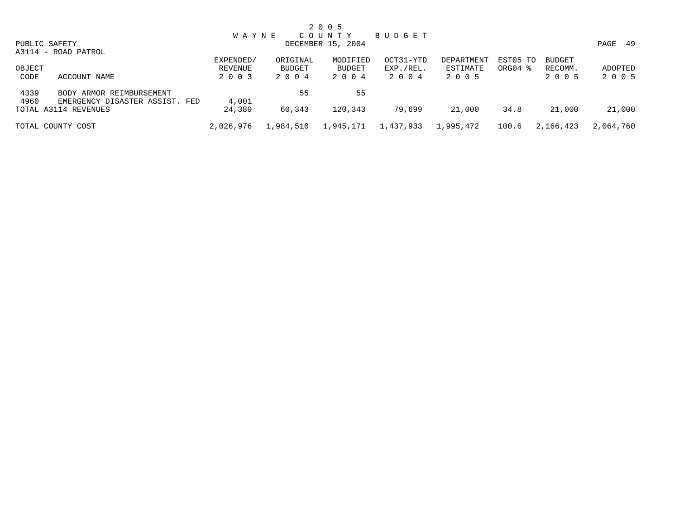|        |                                |              |           | 2 0 0 5           |           |            |          |               |           |
|--------|--------------------------------|--------------|-----------|-------------------|-----------|------------|----------|---------------|-----------|
|        |                                | <b>WAYNE</b> |           | COUNTY            | BUDGET    |            |          |               |           |
|        | PUBLIC SAFETY                  |              |           | DECEMBER 15, 2004 |           |            |          |               | PAGE 49   |
|        | A3114 - ROAD PATROL            |              |           |                   |           |            |          |               |           |
|        |                                | EXPENDED/    | ORIGINAL  | MODIFIED          | OCT31-YTD | DEPARTMENT | EST05 TO | <b>BUDGET</b> |           |
| OBJECT |                                | REVENUE      | BUDGET    | BUDGET            | EXP./REL. | ESTIMATE   | ORG04 %  | RECOMM.       | ADOPTED   |
| CODE   | ACCOUNT NAME                   | 2 0 0 3      | 2004      | 2 0 0 4           | 2004      | 2 0 0 5    |          | 2 0 0 5       | 2 0 0 5   |
| 4339   | BODY ARMOR REIMBURSEMENT       |              | 55        | 55                |           |            |          |               |           |
| 4960   | EMERGENCY DISASTER ASSIST. FED | 4,001        |           |                   |           |            |          |               |           |
|        | TOTAL A3114 REVENUES           | 24,389       | 60,343    | 120,343           | 79,699    | 21,000     | 34.8     | 21,000        | 21,000    |
|        | TOTAL COUNTY COST              | 2,026,976    | 1,984,510 | 1,945,171         | 1,437,933 | 1,995,472  | 100.6    | 2,166,423     | 2,064,760 |
|        |                                |              |           |                   |           |            |          |               |           |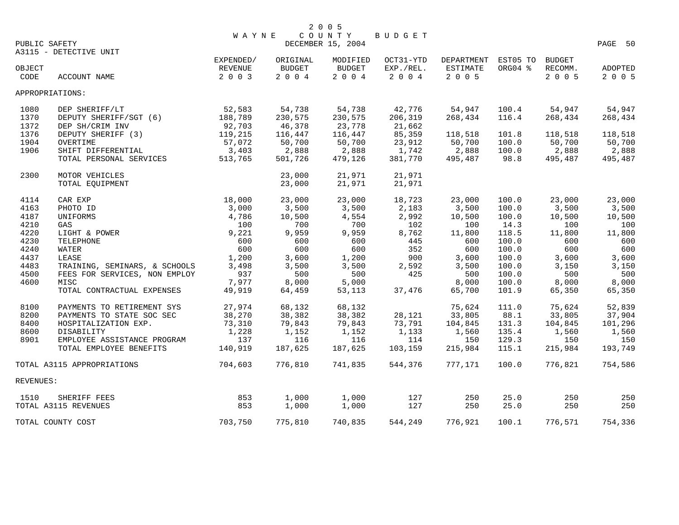|                 |                               |           |               | 2 0 0 5           |           |                 |          |               |         |
|-----------------|-------------------------------|-----------|---------------|-------------------|-----------|-----------------|----------|---------------|---------|
|                 |                               | WAYNE     |               | COUNTY            | BUDGET    |                 |          |               |         |
| PUBLIC SAFETY   |                               |           |               | DECEMBER 15, 2004 |           |                 |          |               | PAGE 50 |
|                 | A3115 - DETECTIVE UNIT        | EXPENDED/ | ORIGINAL      | MODIFIED          | OCT31-YTD | DEPARTMENT      | EST05 TO | <b>BUDGET</b> |         |
|                 |                               | REVENUE   | <b>BUDGET</b> | BUDGET            | EXP./REL. | <b>ESTIMATE</b> | ORG04 %  | RECOMM.       |         |
| OBJECT<br>CODE  | ACCOUNT NAME                  | 2 0 0 3   | 2 0 0 4       | 2004              | 2 0 0 4   | 2 0 0 5         |          | 2 0 0 5       | ADOPTED |
|                 |                               |           |               |                   |           |                 |          |               | 2 0 0 5 |
| APPROPRIATIONS: |                               |           |               |                   |           |                 |          |               |         |
| 1080            | DEP SHERIFF/LT                | 52,583    | 54,738        | 54,738            | 42,776    | 54,947          | 100.4    | 54,947        | 54,947  |
| 1370            | DEPUTY SHERIFF/SGT (6)        | 188,789   | 230,575       | 230,575           | 206,319   | 268,434         | 116.4    | 268,434       | 268,434 |
| 1372            | DEP SH/CRIM INV               | 92,703    | 46,378        | 23,778            | 21,662    |                 |          |               |         |
| 1376            | DEPUTY SHERIFF (3)            | 119,215   | 116,447       | 116,447           | 85,359    | 118,518         | 101.8    | 118,518       | 118,518 |
| 1904            | OVERTIME                      | 57,072    | 50,700        | 50,700            | 23,912    | 50,700          | 100.0    | 50,700        | 50,700  |
| 1906            | SHIFT DIFFERENTIAL            | 3,403     | 2,888         | 2,888             | 1,742     | 2,888           | 100.0    | 2,888         | 2,888   |
|                 | TOTAL PERSONAL SERVICES       | 513,765   | 501,726       | 479,126           | 381,770   | 495,487         | 98.8     | 495,487       | 495,487 |
| 2300            | MOTOR VEHICLES                |           | 23,000        | 21,971            | 21,971    |                 |          |               |         |
|                 | TOTAL EQUIPMENT               |           | 23,000        | 21,971            | 21,971    |                 |          |               |         |
| 4114            | CAR EXP                       | 18,000    | 23,000        | 23,000            | 18,723    | 23,000          | 100.0    | 23,000        | 23,000  |
| 4163            | PHOTO ID                      | 3,000     | 3,500         | 3,500             | 2,183     | 3,500           | 100.0    | 3,500         | 3,500   |
| 4187            | UNIFORMS                      | 4,786     | 10,500        | 4,554             | 2,992     | 10,500          | 100.0    | 10,500        | 10,500  |
| 4210            | GAS                           | 100       | 700           | 700               | 102       | 100             | 14.3     | 100           | 100     |
| 4220            | LIGHT & POWER                 | 9,221     | 9,959         | 9,959             | 8,762     | 11,800          | 118.5    | 11,800        | 11,800  |
| 4230            | TELEPHONE                     | 600       | 600           | 600               | 445       | 600             | 100.0    | 600           | 600     |
| 4240            | <b>WATER</b>                  | 600       | 600           | 600               | 352       | 600             | 100.0    | 600           | 600     |
| 4437            | LEASE                         | 1,200     | 3,600         | 1,200             | 900       | 3,600           | 100.0    | 3,600         | 3,600   |
| 4483            | TRAINING, SEMINARS, & SCHOOLS | 3,498     | 3,500         | 3,500             | 2,592     | 3,500           | 100.0    | 3,150         | 3,150   |
| 4500            | FEES FOR SERVICES, NON EMPLOY | 937       | 500           | 500               | 425       | 500             | 100.0    | 500           | 500     |
| 4600            | MISC                          | 7,977     | 8,000         | 5,000             |           | 8,000           | 100.0    | 8,000         | 8,000   |
|                 | TOTAL CONTRACTUAL EXPENSES    | 49,919    | 64,459        | 53,113            | 37,476    | 65,700          | 101.9    | 65,350        | 65,350  |
|                 |                               |           |               |                   |           |                 |          |               |         |
| 8100            | PAYMENTS TO RETIREMENT SYS    | 27,974    | 68,132        | 68,132            |           | 75,624          | 111.0    | 75,624        | 52,839  |
| 8200            | PAYMENTS TO STATE SOC SEC     | 38,270    | 38,382        | 38,382            | 28,121    | 33,805          | 88.1     | 33,805        | 37,904  |
| 8400            | HOSPITALIZATION EXP.          | 73,310    | 79,843        | 79,843            | 73,791    | 104,845         | 131.3    | 104,845       | 101,296 |
| 8600            | DISABILITY                    | 1,228     | 1,152         | 1,152             | 1,133     | 1,560           | 135.4    | 1,560         | 1,560   |
| 8901            | EMPLOYEE ASSISTANCE PROGRAM   | 137       | 116           | 116               | 114       | 150             | 129.3    | 150           | 150     |
|                 | TOTAL EMPLOYEE BENEFITS       | 140,919   | 187,625       | 187,625           | 103,159   | 215,984         | 115.1    | 215,984       | 193,749 |
|                 | TOTAL A3115 APPROPRIATIONS    | 704,603   | 776,810       | 741,835           | 544,376   | 777,171         | 100.0    | 776,821       | 754,586 |
| REVENUES:       |                               |           |               |                   |           |                 |          |               |         |
| 1510            | SHERIFF FEES                  | 853       | 1,000         | 1,000             | 127       | 250             | 25.0     | 250           | 250     |
|                 | TOTAL A3115 REVENUES          | 853       | 1,000         | 1,000             | 127       | 250             | 25.0     | 250           | 250     |
|                 | TOTAL COUNTY COST             | 703,750   | 775,810       | 740,835           | 544,249   | 776,921         | 100.1    | 776,571       | 754,336 |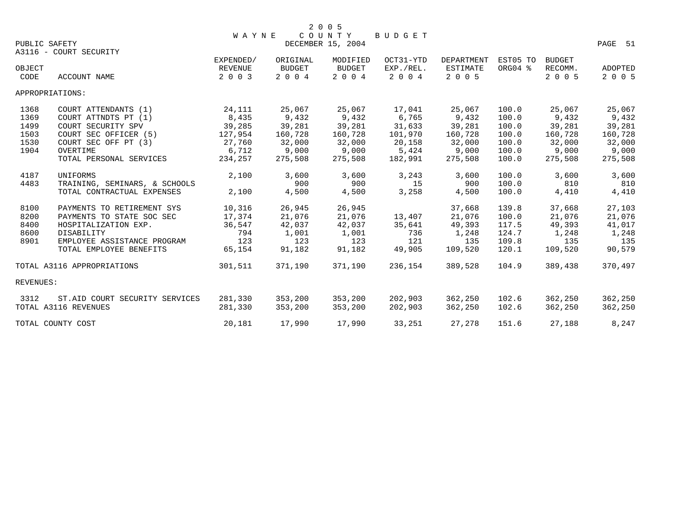|               |                                | <b>WAYNE</b> |               | 2 0 0 5<br>COUNTY |           |                 |          |               |                |
|---------------|--------------------------------|--------------|---------------|-------------------|-----------|-----------------|----------|---------------|----------------|
| PUBLIC SAFETY |                                |              |               | DECEMBER 15, 2004 | BUDGET    |                 |          |               | PAGE 51        |
|               | A3116 - COURT SECURITY         |              |               |                   |           |                 |          |               |                |
|               |                                | EXPENDED/    | ORIGINAL      | MODIFIED          | OCT31-YTD | DEPARTMENT      | EST05 TO | <b>BUDGET</b> |                |
| OBJECT        |                                | REVENUE      | <b>BUDGET</b> | <b>BUDGET</b>     | EXP./REL. | <b>ESTIMATE</b> | ORG04 %  | RECOMM.       | <b>ADOPTED</b> |
| CODE          | ACCOUNT NAME                   | 2 0 0 3      | 2 0 0 4       | 2 0 0 4           | 2 0 0 4   | 2 0 0 5         |          | 2 0 0 5       | 2 0 0 5        |
|               | APPROPRIATIONS:                |              |               |                   |           |                 |          |               |                |
| 1368          | COURT ATTENDANTS (1)           | 24,111       | 25,067        | 25,067            | 17,041    | 25,067          | 100.0    | 25,067        | 25,067         |
| 1369          | COURT ATTNDTS PT (1)           | 8,435        | 9,432         | 9,432             | 6,765     | 9,432           | 100.0    | 9,432         | 9,432          |
| 1499          | COURT SECURITY SPV             | 39,285       | 39,281        | 39,281            | 31,633    | 39,281          | 100.0    | 39,281        | 39,281         |
| 1503          | COURT SEC OFFICER (5)          | 127,954      | 160,728       | 160,728           | 101,970   | 160,728         | 100.0    | 160,728       | 160,728        |
| 1530          | COURT SEC OFF PT (3)           | 27,760       | 32,000        | 32,000            | 20,158    | 32,000          | 100.0    | 32,000        | 32,000         |
| 1904          | OVERTIME                       | 6,712        | 9,000         | 9,000             | 5,424     | 9,000           | 100.0    | 9,000         | 9,000          |
|               | TOTAL PERSONAL SERVICES        | 234,257      | 275,508       | 275,508           | 182,991   | 275,508         | 100.0    | 275,508       | 275,508        |
| 4187          | UNIFORMS                       | 2,100        | 3,600         | 3,600             | 3,243     | 3,600           | 100.0    | 3,600         | 3,600          |
| 4483          | TRAINING, SEMINARS, & SCHOOLS  |              | 900           | 900               | 15        | 900             | 100.0    | 810           | 810            |
|               | TOTAL CONTRACTUAL EXPENSES     | 2,100        | 4,500         | 4,500             | 3,258     | 4,500           | 100.0    | 4,410         | 4,410          |
| 8100          | PAYMENTS TO RETIREMENT SYS     | 10,316       | 26,945        | 26,945            |           | 37,668          | 139.8    | 37,668        | 27,103         |
| 8200          | PAYMENTS TO STATE SOC SEC      | 17,374       | 21,076        | 21,076            | 13,407    | 21,076          | 100.0    | 21,076        | 21,076         |
| 8400          | HOSPITALIZATION EXP.           | 36,547       | 42,037        | 42,037            | 35,641    | 49,393          | 117.5    | 49,393        | 41,017         |
| 8600          | DISABILITY                     | 794          | 1,001         | 1,001             | 736       | 1,248           | 124.7    | 1,248         | 1,248          |
| 8901          | EMPLOYEE ASSISTANCE PROGRAM    | 123          | 123           | 123               | 121       | 135             | 109.8    | 135           | 135            |
|               | TOTAL EMPLOYEE BENEFITS        | 65,154       | 91,182        | 91,182            | 49,905    | 109,520         | 120.1    | 109,520       | 90,579         |
|               | TOTAL A3116 APPROPRIATIONS     | 301,511      | 371,190       | 371,190           | 236,154   | 389,528         | 104.9    | 389,438       | 370,497        |
| REVENUES:     |                                |              |               |                   |           |                 |          |               |                |
| 3312          | ST.AID COURT SECURITY SERVICES | 281,330      | 353,200       | 353,200           | 202,903   | 362,250         | 102.6    | 362,250       | 362,250        |
|               | TOTAL A3116 REVENUES           | 281,330      | 353,200       | 353,200           | 202,903   | 362,250         | 102.6    | 362,250       | 362,250        |
|               | TOTAL COUNTY COST              | 20,181       | 17,990        | 17,990            | 33,251    | 27,278          | 151.6    | 27,188        | 8,247          |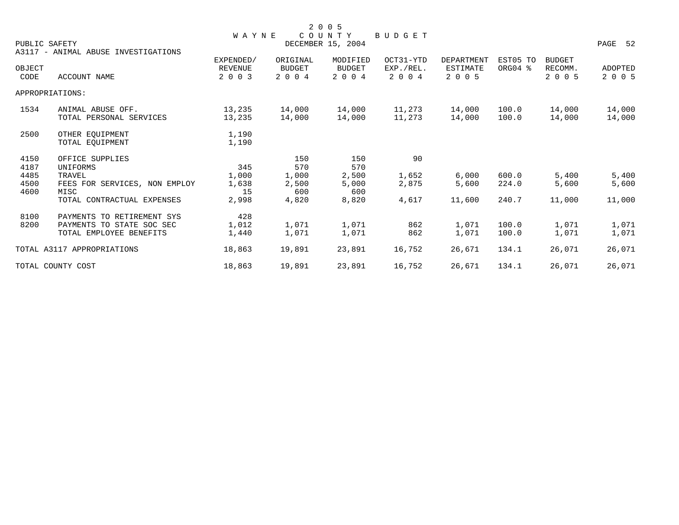|                      |                                                                                    |                                        |                                      | 2 0 0 5                              |                                   |                                   |                     |                                     |                           |
|----------------------|------------------------------------------------------------------------------------|----------------------------------------|--------------------------------------|--------------------------------------|-----------------------------------|-----------------------------------|---------------------|-------------------------------------|---------------------------|
| PUBLIC SAFETY        | A3117 - ANIMAL ABUSE INVESTIGATIONS                                                | <b>WAYNE</b>                           |                                      | COUNTY<br>DECEMBER 15, 2004          | BUDGET                            |                                   |                     |                                     | PAGE 52                   |
| OBJECT<br>CODE       | <b>ACCOUNT NAME</b>                                                                | EXPENDED/<br><b>REVENUE</b><br>2 0 0 3 | ORIGINAL<br><b>BUDGET</b><br>2 0 0 4 | MODIFIED<br><b>BUDGET</b><br>2 0 0 4 | OCT31-YTD<br>EXP./REL.<br>2 0 0 4 | DEPARTMENT<br>ESTIMATE<br>2 0 0 5 | EST05 TO<br>ORG04 % | <b>BUDGET</b><br>RECOMM.<br>2 0 0 5 | <b>ADOPTED</b><br>2 0 0 5 |
| APPROPRIATIONS:      |                                                                                    |                                        |                                      |                                      |                                   |                                   |                     |                                     |                           |
| 1534                 | ANIMAL ABUSE OFF.<br>TOTAL PERSONAL SERVICES                                       | 13,235<br>13,235                       | 14,000<br>14,000                     | 14,000<br>14,000                     | 11,273<br>11,273                  | 14,000<br>14,000                  | 100.0<br>100.0      | 14,000<br>14,000                    | 14,000<br>14,000          |
| 2500                 | OTHER EOUIPMENT<br>TOTAL EOUIPMENT                                                 | 1,190<br>1,190                         |                                      |                                      |                                   |                                   |                     |                                     |                           |
| 4150<br>4187         | OFFICE SUPPLIES<br>UNIFORMS                                                        | 345                                    | 150<br>570                           | 150<br>570                           | 90                                |                                   |                     |                                     |                           |
| 4485<br>4500<br>4600 | TRAVEL<br>FEES FOR SERVICES, NON EMPLOY<br>MISC                                    | 1,000<br>1,638<br>15                   | 1,000<br>2,500<br>600                | 2,500<br>5,000<br>600                | 1,652<br>2,875                    | 6,000<br>5,600                    | 600.0<br>224.0      | 5,400<br>5,600                      | 5,400<br>5,600            |
|                      | TOTAL CONTRACTUAL EXPENSES                                                         | 2,998                                  | 4,820                                | 8,820                                | 4,617                             | 11,600                            | 240.7               | 11,000                              | 11,000                    |
| 8100<br>8200         | PAYMENTS TO RETIREMENT SYS<br>PAYMENTS TO STATE SOC SEC<br>TOTAL EMPLOYEE BENEFITS | 428<br>1,012<br>1,440                  | 1,071<br>1,071                       | 1,071<br>1,071                       | 862<br>862                        | 1,071<br>1,071                    | 100.0<br>100.0      | 1,071<br>1,071                      | 1,071<br>1,071            |
|                      | TOTAL A3117 APPROPRIATIONS                                                         | 18,863                                 | 19,891                               | 23,891                               | 16,752                            | 26,671                            | 134.1               | 26,071                              | 26,071                    |
|                      | TOTAL COUNTY COST                                                                  | 18,863                                 | 19,891                               | 23,891                               | 16,752                            | 26,671                            | 134.1               | 26,071                              | 26,071                    |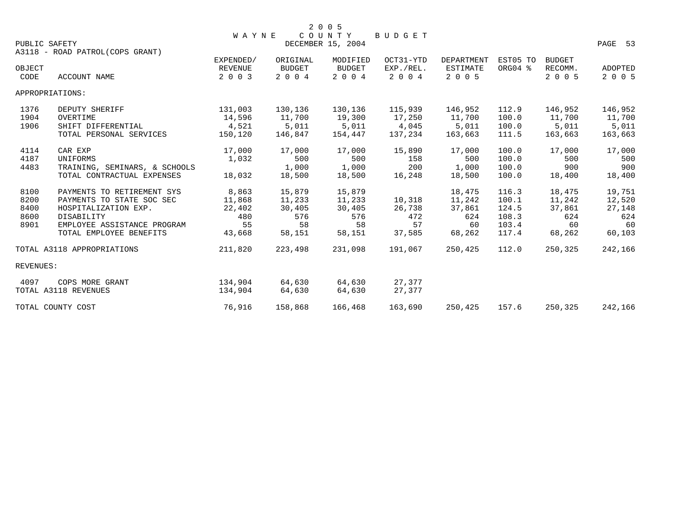|           |                                 | <b>WAYNE</b> |          | 2 0 0 5<br>COUNTY | BUDGET    |                   |          |               |         |
|-----------|---------------------------------|--------------|----------|-------------------|-----------|-------------------|----------|---------------|---------|
|           | PUBLIC SAFETY                   |              |          | DECEMBER 15, 2004 |           |                   |          |               | PAGE 53 |
|           | A3118 - ROAD PATROL(COPS GRANT) |              |          |                   |           |                   |          |               |         |
|           |                                 | EXPENDED/    | ORIGINAL | MODIFIED          | OCT31-YTD | <b>DEPARTMENT</b> | EST05 TO | <b>BUDGET</b> |         |
| OBJECT    |                                 | REVENUE      | BUDGET   | BUDGET            | EXP./REL. | ESTIMATE          | ORG04 %  | RECOMM.       | ADOPTED |
| CODE      | ACCOUNT NAME                    | 2 0 0 3      | 2 0 0 4  | 2004              | 2 0 0 4   | 2 0 0 5           |          | 2 0 0 5       | 2 0 0 5 |
|           | APPROPRIATIONS:                 |              |          |                   |           |                   |          |               |         |
| 1376      | DEPUTY SHERIFF                  | 131,003      | 130,136  | 130,136           | 115,939   | 146,952           | 112.9    | 146,952       | 146,952 |
| 1904      | OVERTIME                        | 14,596       | 11,700   | 19,300            | 17,250    | 11,700            | 100.0    | 11,700        | 11,700  |
| 1906      | SHIFT DIFFERENTIAL              | 4,521        | 5,011    | 5,011             | 4,045     | 5,011             | 100.0    | 5,011         | 5,011   |
|           | TOTAL PERSONAL SERVICES         | 150,120      | 146,847  | 154,447           | 137,234   | 163,663           | 111.5    | 163,663       | 163,663 |
| 4114      | CAR EXP                         | 17,000       | 17,000   | 17,000            | 15,890    | 17,000            | 100.0    | 17,000        | 17,000  |
| 4187      | UNIFORMS                        | 1,032        | 500      | 500               | 158       | 500               | 100.0    | 500           | 500     |
| 4483      | TRAINING, SEMINARS, & SCHOOLS   |              | 1,000    | 1,000             | 200       | 1,000             | 100.0    | 900           | 900     |
|           | TOTAL CONTRACTUAL EXPENSES      | 18,032       | 18,500   | 18,500            | 16,248    | 18,500            | 100.0    | 18,400        | 18,400  |
| 8100      | PAYMENTS TO RETIREMENT SYS      | 8,863        | 15,879   | 15,879            |           | 18,475            | 116.3    | 18,475        | 19,751  |
| 8200      | PAYMENTS TO STATE SOC SEC       | 11,868       | 11,233   | 11,233            | 10,318    | 11,242            | 100.1    | 11,242        | 12,520  |
| 8400      | HOSPITALIZATION EXP.            | 22,402       | 30,405   | 30,405            | 26,738    | 37,861            | 124.5    | 37,861        | 27,148  |
| 8600      | DISABILITY                      | 480          | 576      | 576               | 472       | 624               | 108.3    | 624           | 624     |
| 8901      | EMPLOYEE ASSISTANCE PROGRAM     | 55           | 58       | 58                | 57        | 60                | 103.4    | 60            | 60      |
|           | TOTAL EMPLOYEE BENEFITS         | 43,668       | 58,151   | 58,151            | 37,585    | 68,262            | 117.4    | 68,262        | 60,103  |
|           | TOTAL A3118 APPROPRIATIONS      | 211,820      | 223,498  | 231,098           | 191,067   | 250,425           | 112.0    | 250,325       | 242,166 |
| REVENUES: |                                 |              |          |                   |           |                   |          |               |         |
| 4097      | COPS MORE GRANT                 | 134,904      | 64,630   | 64,630            | 27,377    |                   |          |               |         |
|           | TOTAL A3118 REVENUES            | 134,904      | 64,630   | 64,630            | 27,377    |                   |          |               |         |
|           | TOTAL COUNTY COST               | 76,916       | 158,868  | 166,468           | 163,690   | 250,425           | 157.6    | 250,325       | 242,166 |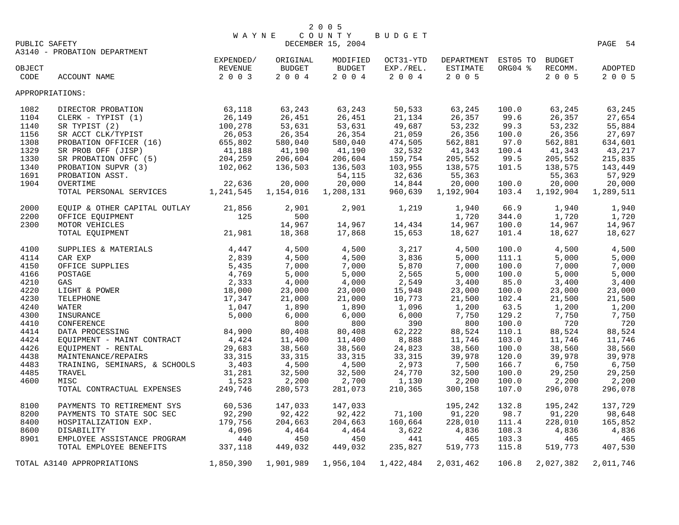|               |                                                                                                                                                                                                                                                            | W A Y N E                                                            |              | COUNTY            | BUDGET    |                                      |         |           |           |
|---------------|------------------------------------------------------------------------------------------------------------------------------------------------------------------------------------------------------------------------------------------------------------|----------------------------------------------------------------------|--------------|-------------------|-----------|--------------------------------------|---------|-----------|-----------|
| PUBLIC SAFETY |                                                                                                                                                                                                                                                            |                                                                      |              | DECEMBER 15, 2004 |           |                                      |         |           | PAGE 54   |
|               | A3140 - PROBATION DEPARTMENT                                                                                                                                                                                                                               |                                                                      |              |                   |           |                                      |         |           |           |
|               |                                                                                                                                                                                                                                                            | EXPENDED/                                                            | ORIGINAL     | MODIFIED          |           | OCT31-YTD DEPARTMENT EST05 TO BUDGET |         |           |           |
| OBJECT        |                                                                                                                                                                                                                                                            | REVENUE                                                              | BUDGET       | <b>BUDGET</b>     | EXP./REL. | ESTIMATE                             | ORG04 % | RECOMM.   | ADOPTED   |
| CODE          | ACCOUNT NAME                                                                                                                                                                                                                                               | 2 0 0 3                                                              | $2\ 0\ 0\ 4$ | 2004              | 2 0 0 4   | 2 0 0 5                              |         | 2005      | 2 0 0 5   |
|               | APPROPRIATIONS:                                                                                                                                                                                                                                            |                                                                      |              |                   |           |                                      |         |           |           |
| 1082          | DIRECTOR PROBATION                                                                                                                                                                                                                                         | $\begin{array}{r} 63,118 \\ 26,149 \\ 100,278 \\ 26,053 \end{array}$ | 63,243       | 63,243            | 50,533    | 63,245                               | 100.0   | 63,245    | 63,245    |
| 1104          | CLERK - TYPIST (1)                                                                                                                                                                                                                                         |                                                                      | 26,451       | 26,451            | 21,134    | 26,357                               | 99.6    | 26,357    | 27,654    |
| 1140          | SR TYPIST (2)                                                                                                                                                                                                                                              |                                                                      | 53,631       | 53,631            | 49,687    | 53,232                               | 99.3    | 53,232    | 55,884    |
| 1156          | SR ACCT CLK/TYPIST                                                                                                                                                                                                                                         |                                                                      | 26,354       | 26,354            | 21,059    | 26,356                               | 100.0   | 26,356    | 27,697    |
| 1308          | PROBATION OFFICER (16)<br>SR PROB OFF (JISP)                                                                                                                                                                                                               | 655,802                                                              | 580,040      | 580,040           | 474,505   | 562,881                              | 97.0    | 562,881   | 634,601   |
| 1329          |                                                                                                                                                                                                                                                            | 41,188                                                               | 41,190       | 41,190            | 32,532    | 41,343                               | 100.4   | 41,343    | 43,217    |
| 1330          | SR PROBATION OFFC (5)                                                                                                                                                                                                                                      | 204,259                                                              | 206,604      | 206,604           | 159,754   | 205,552                              | 99.5    | 205,552   | 215,835   |
| 1340          | PROBATION SUPVR (3)                                                                                                                                                                                                                                        | 102,062                                                              | 136,503      | 136,503           | 103,955   | 138,575                              | 101.5   | 138,575   | 143,449   |
| 1691          | PROBATION ASST.                                                                                                                                                                                                                                            |                                                                      |              | 54,115            | 32,636    | 55,363                               |         | 55,363    | 57,929    |
| 1904          | OVERTIME                                                                                                                                                                                                                                                   | 22,636                                                               | 20,000       | 20,000            | 14,844    | 20,000                               | 100.0   | 20,000    | 20,000    |
|               | TOTAL PERSONAL SERVICES 1,241,545                                                                                                                                                                                                                          |                                                                      | 1,154,016    | 1,208,131         | 960,639   | 1,192,904                            | 103.4   | 1,192,904 | 1,289,511 |
| 2000          | EQUIP & OTHER CAPITAL OUTLAY 21,856                                                                                                                                                                                                                        |                                                                      | 2,901        | 2,901             | 1,219     | 1,940                                | 66.9    | 1,940     | 1,940     |
| 2200          | OFFICE EQUIPMENT                                                                                                                                                                                                                                           | 125                                                                  | 500          |                   |           | 1,720                                | 344.0   | 1,720     | 1,720     |
| 2300          | MOTOR VEHICLES                                                                                                                                                                                                                                             |                                                                      | 14,967       | 14,967            | 14,434    | 14,967                               | 100.0   | 14,967    | 14,967    |
|               | TOTAL EQUIPMENT                                                                                                                                                                                                                                            | 21,981                                                               | 18,368       | 17,868            | 15,653    | 18,627                               | 101.4   | 18,627    | 18,627    |
|               |                                                                                                                                                                                                                                                            |                                                                      |              |                   |           |                                      |         |           |           |
| 4100          | SUPPLIES & MATERIALS<br>CAR EXP<br>OFFICE SUPPLIES<br>POSTAGE<br>POSTAGE<br>GAS<br>LIGHT & POWER<br>TELEPHONE<br>TELEPHONE<br>TELEPHONE<br>TELEPHONE<br>TELEPHONE<br>TELEPHONE<br>TELEPHONE<br>17,347<br>ISURANCE<br>CONFERENCE<br>2,000<br>5,000<br>5,000 |                                                                      | 4,500        | 4,500             | 3,217     | 4,500                                | 100.0   | 4,500     | 4,500     |
| 4114          |                                                                                                                                                                                                                                                            |                                                                      | 4,500        | 4,500             | 3,836     | 5,000                                | 111.1   | 5,000     | 5,000     |
| 4150          |                                                                                                                                                                                                                                                            |                                                                      | 7,000        | 7,000             | 5,870     | 7,000                                | 100.0   | 7,000     | 7,000     |
| 4166          |                                                                                                                                                                                                                                                            |                                                                      | 5,000        | 5,000             | 2,565     | 5,000                                | 100.0   | 5,000     | 5,000     |
| 4210          |                                                                                                                                                                                                                                                            |                                                                      | 4,000        | 4,000             | 2,549     | 3,400                                | 85.0    | 3,400     | 3,400     |
| 4220          |                                                                                                                                                                                                                                                            |                                                                      | 23,000       | 23,000            | 15,948    | 23,000                               | 100.0   | 23,000    | 23,000    |
| 4230          |                                                                                                                                                                                                                                                            |                                                                      | 21,000       | 21,000            | 10,773    | 21,500                               | 102.4   | 21,500    | 21,500    |
| 4240          |                                                                                                                                                                                                                                                            |                                                                      | 1,890        | 1,890             | 1,096     | 1,200                                | 63.5    | 1,200     | 1,200     |
| 4300          |                                                                                                                                                                                                                                                            |                                                                      | 6,000        | 6,000             | 6,000     | 7,750                                | 129.2   | 7,750     | 7,750     |
| 4410          | CONFERENCE                                                                                                                                                                                                                                                 |                                                                      | 800          | 800               | 390       | 800                                  | 100.0   | 720       | 720       |
| 4414          | DATA PROCESSING                                                                                                                                                                                                                                            | 84,900                                                               | 80,408       | 80,408            | 62,222    | 88,524                               | 110.1   | 88,524    | 88,524    |
| 4424          | EQUIPMENT - MAINT CONTRACT                                                                                                                                                                                                                                 | 4,424                                                                | 11,400       | 11,400            | 8,888     | 11,746                               | 103.0   | 11,746    | 11,746    |
| 4426          | EQUIPMENT - RENTAL                                                                                                                                                                                                                                         | 29,683                                                               | 38,560       | 38,560            | 24,823    | 38,560                               | 100.0   | 38,560    | 38,560    |
| 4438          | MAINTENANCE/REPAIRS                                                                                                                                                                                                                                        | 33,315                                                               | 33,315       | 33,315            | 33, 315   | 39,978                               | 120.0   | 39,978    | 39,978    |
| 4483          | TRAINING, SEMINARS, & SCHOOLS                                                                                                                                                                                                                              | 3,403                                                                | 4,500        | 4,500             | 2,973     | 7,500                                | 166.7   | 6,750     | 6,750     |
| 4485          | TRAVEL                                                                                                                                                                                                                                                     | 31,281                                                               | 32,500       | 32,500            | 24,770    | 32,500                               | 100.0   | 29,250    | 29,250    |
| 4600          | MISC                                                                                                                                                                                                                                                       | 1,523                                                                | 2,200        | 2,700             | 1,130     | 2,200                                | 100.0   | 2,200     | 2,200     |
|               | TOTAL CONTRACTUAL EXPENSES                                                                                                                                                                                                                                 | 249,746                                                              | 280,573      | 281,073           | 210,365   | 300,158                              | 107.0   | 296,078   | 296,078   |
| 8100          | PAYMENTS TO RETIREMENT SYS                                                                                                                                                                                                                                 | 60,536                                                               | 147,033      | 147,033           |           | 195,242                              | 132.8   | 195,242   | 137,729   |
| 8200          | PAYMENTS TO STATE SOC SEC                                                                                                                                                                                                                                  | 92,290                                                               | 92,422       | 92,422            | 71,100    | 91,220                               | 98.7    | 91,220    | 98,648    |
| 8400          | HOSPITALIZATION EXP.                                                                                                                                                                                                                                       | 179,756                                                              | 204,663      | 204,663           | 160,664   | 228,010                              | 111.4   | 228,010   | 165,852   |
| 8600          | DISABILITY                                                                                                                                                                                                                                                 | 4,096                                                                | 4,464        | 4,464             | 3,622     | 4,836                                | 108.3   | 4,836     | 4,836     |
| 8901          |                                                                                                                                                                                                                                                            |                                                                      | 450          | 450               | 441       | 465                                  | 103.3   | 465       | 465       |
|               | EMPLOYEE ASSISTANCE PROGRAM 440<br>TOTAL EMPLOYEE BENEFITS 337,118                                                                                                                                                                                         |                                                                      | 449,032      | 449,032           | 235,827   | 519,773                              | 115.8   | 519,773   | 407,530   |
|               | TOTAL A3140 APPROPRIATIONS                                                                                                                                                                                                                                 | 1,850,390                                                            | 1,901,989    | 1,956,104         | 1,422,484 | 2,031,462                            | 106.8   | 2,027,382 | 2,011,746 |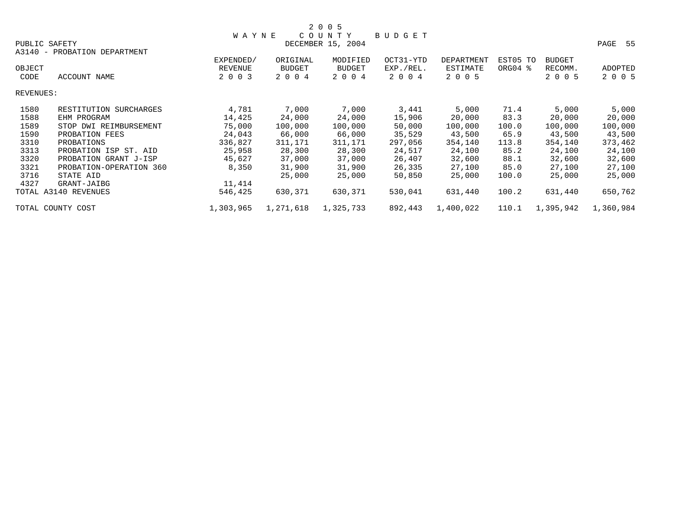|           |                         |              |               | 2 0 0 5           |               |            |          |               |           |
|-----------|-------------------------|--------------|---------------|-------------------|---------------|------------|----------|---------------|-----------|
|           |                         | <b>WAYNE</b> |               | COUNTY            | <b>BUDGET</b> |            |          |               |           |
|           | PUBLIC SAFETY           |              |               | DECEMBER 15, 2004 |               |            |          |               | PAGE 55   |
| A3140 -   | PROBATION DEPARTMENT    |              |               |                   |               |            |          |               |           |
|           |                         | EXPENDED/    | ORIGINAL      | MODIFIED          | OCT31-YTD     | DEPARTMENT | EST05 TO | <b>BUDGET</b> |           |
| OBJECT    |                         | REVENUE      | <b>BUDGET</b> | <b>BUDGET</b>     | EXP./REL.     | ESTIMATE   | ORG04 %  | RECOMM.       | ADOPTED   |
| CODE      | ACCOUNT NAME            | 2 0 0 3      | 2 0 0 4       | 2 0 0 4           | 2 0 0 4       | 2 0 0 5    |          | 2 0 0 5       | 2 0 0 5   |
| REVENUES: |                         |              |               |                   |               |            |          |               |           |
| 1580      | RESTITUTION SURCHARGES  | 4,781        | 7,000         | 7,000             | 3,441         | 5,000      | 71.4     | 5,000         | 5,000     |
| 1588      | EHM PROGRAM             | 14,425       | 24,000        | 24,000            | 15,906        | 20,000     | 83.3     | 20,000        | 20,000    |
| 1589      | STOP DWI REIMBURSEMENT  | 75,000       | 100,000       | 100,000           | 50,000        | 100,000    | 100.0    | 100,000       | 100,000   |
| 1590      | PROBATION FEES          | 24,043       | 66,000        | 66,000            | 35,529        | 43,500     | 65.9     | 43,500        | 43,500    |
| 3310      | PROBATIONS              | 336,827      | 311,171       | 311,171           | 297,056       | 354,140    | 113.8    | 354,140       | 373,462   |
| 3313      | PROBATION ISP ST. AID   | 25,958       | 28,300        | 28,300            | 24,517        | 24,100     | 85.2     | 24,100        | 24,100    |
| 3320      | PROBATION GRANT J-ISP   | 45,627       | 37,000        | 37,000            | 26,407        | 32,600     | 88.1     | 32,600        | 32,600    |
| 3321      | PROBATION-OPERATION 360 | 8,350        | 31,900        | 31,900            | 26,335        | 27,100     | 85.0     | 27,100        | 27,100    |
| 3716      | STATE AID               |              | 25,000        | 25,000            | 50,850        | 25,000     | 100.0    | 25,000        | 25,000    |
| 4327      | GRANT-JAIBG             | 11,414       |               |                   |               |            |          |               |           |
|           | TOTAL A3140 REVENUES    | 546,425      | 630,371       | 630,371           | 530,041       | 631,440    | 100.2    | 631,440       | 650,762   |
|           | TOTAL COUNTY COST       | 1,303,965    | 1,271,618     | 1,325,733         | 892,443       | 1,400,022  | 110.1    | 1,395,942     | 1,360,984 |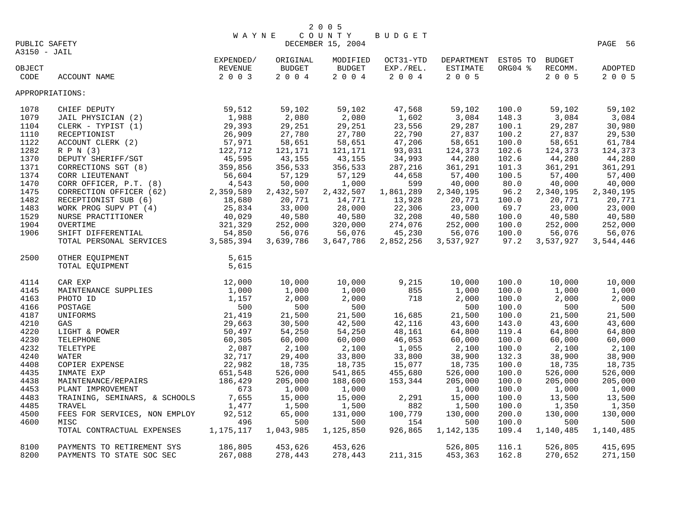| PUBLIC SAFETY   | $\begin{tabular}{ll} \multicolumn{2}{c}{\textbf{W A Y}}\\ \multicolumn{2}{c}{\textbf{W A Y}}\\ \multicolumn{2}{c}{\textbf{EXPENDED}}/\\ \multicolumn{2}{c}{\textbf{REVENUE}}\\ \multicolumn{2}{c}{\textbf{2 0 0 3}} \end{tabular}$                               | <b>WAYNE</b> |                            | 2 0 0 5<br>COUNTY<br>DECEMBER 15, 2004 | BUDGET            |                            |         |                    | PAGE 56            |
|-----------------|------------------------------------------------------------------------------------------------------------------------------------------------------------------------------------------------------------------------------------------------------------------|--------------|----------------------------|----------------------------------------|-------------------|----------------------------|---------|--------------------|--------------------|
| A3150 - JAIL    |                                                                                                                                                                                                                                                                  |              | ORIGINAL                   | MODIFIED                               | OCT31-YTD         | DEPARTMENT EST05 TO BUDGET |         |                    |                    |
| OBJECT<br>CODE  | ACCOUNT NAME                                                                                                                                                                                                                                                     |              | <b>BUDGET</b><br>$2 0 0 4$ | BUDGET<br>2004                         | EXP./REL.<br>2004 | ESTIMATE<br>2 0 0 5        | ORG04 % | RECOMM.<br>2 0 0 5 | ADOPTED<br>2 0 0 5 |
| APPROPRIATIONS: |                                                                                                                                                                                                                                                                  |              |                            |                                        |                   |                            |         |                    |                    |
| 1078            | CHIEF DEPUTY<br>JAIL PHYSICIAN (2)<br>CLERK - TYPIST (1)<br>29,393<br>RECEPTIONIST<br>ACCOUNT CLERK (2)<br>ACCOUNT CLERK (2)<br>R P N (3)<br>DEPUTY SHERIFF/SGT<br>COPPECTIONS SGT (8)<br>35,995<br>26,909<br>45,595<br>46,599<br>46,599<br>46,599<br>46,599<br> |              | 59,102                     | 59,102                                 | 47,568            | 59,102                     | 100.0   | 59,102             | 59,102             |
| 1079            |                                                                                                                                                                                                                                                                  |              | 2,080                      | 2,080                                  | 1,602             | 3,084                      | 148.3   | 3,084              | 3,084              |
| 1104            |                                                                                                                                                                                                                                                                  |              | 29,251                     | 29,251                                 | 23,556            | 29,287                     | 100.1   | 29,287             | 30,980             |
| 1110            |                                                                                                                                                                                                                                                                  |              | 27,780                     | 27,780                                 | 22,790            | 27,837                     | 100.2   | 27,837             | 29,530             |
| 1122            |                                                                                                                                                                                                                                                                  |              | 58,651                     | 58,651                                 | 47,206            | 58,651                     | 100.0   | 58,651             | 61,784             |
| 1282            |                                                                                                                                                                                                                                                                  |              | 121,171                    | 121,171                                | 93,031            | 124,373                    | 102.6   | 124,373            | 124,373            |
| 1370            |                                                                                                                                                                                                                                                                  |              | 43,155                     | 43,155                                 | 34,993            | 44,280                     | 102.6   | 44,280             | 44,280             |
| 1371            | CORRECTIONS SGT (8)<br>CORRECTIONS SGT (8)<br>CORR LIEUTENANT<br>CORR OFFICER, P.T. (8)<br>CORRECTION OFFICER (62)<br>2,359,589<br>RECEPTIONIST SUB (6)<br>18,680<br>TERMIT SCRIPTIONS (8)<br>18,680<br>18,680                                                   |              | 356,533                    | 356,533                                | 287,216           | 361,291                    | 101.3   | 361,291            | 361,291            |
| 1374            |                                                                                                                                                                                                                                                                  |              | 57,129                     | 57,129                                 | 44,658            | 57,400                     | 100.5   | 57,400             | 57,400             |
| 1470            |                                                                                                                                                                                                                                                                  |              | 50,000                     | 1,000                                  | 599               | 40,000                     | 80.0    | 40,000             | 40,000             |
| 1475            |                                                                                                                                                                                                                                                                  |              | 2,432,507                  | 2,432,507                              | 1,861,289         | 2,340,195                  | 96.2    | 2,340,195          | 2,340,195          |
| 1482            |                                                                                                                                                                                                                                                                  |              | 20,771                     | 14,771                                 | 13,928            | 20,771                     | 100.0   | 20,771             | 20,771             |
| 1483            |                                                                                                                                                                                                                                                                  |              |                            | 28,000                                 | 22,306            | 23,000                     | 69.7    | 23,000             | 23,000             |
| 1529            |                                                                                                                                                                                                                                                                  |              | 33,000<br>40,580           | 40,580                                 | 32,208            | 40,580                     | 100.0   | 40,580             | 40,580             |
| 1904            |                                                                                                                                                                                                                                                                  |              | 252,000                    | 320,000                                | 274,076           | 252,000                    | 100.0   | 252,000            | 252,000            |
| 1906            |                                                                                                                                                                                                                                                                  |              | 56,076                     | 56,076                                 | 45,230            | 56,076                     | 100.0   | 56,076             | 56,076             |
|                 | WORK PROG SUPV PT (4)<br>WERE PRACTITIONER<br>25,834<br>NURSE PRACTITIONER<br>40,029<br>OVERTIME<br>321,329<br>SHIFT DIFFERENTIAL<br>54,850<br>TOTAL PERSONAL SERVICES<br>3,585,394                                                                              |              | 3,639,786                  | 3,647,786                              | 2,852,256         | 3,537,927                  | 97.2    | 3,537,927          | 3,544,446          |
| 2500            | OTHER EQUIPMENT                                                                                                                                                                                                                                                  | 5,615        |                            |                                        |                   |                            |         |                    |                    |
|                 | TOTAL EQUIPMENT                                                                                                                                                                                                                                                  | 5,615        |                            |                                        |                   |                            |         |                    |                    |
| 4114            |                                                                                                                                                                                                                                                                  |              | 10,000                     | 10,000                                 | 9,215             | 10,000                     | 100.0   | 10,000             | 10,000             |
| 4145            |                                                                                                                                                                                                                                                                  |              | 1,000                      | 1,000                                  | 855               | 1,000                      | 100.0   | 1,000              | 1,000              |
| 4163            |                                                                                                                                                                                                                                                                  |              | 2,000                      | 2,000                                  | 718               | 2,000                      | 100.0   | 2,000              | 2,000              |
| 4166            |                                                                                                                                                                                                                                                                  |              | 500                        | 500                                    |                   | 500                        | 100.0   | 500                | 500                |
| 4187            |                                                                                                                                                                                                                                                                  |              | 21,500                     | 21,500                                 | 16,685            | 21,500                     | 100.0   | 21,500             | 21,500             |
| 4210            |                                                                                                                                                                                                                                                                  |              | 30,500                     | 42,500                                 | 42,116            | 43,600                     | 143.0   | 43,600             | 43,600             |
| 4220            |                                                                                                                                                                                                                                                                  |              | 54,250                     | 54,250                                 | 48,161            | 64,800                     | 119.4   | 64,800             | 64,800             |
| 4230            |                                                                                                                                                                                                                                                                  |              | 60,000                     | 60,000                                 | 46,053            | 60,000                     | 100.0   | 60,000             | 60,000             |
| 4232            |                                                                                                                                                                                                                                                                  |              | 2,100                      | 2,100                                  | 1,055             | 2,100                      | 100.0   | 2,100              | 2,100              |
| 4240            |                                                                                                                                                                                                                                                                  |              | 29,400                     | 33,800                                 | 33,800            | 38,900                     | 132.3   | 38,900             | 38,900             |
| 4408            |                                                                                                                                                                                                                                                                  |              | 18,735                     | 18,735                                 | 15,077            | 18,735                     | 100.0   | 18,735             | 18,735             |
| 4435            |                                                                                                                                                                                                                                                                  |              | 526,000                    | 541,865                                | 455,680           | 526,000                    | 100.0   | 526,000            | 526,000            |
| 4438            |                                                                                                                                                                                                                                                                  |              | 205,000                    | 188,600                                | 153,344           | 205,000                    | 100.0   | 205,000            | 205,000            |
| 4453            |                                                                                                                                                                                                                                                                  |              | 1,000                      | 1,000                                  |                   | 1,000                      | 100.0   | 1,000              | 1,000              |
| 4483            | TRAINING, SEMINARS, & SCHOOLS                                                                                                                                                                                                                                    | 7,655        | 15,000                     | 15,000                                 | 2,291             | 15,000                     | 100.0   | 13,500             | 13,500             |
| 4485            | TRAVEL                                                                                                                                                                                                                                                           | 1,477        | 1,500                      | 1,500                                  | 882               | 1,500                      | 100.0   | 1,350              | 1,350              |
| 4500            | FEES FOR SERVICES, NON EMPLOY                                                                                                                                                                                                                                    | 92,512       | 65,000                     | 131,000                                | 100,779           | 130,000                    | 200.0   | 130,000            | 130,000            |
| 4600            | MISC                                                                                                                                                                                                                                                             | 496          | 500                        | 500                                    | 154               | 500                        | 100.0   | 500                | 500                |
|                 | TOTAL CONTRACTUAL EXPENSES                                                                                                                                                                                                                                       | 1,175,117    | 1,043,985                  | 1,125,850                              | 926,865           | 1,142,135                  | 109.4   | 1,140,485          | 1,140,485          |
| 8100            | PAYMENTS TO RETIREMENT SYS                                                                                                                                                                                                                                       | 186,805      | 453,626                    | 453,626                                |                   | 526,805                    | 116.1   | 526,805            | 415,695            |
| 8200            | PAYMENTS TO STATE SOC SEC                                                                                                                                                                                                                                        | 267,088      | 278,443                    | 278,443                                | 211,315           | 453,363                    | 162.8   | 270,652            | 271,150            |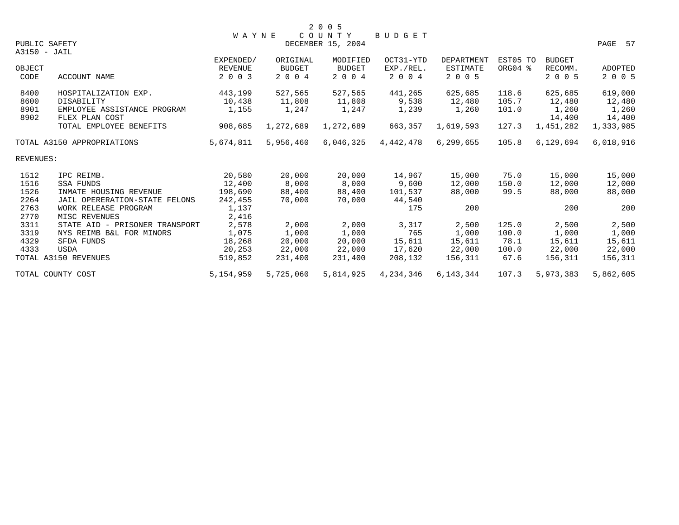|              |                                               |                |           | 2 0 0 5           |               |                   |          |                 |                 |
|--------------|-----------------------------------------------|----------------|-----------|-------------------|---------------|-------------------|----------|-----------------|-----------------|
|              |                                               | <b>WAYNE</b>   |           | COUNTY            | <b>BUDGET</b> |                   |          |                 |                 |
|              | PUBLIC SAFETY                                 |                |           | DECEMBER 15, 2004 |               |                   |          |                 | PAGE 57         |
|              | A3150 - JAIL                                  |                |           |                   |               |                   |          |                 |                 |
|              |                                               | EXPENDED/      | ORIGINAL  | MODIFIED          | OCT31-YTD     | <b>DEPARTMENT</b> | EST05 TO | <b>BUDGET</b>   |                 |
| OBJECT       |                                               | <b>REVENUE</b> | BUDGET    | <b>BUDGET</b>     | EXP./REL.     | <b>ESTIMATE</b>   | ORG04 %  | RECOMM.         | ADOPTED         |
| CODE         | ACCOUNT NAME                                  | 2 0 0 3        | 2 0 0 4   | 2 0 0 4           | 2 0 0 4       | 2 0 0 5           |          | 2 0 0 5         | 2 0 0 5         |
| 8400         | HOSPITALIZATION EXP.                          | 443,199        | 527,565   | 527,565           | 441,265       | 625,685           | 118.6    | 625,685         | 619,000         |
| 8600         | DISABILITY                                    | 10,438         | 11,808    | 11,808            | 9,538         | 12,480            | 105.7    | 12,480          | 12,480          |
| 8901<br>8902 | EMPLOYEE ASSISTANCE PROGRAM<br>FLEX PLAN COST | 1,155          | 1,247     | 1,247             | 1,239         | 1,260             | 101.0    | 1,260<br>14,400 | 1,260<br>14,400 |
|              | TOTAL EMPLOYEE BENEFITS                       | 908,685        | 1,272,689 | 1,272,689         | 663,357       | 1,619,593         | 127.3    | 1,451,282       | 1,333,985       |
|              | TOTAL A3150 APPROPRIATIONS                    | 5,674,811      | 5,956,460 | 6,046,325         | 4,442,478     | 6,299,655         | 105.8    | 6,129,694       | 6,018,916       |
| REVENUES:    |                                               |                |           |                   |               |                   |          |                 |                 |
| 1512         | IPC REIMB.                                    | 20,580         | 20,000    | 20,000            | 14,967        | 15,000            | 75.0     | 15,000          | 15,000          |
| 1516         | SSA FUNDS                                     | 12,400         | 8,000     | 8,000             | 9,600         | 12,000            | 150.0    | 12,000          | 12,000          |
| 1526         | INMATE HOUSING REVENUE                        | 198,690        | 88,400    | 88,400            | 101,537       | 88,000            | 99.5     | 88,000          | 88,000          |
| 2264         | JAIL OPERERATION-STATE FELONS                 | 242,455        | 70,000    | 70,000            | 44,540        |                   |          |                 |                 |
| 2763         | WORK RELEASE PROGRAM                          | 1,137          |           |                   | 175           | 200               |          | 200             | 200             |
| 2770         | MISC REVENUES                                 | 2,416          |           |                   |               |                   |          |                 |                 |
| 3311         | STATE AID - PRISONER TRANSPORT                | 2,578          | 2,000     | 2,000             | 3,317         | 2,500             | 125.0    | 2,500           | 2,500           |
| 3319         | NYS REIMB B&L FOR MINORS                      | 1,075          | 1,000     | 1,000             | 765           | 1,000             | 100.0    | 1,000           | 1,000           |
| 4329         | SFDA FUNDS                                    | 18,268         | 20,000    | 20,000            | 15,611        | 15,611            | 78.1     | 15,611          | 15,611          |
| 4333         | <b>USDA</b>                                   | 20,253         | 22,000    | 22,000            | 17,620        | 22,000            | 100.0    | 22,000          | 22,000          |
|              | TOTAL A3150 REVENUES                          | 519,852        | 231,400   | 231,400           | 208,132       | 156,311           | 67.6     | 156,311         | 156,311         |
|              | TOTAL COUNTY COST                             | 5, 154, 959    | 5,725,060 | 5,814,925         | 4,234,346     | 6,143,344         | 107.3    | 5,973,383       | 5,862,605       |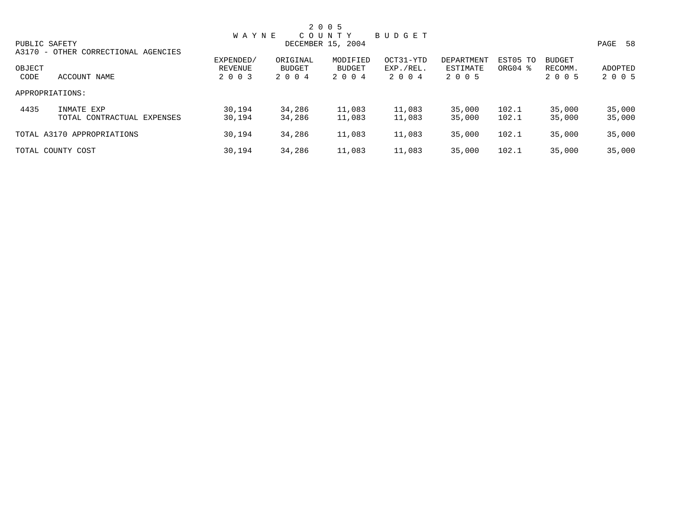|        |                                     |              |               | 2 0 0 5           |           |            |                     |               |         |
|--------|-------------------------------------|--------------|---------------|-------------------|-----------|------------|---------------------|---------------|---------|
|        |                                     | <b>WAYNE</b> |               | COUNTY            | BUDGET    |            |                     |               |         |
|        | PUBLIC SAFETY                       |              |               | DECEMBER 15, 2004 |           |            |                     |               | PAGE 58 |
|        | A3170 - OTHER CORRECTIONAL AGENCIES |              |               |                   |           |            |                     |               |         |
|        |                                     | EXPENDED/    | ORIGINAL      | MODIFIED          | OCT31-YTD | DEPARTMENT | EST05 TO            | <b>BUDGET</b> |         |
| OBJECT |                                     | REVENUE      | <b>BUDGET</b> | BUDGET            | EXP./REL. | ESTIMATE   | ORG04 $\frac{8}{3}$ | RECOMM.       | ADOPTED |
| CODE   | ACCOUNT NAME                        | 2 0 0 3      | 2004          | 2 0 0 4           | 2 0 0 4   | 2 0 0 5    |                     | 2 0 0 5       | 2 0 0 5 |
|        | APPROPRIATIONS:                     |              |               |                   |           |            |                     |               |         |
| 4435   | INMATE EXP                          | 30,194       | 34,286        | 11,083            | 11,083    | 35,000     | 102.1               | 35,000        | 35,000  |
|        | TOTAL CONTRACTUAL EXPENSES          | 30,194       | 34,286        | 11,083            | 11,083    | 35,000     | 102.1               | 35,000        | 35,000  |
|        | TOTAL A3170 APPROPRIATIONS          | 30,194       | 34,286        | 11,083            | 11,083    | 35,000     | 102.1               | 35,000        | 35,000  |
|        | TOTAL COUNTY COST                   | 30,194       | 34,286        | 11,083            | 11,083    | 35,000     | 102.1               | 35,000        | 35,000  |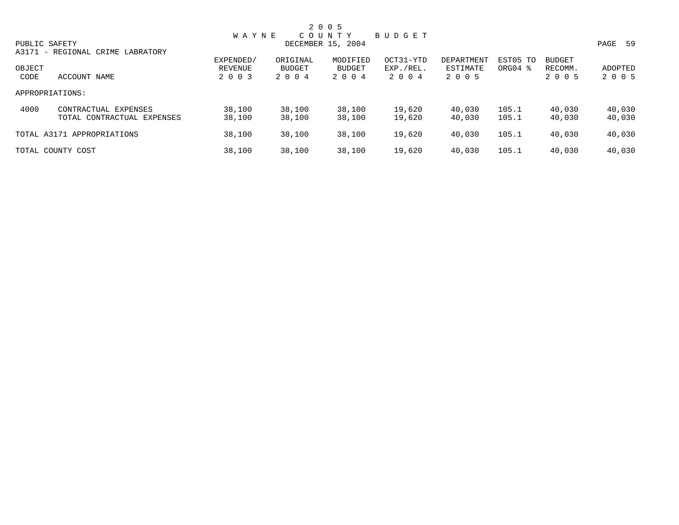|        |                                  |              |          | 2 0 0 5           |           |            |          |               |         |
|--------|----------------------------------|--------------|----------|-------------------|-----------|------------|----------|---------------|---------|
|        |                                  | <b>WAYNE</b> |          | COUNTY            | BUDGET    |            |          |               |         |
|        | PUBLIC SAFETY                    |              |          | DECEMBER 15, 2004 |           |            |          |               | PAGE 59 |
|        | A3171 - REGIONAL CRIME LABRATORY |              |          |                   |           |            |          |               |         |
|        |                                  | EXPENDED/    | ORIGINAL | MODIFIED          | OCT31-YTD | DEPARTMENT | EST05 TO | <b>BUDGET</b> |         |
| OBJECT |                                  | REVENUE      | BUDGET   | <b>BUDGET</b>     | EXP./REL. | ESTIMATE   | ORG04 %  | RECOMM.       | ADOPTED |
| CODE   | ACCOUNT NAME                     | 2 0 0 3      | 2 0 0 4  | 2 0 0 4           | 2004      | 2 0 0 5    |          | 2 0 0 5       | 2 0 0 5 |
|        | APPROPRIATIONS:                  |              |          |                   |           |            |          |               |         |
| 4000   | CONTRACTUAL EXPENSES             | 38,100       | 38,100   | 38,100            | 19,620    | 40,030     | 105.1    | 40,030        | 40,030  |
|        | TOTAL CONTRACTUAL EXPENSES       | 38,100       | 38,100   | 38,100            | 19,620    | 40,030     | 105.1    | 40,030        | 40,030  |
|        | TOTAL A3171 APPROPRIATIONS       | 38,100       | 38,100   | 38,100            | 19,620    | 40,030     | 105.1    | 40,030        | 40,030  |
|        | TOTAL COUNTY COST                | 38,100       | 38,100   | 38,100            | 19,620    | 40,030     | 105.1    | 40,030        | 40,030  |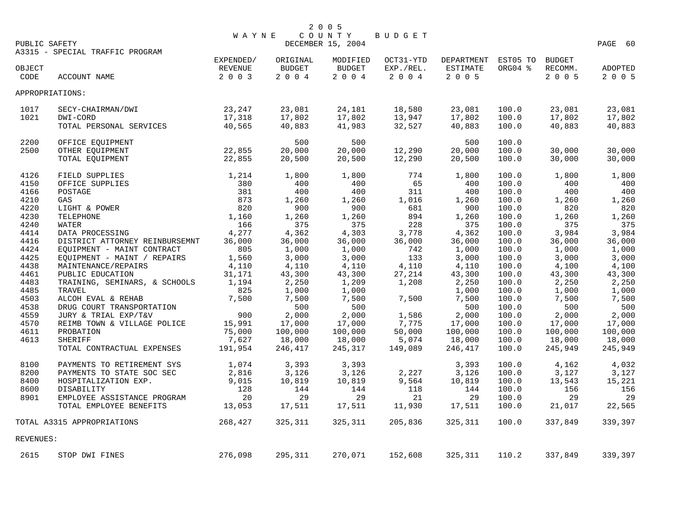| PUBLIC SAFETY |                                                           | <b>WAYNE</b>         |                    | 2 0 0 5<br>COUNTY<br>DECEMBER 15, 2004 | BUDGET                 |                        |                     |                          | PAGE 60        |
|---------------|-----------------------------------------------------------|----------------------|--------------------|----------------------------------------|------------------------|------------------------|---------------------|--------------------------|----------------|
| OBJECT        | A3315 - SPECIAL TRAFFIC PROGRAM                           | EXPENDED/<br>REVENUE | ORIGINAL<br>BUDGET | MODIFIED<br><b>BUDGET</b>              | OCT31-YTD<br>EXP./REL. | DEPARTMENT<br>ESTIMATE | EST05 TO<br>ORG04 % | <b>BUDGET</b><br>RECOMM. | ADOPTED        |
| CODE          | ACCOUNT NAME                                              | 2 0 0 3              | 2004               | 2004                                   | 2 0 0 4                | 2 0 0 5                |                     | 2 0 0 5                  | 2 0 0 5        |
|               | APPROPRIATIONS:                                           |                      |                    |                                        |                        |                        |                     |                          |                |
| 1017          | SECY-CHAIRMAN/DWI                                         | 23,247               | 23,081             | 24,181                                 | 18,580                 | 23,081                 | 100.0               | 23,081                   | 23,081         |
| 1021          | DWI-CORD                                                  | 17,318               | 17,802             | 17,802                                 | 13,947                 | 17,802                 | 100.0               | 17,802                   | 17,802         |
|               | TOTAL PERSONAL SERVICES                                   | 40,565               | 40,883             | 41,983                                 | 32,527                 | 40,883                 | 100.0               | 40,883                   | 40,883         |
| 2200          | OFFICE EQUIPMENT                                          |                      | 500                | 500                                    |                        | 500                    | 100.0               |                          |                |
| 2500          | OTHER EQUIPMENT                                           | 22,855               | 20,000             | 20,000                                 | 12,290                 | 20,000                 | 100.0               | 30,000                   | 30,000         |
|               | TOTAL EQUIPMENT                                           | 22,855               | 20,500             | 20,500                                 | 12,290                 | 20,500                 | 100.0               | 30,000                   | 30,000         |
| 4126          | FIELD SUPPLIES                                            | 1,214                | 1,800              | 1,800                                  | 774                    | 1,800                  | 100.0               | 1,800                    | 1,800          |
| 4150          | OFFICE SUPPLIES                                           | 380                  | 400                | 400                                    | 65                     | 400                    | 100.0               | 400                      | 400            |
| 4166          | POSTAGE                                                   | 381                  | 400                | 400                                    | 311                    | 400                    | 100.0               | 400                      | 400            |
| 4210          | GAS                                                       | 873                  | 1,260              | 1,260                                  | 1,016                  | 1,260                  | 100.0               | 1,260                    | 1,260          |
| 4220          | LIGHT & POWER                                             | 820                  | 900                | 900                                    | 681                    | 900                    | 100.0               | 820                      | 820            |
| 4230          | TELEPHONE                                                 | 1,160                | 1,260              | 1,260                                  | 894                    | 1,260                  | 100.0               | 1,260                    | 1,260          |
| 4240          | WATER                                                     | 166                  | 375                | 375                                    | 228                    | 375                    | 100.0               | 375                      | 375            |
| 4414          | DATA PROCESSING                                           | 4,277                | 4,362              | 4,303                                  | 3,778                  | 4,362                  | 100.0               | 3,984                    | 3,984          |
| 4416          | DISTRICT ATTORNEY REINBURSEMNT                            | 36,000               | 36,000             | 36,000                                 | 36,000                 | 36,000                 | 100.0               | 36,000                   | 36,000         |
| 4424<br>4425  | EQUIPMENT - MAINT CONTRACT<br>EQUIPMENT - MAINT / REPAIRS | 805<br>1,560         | 1,000<br>3,000     | 1,000<br>3,000                         | 742<br>133             | 1,000<br>3,000         | 100.0<br>100.0      | 1,000<br>3,000           | 1,000<br>3,000 |
| 4438          | MAINTENANCE/REPAIRS                                       | 4,110                | 4,110              | 4,110                                  | 4,110                  | 4,110                  | 100.0               | 4,100                    | 4,100          |
| 4461          | PUBLIC EDUCATION                                          | 31,171               | 43,300             | 43,300                                 | 27,214                 | 43,300                 | 100.0               | 43,300                   | 43,300         |
| 4483          | TRAINING, SEMINARS, & SCHOOLS                             | 1,194                | 2,250              | 1,209                                  | 1,208                  | 2,250                  | 100.0               | 2,250                    | 2,250          |
| 4485          | TRAVEL                                                    | 825                  | 1,000              | 1,000                                  |                        | 1,000                  | 100.0               | 1,000                    | 1,000          |
| 4503          | ALCOH EVAL & REHAB                                        | 7,500                | 7,500              | 7,500                                  | 7,500                  | 7,500                  | 100.0               | 7,500                    | 7,500          |
| 4538          | DRUG COURT TRANSPORTATION                                 |                      | 500                | 500                                    |                        | 500                    | 100.0               | 500                      | 500            |
| 4559          | JURY & TRIAL EXP/T&V                                      | 900                  | 2,000              | 2,000                                  | 1,586                  | 2,000                  | 100.0               | 2,000                    | 2,000          |
| 4570          | REIMB TOWN & VILLAGE POLICE                               | 15,991               | 17,000             | 17,000                                 | 7,775                  | 17,000                 | 100.0               | 17,000                   | 17,000         |
| 4611          | PROBATION                                                 | 75,000               | 100,000            | 100,000                                | 50,000                 | 100,000                | 100.0               | 100,000                  | 100,000        |
| 4613          | <b>SHERIFF</b>                                            | 7,627                | 18,000             | 18,000                                 | 5,074                  | 18,000                 | 100.0               | 18,000                   | 18,000         |
|               | TOTAL CONTRACTUAL EXPENSES                                | 191,954              | 246,417            | 245,317                                | 149,089                | 246,417                | 100.0               | 245,949                  | 245,949        |
| 8100          | PAYMENTS TO RETIREMENT SYS                                | 1,074                | 3,393              | 3,393                                  |                        | 3,393                  | 100.0               | 4,162                    | 4,032          |
| 8200          | PAYMENTS TO STATE SOC SEC                                 | 2,816                | 3,126              | 3,126                                  | 2,227                  | 3,126                  | 100.0               | 3,127                    | 3,127          |
| 8400          | HOSPITALIZATION EXP.                                      | 9,015                | 10,819             | 10,819                                 | 9,564                  | 10,819                 | 100.0               | 13,543                   | 15,221         |
| 8600          | DISABILITY                                                | 128                  | 144                | 144                                    | 118                    | 144                    | 100.0               | 156                      | 156            |
| 8901          | EMPLOYEE ASSISTANCE PROGRAM                               | 20                   | 29                 | 29                                     | 21                     | 29                     | 100.0               | 29                       | 29             |
|               | TOTAL EMPLOYEE BENEFITS                                   | 13,053               | 17,511             | 17,511                                 | 11,930                 | 17,511                 | 100.0               | 21,017                   | 22,565         |
|               | TOTAL A3315 APPROPRIATIONS                                | 268,427              | 325,311            | 325,311                                | 205,836                | 325,311                | 100.0               | 337,849                  | 339,397        |
| REVENUES:     |                                                           |                      |                    |                                        |                        |                        |                     |                          |                |
| 2615          | STOP DWI FINES                                            | 276,098              | 295,311            | 270,071                                | 152,608                | 325, 311               | 110.2               | 337,849                  | 339,397        |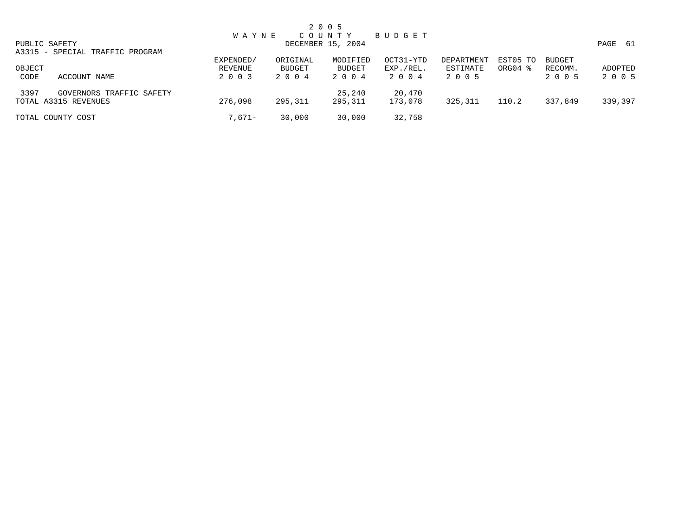|                |                                                  |                                 |                            | 2 0 0 5                    |                                |                                   |                                 |                                     |                    |
|----------------|--------------------------------------------------|---------------------------------|----------------------------|----------------------------|--------------------------------|-----------------------------------|---------------------------------|-------------------------------------|--------------------|
|                |                                                  | <b>WAYNE</b>                    |                            | COUNTY                     | BUDGET                         |                                   |                                 |                                     |                    |
|                | PUBLIC SAFETY                                    |                                 |                            | DECEMBER 15, 2004          |                                |                                   |                                 |                                     | PAGE 61            |
|                | A3315 - SPECIAL TRAFFIC PROGRAM                  |                                 |                            |                            |                                |                                   |                                 |                                     |                    |
| OBJECT<br>CODE | ACCOUNT NAME                                     | EXPENDED/<br>REVENUE<br>2 0 0 3 | ORIGINAL<br>BUDGET<br>2004 | MODIFIED<br>BUDGET<br>2004 | OCT31-YTD<br>EXP./REL.<br>2004 | DEPARTMENT<br>ESTIMATE<br>2 0 0 5 | EST05 TO<br>ORG04 $\frac{8}{3}$ | <b>BUDGET</b><br>RECOMM.<br>2 0 0 5 | ADOPTED<br>2 0 0 5 |
| 3397           | GOVERNORS TRAFFIC SAFETY<br>TOTAL A3315 REVENUES | 276,098                         | 295,311                    | 25,240<br>295,311          | 20,470<br>173,078              | 325,311                           | 110.2                           | 337,849                             | 339,397            |
|                | TOTAL COUNTY COST                                | 7,671–                          | 30,000                     | 30,000                     | 32,758                         |                                   |                                 |                                     |                    |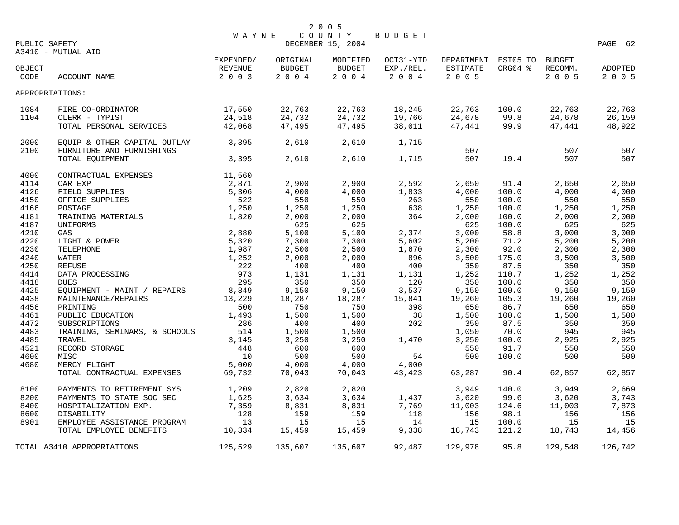|                |                                                                      |                                 |                            | 2 0 0 5                     |                                |                                                   |               |                    |                    |
|----------------|----------------------------------------------------------------------|---------------------------------|----------------------------|-----------------------------|--------------------------------|---------------------------------------------------|---------------|--------------------|--------------------|
| PUBLIC SAFETY  |                                                                      | <b>WAYNE</b>                    |                            | COUNTY<br>DECEMBER 15, 2004 | BUDGET                         |                                                   |               |                    | PAGE 62            |
|                | A3410 - MUTUAL AID                                                   |                                 |                            |                             |                                |                                                   |               |                    |                    |
| OBJECT<br>CODE | ACCOUNT NAME                                                         | EXPENDED/<br>REVENUE<br>2 0 0 3 | ORIGINAL<br>BUDGET<br>2004 | MODIFIED<br>BUDGET<br>2004  | OCT31-YTD<br>EXP./REL.<br>2004 | DEPARTMENT EST05 TO BUDGET<br>ESTIMATE<br>2 0 0 5 | ORG04 %       | RECOMM.<br>2 0 0 5 | ADOPTED<br>2 0 0 5 |
|                | APPROPRIATIONS:                                                      |                                 |                            |                             |                                |                                                   |               |                    |                    |
| 1084           | FIRE CO-ORDINATOR                                                    | 17,550                          | 22,763                     | 22,763                      | 18,245                         | 22,763                                            | 100.0         | 22,763             | 22,763             |
| 1104           | CLERK - TYPIST                                                       | 24,518                          | 24,732                     | 24,732                      | 19,766                         | 24,678                                            | 99.8          | 24,678             | 26,159             |
|                | TOTAL PERSONAL SERVICES                                              | 42,068                          | 47,495                     | 47,495                      | 38,011                         | 47,441                                            | 99.9          | 47,441             | 48,922             |
| 2000           | EQUIP & OTHER CAPITAL OUTLAY                                         | 3,395                           | 2,610                      | 2,610                       | 1,715                          |                                                   |               |                    |                    |
| 2100           | FURNITURE AND FURNISHINGS                                            |                                 |                            |                             |                                | 507                                               |               | 507                | 507                |
|                | TOTAL EQUIPMENT                                                      | 3,395                           | 2,610                      | 2,610                       | 1,715                          | 507                                               | 19.4          | 507                | 507                |
| 4000           | CONTRACTUAL EXPENSES                                                 | 11,560                          |                            |                             |                                |                                                   |               |                    |                    |
| 4114           | CAR EXP                                                              | 2,871                           | 2,900                      | 2,900                       | 2,592                          | 2,650                                             | 91.4          | 2,650              | 2,650              |
| 4126           | FIELD SUPPLIES                                                       | 5,306                           | 4,000                      | 4,000                       | 1,833                          | 4,000                                             | 100.0         | 4,000              | 4,000              |
| 4150           | OFFICE SUPPLIES                                                      | 522                             | 550                        | 550                         | 263                            | 550                                               | 100.0         | 550                | 550                |
| 4166           | POSTAGE<br>TRAINING MATERIALS 1,820                                  | 1,250                           | 1,250                      | 1,250                       | 638                            | 1,250                                             | 100.0         | 1,250              | 1,250              |
| 4181           |                                                                      |                                 | 2,000                      | 2,000                       | 364                            | 2,000                                             | 100.0         | 2,000              | 2,000              |
| 4187           | UNIFORMS                                                             |                                 | 625                        | 625                         |                                | 625                                               | 100.0         | 625                | 625                |
| 4210           | GAS                                                                  |                                 | 5,100                      | 5,100                       | 2,374                          | 3,000                                             | 58.8          | 3,000              | 3,000              |
| 4220           | POWER<br>E<br>E<br>FRICALLY 1, 252<br>THE CONTINUES<br>LIGHT & POWER |                                 | 7,300                      | 7,300                       | 5,602                          | 5,200                                             | 71.2          | 5,200              | 5,200              |
| 4230<br>4240   | TELEPHONE                                                            |                                 | 2,500                      | 2,500                       | 1,670<br>896                   | 2,300                                             | 92.0          | 2,300              | 2,300              |
| 4250           | WATER<br>REFUSE                                                      |                                 | 2,000<br>400               | 2,000<br>400                | 400                            | 3,500<br>350                                      | 175.0<br>87.5 | 3,500<br>350       | 3,500<br>350       |
| 4414           | DATA PROCESSING                                                      | 973                             | 1,131                      | 1,131                       | 1,131                          | 1,252                                             | 110.7         | 1,252              | 1,252              |
| 4418           | DUES                                                                 | 295                             | 350                        | 350                         | 120                            | 350                                               | 100.0         | 350                | 350                |
| 4425           | EQUIPMENT - MAINT / REPAIRS 8,849                                    |                                 | 9,150                      | 9,150                       | 3,537                          | 9,150                                             | 100.0         | 9,150              | 9,150              |
| 4438           | MAINTENANCE/REPAIRS                                                  | 13,229                          | 18,287                     | 18,287                      | 15,841                         | 19,260                                            | 105.3         | 19,260             | 19,260             |
| 4456           | PRINTING                                                             | 500                             | 750                        | 750                         | 398                            | 650                                               | 86.7          | 650                | 650                |
| 4461           | PUBLIC EDUCATION                                                     | 1,493                           | 1,500                      | 1,500                       | 38                             | 1,500                                             | 100.0         | 1,500              | 1,500              |
| 4472           | SUBSCRIPTIONS                                                        | 286                             | 400                        | 400                         | 202                            | 350                                               | 87.5          | 350                | 350                |
| 4483           | TRAINING, SEMINARS, & SCHOOLS                                        | 514                             | 1,500                      | 1,500                       |                                | 1,050                                             | 70.0          | 945                | 945                |
| 4485           | TRAVEL                                                               | 3,145                           | 3,250                      | 3,250                       | 1,470                          | 3,250                                             | 100.0         | 2,925              | 2,925              |
| 4521           | RECORD STORAGE                                                       | 448                             | 600                        | 600                         |                                | 550                                               | 91.7          | 550                | 550                |
| 4600           | MISC                                                                 | 10                              | 500                        | 500                         | 54                             | 500                                               | 100.0         | 500                | 500                |
| 4680           | MERCY FLIGHT                                                         | 5,000                           | 4,000                      | 4,000                       | 4,000                          |                                                   |               |                    |                    |
|                | TOTAL CONTRACTUAL EXPENSES                                           | 69,732                          | 70,043                     | 70,043                      | 43,423                         | 63,287                                            | 90.4          | 62,857             | 62,857             |
| 8100           | PAYMENTS TO RETIREMENT SYS                                           | 1,209                           | 2,820                      | 2,820                       |                                | 3,949                                             | 140.0         | 3,949              | 2,669              |
| 8200           | PAYMENTS TO STATE SOC SEC                                            | 1,625                           | 3,634                      | 3,634                       | 1,437                          | 3,620                                             | 99.6          | 3,620              | 3,743              |
| 8400           | HOSPITALIZATION EXP.                                                 | 7,359                           | 8,831                      | 8,831                       | 7,769                          | 11,003                                            | 124.6         | 11,003             | 7,873              |
| 8600           | DISABILITY                                                           | 128                             | 159                        | 159                         | 118                            | 156                                               | 98.1          | 156                | 156                |
| 8901           | EMPLOYEE ASSISTANCE PROGRAM                                          | 13                              | 15                         | 15                          | 14                             | 15                                                | 100.0         | 15                 | 15                 |
|                | TOTAL EMPLOYEE BENEFITS                                              | 10,334                          | 15,459                     | 15,459                      | 9,338                          | 18,743                                            | 121.2         | 18,743             | 14,456             |
|                | TOTAL A3410 APPROPRIATIONS                                           | 125,529                         | 135,607                    | 135,607                     | 92,487                         | 129,978                                           | 95.8          | 129,548            | 126,742            |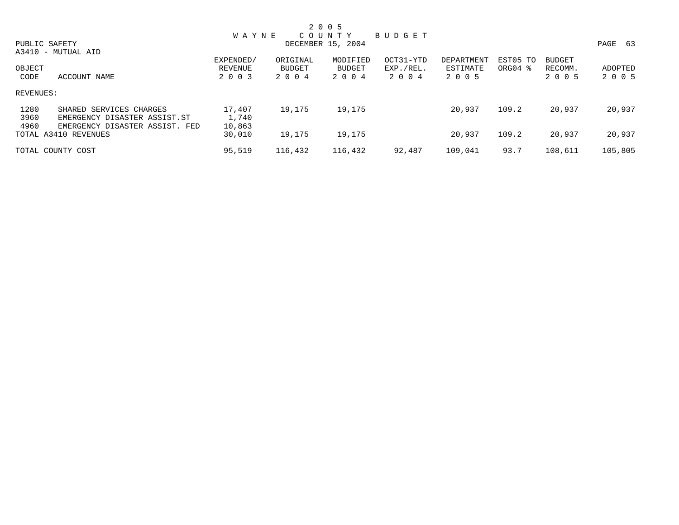|           |                                |           |          | 2 0 0 5           |           |            |                     |               |         |
|-----------|--------------------------------|-----------|----------|-------------------|-----------|------------|---------------------|---------------|---------|
|           |                                | W A Y N E |          | C O U N T Y       | BUDGET    |            |                     |               |         |
|           | PUBLIC SAFETY                  |           |          | DECEMBER 15, 2004 |           |            |                     |               | PAGE 63 |
|           | A3410 - MUTUAL AID             |           |          |                   |           |            |                     |               |         |
|           |                                | EXPENDED/ | ORIGINAL | MODIFIED          | OCT31-YTD | DEPARTMENT | EST05 TO            | <b>BUDGET</b> |         |
| OBJECT    |                                | REVENUE   | BUDGET   | BUDGET            | EXP./REL. | ESTIMATE   | ORG04 $\frac{8}{3}$ | RECOMM.       | ADOPTED |
| CODE      | ACCOUNT NAME                   | 2 0 0 3   | 2004     | 2 0 0 4           | 2004      | 2 0 0 5    |                     | 2 0 0 5       | 2 0 0 5 |
| REVENUES: |                                |           |          |                   |           |            |                     |               |         |
| 1280      | SHARED SERVICES CHARGES        | 17,407    | 19,175   | 19,175            |           | 20,937     | 109.2               | 20,937        | 20,937  |
| 3960      | EMERGENCY DISASTER ASSIST.ST   | 1,740     |          |                   |           |            |                     |               |         |
| 4960      | EMERGENCY DISASTER ASSIST. FED | 10,863    |          |                   |           |            |                     |               |         |
|           | TOTAL A3410 REVENUES           | 30,010    | 19,175   | 19,175            |           | 20,937     | 109.2               | 20,937        | 20,937  |
|           | TOTAL COUNTY COST              | 95,519    | 116,432  | 116,432           | 92,487    | 109,041    | 93.7                | 108,611       | 105,805 |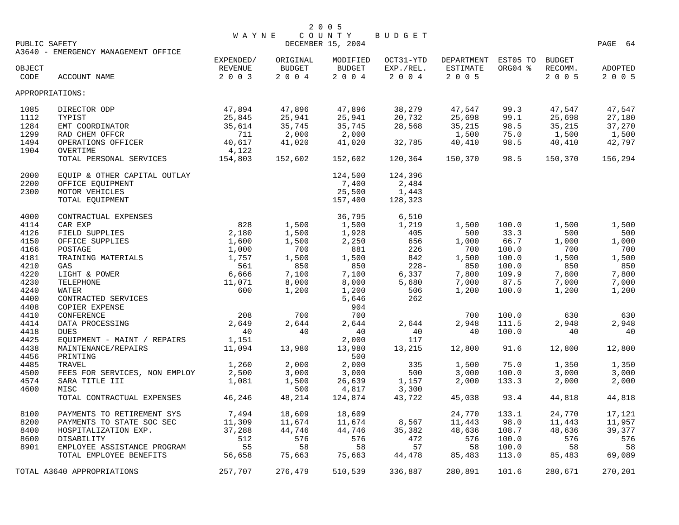|               |                                     | <b>WAYNE</b> |               | COUNTY            | BUDGET    |                     |         |               |            |
|---------------|-------------------------------------|--------------|---------------|-------------------|-----------|---------------------|---------|---------------|------------|
| PUBLIC SAFETY |                                     |              |               | DECEMBER 15, 2004 |           |                     |         |               | PAGE<br>64 |
|               | A3640 - EMERGENCY MANAGEMENT OFFICE |              |               |                   |           |                     |         |               |            |
|               |                                     | EXPENDED/    | ORIGINAL      | MODIFIED          | OCT31-YTD | DEPARTMENT EST05 TO |         | <b>BUDGET</b> |            |
| OBJECT        |                                     | REVENUE      | <b>BUDGET</b> | BUDGET            | EXP./REL. | ESTIMATE            | ORG04 % | RECOMM.       | ADOPTED    |
| CODE          | ACCOUNT NAME                        | 2 0 0 3      | 2004          | 2 0 0 4           | 2 0 0 4   | 2 0 0 5             |         | 2 0 0 5       | 2 0 0 5    |
|               |                                     |              |               |                   |           |                     |         |               |            |
|               | APPROPRIATIONS:                     |              |               |                   |           |                     |         |               |            |
| 1085          | DIRECTOR ODP                        | 47,894       | 47,896        | 47,896            | 38,279    | 47,547              | 99.3    | 47,547        | 47,547     |
| 1112          | TYPIST                              | 25,845       | 25,941        | 25,941            | 20,732    | 25,698              | 99.1    | 25,698        | 27,180     |
| 1284          | EMT COORDINATOR                     | 35,614       | 35,745        | 35,745            | 28,568    | 35,215              | 98.5    | 35,215        | 37,270     |
| 1299          | RAD CHEM OFFCR                      | 711          | 2,000         | 2,000             |           | 1,500               | 75.0    | 1,500         | 1,500      |
| 1494          | OPERATIONS OFFICER                  | 40,617       | 41,020        | 41,020            | 32,785    | 40,410              | 98.5    | 40,410        | 42,797     |
| 1904          |                                     | 4,122        |               |                   |           |                     |         |               |            |
|               | OVERTIME                            |              |               | 152,602           |           |                     | 98.5    | 150,370       |            |
|               | TOTAL PERSONAL SERVICES             | 154,803      | 152,602       |                   | 120,364   | 150,370             |         |               | 156,294    |
| 2000          | EQUIP & OTHER CAPITAL OUTLAY        |              |               | 124,500           | 124,396   |                     |         |               |            |
| 2200          | OFFICE EQUIPMENT                    |              |               | 7,400             | 2,484     |                     |         |               |            |
| 2300          | MOTOR VEHICLES                      |              |               | 25,500            | 1,443     |                     |         |               |            |
|               | TOTAL EQUIPMENT                     |              |               | 157,400           | 128,323   |                     |         |               |            |
| 4000          | CONTRACTUAL EXPENSES                |              |               | 36,795            | 6,510     |                     |         |               |            |
| 4114          | CAR EXP                             | 828          | 1,500         | 1,500             | 1,219     | 1,500               | 100.0   | 1,500         | 1,500      |
| 4126          |                                     | 2,180        | 1,500         | 1,928             | 405       | 500                 | 33.3    | 500           | 500        |
|               | FIELD SUPPLIES                      |              |               |                   |           |                     |         |               |            |
| 4150          | OFFICE SUPPLIES                     | 1,600        | 1,500         | 2,250             | 656       | 1,000               | 66.7    | 1,000         | 1,000      |
| 4166          | POSTAGE                             | 1,000        | 700           | 881               | 226       | 700                 | 100.0   | 700           | 700        |
| 4181          | TRAINING MATERIALS                  | 1,757        | 1,500         | 1,500             | 842       | 1,500               | 100.0   | 1,500         | 1,500      |
| 4210          | GAS                                 | 561          | 850           | 850               | $228 -$   | 850                 | 100.0   | 850           | 850        |
| 4220          | LIGHT & POWER                       | 6,666        | 7,100         | 7,100             | 6,337     | 7,800               | 109.9   | 7,800         | 7,800      |
| 4230          | TELEPHONE                           | 11,071       | 8,000         | 8,000             | 5,680     | 7,000               | 87.5    | 7,000         | 7,000      |
| 4240          | <b>WATER</b>                        | 600          | 1,200         | 1,200             | 506       | 1,200               | 100.0   | 1,200         | 1,200      |
| 4400          | CONTRACTED SERVICES                 |              |               | 5,646             | 262       |                     |         |               |            |
| 4408          | COPIER EXPENSE                      |              |               | 904               |           |                     |         |               |            |
| 4410          | CONFERENCE                          | 208          | 700           | 700               |           | 700                 | 100.0   | 630           | 630        |
| 4414          | DATA PROCESSING                     | 2,649        | 2,644         | 2,644             | 2,644     | 2,948               | 111.5   | 2,948         | 2,948      |
|               |                                     | 40           | 40            | 40                | 40        | 40                  | 100.0   | 40            | 40         |
| 4418          | <b>DUES</b>                         |              |               |                   |           |                     |         |               |            |
| 4425          | EQUIPMENT - MAINT / REPAIRS         | 1,151        |               | 2,000             | 117       |                     |         |               |            |
| 4438          | MAINTENANCE/REPAIRS                 | 11,094       | 13,980        | 13,980            | 13,215    | 12,800              | 91.6    | 12,800        | 12,800     |
| 4456          | PRINTING                            |              |               | 500               |           |                     |         |               |            |
| 4485          | TRAVEL                              | 1,260        | 2,000         | 2,000             | 335       | 1,500               | 75.0    | 1,350         | 1,350      |
| 4500          | FEES FOR SERVICES, NON EMPLOY       | 2,500        | 3,000         | 3,000             | 500       | 3,000               | 100.0   | 3,000         | 3,000      |
| 4574          | SARA TITLE III                      | 1,081        | 1,500         | 26,639            | 1,157     | 2,000               | 133.3   | 2,000         | 2,000      |
| 4600          | MISC                                |              | 500           | 4,817             | 3,300     |                     |         |               |            |
|               | TOTAL CONTRACTUAL EXPENSES          | 46,246       | 48,214        | 124,874           | 43,722    | 45,038              | 93.4    | 44,818        | 44,818     |
| 8100          | PAYMENTS TO RETIREMENT SYS          | 7,494        | 18,609        | 18,609            |           | 24,770              | 133.1   | 24,770        | 17,121     |
|               |                                     |              |               |                   |           |                     |         |               |            |
| 8200          | PAYMENTS TO STATE SOC SEC           | 11,309       | 11,674        | 11,674            | 8,567     | 11,443              | 98.0    | 11,443        | 11,957     |
| 8400          | HOSPITALIZATION EXP.                | 37,288       | 44,746        | 44,746            | 35,382    | 48,636              | 108.7   | 48,636        | 39,377     |
| 8600          | DISABILITY                          | 512          | 576           | 576               | 472       | 576                 | 100.0   | 576           | 576        |
| 8901          | EMPLOYEE ASSISTANCE PROGRAM         | 55           | 58            | 58                | 57        | 58                  | 100.0   | 58            | 58         |
|               | TOTAL EMPLOYEE BENEFITS             | 56,658       | 75,663        | 75,663            | 44,478    | 85,483              | 113.0   | 85,483        | 69,089     |
|               | TOTAL A3640 APPROPRIATIONS          | 257,707      | 276,479       | 510,539           | 336,887   | 280,891             | 101.6   | 280,671       | 270,201    |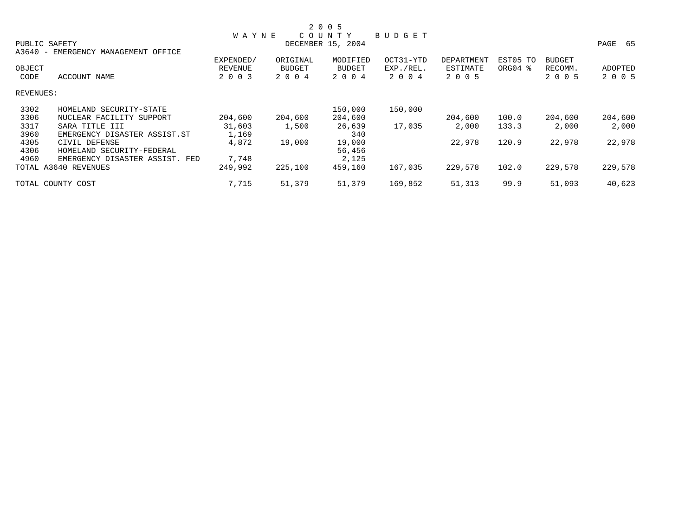|           |                                     |              |               | 2 0 0 5           |               |            |                     |               |         |
|-----------|-------------------------------------|--------------|---------------|-------------------|---------------|------------|---------------------|---------------|---------|
|           |                                     | <b>WAYNE</b> |               | COUNTY            | <b>BUDGET</b> |            |                     |               |         |
|           | PUBLIC SAFETY                       |              |               | DECEMBER 15, 2004 |               |            |                     |               | PAGE 65 |
|           | A3640 - EMERGENCY MANAGEMENT OFFICE |              |               |                   |               |            |                     |               |         |
|           |                                     | EXPENDED/    | ORIGINAL      | MODIFIED          | OCT31-YTD     | DEPARTMENT | EST05 TO            | <b>BUDGET</b> |         |
| OBJECT    |                                     | REVENUE      | <b>BUDGET</b> | <b>BUDGET</b>     | EXP./REL.     | ESTIMATE   | ORG04 $\frac{8}{3}$ | RECOMM.       | ADOPTED |
| CODE      | ACCOUNT NAME                        | 2 0 0 3      | 2 0 0 4       | 2 0 0 4           | 2 0 0 4       | 2 0 0 5    |                     | 2 0 0 5       | 2 0 0 5 |
| REVENUES: |                                     |              |               |                   |               |            |                     |               |         |
| 3302      | HOMELAND SECURITY-STATE             |              |               | 150,000           | 150,000       |            |                     |               |         |
| 3306      | NUCLEAR FACILITY SUPPORT            | 204,600      | 204,600       | 204,600           |               | 204,600    | 100.0               | 204,600       | 204,600 |
| 3317      | SARA TITLE III                      | 31,603       | 1,500         | 26,639            | 17,035        | 2,000      | 133.3               | 2,000         | 2,000   |
| 3960      | EMERGENCY DISASTER ASSIST.ST        | 1,169        |               | 340               |               |            |                     |               |         |
| 4305      | CIVIL DEFENSE                       | 4,872        | 19,000        | 19,000            |               | 22,978     | 120.9               | 22,978        | 22,978  |
| 4306      | HOMELAND SECURITY-FEDERAL           |              |               | 56,456            |               |            |                     |               |         |
| 4960      | EMERGENCY DISASTER ASSIST. FED      | 7,748        |               | 2,125             |               |            |                     |               |         |
|           | TOTAL A3640 REVENUES                | 249,992      | 225,100       | 459,160           | 167,035       | 229,578    | 102.0               | 229,578       | 229,578 |
|           | TOTAL COUNTY COST                   | 7,715        | 51,379        | 51,379            | 169,852       | 51,313     | 99.9                | 51,093        | 40,623  |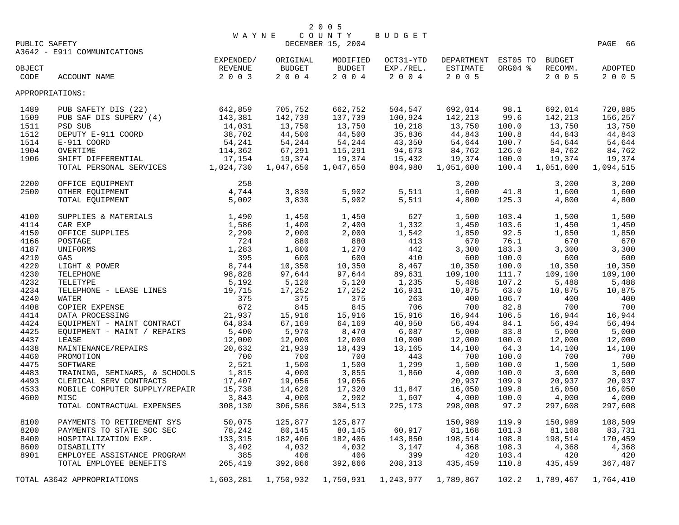|               |                                   | <b>WAYNE</b> |                       | COUNTY                              | BUDGET                             |                     |         |           |           |
|---------------|-----------------------------------|--------------|-----------------------|-------------------------------------|------------------------------------|---------------------|---------|-----------|-----------|
| PUBLIC SAFETY |                                   |              |                       | DECEMBER 15, 2004                   |                                    |                     |         |           | PAGE 66   |
|               | A3642 - E911 COMMUNICATIONS       |              |                       |                                     |                                    |                     |         |           |           |
|               |                                   | EXPENDED/    | ORIGINAL              | MODIFIED                            | OCT31-YTD                          | DEPARTMENT EST05 TO |         | BUDGET    |           |
| OBJECT        |                                   | REVENUE      | <b>BUDGET</b>         | <b>BUDGET</b>                       | EXP./REL.                          | ESTIMATE            | ORG04 % | RECOMM.   | ADOPTED   |
| CODE          | ACCOUNT NAME                      | 2 0 0 3      | $2 0 0 4$             | 2004                                | 2 0 0 4                            | 2 0 0 5             |         | 2 0 0 5   | 2 0 0 5   |
|               | APPROPRIATIONS:                   |              |                       |                                     |                                    |                     |         |           |           |
| 1489          | PUB SAFETY DIS (22)               | 642,859      | 705,752               | 662,752                             | 504,547                            | 692,014             | 98.1    | 692,014   | 720,885   |
| 1509          | PUB SAF DIS SUPERV (4)            | 143,381      | 142,739               | 137,739                             | 100,924                            | 142,213             | 99.6    | 142,213   | 156,257   |
| 1511          | PSD SUB                           | 14,031       | $\frac{13}{44}$ , 750 | 13,750                              | $\frac{10}{35}$ , $\frac{218}{35}$ | 13,750              | 100.0   | 13,750    | 13,750    |
| 1512          | DEPUTY E-911 COORD                | 38,702       | 44,500                | 44,500                              | 35,836                             | 44,843              | 100.8   | 44,843    | 44,843    |
| 1514          | E-911 COORD                       | 54,241       | 54,244                | 54,244                              | 43,350                             | 54,644              | 100.7   | 54,644    | 54,644    |
| 1904          | OVERTIME                          | 114,362      | 67,291                | 115,291                             | 94,673                             | 84,762              | 126.0   | 84,762    | 84,762    |
| 1906          | SHIFT DIFFERENTIAL                | 17,154       | 19,374                | 19,374                              | 15,432                             | 19,374              | 100.0   | 19,374    | 19,374    |
|               | TOTAL PERSONAL SERVICES 1,024,730 |              | 1,047,650             | 1,047,650                           | 804,980                            | 1,051,600           | 100.4   | 1,051,600 | 1,094,515 |
| 2200          | OFFICE EQUIPMENT                  | 258          |                       |                                     |                                    | 3,200               |         | 3,200     | 3,200     |
| 2500          | OTHER EQUIPMENT                   | 4,744        | 3,830                 | 5,902                               | 5,511                              | 1,600               | 41.8    | 1,600     | 1,600     |
|               | TOTAL EQUIPMENT                   | 5,002        | 3,830                 | 5,902                               | 5,511                              | 4,800               | 125.3   | 4,800     | 4,800     |
|               |                                   |              |                       |                                     |                                    |                     |         |           |           |
| 4100          | SUPPLIES & MATERIALS $1,490$      |              | 1,450                 | 1,450                               | 627                                | 1,500               | 103.4   | 1,500     | 1,500     |
| 4114          | CAR EXP                           | 1,586        | 1,400                 | 2,400                               | 1,332                              | 1,450               | 103.6   | 1,450     | 1,450     |
| 4150          | OFFICE SUPPLIES                   | 2,299        | 2,000                 | 2,000                               | 1,542                              | 1,850               | 92.5    | 1,850     | 1,850     |
| 4166          | POSTAGE                           | 724          | 880                   | 880                                 | 413                                | 670                 | 76.1    | 670       | 670       |
| 4187          | UNIFORMS                          | 1,283        | 1,800                 | 1,270                               | 442                                | 3,300               | 183.3   | 3,300     | 3,300     |
| 4210          | GAS                               |              | 600                   | 600                                 | 410                                | 600                 | 100.0   | 600       | 600       |
| 4220          | $395$<br>$8,744$<br>LIGHT & POWER |              | 10,350                | 10,350                              | 8,467                              | 10,350              | 100.0   | 10,350    | 10,350    |
| 4230          | TELEPHONE                         | 98,828       | 97,644                | 97,644                              | 89,631                             | 109,100             | 111.7   | 109,100   | 109,100   |
| 4232          | TELETYPE                          | 5,192        | 5,120                 | 5,120                               | 1,235                              | 5,488               | 107.2   | 5,488     | 5,488     |
| 4234          | TELEPHONE - LEASE LINES 19,715    |              | 17,252                | 17,252                              | 16,931                             | 10,875              | 63.0    | 10,875    | 10,875    |
| 4240          | WATER                             | 375          | 375                   | 375                                 | 263                                | 400                 | 106.7   | 400       | 400       |
| 4408          | COPIER EXPENSE                    | 672          | 845                   | 845                                 | 706                                | 700                 | 82.8    | 700       | 700       |
| 4414          | DATA PROCESSING                   | 21,937       | 15,916                | 15,916                              | 15,916                             | 16,944              | 106.5   | 16,944    | 16,944    |
| 4424          | EQUIPMENT - MAINT CONTRACT        | 64,834       | 67,169                | 64,169                              | 40,950                             | 56,494              | 84.1    | 56,494    | 56,494    |
| 4425          | EQUIPMENT - MAINT / REPAIRS       | 5,400        | 5,970                 | 8,470                               | 6,087                              | 5,000               | 83.8    | 5,000     | 5,000     |
| 4437          | LEASE                             | 12,000       | 12,000                | 12,000                              | 10,000                             | 12,000              | 100.0   | 12,000    | 12,000    |
| 4438          | MAINTENANCE/REPAIRS               | 20,632       | 21,939                | 18,439                              | 13,165                             | 14,100              | 64.3    | 14,100    | 14,100    |
| 4460          | PROMOTION                         | 700          | 700                   | 700                                 | 443                                | 700                 | 100.0   | 700       | 700       |
| 4475          | SOFTWARE                          | 2,521        | 1,500                 | 1,500                               | 1,299                              | 1,500               | 100.0   | 1,500     | 1,500     |
| 4483          | TRAINING, SEMINARS, & SCHOOLS     | 1,815        | 4,000                 | 3,855                               | 1,860                              | 4,000               | 100.0   | 3,600     | 3,600     |
| 4493          | CLERICAL SERV CONTRACTS           | 17,407       | 19,056                | 19,056                              |                                    | 20,937              | 109.9   | 20,937    | 20,937    |
| 4533          | MOBILE COMPUTER SUPPLY/REPAIR     | 15,738       | 14,620                | 17,320                              | 11,847                             | 16,050              | 109.8   | 16,050    | 16,050    |
| 4600          | MISC                              | 3,843        | 4,000                 | 2,902                               | 1,607                              | 4,000               | 100.0   | 4,000     | 4,000     |
|               | TOTAL CONTRACTUAL EXPENSES        | 308,130      | 306,586               | 304,513                             | 225,173                            | 298,008             | 97.2    | 297,608   | 297,608   |
| 8100          | PAYMENTS TO RETIREMENT SYS        | 50,075       | 125,877               | 125,877                             |                                    | 150,989             | 119.9   | 150,989   | 108,509   |
| 8200          | PAYMENTS TO STATE SOC SEC         | 78,242       | 80,145                | 80,145                              | 60,917                             | 81,168              | 101.3   | 81,168    | 83,731    |
| 8400          | HOSPITALIZATION EXP.              | 133,315      | 182,406               | 182,406                             | 143,850                            | 198,514             | 108.8   | 198,514   | 170,459   |
| 8600          | DISABILITY                        | 3,402        | 4,032                 | 4,032                               | 3,147                              | 4,368               | 108.3   | 4,368     | 4,368     |
| 8901          | EMPLOYEE ASSISTANCE PROGRAM       | 385          | 406                   | 406                                 | 399                                | 420                 | 103.4   | 420       | 420       |
|               | TOTAL EMPLOYEE BENEFITS           | 265,419      | 392,866               | 392,866                             | 208,313                            | 435,459             | 110.8   | 435,459   | 367,487   |
|               | TOTAL A3642 APPROPRIATIONS        | 1,603,281    |                       | 1,750,932    1,750,931    1,243,977 |                                    | 1,789,867           | 102.2   | 1,789,467 | 1,764,410 |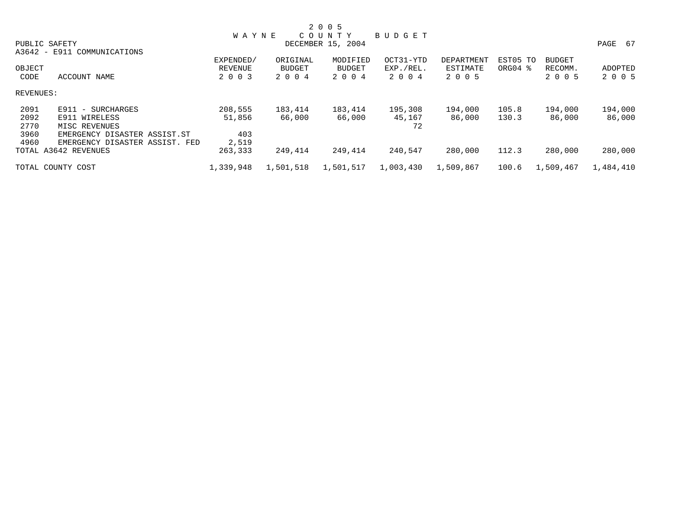|           |                                |              |               | 2 0 0 5           |               |            |                     |               |           |
|-----------|--------------------------------|--------------|---------------|-------------------|---------------|------------|---------------------|---------------|-----------|
|           |                                | <b>WAYNE</b> |               | COUNTY            | <b>BUDGET</b> |            |                     |               |           |
|           | PUBLIC SAFETY                  |              |               | DECEMBER 15, 2004 |               |            |                     |               | PAGE 67   |
|           | A3642 - E911 COMMUNICATIONS    |              |               |                   |               |            |                     |               |           |
|           |                                | EXPENDED/    | ORIGINAL      | MODIFIED          | OCT31-YTD     | DEPARTMENT | EST05 TO            | <b>BUDGET</b> |           |
| OBJECT    |                                | REVENUE      | <b>BUDGET</b> | <b>BUDGET</b>     | EXP./REL.     | ESTIMATE   | ORG04 $\frac{8}{3}$ | RECOMM.       | ADOPTED   |
| CODE      | <b>ACCOUNT NAME</b>            | 2 0 0 3      | 2 0 0 4       | 2 0 0 4           | 2004          | 2 0 0 5    |                     | 2 0 0 5       | 2 0 0 5   |
| REVENUES: |                                |              |               |                   |               |            |                     |               |           |
| 2091      | $E911 - SURCHARGES$            | 208,555      | 183,414       | 183,414           | 195,308       | 194,000    | 105.8               | 194,000       | 194,000   |
| 2092      | E911 WIRELESS                  | 51,856       | 66,000        | 66,000            | 45,167        | 86,000     | 130.3               | 86,000        | 86,000    |
| 2770      | MISC REVENUES                  |              |               |                   | 72            |            |                     |               |           |
| 3960      | EMERGENCY DISASTER ASSIST.ST   | 403          |               |                   |               |            |                     |               |           |
| 4960      | EMERGENCY DISASTER ASSIST. FED | 2,519        |               |                   |               |            |                     |               |           |
|           | TOTAL A3642 REVENUES           | 263,333      | 249,414       | 249,414           | 240,547       | 280,000    | 112.3               | 280,000       | 280,000   |
|           | TOTAL COUNTY COST              | 1,339,948    | 1,501,518     | 1,501,517         | 1,003,430     | 1,509,867  | 100.6               | 1,509,467     | 1,484,410 |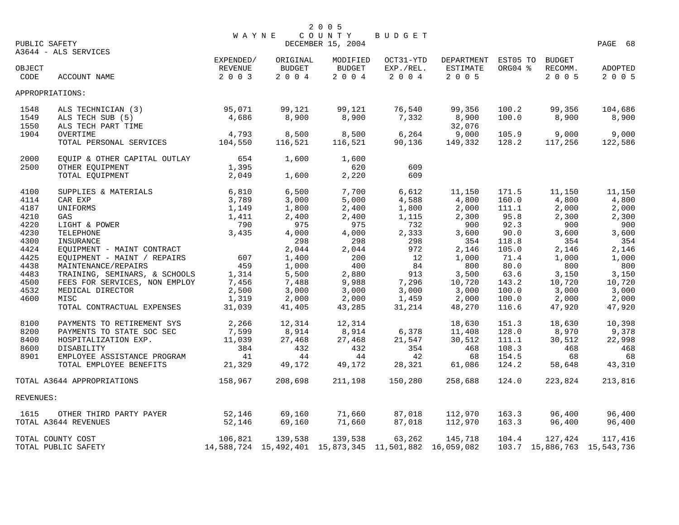|           |                                     |                  |                          | 2 0 0 5                                                |                 |                            |                |                  |                             |
|-----------|-------------------------------------|------------------|--------------------------|--------------------------------------------------------|-----------------|----------------------------|----------------|------------------|-----------------------------|
|           | PUBLIC SAFETY                       | <b>WAYNE</b>     |                          | COUNTY<br>DECEMBER 15, 2004                            | BUDGET          |                            |                |                  | PAGE 68                     |
|           | A3644 - ALS SERVICES                |                  |                          |                                                        |                 |                            |                |                  |                             |
|           |                                     | EXPENDED/        | ORIGINAL                 | MODIFIED                                               | OCT31-YTD       | DEPARTMENT EST05 TO BUDGET |                |                  |                             |
| OBJECT    |                                     | REVENUE          | BUDGET                   | BUDGET                                                 | EXP./REL.       | ESTIMATE                   | ORG04 %        | RECOMM.          | ADOPTED                     |
| CODE      | ACCOUNT NAME                        | 2 0 0 3          | $2\quad 0\quad 0\quad 4$ | 2 0 0 4                                                | $2 0 0 4$       | 2 0 0 5                    |                | 2 0 0 5          | 2 0 0 5                     |
|           | APPROPRIATIONS:                     |                  |                          |                                                        |                 |                            |                |                  |                             |
| 1548      | ALS TECHNICIAN (3)                  | 95,071           | 99,121                   | 99,121                                                 | 76,540          | 99,356                     | 100.2          | 99,356           | 104,686                     |
| 1549      | ALS TECH SUB (5)                    | 4,686            | 8,900                    | 8,900                                                  | 7,332           | 8,900                      | 100.0          | 8,900            | 8,900                       |
| 1550      | ALS TECH PART TIME                  |                  |                          |                                                        |                 | 32,076                     |                |                  |                             |
| 1904      | OVERTIME<br>TOTAL PERSONAL SERVICES | 4,793<br>104,550 | 8,500<br>116,521         | 8,500<br>116,521                                       | 6,264<br>90,136 | 9,000<br>149,332           | 105.9<br>128.2 | 9,000<br>117,256 | 9,000<br>122,586            |
|           |                                     |                  |                          |                                                        |                 |                            |                |                  |                             |
| 2000      | EQUIP & OTHER CAPITAL OUTLAY 654    |                  | 1,600                    | 1,600                                                  |                 |                            |                |                  |                             |
| 2500      | OTHER EQUIPMENT                     | 1,395            |                          | 620                                                    | 609             |                            |                |                  |                             |
|           | TOTAL EQUIPMENT                     | 2,049            | 1,600                    | 2,220                                                  | 609             |                            |                |                  |                             |
| 4100      | SUPPLIES & MATERIALS                | 6,810            | 6,500                    | 7,700                                                  | 6,612           | 11,150                     | 171.5          | 11,150           | 11,150                      |
| 4114      | CAR EXP                             | 3,789            | 3,000                    | 5,000                                                  | 4,588           | 4,800                      | 160.0          | 4,800            | 4,800                       |
| 4187      | UNIFORMS                            | 1,149            | 1,800                    | 2,400                                                  | 1,800           | 2,000                      | 111.1          | 2,000            | 2,000                       |
| 4210      | GAS                                 | 1,411            | 2,400                    | 2,400                                                  | 1,115           | 2,300                      | 95.8           | 2,300            | 2,300                       |
| 4220      | LIGHT & POWER                       | 790              | 975                      | 975                                                    | 732             | 900                        | 92.3           | 900              | 900                         |
| 4230      | TELEPHONE                           | 3,435            | 4,000                    | 4,000                                                  | 2,333           | 3,600                      | 90.0           | 3,600            | 3,600                       |
| 4300      | INSURANCE                           |                  | 298                      | 298                                                    | 298             | 354                        | 118.8          | 354              | 354                         |
| 4424      | EQUIPMENT - MAINT CONTRACT          |                  | 2,044                    | 2,044                                                  | 972             | 2,146                      | 105.0          | 2,146            | 2,146                       |
| 4425      | EQUIPMENT - MAINT / REPAIRS         | 607              | 1,400                    | 200                                                    | 12              | 1,000                      | 71.4           | 1,000            | 1,000                       |
| 4438      | MAINTENANCE/REPAIRS                 | 459              | 1,000                    | 400                                                    | 84              | 800                        | 80.0           | 800              | 800                         |
| 4483      | TRAINING, SEMINARS, & SCHOOLS       | 1,314            | 5,500                    | 2,880                                                  | 913             | 3,500                      | 63.6           | 3,150            | 3,150                       |
| 4500      | FEES FOR SERVICES, NON EMPLOY       | 7,456            | 7,488                    | 9,988                                                  | 7,296           | 10,720                     | 143.2          | 10,720           | 10,720                      |
| 4532      | MEDICAL DIRECTOR                    | 2,500            | 3,000                    | 3,000                                                  | 3,000           | 3,000                      | 100.0          | 3,000            | 3,000                       |
| 4600      | MISC                                | 1,319            | 2,000                    | 2,000                                                  | 1,459           | 2,000                      | 100.0          | 2,000            | 2,000                       |
|           | TOTAL CONTRACTUAL EXPENSES          | 31,039           | 41,405                   | 43,285                                                 | 31,214          | 48,270                     | 116.6          | 47,920           | 47,920                      |
| 8100      | PAYMENTS TO RETIREMENT SYS          | 2,266            | 12,314                   | 12,314                                                 |                 | 18,630                     | 151.3          | 18,630           | 10,398                      |
| 8200      | PAYMENTS TO STATE SOC SEC           | 7,599            | 8,914                    | 8,914                                                  | 6,378           | 11,408                     | 128.0          | 8,970            | 9,378                       |
| 8400      | HOSPITALIZATION EXP.                | 11,039           | 27,468                   | 27,468                                                 | 21,547          | 30,512                     | 111.1          | 30,512           | 22,998                      |
| 8600      | DISABILITY                          | 384              | 432                      | 432                                                    | 354             | 468                        | 108.3          | 468              | 468                         |
| 8901      | EMPLOYEE ASSISTANCE PROGRAM         | 41               | 44                       | 44                                                     | 42              | 68                         | 154.5          | 68               | 68                          |
|           | TOTAL EMPLOYEE BENEFITS             | 21,329           | 49,172                   | 49,172                                                 | 28,321          | 61,086                     | 124.2          | 58,648           | 43,310                      |
|           | TOTAL A3644 APPROPRIATIONS          | 158,967          | 208,698                  | 211,198                                                | 150,280         | 258,688                    | 124.0          | 223,824          | 213,816                     |
| REVENUES: |                                     |                  |                          |                                                        |                 |                            |                |                  |                             |
| 1615      | OTHER THIRD PARTY PAYER 52,146      |                  | 69,160                   | 71,660                                                 | 87,018          | 112,970                    | 163.3          | 96,400           | 96,400                      |
|           | TOTAL A3644 REVENUES                | 52,146           | 69,160                   | 71,660                                                 | 87,018          | 112,970                    | 163.3          | 96,400           | 96,400                      |
|           | TOTAL COUNTY COST                   | 106,821          | 139,538                  | 139,538                                                | 63,262          | 145,718                    | 104.4          | 127,424          | 117,416                     |
|           | TOTAL PUBLIC SAFETY                 |                  |                          | 14,588,724 15,492,401 15,873,345 11,501,882 16,059,082 |                 |                            |                |                  | 103.7 15,886,763 15,543,736 |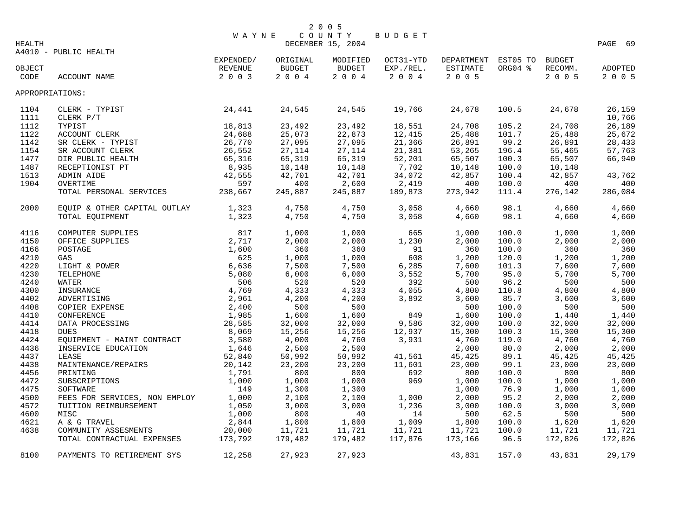|        |                                 | <b>WAYNE</b> |                          | COUNTY            | BUDGET    |                               |         |               |         |
|--------|---------------------------------|--------------|--------------------------|-------------------|-----------|-------------------------------|---------|---------------|---------|
| HEALTH |                                 |              |                          | DECEMBER 15, 2004 |           |                               |         |               | PAGE 69 |
|        | A4010 - PUBLIC HEALTH           |              |                          |                   |           |                               |         |               |         |
|        |                                 | EXPENDED/    | ORIGINAL                 | MODIFIED          |           | OCT31-YTD DEPARTMENT EST05 TO |         | <b>BUDGET</b> |         |
| OBJECT |                                 | REVENUE      | <b>BUDGET</b>            | BUDGET            | EXP./REL. | ESTIMATE                      | ORG04 % | RECOMM.       | ADOPTED |
| CODE   | ACCOUNT NAME                    | 2 0 0 3      | $2\quad 0\quad 0\quad 4$ | 2004              | 2 0 0 4   | 2 0 0 5                       |         | 2 0 0 5       | 2 0 0 5 |
|        | APPROPRIATIONS:                 |              |                          |                   |           |                               |         |               |         |
|        |                                 |              |                          |                   |           |                               |         |               |         |
| 1104   | 24,441<br>CLERK - TYPIST        |              | 24,545                   | 24,545            | 19,766    | 24,678                        | 100.5   | 24,678        | 26,159  |
| 1111   | CLERK P/T                       |              |                          |                   |           |                               |         |               | 10,766  |
| 1112   | TYPIST                          | 18,813       | 23,492                   | 23,492            | 18,551    | 24,708                        | 105.2   | 24,708        | 26,189  |
| 1122   | ACCOUNT CLERK                   | 24,688       | 25,073                   | 22,873            | 12,415    | 25,488                        | 101.7   | 25,488        | 25,672  |
| 1142   | SR CLERK - TYPIST               | 26,770       | 27,095                   | 27,095            | 21,366    | 26,891                        | 99.2    | 26,891        | 28,433  |
| 1154   | SR ACCOUNT CLERK                | 26,552       | 27,114                   | 27,114            | 21,381    | 53,265                        | 196.4   | 55,465        | 57,763  |
| 1477   | DIR PUBLIC HEALTH               | 65,316       | 65,319                   | 65,319            | 52,201    | 65,507                        | 100.3   | 65,507        | 66,940  |
| 1487   | RECEPTIONIST PT                 | 8,935        | 10,148                   | 10,148            | 7,702     | 10,148                        | 100.0   | 10,148        |         |
| 1513   | ADMIN AIDE                      | 42,555       | 42,701                   | 42,701            | 34,072    | 42,857                        | 100.4   | 42,857        | 43,762  |
| 1904   | OVERTIME                        | 597          | 400                      | 2,600             | 2,419     | 400                           | 100.0   | 400           | 400     |
|        | TOTAL PERSONAL SERVICES 238,667 |              | 245,887                  | 245,887           | 189,873   | 273,942                       | 111.4   | 276,142       | 286,084 |
|        |                                 |              |                          |                   |           |                               |         |               |         |
| 2000   | EQUIP & OTHER CAPITAL OUTLAY    | 1,323        | 4,750                    | 4,750             | 3,058     | 4,660                         | 98.1    | 4,660         | 4,660   |
|        | TOTAL EQUIPMENT                 | 1,323        | 4,750                    | 4,750             | 3,058     | 4,660                         | 98.1    | 4,660         | 4,660   |
| 4116   | COMPUTER SUPPLIES               | 817          | 1,000                    | 1,000             | 665       | 1,000                         | 100.0   | 1,000         | 1,000   |
| 4150   | OFFICE SUPPLIES                 | 2,717        | 2,000                    | 2,000             | 1,230     | 2,000                         | 100.0   | 2,000         | 2,000   |
| 4166   | POSTAGE                         | 1,600        | 360                      | 360               | 91        | 360                           | 100.0   | 360           | 360     |
| 4210   | GAS                             | 625          | 1,000                    | 1,000             | 608       | 1,200                         | 120.0   | 1,200         | 1,200   |
| 4220   | LIGHT & POWER                   | 6,636        | 7,500                    | 7,500             | 6,285     | 7,600                         | 101.3   | 7,600         | 7,600   |
| 4230   | TELEPHONE                       | 5,080        | 6,000                    | 6,000             | 3,552     | 5,700                         | 95.0    | 5,700         | 5,700   |
| 4240   | WATER                           | 506          | 520                      | 520               | 392       | 500                           | 96.2    | 500           | 500     |
| 4300   | INSURANCE                       | 4,769        | 4,333                    | 4,333             | 4,055     | 4,800                         | 110.8   | 4,800         | 4,800   |
| 4402   | ADVERTISING                     | 2,961        | 4,200                    | 4,200             | 3,892     | 3,600                         | 85.7    | 3,600         | 3,600   |
| 4408   | COPIER EXPENSE                  | 2,400        | 500                      | 500               |           | 500                           | 100.0   | 500           | 500     |
| 4410   |                                 | 1,985        | 1,600                    | 1,600             | 849       | 1,600                         | 100.0   | 1,440         | 1,440   |
| 4414   | CONFERENCE<br>DATA PROCESSING   | 28,585       | 32,000                   | 32,000            | 9,586     | 32,000                        | 100.0   | 32,000        | 32,000  |
|        | <b>DUES</b>                     | 8,069        | 15,256                   |                   |           |                               |         |               |         |
| 4418   |                                 |              |                          | 15,256            | 12,937    | 15,300                        | 100.3   | 15,300        | 15,300  |
| 4424   | EQUIPMENT - MAINT CONTRACT      | 3,580        | 4,000                    | 4,760             | 3,931     | 4,760                         | 119.0   | 4,760         | 4,760   |
| 4436   | INSERVICE EDUCATION             | 1,646        | 2,500                    | 2,500             |           | 2,000                         | 80.0    | 2,000         | 2,000   |
| 4437   | LEASE                           | 52,840       | 50,992                   | 50,992            | 41,561    | 45,425                        | 89.1    | 45,425        | 45,425  |
| 4438   | MAINTENANCE/REPAIRS             | 20,142       | 23,200                   | 23,200            | 11,601    | 23,000                        | 99.1    | 23,000        | 23,000  |
| 4456   | PRINTING                        | 1,791        | 800                      | 800               | 692       | 800                           | 100.0   | 800           | 800     |
| 4472   | SUBSCRIPTIONS                   | 1,000        | 1,000                    | 1,000             | 969       | 1,000                         | 100.0   | 1,000         | 1,000   |
| 4475   | SOFTWARE                        | 149          | 1,300                    | 1,300             |           | 1,000                         | 76.9    | 1,000         | 1,000   |
| 4500   | FEES FOR SERVICES, NON EMPLOY   | 1,000        | 2,100                    | 2,100             | 1,000     | 2,000                         | 95.2    | 2,000         | 2,000   |
| 4572   | TUITION REIMBURSEMENT           | 1,050        | 3,000                    | 3,000             | 1,236     | 3,000                         | 100.0   | 3,000         | 3,000   |
| 4600   | MISC                            | 1,000        | 800                      | 40                | 14        | 500                           | 62.5    | 500           | 500     |
| 4621   | A & G TRAVEL                    | 2,844        | 1,800                    | 1,800             | 1,009     | 1,800                         | 100.0   | 1,620         | 1,620   |
| 4638   | COMMUNITY ASSESMENTS            | 20,000       | 11,721                   | 11,721            | 11,721    | 11,721                        | 100.0   | 11,721        | 11,721  |
|        | TOTAL CONTRACTUAL EXPENSES      | 173,792      | 179,482                  | 179,482           | 117,876   | 173,166                       | 96.5    | 172,826       | 172,826 |
| 8100   | PAYMENTS TO RETIREMENT SYS      | 12,258       | 27,923                   | 27,923            |           | 43,831                        | 157.0   | 43,831        | 29,179  |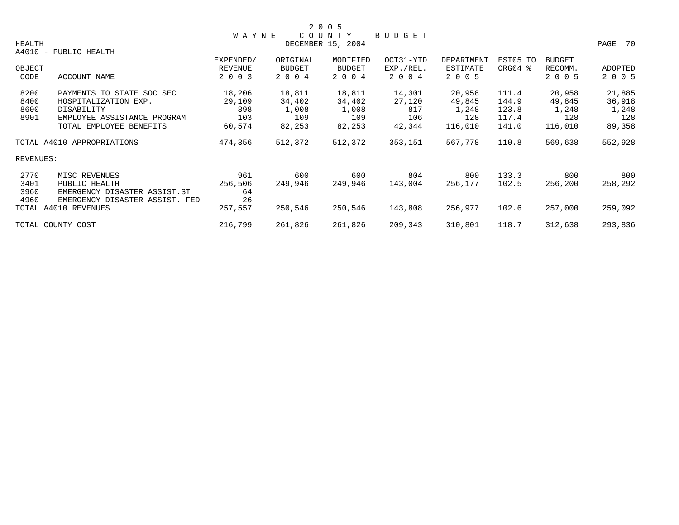|           |                                |              |          | 2 0 0 5           |           |                   |          |         |         |
|-----------|--------------------------------|--------------|----------|-------------------|-----------|-------------------|----------|---------|---------|
|           |                                | <b>WAYNE</b> |          | COUNTY            | BUDGET    |                   |          |         |         |
| HEALTH    |                                |              |          | DECEMBER 15, 2004 |           |                   |          |         | PAGE 70 |
|           | A4010 - PUBLIC HEALTH          |              |          |                   |           |                   |          |         |         |
|           |                                | EXPENDED/    | ORIGINAL | MODIFIED          | OCT31-YTD | <b>DEPARTMENT</b> | EST05 TO | BUDGET  |         |
| OBJECT    |                                | REVENUE      | BUDGET   | <b>BUDGET</b>     | EXP./REL. | ESTIMATE          | ORG04 %  | RECOMM. | ADOPTED |
| CODE      | ACCOUNT NAME                   | 2 0 0 3      | 2 0 0 4  | 2 0 0 4           | 2 0 0 4   | 2 0 0 5           |          | 2 0 0 5 | 2 0 0 5 |
| 8200      | PAYMENTS TO STATE SOC SEC      | 18,206       | 18,811   | 18,811            | 14,301    | 20,958            | 111.4    | 20,958  | 21,885  |
| 8400      | HOSPITALIZATION EXP.           | 29,109       | 34,402   | 34,402            | 27,120    | 49,845            | 144.9    | 49,845  | 36,918  |
| 8600      | DISABILITY                     | 898          | 1,008    | 1,008             | 817       | 1,248             | 123.8    | 1,248   | 1,248   |
| 8901      | EMPLOYEE ASSISTANCE PROGRAM    | 103          | 109      | 109               | 106       | 128               | 117.4    | 128     | 128     |
|           | TOTAL EMPLOYEE BENEFITS        | 60,574       | 82,253   | 82,253            | 42,344    | 116,010           | 141.0    | 116,010 | 89,358  |
|           | TOTAL A4010 APPROPRIATIONS     | 474,356      | 512,372  | 512,372           | 353,151   | 567,778           | 110.8    | 569,638 | 552,928 |
| REVENUES: |                                |              |          |                   |           |                   |          |         |         |
| 2770      | MISC REVENUES                  | 961          | 600      | 600               | 804       | 800               | 133.3    | 800     | 800     |
| 3401      | PUBLIC HEALTH                  | 256,506      | 249,946  | 249,946           | 143,004   | 256,177           | 102.5    | 256,200 | 258,292 |
| 3960      | EMERGENCY DISASTER ASSIST.ST   | 64           |          |                   |           |                   |          |         |         |
| 4960      | EMERGENCY DISASTER ASSIST. FED | 26           |          |                   |           |                   |          |         |         |
|           | TOTAL A4010 REVENUES           | 257,557      | 250,546  | 250,546           | 143,808   | 256,977           | 102.6    | 257,000 | 259,092 |
|           | TOTAL COUNTY COST              | 216,799      | 261,826  | 261,826           | 209,343   | 310,801           | 118.7    | 312,638 | 293,836 |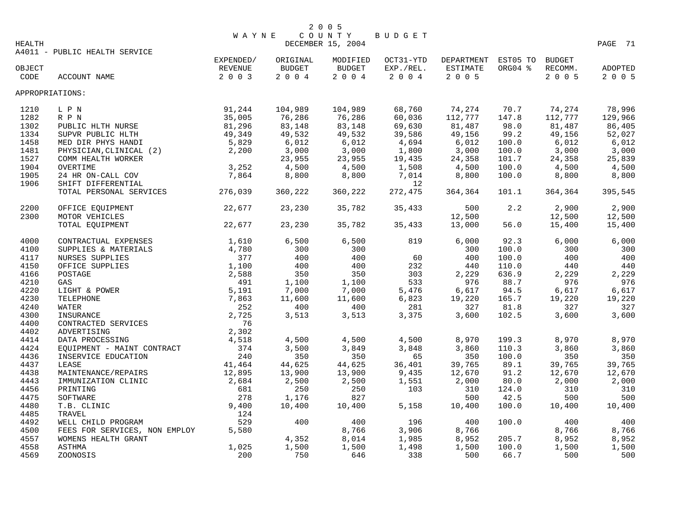|                 |                               | <b>WAYNE</b>   |               | COUNTY            | BUDGET    |            |          |               |         |
|-----------------|-------------------------------|----------------|---------------|-------------------|-----------|------------|----------|---------------|---------|
| HEALTH          |                               |                |               | DECEMBER 15, 2004 |           |            |          |               | PAGE 71 |
|                 | A4011 - PUBLIC HEALTH SERVICE |                |               |                   |           |            |          |               |         |
|                 |                               | EXPENDED/      | ORIGINAL      | MODIFIED          | OCT31-YTD | DEPARTMENT | EST05 TO | <b>BUDGET</b> |         |
| OBJECT          |                               | <b>REVENUE</b> | <b>BUDGET</b> | <b>BUDGET</b>     | EXP./REL. | ESTIMATE   | ORG04 %  | RECOMM.       | ADOPTED |
| CODE            | ACCOUNT NAME                  | 2 0 0 3        | 2004          | 2004              | 2004      | 2 0 0 5    |          | 2 0 0 5       | 2 0 0 5 |
| APPROPRIATIONS: |                               |                |               |                   |           |            |          |               |         |
| 1210            | L P N                         | 91,244         | 104,989       | 104,989           | 68,760    | 74,274     | 70.7     | 74,274        | 78,996  |
| 1282            | R P N                         | 35,005         | 76,286        | 76,286            | 60,036    | 112,777    | 147.8    | 112,777       | 129,966 |
| 1302            | PUBLIC HLTH NURSE             | 81,296         | 83,148        | 83,148            | 69,630    | 81,487     | 98.0     | 81,487        | 86,405  |
| 1334            | SUPVR PUBLIC HLTH             | 49,349         | 49,532        | 49,532            | 39,586    | 49,156     | 99.2     | 49,156        | 52,027  |
| 1458            | MED DIR PHYS HANDI            | 5,829          | 6,012         | 6,012             | 4,694     | 6,012      | 100.0    | 6,012         | 6,012   |
| 1481            | PHYSICIAN, CLINICAL (2)       | 2,200          | 3,000         | 3,000             | 1,800     | 3,000      | 100.0    | 3,000         | 3,000   |
| 1527            | COMM HEALTH WORKER            |                | 23,955        | 23,955            | 19,435    | 24,358     | 101.7    | 24,358        | 25,839  |
| 1904            | OVERTIME                      | 3,252          | 4,500         | 4,500             | 1,508     | 4,500      | 100.0    | 4,500         | 4,500   |
| 1905            | 24 HR ON-CALL COV             | 7,864          | 8,800         | 8,800             | 7,014     | 8,800      | 100.0    | 8,800         | 8,800   |
| 1906            | SHIFT DIFFERENTIAL            |                |               |                   | 12        |            |          |               |         |
|                 | TOTAL PERSONAL SERVICES       | 276,039        | 360,222       | 360,222           | 272,475   | 364,364    | 101.1    | 364,364       | 395,545 |
| 2200            | OFFICE EQUIPMENT              | 22,677         | 23,230        | 35,782            | 35,433    | 500        | 2.2      | 2,900         | 2,900   |
| 2300            | MOTOR VEHICLES                |                |               |                   |           | 12,500     |          | 12,500        | 12,500  |
|                 | TOTAL EQUIPMENT               | 22,677         | 23,230        | 35,782            | 35,433    | 13,000     | 56.0     | 15,400        | 15,400  |
| 4000            | CONTRACTUAL EXPENSES          | 1,610          | 6,500         | 6,500             | 819       | 6,000      | 92.3     | 6,000         | 6,000   |
| 4100            | SUPPLIES & MATERIALS          | 4,780          | 300           | 300               |           | 300        | 100.0    | 300           | 300     |
| 4117            | <b>NURSES SUPPLIES</b>        | 377            | 400           | 400               | 60        | 400        | 100.0    | 400           | 400     |
| 4150            | OFFICE SUPPLIES               | 1,100          | 400           | 400               | 232       | 440        | 110.0    | 440           | 440     |
| 4166            | POSTAGE                       | 2,588          | 350           | 350               | 303       | 2,229      | 636.9    | 2,229         | 2,229   |
| 4210            | GAS                           | 491            | 1,100         | 1,100             | 533       | 976        | 88.7     | 976           | 976     |
| 4220            | LIGHT & POWER                 | 5,191          | 7,000         | 7,000             | 5,476     | 6,617      | 94.5     | 6,617         | 6,617   |
| 4230            | TELEPHONE                     | 7,863          | 11,600        | 11,600            | 6,823     | 19,220     | 165.7    | 19,220        | 19,220  |
| 4240            | <b>WATER</b>                  | 252            | 400           | 400               | 281       | 327        | 81.8     | 327           | 327     |
| 4300            | INSURANCE                     | 2,725          | 3,513         | 3,513             | 3,375     | 3,600      | 102.5    | 3,600         | 3,600   |
| 4400            | CONTRACTED SERVICES           | 76             |               |                   |           |            |          |               |         |
| 4402            | ADVERTISING                   | 2,302          |               |                   |           |            |          |               |         |
| 4414            | DATA PROCESSING               | 4,518          | 4,500         | 4,500             | 4,500     | 8,970      | 199.3    | 8,970         | 8,970   |
| 4424            | EQUIPMENT - MAINT CONTRACT    | 374            | 3,500         | 3,849             | 3,848     | 3,860      | 110.3    | 3,860         | 3,860   |
| 4436            | INSERVICE EDUCATION           | 240            | 350           | 350               | 65        | 350        | 100.0    | 350           | 350     |
| 4437            | LEASE                         | 41,464         | 44,625        | 44,625            | 36,401    | 39,765     | 89.1     | 39,765        | 39,765  |
| 4438            | MAINTENANCE/REPAIRS           | 12,895         | 13,900        | 13,900            | 9,435     | 12,670     | 91.2     | 12,670        | 12,670  |
| 4443            | IMMUNIZATION CLINIC           | 2,684          | 2,500         | 2,500             | 1,551     | 2,000      | 80.0     | 2,000         | 2,000   |
| 4456            | PRINTING                      | 681            | 250           | 250               | 103       | 310        | 124.0    | 310           | 310     |
| 4475            | SOFTWARE                      | 278            | 1,176         | 827               |           | 500        | 42.5     | 500           | 500     |
| 4480            | T.B. CLINIC                   | 9,400          | 10,400        | 10,400            | 5,158     | 10,400     | 100.0    | 10,400        | 10,400  |
| 4485            | <b>TRAVEL</b>                 | 124            |               |                   |           |            |          |               |         |
| 4492            | WELL CHILD PROGRAM            | 529            | 400           | 400               | 196       | 400        | 100.0    | 400           | 400     |
| 4500            | FEES FOR SERVICES, NON EMPLOY | 5,580          |               | 8,766             | 3,906     | 8,766      |          | 8,766         | 8,766   |
| 4557            | WOMENS HEALTH GRANT           |                | 4,352         | 8,014             | 1,985     | 8,952      | 205.7    | 8,952         | 8,952   |
| 4558            | <b>ASTHMA</b>                 | 1,025          | 1,500         | 1,500             | 1,498     | 1,500      | 100.0    | 1,500         | 1,500   |
| 4569            | ZOONOSIS                      | 200            | 750           | 646               | 338       | 500        | 66.7     | 500           | 500     |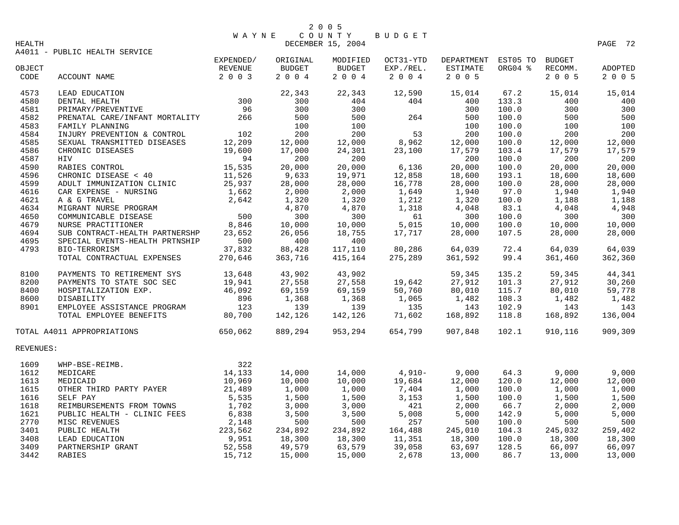| 2 0 0 5 |  |  |
|---------|--|--|
|---------|--|--|

WAYNE COUNTY BUDGET<br>DECEMBER 15, 2004 DECEMBER 15, 2004 **PAGE 72** 

A4011 - PUBLIC HEALTH SERVICE

|                |                                                          | EXPENDED/          | ORIGINAL<br><b>BUDGET</b> | MODIFIED            | OCT31-YTD            | DEPARTMENT<br>ESTIMATE | EST05 TO<br>ORG04 % | <b>BUDGET</b>      |                           |
|----------------|----------------------------------------------------------|--------------------|---------------------------|---------------------|----------------------|------------------------|---------------------|--------------------|---------------------------|
| OBJECT<br>CODE | ACCOUNT NAME                                             | REVENUE<br>2 0 0 3 | $2 0 0 4$                 | BUDGET<br>$2 0 0 4$ | EXP./REL.<br>2 0 0 4 | 2 0 0 5                |                     | RECOMM.<br>2 0 0 5 | <b>ADOPTED</b><br>2 0 0 5 |
|                |                                                          |                    |                           |                     |                      |                        |                     |                    |                           |
| 4573           | LEAD EDUCATION                                           |                    | 22,343                    | 22,343              | 12,590               | 15,014                 | 67.2                | 15,014             | 15,014                    |
| 4580           | DENTAL HEALTH                                            | 300                | 300                       | 404                 | 404                  | 400                    | 133.3               | 400                | 400                       |
| 4581           | PRIMARY/PREVENTIVE                                       | 96                 | 300                       | 300                 |                      | 300                    | 100.0               | 300                | 300                       |
| 4582           | PRENATAL CARE/INFANT MORTALITY                           | 266                | 500                       | 500                 | 264                  | 500                    | 100.0               | 500                | 500                       |
| 4583           | FAMILY PLANNING                                          |                    | 100                       | 100                 |                      | 100                    | 100.0               | 100                | 100                       |
| 4584           | INJURY PREVENTION & CONTROL                              | 102                | 200                       | 200                 | 53                   | 200                    | 100.0               | 200                | 200                       |
| 4585           | SEXUAL TRANSMITTED DISEASES                              | 12,209             | 12,000                    | 12,000              | 8,962                | 12,000                 | 100.0               | 12,000             | 12,000                    |
| 4586           | CHRONIC DISEASES                                         | 19,600             | 17,000                    | 24,301              | 23,100               | 17,579                 | 103.4               | 17,579             | 17,579                    |
| 4587           | HIV                                                      | 94                 | 200                       | 200                 |                      | 200                    | 100.0               | 200                | 200                       |
| 4590           | RABIES CONTROL                                           | 15,535             | 20,000                    | 20,000              | 6,136                | 20,000                 | 100.0               | 20,000             | 20,000                    |
| 4596           | CHRONIC DISEASE < 40<br>ADULT IMMUNIZATION CLINIC        | 11,526<br>25,937   | 9,633                     | 19,971              | 12,858               | 18,600                 | 193.1               | 18,600             | 18,600                    |
| 4599           | ADULT IMMUNIZATION CLINIC                                |                    | 28,000                    | 28,000              | 16,778               | 28,000                 | 100.0               | 28,000             | 28,000                    |
| 4616           | CAR EXPENSE - NURSING                                    | 1,662              | 2,000                     | 2,000               | 1,649                | 1,940                  | 97.0                | 1,940              | 1,940                     |
| 4621           | A & G TRAVEL                                             | 2,642              | 1,320                     | 1,320               | 1,212                | 1,320                  | 100.0               | 1,188              | 1,188                     |
| 4634           | MIGRANT NURSE PROGRAM                                    |                    | 4,870                     | 4,870               | 1,318                | 4,048                  | 83.1                | 4,048              | 4,948                     |
| 4650           | COMMUNICABLE DISEASE                                     | 500                | 300                       | 300                 | 61                   | 300                    | 100.0               | 300                | 300                       |
| 4679           | NURSE PRACTITIONER                                       | 8,846              | 10,000                    | 10,000              | 5,015                | 10,000                 | 100.0               | 10,000             | 10,000                    |
| 4694           | SUB CONTRACT-HEALTH PARTNERSHP                           | 23,652             | 26,056                    | 18,755              | 17,717               | 28,000                 | 107.5               | 28,000             | 28,000                    |
| 4695           | SPECIAL EVENTS-HEALTH PRTNSHIP                           | 500                | 400                       | 400                 |                      |                        |                     |                    |                           |
| 4793           | BIO-TERRORISM                                            | 37,832             | 88,428                    | 117,110             | 80,286               | 64,039                 | 72.4                | 64,039             | 64,039                    |
|                | TOTAL CONTRACTUAL EXPENSES                               | 270,646            | 363,716                   | 415,164             | 275,289              | 361,592                | 99.4                | 361,460            | 362,360                   |
| 8100           | PAYMENTS TO RETIREMENT SYS                               | 13,648             | 43,902                    | 43,902              |                      | 59,345                 | 135.2               | 59,345             | 44,341                    |
| 8200           | PAYMENTS TO STATE SOC SEC                                | 19,941             | 27,558                    | 27,558              | 19,642               | 27,912                 | 101.3               | 27,912             | 30,260                    |
| 8400           | HOSPITALIZATION EXP.                                     | 46,092             | 69,159                    | 69,159              | 50,760               | 80,010                 | 115.7               | 80,010             | 59,778                    |
| 8600           | DISABILITY                                               | 896                | 1,368                     | 1,368               | 1,065                | 1,482                  | 108.3               | 1,482              | 1,482                     |
| 8901           | EMPLOYEE ASSISTANCE PROGRAM                              | 123                | 139                       | 139                 | 135                  | 143                    | 102.9               | 143                | 143                       |
|                | TOTAL EMPLOYEE BENEFITS                                  | 80,700             | 142,126                   | 142,126             | 71,602               | 168,892                | 118.8               | 168,892            | 136,004                   |
|                | TOTAL A4011 APPROPRIATIONS                               | 650,062            | 889,294                   | 953,294             | 654,799              | 907,848                | 102.1               | 910,116            | 909,309                   |
| REVENUES:      |                                                          |                    |                           |                     |                      |                        |                     |                    |                           |
|                | $322$<br>14,133                                          |                    |                           |                     |                      |                        |                     |                    |                           |
| 1609           | WHP-BSE-REIMB.                                           |                    |                           |                     |                      |                        |                     |                    |                           |
| 1612           | MEDICARE                                                 |                    | 14,000                    | 14,000              | 4,910-               | 9,000                  | 64.3                | 9,000              | 9,000                     |
| 1613           | MEDICAID                                                 | 10,969             | 10,000                    | 10,000              | 19,684               | 12,000                 | 120.0               | 12,000             | 12,000                    |
| 1615           | OTHER THIRD PARTY PAYER                                  | 21,489             | 1,000                     | 1,000               | 7,404                | 1,000                  | 100.0               | 1,000              | 1,000                     |
| 1616           | SELF PAY                                                 | 5,535              | 1,500                     | 1,500               | 3,153                | 1,500                  | 100.0               | 1,500              | 1,500                     |
| 1618           | REIMBURSEMENTS FROM TOWNS                                | 1,702              | 3,000                     | 3,000               | 421                  | 2,000                  | 66.7                | 2,000              | 2,000                     |
| 1621           | PUBLIC HEALTH - CLINIC FEES                              | 6,838              | 3,500                     | 3,500               | 5,008                | 5,000                  | 142.9               | 5,000              | 5,000                     |
| 2770           | MISC REVENUES                                            | 2,148              | 500                       | 500                 | 257                  | 500                    | 100.0               | 500                | 500                       |
| 3401           | PUBLIC HEALTH                                            | 223,562            | 234,892                   | 234,892             | 164,488              | 245,010                | 104.3               | 245,032            | 259,402                   |
| 3408           |                                                          | 9,951              | 18,300                    | 18,300              | 11,351               | 18,300                 | 100.0               | 18,300             | 18,300                    |
| 3409           | LEAD EDUCATION<br>DARTNERSHIP GRANT<br>DARTNERSHIP GRANT | 52,558             | 49,579                    | 63,579              | 39,058               | 63,697                 | 128.5               | 66,097             | 66,097                    |
| 3442           |                                                          | 15,712             | 15,000                    | 15,000              | 2,678                | 13,000                 | 86.7                | 13,000             | 13,000                    |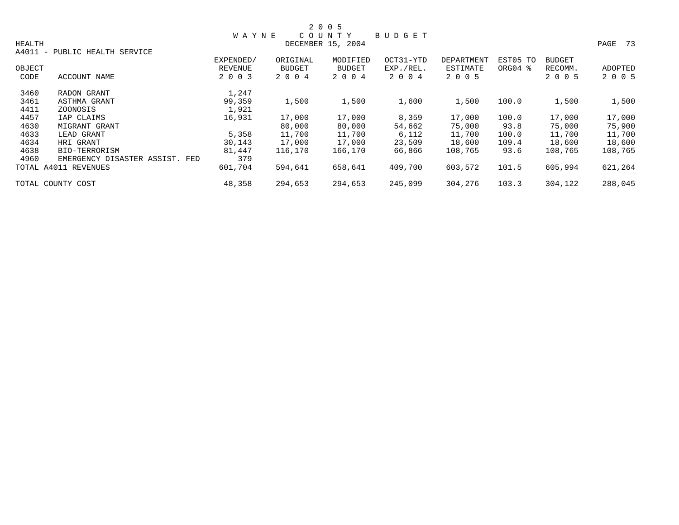|               |                                |                |          | 2 0 0 5           |           |                   |          |               |         |
|---------------|--------------------------------|----------------|----------|-------------------|-----------|-------------------|----------|---------------|---------|
|               |                                | <b>WAYNE</b>   |          | COUNTY            | BUDGET    |                   |          |               |         |
| <b>HEALTH</b> |                                |                |          | DECEMBER 15, 2004 |           |                   |          |               | PAGE 73 |
| A4011 -       | PUBLIC HEALTH SERVICE          |                |          |                   |           |                   |          |               |         |
|               |                                | EXPENDED/      | ORIGINAL | MODIFIED          | OCT31-YTD | <b>DEPARTMENT</b> | EST05 TO | <b>BUDGET</b> |         |
| OBJECT        |                                | <b>REVENUE</b> | BUDGET   | <b>BUDGET</b>     | EXP./REL. | ESTIMATE          | ORG04 %  | RECOMM.       | ADOPTED |
| CODE          | ACCOUNT NAME                   | 2 0 0 3        | 2 0 0 4  | 2 0 0 4           | 2 0 0 4   | 2 0 0 5           |          | 2 0 0 5       | 2 0 0 5 |
| 3460          | RADON GRANT                    | 1,247          |          |                   |           |                   |          |               |         |
| 3461          | ASTHMA GRANT                   | 99,359         | 1,500    | 1,500             | 1,600     | 1,500             | 100.0    | 1,500         | 1,500   |
| 4411          | ZOONOSIS                       | 1,921          |          |                   |           |                   |          |               |         |
| 4457          | IAP CLAIMS                     | 16,931         | 17,000   | 17,000            | 8,359     | 17,000            | 100.0    | 17,000        | 17,000  |
| 4630          | MIGRANT GRANT                  |                | 80,000   | 80,000            | 54,662    | 75,000            | 93.8     | 75,000        | 75,900  |
| 4633          | LEAD GRANT                     | 5,358          | 11,700   | 11,700            | 6,112     | 11,700            | 100.0    | 11,700        | 11,700  |
| 4634          | HRI GRANT                      | 30,143         | 17,000   | 17,000            | 23,509    | 18,600            | 109.4    | 18,600        | 18,600  |
| 4638          | BIO-TERRORISM                  | 81,447         | 116,170  | 166,170           | 66,866    | 108,765           | 93.6     | 108,765       | 108,765 |
| 4960          | EMERGENCY DISASTER ASSIST. FED | 379            |          |                   |           |                   |          |               |         |
|               | TOTAL A4011 REVENUES           | 601,704        | 594,641  | 658,641           | 409,700   | 603,572           | 101.5    | 605,994       | 621,264 |
|               | TOTAL COUNTY COST              | 48,358         | 294,653  | 294,653           | 245,099   | 304,276           | 103.3    | 304,122       | 288,045 |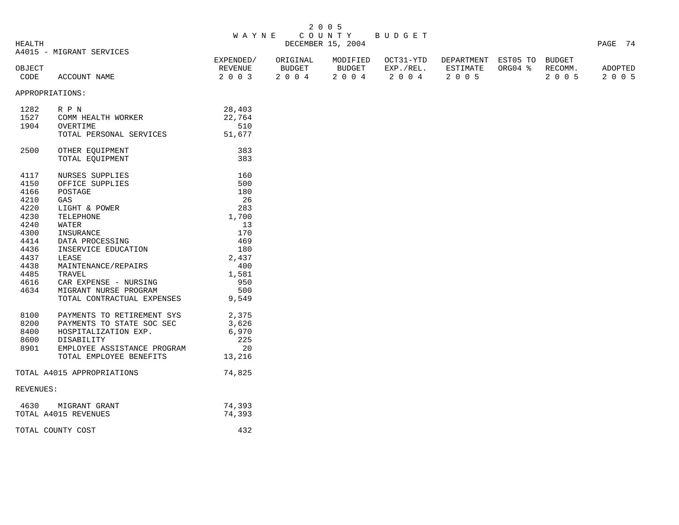| 2 0 0 5 |  |  |
|---------|--|--|
|---------|--|--|

## W A Y N E C O U N T Y B U D G E T HEALTH DECEMBER 15, 2004 PAGE 74

A4015 - MIGRANT SERVICES

|        | A4019 - MIGKANI SLKVICLS |           |          |           |           |                            |      |         |
|--------|--------------------------|-----------|----------|-----------|-----------|----------------------------|------|---------|
|        |                          | EXPENDED/ | ORIGINAL | MODIFIED  | OCT31-YTD | DEPARTMENT EST05 TO BUDGET |      |         |
| OBJECT |                          | REVENUE   | BUDGET   | BUDGET    | EXP./REL. | ESTIMATE ORG04 % RECOMM.   |      | ADOPTED |
| CODE   | ACCOUNT NAME             | 2003      | 2004     | 2004 2004 |           | 2005                       | 2005 | 2005    |

APPROPRIATIONS:

| 1282      | R P N                          | 28,403 |
|-----------|--------------------------------|--------|
|           | 1527 COMM HEALTH WORKER        | 22,764 |
| 1904      | OVERTIME                       | 510    |
|           | TOTAL PERSONAL SERVICES        | 51,677 |
|           |                                |        |
| 2500      | OTHER EOUIPMENT                | 383    |
|           | TOTAL EQUIPMENT                | 383    |
|           |                                |        |
| 4117      | <b>NURSES SUPPLIES</b>         | 160    |
| 4150      | OFFICE SUPPLIES                | 500    |
| 4166      | POSTAGE                        | 180    |
| 4210      | GAS                            | 26     |
| 4220      | LIGHT & POWER                  | 283    |
| 4230      | TELEPHONE                      | 1,700  |
| 4240      | WATER                          | 13     |
| 4300      | INSURANCE                      | 170    |
|           | 4414 DATA PROCESSING           | 469    |
|           | 4436 INSERVICE EDUCATION       | 180    |
| 4437      | LEASE                          | 2,437  |
| 4438      | MAINTENANCE/REPAIRS            | 400    |
| 4485      | TRAVEL                         | 1,581  |
| 4616      | CAR EXPENSE - NURSING          | 950    |
| 4634      | MIGRANT NURSE PROGRAM          | 500    |
|           | TOTAL CONTRACTUAL EXPENSES     | 9,549  |
|           |                                |        |
| 8100      | PAYMENTS TO RETIREMENT SYS     | 2,375  |
|           | 8200 PAYMENTS TO STATE SOC SEC | 3,626  |
| 8400      | HOSPITALIZATION EXP.           | 6,970  |
|           | 8600 DISABILITY                | 225    |
| 8901      | EMPLOYEE ASSISTANCE PROGRAM    | 20     |
|           | TOTAL EMPLOYEE BENEFITS        | 13,216 |
|           |                                |        |
|           | TOTAL A4015 APPROPRIATIONS     | 74,825 |
|           |                                |        |
| REVENUES: |                                |        |
|           |                                |        |
|           | 4630 MIGRANT GRANT             | 74,393 |
|           | TOTAL A4015 REVENUES           | 74,393 |
|           | TOTAL COUNTY COST              | 432    |
|           |                                |        |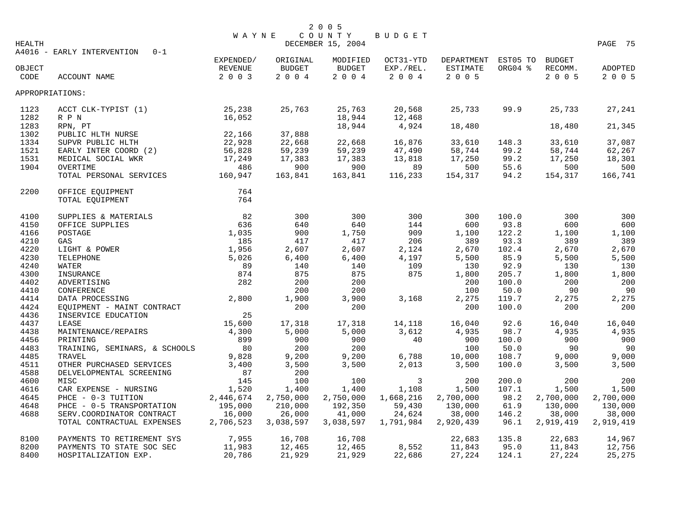| <b>HEALTH</b> | A4016 - EARLY INTERVENTION<br>$0 - 1$ | <b>WAYNE</b>         |                    | 2 0 0 5<br>COUNTY<br>DECEMBER 15, 2004 | BUDGET                 |                                 |         |                          | PAGE 75   |
|---------------|---------------------------------------|----------------------|--------------------|----------------------------------------|------------------------|---------------------------------|---------|--------------------------|-----------|
| OBJECT        |                                       | EXPENDED/<br>REVENUE | ORIGINAL<br>BUDGET | MODIFIED<br><b>BUDGET</b>              | OCT31-YTD<br>EXP./REL. | DEPARTMENT EST05 TO<br>ESTIMATE | ORG04 % | <b>BUDGET</b><br>RECOMM. | ADOPTED   |
| CODE          | ACCOUNT NAME                          | 2 0 0 3              | 2004               | 2004                                   | 2 0 0 4                | 2 0 0 5                         |         | 2 0 0 5                  | 2 0 0 5   |
|               | APPROPRIATIONS:                       |                      |                    |                                        |                        |                                 |         |                          |           |
| 1123<br>1282  | ACCT CLK-TYPIST (1)<br>R P N          | 25,238<br>16,052     | 25,763             | 25,763<br>18,944                       | 20,568<br>12,468       | 25,733                          | 99.9    | 25,733                   | 27,241    |
| 1283          | RPN, PT                               |                      |                    | 18,944                                 | 4,924                  | 18,480                          |         | 18,480                   | 21,345    |
| 1302          | PUBLIC HLTH NURSE                     | 22,166               | 37,888             |                                        |                        |                                 |         |                          |           |
| 1334          | SUPVR PUBLIC HLTH                     | 22,928               | 22,668             | 22,668                                 | 16,876                 | 33,610                          | 148.3   | 33,610                   | 37,087    |
| 1521          | EARLY INTER COORD (2)                 | 56,828               | 59,239             | 59,239                                 | 47,490                 | 58,744                          | 99.2    | 58,744                   | 62,267    |
| 1531          | MEDICAL SOCIAL WKR                    | 17,249               | 17,383             | 17,383                                 | 13,818                 | 17,250                          | 99.2    | 17,250                   | 18,301    |
| 1904          | OVERTIME                              | 486                  | 900                | 900                                    | 89                     | 500                             | 55.6    | 500                      | 500       |
|               | TOTAL PERSONAL SERVICES               | 160,947              | 163,841            | 163,841                                | 116,233                | 154,317                         | 94.2    | 154,317                  | 166,741   |
| 2200          | OFFICE EQUIPMENT                      | 764                  |                    |                                        |                        |                                 |         |                          |           |
|               | TOTAL EQUIPMENT                       | 764                  |                    |                                        |                        |                                 |         |                          |           |
| 4100          | SUPPLIES & MATERIALS                  | 82                   | 300                | 300                                    | 300                    | 300                             | 100.0   | 300                      | 300       |
| 4150          | OFFICE SUPPLIES                       | 636                  | 640                | 640                                    | 144                    | 600                             | 93.8    | 600                      | 600       |
| 4166          | POSTAGE                               | 1,035                | 900                | 1,750                                  | 909                    | 1,100                           | 122.2   | 1,100                    | 1,100     |
| 4210          | GAS                                   | 185                  | 417                | 417                                    | 206                    | 389                             | 93.3    | 389                      | 389       |
| 4220          | LIGHT & POWER                         | 1,956                | 2,607              | 2,607                                  | 2,124                  | 2,670                           | 102.4   | 2,670                    | 2,670     |
| 4230          | TELEPHONE                             | 5,026                | 6,400              | 6,400                                  | 4,197                  | 5,500                           | 85.9    | 5,500                    | 5,500     |
| 4240          | WATER                                 | 89                   | 140                | 140                                    | 109                    | 130                             | 92.9    | 130                      | 130       |
| 4300          | INSURANCE                             | 874                  | 875                | 875                                    | 875                    | 1,800                           | 205.7   | 1,800                    | 1,800     |
| 4402          | ADVERTISING                           | 282                  | 200                | 200                                    |                        | 200                             | 100.0   | 200                      | 200       |
| 4410          | CONFERENCE                            |                      | 200                | 200                                    |                        | 100                             | 50.0    | 90                       | 90        |
| 4414          | DATA PROCESSING                       | 2,800                | 1,900              | 3,900                                  | 3,168                  | 2,275                           | 119.7   | 2,275                    | 2,275     |
| 4424          | EQUIPMENT - MAINT CONTRACT            |                      | 200                | 200                                    |                        | 200                             | 100.0   | 200                      | 200       |
| 4436          | INSERVICE EDUCATION                   | 25                   |                    |                                        |                        |                                 |         |                          |           |
| 4437          | LEASE                                 | 15,600               | 17,318             | 17,318                                 | 14,118                 | 16,040                          | 92.6    | 16,040                   | 16,040    |
| 4438          | MAINTENANCE/REPAIRS                   | 4,300                | 5,000              | 5,000                                  | 3,612                  | 4,935                           | 98.7    | 4,935                    | 4,935     |
| 4456          | PRINTING                              | 899                  | 900                | 900                                    | 40                     | 900                             | 100.0   | 900                      | 900       |
| 4483          | TRAINING, SEMINARS, & SCHOOLS         | 80                   | 200                | 200                                    |                        | 100                             | 50.0    | 90                       | - 90      |
| 4485          | TRAVEL                                | 9,828                | 9,200              | 9,200                                  | 6,788                  | 10,000                          | 108.7   | 9,000                    | 9,000     |
| 4511          | OTHER PURCHASED SERVICES              | 3,400                | 3,500              | 3,500                                  | 2,013                  | 3,500                           | 100.0   | 3,500                    | 3,500     |
| 4588          | DELVELOPMENTAL SCREENING              | 87                   | 200                |                                        |                        |                                 |         |                          |           |
| 4600          | MISC                                  | 145                  | 100                | 100                                    | 3                      | 200                             | 200.0   | 200                      | 200       |
| 4616          | CAR EXPENSE - NURSING                 | 1,520                | 1,400              | 1,400                                  | 1,108                  | 1,500                           | 107.1   | 1,500                    | 1,500     |
| 4645          | PHCE - 0-3 TUITION                    | 2,446,674            | 2,750,000          | 2,750,000                              | 1,668,216              | 2,700,000                       | 98.2    | 2,700,000                | 2,700,000 |
| 4648          | PHCE - 0-5 TRANSPORTATION             | 195,000              | 210,000            | 192,350                                | 59,430                 | 130,000                         | 61.9    | 130,000                  | 130,000   |
| 4688          | SERV. COORDINATOR CONTRACT            | 16,000               | 26,000             | 41,000                                 | 24,624                 | 38,000                          | 146.2   | 38,000                   | 38,000    |
|               | TOTAL CONTRACTUAL EXPENSES            | 2,706,523            | 3,038,597          | 3,038,597                              | 1,791,984              | 2,920,439                       | 96.1    | 2,919,419                | 2,919,419 |
| 8100          | PAYMENTS TO RETIREMENT SYS            | 7,955                | 16,708             | 16,708                                 |                        | 22,683                          | 135.8   | 22,683                   | 14,967    |
| 8200          | PAYMENTS TO STATE SOC SEC             | 11,983               | 12,465             | 12,465                                 | 8,552                  | 11,843                          | 95.0    | 11,843                   | 12,756    |
| 8400          | HOSPITALIZATION EXP.                  | 20,786               | 21,929             | 21,929                                 | 22,686                 | 27,224                          | 124.1   | 27,224                   | 25,275    |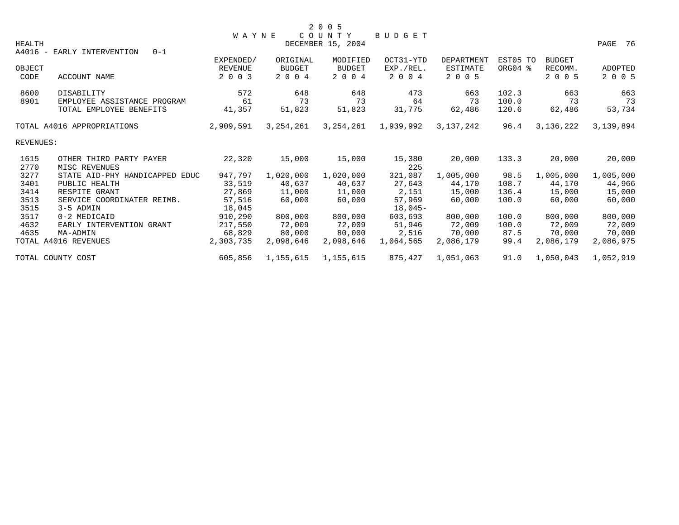|           |                                       | <b>WAYNE</b> |               | COUNTY            | BUDGET    |            |          |               |           |
|-----------|---------------------------------------|--------------|---------------|-------------------|-----------|------------|----------|---------------|-----------|
| HEALTH    |                                       |              |               | DECEMBER 15, 2004 |           |            |          |               | PAGE 76   |
|           | A4016 - EARLY INTERVENTION<br>$0 - 1$ |              |               |                   |           |            |          |               |           |
|           |                                       | EXPENDED/    | ORIGINAL      | MODIFIED          | OCT31-YTD | DEPARTMENT | EST05 TO | <b>BUDGET</b> |           |
| OBJECT    |                                       | REVENUE      | <b>BUDGET</b> | <b>BUDGET</b>     | EXP./REL. | ESTIMATE   | ORG04 %  | RECOMM.       | ADOPTED   |
| CODE      | ACCOUNT NAME                          | 2 0 0 3      | 2 0 0 4       | 2 0 0 4           | 2 0 0 4   | 2 0 0 5    |          | 2 0 0 5       | 2 0 0 5   |
| 8600      | DISABILITY                            | 572          | 648           | 648               | 473       | 663        | 102.3    | 663           | 663       |
| 8901      | EMPLOYEE ASSISTANCE PROGRAM           | 61           | 73            | 73                | 64        | 73         | 100.0    | 73            | 73        |
|           | TOTAL EMPLOYEE BENEFITS               | 41,357       | 51,823        | 51,823            | 31,775    | 62,486     | 120.6    | 62,486        | 53,734    |
|           | TOTAL A4016 APPROPRIATIONS            | 2,909,591    | 3, 254, 261   | 3,254,261         | 1,939,992 | 3,137,242  | 96.4     | 3, 136, 222   | 3,139,894 |
| REVENUES: |                                       |              |               |                   |           |            |          |               |           |
| 1615      | OTHER THIRD PARTY PAYER               | 22,320       | 15,000        | 15,000            | 15,380    | 20,000     | 133.3    | 20,000        | 20,000    |
| 2770      | MISC REVENUES                         |              |               |                   | 225       |            |          |               |           |
| 3277      | STATE AID-PHY HANDICAPPED EDUC        | 947,797      | 1,020,000     | 1,020,000         | 321,087   | 1,005,000  | 98.5     | 1,005,000     | 1,005,000 |
| 3401      | PUBLIC HEALTH                         | 33,519       | 40,637        | 40,637            | 27,643    | 44,170     | 108.7    | 44,170        | 44,966    |
| 3414      | RESPITE GRANT                         | 27,869       | 11,000        | 11,000            | 2,151     | 15,000     | 136.4    | 15,000        | 15,000    |
| 3513      | SERVICE COORDINATER REIMB.            | 57,516       | 60,000        | 60,000            | 57,969    | 60,000     | 100.0    | 60,000        | 60,000    |
| 3515      | 3-5 ADMIN                             | 18,045       |               |                   | 18,045-   |            |          |               |           |
| 3517      | 0-2 MEDICAID                          | 910,290      | 800,000       | 800,000           | 603,693   | 800,000    | 100.0    | 800,000       | 800,000   |
| 4632      | EARLY INTERVENTION GRANT              | 217,550      | 72,009        | 72,009            | 51,946    | 72,009     | 100.0    | 72,009        | 72,009    |
| 4635      | MA-ADMIN                              | 68,829       | 80,000        | 80,000            | 2,516     | 70,000     | 87.5     | 70,000        | 70,000    |
|           | TOTAL A4016 REVENUES                  | 2,303,735    | 2,098,646     | 2,098,646         | 1,064,565 | 2,086,179  | 99.4     | 2,086,179     | 2,086,975 |
|           | TOTAL COUNTY COST                     | 605,856      | 1,155,615     | 1,155,615         | 875,427   | 1,051,063  | 91.0     | 1,050,043     | 1,052,919 |
|           |                                       |              |               |                   |           |            |          |               |           |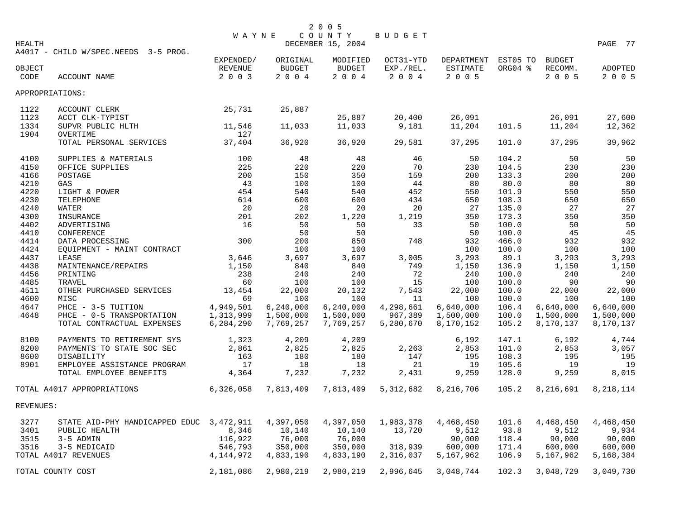|           |                                          | <b>WAYNE</b> |             | 2 0 0 5<br>COUNTY | BUDGET    |                 |          |               |           |
|-----------|------------------------------------------|--------------|-------------|-------------------|-----------|-----------------|----------|---------------|-----------|
| HEALTH    |                                          |              |             | DECEMBER 15, 2004 |           |                 |          |               | PAGE 77   |
|           | A4017 - CHILD W/SPEC.NEEDS 3-5 PROG.     |              |             |                   |           |                 |          |               |           |
|           |                                          | EXPENDED/    | ORIGINAL    | MODIFIED          | OCT31-YTD | DEPARTMENT      | EST05 TO | <b>BUDGET</b> |           |
| OBJECT    |                                          | REVENUE      | BUDGET      | BUDGET            | EXP./REL. | <b>ESTIMATE</b> | ORG04 %  | RECOMM.       | ADOPTED   |
| CODE      | ACCOUNT NAME                             | 2 0 0 3      | $2004$      | 2 0 0 4           | 2 0 0 4   | 2 0 0 5         |          | 2 0 0 5       | 2 0 0 5   |
|           | APPROPRIATIONS:                          |              |             |                   |           |                 |          |               |           |
| 1122      | ACCOUNT CLERK                            | 25,731       | 25,887      |                   |           |                 |          |               |           |
| 1123      | ACCT CLK-TYPIST                          |              |             | 25,887            | 20,400    | 26,091          |          | 26,091        | 27,600    |
| 1334      | SUPVR PUBLIC HLTH                        | 11,546       | 11,033      | 11,033            | 9,181     | 11,204          | 101.5    | 11,204        | 12,362    |
| 1904      | OVERTIME                                 | 127          |             |                   |           |                 |          |               |           |
|           | TOTAL PERSONAL SERVICES                  | 37,404       | 36,920      | 36,920            | 29,581    | 37,295          | 101.0    | 37,295        | 39,962    |
| 4100      | SUPPLIES & MATERIALS                     | 100          | 48          | 48                | 46        | 50              | 104.2    | 50            | 50        |
| 4150      | OFFICE SUPPLIES                          | 225          | 220         | 220               | 70        | 230             | 104.5    | 230           | 230       |
| 4166      | POSTAGE                                  | 200          | 150         | 350               | 159       | 200             | 133.3    | 200           | 200       |
| 4210      | GAS                                      | 43           | 100         | 100               | 44        | 80              | 80.0     | 80            | 80        |
| 4220      | LIGHT & POWER                            | 454          | 540         | 540               | 452       | 550             | 101.9    | 550           | 550       |
| 4230      | TELEPHONE                                | 614          | 600         | 600               | 434       | 650             | 108.3    | 650           | 650       |
| 4240      | WATER                                    | 20           | 20          | 20                | 20        | 27              | 135.0    | 27            | 27        |
| 4300      | INSURANCE                                | 201          | 202         | 1,220             | 1,219     | 350             | 173.3    | 350           | 350       |
| 4402      | ADVERTISING                              | 16           | 50          | 50                | 33        | 50              | 100.0    | 50            | 50        |
| 4410      | CONFERENCE                               |              | 50          | 50                |           | 50              | 100.0    | 45            | 45        |
| 4414      | DATA PROCESSING                          | 300          | 200         | 850               | 748       | 932             | 466.0    | 932           | 932       |
| 4424      | EQUIPMENT - MAINT CONTRACT               |              | 100         | 100               |           | 100             | 100.0    | 100           | 100       |
| 4437      | LEASE                                    | 3,646        | 3,697       | 3,697             | 3,005     | 3,293           | 89.1     | 3,293         | 3,293     |
| 4438      | MAINTENANCE/REPAIRS                      | 1,150        | 840         | 840               | 749       | 1,150           | 136.9    | 1,150         | 1,150     |
| 4456      | PRINTING                                 | 238          | 240         | 240               | 72        | 240             | 100.0    | 240           | 240       |
| 4485      | TRAVEL                                   | 60           | 100         | 100               | 15        | 100             | 100.0    | 90            | 90        |
| 4511      | OTHER PURCHASED SERVICES                 | 13,454       | 22,000      | 20,132            | 7,543     | 22,000          | 100.0    | 22,000        | 22,000    |
| 4600      | MISC                                     | 69           | 100         | 100               | 11        | 100             | 100.0    | 100           | 100       |
| 4647      | PHCE - 3-5 TUITION                       | 4,949,501    | 6, 240, 000 | 6, 240, 000       | 4,298,661 | 6,640,000       | 106.4    | 6,640,000     | 6,640,000 |
| 4648      | PHCE - 0-5 TRANSPORTATION                | 1,313,999    | 1,500,000   | 1,500,000         | 967,389   | 1,500,000       | 100.0    | 1,500,000     | 1,500,000 |
|           | TOTAL CONTRACTUAL EXPENSES               | 6,284,290    | 7,769,257   | 7,769,257         | 5,280,670 | 8,170,152       | 105.2    | 8,170,137     | 8,170,137 |
| 8100      | PAYMENTS TO RETIREMENT SYS               | 1,323        | 4,209       | 4,209             |           | 6,192           | 147.1    | 6,192         | 4,744     |
| 8200      | PAYMENTS TO STATE SOC SEC                | 2,861        | 2,825       | 2,825             | 2,263     | 2,853           | 101.0    | 2,853         | 3,057     |
| 8600      | DISABILITY                               | 163          | 180         | 180               | 147       | 195             | 108.3    | 195           | 195       |
| 8901      | EMPLOYEE ASSISTANCE PROGRAM              | 17           | 18          | 18                | 21        | 19              | 105.6    | 19            | 19        |
|           | TOTAL EMPLOYEE BENEFITS                  | 4,364        | 7,232       | 7,232             | 2,431     | 9,259           | 128.0    | 9,259         | 8,015     |
|           | TOTAL A4017 APPROPRIATIONS               | 6,326,058    | 7,813,409   | 7,813,409         | 5,312,682 | 8,216,706       | 105.2    | 8,216,691     | 8,218,114 |
| REVENUES: |                                          |              |             |                   |           |                 |          |               |           |
| 3277      | STATE AID-PHY HANDICAPPED EDUC 3,472,911 |              | 4,397,050   | 4,397,050         | 1,983,378 | 4,468,450       | 101.6    | 4,468,450     | 4,468,450 |
| 3401      | PUBLIC HEALTH                            | 8,346        | 10,140      | 10,140            | 13,720    | 9,512           | 93.8     | 9,512         | 9,934     |
| 3515      | 3-5 ADMIN                                | 116,922      | 76,000      | 76,000            |           | 90,000          | 118.4    | 90,000        | 90,000    |
| 3516      | 3-5 MEDICAID                             | 546,793      | 350,000     | 350,000           | 318,939   | 600,000         | 171.4    | 600,000       | 600,000   |
|           | TOTAL A4017 REVENUES                     | 4,144,972    | 4,833,190   | 4,833,190         | 2,316,037 | 5,167,962       | 106.9    | 5,167,962     | 5,168,384 |
|           | TOTAL COUNTY COST                        | 2,181,086    | 2,980,219   | 2,980,219         | 2,996,645 | 3,048,744       | 102.3    | 3,048,729     | 3,049,730 |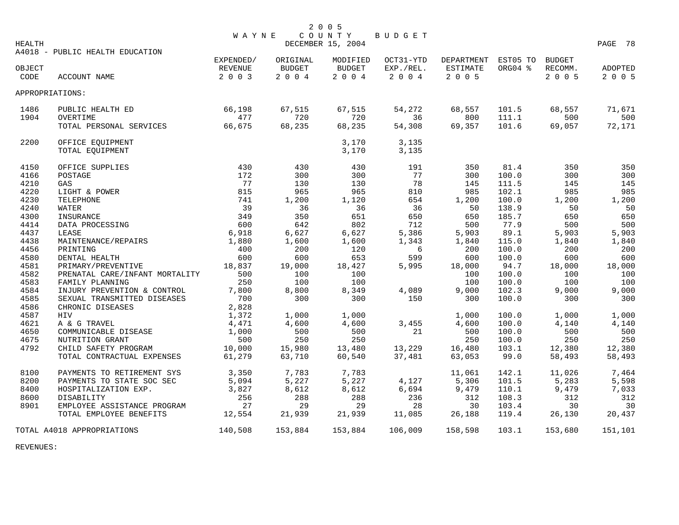|        |                                 | <b>WAYNE</b> |               | 2005<br>COUNTY    | BUDGET    |                     |         |         |         |
|--------|---------------------------------|--------------|---------------|-------------------|-----------|---------------------|---------|---------|---------|
| HEALTH |                                 |              |               | DECEMBER 15, 2004 |           |                     |         |         | PAGE 78 |
|        | A4018 - PUBLIC HEALTH EDUCATION |              |               |                   |           |                     |         |         |         |
|        |                                 | EXPENDED/    | ORIGINAL      | MODIFIED          | OCT31-YTD | DEPARTMENT EST05 TO |         | BUDGET  |         |
| OBJECT |                                 | REVENUE      | <b>BUDGET</b> | <b>BUDGET</b>     | EXP./REL. | ESTIMATE            | ORG04 % | RECOMM. | ADOPTED |
| CODE   | ACCOUNT NAME                    | 2 0 0 3      | 2004          | 2004              | 2004      | 2 0 0 5             |         | 2005    | 2 0 0 5 |
|        | APPROPRIATIONS:                 |              |               |                   |           |                     |         |         |         |
| 1486   | PUBLIC HEALTH ED                | 66,198       | 67,515        | 67,515            | 54,272    | 68,557              | 101.5   | 68,557  | 71,671  |
| 1904   | OVERTIME                        | 477          | 720           | 720               | 36        | 800                 | 111.1   | 500     | 500     |
|        | TOTAL PERSONAL SERVICES         | 66,675       | 68,235        | 68,235            | 54,308    | 69,357              | 101.6   | 69,057  | 72,171  |
| 2200   | OFFICE EQUIPMENT                |              |               | 3,170             | 3,135     |                     |         |         |         |
|        | TOTAL EQUIPMENT                 |              |               | 3,170             | 3,135     |                     |         |         |         |
| 4150   | OFFICE SUPPLIES                 | 430          | 430           | 430               | 191       | 350                 | 81.4    | 350     | 350     |
| 4166   | POSTAGE                         | 172          | 300           | 300               | 77        | 300                 | 100.0   | 300     | 300     |
| 4210   | GAS                             | 77           | 130           | 130               | 78        | 145                 | 111.5   | 145     | 145     |
| 4220   | LIGHT & POWER                   | 815          | 965           | 965               | 810       | 985                 | 102.1   | 985     | 985     |
| 4230   | TELEPHONE                       | 741          | 1,200         | 1,120             | 654       | 1,200               | 100.0   | 1,200   | 1,200   |
| 4240   | WATER                           | 39           | 36            | 36                | 36        | 50                  | 138.9   | 50      | 50      |
| 4300   | INSURANCE                       | 349          | 350           | 651               | 650       | 650                 | 185.7   | 650     | 650     |
| 4414   | DATA PROCESSING                 | 600          | 642           | 802               | 712       | 500                 | 77.9    | 500     | 500     |
| 4437   | LEASE                           | 6,918        | 6,627         | 6,627             | 5,386     | 5,903               | 89.1    | 5,903   | 5,903   |
| 4438   | MAINTENANCE/REPAIRS             | 1,880        | 1,600         | 1,600             | 1,343     | 1,840               | 115.0   | 1,840   | 1,840   |
| 4456   | PRINTING                        | 400          | 200           | 120               | 6         | 200                 | 100.0   | 200     | 200     |
| 4580   | DENTAL HEALTH                   | 600          | 600           | 653               | 599       | 600                 | 100.0   | 600     | 600     |
| 4581   | PRIMARY/PREVENTIVE              | 18,837       | 19,000        | 18,427            | 5,995     | 18,000              | 94.7    | 18,000  | 18,000  |
| 4582   | PRENATAL CARE/INFANT MORTALITY  | 500          | 100           | 100               |           | 100                 | 100.0   | 100     | 100     |
| 4583   | FAMILY PLANNING                 | 250          | 100           | 100               |           | 100                 | 100.0   | 100     | 100     |
| 4584   | INJURY PREVENTION & CONTROL     | 7,800        | 8,800         | 8,349             | 4,089     | 9,000               | 102.3   | 9,000   | 9,000   |
| 4585   | SEXUAL TRANSMITTED DISEASES     | 700          | 300           | 300               | 150       | 300                 | 100.0   | 300     | 300     |
| 4586   | CHRONIC DISEASES                | 2,828        |               |                   |           |                     |         |         |         |
| 4587   | HIV                             | 1,372        | 1,000         | 1,000             |           | 1,000               | 100.0   | 1,000   | 1,000   |
| 4621   | A & G TRAVEL                    | 4,471        | 4,600         | 4,600             | 3,455     | 4,600               | 100.0   | 4,140   | 4,140   |
| 4650   | COMMUNICABLE DISEASE            | 1,000        | 500           | 500               | 21        | 500                 | 100.0   | 500     | 500     |
| 4675   | NUTRITION GRANT                 | 500          | 250           | 250               |           | 250                 | 100.0   | 250     | 250     |
| 4792   | CHILD SAFETY PROGRAM            | 10,000       | 15,980        | 13,480            | 13,229    | 16,480              | 103.1   | 12,380  | 12,380  |
|        | TOTAL CONTRACTUAL EXPENSES      | 61,279       | 63,710        | 60,540            | 37,481    | 63,053              | 99.0    | 58,493  | 58,493  |
| 8100   | PAYMENTS TO RETIREMENT SYS      | 3,350        | 7,783         | 7,783             |           | 11,061              | 142.1   | 11,026  | 7,464   |
| 8200   | PAYMENTS TO STATE SOC SEC       | 5,094        | 5,227         | 5,227             | 4,127     | 5,306               | 101.5   | 5,283   | 5,598   |
| 8400   | HOSPITALIZATION EXP.            | 3,827        | 8,612         | 8,612             | 6,694     | 9,479               | 110.1   | 9,479   | 7,033   |
| 8600   | DISABILITY                      | 256          | 288           | 288               | 236       | 312                 | 108.3   | 312     | 312     |
| 8901   | EMPLOYEE ASSISTANCE PROGRAM     | 27           | 29            | 29                | 28        | 30                  | 103.4   | 30      | 30      |
|        | TOTAL EMPLOYEE BENEFITS         | 12,554       | 21,939        | 21,939            | 11,085    | 26,188              | 119.4   | 26,130  | 20,437  |
|        | TOTAL A4018 APPROPRIATIONS      | 140,508      | 153,884       | 153,884           | 106,009   | 158,598             | 103.1   | 153,680 | 151,101 |

REVENUES: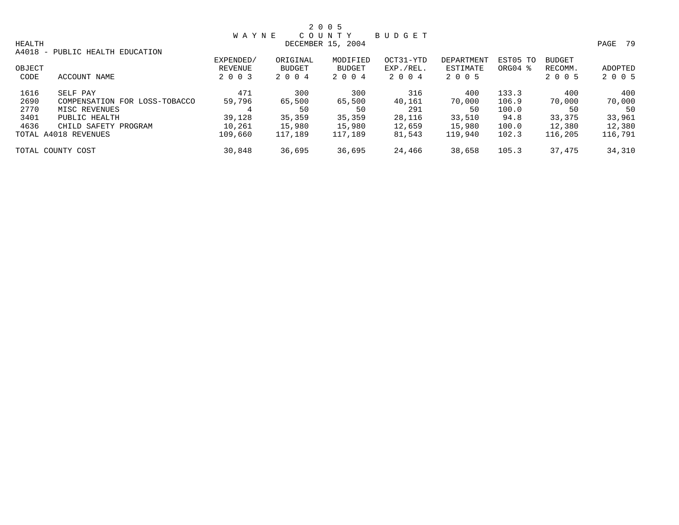|        |                                 |              |               | 2 0 0 5           |           |            |                     |               |         |
|--------|---------------------------------|--------------|---------------|-------------------|-----------|------------|---------------------|---------------|---------|
|        |                                 | <b>WAYNE</b> |               | COUNTY            | BUDGET    |            |                     |               |         |
| HEALTH |                                 |              |               | DECEMBER 15, 2004 |           |            |                     |               | PAGE 79 |
|        | A4018 - PUBLIC HEALTH EDUCATION |              |               |                   |           |            |                     |               |         |
|        |                                 | EXPENDED/    | ORIGINAL      | MODIFIED          | OCT31-YTD | DEPARTMENT | EST05 TO            | <b>BUDGET</b> |         |
| OBJECT |                                 | REVENUE      | <b>BUDGET</b> | BUDGET            | EXP./REL. | ESTIMATE   | ORG04 $\frac{8}{3}$ | RECOMM.       | ADOPTED |
| CODE   | ACCOUNT NAME                    | 2 0 0 3      | 2 0 0 4       | 2 0 0 4           | 2004      | 2 0 0 5    |                     | 2 0 0 5       | 2 0 0 5 |
| 1616   | SELF PAY                        | 471          | 300           | 300               | 316       | 400        | 133.3               | 400           | 400     |
| 2690   | COMPENSATION FOR LOSS-TOBACCO   | 59,796       | 65,500        | 65,500            | 40,161    | 70,000     | 106.9               | 70,000        | 70,000  |
| 2770   | MISC REVENUES                   |              | 50            | 50                | 291       | 50         | 100.0               | 50            | 50      |
| 3401   | PUBLIC HEALTH                   | 39,128       | 35,359        | 35,359            | 28,116    | 33,510     | 94.8                | 33,375        | 33,961  |
| 4636   | CHILD SAFETY PROGRAM            | 10,261       | 15,980        | 15,980            | 12,659    | 15,980     | 100.0               | 12,380        | 12,380  |
|        | TOTAL A4018 REVENUES            | 109,660      | 117,189       | 117,189           | 81,543    | 119,940    | 102.3               | 116,205       | 116,791 |
|        | TOTAL COUNTY COST               | 30,848       | 36,695        | 36,695            | 24,466    | 38,658     | 105.3               | 37,475        | 34,310  |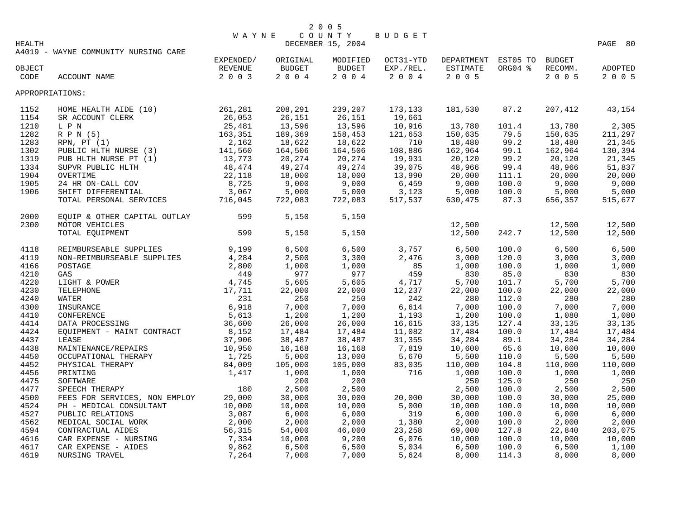|        | 2 0 0 5             |      |    |
|--------|---------------------|------|----|
|        | WAYNE COUNTY BUDGET |      |    |
| HEALTH | DECEMBER 15, 2004   | PAGE | 80 |

A4019 - WAYNE COMMUNITY NURSING CARE

| OBJECT<br>CODE | ACCOUNT NAME                  | EXPENDED/<br>REVENUE<br>2 0 0 3 | ORIGINAL<br><b>BUDGET</b><br>$2 0 0 4$ | MODIFIED<br>BUDGET<br>$2 0 0 4$ | OCT31-YTD<br>EXP./REL.<br>$2004$ | DEPARTMENT<br>ESTIMATE<br>2 0 0 5 | EST05 TO<br>ORG04 % | <b>BUDGET</b><br>RECOMM.<br>2 0 0 5 | ADOPTED<br>2 0 0 5 |
|----------------|-------------------------------|---------------------------------|----------------------------------------|---------------------------------|----------------------------------|-----------------------------------|---------------------|-------------------------------------|--------------------|
|                |                               |                                 |                                        |                                 |                                  |                                   |                     |                                     |                    |
|                | APPROPRIATIONS:               |                                 |                                        |                                 |                                  |                                   |                     |                                     |                    |
| 1152           | HOME HEALTH AIDE (10)         | 261,281                         | 208,291                                | 239,207                         | 173,133                          | 181,530                           | 87.2                | 207,412                             | 43,154             |
| 1154           | SR ACCOUNT CLERK              | 26,053                          | 26,151                                 | 26,151                          | 19,661                           |                                   |                     |                                     |                    |
| 1210           | L P N                         | 25,481                          | 13,596                                 | 13,596                          | 10,916                           | 13,780                            | 101.4               | 13,780                              | 2,305              |
| 1282           | R P N (5)                     | 163,351                         | 189,369                                | 158,453                         | 121,653                          | 150,635                           | 79.5                | 150,635                             | 211,297            |
| 1283           | RPN, PT(1)                    | 2,162                           | 18,622                                 | 18,622                          | 710                              | 18,480                            | 99.2                | 18,480                              | 21,345             |
| 1302           | PUBLIC HLTH NURSE (3)         | 141,560                         | 164,506                                | 164,506                         | 108,886                          | 162,964                           | 99.1                | 162,964                             | 130,394            |
| 1319           | PUB HLTH NURSE PT (1)         | 13,773                          | 20,274                                 | 20,274                          | 19,931                           | 20,120                            | 99.2                | 20,120                              | 21,345             |
| 1334           | SUPVR PUBLIC HLTH             | 48,474                          | 49,274                                 | 49,274                          | 39,075                           | 48,966                            | 99.4                | 48,966                              | 51,837             |
| 1904           | OVERTIME                      | 22,118                          | 18,000                                 | 18,000                          | 13,990                           | 20,000                            | 111.1               | 20,000                              | 20,000             |
| 1905           | 24 HR ON-CALL COV             | 8,725                           | 9,000                                  | 9,000                           | 6,459                            | 9,000                             | 100.0               | 9,000                               | 9,000              |
| 1906           | SHIFT DIFFERENTIAL            | 3,067                           | 5,000                                  | 5,000                           | 3,123                            | 5,000                             | 100.0               | 5,000                               | 5,000              |
|                | TOTAL PERSONAL SERVICES       | 716,045                         | 722,083                                | 722,083                         | 517,537                          | 630,475                           | 87.3                | 656,357                             | 515,677            |
| 2000           | EQUIP & OTHER CAPITAL OUTLAY  | 599                             | 5,150                                  | 5,150                           |                                  |                                   |                     |                                     |                    |
| 2300           | MOTOR VEHICLES                |                                 |                                        |                                 |                                  | 12,500                            |                     | 12,500                              | 12,500             |
|                | TOTAL EQUIPMENT               | 599                             | 5,150                                  | 5,150                           |                                  | 12,500                            | 242.7               | 12,500                              | 12,500             |
| 4118           | REIMBURSEABLE SUPPLIES        | 9,199                           | 6,500                                  | 6,500                           | 3,757                            | 6,500                             | 100.0               | 6,500                               | 6,500              |
| 4119           | NON-REIMBURSEABLE SUPPLIES    | 4,284                           | 2,500                                  | 3,300                           | 2,476                            | 3,000                             | 120.0               | 3,000                               | 3,000              |
| 4166           | POSTAGE                       | 2,800                           | 1,000                                  | 1,000                           | 85                               | 1,000                             | 100.0               | 1,000                               | 1,000              |
| 4210           | GAS                           | 449                             | 977                                    | 977                             | 459                              | 830                               | 85.0                | 830                                 | 830                |
| 4220           | LIGHT & POWER                 | 4,745                           | 5,605                                  | 5,605                           | 4,717                            | 5,700                             | 101.7               | 5,700                               | 5,700              |
| 4230           | TELEPHONE                     | 17,711                          | 22,000                                 | 22,000                          | 12,237                           | 22,000                            | 100.0               | 22,000                              | 22,000             |
| 4240           | WATER                         | 231                             | 250                                    | 250                             | 242                              | 280                               | 112.0               | 280                                 | 280                |
| 4300           | INSURANCE                     | 6,918                           | 7,000                                  | 7,000                           | 6,614                            | 7,000                             | 100.0               | 7,000                               | 7,000              |
| 4410           | CONFERENCE                    | 5,613                           | 1,200                                  | 1,200                           | 1,193                            | 1,200                             | 100.0               | 1,080                               | 1,080              |
| 4414           | DATA PROCESSING               | 36,600                          | 26,000                                 | 26,000                          | 16,615                           | 33,135                            | 127.4               | 33,135                              | 33,135             |
| 4424           | EQUIPMENT - MAINT CONTRACT    | 8,152                           | 17,484                                 | 17,484                          | 11,082                           | 17,484                            | 100.0               | 17,484                              | 17,484             |
| 4437           | LEASE                         | 37,906                          | 38,487                                 | 38,487                          | 31,355                           | 34,284                            | 89.1                | 34,284                              | 34,284             |
| 4438           | MAINTENANCE/REPAIRS           | 10,950                          | 16,168                                 | 16,168                          | 7,819                            | 10,600                            | 65.6                | 10,600                              | 10,600             |
| 4450           | OCCUPATIONAL THERAPY          | 1,725                           | 5,000                                  | 13,000                          | 5,670                            | 5,500                             | 110.0               | 5,500                               | 5,500              |
| 4452           | PHYSICAL THERAPY              | 84,009                          | 105,000                                | 105,000                         | 83,035                           | 110,000                           | 104.8               | 110,000                             | 110,000            |
| 4456           | PRINTING                      | 1,417                           | 1,000                                  | 1,000                           | 716                              | 1,000                             | 100.0               | 1,000                               | 1,000              |
| 4475           | SOFTWARE                      |                                 | 200                                    | 200                             |                                  | 250                               | 125.0               | 250                                 | 250                |
| 4477           | SPEECH THERAPY                | 180                             | 2,500                                  | 2,500                           |                                  | 2,500                             | 100.0               | 2,500                               | 2,500              |
| 4500           | FEES FOR SERVICES, NON EMPLOY | 29,000                          | 30,000                                 | 30,000                          | 20,000                           | 30,000                            | 100.0               | 30,000                              | 25,000             |
| 4524           | PH - MEDICAL CONSULTANT       | 10,000                          | 10,000                                 | 10,000                          | 5,000                            | 10,000                            | 100.0               | 10,000                              | 10,000             |
| 4527           | PUBLIC RELATIONS              | 3,087                           | 6,000                                  | 6,000                           | 319                              | 6,000                             | 100.0               | 6,000                               | 6,000              |
| 4562           | MEDICAL SOCIAL WORK           | 2,000                           | 2,000                                  | 2,000                           | 1,380                            | 2,000                             | 100.0               | 2,000                               | 2,000              |
| 4594           | CONTRACTUAL AIDES             | 56,315                          | 54,000                                 | 46,000                          | 23,258                           | 69,000                            | 127.8               | 22,840                              | 203,075            |
| 4616           | CAR EXPENSE - NURSING         | 7,334                           | 10,000                                 | 9,200                           | 6,076                            | 10,000                            | 100.0               | 10,000                              | 10,000             |
| 4617           | CAR EXPENSE - AIDES           | 9,862                           | 6,500                                  | 6,500                           | 5,034                            | 6,500                             | 100.0               | 6,500                               | 1,100              |
| 4619           | NURSING TRAVEL                | 7,264                           | 7,000                                  | 7,000                           | 5,624                            | 8,000                             | 114.3               | 8,000                               | 8,000              |
|                |                               |                                 |                                        |                                 |                                  |                                   |                     |                                     |                    |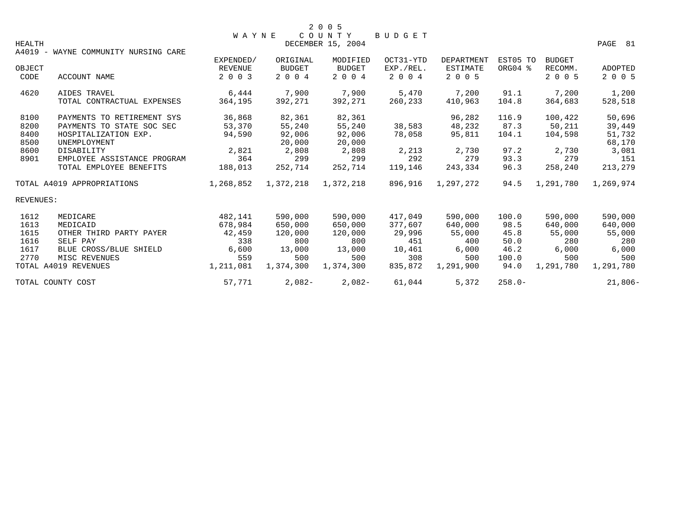|               |                                      | <b>WAYNE</b>   |               | 2 0 0 5<br>COUNTY | <b>BUDGET</b> |                 |           |               |           |
|---------------|--------------------------------------|----------------|---------------|-------------------|---------------|-----------------|-----------|---------------|-----------|
| <b>HEALTH</b> |                                      |                |               | DECEMBER 15, 2004 |               |                 |           |               | PAGE 81   |
|               | A4019 - WAYNE COMMUNITY NURSING CARE |                |               |                   |               |                 |           |               |           |
|               |                                      | EXPENDED/      | ORIGINAL      | MODIFIED          | OCT31-YTD     | DEPARTMENT      | EST05 TO  | <b>BUDGET</b> |           |
| OBJECT        |                                      | <b>REVENUE</b> | <b>BUDGET</b> | <b>BUDGET</b>     | EXP./REL.     | <b>ESTIMATE</b> | ORG04 %   | RECOMM.       | ADOPTED   |
| CODE          | ACCOUNT NAME                         | 2 0 0 3        | 2 0 0 4       | 2 0 0 4           | 2 0 0 4       | 2 0 0 5         |           | 2 0 0 5       | 2 0 0 5   |
| 4620          | AIDES TRAVEL                         | 6,444          | 7,900         | 7,900             | 5,470         | 7,200           | 91.1      | 7,200         | 1,200     |
|               | TOTAL CONTRACTUAL EXPENSES           | 364,195        | 392,271       | 392,271           | 260,233       | 410,963         | 104.8     | 364,683       | 528,518   |
| 8100          | PAYMENTS TO RETIREMENT SYS           | 36,868         | 82,361        | 82,361            |               | 96,282          | 116.9     | 100,422       | 50,696    |
| 8200          | PAYMENTS TO STATE SOC SEC            | 53,370         | 55,240        | 55,240            | 38,583        | 48,232          | 87.3      | 50,211        | 39,449    |
| 8400          | HOSPITALIZATION EXP.                 | 94,590         | 92,006        | 92,006            | 78,058        | 95,811          | 104.1     | 104,598       | 51,732    |
| 8500          | UNEMPLOYMENT                         |                | 20,000        | 20,000            |               |                 |           |               | 68,170    |
| 8600          | DISABILITY                           | 2,821          | 2,808         | 2,808             | 2,213         | 2,730           | 97.2      | 2,730         | 3,081     |
| 8901          | EMPLOYEE ASSISTANCE PROGRAM          | 364            | 299           | 299               | 292           | 279             | 93.3      | 279           | 151       |
|               | TOTAL EMPLOYEE BENEFITS              | 188,013        | 252,714       | 252,714           | 119,146       | 243,334         | 96.3      | 258,240       | 213,279   |
|               | TOTAL A4019 APPROPRIATIONS           | 1,268,852      | 1,372,218     | 1,372,218         | 896,916       | 1,297,272       | 94.5      | 1,291,780     | 1,269,974 |
| REVENUES:     |                                      |                |               |                   |               |                 |           |               |           |
| 1612          | MEDICARE                             | 482,141        | 590,000       | 590,000           | 417,049       | 590,000         | 100.0     | 590,000       | 590,000   |
| 1613          | MEDICAID                             | 678,984        | 650,000       | 650,000           | 377,607       | 640,000         | 98.5      | 640,000       | 640,000   |
| 1615          | OTHER THIRD PARTY PAYER              | 42,459         | 120,000       | 120,000           | 29,996        | 55,000          | 45.8      | 55,000        | 55,000    |
| 1616          | SELF PAY                             | 338            | 800           | 800               | 451           | 400             | 50.0      | 280           | 280       |
| 1617          | BLUE CROSS/BLUE SHIELD               | 6,600          | 13,000        | 13,000            | 10,461        | 6,000           | 46.2      | 6,000         | 6,000     |
| 2770          | MISC REVENUES                        | 559            | 500           | 500               | 308           | 500             | 100.0     | 500           | 500       |
|               | TOTAL A4019 REVENUES                 | 1,211,081      | 1,374,300     | 1,374,300         | 835,872       | 1,291,900       | 94.0      | 1,291,780     | 1,291,780 |
|               | TOTAL COUNTY COST                    | 57,771         | $2,082-$      | $2,082-$          | 61,044        | 5,372           | $258.0 -$ |               | $21,806-$ |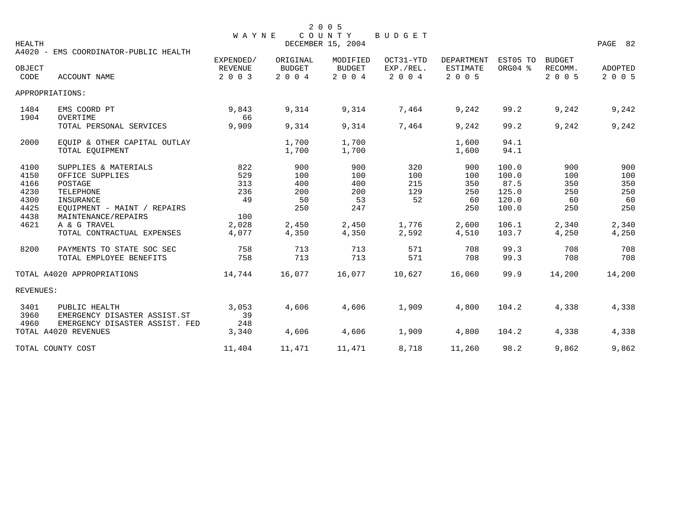| <b>HEALTH</b>        |                                                                                 | <b>WAYNE</b>                           |                                      | 2 0 0 5<br>COUNTY<br>DECEMBER 15, 2004 | BUDGET                            |                                          |                         |                                     | PAGE 82            |
|----------------------|---------------------------------------------------------------------------------|----------------------------------------|--------------------------------------|----------------------------------------|-----------------------------------|------------------------------------------|-------------------------|-------------------------------------|--------------------|
|                      | A4020 - EMS COORDINATOR-PUBLIC HEALTH                                           |                                        |                                      |                                        |                                   |                                          |                         |                                     |                    |
| OBJECT<br>CODE       | <b>ACCOUNT NAME</b>                                                             | EXPENDED/<br><b>REVENUE</b><br>2 0 0 3 | ORIGINAL<br><b>BUDGET</b><br>2 0 0 4 | MODIFIED<br><b>BUDGET</b><br>2 0 0 4   | OCT31-YTD<br>EXP./REL.<br>2 0 0 4 | DEPARTMENT<br><b>ESTIMATE</b><br>2 0 0 5 | EST05 TO<br>ORG04 %     | <b>BUDGET</b><br>RECOMM.<br>2 0 0 5 | ADOPTED<br>2 0 0 5 |
|                      | APPROPRIATIONS:                                                                 |                                        |                                      |                                        |                                   |                                          |                         |                                     |                    |
| 1484<br>1904         | EMS COORD PT<br>OVERTIME                                                        | 9,843<br>66                            | 9,314                                | 9,314                                  | 7,464                             | 9,242                                    | 99.2                    | 9,242                               | 9,242              |
|                      | TOTAL PERSONAL SERVICES                                                         | 9,909                                  | 9,314                                | 9,314                                  | 7,464                             | 9,242                                    | 99.2                    | 9,242                               | 9,242              |
| 2000                 | EQUIP & OTHER CAPITAL OUTLAY<br>TOTAL EQUIPMENT                                 |                                        | 1,700<br>1,700                       | 1,700<br>1,700                         |                                   | 1,600<br>1,600                           | 94.1<br>94.1            |                                     |                    |
| 4100<br>4150<br>4166 | SUPPLIES & MATERIALS<br>OFFICE SUPPLIES<br>POSTAGE                              | 822<br>529<br>313                      | 900<br>100<br>400                    | 900<br>100<br>400                      | 320<br>100<br>215                 | 900<br>100<br>350                        | 100.0<br>100.0<br>87.5  | 900<br>100<br>350                   | 900<br>100<br>350  |
| 4230<br>4300<br>4425 | TELEPHONE<br>INSURANCE<br>EOUIPMENT - MAINT / REPAIRS                           | 236<br>49                              | 200<br>50<br>250                     | 200<br>53<br>247                       | 129<br>52                         | 250<br>60<br>250                         | 125.0<br>120.0<br>100.0 | 250<br>60<br>250                    | 250<br>60<br>250   |
| 4438<br>4621         | MAINTENANCE/REPAIRS<br>A & G TRAVEL<br>TOTAL CONTRACTUAL EXPENSES               | 100<br>2,028<br>4,077                  | 2,450<br>4,350                       | 2,450<br>4,350                         | 1,776<br>2,592                    | 2,600<br>4,510                           | 106.1<br>103.7          | 2,340<br>4,250                      | 2,340<br>4,250     |
| 8200                 | PAYMENTS TO STATE SOC SEC<br>TOTAL EMPLOYEE BENEFITS                            | 758<br>758                             | 713<br>713                           | 713<br>713                             | 571<br>571                        | 708<br>708                               | 99.3<br>99.3            | 708<br>708                          | 708<br>708         |
|                      | TOTAL A4020 APPROPRIATIONS                                                      | 14,744                                 | 16,077                               | 16,077                                 | 10,627                            | 16,060                                   | 99.9                    | 14,200                              | 14,200             |
| <b>REVENUES:</b>     |                                                                                 |                                        |                                      |                                        |                                   |                                          |                         |                                     |                    |
| 3401<br>3960<br>4960 | PUBLIC HEALTH<br>EMERGENCY DISASTER ASSIST.ST<br>EMERGENCY DISASTER ASSIST. FED | 3,053<br>39<br>248                     | 4,606                                | 4,606                                  | 1,909                             | 4,800                                    | 104.2                   | 4,338                               | 4,338              |
|                      | TOTAL A4020 REVENUES                                                            | 3,340                                  | 4,606                                | 4,606                                  | 1,909                             | 4,800                                    | 104.2                   | 4,338                               | 4,338              |
|                      | TOTAL COUNTY COST                                                               | 11,404                                 | 11,471                               | 11,471                                 | 8,718                             | 11,260                                   | 98.2                    | 9,862                               | 9,862              |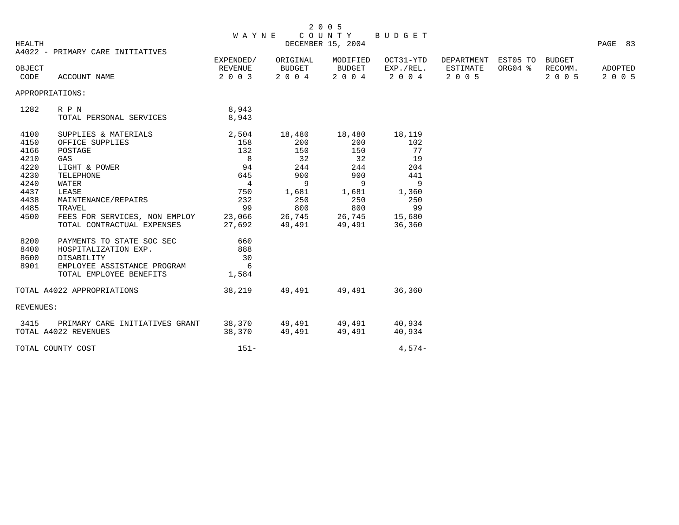| HEALTH           |                                  | <b>WAYNE</b>       |                   | COUNTY<br>DECEMBER 15, 2004 | BUDGET               |                     |         |                    | PAGE 83            |
|------------------|----------------------------------|--------------------|-------------------|-----------------------------|----------------------|---------------------|---------|--------------------|--------------------|
|                  | A4022 - PRIMARY CARE INITIATIVES |                    |                   |                             |                      |                     |         |                    |                    |
|                  |                                  | EXPENDED/          | ORIGINAL          | MODIFIED                    | OCT31-YTD            | DEPARTMENT EST05 TO |         | BUDGET             |                    |
| OBJECT           |                                  | REVENUE<br>2 0 0 3 | BUDGET<br>2 0 0 4 | BUDGET<br>2 0 0 4           | EXP./REL.<br>2 0 0 4 | ESTIMATE<br>2 0 0 5 | ORG04 % | RECOMM.<br>2 0 0 5 | ADOPTED<br>2 0 0 5 |
| CODE             | ACCOUNT NAME                     |                    |                   |                             |                      |                     |         |                    |                    |
| APPROPRIATIONS:  |                                  |                    |                   |                             |                      |                     |         |                    |                    |
| 1282             | R P N                            | 8,943              |                   |                             |                      |                     |         |                    |                    |
|                  | TOTAL PERSONAL SERVICES          | 8,943              |                   |                             |                      |                     |         |                    |                    |
| 4100             | SUPPLIES & MATERIALS             | 2,504              | 18,480            | 18,480                      | 18,119               |                     |         |                    |                    |
| 4150             | OFFICE SUPPLIES                  | 158                | 200               | 200                         | 102                  |                     |         |                    |                    |
| 4166             | POSTAGE                          | 132                | 150               | 150                         | 77                   |                     |         |                    |                    |
| 4210             | GAS                              | 8                  | 32                | 32                          | 19                   |                     |         |                    |                    |
| 4220             | LIGHT & POWER                    | 94                 | 244               | 244                         | 204                  |                     |         |                    |                    |
| 4230             | TELEPHONE                        | 645                | 900               | 900                         | 441                  |                     |         |                    |                    |
| 4240             | WATER                            | $\overline{4}$     | 9                 | $\overline{9}$              | 9                    |                     |         |                    |                    |
| 4437             | LEASE                            | 750                | 1,681             | 1,681                       | 1,360                |                     |         |                    |                    |
| 4438             | MAINTENANCE/REPAIRS              | 232                | 250               | 250                         | 250                  |                     |         |                    |                    |
| 4485             | TRAVEL                           | 99                 | 800               | 800                         | 99                   |                     |         |                    |                    |
| 4500             | FEES FOR SERVICES, NON EMPLOY    | 23,066             | 26,745            | 26,745                      | 15,680               |                     |         |                    |                    |
|                  | TOTAL CONTRACTUAL EXPENSES       | 27,692             | 49,491            | 49,491                      | 36,360               |                     |         |                    |                    |
| 8200             | PAYMENTS TO STATE SOC SEC        | 660                |                   |                             |                      |                     |         |                    |                    |
| 8400             | HOSPITALIZATION EXP.             | 888                |                   |                             |                      |                     |         |                    |                    |
| 8600             | DISABILITY                       | 30                 |                   |                             |                      |                     |         |                    |                    |
| 8901             | EMPLOYEE ASSISTANCE PROGRAM      | $6\overline{6}$    |                   |                             |                      |                     |         |                    |                    |
|                  | TOTAL EMPLOYEE BENEFITS          | 1,584              |                   |                             |                      |                     |         |                    |                    |
|                  | TOTAL A4022 APPROPRIATIONS       | 38,219             | 49,491            | 49,491                      | 36,360               |                     |         |                    |                    |
| <b>REVENUES:</b> |                                  |                    |                   |                             |                      |                     |         |                    |                    |
| 3415             | PRIMARY CARE INITIATIVES GRANT   |                    | 38,370 49,491     | 49,491                      | 40,934               |                     |         |                    |                    |
|                  | TOTAL A4022 REVENUES             | 38,370             | 49,491            | 49,491                      | 40,934               |                     |         |                    |                    |
|                  | TOTAL COUNTY COST                | $151 -$            |                   |                             | $4.574-$             |                     |         |                    |                    |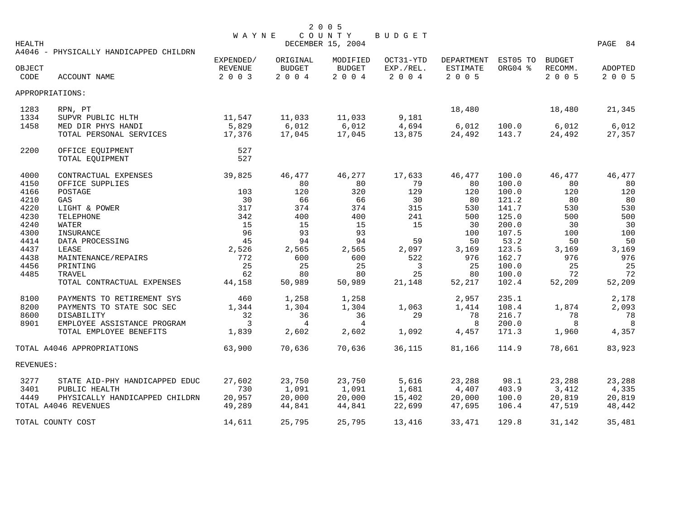| HEALTH    |                                        | <b>WAYNE</b>   |               | COUNTY<br>DECEMBER 15, 2004 | BUDGET    |                 |          |               | PAGE 84        |
|-----------|----------------------------------------|----------------|---------------|-----------------------------|-----------|-----------------|----------|---------------|----------------|
|           | A4046 - PHYSICALLY HANDICAPPED CHILDRN |                |               |                             |           |                 |          |               |                |
|           |                                        | EXPENDED/      | ORIGINAL      | MODIFIED                    | OCT31-YTD | DEPARTMENT      | EST05 TO | <b>BUDGET</b> |                |
| OBJECT    |                                        | <b>REVENUE</b> | <b>BUDGET</b> | <b>BUDGET</b>               | EXP./REL. | <b>ESTIMATE</b> | ORG04 %  | RECOMM.       | <b>ADOPTED</b> |
| CODE      | ACCOUNT NAME                           | 2 0 0 3        | 2 0 0 4       | 2004                        | 2 0 0 4   | 2 0 0 5         |          | 2 0 0 5       | 2 0 0 5        |
|           | APPROPRIATIONS:                        |                |               |                             |           |                 |          |               |                |
| 1283      | RPN, PT                                |                |               |                             |           | 18,480          |          | 18,480        | 21,345         |
| 1334      | SUPVR PUBLIC HLTH                      | 11,547         | 11,033        | 11,033                      | 9,181     |                 |          |               |                |
| 1458      | MED DIR PHYS HANDI                     | 5,829          | 6,012         | 6,012                       | 4,694     | 6,012           | 100.0    | 6,012         | 6,012          |
|           | TOTAL PERSONAL SERVICES                | 17,376         | 17,045        | 17,045                      | 13,875    | 24,492          | 143.7    | 24,492        | 27,357         |
| 2200      | OFFICE EQUIPMENT                       | 527            |               |                             |           |                 |          |               |                |
|           | TOTAL EQUIPMENT                        | 527            |               |                             |           |                 |          |               |                |
| 4000      | CONTRACTUAL EXPENSES                   | 39,825         | 46,477        | 46,277                      | 17,633    | 46,477          | 100.0    | 46,477        | 46,477         |
| 4150      | OFFICE SUPPLIES                        |                | 80            | 80                          | 79        | 80              | 100.0    | 80            | 80             |
| 4166      | POSTAGE                                | 103            | 120           | 320                         | 129       | 120             | 100.0    | 120           | 120            |
| 4210      | GAS                                    | 30             | 66            | 66                          | 30        | 80              | 121.2    | 80            | 80             |
| 4220      | LIGHT & POWER                          | 317            | 374           | 374                         | 315       | 530             | 141.7    | 530           | 530            |
| 4230      | TELEPHONE                              | 342            | 400           | 400                         | 241       | 500             | 125.0    | 500           | 500            |
| 4240      | WATER                                  | 15             | 15            | 15                          | 15        | 30              | 200.0    | 30            | 30             |
| 4300      | INSURANCE                              | 96             | 93            | 93                          |           | 100             | 107.5    | 100           | 100            |
| 4414      | DATA PROCESSING                        | 45             | 94            | 94                          | 59        | 50              | 53.2     | 50            | 50             |
| 4437      | LEASE                                  | 2,526          | 2,565         | 2,565                       | 2,097     | 3,169           | 123.5    | 3,169         | 3,169          |
| 4438      | MAINTENANCE/REPAIRS                    | 772            | 600           | 600                         | 522       | 976             | 162.7    | 976           | 976            |
| 4456      | PRINTING                               | 25             | 25            | 25                          | 3         | 25              | 100.0    | 25            | 25             |
| 4485      | TRAVEL                                 | 62             | 80            | 80                          | 25        | 80              | 100.0    | 72            | 72             |
|           | TOTAL CONTRACTUAL EXPENSES             | 44,158         | 50,989        | 50,989                      | 21,148    | 52,217          | 102.4    | 52,209        | 52,209         |
| 8100      | PAYMENTS TO RETIREMENT SYS             | 460            | 1,258         | 1,258                       |           | 2,957           | 235.1    |               | 2,178          |
| 8200      | PAYMENTS TO STATE SOC SEC              | 1,344          | 1,304         | 1,304                       | 1,063     | 1,414           | 108.4    | 1,874         | 2,093          |
| 8600      | DISABILITY                             | 32             | 36            | 36                          | 29        | 78              | 216.7    | 78            | 78             |
| 8901      | EMPLOYEE ASSISTANCE PROGRAM            | 3              | 4             | 4                           |           | 8               | 200.0    | 8             | 8              |
|           | TOTAL EMPLOYEE BENEFITS                | 1,839          | 2,602         | 2,602                       | 1,092     | 4,457           | 171.3    | 1,960         | 4,357          |
|           | TOTAL A4046 APPROPRIATIONS             | 63,900         | 70,636        | 70,636                      | 36,115    | 81,166          | 114.9    | 78,661        | 83,923         |
| REVENUES: |                                        |                |               |                             |           |                 |          |               |                |
| 3277      | STATE AID-PHY HANDICAPPED EDUC         | 27,602         | 23,750        | 23,750                      | 5,616     | 23,288          | 98.1     | 23,288        | 23,288         |
| 3401      | PUBLIC HEALTH                          | 730            | 1,091         | 1,091                       | 1,681     | 4,407           | 403.9    | 3,412         | 4,335          |
| 4449      | PHYSICALLY HANDICAPPED CHILDRN         | 20,957         | 20,000        | 20,000                      | 15,402    | 20,000          | 100.0    | 20,819        | 20,819         |
|           | TOTAL A4046 REVENUES                   | 49,289         | 44,841        | 44,841                      | 22,699    | 47,695          | 106.4    | 47,519        | 48,442         |
|           | TOTAL COUNTY COST                      | 14,611         | 25,795        | 25,795                      | 13,416    | 33,471          | 129.8    | 31,142        | 35,481         |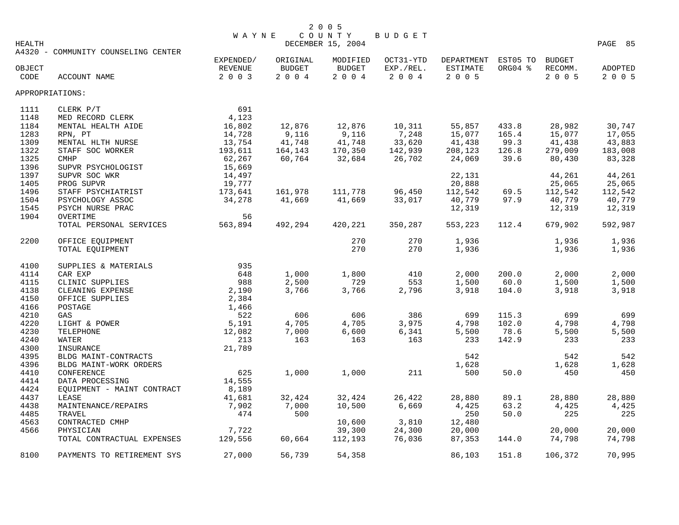| <b>HEALTH</b>  |                                     | <b>WAYNE</b>       |                | COUNTY<br>DECEMBER 15, 2004        | BUDGET            |                     |         |                 | PAGE 85            |
|----------------|-------------------------------------|--------------------|----------------|------------------------------------|-------------------|---------------------|---------|-----------------|--------------------|
|                | A4320 - COMMUNITY COUNSELING CENTER |                    |                |                                    |                   |                     |         |                 |                    |
|                |                                     | EXPENDED/          | ORIGINAL       | MODIFIED                           | OCT31-YTD         | DEPARTMENT EST05 TO |         | <b>BUDGET</b>   |                    |
| OBJECT<br>CODE | ACCOUNT NAME                        | REVENUE<br>2 0 0 3 | BUDGET<br>2004 | BUDGET<br>$2\quad 0\quad 0\quad 4$ | EXP./REL.<br>2004 | ESTIMATE<br>2 0 0 5 | ORG04 % | RECOMM.<br>2005 | ADOPTED<br>2 0 0 5 |
|                | APPROPRIATIONS:                     |                    |                |                                    |                   |                     |         |                 |                    |
| 1111           | CLERK P/T                           | 691                |                |                                    |                   |                     |         |                 |                    |
| 1148           | MED RECORD CLERK                    | 4,123              |                |                                    |                   |                     |         |                 |                    |
| 1184           | MENTAL HEALTH AIDE                  | 16,802             | 12,876         | 12,876                             | 10,311            | 55,857              | 433.8   | 28,982          | 30,747             |
| 1283           | RPN, PT                             | 14,728             | 9,116          | 9,116                              | 7,248             | 15,077              | 165.4   | 15,077          | 17,055             |
| 1309           | MENTAL HLTH NURSE                   | 13,754             | 41,748         | 41,748                             | 33,620            | 41,438              | 99.3    | 41,438          | 43,883             |
| 1322           | STAFF SOC WORKER                    | 193,611            | 164,143        | 170,350                            | 142,939           | 208,123             | 126.8   | 279,009         | 183,008            |
| 1325           | <b>CMHP</b>                         | 62,267             | 60,764         | 32,684                             | 26,702            | 24,069              | 39.6    | 80,430          | 83,328             |
| 1396           | SUPVR PSYCHOLOGIST                  | 15,669             |                |                                    |                   |                     |         |                 |                    |
| 1397           | SUPVR SOC WKR                       | 14,497             |                |                                    |                   | 22,131              |         | 44,261          | 44,261             |
| 1405           | PROG SUPVR                          | 19,777             |                |                                    |                   | 20,888              |         | 25,065          | 25,065             |
| 1496           | STAFF PSYCHIATRIST                  | 173,641            | 161,978        | 111,778                            | 96,450            | 112,542             | 69.5    | 112,542         | 112,542            |
| 1504           | PSYCHOLOGY ASSOC                    | 34,278             | 41,669         | 41,669                             | 33,017            | 40,779              | 97.9    | 40,779          | 40,779             |
| 1545           | PSYCH NURSE PRAC                    |                    |                |                                    |                   | 12,319              |         | 12,319          | 12,319             |
| 1904           | OVERTIME                            | 56                 |                |                                    |                   |                     |         |                 |                    |
|                | TOTAL PERSONAL SERVICES             | 563,894            | 492,294        | 420,221                            | 350,287           | 553,223             | 112.4   | 679,902         | 592,987            |
| 2200           | OFFICE EQUIPMENT                    |                    |                | 270                                | 270               | 1,936               |         | 1,936           | 1,936              |
|                | TOTAL EQUIPMENT                     |                    |                | 270                                | 270               | 1,936               |         | 1,936           | 1,936              |
| 4100           | SUPPLIES & MATERIALS                | 935                |                |                                    |                   |                     |         |                 |                    |
| 4114           | CAR EXP                             | 648                | 1,000          | 1,800                              | 410               | 2,000               | 200.0   | 2,000           | 2,000              |
| 4115           | CLINIC SUPPLIES                     | 988                | 2,500          | 729                                | 553               | 1,500               | 60.0    | 1,500           | 1,500              |
| 4138           | CLEANING EXPENSE                    | 2,190              | 3,766          | 3,766                              | 2,796             | 3,918               | 104.0   | 3,918           | 3,918              |
| 4150           | OFFICE SUPPLIES                     | 2,384              |                |                                    |                   |                     |         |                 |                    |
| 4166           | POSTAGE                             | 1,466              |                |                                    |                   |                     |         |                 |                    |
| 4210           | GAS                                 | 522                | 606            | 606                                | 386               | 699                 | 115.3   | 699             | 699                |
| 4220           | LIGHT & POWER                       | 5,191              | 4,705          | 4,705                              | 3,975             | 4,798               | 102.0   | 4,798           | 4,798              |
| 4230           | TELEPHONE                           | 12,082             | 7,000          | 6,600                              | 6,341             | 5,500               | 78.6    | 5,500           | 5,500              |
| 4240           | WATER                               | 213                | 163            | 163                                | 163               | 233                 | 142.9   | 233             | 233                |
| 4300           | INSURANCE                           | 21,789             |                |                                    |                   |                     |         |                 |                    |
| 4395           | BLDG MAINT-CONTRACTS                |                    |                |                                    |                   | 542                 |         | 542             | 542                |
| 4396           | BLDG MAINT-WORK ORDERS              |                    |                |                                    |                   | 1,628               |         | 1,628           | 1,628              |
| 4410           | CONFERENCE                          | 625                | 1,000          | 1,000                              | 211               | 500                 | 50.0    | 450             | 450                |
| 4414           | DATA PROCESSING                     | 14,555             |                |                                    |                   |                     |         |                 |                    |
| 4424           | EQUIPMENT - MAINT CONTRACT          | 8,189              |                |                                    |                   |                     |         |                 |                    |
| 4437           | LEASE                               | 41,681             | 32,424         | 32,424                             | 26,422            | 28,880              | 89.1    | 28,880          | 28,880             |
| 4438           | MAINTENANCE/REPAIRS                 | 7,902              | 7,000          | 10,500                             | 6,669             | 4,425               | 63.2    | 4,425           | 4,425              |
| 4485           | TRAVEL                              | 474                | 500            |                                    |                   | 250                 | 50.0    | 225             | 225                |
| 4563           | CONTRACTED CMHP                     |                    |                | 10,600                             | 3,810             | 12,480              |         |                 |                    |
| 4566           | PHYSICIAN                           | 7,722              |                | 39,300                             | 24,300            | 20,000              |         | 20,000          | 20,000             |
|                | TOTAL CONTRACTUAL EXPENSES          | 129,556            | 60,664         | 112,193                            | 76,036            | 87,353              | 144.0   | 74,798          | 74,798             |
| 8100           | PAYMENTS TO RETIREMENT SYS          | 27,000             | 56,739         | 54,358                             |                   | 86,103              | 151.8   | 106,372         | 70,995             |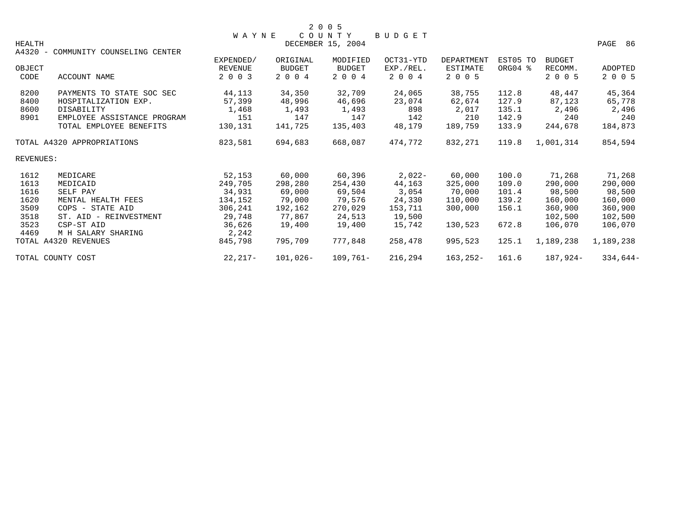|               |                                     |                |               | 2 0 0 5                     |               |                   |          |               |            |
|---------------|-------------------------------------|----------------|---------------|-----------------------------|---------------|-------------------|----------|---------------|------------|
| <b>HEALTH</b> |                                     | <b>WAYNE</b>   |               | COUNTY<br>DECEMBER 15, 2004 | <b>BUDGET</b> |                   |          |               | PAGE<br>86 |
|               | A4320 - COMMUNITY COUNSELING CENTER |                |               |                             |               |                   |          |               |            |
|               |                                     | EXPENDED/      | ORIGINAL      | MODIFIED                    | OCT31-YTD     | <b>DEPARTMENT</b> | EST05 TO | <b>BUDGET</b> |            |
| OBJECT        |                                     | <b>REVENUE</b> | <b>BUDGET</b> | <b>BUDGET</b>               | EXP./REL.     | <b>ESTIMATE</b>   | ORG04 %  | RECOMM.       | ADOPTED    |
| CODE          | ACCOUNT NAME                        | 2 0 0 3        | 2 0 0 4       | 2 0 0 4                     | 2 0 0 4       | 2 0 0 5           |          | 2 0 0 5       | 2 0 0 5    |
| 8200          | PAYMENTS TO STATE SOC SEC           | 44,113         | 34,350        | 32,709                      | 24,065        | 38,755            | 112.8    | 48,447        | 45,364     |
| 8400          | HOSPITALIZATION EXP.                | 57,399         | 48,996        | 46,696                      | 23,074        | 62,674            | 127.9    | 87,123        | 65,778     |
| 8600          | DISABILITY                          | 1,468          | 1,493         | 1,493                       | 898           | 2,017             | 135.1    | 2,496         | 2,496      |
| 8901          | EMPLOYEE ASSISTANCE PROGRAM         | 151            | 147           | 147                         | 142           | 210               | 142.9    | 240           | 240        |
|               | TOTAL EMPLOYEE BENEFITS             | 130,131        | 141,725       | 135,403                     | 48,179        | 189,759           | 133.9    | 244,678       | 184,873    |
|               | TOTAL A4320 APPROPRIATIONS          | 823,581        | 694,683       | 668,087                     | 474.772       | 832,271           | 119.8    | 1,001,314     | 854,594    |
| REVENUES:     |                                     |                |               |                             |               |                   |          |               |            |
| 1612          | MEDICARE                            | 52,153         | 60,000        | 60,396                      | $2,022-$      | 60,000            | 100.0    | 71,268        | 71,268     |
| 1613          | MEDICAID                            | 249,705        | 298,280       | 254,430                     | 44,163        | 325,000           | 109.0    | 290,000       | 290,000    |
| 1616          | SELF PAY                            | 34,931         | 69,000        | 69,504                      | 3,054         | 70,000            | 101.4    | 98,500        | 98,500     |
| 1620          | MENTAL HEALTH FEES                  | 134,152        | 79,000        | 79,576                      | 24,330        | 110,000           | 139.2    | 160,000       | 160,000    |
| 3509          | COPS - STATE AID                    | 306,241        | 192,162       | 270,029                     | 153,711       | 300,000           | 156.1    | 360,900       | 360,900    |
| 3518          | ST. AID - REINVESTMENT              | 29,748         | 77,867        | 24,513                      | 19,500        |                   |          | 102,500       | 102,500    |
| 3523          | CSP-ST AID                          | 36,626         | 19,400        | 19,400                      | 15,742        | 130,523           | 672.8    | 106,070       | 106,070    |
| 4469          | M H SALARY SHARING                  | 2,242          |               |                             |               |                   |          |               |            |
|               | TOTAL A4320 REVENUES                | 845,798        | 795,709       | 777,848                     | 258,478       | 995,523           | 125.1    | 1,189,238     | 1,189,238  |
|               | TOTAL COUNTY COST                   | 22,217-        | $101,026-$    | $109,761-$                  | 216,294       | $163, 252 -$      | 161.6    | 187,924-      | $334,644-$ |
|               |                                     |                |               |                             |               |                   |          |               |            |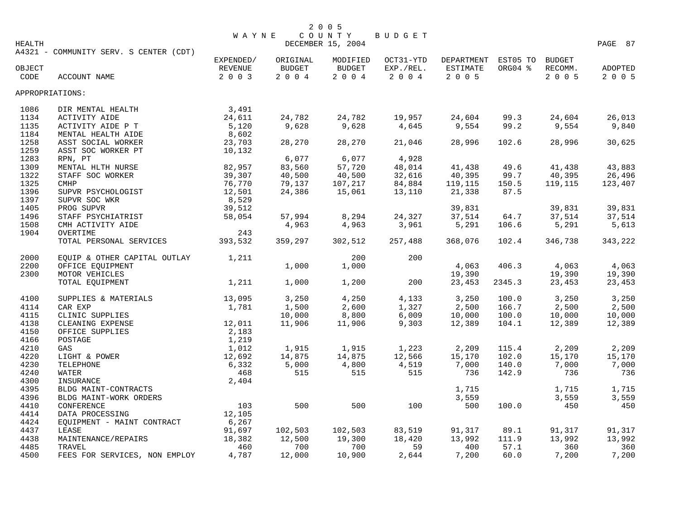|                 |                                        | <b>WAYNE</b>  |               | COUNTY            | BUDGET       |                            |         |               |               |
|-----------------|----------------------------------------|---------------|---------------|-------------------|--------------|----------------------------|---------|---------------|---------------|
| HEALTH          |                                        |               |               | DECEMBER 15, 2004 |              |                            |         |               | PAGE 87       |
|                 | A4321 - COMMUNITY SERV. S CENTER (CDT) |               |               |                   |              |                            |         |               |               |
|                 |                                        | EXPENDED/     | ORIGINAL      | MODIFIED          | OCT31-YTD    | DEPARTMENT EST05 TO BUDGET |         |               |               |
| OBJECT          |                                        | REVENUE       | <b>BUDGET</b> | <b>BUDGET</b>     | EXP./REL.    | ESTIMATE                   | ORG04 % | RECOMM.       | ADOPTED       |
| CODE            | ACCOUNT NAME                           | 2 0 0 3       | 2004          | 2004              | 2 0 0 4      | 2 0 0 5                    |         | 2 0 0 5       | 2 0 0 5       |
|                 |                                        |               |               |                   |              |                            |         |               |               |
| APPROPRIATIONS: |                                        |               |               |                   |              |                            |         |               |               |
| 1086            | DIR MENTAL HEALTH                      | 3,491         |               |                   |              |                            |         |               |               |
| 1134            | <b>ACTIVITY AIDE</b>                   | 24,611        | 24,782        | 24,782            | 19,957       | 24,604                     | 99.3    | 24,604        | 26,013        |
| 1135            | ACTIVITY AIDE P T                      | 5,120         | 9,628         | 9,628             | 4,645        | 9,554                      | 99.2    | 9,554         | 9,840         |
| 1184            | MENTAL HEALTH AIDE                     | 8,602         |               |                   |              |                            |         |               |               |
| 1258            | ASST SOCIAL WORKER                     | 23,703        | 28,270        | 28,270            | 21,046       | 28,996                     | 102.6   | 28,996        | 30,625        |
| 1259            | ASST SOC WORKER PT                     | 10,132        |               |                   |              |                            |         |               |               |
| 1283            | RPN, PT                                |               | 6,077         | 6,077             | 4,928        |                            |         |               |               |
| 1309            | MENTAL HLTH NURSE                      | 82,957        | 83,560        | 57,720            | 48,014       | 41,438                     | 49.6    | 41,438        | 43,883        |
| 1322            | STAFF SOC WORKER                       | 39,307        | 40,500        | 40,500            | 32,616       | 40,395                     | 99.7    | 40,395        | 26,496        |
| 1325            | <b>CMHP</b>                            | 76,770        | 79,137        | 107,217           | 84,884       | 119,115                    | 150.5   | 119,115       | 123,407       |
| 1396            | SUPVR PSYCHOLOGIST                     | 12,501        | 24,386        | 15,061            | 13,110       | 21,338                     | 87.5    |               |               |
| 1397            | SUPVR SOC WKR                          | 8,529         |               |                   |              |                            |         |               |               |
| 1405            | PROG SUPVR                             | 39,512        |               |                   |              | 39,831                     |         | 39,831        | 39,831        |
| 1496            |                                        | 58,054        | 57,994        | 8,294             | 24,327       | 37,514                     | 64.7    | 37,514        | 37,514        |
|                 | STAFF PSYCHIATRIST                     |               |               |                   |              | 5,291                      |         |               | 5,613         |
| 1508            | CMH ACTIVITY AIDE                      |               | 4,963         | 4,963             | 3,961        |                            | 106.6   | 5,291         |               |
| 1904            | OVERTIME                               | 243           |               |                   |              |                            |         |               |               |
|                 | TOTAL PERSONAL SERVICES                | 393,532       | 359,297       | 302,512           | 257,488      | 368,076                    | 102.4   | 346,738       | 343,222       |
| 2000            | EQUIP & OTHER CAPITAL OUTLAY           | 1,211         |               | 200               | 200          |                            |         |               |               |
| 2200            | OFFICE EQUIPMENT                       |               | 1,000         | 1,000             |              | 4,063                      | 406.3   | 4,063         | 4,063         |
| 2300            | MOTOR VEHICLES                         |               |               |                   |              | 19,390                     |         | 19,390        | 19,390        |
|                 | TOTAL EQUIPMENT                        | 1,211         | 1,000         | 1,200             | 200          | 23,453                     | 2345.3  | 23,453        | 23,453        |
|                 |                                        |               |               |                   |              |                            |         |               |               |
| 4100            | SUPPLIES & MATERIALS                   | 13,095        | 3,250         | 4,250             | 4,133        | 3,250                      | 100.0   | 3,250         | 3,250         |
| 4114            | CAR EXP                                | 1,781         | 1,500         | 2,600             | 1,327        | 2,500                      | 166.7   | 2,500         | 2,500         |
| 4115            | CLINIC SUPPLIES                        |               | 10,000        | 8,800             | 6,009        | 10,000                     | 100.0   | 10,000        | 10,000        |
| 4138            | CLEANING EXPENSE                       | 12,011        | 11,906        | 11,906            | 9,303        | 12,389                     | 104.1   | 12,389        | 12,389        |
| 4150            | OFFICE SUPPLIES                        | 2,183         |               |                   |              |                            |         |               |               |
| 4166            | POSTAGE                                | 1,219         |               |                   |              |                            |         |               |               |
| 4210            | GAS                                    | 1,012         | 1,915         | 1,915             | 1,223        | 2,209                      | 115.4   | 2,209         | 2,209         |
| 4220            | LIGHT & POWER                          | 12,692        | 14,875        | 14,875            | 12,566       | 15,170                     | 102.0   | 15,170        | 15,170        |
| 4230            | TELEPHONE                              | 6,332         | 5,000         | 4,800             | 4,519        | 7,000                      | 140.0   | 7,000         | 7,000         |
| 4240            | WATER                                  | 468           | 515           | 515               | 515          | 736                        | 142.9   | 736           | 736           |
| 4300            | INSURANCE                              | 2,404         |               |                   |              |                            |         |               |               |
| 4395            | BLDG MAINT-CONTRACTS                   |               |               |                   |              | 1,715                      |         | 1,715         | 1,715         |
| 4396            | BLDG MAINT-WORK ORDERS                 |               |               |                   |              | 3,559                      |         | 3,559         | 3,559         |
| 4410            | CONFERENCE                             | 103           | 500           | 500               | 100          | 500                        | 100.0   | 450           | 450           |
| 4414            | DATA PROCESSING                        | 12,105        |               |                   |              |                            |         |               |               |
| 4424            | EQUIPMENT - MAINT CONTRACT             | 6,267         |               |                   |              |                            |         |               |               |
| 4437            | LEASE                                  | 91,697        | 102,503       | 102,503           | 83,519       | 91,317                     | 89.1    | 91,317        | 91,317        |
|                 |                                        |               |               |                   |              |                            | 111.9   |               |               |
| 4438<br>4485    | MAINTENANCE/REPAIRS                    | 18,382<br>460 | 12,500<br>700 | 19,300<br>700     | 18,420<br>59 | 13,992<br>400              | 57.1    | 13,992<br>360 | 13,992<br>360 |
| 4500            | TRAVEL                                 | 4,787         | 12,000        | 10,900            | 2,644        |                            |         |               | 7,200         |
|                 | FEES FOR SERVICES, NON EMPLOY          |               |               |                   |              | 7,200                      | 60.0    | 7,200         |               |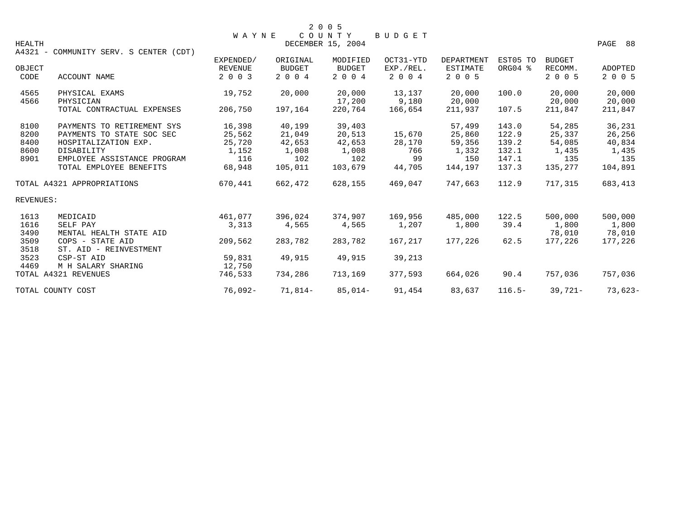|               |                                        | <b>WAYNE</b>   |               | 2 0 0 5<br>COUNTY | <b>BUDGET</b> |                   |           |               |                |
|---------------|----------------------------------------|----------------|---------------|-------------------|---------------|-------------------|-----------|---------------|----------------|
| <b>HEALTH</b> | A4321 - COMMUNITY SERV. S CENTER (CDT) |                |               | DECEMBER 15, 2004 |               |                   |           |               | PAGE 88        |
|               |                                        | EXPENDED/      | ORIGINAL      | MODIFIED          | OCT31-YTD     | <b>DEPARTMENT</b> | EST05 TO  | <b>BUDGET</b> |                |
| OBJECT        |                                        | <b>REVENUE</b> | <b>BUDGET</b> | <b>BUDGET</b>     | EXP./REL.     | ESTIMATE          | ORG04 %   | RECOMM.       | <b>ADOPTED</b> |
| CODE          | <b>ACCOUNT NAME</b>                    | 2 0 0 3        | 2 0 0 4       | 2 0 0 4           | 2 0 0 4       | 2 0 0 5           |           | 2 0 0 5       | 2 0 0 5        |
| 4565          | PHYSICAL EXAMS                         | 19,752         | 20,000        | 20,000            | 13,137        | 20,000            | 100.0     | 20,000        | 20,000         |
| 4566          | PHYSICIAN                              |                |               | 17,200            | 9,180         | 20,000            |           | 20,000        | 20,000         |
|               | TOTAL CONTRACTUAL EXPENSES             | 206,750        | 197,164       | 220,764           | 166,654       | 211,937           | 107.5     | 211,847       | 211,847        |
| 8100          | PAYMENTS TO RETIREMENT SYS             | 16,398         | 40,199        | 39,403            |               | 57,499            | 143.0     | 54,285        | 36,231         |
| 8200          | PAYMENTS TO STATE SOC SEC              | 25,562         | 21,049        | 20,513            | 15,670        | 25,860            | 122.9     | 25,337        | 26,256         |
| 8400          | HOSPITALIZATION EXP.                   | 25,720         | 42,653        | 42,653            | 28,170        | 59,356            | 139.2     | 54,085        | 40,834         |
| 8600          | DISABILITY                             | 1,152          | 1,008         | 1,008             | 766           | 1,332             | 132.1     | 1,435         | 1,435          |
| 8901          | EMPLOYEE ASSISTANCE PROGRAM            | 116            | 102           | 102               | 99            | 150               | 147.1     | 135           | 135            |
|               | TOTAL EMPLOYEE BENEFITS                | 68,948         | 105,011       | 103,679           | 44,705        | 144,197           | 137.3     | 135,277       | 104,891        |
|               | TOTAL A4321 APPROPRIATIONS             | 670,441        | 662,472       | 628,155           | 469,047       | 747.663           | 112.9     | 717,315       | 683,413        |
| REVENUES:     |                                        |                |               |                   |               |                   |           |               |                |
| 1613          | MEDICAID                               | 461,077        | 396,024       | 374,907           | 169,956       | 485,000           | 122.5     | 500,000       | 500,000        |
| 1616          | SELF PAY                               | 3,313          | 4,565         | 4,565             | 1,207         | 1,800             | 39.4      | 1,800         | 1,800          |
| 3490          | MENTAL HEALTH STATE AID                |                |               |                   |               |                   |           | 78,010        | 78,010         |
| 3509          | COPS - STATE AID                       | 209,562        | 283,782       | 283,782           | 167,217       | 177,226           | 62.5      | 177,226       | 177,226        |
| 3518          | ST. AID - REINVESTMENT                 |                |               |                   |               |                   |           |               |                |
| 3523          | CSP-ST AID                             | 59,831         | 49,915        | 49,915            | 39,213        |                   |           |               |                |
| 4469          | M H SALARY SHARING                     | 12,750         |               |                   |               |                   |           |               |                |
|               | TOTAL A4321 REVENUES                   | 746,533        | 734,286       | 713,169           | 377,593       | 664,026           | 90.4      | 757,036       | 757,036        |
|               | TOTAL COUNTY COST                      | $76,092-$      | $71,814-$     | $85,014-$         | 91,454        | 83,637            | $116.5 -$ | $39,721-$     | $73,623-$      |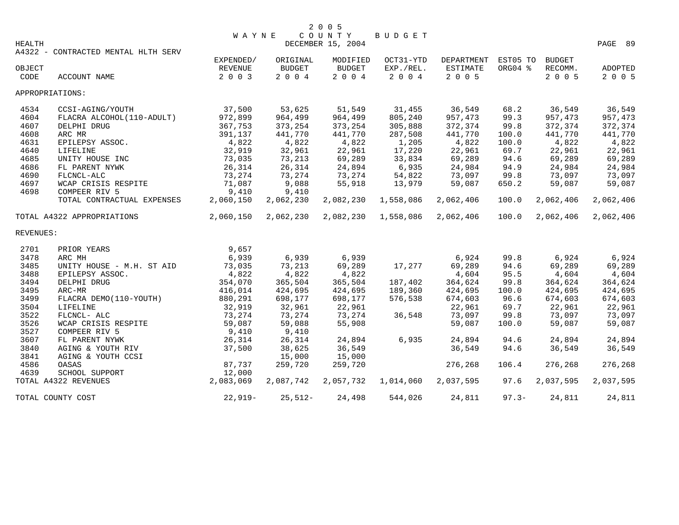| HEALTH         |                                     | <b>WAYNE</b>       |                       | COUNTY<br>DECEMBER 15, 2004 | <b>BUDGET</b>        |                     |          |                    | PAGE 89            |
|----------------|-------------------------------------|--------------------|-----------------------|-----------------------------|----------------------|---------------------|----------|--------------------|--------------------|
|                | A4322 - CONTRACTED MENTAL HLTH SERV |                    |                       |                             |                      |                     |          |                    |                    |
|                |                                     | EXPENDED/          | ORIGINAL              | MODIFIED                    | OCT31-YTD            | DEPARTMENT          | EST05 TO | <b>BUDGET</b>      |                    |
| OBJECT<br>CODE | ACCOUNT NAME                        | REVENUE<br>2 0 0 3 | <b>BUDGET</b><br>2004 | <b>BUDGET</b><br>2004       | EXP./REL.<br>2 0 0 4 | ESTIMATE<br>2 0 0 5 | ORG04 %  | RECOMM.<br>2 0 0 5 | ADOPTED<br>2 0 0 5 |
|                | APPROPRIATIONS:                     |                    |                       |                             |                      |                     |          |                    |                    |
| 4534           | CCSI-AGING/YOUTH                    | 37,500             | 53,625                | 51,549                      | 31,455               | 36,549              | 68.2     | 36,549             | 36,549             |
| 4604           | FLACRA ALCOHOL(110-ADULT)           | 972,899            | 964,499               | 964,499                     | 805,240              | 957,473             | 99.3     | 957,473            | 957,473            |
| 4607           | DELPHI DRUG                         | 367,753            | 373,254               | 373,254                     | 305,888              | 372,374             | 99.8     | 372,374            | 372,374            |
| 4608           | ARC MR                              | 391,137            | 441,770               | 441,770                     | 287,508              | 441,770             | 100.0    | 441,770            | 441,770            |
| 4631           | EPILEPSY ASSOC.                     | 4,822              | 4,822                 | 4,822                       | 1,205                | 4,822               | 100.0    | 4,822              | 4,822              |
| 4640           | LIFELINE                            | 32,919             | 32,961                | 22,961                      | 17,220               | 22,961              | 69.7     | 22,961             | 22,961             |
| 4685           | UNITY HOUSE INC                     | 73,035             | 73,213                | 69,289                      | 33,834               | 69,289              | 94.6     | 69,289             | 69,289             |
| 4686           | FL PARENT NYWK                      | 26,314             | 26,314                | 24,894                      | 6,935                | 24,984              | 94.9     | 24,984             | 24,984             |
| 4690           | FLCNCL-ALC                          | 73,274             | 73,274                | 73,274                      | 54,822               | 73,097              | 99.8     | 73,097             | 73,097             |
| 4697           | WCAP CRISIS RESPITE                 | 71,087             | 9,088                 | 55,918                      | 13,979               | 59,087              | 650.2    | 59,087             | 59,087             |
| 4698           | COMPEER RIV 5                       | 9,410              | 9,410                 |                             |                      |                     |          |                    |                    |
|                | TOTAL CONTRACTUAL EXPENSES          | 2,060,150          | 2,062,230             | 2,082,230                   | 1,558,086            | 2,062,406           | 100.0    | 2,062,406          | 2,062,406          |
|                | TOTAL A4322 APPROPRIATIONS          | 2,060,150          | 2,062,230             | 2,082,230                   | 1,558,086            | 2,062,406           | 100.0    | 2,062,406          | 2,062,406          |
| REVENUES:      |                                     |                    |                       |                             |                      |                     |          |                    |                    |
| 2701           | PRIOR YEARS                         | 9,657              |                       |                             |                      |                     |          |                    |                    |
| 3478           | ARC MH                              | 6,939              | 6,939                 | 6,939                       |                      | 6,924               | 99.8     | 6,924              | 6,924              |
| 3485           | UNITY HOUSE - M.H. ST AID           | 73,035             | 73,213                | 69,289                      | 17,277               | 69,289              | 94.6     | 69,289             | 69,289             |
| 3488           | EPILEPSY ASSOC.                     | 4,822              | 4,822                 | 4,822                       |                      | 4,604               | 95.5     | 4,604              | 4,604              |
| 3494           | DELPHI DRUG                         | 354,070            | 365,504               | 365,504                     | 187,402              | 364,624             | 99.8     | 364,624            | 364,624            |
| 3495           | ARC-MR                              | 416,014            | 424,695               | 424,695                     | 189,360              | 424,695             | 100.0    | 424,695            | 424,695            |
| 3499           | FLACRA DEMO(110-YOUTH)              | 880,291            | 698,177               | 698,177                     | 576,538              | 674,603             | 96.6     | 674,603            | 674,603            |
| 3504           | LIFELINE                            | 32,919             | 32,961                | 22,961                      |                      | 22,961              | 69.7     | 22,961             | 22,961             |
| 3522           | FLCNCL- ALC                         | 73,274             | 73,274                | 73,274                      | 36,548               | 73,097              | 99.8     | 73,097             | 73,097             |
| 3526           | WCAP CRISIS RESPITE                 | 59,087             | 59,088                | 55,908                      |                      | 59,087              | 100.0    | 59,087             | 59,087             |
| 3527           | COMPEER RIV 5                       | 9,410              | 9,410                 |                             |                      |                     |          |                    |                    |
| 3607           | FL PARENT NYWK                      | 26,314             | 26,314                | 24,894                      | 6,935                | 24,894              | 94.6     | 24,894             | 24,894             |
| 3840           | AGING & YOUTH RIV                   | 37,500             | 38,625                | 36,549                      |                      | 36,549              | 94.6     | 36,549             | 36,549             |
| 3841           | AGING & YOUTH CCSI                  |                    | 15,000                | 15,000                      |                      |                     |          |                    |                    |
| 4586           | OASAS                               | 87,737             | 259,720               | 259,720                     |                      | 276,268             | 106.4    | 276,268            | 276,268            |
| 4639           | SCHOOL SUPPORT                      | 12,000             |                       |                             |                      |                     |          |                    |                    |
|                | TOTAL A4322 REVENUES                | 2,083,069          | 2,087,742             | 2,057,732                   | 1,014,060            | 2,037,595           | 97.6     | 2,037,595          | 2,037,595          |
|                | TOTAL COUNTY COST                   | $22,919-$          | $25,512-$             | 24,498                      | 544,026              | 24,811              | $97.3 -$ | 24,811             | 24,811             |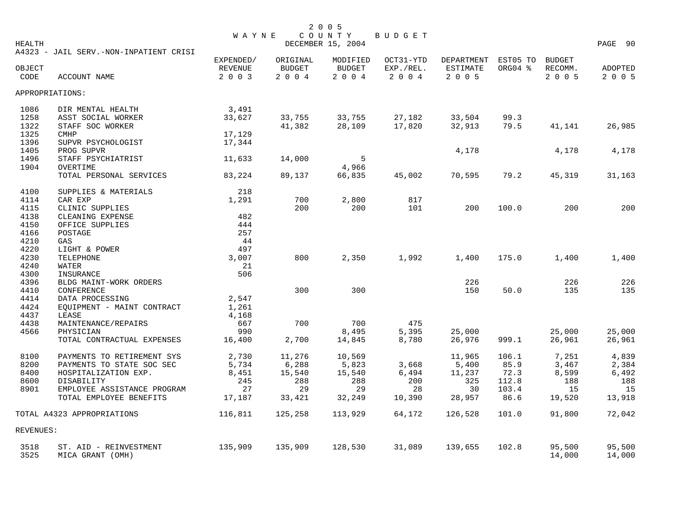| HEALTH    |                                        | <b>WAYNE</b>                |                           | 2 0 0 5<br>COUNTY<br>DECEMBER 15, 2004 | BUDGET                 |                        |                     |                          | PAGE 90 |
|-----------|----------------------------------------|-----------------------------|---------------------------|----------------------------------------|------------------------|------------------------|---------------------|--------------------------|---------|
| OBJECT    | A4323 - JAIL SERV.-NON-INPATIENT CRISI | EXPENDED/<br><b>REVENUE</b> | ORIGINAL<br><b>BUDGET</b> | MODIFIED<br><b>BUDGET</b>              | OCT31-YTD<br>EXP./REL. | DEPARTMENT<br>ESTIMATE | EST05 TO<br>ORG04 % | <b>BUDGET</b><br>RECOMM. | ADOPTED |
| CODE      | ACCOUNT NAME                           | 2 0 0 3                     | 2004                      | 2004                                   | 2 0 0 4                | 2 0 0 5                |                     | 2 0 0 5                  | 2 0 0 5 |
|           | APPROPRIATIONS:                        |                             |                           |                                        |                        |                        |                     |                          |         |
| 1086      | DIR MENTAL HEALTH                      | 3,491                       |                           |                                        |                        |                        |                     |                          |         |
| 1258      | ASST SOCIAL WORKER                     | 33,627                      | 33,755                    | 33,755                                 | 27,182                 | 33,504                 | 99.3                |                          |         |
| 1322      | STAFF SOC WORKER                       |                             | 41,382                    | 28,109                                 | 17,820                 | 32,913                 | 79.5                | 41,141                   | 26,985  |
| 1325      | <b>CMHP</b>                            | 17,129                      |                           |                                        |                        |                        |                     |                          |         |
| 1396      | SUPVR PSYCHOLOGIST                     | 17,344                      |                           |                                        |                        |                        |                     |                          |         |
| 1405      | PROG SUPVR                             |                             |                           |                                        |                        | 4,178                  |                     | 4,178                    | 4,178   |
| 1496      | STAFF PSYCHIATRIST                     | 11,633                      | 14,000                    | 5                                      |                        |                        |                     |                          |         |
| 1904      | OVERTIME                               |                             |                           | 4,966                                  |                        |                        |                     |                          |         |
|           | TOTAL PERSONAL SERVICES                | 83,224                      | 89,137                    | 66,835                                 | 45,002                 | 70,595                 | 79.2                | 45,319                   | 31,163  |
| 4100      | SUPPLIES & MATERIALS                   | 218                         |                           |                                        |                        |                        |                     |                          |         |
| 4114      | CAR EXP                                | 1,291                       | 700                       | 2,800                                  | 817                    |                        |                     |                          |         |
| 4115      | CLINIC SUPPLIES                        |                             | 200                       | 200                                    | 101                    | 200                    | 100.0               | 200                      | 200     |
| 4138      | CLEANING EXPENSE                       | 482                         |                           |                                        |                        |                        |                     |                          |         |
| 4150      | OFFICE SUPPLIES                        | 444                         |                           |                                        |                        |                        |                     |                          |         |
| 4166      | POSTAGE                                | 257                         |                           |                                        |                        |                        |                     |                          |         |
| 4210      | GAS                                    | 44                          |                           |                                        |                        |                        |                     |                          |         |
| 4220      | LIGHT & POWER                          | 497                         |                           |                                        |                        |                        |                     |                          |         |
| 4230      | TELEPHONE                              | 3,007                       | 800                       | 2,350                                  | 1,992                  | 1,400                  | 175.0               | 1,400                    | 1,400   |
| 4240      | WATER                                  | 21                          |                           |                                        |                        |                        |                     |                          |         |
| 4300      | INSURANCE                              | 506                         |                           |                                        |                        |                        |                     |                          |         |
| 4396      | BLDG MAINT-WORK ORDERS                 |                             |                           |                                        |                        | 226                    |                     | 226                      | 226     |
| 4410      | CONFERENCE                             |                             | 300                       | 300                                    |                        | 150                    | 50.0                | 135                      | 135     |
| 4414      | DATA PROCESSING                        | 2,547                       |                           |                                        |                        |                        |                     |                          |         |
| 4424      | EQUIPMENT - MAINT CONTRACT             | 1,261                       |                           |                                        |                        |                        |                     |                          |         |
| 4437      | LEASE                                  | 4,168                       |                           |                                        |                        |                        |                     |                          |         |
| 4438      | MAINTENANCE/REPAIRS                    | 667                         | 700                       | 700                                    | 475                    |                        |                     |                          |         |
| 4566      | PHYSICIAN                              | 990                         |                           | 8,495                                  | 5,395                  | 25,000                 |                     | 25,000                   | 25,000  |
|           | TOTAL CONTRACTUAL EXPENSES             | 16,400                      | 2,700                     | 14,845                                 | 8,780                  | 26,976                 | 999.1               | 26,961                   | 26,961  |
| 8100      | PAYMENTS TO RETIREMENT SYS             | 2,730                       | 11,276                    | 10,569                                 |                        | 11,965                 | 106.1               | 7,251                    | 4,839   |
| 8200      | PAYMENTS TO STATE SOC SEC              | 5,734                       | 6,288                     | 5,823                                  | 3,668                  | 5,400                  | 85.9                | 3,467                    | 2,384   |
| 8400      | HOSPITALIZATION EXP.                   | 8,451                       | 15,540                    | 15,540                                 | 6,494                  | 11,237                 | 72.3                | 8,599                    | 6,492   |
| 8600      | DISABILITY                             | 245                         | 288                       | 288                                    | 200                    | 325                    | 112.8               | 188                      | 188     |
| 8901      | EMPLOYEE ASSISTANCE PROGRAM            | 27                          | 29                        | 29                                     | 28                     | 30                     | 103.4               | 15                       | 15      |
|           | TOTAL EMPLOYEE BENEFITS                | 17,187                      | 33,421                    | 32,249                                 | 10,390                 | 28,957                 | 86.6                | 19,520                   | 13,918  |
|           | TOTAL A4323 APPROPRIATIONS             | 116,811                     | 125,258                   | 113,929                                | 64,172                 | 126,528                | 101.0               | 91,800                   | 72,042  |
| REVENUES: |                                        |                             |                           |                                        |                        |                        |                     |                          |         |
| 3518      | ST. AID - REINVESTMENT                 | 135,909                     | 135,909                   | 128,530                                | 31,089                 | 139,655                | 102.8               | 95,500                   | 95,500  |
| 3525      | MICA GRANT (OMH)                       |                             |                           |                                        |                        |                        |                     | 14,000                   | 14,000  |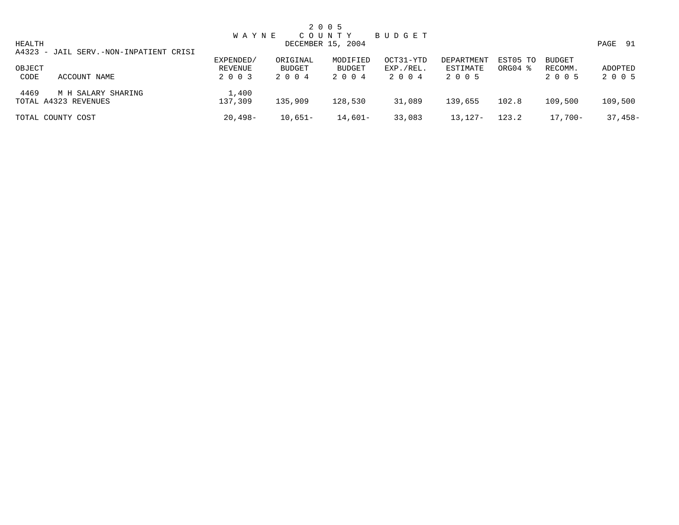|        |                                        | <b>WAYNE</b> |           | 2 0 0 5<br>COUNTY | B U D G E T |            |          |               |              |
|--------|----------------------------------------|--------------|-----------|-------------------|-------------|------------|----------|---------------|--------------|
| HEALTH |                                        |              |           | DECEMBER 15, 2004 |             |            |          |               | PAGE<br>- 91 |
|        | A4323 - JAIL SERV.-NON-INPATIENT CRISI |              |           |                   |             |            |          |               |              |
|        |                                        | EXPENDED/    | ORIGINAL  | MODIFIED          | OCT31-YTD   | DEPARTMENT | EST05 TO | <b>BUDGET</b> |              |
| OBJECT |                                        | REVENUE      | BUDGET    | BUDGET            | EXP./REL.   | ESTIMATE   | ORG04 %  | RECOMM.       | ADOPTED      |
| CODE   | ACCOUNT NAME                           | 2 0 0 3      | 2004      | 2 0 0 4           | 2 0 0 4     | 2 0 0 5    |          | 2 0 0 5       | 2 0 0 5      |
| 4469   | M H SALARY SHARING                     | 1,400        |           |                   |             |            |          |               |              |
|        | TOTAL A4323 REVENUES                   | 137,309      | 135,909   | 128,530           | 31,089      | 139,655    | 102.8    | 109,500       | 109,500      |
|        | TOTAL COUNTY COST                      | $20,498-$    | $10,651-$ | 14,601-           | 33,083      | 13,127-    | 123.2    | $17,700-$     | $37,458-$    |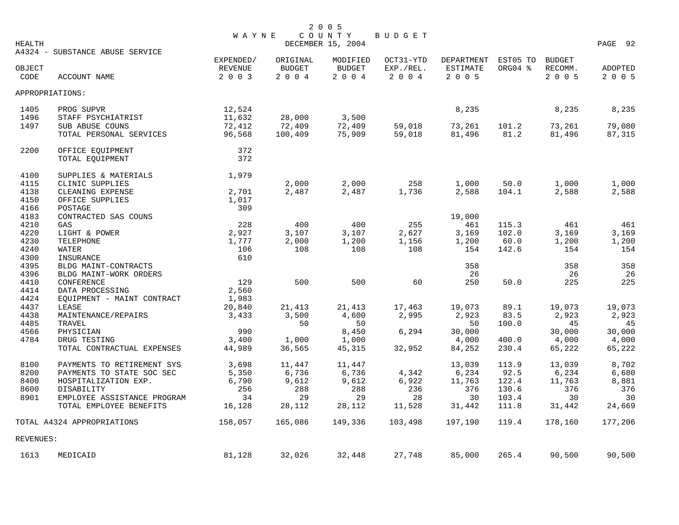| <b>HEALTH</b>  |                                      | WAYNE                                  |                                   | 2 0 0 5<br>COUNTY<br>DECEMBER 15, 2004 | BUDGET                            |                                          |                     |                                     | PAGE 92                   |
|----------------|--------------------------------------|----------------------------------------|-----------------------------------|----------------------------------------|-----------------------------------|------------------------------------------|---------------------|-------------------------------------|---------------------------|
|                | A4324 - SUBSTANCE ABUSE SERVICE      |                                        |                                   |                                        |                                   |                                          |                     |                                     |                           |
| OBJECT<br>CODE | ACCOUNT NAME                         | EXPENDED/<br><b>REVENUE</b><br>2 0 0 3 | ORIGINAL<br><b>BUDGET</b><br>2004 | MODIFIED<br><b>BUDGET</b><br>2004      | OCT31-YTD<br>EXP./REL.<br>2 0 0 4 | DEPARTMENT<br><b>ESTIMATE</b><br>2 0 0 5 | EST05 TO<br>ORG04 % | <b>BUDGET</b><br>RECOMM.<br>2 0 0 5 | <b>ADOPTED</b><br>2 0 0 5 |
|                | APPROPRIATIONS:                      |                                        |                                   |                                        |                                   |                                          |                     |                                     |                           |
| 1405           | PROG SUPVR                           | 12,524                                 |                                   |                                        |                                   | 8,235                                    |                     | 8,235                               | 8,235                     |
| 1496           | STAFF PSYCHIATRIST                   | 11,632                                 | 28,000                            | 3,500                                  |                                   |                                          |                     |                                     |                           |
| 1497           | SUB ABUSE COUNS                      | 72,412                                 | 72,409                            | 72,409                                 | 59,018                            | 73,261                                   | 101.2               | 73,261                              | 79,080                    |
|                | TOTAL PERSONAL SERVICES              | 96,568                                 | 100,409                           | 75,909                                 | 59,018                            | 81,496                                   | 81.2                | 81,496                              | 87,315                    |
| 2200           | OFFICE EQUIPMENT                     | 372                                    |                                   |                                        |                                   |                                          |                     |                                     |                           |
|                | TOTAL EQUIPMENT                      | 372                                    |                                   |                                        |                                   |                                          |                     |                                     |                           |
| 4100           | SUPPLIES & MATERIALS                 | 1,979                                  |                                   |                                        |                                   |                                          |                     |                                     |                           |
| 4115           | CLINIC SUPPLIES                      |                                        | 2,000                             | 2,000                                  | 258                               | 1,000                                    | 50.0                | 1,000                               | 1,000                     |
| 4138           | CLEANING EXPENSE                     | 2,701                                  | 2,487                             | 2,487                                  | 1,736                             | 2,588                                    | 104.1               | 2,588                               | 2,588                     |
| 4150           | OFFICE SUPPLIES                      | 1,017                                  |                                   |                                        |                                   |                                          |                     |                                     |                           |
| 4166           | POSTAGE                              | 309                                    |                                   |                                        |                                   |                                          |                     |                                     |                           |
| 4183           | CONTRACTED SAS COUNS                 |                                        |                                   |                                        |                                   | 19,000                                   |                     |                                     |                           |
| 4210           | GAS                                  | 228                                    | 400                               | 400                                    | 255                               | 461                                      | 115.3               | 461                                 | 461                       |
| 4220           | LIGHT & POWER                        | 2,927                                  | 3,107                             | 3,107                                  | 2,627                             | 3,169                                    | 102.0               | 3,169                               | 3,169                     |
| 4230           | <b>TELEPHONE</b>                     | 1,777                                  | 2,000                             | 1,200                                  | 1,156                             | 1,200                                    | 60.0                | 1,200                               | 1,200                     |
| 4240           | WATER                                | 106                                    | 108                               | 108                                    | 108                               | 154                                      | 142.6               | 154                                 | 154                       |
| 4300           | INSURANCE                            | 610                                    |                                   |                                        |                                   |                                          |                     |                                     |                           |
| 4395<br>4396   | BLDG MAINT-CONTRACTS                 |                                        |                                   |                                        |                                   | 358<br>26                                |                     | 358<br>26                           | 358<br>26                 |
| 4410           | BLDG MAINT-WORK ORDERS<br>CONFERENCE | 129                                    | 500                               | 500                                    | 60                                | 250                                      | 50.0                | 225                                 | 225                       |
| 4414           | DATA PROCESSING                      | 2,560                                  |                                   |                                        |                                   |                                          |                     |                                     |                           |
| 4424           | EQUIPMENT - MAINT CONTRACT           | 1,983                                  |                                   |                                        |                                   |                                          |                     |                                     |                           |
| 4437           | LEASE                                | 20,840                                 | 21,413                            | 21,413                                 | 17,463                            | 19,073                                   | 89.1                | 19,073                              | 19,073                    |
| 4438           | MAINTENANCE/REPAIRS                  | 3,433                                  | 3,500                             | 4,600                                  | 2,995                             | 2,923                                    | 83.5                | 2,923                               | 2,923                     |
| 4485           | TRAVEL                               |                                        | 50                                | 50                                     |                                   | 50                                       | 100.0               | 45                                  | 45                        |
| 4566           | PHYSICIAN                            | 990                                    |                                   | 8,450                                  | 6,294                             | 30,000                                   |                     | 30,000                              | 30,000                    |
| 4784           | DRUG TESTING                         | 3,400                                  | 1,000                             | 1,000                                  |                                   | 4,000                                    | 400.0               | 4,000                               | 4,000                     |
|                | TOTAL CONTRACTUAL EXPENSES           | 44,989                                 | 36,565                            | 45,315                                 | 32,952                            | 84,252                                   | 230.4               | 65,222                              | 65,222                    |
| 8100           | PAYMENTS TO RETIREMENT SYS           | 3,698                                  | 11,447                            | 11,447                                 |                                   | 13,039                                   | 113.9               | 13,039                              | 8,702                     |
| 8200           | PAYMENTS TO STATE SOC SEC            | 5,350                                  | 6,736                             | 6,736                                  | 4,342                             | 6,234                                    | 92.5                | 6,234                               | 6,680                     |
| 8400           | HOSPITALIZATION EXP.                 | 6,790                                  | 9,612                             | 9,612                                  | 6,922                             | 11,763                                   | 122.4               | 11,763                              | 8,881                     |
| 8600           | DISABILITY                           | 256                                    | 288                               | 288                                    | 236                               | 376                                      | 130.6               | 376                                 | 376                       |
| 8901           | EMPLOYEE ASSISTANCE PROGRAM          | 34                                     | 29                                | 29                                     | 28                                | 30                                       | 103.4               | 30                                  | 30                        |
|                | TOTAL EMPLOYEE BENEFITS              | 16,128                                 | 28,112                            | 28,112                                 | 11,528                            | 31,442                                   | 111.8               | 31,442                              | 24,669                    |
|                | TOTAL A4324 APPROPRIATIONS           | 158,057                                | 165,086                           | 149,336                                | 103,498                           | 197,190                                  | 119.4               | 178,160                             | 177,206                   |
| REVENUES:      |                                      |                                        |                                   |                                        |                                   |                                          |                     |                                     |                           |
| 1613           | MEDICAID                             | 81,128                                 | 32,026                            | 32,448                                 | 27,748                            | 85,000                                   | 265.4               | 90,500                              | 90,500                    |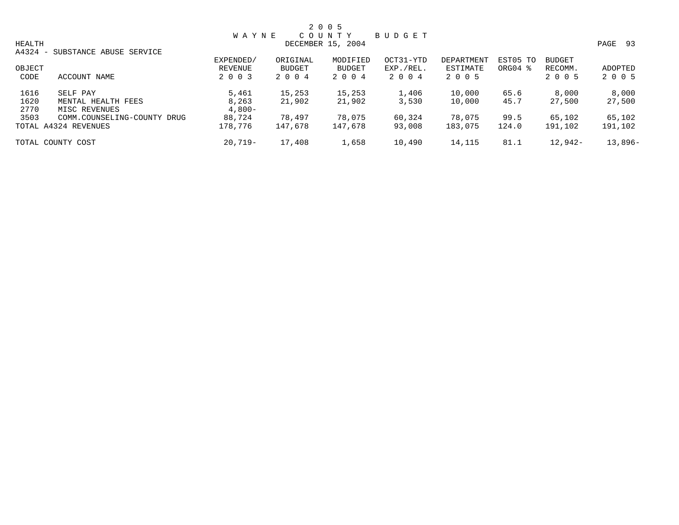|        |                                                     |              |          | 2 0 0 5           |               |            |          |           |            |
|--------|-----------------------------------------------------|--------------|----------|-------------------|---------------|------------|----------|-----------|------------|
|        |                                                     | <b>WAYNE</b> |          | COUNTY            | <b>BUDGET</b> |            |          |           |            |
| HEALTH |                                                     |              |          | DECEMBER 15, 2004 |               |            |          |           | PAGE<br>93 |
| A4324  | SUBSTANCE ABUSE SERVICE<br>$\overline{\phantom{a}}$ |              |          |                   |               |            |          |           |            |
|        |                                                     | EXPENDED/    | ORIGINAL | MODIFIED          | OCT31-YTD     | DEPARTMENT | EST05 TO | BUDGET    |            |
| OBJECT |                                                     | REVENUE      | BUDGET   | <b>BUDGET</b>     | EXP./REL.     | ESTIMATE   | ORG04 %  | RECOMM.   | ADOPTED    |
| CODE   | ACCOUNT NAME                                        | 2 0 0 3      | 2004     | 2 0 0 4           | 2004          | 2 0 0 5    |          | 2 0 0 5   | 2 0 0 5    |
| 1616   | SELF PAY                                            | 5,461        | 15,253   | 15,253            | 1,406         | 10,000     | 65.6     | 8,000     | 8,000      |
| 1620   | MENTAL HEALTH FEES                                  | 8,263        | 21,902   | 21,902            | 3,530         | 10,000     | 45.7     | 27,500    | 27,500     |
| 2770   | MISC REVENUES                                       | $4,800-$     |          |                   |               |            |          |           |            |
| 3503   | COMM.COUNSELING-COUNTY DRUG                         | 88,724       | 78,497   | 78,075            | 60,324        | 78,075     | 99.5     | 65,102    | 65,102     |
|        | TOTAL A4324 REVENUES                                | 178,776      | 147,678  | 147,678           | 93,008        | 183,075    | 124.0    | 191,102   | 191,102    |
|        | TOTAL COUNTY COST                                   | $20.719-$    | 17,408   | 1,658             | 10,490        | 14,115     | 81.1     | $12.942-$ | $13,896-$  |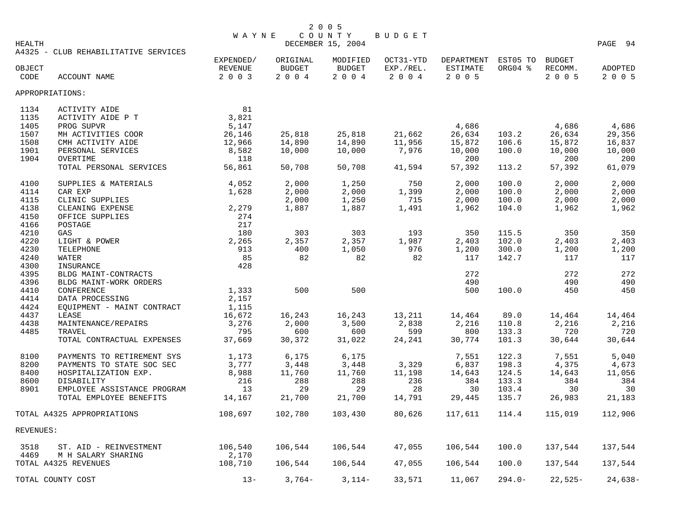| HEALTH         |                                            | <b>WAYNE</b>       |                   | COUNTY<br>DECEMBER 15, 2004 | <b>BUDGET</b>        |                     |                |                    | PAGE 94            |
|----------------|--------------------------------------------|--------------------|-------------------|-----------------------------|----------------------|---------------------|----------------|--------------------|--------------------|
|                | A4325 - CLUB REHABILITATIVE SERVICES       |                    |                   |                             |                      |                     |                |                    |                    |
|                |                                            | EXPENDED/          | ORIGINAL          | MODIFIED                    | OCT31-YTD            | DEPARTMENT EST05 TO |                | <b>BUDGET</b>      |                    |
| OBJECT<br>CODE | ACCOUNT NAME                               | REVENUE<br>2 0 0 3 | BUDGET<br>2 0 0 4 | <b>BUDGET</b><br>2 0 0 4    | EXP./REL.<br>2 0 0 4 | ESTIMATE<br>2 0 0 5 | ORG04 %        | RECOMM.<br>2 0 0 5 | ADOPTED<br>2 0 0 5 |
|                | APPROPRIATIONS:                            |                    |                   |                             |                      |                     |                |                    |                    |
| 1134           | ACTIVITY AIDE                              | 81                 |                   |                             |                      |                     |                |                    |                    |
| 1135           | ACTIVITY AIDE P T                          | 3,821              |                   |                             |                      |                     |                |                    |                    |
| 1405           | PROG SUPVR                                 | 5,147              |                   |                             |                      | 4,686               |                | 4,686              | 4,686              |
| 1507           | MH ACTIVITIES COOR                         | 26,146             | 25,818            | 25,818                      | 21,662               | 26,634              | 103.2          | 26,634             | 29,356             |
| 1508           | CMH ACTIVITY AIDE                          | 12,966             | 14,890            | 14,890                      | 11,956               | 15,872              | 106.6          | 15,872             | 16,837             |
| 1901           | PERSONAL SERVICES                          | 8,582              | 10,000            | 10,000                      | 7,976                | 10,000              | 100.0          | 10,000             | 10,000             |
| 1904           | OVERTIME                                   | 118                |                   |                             |                      | 200                 |                | 200                | 200                |
|                | TOTAL PERSONAL SERVICES                    | 56,861             | 50,708            | 50,708                      | 41,594               | 57,392              | 113.2          | 57,392             | 61,079             |
| 4100           | SUPPLIES & MATERIALS                       | 4,052              | 2,000             | 1,250                       | 750                  | 2,000               | 100.0          | 2,000              | 2,000              |
| 4114           | CAR EXP                                    | 1,628              | 2,000             | 2,000                       | 1,399                | 2,000               | 100.0          | 2,000              | 2,000              |
| 4115           | CLINIC SUPPLIES                            |                    | 2,000             | 1,250                       | 715                  | 2,000               | 100.0          | 2,000              | 2,000              |
| 4138           | CLEANING EXPENSE                           | 2,279              | 1,887             | 1,887                       | 1,491                | 1,962               | 104.0          | 1,962              | 1,962              |
| 4150           | OFFICE SUPPLIES                            | 274                |                   |                             |                      |                     |                |                    |                    |
| 4166           | POSTAGE                                    | 217                |                   |                             |                      |                     |                |                    |                    |
| 4210           | GAS                                        | 180                | 303               | 303                         | 193                  | 350                 | 115.5          | 350                | 350                |
| 4220<br>4230   | LIGHT & POWER                              | 2,265<br>913       | 2,357<br>400      | 2,357<br>1,050              | 1,987<br>976         | 2,403               | 102.0<br>300.0 | 2,403              | 2,403<br>1,200     |
| 4240           | TELEPHONE<br>WATER                         | 85                 | 82                | 82                          | 82                   | 1,200<br>117        | 142.7          | 1,200<br>117       | 117                |
| 4300           | INSURANCE                                  | 428                |                   |                             |                      |                     |                |                    |                    |
| 4395           | BLDG MAINT-CONTRACTS                       |                    |                   |                             |                      | 272                 |                | 272                | 272                |
| 4396           | BLDG MAINT-WORK ORDERS                     |                    |                   |                             |                      | 490                 |                | 490                | 490                |
| 4410           | CONFERENCE                                 | 1,333              | 500               | 500                         |                      | 500                 | 100.0          | 450                | 450                |
| 4414           | DATA PROCESSING                            | 2,157              |                   |                             |                      |                     |                |                    |                    |
| 4424           | EQUIPMENT - MAINT CONTRACT                 | 1,115              |                   |                             |                      |                     |                |                    |                    |
| 4437           | LEASE                                      | 16,672             | 16,243            | 16,243                      | 13,211               | 14,464              | 89.0           | 14,464             | 14,464             |
| 4438           | MAINTENANCE/REPAIRS                        | 3,276              | 2,000             | 3,500                       | 2,838                | 2,216               | 110.8          | 2,216              | 2,216              |
| 4485           | TRAVEL                                     | 795                | 600               | 600                         | 599                  | 800                 | 133.3          | 720                | 720                |
|                | TOTAL CONTRACTUAL EXPENSES                 | 37,669             | 30,372            | 31,022                      | 24,241               | 30,774              | 101.3          | 30,644             | 30,644             |
| 8100           | PAYMENTS TO RETIREMENT SYS                 | 1,173              | 6,175             | 6,175                       |                      | 7,551               | 122.3          | 7,551              | 5,040              |
| 8200           | PAYMENTS TO STATE SOC SEC                  | 3,777              | 3,448             | 3,448                       | 3,329                | 6,837               | 198.3          | 4,375              | 4,673              |
| 8400           | HOSPITALIZATION EXP.                       | 8,988              | 11,760            | 11,760                      | 11,198               | 14,643              | 124.5          | 14,643             | 11,056             |
| 8600           | DISABILITY                                 | 216                | 288               | 288                         | 236                  | 384                 | 133.3          | 384                | 384                |
| 8901           | EMPLOYEE ASSISTANCE PROGRAM                | 13                 | 29                | 29                          | 28                   | 30                  | 103.4          | 30                 | 30                 |
|                | TOTAL EMPLOYEE BENEFITS                    | 14,167             | 21,700            | 21,700                      | 14,791               | 29,445              | 135.7          | 26,983             | 21,183             |
|                | TOTAL A4325 APPROPRIATIONS                 | 108,697            | 102,780           | 103,430                     | 80,626               | 117,611             | 114.4          | 115,019            | 112,906            |
| REVENUES:      |                                            |                    |                   |                             |                      |                     |                |                    |                    |
| 3518           | ST. AID - REINVESTMENT                     | 106,540            | 106,544           | 106,544                     | 47,055               | 106,544             | 100.0          | 137,544            | 137,544            |
| 4469           | M H SALARY SHARING<br>TOTAL A4325 REVENUES | 2,170<br>108,710   | 106,544           | 106,544                     | 47,055               | 106,544             | 100.0          | 137,544            | 137,544            |
|                |                                            |                    |                   |                             |                      |                     |                |                    |                    |
|                | TOTAL COUNTY COST                          | $13 -$             | $3,764-$          | $3,114-$                    | 33,571               | 11,067              | $294.0 -$      | $22,525-$          | $24,638-$          |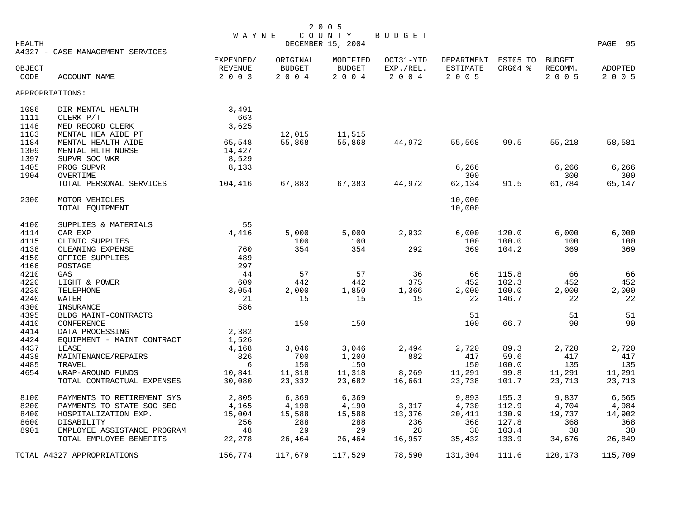| HEALTH |                                  | WAYNE                |                           | 2 0 0 5<br>COUNTY<br>DECEMBER 15, 2004 | BUDGET                 |                               |                     |                          | PAGE 95 |
|--------|----------------------------------|----------------------|---------------------------|----------------------------------------|------------------------|-------------------------------|---------------------|--------------------------|---------|
| OBJECT | A4327 - CASE MANAGEMENT SERVICES | EXPENDED/<br>REVENUE | ORIGINAL<br><b>BUDGET</b> | MODIFIED<br><b>BUDGET</b>              | OCT31-YTD<br>EXP./REL. | DEPARTMENT<br><b>ESTIMATE</b> | EST05 TO<br>ORG04 % | <b>BUDGET</b><br>RECOMM. | ADOPTED |
| CODE   | ACCOUNT NAME                     | 2 0 0 3              | 2 0 0 4                   | 2004                                   | 2004                   | 2 0 0 5                       |                     | 2 0 0 5                  | 2 0 0 5 |
|        | APPROPRIATIONS:                  |                      |                           |                                        |                        |                               |                     |                          |         |
| 1086   | DIR MENTAL HEALTH                | 3,491                |                           |                                        |                        |                               |                     |                          |         |
| 1111   | CLERK P/T                        | 663                  |                           |                                        |                        |                               |                     |                          |         |
| 1148   | MED RECORD CLERK                 | 3,625                |                           |                                        |                        |                               |                     |                          |         |
| 1183   | MENTAL HEA AIDE PT               |                      | 12,015                    | 11,515                                 |                        |                               |                     |                          |         |
| 1184   | MENTAL HEALTH AIDE               | 65,548               | 55,868                    | 55,868                                 | 44,972                 | 55,568                        | 99.5                | 55,218                   | 58,581  |
| 1309   | MENTAL HLTH NURSE                | 14,427               |                           |                                        |                        |                               |                     |                          |         |
| 1397   | SUPVR SOC WKR                    | 8,529                |                           |                                        |                        |                               |                     |                          |         |
| 1405   | PROG SUPVR                       | 8,133                |                           |                                        |                        | 6,266                         |                     | 6,266                    | 6,266   |
| 1904   | OVERTIME                         |                      |                           |                                        |                        | 300                           |                     | 300                      | 300     |
|        | TOTAL PERSONAL SERVICES          | 104,416              | 67,883                    | 67,383                                 | 44,972                 | 62,134                        | 91.5                | 61,784                   | 65,147  |
| 2300   | MOTOR VEHICLES                   |                      |                           |                                        |                        | 10,000                        |                     |                          |         |
|        | TOTAL EQUIPMENT                  |                      |                           |                                        |                        | 10,000                        |                     |                          |         |
| 4100   | SUPPLIES & MATERIALS             | 55                   |                           |                                        |                        |                               |                     |                          |         |
| 4114   | CAR EXP                          | 4,416                | 5,000                     | 5,000                                  | 2,932                  | 6,000                         | 120.0               | 6,000                    | 6,000   |
| 4115   | CLINIC SUPPLIES                  |                      | 100                       | 100                                    |                        | 100                           | 100.0               | 100                      | 100     |
| 4138   | CLEANING EXPENSE                 | 760                  | 354                       | 354                                    | 292                    | 369                           | 104.2               | 369                      | 369     |
| 4150   | OFFICE SUPPLIES                  | 489                  |                           |                                        |                        |                               |                     |                          |         |
| 4166   | POSTAGE                          | 297                  |                           |                                        |                        |                               |                     |                          |         |
| 4210   | GAS                              | -44                  | 57                        | 57                                     | 36                     | 66                            | 115.8               | 66                       | 66      |
| 4220   | LIGHT & POWER                    | 609                  | 442                       | 442                                    | 375                    | 452                           | 102.3               | 452                      | 452     |
| 4230   | TELEPHONE                        | 3,054                | 2,000                     | 1,850                                  | 1,366                  | 2,000                         | 100.0               | 2,000                    | 2,000   |
| 4240   | WATER                            | 21                   | 15                        | 15                                     | 15                     | 22                            | 146.7               | 22                       | 22      |
| 4300   | INSURANCE                        | 586                  |                           |                                        |                        |                               |                     |                          |         |
| 4395   | BLDG MAINT-CONTRACTS             |                      |                           |                                        |                        | 51                            |                     | 51                       | 51      |
| 4410   | CONFERENCE                       |                      | 150                       | 150                                    |                        | 100                           | 66.7                | 90                       | 90      |
| 4414   | DATA PROCESSING                  | 2,382                |                           |                                        |                        |                               |                     |                          |         |
| 4424   | EQUIPMENT - MAINT CONTRACT       | 1,526                |                           |                                        |                        |                               |                     |                          |         |
| 4437   | LEASE                            | 4,168                | 3,046                     | 3,046                                  | 2,494                  | 2,720                         | 89.3                | 2,720                    | 2,720   |
| 4438   | MAINTENANCE/REPAIRS              | 826                  | 700                       | 1,200                                  | 882                    | 417                           | 59.6                | 417                      | 417     |
| 4485   | TRAVEL                           | 6                    | 150                       | 150                                    |                        | 150                           | 100.0               | 135                      | 135     |
| 4654   | WRAP-AROUND FUNDS                | 10,841               | 11,318                    | 11,318                                 | 8,269                  | 11,291                        | 99.8                | 11,291                   | 11,291  |
|        | TOTAL CONTRACTUAL EXPENSES       | 30,080               | 23,332                    | 23,682                                 | 16,661                 | 23,738                        | 101.7               | 23,713                   | 23,713  |
| 8100   | PAYMENTS TO RETIREMENT SYS       | 2,805                | 6,369                     | 6,369                                  |                        | 9,893                         | 155.3               | 9,837                    | 6,565   |
| 8200   | PAYMENTS TO STATE SOC SEC        | 4,165                | 4,190                     | 4,190                                  | 3,317                  | 4,730                         | 112.9               | 4,704                    | 4,984   |
| 8400   | HOSPITALIZATION EXP.             | 15,004               | 15,588                    | 15,588                                 | 13,376                 | 20,411                        | 130.9               | 19,737                   | 14,902  |
| 8600   | DISABILITY                       | 256                  | 288                       | 288                                    | 236                    | 368                           | 127.8               | 368                      | 368     |
| 8901   | EMPLOYEE ASSISTANCE PROGRAM      | 48                   | 29                        | 29                                     | 28                     | 30                            | 103.4               | 30                       | 30      |
|        | TOTAL EMPLOYEE BENEFITS          | 22,278               | 26,464                    | 26,464                                 | 16,957                 | 35,432                        | 133.9               | 34,676                   | 26,849  |
|        | TOTAL A4327 APPROPRIATIONS       | 156,774              | 117,679                   | 117,529                                | 78,590                 | 131,304                       | 111.6               | 120,173                  | 115,709 |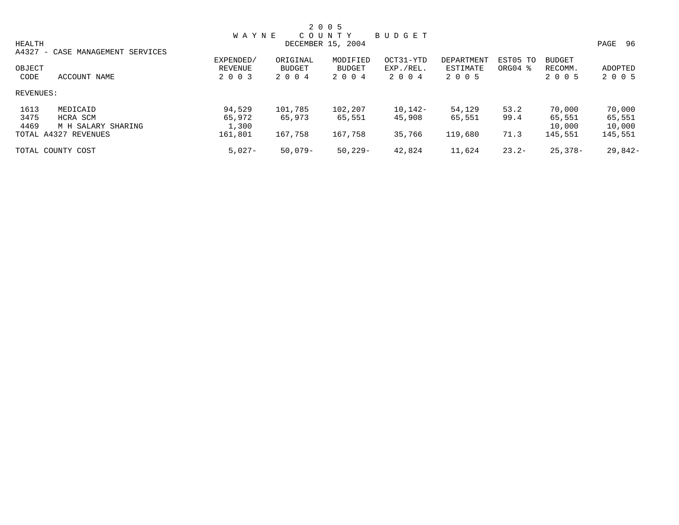|           |                                  |              |           | 2 0 0 5           |           |            |          |               |         |
|-----------|----------------------------------|--------------|-----------|-------------------|-----------|------------|----------|---------------|---------|
|           |                                  | <b>WAYNE</b> |           | COUNTY            | BUDGET    |            |          |               |         |
| HEALTH    |                                  |              |           | DECEMBER 15, 2004 |           |            |          |               | PAGE 96 |
|           | A4327 - CASE MANAGEMENT SERVICES |              |           |                   |           |            |          |               |         |
|           |                                  | EXPENDED/    | ORIGINAL  | MODIFIED          | OCT31-YTD | DEPARTMENT | EST05 TO | <b>BUDGET</b> |         |
| OBJECT    |                                  | REVENUE      | BUDGET    | <b>BUDGET</b>     | EXP./REL. | ESTIMATE   | ORG04 %  | RECOMM.       | ADOPTED |
| CODE      | ACCOUNT NAME                     | 2 0 0 3      | 2 0 0 4   | 2 0 0 4           | 2 0 0 4   | 2 0 0 5    |          | 2 0 0 5       | 2 0 0 5 |
| REVENUES: |                                  |              |           |                   |           |            |          |               |         |
| 1613      | MEDICAID                         | 94,529       | 101,785   | 102,207           | $10,142-$ | 54,129     | 53.2     | 70,000        | 70,000  |
| 3475      | HCRA SCM                         | 65,972       | 65,973    | 65,551            | 45,908    | 65,551     | 99.4     | 65,551        | 65,551  |
| 4469      | M H SALARY SHARING               | 1,300        |           |                   |           |            |          | 10,000        | 10,000  |
|           | TOTAL A4327 REVENUES             | 161,801      | 167,758   | 167,758           | 35,766    | 119,680    | 71.3     | 145,551       | 145,551 |
|           | TOTAL COUNTY COST                | $5,027-$     | $50,079-$ | $50,229-$         | 42,824    | 11,624     | $23.2-$  | $25.378 -$    | 29,842- |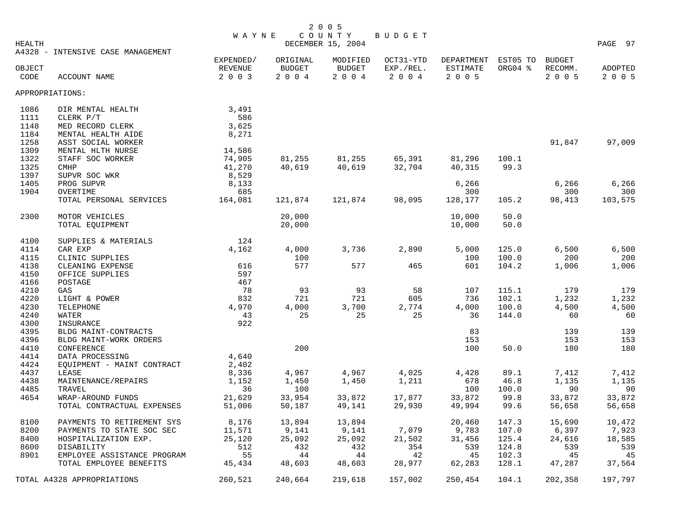|        |                                                 | <b>WAYNE</b>     |                  | COUNTY            | <b>BUDGET</b>    |                   |              |                  |                  |
|--------|-------------------------------------------------|------------------|------------------|-------------------|------------------|-------------------|--------------|------------------|------------------|
| HEALTH | A4328 - INTENSIVE CASE MANAGEMENT               |                  |                  | DECEMBER 15, 2004 |                  |                   |              |                  | PAGE 97          |
|        |                                                 | EXPENDED/        | ORIGINAL         | MODIFIED          | OCT31-YTD        | <b>DEPARTMENT</b> | EST05 TO     | <b>BUDGET</b>    |                  |
| OBJECT |                                                 | REVENUE          | <b>BUDGET</b>    | <b>BUDGET</b>     | EXP./REL.        | <b>ESTIMATE</b>   | ORG04 %      | RECOMM.          | ADOPTED          |
| CODE   | ACCOUNT NAME                                    | 2 0 0 3          | 2004             | 2004              | 2 0 0 4          | 2 0 0 5           |              | 2 0 0 5          | 2 0 0 5          |
|        | APPROPRIATIONS:                                 |                  |                  |                   |                  |                   |              |                  |                  |
| 1086   | DIR MENTAL HEALTH                               | 3,491            |                  |                   |                  |                   |              |                  |                  |
| 1111   | CLERK P/T                                       | 586              |                  |                   |                  |                   |              |                  |                  |
| 1148   | MED RECORD CLERK                                | 3,625            |                  |                   |                  |                   |              |                  |                  |
| 1184   | MENTAL HEALTH AIDE                              | 8,271            |                  |                   |                  |                   |              |                  |                  |
| 1258   | ASST SOCIAL WORKER                              |                  |                  |                   |                  |                   |              | 91,847           | 97,009           |
| 1309   | MENTAL HLTH NURSE                               | 14,586           |                  |                   |                  |                   |              |                  |                  |
| 1322   | STAFF SOC WORKER                                | 74,905           | 81,255           | 81,255            | 65,391           | 81,296            | 100.1        |                  |                  |
| 1325   | <b>CMHP</b>                                     | 41,270           | 40,619           | 40,619            | 32,704           | 40,315            | 99.3         |                  |                  |
| 1397   | SUPVR SOC WKR                                   | 8,529            |                  |                   |                  |                   |              |                  |                  |
| 1405   | PROG SUPVR                                      | 8,133            |                  |                   |                  | 6,266             |              | 6,266            | 6,266            |
| 1904   | OVERTIME                                        | 685              |                  |                   |                  | 300               |              | 300              | 300              |
|        | TOTAL PERSONAL SERVICES                         | 164,081          | 121,874          | 121,874           | 98,095           | 128,177           | 105.2        | 98,413           | 103,575          |
| 2300   | MOTOR VEHICLES                                  |                  | 20,000           |                   |                  | 10,000            | 50.0         |                  |                  |
|        | TOTAL EQUIPMENT                                 |                  | 20,000           |                   |                  | 10,000            | 50.0         |                  |                  |
| 4100   | SUPPLIES & MATERIALS                            | 124              |                  |                   |                  |                   |              |                  |                  |
| 4114   | CAR EXP                                         | 4,162            | 4,000            | 3,736             | 2,890            | 5,000             | 125.0        | 6,500            | 6,500            |
| 4115   | CLINIC SUPPLIES                                 |                  | 100              |                   |                  | 100               | 100.0        | 200              | 200              |
| 4138   | CLEANING EXPENSE                                | 616              | 577              | 577               | 465              | 601               | 104.2        | 1,006            | 1,006            |
| 4150   | OFFICE SUPPLIES                                 | 597              |                  |                   |                  |                   |              |                  |                  |
| 4166   | POSTAGE                                         | 467              |                  |                   |                  |                   |              |                  |                  |
| 4210   | GAS                                             | 78               | 93               | 93                | 58               | 107               | 115.1        | 179              | 179              |
| 4220   | LIGHT & POWER                                   | 832              | 721              | 721               | 605              | 736               | 102.1        | 1,232            | 1,232            |
| 4230   | TELEPHONE                                       | 4,970            | 4,000            | 3,700             | 2,774            | 4,000             | 100.0        | 4,500            | 4,500            |
| 4240   | WATER                                           | 43               | 25               | 25                | 25               | 36                | 144.0        | 60               | 60               |
| 4300   | INSURANCE                                       | 922              |                  |                   |                  |                   |              |                  |                  |
| 4395   | BLDG MAINT-CONTRACTS                            |                  |                  |                   |                  | 83                |              | 139              | 139              |
| 4396   | BLDG MAINT-WORK ORDERS                          |                  |                  |                   |                  | 153               |              | 153              | 153              |
| 4410   | CONFERENCE                                      |                  | 200              |                   |                  | 100               | 50.0         | 180              | 180              |
| 4414   | DATA PROCESSING                                 | 4,640            |                  |                   |                  |                   |              |                  |                  |
| 4424   | EOUIPMENT - MAINT CONTRACT                      | 2,402            |                  |                   |                  |                   |              |                  |                  |
| 4437   | LEASE                                           | 8,336            | 4,967            | 4,967             | 4,025            | 4,428             | 89.1         | 7,412            | 7,412            |
| 4438   | MAINTENANCE/REPAIRS                             | 1,152            | 1,450            | 1,450             | 1,211            | 678               | 46.8         | 1,135            | 1,135            |
| 4485   | TRAVEL                                          | 36               | 100              |                   |                  | 100               | 100.0        | 90               | 90               |
| 4654   | WRAP-AROUND FUNDS<br>TOTAL CONTRACTUAL EXPENSES | 21,629<br>51,006 | 33,954<br>50,187 | 33,872<br>49,141  | 17,877<br>29,930 | 33,872<br>49,994  | 99.8<br>99.6 | 33,872<br>56,658 | 33,872<br>56,658 |
| 8100   | PAYMENTS TO RETIREMENT SYS                      | 8,176            | 13,894           | 13,894            |                  | 20,460            | 147.3        | 15,690           | 10,472           |
| 8200   | PAYMENTS TO STATE SOC SEC                       | 11,571           | 9,141            | 9,141             | 7,079            | 9,783             | 107.0        | 6,397            | 7,923            |
| 8400   | HOSPITALIZATION EXP.                            | 25,120           | 25,092           | 25,092            | 21,502           | 31,456            | 125.4        | 24,616           | 18,585           |
| 8600   | DISABILITY                                      | 512              | 432              | 432               | 354              | 539               | 124.8        | 539              | 539              |
| 8901   | EMPLOYEE ASSISTANCE PROGRAM                     | 55               | 44               | 44                | 42               | 45                | 102.3        | 45               | 45               |
|        | TOTAL EMPLOYEE BENEFITS                         | 45,434           | 48,603           | 48,603            | 28,977           | 62,283            | 128.1        | 47,287           | 37,564           |
|        |                                                 |                  |                  |                   |                  |                   |              |                  |                  |
|        | TOTAL A4328 APPROPRIATIONS                      | 260,521          | 240,664          | 219,618           | 157,002          | 250,454           | 104.1        | 202,358          | 197,797          |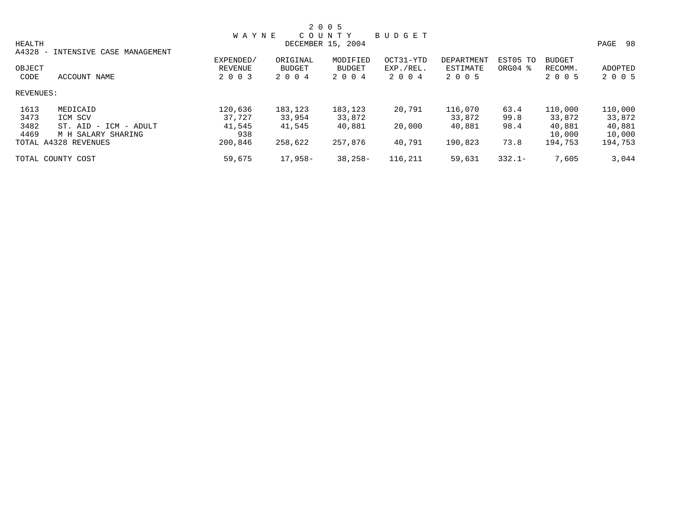|               |                           |              |               | 2 0 0 5           |               |            |           |               |            |
|---------------|---------------------------|--------------|---------------|-------------------|---------------|------------|-----------|---------------|------------|
|               |                           | <b>WAYNE</b> |               | COUNTY            | <b>BUDGET</b> |            |           |               |            |
| <b>HEALTH</b> |                           |              |               | DECEMBER 15, 2004 |               |            |           |               | 98<br>PAGE |
| $A4328 -$     | INTENSIVE CASE MANAGEMENT |              |               |                   |               |            |           |               |            |
|               |                           | EXPENDED/    | ORIGINAL      | MODIFIED          | OCT31-YTD     | DEPARTMENT | EST05 TO  | <b>BUDGET</b> |            |
| OBJECT        |                           | REVENUE      | <b>BUDGET</b> | BUDGET            | EXP./REL.     | ESTIMATE   | ORG04 %   | RECOMM.       | ADOPTED    |
| CODE          | ACCOUNT NAME              | 2 0 0 3      | 2 0 0 4       | 2 0 0 4           | 2 0 0 4       | 2 0 0 5    |           | 2 0 0 5       | 2 0 0 5    |
| REVENUES:     |                           |              |               |                   |               |            |           |               |            |
| 1613          | MEDICAID                  | 120,636      | 183,123       | 183,123           | 20,791        | 116,070    | 63.4      | 110,000       | 110,000    |
| 3473          | ICM SCV                   | 37.727       | 33,954        | 33,872            |               | 33,872     | 99.8      | 33,872        | 33,872     |
| 3482          | ST. AID - ICM - ADULT     | 41,545       | 41,545        | 40,881            | 20,000        | 40,881     | 98.4      | 40,881        | 40,881     |
| 4469          | M H SALARY SHARING        | 938          |               |                   |               |            |           | 10,000        | 10,000     |
|               | TOTAL A4328 REVENUES      | 200,846      | 258,622       | 257,876           | 40,791        | 190,823    | 73.8      | 194,753       | 194,753    |
|               | TOTAL COUNTY COST         | 59,675       | 17,958-       | $38,258-$         | 116,211       | 59,631     | $332.1 -$ | 7,605         | 3,044      |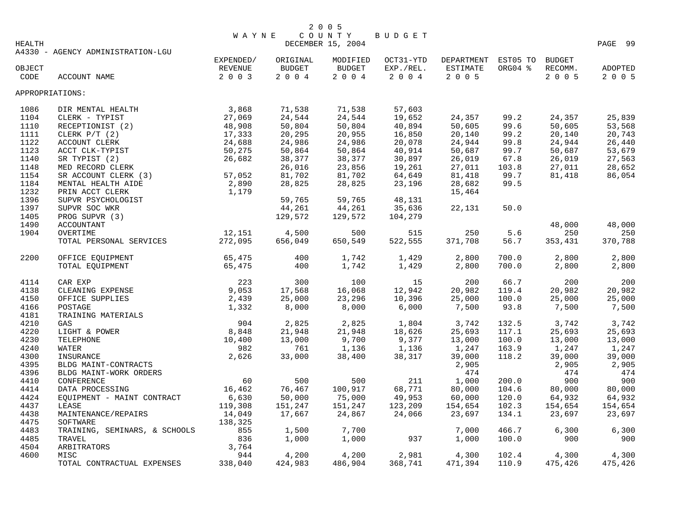|                 |                                   | <b>WAYNE</b> |               | COUNTY            | BUDGET    |                     |         |               |         |
|-----------------|-----------------------------------|--------------|---------------|-------------------|-----------|---------------------|---------|---------------|---------|
| HEALTH          |                                   |              |               | DECEMBER 15, 2004 |           |                     |         |               | PAGE 99 |
|                 | A4330 - AGENCY ADMINISTRATION-LGU |              |               |                   |           |                     |         |               |         |
|                 |                                   | EXPENDED/    | ORIGINAL      | MODIFIED          | OCT31-YTD | DEPARTMENT EST05 TO |         | <b>BUDGET</b> |         |
| OBJECT          |                                   | REVENUE      | <b>BUDGET</b> | <b>BUDGET</b>     | EXP./REL. | ESTIMATE            | ORG04 % | RECOMM.       | ADOPTED |
| CODE            | ACCOUNT NAME                      | 2 0 0 3      | $2004$        | 2004              | 2004      | 2 0 0 5             |         | 2 0 0 5       | 2 0 0 5 |
| APPROPRIATIONS: |                                   |              |               |                   |           |                     |         |               |         |
| 1086            | DIR MENTAL HEALTH                 | 3,868        | 71,538        | 71,538            | 57,603    |                     |         |               |         |
| 1104            | CLERK - TYPIST                    | 27,069       | 24,544        | 24,544            | 19,652    | 24,357              | 99.2    | 24,357        | 25,839  |
| 1110            | RECEPTIONIST (2)                  | 48,908       | 50,804        | 50,804            | 40,894    | 50,605              | 99.6    | 50,605        | 53,568  |
| 1111            | CLERK $P/T$ (2)                   | 17,333       | 20,295        | 20,955            | 16,850    | 20,140              | 99.2    | 20,140        | 20,743  |
| 1122            | ACCOUNT CLERK                     | 24,688       | 24,986        | 24,986            | 20,078    | 24,944              | 99.8    | 24,944        | 26,440  |
| 1123            | ACCT CLK-TYPIST                   | 50,275       | 50,864        | 50,864            | 40,914    | 50,687              | 99.7    | 50,687        | 53,679  |
| 1140            | SR TYPIST (2)                     | 26,682       | 38,377        | 38,377            | 30,897    | 26,019              | 67.8    | 26,019        | 27,563  |
| 1148            | MED RECORD CLERK                  |              | 26,016        | 23,856            | 19,261    | 27,011              | 103.8   | 27,011        | 28,652  |
| 1154            | SR ACCOUNT CLERK (3)              | 57,052       | 81,702        | 81,702            | 64,649    | 81,418              | 99.7    | 81,418        | 86,054  |
| 1184            | MENTAL HEALTH AIDE                | 2,890        | 28,825        | 28,825            | 23,196    | 28,682              | 99.5    |               |         |
| 1232            | PRIN ACCT CLERK                   | 1,179        |               |                   |           | 15,464              |         |               |         |
| 1396            | SUPVR PSYCHOLOGIST                |              | 59,765        | 59,765            | 48,131    |                     |         |               |         |
| 1397            | SUPVR SOC WKR                     |              | 44,261        | 44,261            | 35,636    | 22,131              | 50.0    |               |         |
| 1405            | PROG SUPVR (3)                    |              | 129,572       | 129,572           | 104,279   |                     |         |               |         |
| 1490            | <b>ACCOUNTANT</b>                 |              |               |                   |           |                     |         | 48,000        | 48,000  |
| 1904            | OVERTIME                          | 12,151       | 4,500         | 500               | 515       | 250                 | 5.6     | 250           | 250     |
|                 | TOTAL PERSONAL SERVICES           | 272,095      | 656,049       | 650,549           | 522,555   | 371,708             | 56.7    | 353,431       | 370,788 |
| 2200            | OFFICE EQUIPMENT                  | 65,475       | 400           | 1,742             | 1,429     | 2,800               | 700.0   | 2,800         | 2,800   |
|                 | TOTAL EQUIPMENT                   | 65,475       | 400           | 1,742             | 1,429     | 2,800               | 700.0   | 2,800         | 2,800   |
| 4114            | CAR EXP                           | 223          | 300           | 100               | 15        | 200                 | 66.7    | 200           | 200     |
| 4138            | CLEANING EXPENSE                  | 9,053        | 17,568        | 16,068            | 12,942    | 20,982              | 119.4   | 20,982        | 20,982  |
| 4150            | OFFICE SUPPLIES                   | 2,439        | 25,000        | 23,296            | 10,396    | 25,000              | 100.0   | 25,000        | 25,000  |
| 4166            | POSTAGE                           | 1,332        | 8,000         | 8,000             | 6,000     | 7,500               | 93.8    | 7,500         | 7,500   |
| 4181            | TRAINING MATERIALS                |              |               |                   |           |                     |         |               |         |
| 4210            | GAS                               | 904          | 2,825         | 2,825             | 1,804     | 3,742               | 132.5   | 3,742         | 3,742   |
| 4220            | LIGHT & POWER                     | 8,848        | 21,948        | 21,948            | 18,626    | 25,693              | 117.1   | 25,693        | 25,693  |
| 4230            | TELEPHONE                         | 10,400       | 13,000        | 9,700             | 9,377     | 13,000              | 100.0   | 13,000        | 13,000  |
| 4240            | WATER                             | 982          | 761           | 1,136             | 1,136     | 1,247               | 163.9   | 1,247         | 1,247   |
| 4300            | INSURANCE                         | 2,626        | 33,000        | 38,400            | 38,317    | 39,000              | 118.2   | 39,000        | 39,000  |
| 4395            | BLDG MAINT-CONTRACTS              |              |               |                   |           | 2,905               |         | 2,905         | 2,905   |
| 4396            | BLDG MAINT-WORK ORDERS            |              |               |                   |           | 474                 |         | 474           | 474     |
| 4410            | CONFERENCE                        | 60           | 500           | 500               | 211       | 1,000               | 200.0   | 900           | 900     |
| 4414            | DATA PROCESSING                   | 16,462       | 76,467        | 100,917           | 68,771    | 80,000              | 104.6   | 80,000        | 80,000  |
| 4424            | EQUIPMENT - MAINT CONTRACT        | 6,630        | 50,000        | 75,000            | 49,953    | 60,000              | 120.0   | 64,932        | 64,932  |
| 4437            | LEASE                             | 119,308      | 151,247       | 151,247           | 123,209   | 154,654             | 102.3   | 154,654       | 154,654 |
| 4438            | MAINTENANCE/REPAIRS               | 14,049       | 17,667        | 24,867            | 24,066    | 23,697              | 134.1   | 23,697        | 23,697  |
| 4475            | SOFTWARE                          | 138,325      |               |                   |           |                     |         |               |         |
| 4483            | TRAINING, SEMINARS, & SCHOOLS     | 855          | 1,500         | 7,700             |           | 7,000               | 466.7   | 6,300         | 6,300   |
| 4485            | TRAVEL                            | 836          | 1,000         | 1,000             | 937       | 1,000               | 100.0   | 900           | 900     |
| 4504            | ARBITRATORS                       | 3,764        |               |                   |           |                     |         |               |         |
| 4600            | MISC                              | 944          | 4,200         | 4,200             | 2,981     | 4,300               | 102.4   | 4,300         | 4,300   |
|                 | TOTAL CONTRACTUAL EXPENSES        | 338,040      | 424,983       | 486,904           | 368,741   | 471,394             | 110.9   | 475,426       | 475,426 |
|                 |                                   |              |               |                   |           |                     |         |               |         |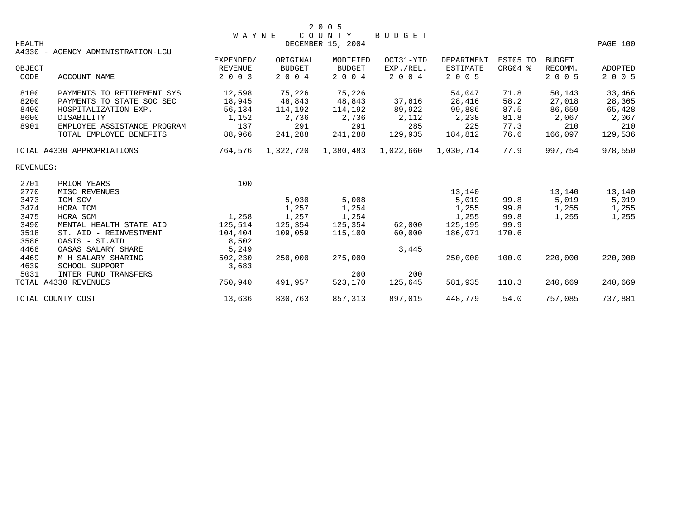|                  |                                   | <b>WAYNE</b>   |               | 2 0 0 5<br>COUNTY | BUDGET    |                 |          |               |                |
|------------------|-----------------------------------|----------------|---------------|-------------------|-----------|-----------------|----------|---------------|----------------|
| <b>HEALTH</b>    | A4330 - AGENCY ADMINISTRATION-LGU |                |               | DECEMBER 15, 2004 |           |                 |          |               | PAGE 100       |
|                  |                                   | EXPENDED/      | ORIGINAL      | MODIFIED          | OCT31-YTD | DEPARTMENT      | EST05 TO | <b>BUDGET</b> |                |
| OBJECT           |                                   | <b>REVENUE</b> | <b>BUDGET</b> | <b>BUDGET</b>     | EXP./REL. | <b>ESTIMATE</b> | ORG04 %  | RECOMM.       | <b>ADOPTED</b> |
| CODE             | ACCOUNT NAME                      | 2 0 0 3        | 2 0 0 4       | 2 0 0 4           | 2 0 0 4   | 2 0 0 5         |          | 2 0 0 5       | 2 0 0 5        |
| 8100             | PAYMENTS TO RETIREMENT SYS        | 12,598         | 75,226        | 75,226            |           | 54,047          | 71.8     | 50,143        | 33,466         |
| 8200             | PAYMENTS TO STATE SOC SEC         | 18,945         | 48,843        | 48,843            | 37,616    | 28,416          | 58.2     | 27,018        | 28,365         |
| 8400             | HOSPITALIZATION EXP.              | 56,134         | 114,192       | 114,192           | 89,922    | 99,886          | 87.5     | 86,659        | 65,428         |
| 8600             | DISABILITY                        | 1,152          | 2,736         | 2,736             | 2,112     | 2,238           | 81.8     | 2,067         | 2,067          |
| 8901             | EMPLOYEE ASSISTANCE PROGRAM       | 137            | 291           | 291               | 285       | 225             | 77.3     | 210           | 210            |
|                  | TOTAL EMPLOYEE BENEFITS           | 88,966         | 241,288       | 241,288           | 129,935   | 184,812         | 76.6     | 166,097       | 129,536        |
|                  | TOTAL A4330 APPROPRIATIONS        | 764,576        | 1,322,720     | 1,380,483         | 1,022,660 | 1,030,714       | 77.9     | 997,754       | 978,550        |
| <b>REVENUES:</b> |                                   |                |               |                   |           |                 |          |               |                |
| 2701             | PRIOR YEARS                       | 100            |               |                   |           |                 |          |               |                |
| 2770             | MISC REVENUES                     |                |               |                   |           | 13,140          |          | 13,140        | 13,140         |
| 3473             | ICM SCV                           |                | 5,030         | 5,008             |           | 5,019           | 99.8     | 5,019         | 5,019          |
| 3474             | HCRA ICM                          |                | 1,257         | 1,254             |           | 1,255           | 99.8     | 1,255         | 1,255          |
| 3475             | HCRA SCM                          | 1,258          | 1,257         | 1,254             |           | 1,255           | 99.8     | 1,255         | 1,255          |
| 3490             | MENTAL HEALTH STATE AID           | 125,514        | 125,354       | 125,354           | 62,000    | 125,195         | 99.9     |               |                |
| 3518             | ST. AID - REINVESTMENT            | 104,404        | 109,059       | 115,100           | 60,000    | 186,071         | 170.6    |               |                |
| 3586             | OASIS - ST.AID                    | 8,502          |               |                   |           |                 |          |               |                |
| 4468             | OASAS SALARY SHARE                | 5,249          |               |                   | 3,445     |                 |          |               |                |
| 4469             | M H SALARY SHARING                | 502,230        | 250,000       | 275,000           |           | 250,000         | 100.0    | 220,000       | 220,000        |
| 4639             | SCHOOL SUPPORT                    | 3,683          |               |                   |           |                 |          |               |                |
| 5031             | INTER FUND TRANSFERS              |                |               | 200               | 200       |                 |          |               |                |
|                  | TOTAL A4330 REVENUES              | 750,940        | 491,957       | 523,170           | 125,645   | 581,935         | 118.3    | 240,669       | 240,669        |
|                  | TOTAL COUNTY COST                 | 13,636         | 830,763       | 857,313           | 897,015   | 448,779         | 54.0     | 757,085       | 737,881        |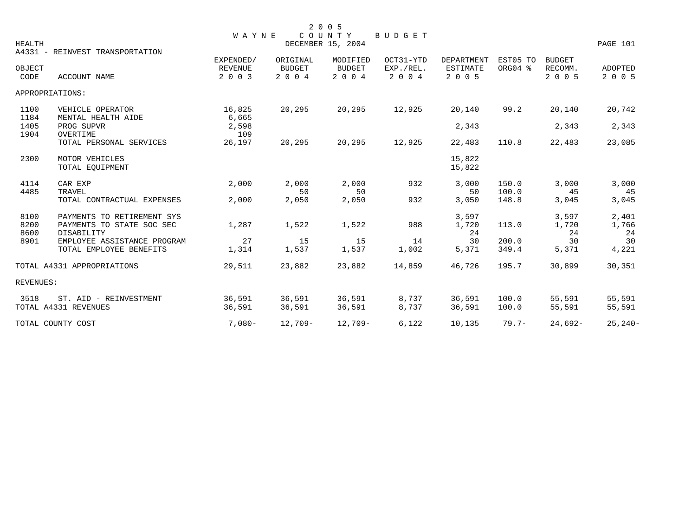|               |                                     | <b>WAYNE</b>   |               | 2 0 0 5<br>COUNTY | BUDGET    |                   |          |               |             |
|---------------|-------------------------------------|----------------|---------------|-------------------|-----------|-------------------|----------|---------------|-------------|
| <b>HEALTH</b> |                                     |                |               | DECEMBER 15, 2004 |           |                   |          |               | PAGE 101    |
|               | A4331 - REINVEST TRANSPORTATION     | EXPENDED/      | ORIGINAL      | MODIFIED          | OCT31-YTD | <b>DEPARTMENT</b> | EST05 TO | <b>BUDGET</b> |             |
| OBJECT        |                                     | <b>REVENUE</b> | <b>BUDGET</b> | <b>BUDGET</b>     | EXP./REL. | <b>ESTIMATE</b>   | ORG04 %  | RECOMM.       | ADOPTED     |
| CODE          | <b>ACCOUNT NAME</b>                 | 2 0 0 3        | 2 0 0 4       | 2 0 0 4           | 2 0 0 4   | 2 0 0 5           |          | 2 0 0 5       | 2 0 0 5     |
|               | APPROPRIATIONS:                     |                |               |                   |           |                   |          |               |             |
| 1100          | VEHICLE OPERATOR                    | 16,825         | 20,295        | 20,295            | 12,925    | 20,140            | 99.2     | 20,140        | 20,742      |
| 1184          | MENTAL HEALTH AIDE                  | 6,665          |               |                   |           |                   |          |               |             |
| 1405          | PROG SUPVR                          | 2,598          |               |                   |           | 2,343             |          | 2,343         | 2,343       |
| 1904          | OVERTIME<br>TOTAL PERSONAL SERVICES | 109<br>26,197  | 20,295        | 20,295            | 12,925    | 22,483            | 110.8    | 22,483        | 23,085      |
| 2300          | MOTOR VEHICLES                      |                |               |                   |           | 15,822            |          |               |             |
|               | TOTAL EQUIPMENT                     |                |               |                   |           | 15,822            |          |               |             |
| 4114          | CAR EXP                             | 2,000          | 2,000         | 2,000             | 932       | 3,000             | 150.0    | 3,000         | 3,000       |
| 4485          | TRAVEL                              |                | 50            | 50                |           | 50                | 100.0    | 45            | 45          |
|               | TOTAL CONTRACTUAL EXPENSES          | 2,000          | 2,050         | 2,050             | 932       | 3,050             | 148.8    | 3,045         | 3,045       |
| 8100          | PAYMENTS TO RETIREMENT SYS          |                |               |                   |           | 3,597             |          | 3,597         | 2,401       |
| 8200          | PAYMENTS TO STATE SOC SEC           | 1,287          | 1,522         | 1,522             | 988       | 1,720             | 113.0    | 1,720         | 1,766       |
| 8600          | DISABILITY                          |                |               |                   |           | 24                |          | 24            | 24          |
| 8901          | EMPLOYEE ASSISTANCE PROGRAM         | 27             | 15            | 15                | 14        | 30                | 200.0    | 30            | 30          |
|               | TOTAL EMPLOYEE BENEFITS             | 1,314          | 1,537         | 1,537             | 1,002     | 5,371             | 349.4    | 5,371         | 4,221       |
|               | TOTAL A4331 APPROPRIATIONS          | 29,511         | 23,882        | 23,882            | 14,859    | 46,726            | 195.7    | 30,899        | 30,351      |
| REVENUES:     |                                     |                |               |                   |           |                   |          |               |             |
| 3518          | ST. AID - REINVESTMENT              | 36,591         | 36,591        | 36,591            | 8,737     | 36,591            | 100.0    | 55,591        | 55,591      |
|               | TOTAL A4331 REVENUES                | 36,591         | 36,591        | 36,591            | 8,737     | 36,591            | 100.0    | 55,591        | 55,591      |
|               | TOTAL COUNTY COST                   | $7,080-$       | $12,709-$     | $12,709-$         | 6,122     | 10,135            | $79.7 -$ | $24,692-$     | $25, 240 -$ |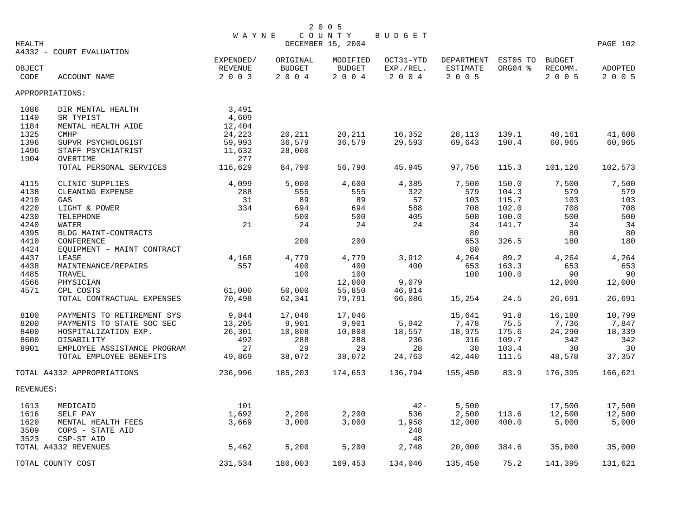|                |                                          | <b>WAYNE</b>       |                       | 2 0 0 5<br>COUNTY | <b>BUDGET</b>           |                       |         |                    |                    |
|----------------|------------------------------------------|--------------------|-----------------------|-------------------|-------------------------|-----------------------|---------|--------------------|--------------------|
| HEALTH         |                                          |                    |                       | DECEMBER 15, 2004 |                         |                       |         |                    | PAGE 102           |
|                | A4332 - COURT EVALUATION                 | EXPENDED/          | ORIGINAL              | MODIFIED          | OCT31-YTD               | DEPARTMENT EST05 TO   |         | <b>BUDGET</b>      |                    |
| OBJECT<br>CODE | ACCOUNT NAME                             | REVENUE<br>2 0 0 3 | <b>BUDGET</b><br>2004 | BUDGET<br>2 0 0 4 | $EXP. /REL.$<br>2 0 0 4 | ESTIMATE<br>$2 0 0 5$ | ORG04 % | RECOMM.<br>2 0 0 5 | ADOPTED<br>2 0 0 5 |
|                | APPROPRIATIONS:                          |                    |                       |                   |                         |                       |         |                    |                    |
| 1086           | DIR MENTAL HEALTH                        | 3,491              |                       |                   |                         |                       |         |                    |                    |
| 1140           | SR TYPIST                                | 4,609              |                       |                   |                         |                       |         |                    |                    |
| 1184           | MENTAL HEALTH AIDE                       | 12,404             |                       |                   |                         |                       |         |                    |                    |
| 1325           | <b>CMHP</b>                              | 24,223             | 20,211                | 20,211            | 16,352                  | 28,113                | 139.1   | 40,161             | 41,608             |
| 1396           | SUPVR PSYCHOLOGIST                       | 59,993             | 36,579                | 36,579            | 29,593                  | 69,643                | 190.4   | 60,965             | 60,965             |
| 1496           | STAFF PSYCHIATRIST                       | 11,632             | 28,000                |                   |                         |                       |         |                    |                    |
| 1904           | OVERTIME<br>TOTAL PERSONAL SERVICES      | 277<br>116,629     | 84,790                | 56,790            | 45,945                  | 97,756                | 115.3   | 101,126            | 102,573            |
|                |                                          |                    |                       |                   |                         |                       |         |                    |                    |
| 4115           | CLINIC SUPPLIES                          | 4,099              | 5,000                 | 4,600             | 4,385                   | 7,500                 | 150.0   | 7,500              | 7,500              |
| 4138           | CLEANING EXPENSE                         | 288                | 555                   | 555               | 322                     | 579                   | 104.3   | 579                | 579                |
| 4210           | GAS                                      | 31                 | 89                    | 89                | 57                      | 103                   | 115.7   | 103                | 103                |
| 4220           | LIGHT & POWER                            | 334                | 694                   | 694               | 588                     | 708                   | 102.0   | 708                | 708                |
| 4230           | TELEPHONE                                |                    | 500                   | 500               | 405                     | 500                   | 100.0   | 500                | 500                |
| 4240           | WATER                                    | 21                 | 24                    | 24                | 24                      | 34                    | 141.7   | 34                 | 34                 |
| 4395<br>4410   | BLDG MAINT-CONTRACTS                     |                    | 200                   | 200               |                         | 80<br>653             | 326.5   | 80<br>180          | 80<br>180          |
| 4424           | CONFERENCE<br>EQUIPMENT - MAINT CONTRACT |                    |                       |                   |                         | 80                    |         |                    |                    |
| 4437           | LEASE                                    | 4,168              | 4,779                 | 4,779             | 3,912                   | 4,264                 | 89.2    | 4,264              | 4,264              |
| 4438           | MAINTENANCE/REPAIRS                      | 557                | 400                   | 400               | 400                     | 653                   | 163.3   | 653                | 653                |
| 4485           | TRAVEL                                   |                    | 100                   | 100               |                         | 100                   | 100.0   | 90                 | 90                 |
| 4566           | PHYSICIAN                                |                    |                       | 12,000            | 9,079                   |                       |         | 12,000             | 12,000             |
| 4571           | CPL COSTS                                | 61,000             | 50,000                | 55,850            | 46,914                  |                       |         |                    |                    |
|                | TOTAL CONTRACTUAL EXPENSES               | 70,498             | 62,341                | 79,791            | 66,086                  | 15,254                | 24.5    | 26,691             | 26,691             |
| 8100           | PAYMENTS TO RETIREMENT SYS               | 9,844              | 17,046                | 17,046            |                         | 15,641                | 91.8    | 16,180             | 10,799             |
| 8200           | PAYMENTS TO STATE SOC SEC                | 13,205             | 9,901                 | 9,901             | 5,942                   | 7,478                 | 75.5    | 7,736              | 7,847              |
| 8400           | HOSPITALIZATION EXP.                     | 26,301             | 10,808                | 10,808            | 18,557                  | 18,975                | 175.6   | 24,290             | 18,339             |
| 8600           | DISABILITY                               | 492                | 288                   | 288               | 236                     | 316                   | 109.7   | 342                | 342                |
| 8901           | EMPLOYEE ASSISTANCE PROGRAM              | 27                 | 29                    | 29                | 28                      | 30                    | 103.4   | 30                 | 30                 |
|                | TOTAL EMPLOYEE BENEFITS                  | 49,869             | 38,072                | 38,072            | 24,763                  | 42,440                | 111.5   | 48,578             | 37,357             |
|                | TOTAL A4332 APPROPRIATIONS               | 236,996            | 185,203               | 174,653           | 136,794                 | 155,450               | 83.9    | 176,395            | 166,621            |
| REVENUES:      |                                          |                    |                       |                   |                         |                       |         |                    |                    |
| 1613           | MEDICAID                                 | 101                |                       |                   | $42 -$                  | 5,500                 |         | 17,500             | 17,500             |
| 1616           | SELF PAY                                 | 1,692              | 2,200                 | 2,200             | 536                     | 2,500                 | 113.6   | 12,500             | 12,500             |
| 1620           | MENTAL HEALTH FEES                       | 3,669              | 3,000                 | 3,000             | 1,958                   | 12,000                | 400.0   | 5,000              | 5,000              |
| 3509           | COPS - STATE AID                         |                    |                       |                   | 248                     |                       |         |                    |                    |
| 3523           | CSP-ST AID                               |                    |                       |                   | 48                      |                       |         |                    |                    |
|                | TOTAL A4332 REVENUES                     | 5,462              | 5,200                 | 5,200             | 2,748                   | 20,000                | 384.6   | 35,000             | 35,000             |
|                | TOTAL COUNTY COST                        | 231,534            | 180,003               | 169,453           | 134,046                 | 135,450               | 75.2    | 141,395            | 131,621            |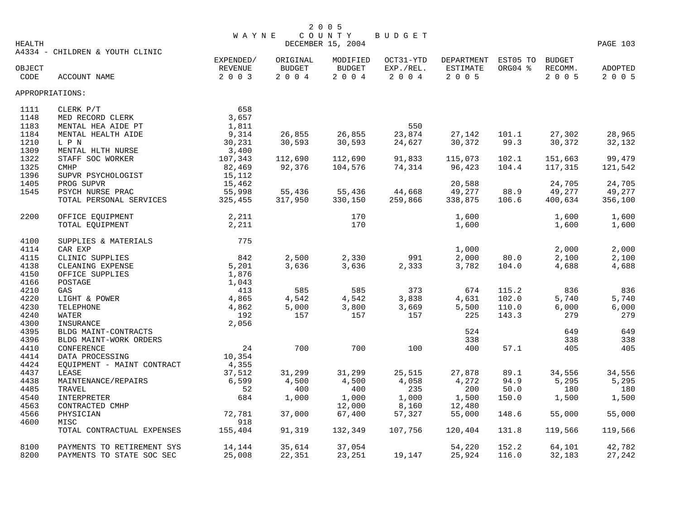|        |                                 | <b>WAYNE</b> |               | COUNTY            | BUDGET    |                 |          |               |          |
|--------|---------------------------------|--------------|---------------|-------------------|-----------|-----------------|----------|---------------|----------|
| HEALTH |                                 |              |               | DECEMBER 15, 2004 |           |                 |          |               | PAGE 103 |
|        | A4334 - CHILDREN & YOUTH CLINIC | EXPENDED/    | ORIGINAL      | MODIFIED          | OCT31-YTD | DEPARTMENT      | EST05 TO | <b>BUDGET</b> |          |
| OBJECT |                                 | REVENUE      | <b>BUDGET</b> | BUDGET            | EXP./REL. | <b>ESTIMATE</b> | ORG04 %  | RECOMM.       | ADOPTED  |
| CODE   | ACCOUNT NAME                    | 2 0 0 3      | $2004$        | 2004              | 2 0 0 4   | 2 0 0 5         |          | 2 0 0 5       | 2 0 0 5  |
|        | APPROPRIATIONS:                 |              |               |                   |           |                 |          |               |          |
| 1111   | CLERK P/T                       | 658          |               |                   |           |                 |          |               |          |
| 1148   | MED RECORD CLERK                | 3,657        |               |                   |           |                 |          |               |          |
| 1183   | MENTAL HEA AIDE PT              | 1,811        |               |                   | 550       |                 |          |               |          |
| 1184   | MENTAL HEALTH AIDE              | 9,314        | 26,855        | 26,855            | 23,874    | 27,142          | 101.1    | 27,302        | 28,965   |
| 1210   | L P N                           | 30,231       | 30,593        | 30,593            | 24,627    | 30,372          | 99.3     | 30,372        | 32,132   |
| 1309   | MENTAL HLTH NURSE               | 3,400        |               |                   |           |                 |          |               |          |
| 1322   | STAFF SOC WORKER                | 107,343      | 112,690       | 112,690           | 91,833    | 115,073         | 102.1    | 151,663       | 99,479   |
| 1325   | <b>CMHP</b>                     | 82,469       | 92,376        | 104,576           | 74,314    | 96,423          | 104.4    | 117,315       | 121,542  |
| 1396   | SUPVR PSYCHOLOGIST              | 15,112       |               |                   |           |                 |          |               |          |
| 1405   | PROG SUPVR                      | 15,462       |               |                   |           | 20,588          |          | 24,705        | 24,705   |
| 1545   | PSYCH NURSE PRAC                | 55,998       | 55,436        | 55,436            | 44,668    | 49,277          | 88.9     | 49,277        | 49,277   |
|        | TOTAL PERSONAL SERVICES         | 325,455      | 317,950       | 330,150           | 259,866   | 338,875         | 106.6    | 400,634       | 356,100  |
| 2200   | OFFICE EQUIPMENT                | 2,211        |               | 170               |           | 1,600           |          | 1,600         | 1,600    |
|        | TOTAL EQUIPMENT                 | 2,211        |               | 170               |           | 1,600           |          | 1,600         | 1,600    |
| 4100   | SUPPLIES & MATERIALS            | 775          |               |                   |           |                 |          |               |          |
| 4114   | CAR EXP                         |              |               |                   |           | 1,000           |          | 2,000         | 2,000    |
| 4115   | CLINIC SUPPLIES                 | 842          | 2,500         | 2,330             | 991       | 2,000           | 80.0     | 2,100         | 2,100    |
| 4138   | CLEANING EXPENSE                | 5,201        | 3,636         | 3,636             | 2,333     | 3,782           | 104.0    | 4,688         | 4,688    |
| 4150   | OFFICE SUPPLIES                 | 1,876        |               |                   |           |                 |          |               |          |
| 4166   | POSTAGE                         | 1,043        |               |                   |           |                 |          |               |          |
| 4210   | GAS                             | 413          | 585           | 585               | 373       | 674             | 115.2    | 836           | 836      |
| 4220   | LIGHT & POWER                   | 4,865        | 4,542         | 4,542             | 3,838     | 4,631           | 102.0    | 5,740         | 5,740    |
| 4230   | TELEPHONE                       | 4,862        | 5,000         | 3,800             | 3,669     | 5,500           | 110.0    | 6,000         | 6,000    |
| 4240   | WATER                           | 192          | 157           | 157               | 157       | 225             | 143.3    | 279           | 279      |
| 4300   | INSURANCE                       | 2,056        |               |                   |           |                 |          |               |          |
| 4395   | BLDG MAINT-CONTRACTS            |              |               |                   |           | 524             |          | 649           | 649      |
| 4396   | BLDG MAINT-WORK ORDERS          |              |               |                   |           | 338             |          | 338           | 338      |
| 4410   | CONFERENCE                      | 24           | 700           | 700               | 100       | 400             | 57.1     | 405           | 405      |
| 4414   | DATA PROCESSING                 | 10,354       |               |                   |           |                 |          |               |          |
| 4424   | EQUIPMENT - MAINT CONTRACT      | 4,355        |               |                   |           |                 |          |               |          |
| 4437   | LEASE                           | 37,512       | 31,299        | 31,299            | 25,515    | 27,878          | 89.1     | 34,556        | 34,556   |
| 4438   | MAINTENANCE/REPAIRS             | 6,599        | 4,500         | 4,500             | 4,058     | 4,272           | 94.9     | 5,295         | 5,295    |
| 4485   | TRAVEL                          | 52           | 400           | 400               | 235       | 200             | 50.0     | 180           | 180      |
| 4540   | INTERPRETER                     | 684          | 1,000         | 1,000             | 1,000     | 1,500           | 150.0    | 1,500         | 1,500    |
| 4563   | CONTRACTED CMHP                 |              |               | 12,000            | 8,160     | 12,480          |          |               |          |
| 4566   | PHYSICIAN                       | 72,781       | 37,000        | 67,400            | 57,327    | 55,000          | 148.6    | 55,000        | 55,000   |
| 4600   | MISC                            | 918          |               |                   |           |                 |          |               |          |
|        | TOTAL CONTRACTUAL EXPENSES      | 155,404      | 91,319        | 132,349           | 107,756   | 120,404         | 131.8    | 119,566       | 119,566  |
| 8100   | PAYMENTS TO RETIREMENT SYS      | 14,144       | 35,614        | 37,054            |           | 54,220          | 152.2    | 64,101        | 42,782   |
| 8200   | PAYMENTS TO STATE SOC SEC       | 25,008       | 22,351        | 23,251            | 19,147    | 25,924          | 116.0    | 32,183        | 27,242   |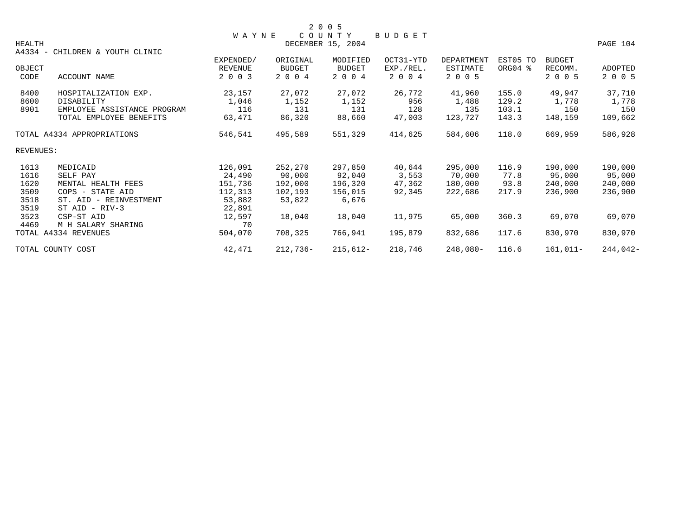|                            |                                 |                   |               | 2 0 0 5       |           |            |          |               |            |
|----------------------------|---------------------------------|-------------------|---------------|---------------|-----------|------------|----------|---------------|------------|
|                            |                                 | W A Y N E         |               | COUNTY        | BUDGET    |            |          |               |            |
| HEALTH                     |                                 | DECEMBER 15, 2004 |               |               |           |            |          |               | PAGE 104   |
|                            | A4334 - CHILDREN & YOUTH CLINIC |                   |               |               |           |            |          |               |            |
|                            |                                 | EXPENDED/         | ORIGINAL      | MODIFIED      | OCT31-YTD | DEPARTMENT | EST05 TO | <b>BUDGET</b> |            |
| OBJECT                     |                                 | <b>REVENUE</b>    | <b>BUDGET</b> | <b>BUDGET</b> | EXP./REL. | ESTIMATE   | ORG04 %  | RECOMM.       | ADOPTED    |
| CODE                       | ACCOUNT NAME                    | 2 0 0 3           | 2 0 0 4       | 2 0 0 4       | 2 0 0 4   | 2 0 0 5    |          | 2 0 0 5       | 2 0 0 5    |
| 8400                       | HOSPITALIZATION EXP.            | 23,157            | 27,072        | 27,072        | 26,772    | 41,960     | 155.0    | 49,947        | 37,710     |
| 8600                       | DISABILITY                      | 1,046             | 1,152         | 1,152         | 956       | 1,488      | 129.2    | 1,778         | 1,778      |
| 8901                       | EMPLOYEE ASSISTANCE PROGRAM     | 116               | 131           | 131           | 128       | 135        | 103.1    | 150           | 150        |
|                            | TOTAL EMPLOYEE BENEFITS         | 63,471            | 86,320        | 88,660        | 47,003    | 123,727    | 143.3    | 148,159       | 109,662    |
| TOTAL A4334 APPROPRIATIONS |                                 | 546,541           | 495,589       | 551,329       | 414,625   | 584,606    | 118.0    | 669,959       | 586,928    |
| REVENUES:                  |                                 |                   |               |               |           |            |          |               |            |
| 1613                       | MEDICAID                        | 126,091           | 252,270       | 297,850       | 40,644    | 295,000    | 116.9    | 190,000       | 190,000    |
| 1616                       | SELF PAY                        | 24,490            | 90,000        | 92,040        | 3,553     | 70,000     | 77.8     | 95,000        | 95,000     |
| 1620                       | MENTAL HEALTH FEES              | 151,736           | 192,000       | 196,320       | 47,362    | 180,000    | 93.8     | 240,000       | 240,000    |
| 3509                       | COPS - STATE AID                | 112,313           | 102,193       | 156,015       | 92,345    | 222,686    | 217.9    | 236,900       | 236,900    |
| 3518                       | ST. AID - REINVESTMENT          | 53,882            | 53,822        | 6,676         |           |            |          |               |            |
| 3519                       | $ST$ AID - RIV-3                | 22,891            |               |               |           |            |          |               |            |
| 3523                       | CSP-ST AID                      | 12,597            | 18,040        | 18,040        | 11,975    | 65,000     | 360.3    | 69,070        | 69,070     |
| 4469                       | M H SALARY SHARING              | 70                |               |               |           |            |          |               |            |
|                            | TOTAL A4334 REVENUES            | 504,070           | 708,325       | 766,941       | 195,879   | 832,686    | 117.6    | 830,970       | 830,970    |
| TOTAL COUNTY COST          |                                 | 42,471            | 212,736-      | $215,612-$    | 218,746   | 248,080-   | 116.6    | 161,011-      | $244,042-$ |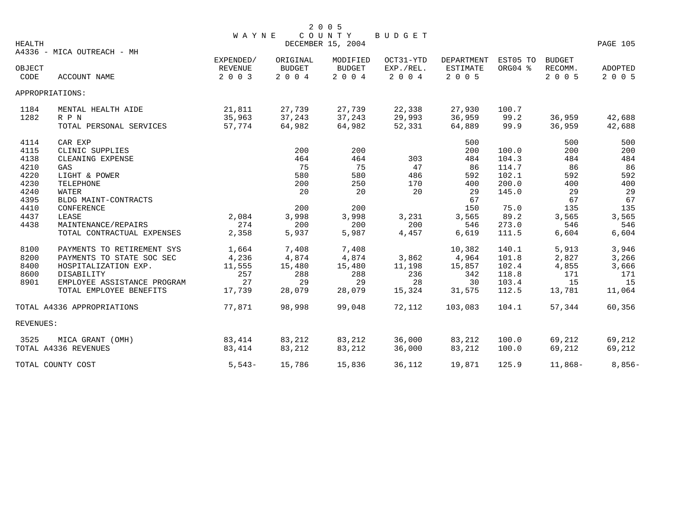|                            |                             | <b>WAYNE</b>                           |                                      | 2 0 0 5<br>COUNTY                    | <b>BUDGET</b>                     |                                   |                     |                              |                    |
|----------------------------|-----------------------------|----------------------------------------|--------------------------------------|--------------------------------------|-----------------------------------|-----------------------------------|---------------------|------------------------------|--------------------|
| HEALTH                     | A4336 - MICA OUTREACH - MH  |                                        |                                      | DECEMBER 15, 2004                    |                                   |                                   |                     |                              | PAGE 105           |
| OBJECT<br>CODE             | <b>ACCOUNT NAME</b>         | EXPENDED/<br><b>REVENUE</b><br>2 0 0 3 | ORIGINAL<br><b>BUDGET</b><br>2 0 0 4 | MODIFIED<br><b>BUDGET</b><br>2 0 0 4 | OCT31-YTD<br>EXP./REL.<br>2 0 0 4 | DEPARTMENT<br>ESTIMATE<br>2 0 0 5 | EST05 TO<br>ORG04 % | BUDGET<br>RECOMM.<br>2 0 0 5 | ADOPTED<br>2 0 0 5 |
|                            | APPROPRIATIONS:             |                                        |                                      |                                      |                                   |                                   |                     |                              |                    |
| 1184                       | MENTAL HEALTH AIDE          | 21,811                                 | 27,739                               | 27,739                               | 22,338                            | 27,930                            | 100.7               |                              |                    |
| 1282                       | R P N                       | 35,963                                 | 37,243                               | 37,243                               | 29,993                            | 36,959                            | 99.2                | 36,959                       | 42,688             |
|                            | TOTAL PERSONAL SERVICES     | 57,774                                 | 64,982                               | 64,982                               | 52,331                            | 64,889                            | 99.9                | 36,959                       | 42,688             |
| 4114                       | CAR EXP                     |                                        |                                      |                                      |                                   | 500                               |                     | 500                          | 500                |
| 4115                       | CLINIC SUPPLIES             |                                        | 200                                  | 200                                  |                                   | 200                               | 100.0               | 200                          | 200                |
| 4138                       | CLEANING EXPENSE            |                                        | 464                                  | 464                                  | 303                               | 484                               | 104.3               | 484                          | 484                |
| 4210                       | GAS                         |                                        | 75                                   | 75                                   | 47                                | 86                                | 114.7               | 86                           | 86                 |
| 4220                       | LIGHT & POWER               |                                        | 580                                  | 580                                  | 486                               | 592                               | 102.1               | 592                          | 592                |
| 4230                       | TELEPHONE                   |                                        | 200                                  | 250                                  | 170                               | 400                               | 200.0               | 400                          | 400                |
| 4240                       | <b>WATER</b>                |                                        | 20                                   | 20                                   | 20                                | 29                                | 145.0               | 29                           | 29                 |
| 4395                       | BLDG MAINT-CONTRACTS        |                                        |                                      |                                      |                                   | 67                                |                     | 67                           | 67                 |
| 4410                       | CONFERENCE                  |                                        | 200                                  | 200                                  |                                   | 150                               | 75.0                | 135                          | 135                |
| 4437                       | LEASE                       | 2,084                                  | 3,998                                | 3,998                                | 3,231                             | 3,565                             | 89.2                | 3,565                        | 3,565              |
| 4438                       | MAINTENANCE/REPAIRS         | 274                                    | 200                                  | 200                                  | 200                               | 546                               | 273.0               | 546                          | 546                |
|                            | TOTAL CONTRACTUAL EXPENSES  | 2,358                                  | 5,937                                | 5,987                                | 4,457                             | 6,619                             | 111.5               | 6,604                        | 6,604              |
| 8100                       | PAYMENTS TO RETIREMENT SYS  | 1,664                                  | 7,408                                | 7,408                                |                                   | 10,382                            | 140.1               | 5,913                        | 3,946              |
| 8200                       | PAYMENTS TO STATE SOC SEC   | 4,236                                  | 4,874                                | 4,874                                | 3,862                             | 4,964                             | 101.8               | 2,827                        | 3,266              |
| 8400                       | HOSPITALIZATION EXP.        | 11,555                                 | 15,480                               | 15,480                               | 11,198                            | 15,857                            | 102.4               | 4,855                        | 3,666              |
| 8600                       | DISABILITY                  | 257                                    | 288                                  | 288                                  | 236                               | 342                               | 118.8               | 171                          | 171                |
| 8901                       | EMPLOYEE ASSISTANCE PROGRAM | 27                                     | 29                                   | 29                                   | 28                                | 30                                | 103.4               | 15                           | 15                 |
|                            | TOTAL EMPLOYEE BENEFITS     | 17,739                                 | 28,079                               | 28,079                               | 15,324                            | 31,575                            | 112.5               | 13,781                       | 11,064             |
| TOTAL A4336 APPROPRIATIONS |                             | 77,871                                 | 98,998                               | 99,048                               | 72,112                            | 103,083                           | 104.1               | 57,344                       | 60,356             |
| REVENUES:                  |                             |                                        |                                      |                                      |                                   |                                   |                     |                              |                    |
| 3525                       | MICA GRANT (OMH)            | 83,414                                 | 83,212                               | 83,212                               | 36,000                            | 83,212                            | 100.0               | 69,212                       | 69,212             |
|                            | TOTAL A4336 REVENUES        | 83,414                                 | 83,212                               | 83,212                               | 36,000                            | 83,212                            | 100.0               | 69,212                       | 69,212             |
|                            | TOTAL COUNTY COST           | $5.543-$                               | 15,786                               | 15,836                               | 36,112                            | 19,871                            | 125.9               | $11,868-$                    | $8,856-$           |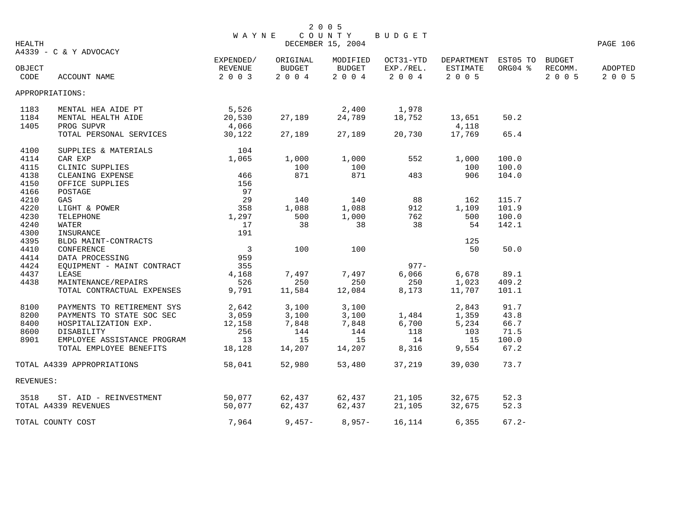| HEALTH                     |                             | <b>WAYNE</b>             |          | 2 0 0 5<br>COUNTY<br>DECEMBER 15, 2004 | BUDGET    |                     |          |         | PAGE 106 |
|----------------------------|-----------------------------|--------------------------|----------|----------------------------------------|-----------|---------------------|----------|---------|----------|
|                            | A4339 - C & Y ADVOCACY      | EXPENDED/                | ORIGINAL | MODIFIED                               | OCT31-YTD | DEPARTMENT EST05 TO |          | BUDGET  |          |
| OBJECT                     |                             | REVENUE                  | BUDGET   | BUDGET                                 | EXP./REL. | ESTIMATE            | ORG04 %  | RECOMM. | ADOPTED  |
| CODE                       | ACCOUNT NAME                | 2 0 0 3                  | 2 0 0 4  | 2 0 0 4                                | 2 0 0 4   | 2 0 0 5             |          | 2 0 0 5 | 2 0 0 5  |
| APPROPRIATIONS:            |                             |                          |          |                                        |           |                     |          |         |          |
| 1183                       | MENTAL HEA AIDE PT          | 5,526                    |          | 2,400                                  | 1,978     |                     |          |         |          |
| 1184                       | MENTAL HEALTH AIDE          | 20,530                   | 27,189   | 24,789                                 | 18,752    | 13,651              | 50.2     |         |          |
| 1405                       | PROG SUPVR                  | 4,066                    |          |                                        |           | 4,118               |          |         |          |
|                            | TOTAL PERSONAL SERVICES     | 30,122                   | 27,189   | 27,189                                 | 20,730    | 17,769              | 65.4     |         |          |
| 4100                       | SUPPLIES & MATERIALS        | 104                      |          |                                        |           |                     |          |         |          |
| 4114                       | CAR EXP                     | 1,065                    | 1,000    | 1,000                                  | 552       | 1,000               | 100.0    |         |          |
| 4115                       | CLINIC SUPPLIES             |                          | 100      | 100                                    |           | 100                 | 100.0    |         |          |
| 4138                       | CLEANING EXPENSE            | 466                      | 871      | 871                                    | 483       | 906                 | 104.0    |         |          |
| 4150                       | OFFICE SUPPLIES             | 156                      |          |                                        |           |                     |          |         |          |
| 4166                       | POSTAGE                     | 97                       |          |                                        |           |                     |          |         |          |
| 4210                       | GAS                         | 29                       | 140      | 140                                    | 88        | 162                 | 115.7    |         |          |
| 4220                       | LIGHT & POWER               | 358                      | 1,088    | 1,088                                  | 912       | 1,109               | 101.9    |         |          |
| 4230                       | TELEPHONE                   | 1,297                    | 500      | 1,000                                  | 762       | 500                 | 100.0    |         |          |
| 4240                       | WATER                       | 17                       | 38       | 38                                     | 38        | 54                  | 142.1    |         |          |
| 4300                       | INSURANCE                   | 191                      |          |                                        |           |                     |          |         |          |
| 4395                       | BLDG MAINT-CONTRACTS        |                          |          |                                        |           | 125                 |          |         |          |
| 4410                       | CONFERENCE                  | $\overline{\phantom{a}}$ | 100      | 100                                    |           | 50                  | 50.0     |         |          |
| 4414                       | DATA PROCESSING             | 959                      |          |                                        |           |                     |          |         |          |
| 4424                       | EOUIPMENT - MAINT CONTRACT  | 355                      |          |                                        | $977 -$   |                     |          |         |          |
| 4437                       | LEASE                       | 4,168                    | 7,497    | 7,497                                  | 6,066     | 6,678               | 89.1     |         |          |
| 4438                       | MAINTENANCE/REPAIRS         | 526                      | 250      | 250                                    | 250       | 1,023               | 409.2    |         |          |
|                            | TOTAL CONTRACTUAL EXPENSES  | 9,791                    | 11,584   | 12,084                                 | 8,173     | 11,707              | 101.1    |         |          |
| 8100                       | PAYMENTS TO RETIREMENT SYS  | 2,642                    | 3,100    | 3,100                                  |           | 2,843               | 91.7     |         |          |
| 8200                       | PAYMENTS TO STATE SOC SEC   | 3,059                    | 3,100    | 3,100                                  | 1,484     | 1,359               | 43.8     |         |          |
| 8400                       | HOSPITALIZATION EXP.        | 12,158                   | 7,848    | 7,848                                  | 6,700     | 5,234               | 66.7     |         |          |
| 8600                       | DISABILITY                  | 256                      | 144      | 144                                    | 118       | 103                 | 71.5     |         |          |
| 8901                       | EMPLOYEE ASSISTANCE PROGRAM | 13                       | 15       | 15                                     | 14        | 15                  | 100.0    |         |          |
|                            | TOTAL EMPLOYEE BENEFITS     | 18,128                   | 14,207   | 14,207                                 | 8,316     | 9,554               | 67.2     |         |          |
| TOTAL A4339 APPROPRIATIONS |                             | 58,041                   | 52,980   | 53,480                                 | 37,219    | 39,030              | 73.7     |         |          |
| REVENUES:                  |                             |                          |          |                                        |           |                     |          |         |          |
| 3518                       | ST. AID - REINVESTMENT      | 50,077                   | 62,437   | 62,437                                 | 21,105    | 32,675              | 52.3     |         |          |
|                            | TOTAL A4339 REVENUES        | 50,077                   | 62,437   | 62,437                                 | 21,105    | 32,675              | 52.3     |         |          |
| TOTAL COUNTY COST          |                             | 7,964                    | $9,457-$ | $8,957-$                               | 16,114    | 6,355               | $67.2 -$ |         |          |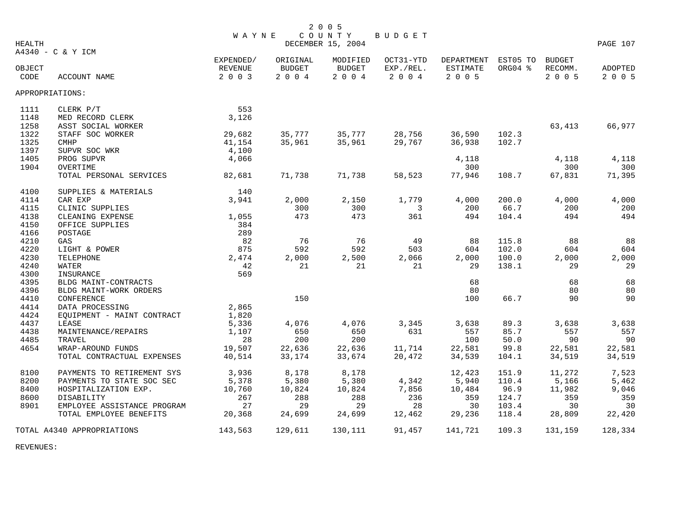|        |                             | <b>WAYNE</b> |               | 2 0 0 5                     | <b>BUDGET</b> |                     |         |               |          |
|--------|-----------------------------|--------------|---------------|-----------------------------|---------------|---------------------|---------|---------------|----------|
| HEALTH |                             |              |               | COUNTY<br>DECEMBER 15, 2004 |               |                     |         |               | PAGE 107 |
|        | A4340 - C & Y ICM           |              |               |                             |               |                     |         |               |          |
|        |                             | EXPENDED/    | ORIGINAL      | MODIFIED                    | OCT31-YTD     | DEPARTMENT EST05 TO |         | <b>BUDGET</b> |          |
| OBJECT |                             | REVENUE      | <b>BUDGET</b> | <b>BUDGET</b>               | EXP./REL.     | ESTIMATE            | ORG04 % | RECOMM.       | ADOPTED  |
| CODE   | ACCOUNT NAME                | 2 0 0 3      | 2 0 0 4       | 2004                        | 2 0 0 4       | 2 0 0 5             |         | 2 0 0 5       | 2 0 0 5  |
|        | APPROPRIATIONS:             |              |               |                             |               |                     |         |               |          |
| 1111   | CLERK P/T                   | 553          |               |                             |               |                     |         |               |          |
| 1148   | MED RECORD CLERK            | 3,126        |               |                             |               |                     |         |               |          |
| 1258   | ASST SOCIAL WORKER          |              |               |                             |               |                     |         | 63,413        | 66,977   |
| 1322   | STAFF SOC WORKER            | 29,682       | 35,777        | 35,777                      | 28,756        | 36,590              | 102.3   |               |          |
| 1325   | <b>CMHP</b>                 | 41,154       | 35,961        | 35,961                      | 29,767        | 36,938              | 102.7   |               |          |
| 1397   | SUPVR SOC WKR               | 4,100        |               |                             |               |                     |         |               |          |
| 1405   | PROG SUPVR                  | 4,066        |               |                             |               | 4,118               |         | 4,118         | 4,118    |
| 1904   | OVERTIME                    |              |               |                             |               | 300                 |         | 300           | 300      |
|        | TOTAL PERSONAL SERVICES     | 82,681       | 71,738        | 71,738                      | 58,523        | 77,946              | 108.7   | 67,831        | 71,395   |
| 4100   | SUPPLIES & MATERIALS        | 140          |               |                             |               |                     |         |               |          |
| 4114   | CAR EXP                     | 3,941        | 2,000         | 2,150                       | 1,779         | 4,000               | 200.0   | 4,000         | 4,000    |
| 4115   | CLINIC SUPPLIES             |              | 300           | 300                         | 3             | 200                 | 66.7    | 200           | 200      |
| 4138   | CLEANING EXPENSE            | 1,055        | 473           | 473                         | 361           | 494                 | 104.4   | 494           | 494      |
| 4150   | OFFICE SUPPLIES             | 384          |               |                             |               |                     |         |               |          |
| 4166   | POSTAGE                     | 289          |               |                             |               |                     |         |               |          |
| 4210   | GAS                         | 82           | 76            | 76                          | 49            | 88                  | 115.8   | 88            | 88       |
| 4220   | LIGHT & POWER               | 875          | 592           | 592                         | 503           | 604                 | 102.0   | 604           | 604      |
| 4230   | TELEPHONE                   | 2,474        | 2,000         | 2,500                       | 2,066         | 2,000               | 100.0   | 2,000         | 2,000    |
| 4240   | WATER                       | 42           | 21            | 21                          | 21            | 29                  | 138.1   | 29            | 29       |
| 4300   | INSURANCE                   | 569          |               |                             |               |                     |         |               |          |
| 4395   | BLDG MAINT-CONTRACTS        |              |               |                             |               | 68                  |         | 68            | 68       |
| 4396   | BLDG MAINT-WORK ORDERS      |              |               |                             |               | 80                  |         | 80            | 80       |
| 4410   | CONFERENCE                  |              | 150           |                             |               | 100                 | 66.7    | 90            | 90       |
| 4414   | DATA PROCESSING             | 2,865        |               |                             |               |                     |         |               |          |
| 4424   | EOUIPMENT - MAINT CONTRACT  | 1,820        |               |                             |               |                     |         |               |          |
| 4437   | LEASE                       | 5,336        | 4,076         | 4,076                       | 3,345         | 3,638               | 89.3    | 3,638         | 3,638    |
| 4438   | MAINTENANCE/REPAIRS         | 1,107        | 650           | 650                         | 631           | 557                 | 85.7    | 557           | 557      |
| 4485   | TRAVEL                      | 28           | 200           | 200                         |               | 100                 | 50.0    | 90            | 90       |
| 4654   | WRAP-AROUND FUNDS           | 19,507       | 22,636        | 22,636                      | 11,714        | 22,581              | 99.8    | 22,581        | 22,581   |
|        | TOTAL CONTRACTUAL EXPENSES  | 40,514       | 33,174        | 33,674                      | 20,472        | 34,539              | 104.1   | 34,519        | 34,519   |
| 8100   | PAYMENTS TO RETIREMENT SYS  | 3,936        | 8,178         | 8,178                       |               | 12,423              | 151.9   | 11,272        | 7,523    |
| 8200   | PAYMENTS TO STATE SOC SEC   | 5,378        | 5,380         | 5,380                       | 4,342         | 5,940               | 110.4   | 5,166         | 5,462    |
| 8400   | HOSPITALIZATION EXP.        | 10,760       | 10,824        | 10,824                      | 7,856         | 10,484              | 96.9    | 11,982        | 9,046    |
| 8600   | DISABILITY                  | 267          | 288           | 288                         | 236           | 359                 | 124.7   | 359           | 359      |
| 8901   | EMPLOYEE ASSISTANCE PROGRAM | 27           | 29            | 29                          | 28            | 30                  | 103.4   | 30            | 30       |
|        | TOTAL EMPLOYEE BENEFITS     | 20,368       | 24,699        | 24,699                      | 12,462        | 29,236              | 118.4   | 28,809        | 22,420   |
|        | TOTAL A4340 APPROPRIATIONS  | 143,563      | 129,611       | 130,111                     | 91,457        | 141,721             | 109.3   | 131,159       | 128,334  |

REVENUES: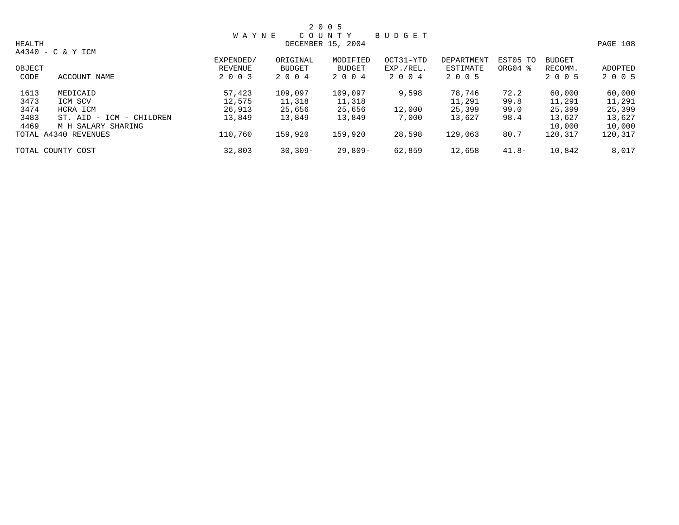|               |                             |              |           | 2 0 0 5           |               |            |          |               |          |
|---------------|-----------------------------|--------------|-----------|-------------------|---------------|------------|----------|---------------|----------|
|               |                             | <b>WAYNE</b> |           | COUNTY            | <b>BUDGET</b> |            |          |               |          |
| <b>HEALTH</b> |                             |              |           | DECEMBER 15, 2004 |               |            |          |               | PAGE 108 |
|               | A4340 - C & Y ICM           |              |           |                   |               |            |          |               |          |
|               |                             | EXPENDED/    | ORIGINAL  | MODIFIED          | OCT31-YTD     | DEPARTMENT | EST05 TO | <b>BUDGET</b> |          |
| OBJECT        |                             | REVENUE      | BUDGET    | BUDGET            | EXP./REL.     | ESTIMATE   | ORG04 %  | RECOMM.       | ADOPTED  |
| CODE          | ACCOUNT NAME                | 2 0 0 3      | 2004      | 2004              | 2004          | 2 0 0 5    |          | 2 0 0 5       | 2 0 0 5  |
| 1613          | MEDICAID                    | 57,423       | 109,097   | 109,097           | 9,598         | 78,746     | 72.2     | 60,000        | 60,000   |
| 3473          | ICM SCV                     | 12,575       | 11,318    | 11,318            |               | 11,291     | 99.8     | 11,291        | 11,291   |
| 3474          | HCRA ICM                    | 26,913       | 25,656    | 25,656            | 12,000        | 25,399     | 99.0     | 25,399        | 25,399   |
| 3483          | ST. AID - ICM<br>- CHILDREN | 13,849       | 13,849    | 13,849            | 7,000         | 13,627     | 98.4     | 13,627        | 13,627   |
| 4469          | M H SALARY SHARING          |              |           |                   |               |            |          | 10,000        | 10,000   |
|               | TOTAL A4340 REVENUES        | 110,760      | 159,920   | 159,920           | 28,598        | 129,063    | 80.7     | 120,317       | 120,317  |
|               | TOTAL COUNTY COST           | 32,803       | $30,309-$ | 29,809-           | 62,859        | 12,658     | $41.8-$  | 10,842        | 8,017    |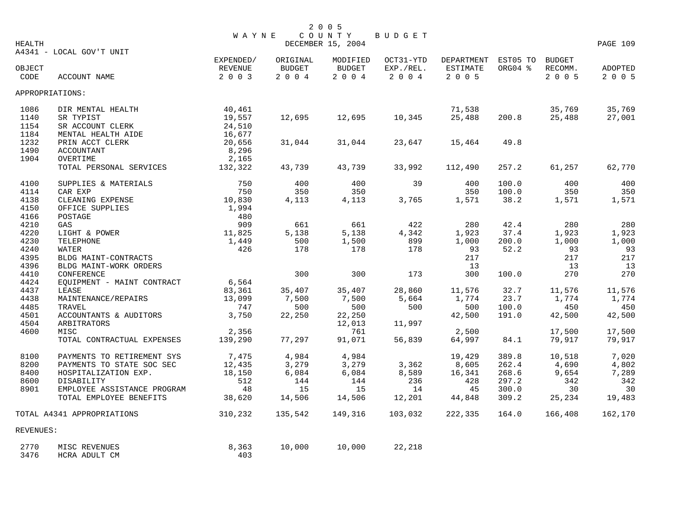|                |                             | <b>WAYNE</b>       |                     | 2 0 0 5<br>COUNTY                  | BUDGET               |                     |         |                    |                           |
|----------------|-----------------------------|--------------------|---------------------|------------------------------------|----------------------|---------------------|---------|--------------------|---------------------------|
| <b>HEALTH</b>  |                             |                    |                     | DECEMBER 15, 2004                  |                      |                     |         |                    | PAGE 109                  |
|                | A4341 - LOCAL GOV'T UNIT    | EXPENDED/          | ORIGINAL            | MODIFIED                           | OCT31-YTD            | DEPARTMENT EST05 TO |         | <b>BUDGET</b>      |                           |
| OBJECT<br>CODE | ACCOUNT NAME                | REVENUE<br>2 0 0 3 | BUDGET<br>$2 0 0 4$ | BUDGET<br>$2\quad 0\quad 0\quad 4$ | EXP./REL.<br>2 0 0 4 | ESTIMATE<br>2005    | ORG04 % | RECOMM.<br>2 0 0 5 | <b>ADOPTED</b><br>2 0 0 5 |
|                | APPROPRIATIONS:             |                    |                     |                                    |                      |                     |         |                    |                           |
| 1086           | DIR MENTAL HEALTH           | 40,461             |                     |                                    |                      | 71,538              |         | 35,769             | 35,769                    |
| 1140           | SR TYPIST                   | 19,557             | 12,695              | 12,695                             | 10,345               | 25,488              | 200.8   | 25,488             | 27,001                    |
| 1154           | SR ACCOUNT CLERK            | 24,510             |                     |                                    |                      |                     |         |                    |                           |
| 1184           | MENTAL HEALTH AIDE          | 16,677             |                     |                                    |                      |                     |         |                    |                           |
| 1232           | PRIN ACCT CLERK             | 20,656             | 31,044              | 31,044                             | 23,647               | 15,464              | 49.8    |                    |                           |
| 1490           | ACCOUNTANT                  | 8,296              |                     |                                    |                      |                     |         |                    |                           |
| 1904           | OVERTIME                    | 2,165              |                     |                                    |                      |                     |         |                    |                           |
|                | TOTAL PERSONAL SERVICES     | 132,322            | 43,739              | 43,739                             | 33,992               | 112,490             | 257.2   | 61,257             | 62,770                    |
| 4100           | SUPPLIES & MATERIALS        | 750                | 400                 | 400                                | 39                   | 400                 | 100.0   | 400                | 400                       |
| 4114           | CAR EXP                     | 750                | 350                 | 350                                |                      | 350                 | 100.0   | 350                | 350                       |
| 4138           | CLEANING EXPENSE            | 10,830             | 4,113               | 4,113                              | 3,765                | 1,571               | 38.2    | 1,571              | 1,571                     |
| 4150           | OFFICE SUPPLIES             | 1,994              |                     |                                    |                      |                     |         |                    |                           |
| 4166           | POSTAGE                     | 480                |                     |                                    |                      |                     |         |                    |                           |
| 4210           | GAS                         | 909                | 661                 | 661                                | 422                  | 280                 | 42.4    | 280                | 280                       |
| 4220           | LIGHT & POWER               | 11,825             | 5,138               | 5,138                              | 4,342                | 1,923               | 37.4    | 1,923              | 1,923                     |
| 4230           | TELEPHONE                   | 1,449              | 500                 | 1,500                              | 899                  | 1,000               | 200.0   | 1,000              | 1,000                     |
| 4240           | <b>WATER</b>                | 426                | 178                 | 178                                | 178                  | 93                  | 52.2    | 93                 | 93                        |
| 4395           | BLDG MAINT-CONTRACTS        |                    |                     |                                    |                      | 217                 |         | 217                | 217                       |
| 4396           | BLDG MAINT-WORK ORDERS      |                    |                     |                                    |                      | 13                  |         | 13                 | 13                        |
| 4410           | CONFERENCE                  |                    | 300                 | 300                                | 173                  | 300                 | 100.0   | 270                | 270                       |
| 4424           | EQUIPMENT - MAINT CONTRACT  | 6,564              |                     |                                    |                      |                     |         |                    |                           |
| 4437           | LEASE                       | 83,361             | 35,407              | 35,407                             | 28,860               | 11,576              | 32.7    | 11,576             | 11,576                    |
| 4438           | MAINTENANCE/REPAIRS         | 13,099             | 7,500               | 7,500                              | 5,664                | 1,774               | 23.7    | 1,774              | 1,774                     |
| 4485           | TRAVEL                      | 747                | 500                 | 500                                | 500                  | 500                 | 100.0   | 450                | 450                       |
| 4501           | ACCOUNTANTS & AUDITORS      | 3,750              | 22,250              | 22,250                             |                      | 42,500              | 191.0   | 42,500             | 42,500                    |
| 4504           | ARBITRATORS                 |                    |                     | 12,013                             | 11,997               |                     |         |                    |                           |
| 4600           | MISC                        | 2,356              |                     | 761                                |                      | 2,500               |         | 17,500             | 17,500                    |
|                | TOTAL CONTRACTUAL EXPENSES  | 139,290            | 77,297              | 91,071                             | 56,839               | 64,997              | 84.1    | 79,917             | 79,917                    |
| 8100           | PAYMENTS TO RETIREMENT SYS  | 7,475              | 4,984               | 4,984                              |                      | 19,429              | 389.8   | 10,518             | 7,020                     |
| 8200           | PAYMENTS TO STATE SOC SEC   | 12,435             | 3,279               | 3,279                              | 3,362                | 8,605               | 262.4   | 4,690              | 4,802                     |
| 8400           | HOSPITALIZATION EXP.        | 18,150             | 6,084               | 6,084                              | 8,589                | 16,341              | 268.6   | 9,654              | 7,289                     |
| 8600           | DISABILITY                  | 512                | 144                 | 144                                | 236                  | 428                 | 297.2   | 342                | 342                       |
| 8901           | EMPLOYEE ASSISTANCE PROGRAM | 48                 | 15                  | 15                                 | 14                   | 45                  | 300.0   | 30                 | 30                        |
|                | TOTAL EMPLOYEE BENEFITS     | 38,620             | 14,506              | 14,506                             | 12,201               | 44,848              | 309.2   | 25,234             | 19,483                    |
|                | TOTAL A4341 APPROPRIATIONS  | 310,232            | 135,542             | 149,316                            | 103,032              | 222,335             | 164.0   | 166,408            | 162,170                   |
| REVENUES:      |                             |                    |                     |                                    |                      |                     |         |                    |                           |
| 2770           | MISC REVENUES               | 8,363              | 10,000              | 10,000                             | 22,218               |                     |         |                    |                           |
| 3476           | HCRA ADULT CM               | 403                |                     |                                    |                      |                     |         |                    |                           |
|                |                             |                    |                     |                                    |                      |                     |         |                    |                           |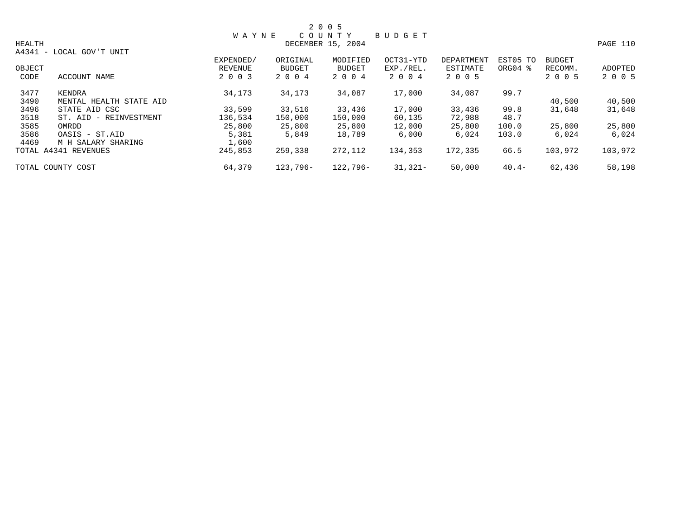|               |                          |              |          | 2 0 0 5           |               |                   |                     |               |          |
|---------------|--------------------------|--------------|----------|-------------------|---------------|-------------------|---------------------|---------------|----------|
|               |                          | <b>WAYNE</b> |          | C O U N T Y       | <b>BUDGET</b> |                   |                     |               |          |
| <b>HEALTH</b> |                          |              |          | DECEMBER 15, 2004 |               |                   |                     |               | PAGE 110 |
|               | A4341 - LOCAL GOV'T UNIT |              |          |                   |               |                   |                     |               |          |
|               |                          | EXPENDED/    | ORIGINAL | MODIFIED          | OCT31-YTD     | <b>DEPARTMENT</b> | EST05 TO            | <b>BUDGET</b> |          |
| OBJECT        |                          | REVENUE      | BUDGET   | BUDGET            | EXP./REL.     | ESTIMATE          | ORG04 $\frac{8}{3}$ | RECOMM.       | ADOPTED  |
| CODE          | ACCOUNT NAME             | 2 0 0 3      | 2 0 0 4  | 2 0 0 4           | 2004          | 2 0 0 5           |                     | 2 0 0 5       | 2 0 0 5  |
| 3477          | KENDRA                   | 34,173       | 34,173   | 34,087            | 17,000        | 34,087            | 99.7                |               |          |
| 3490          | MENTAL HEALTH STATE AID  |              |          |                   |               |                   |                     | 40,500        | 40,500   |
| 3496          | STATE AID CSC            | 33,599       | 33,516   | 33,436            | 17,000        | 33,436            | 99.8                | 31,648        | 31,648   |
| 3518          | ST. AID - REINVESTMENT   | 136,534      | 150,000  | 150,000           | 60,135        | 72,988            | 48.7                |               |          |
| 3585          | OMRDD                    | 25,800       | 25,800   | 25,800            | 12,000        | 25,800            | 100.0               | 25,800        | 25,800   |
| 3586          | OASIS - ST.AID           | 5,381        | 5,849    | 18,789            | 6,000         | 6,024             | 103.0               | 6,024         | 6,024    |
| 4469          | M H SALARY SHARING       | 1,600        |          |                   |               |                   |                     |               |          |
|               | TOTAL A4341 REVENUES     | 245,853      | 259,338  | 272,112           | 134,353       | 172,335           | 66.5                | 103,972       | 103,972  |
|               | TOTAL COUNTY COST        | 64,379       | 123,796- | 122,796-          | $31,321-$     | 50,000            | $40.4-$             | 62,436        | 58,198   |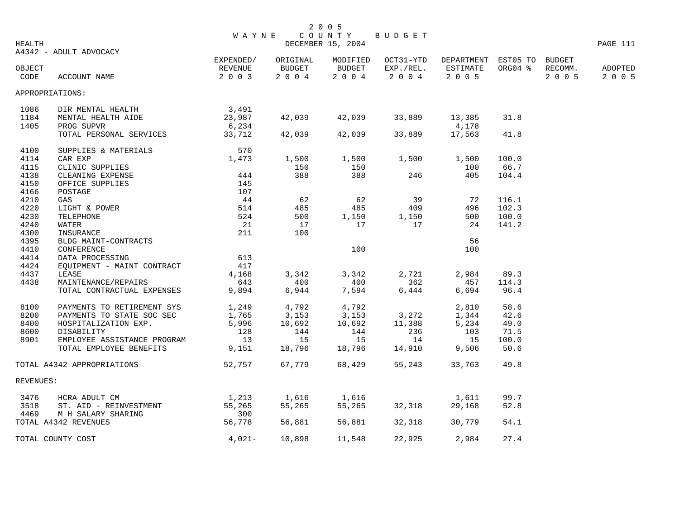|                |                                                        |                                 | WAYNE COUNTY                         | 2 0 0 5               | BUDGET                                     |                                                   |                |                    |                    |
|----------------|--------------------------------------------------------|---------------------------------|--------------------------------------|-----------------------|--------------------------------------------|---------------------------------------------------|----------------|--------------------|--------------------|
| HEALTH         | A4342 - ADULT ADVOCACY                                 |                                 |                                      | DECEMBER 15, 2004     |                                            |                                                   |                |                    | PAGE 111           |
| OBJECT<br>CODE | ACCOUNT NAME                                           | EXPENDED/<br>REVENUE<br>2 0 0 3 | ORIGINAL<br><b>BUDGET</b><br>2 0 0 4 | <b>BUDGET</b><br>2004 | MODIFIED OCT31-YTD<br>EXP./REL.<br>2 0 0 4 | DEPARTMENT EST05 TO BUDGET<br>ESTIMATE<br>2 0 0 5 | ORG04 %        | RECOMM.<br>2 0 0 5 | ADOPTED<br>2 0 0 5 |
|                | APPROPRIATIONS:                                        |                                 |                                      |                       |                                            |                                                   |                |                    |                    |
| 1086           | DIR MENTAL HEALTH                                      | 3,491                           |                                      |                       |                                            |                                                   |                |                    |                    |
| 1184           | MENTAL HEALTH AIDE                                     | 23,987                          |                                      | 42,039 42,039         | 33,889                                     | 13,385                                            | 31.8           |                    |                    |
| 1405           | PROG SUPVR                                             | 6,234                           |                                      |                       |                                            | 4,178                                             |                |                    |                    |
|                | TOTAL PERSONAL SERVICES 33,712                         |                                 | 42,039                               | 42,039                | 33,889                                     | 17,563                                            | 41.8           |                    |                    |
| 4100           | SUPPLIES & MATERIALS                                   | 570                             |                                      |                       |                                            |                                                   |                |                    |                    |
| 4114           |                                                        |                                 | 1,500                                | 1,500                 | 1,500                                      | 1,500                                             | 100.0          |                    |                    |
| 4115           |                                                        |                                 | 150                                  | 150                   |                                            | 100                                               | 66.7           |                    |                    |
| 4138           |                                                        |                                 | 388                                  | 388                   | 246                                        | 405                                               | 104.4          |                    |                    |
| 4150           |                                                        |                                 |                                      |                       |                                            |                                                   |                |                    |                    |
| 4166           |                                                        |                                 |                                      |                       |                                            |                                                   |                |                    |                    |
| 4210<br>4220   |                                                        |                                 | 62<br>485                            | 62<br>485             | 39<br>409                                  | 72<br>496                                         | 116.1<br>102.3 |                    |                    |
| 4230           |                                                        |                                 | 500                                  | 1,150                 | 1,150                                      | 500                                               | 100.0          |                    |                    |
| 4240           |                                                        |                                 | 17                                   | 17                    | 17                                         | 24                                                | 141.2          |                    |                    |
| 4300           |                                                        |                                 | 100                                  |                       |                                            |                                                   |                |                    |                    |
| 4395           |                                                        |                                 |                                      |                       |                                            | 56                                                |                |                    |                    |
| 4410           | CONFERENCE                                             |                                 |                                      | 100                   |                                            | 100                                               |                |                    |                    |
| 4414           | DATA PROCESSING<br>EQUIPMENT - MAINT CONTRACT 417      |                                 |                                      |                       |                                            |                                                   |                |                    |                    |
| 4424           |                                                        |                                 |                                      |                       |                                            |                                                   |                |                    |                    |
| 4437           | LEASE                                                  | 4,168                           | 3,342                                | 3,342                 | 2,721                                      | 2,984                                             | 89.3           |                    |                    |
| 4438           | MAINTENANCE/REPAIRS                                    | 643                             | 400                                  | 400                   | 362                                        | 457                                               | 114.3          |                    |                    |
|                | TOTAL CONTRACTUAL EXPENSES                             | 9,894                           | 6,944                                | 7,594                 | 6,444                                      | 6,694                                             | 96.4           |                    |                    |
| 8100           | PAYMENTS TO RETIREMENT SYS                             | 1,249                           | 4,792                                | 4,792                 |                                            | 2,810                                             | 58.6           |                    |                    |
| 8200           | PAYMENTS TO STATE SOC SEC                              | $1,765$<br>5,996                | 3,153                                | 3,153                 | 3,272                                      | 1,344                                             | 42.6           |                    |                    |
| 8400           | HOSPITALIZATION EXP.                                   |                                 | 10,692                               | 10,692                | 11,388                                     | 5,234                                             | 49.0           |                    |                    |
| 8600           | DISABILITY                                             | 128                             | 144                                  | 144                   | 236                                        | 103                                               | 71.5           |                    |                    |
| 8901           | EMPLOYEE ASSISTANCE PROGRAM                            | 13                              | 15                                   | 15                    | 14                                         | 15                                                | 100.0          |                    |                    |
|                | TOTAL EMPLOYEE BENEFITS                                | 9,151                           | 18,796                               | 18,796                | 14,910                                     | 9,506                                             | 50.6           |                    |                    |
|                | TOTAL A4342 APPROPRIATIONS                             | 52,757                          | 67,779                               | 68,429                | 55,243                                     | 33,763                                            | 49.8           |                    |                    |
| REVENUES:      |                                                        |                                 |                                      |                       |                                            |                                                   |                |                    |                    |
| 3476           | HCRA ADULT CM                                          |                                 | 1,616                                | 1,616                 |                                            | 1,611                                             | 99.7           |                    |                    |
| 3518           | HCRA ADULT CW<br>ST. AID - REINVESTMENT<br>-- CULDINIC | 1, 213<br>55, 265               | 55,265                               | 55,265                | 32,318                                     | 29,168                                            | 52.8           |                    |                    |
| 4469           | M H SALARY SHARING                                     | 300                             |                                      |                       |                                            |                                                   |                |                    |                    |
|                | TOTAL A4342 REVENUES                                   | 56,778                          | 56,881                               | 56,881                | 32,318                                     | 30,779                                            | 54.1           |                    |                    |
|                | TOTAL COUNTY COST                                      | $4,021-$                        | 10,898                               | 11,548                | 22,925                                     | 2,984                                             | 27.4           |                    |                    |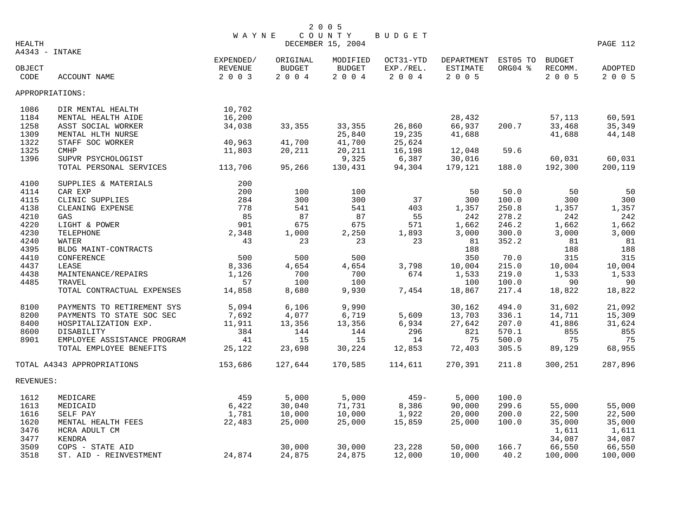|                 |                             |              |               | 2 0 0 5           |           |                 |          |               |          |
|-----------------|-----------------------------|--------------|---------------|-------------------|-----------|-----------------|----------|---------------|----------|
|                 |                             | <b>WAYNE</b> |               | COUNTY            | BUDGET    |                 |          |               |          |
| <b>HEALTH</b>   |                             |              |               | DECEMBER 15, 2004 |           |                 |          |               | PAGE 112 |
| A4343 - INTAKE  |                             |              |               |                   |           |                 |          |               |          |
|                 |                             | EXPENDED/    | ORIGINAL      | MODIFIED          | OCT31-YTD | DEPARTMENT      | EST05 TO | <b>BUDGET</b> |          |
| OBJECT          |                             | REVENUE      | <b>BUDGET</b> | <b>BUDGET</b>     | EXP./REL. | <b>ESTIMATE</b> | ORG04 %  | RECOMM.       | ADOPTED  |
| CODE            | ACCOUNT NAME                | 2 0 0 3      | 2 0 0 4       | 2004              | 2004      | 2 0 0 5         |          | 2005          | 2 0 0 5  |
| APPROPRIATIONS: |                             |              |               |                   |           |                 |          |               |          |
| 1086            | DIR MENTAL HEALTH           | 10,702       |               |                   |           |                 |          |               |          |
| 1184            | MENTAL HEALTH AIDE          | 16,200       |               |                   |           | 28,432          |          | 57,113        | 60,591   |
| 1258            | ASST SOCIAL WORKER          | 34,038       | 33,355        | 33,355            | 26,860    | 66,937          | 200.7    | 33,468        | 35,349   |
| 1309            | MENTAL HLTH NURSE           |              |               | 25,840            | 19,235    | 41,688          |          | 41,688        | 44,148   |
| 1322            | STAFF SOC WORKER            | 40,963       | 41,700        | 41,700            | 25,624    |                 |          |               |          |
| 1325            | CMHP                        | 11,803       | 20,211        | 20,211            | 16,198    | 12,048          | 59.6     |               |          |
| 1396            | SUPVR PSYCHOLOGIST          |              |               | 9,325             | 6,387     | 30,016          |          | 60,031        | 60,031   |
|                 | TOTAL PERSONAL SERVICES     | 113,706      | 95,266        | 130,431           | 94,304    | 179,121         | 188.0    | 192,300       | 200,119  |
|                 |                             |              |               |                   |           |                 |          |               |          |
| 4100            | SUPPLIES & MATERIALS        | 200          |               |                   |           |                 |          |               |          |
| 4114            | CAR EXP                     | 200          | 100           | 100               |           | 50              | 50.0     | 50            | 50       |
| 4115            | CLINIC SUPPLIES             | 284          | 300           | 300               | 37        | 300             | 100.0    | 300           | 300      |
| 4138            | CLEANING EXPENSE            | 778          | 541           | 541               | 403       | 1,357           | 250.8    | 1,357         | 1,357    |
| 4210            | GAS                         | 85           | 87            | 87                | 55        | 242             | 278.2    | 242           | 242      |
| 4220            | LIGHT & POWER               | 901          | 675           | 675               | 571       | 1,662           | 246.2    | 1,662         | 1,662    |
| 4230            | TELEPHONE                   | 2,348        | 1,000         | 2,250             | 1,893     | 3,000           | 300.0    | 3,000         | 3,000    |
| 4240            | <b>WATER</b>                | 43           | 23            | 23                | 23        | 81              | 352.2    | 81            | 81       |
| 4395            | BLDG MAINT-CONTRACTS        |              |               |                   |           | 188             |          | 188           | 188      |
| 4410            | CONFERENCE                  | 500          | 500           | 500               |           | 350             | 70.0     | 315           | 315      |
| 4437            | LEASE                       | 8,336        | 4,654         | 4,654             | 3,798     | 10,004          | 215.0    | 10,004        | 10,004   |
| 4438            | MAINTENANCE/REPAIRS         | 1,126        | 700           | 700               | 674       | 1,533           | 219.0    | 1,533         | 1,533    |
| 4485            | TRAVEL                      | 57           | 100           | 100               |           | 100             | 100.0    | 90            | 90       |
|                 | TOTAL CONTRACTUAL EXPENSES  | 14,858       | 8,680         | 9,930             | 7,454     | 18,867          | 217.4    | 18,822        | 18,822   |
| 8100            | PAYMENTS TO RETIREMENT SYS  | 5,094        | 6,106         | 9,990             |           | 30,162          | 494.0    | 31,602        | 21,092   |
| 8200            | PAYMENTS TO STATE SOC SEC   | 7,692        | 4,077         | 6,719             | 5,609     | 13,703          | 336.1    | 14,711        | 15,309   |
| 8400            | HOSPITALIZATION EXP.        | 11,911       | 13,356        | 13,356            | 6,934     | 27,642          | 207.0    | 41,886        | 31,624   |
| 8600            | DISABILITY                  | 384          | 144           | 144               | 296       | 821             | 570.1    | 855           | 855      |
| 8901            | EMPLOYEE ASSISTANCE PROGRAM | 41           | 15            | 15                | 14        | 75              | 500.0    | 75            | 75       |
|                 | TOTAL EMPLOYEE BENEFITS     | 25,122       | 23,698        | 30,224            | 12,853    | 72,403          | 305.5    | 89,129        | 68,955   |
|                 | TOTAL A4343 APPROPRIATIONS  | 153,686      | 127,644       | 170,585           | 114,611   | 270,391         | 211.8    | 300,251       | 287,896  |
| REVENUES:       |                             |              |               |                   |           |                 |          |               |          |
| 1612            | MEDICARE                    | 459          | 5,000         | 5,000             | $459 -$   | 5,000           | 100.0    |               |          |
| 1613            | MEDICAID                    | 6,422        | 30,040        | 71,731            | 8,386     | 90,000          | 299.6    | 55,000        | 55,000   |
| 1616            | SELF PAY                    | 1,781        | 10,000        | 10,000            | 1,922     | 20,000          | 200.0    | 22,500        | 22,500   |
| 1620            | MENTAL HEALTH FEES          | 22,483       | 25,000        | 25,000            | 15,859    | 25,000          | 100.0    | 35,000        | 35,000   |
| 3476            | HCRA ADULT CM               |              |               |                   |           |                 |          | 1,611         | 1,611    |
| 3477            | <b>KENDRA</b>               |              |               |                   |           |                 |          | 34,087        | 34,087   |
| 3509            | COPS - STATE AID            |              | 30,000        | 30,000            | 23,228    | 50,000          | 166.7    | 66,550        | 66,550   |
| 3518            | ST. AID - REINVESTMENT      | 24,874       | 24,875        | 24,875            | 12,000    | 10,000          | 40.2     | 100,000       | 100,000  |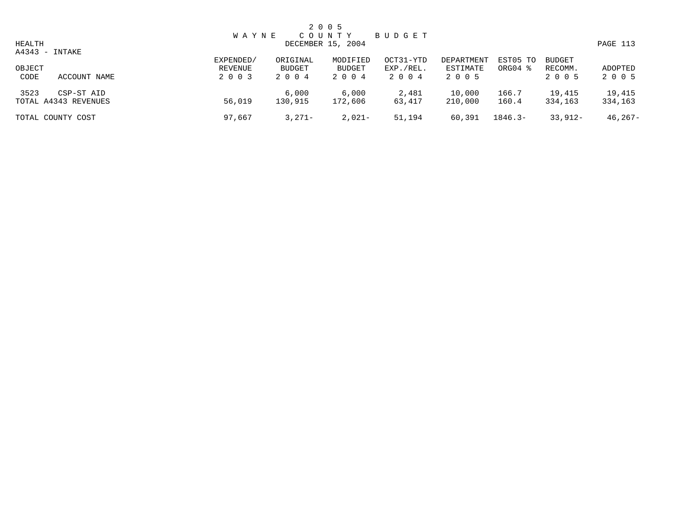|                |                                    |                                 |                            | 2 0 0 5                       |                                |                                   |                     |                                     |                    |
|----------------|------------------------------------|---------------------------------|----------------------------|-------------------------------|--------------------------------|-----------------------------------|---------------------|-------------------------------------|--------------------|
| HEALTH         | A4343 - INTAKE                     | <b>WAYNE</b>                    |                            | COUNTY<br>DECEMBER 15, 2004   | BUDGET                         |                                   |                     |                                     | PAGE 113           |
| OBJECT<br>CODE | ACCOUNT NAME                       | EXPENDED/<br>REVENUE<br>2 0 0 3 | ORIGINAL<br>BUDGET<br>2004 | MODIFIED<br>BUDGET<br>2 0 0 4 | OCT31-YTD<br>EXP./REL.<br>2004 | DEPARTMENT<br>ESTIMATE<br>2 0 0 5 | EST05 TO<br>ORG04 % | <b>BUDGET</b><br>RECOMM.<br>2 0 0 5 | ADOPTED<br>2 0 0 5 |
| 3523           | CSP-ST AID<br>TOTAL A4343 REVENUES | 56,019                          | 6,000<br>130,915           | 6,000<br>172,606              | 2,481<br>63,417                | 10,000<br>210,000                 | 166.7<br>160.4      | 19,415<br>334,163                   | 19,415<br>334,163  |
|                | TOTAL COUNTY COST                  | 97,667                          | $3,271-$                   | $2,021-$                      | 51,194                         | 60,391                            | $1846.3-$           | $33,912-$                           | $46, 267 -$        |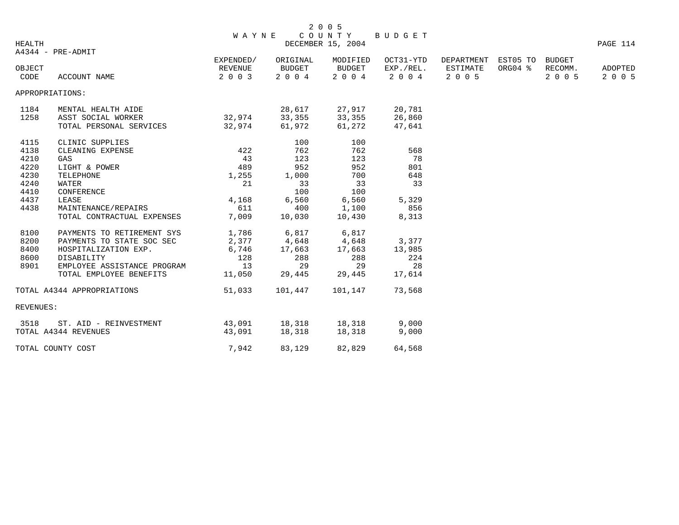|        |                   | W A Y N E            |                    | 2 0 0 5            | COUNTY BUDGET          |                        |                         |                   |          |
|--------|-------------------|----------------------|--------------------|--------------------|------------------------|------------------------|-------------------------|-------------------|----------|
| HEALTH | A4344 - PRE-ADMIT |                      |                    | DECEMBER 15, 2004  |                        |                        |                         |                   | PAGE 114 |
| OBJECT |                   | EXPENDED/<br>REVENUE | ORIGINAL<br>BUDGET | MODIFIED<br>BUDGET | OCT31-YTD<br>EXP./REL. | DEPARTMENT<br>ESTIMATE | EST05 TO<br>$ORG04$ $%$ | BUDGET<br>RECOMM. | ADOPTED  |
| CODE   | ACCOUNT NAME      | 2 0 0 3              | 2004               | 2004               | 2004 2005              |                        |                         | 2005              | 2005     |

APPROPRIATIONS:

| 1184<br>1258                                                         | MENTAL HEALTH AIDE<br>ASST SOCIAL WORKER<br>TOTAL PERSONAL SERVICES                                                                                                                   | 32,974<br>32,974                                            | 28,617<br>33,355<br>61,972                                            | 27,917<br>33,355<br>61,272                                     | 20,781<br>26,860<br>47,641                      |
|----------------------------------------------------------------------|---------------------------------------------------------------------------------------------------------------------------------------------------------------------------------------|-------------------------------------------------------------|-----------------------------------------------------------------------|----------------------------------------------------------------|-------------------------------------------------|
| 4115<br>4138<br>4210<br>4220<br>4230<br>4240<br>4410<br>4437<br>4438 | CLINIC SUPPLIES<br>CLEANING EXPENSE<br>GAS<br>LIGHT & POWER<br>TELEPHONE<br>WATER<br>CONFERENCE<br>LEASE<br>MAINTENANCE/REPAIRS                                                       | 422<br>43<br>489<br>1,255<br>21<br>4,168<br>611             | 100<br>762<br>123<br>952<br>1,000<br>33<br>100<br>6,560<br>400        | 100<br>762<br>123<br>952<br>700<br>33<br>100<br>6,560<br>1,100 | 568<br>78<br>801<br>648<br>33<br>5,329<br>856   |
| 8100<br>8200<br>8400<br>8600<br>8901                                 | TOTAL CONTRACTUAL EXPENSES<br>PAYMENTS TO RETIREMENT SYS<br>PAYMENTS TO STATE SOC SEC<br>HOSPITALIZATION EXP.<br>DISABILITY<br>EMPLOYEE ASSISTANCE PROGRAM<br>TOTAL EMPLOYEE BENEFITS | 7,009<br>1,786<br>6,746<br>128<br>13 <sup>7</sup><br>11,050 | 10,030<br>6,817<br>2,377 4,648 4,648<br>17,663<br>288<br>29<br>29,445 | 10,430<br>6,817<br>17,663<br>288<br>29<br>29,445               | 8,313<br>3,377<br>13,985<br>224<br>28<br>17,614 |
| <b>REVENUES:</b>                                                     | TOTAL A4344 APPROPRIATIONS                                                                                                                                                            | 51,033                                                      | 101,447                                                               | 101,147                                                        | 73,568                                          |
| 3518                                                                 | ST. AID - REINVESTMENT<br>TOTAL A4344 REVENUES                                                                                                                                        | 43,091<br>43,091                                            | 18,318<br>18,318                                                      | 18,318<br>18,318                                               | 9,000<br>9,000                                  |
|                                                                      | TOTAL COUNTY COST                                                                                                                                                                     | 7,942                                                       | 83,129                                                                | 82,829                                                         | 64,568                                          |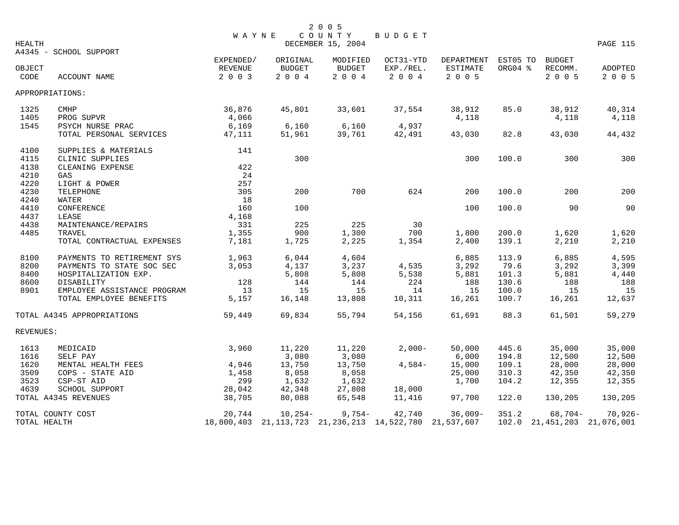| HEALTH         |                             | <b>WAYNE</b>              |                       | 2 0 0 5<br>COUNTY<br>DECEMBER 15, 2004 | <b>BUDGET</b>                                       |                         |          |                                 | PAGE 115           |
|----------------|-----------------------------|---------------------------|-----------------------|----------------------------------------|-----------------------------------------------------|-------------------------|----------|---------------------------------|--------------------|
|                | A4345 - SCHOOL SUPPORT      | EXPENDED/                 | ORIGINAL              | MODIFIED                               | OCT31-YTD                                           | DEPARTMENT              | EST05 TO | <b>BUDGET</b>                   |                    |
| OBJECT<br>CODE | ACCOUNT NAME                | <b>REVENUE</b><br>2 0 0 3 | <b>BUDGET</b><br>2004 | <b>BUDGET</b><br>2004                  | EXP./REL.<br>2004                                   | <b>ESTIMATE</b><br>2005 | ORG04 %  | RECOMM.<br>2 0 0 5              | ADOPTED<br>2 0 0 5 |
|                | APPROPRIATIONS:             |                           |                       |                                        |                                                     |                         |          |                                 |                    |
| 1325           | <b>CMHP</b>                 | 36,876                    | 45,801                | 33,601                                 | 37,554                                              | 38,912                  | 85.0     | 38,912                          | 40,314             |
| 1405           | PROG SUPVR                  | 4,066                     |                       |                                        |                                                     | 4,118                   |          | 4,118                           | 4,118              |
| 1545           | PSYCH NURSE PRAC            | 6,169                     | 6,160                 | 6,160                                  | 4,937                                               |                         |          |                                 |                    |
|                | TOTAL PERSONAL SERVICES     | 47,111                    | 51,961                | 39,761                                 | 42,491                                              | 43,030                  | 82.8     | 43,030                          | 44,432             |
| 4100           | SUPPLIES & MATERIALS        | 141                       |                       |                                        |                                                     |                         |          |                                 |                    |
| 4115           | CLINIC SUPPLIES             |                           | 300                   |                                        |                                                     | 300                     | 100.0    | 300                             | 300                |
| 4138           | CLEANING EXPENSE            | 422                       |                       |                                        |                                                     |                         |          |                                 |                    |
| 4210           | GAS                         | 24                        |                       |                                        |                                                     |                         |          |                                 |                    |
| 4220           | LIGHT & POWER               | 257                       |                       |                                        |                                                     |                         |          |                                 |                    |
| 4230           | TELEPHONE                   | 305                       | 200                   | 700                                    | 624                                                 | 200                     | 100.0    | 200                             | 200                |
| 4240           | WATER                       | 18                        |                       |                                        |                                                     |                         |          |                                 |                    |
| 4410           | CONFERENCE                  | 160                       | 100                   |                                        |                                                     | 100                     | 100.0    | 90                              | 90                 |
| 4437           | LEASE                       | 4,168                     |                       |                                        |                                                     |                         |          |                                 |                    |
| 4438           | MAINTENANCE/REPAIRS         | 331                       | 225                   | 225                                    | 30                                                  |                         |          |                                 |                    |
| 4485           | TRAVEL                      | 1,355                     | 900                   | 1,300                                  | 700                                                 | 1,800                   | 200.0    | 1,620                           | 1,620              |
|                | TOTAL CONTRACTUAL EXPENSES  | 7,181                     | 1,725                 | 2,225                                  | 1,354                                               | 2,400                   | 139.1    | 2,210                           | 2,210              |
| 8100           | PAYMENTS TO RETIREMENT SYS  | 1,963                     | 6,044                 | 4,604                                  |                                                     | 6,885                   | 113.9    | 6,885                           | 4,595              |
| 8200           | PAYMENTS TO STATE SOC SEC   | 3.053                     | 4,137                 | 3,237                                  | 4,535                                               | 3,292                   | 79.6     | 3,292                           | 3,399              |
| 8400           | HOSPITALIZATION EXP.        |                           | 5,808                 | 5,808                                  | 5,538                                               | 5,881                   | 101.3    | 5,881                           | 4,440              |
| 8600           | DISABILITY                  | 128                       | 144                   | 144                                    | 224                                                 | 188                     | 130.6    | 188                             | 188                |
| 8901           | EMPLOYEE ASSISTANCE PROGRAM | 13                        | 15                    | 15                                     | 14                                                  | 15                      | 100.0    | 15                              | 15                 |
|                | TOTAL EMPLOYEE BENEFITS     | 5,157                     | 16,148                | 13,808                                 | 10,311                                              | 16,261                  | 100.7    | 16,261                          | 12,637             |
|                | TOTAL A4345 APPROPRIATIONS  | 59,449                    | 69,834                | 55,794                                 | 54,156                                              | 61,691                  | 88.3     | 61,501                          | 59,279             |
| REVENUES:      |                             |                           |                       |                                        |                                                     |                         |          |                                 |                    |
| 1613           | MEDICAID                    | 3,960                     | 11,220                | 11,220                                 | $2.000 -$                                           | 50,000                  | 445.6    | 35,000                          | 35,000             |
| 1616           | SELF PAY                    |                           | 3,080                 | 3,080                                  |                                                     | 6,000                   | 194.8    | 12,500                          | 12,500             |
| 1620           | MENTAL HEALTH FEES          | 4,946                     | 13,750                | 13,750                                 | $4,584-$                                            | 15,000                  | 109.1    | 28,000                          | 28,000             |
| 3509           | COPS - STATE AID            | 1,458                     | 8,058                 | 8,058                                  |                                                     | 25,000                  | 310.3    | 42,350                          | 42,350             |
| 3523           | CSP-ST AID                  | 299                       | 1,632                 | 1,632                                  |                                                     | 1,700                   | 104.2    | 12,355                          | 12,355             |
| 4639           | SCHOOL SUPPORT              | 28,042                    | 42,348                | 27,808                                 | 18,000                                              |                         |          |                                 |                    |
|                | TOTAL A4345 REVENUES        | 38,705                    | 80,088                | 65,548                                 | 11,416                                              | 97,700                  | 122.0    | 130,205                         | 130,205            |
|                | TOTAL COUNTY COST           | 20,744                    | $10,254-$             | $9,754-$                               | 42,740                                              | $36,009-$               | 351.2    | $68,704-$                       | $70,926 -$         |
| TOTAL HEALTH   |                             | 18,800,403                |                       |                                        | 21, 113, 723 21, 236, 213 14, 522, 780 21, 537, 607 |                         |          | 102.0 21, 451, 203 21, 076, 001 |                    |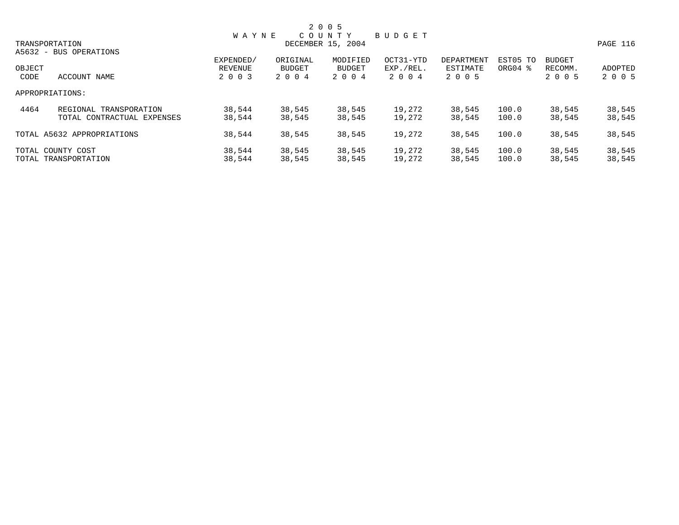|        |                            |              |          | 2 0 0 5           |               |            |                     |               |          |
|--------|----------------------------|--------------|----------|-------------------|---------------|------------|---------------------|---------------|----------|
|        |                            | <b>WAYNE</b> |          | COUNTY            | <b>BUDGET</b> |            |                     |               |          |
|        | TRANSPORTATION             |              |          | DECEMBER 15, 2004 |               |            |                     |               | PAGE 116 |
|        | A5632 - BUS OPERATIONS     |              |          |                   |               |            |                     |               |          |
|        |                            | EXPENDED/    | ORIGINAL | MODIFIED          | OCT31-YTD     | DEPARTMENT | EST05 TO            | <b>BUDGET</b> |          |
| OBJECT |                            | REVENUE      | BUDGET   | BUDGET            | EXP./REL.     | ESTIMATE   | ORG04 $\frac{8}{3}$ | RECOMM.       | ADOPTED  |
| CODE   | ACCOUNT NAME               | 2 0 0 3      | 2 0 0 4  | 2 0 0 4           | 2004          | 2 0 0 5    |                     | 2 0 0 5       | 2 0 0 5  |
|        | APPROPRIATIONS:            |              |          |                   |               |            |                     |               |          |
| 4464   | REGIONAL TRANSPORATION     | 38,544       | 38,545   | 38,545            | 19,272        | 38,545     | 100.0               | 38,545        | 38,545   |
|        | TOTAL CONTRACTUAL EXPENSES | 38,544       | 38,545   | 38,545            | 19,272        | 38,545     | 100.0               | 38,545        | 38,545   |
|        | TOTAL A5632 APPROPRIATIONS | 38,544       | 38,545   | 38,545            | 19,272        | 38,545     | 100.0               | 38,545        | 38,545   |
|        | TOTAL COUNTY COST          | 38,544       | 38,545   | 38,545            | 19,272        | 38,545     | 100.0               | 38,545        | 38,545   |
|        | TOTAL TRANSPORTATION       | 38,544       | 38,545   | 38,545            | 19,272        | 38,545     | 100.0               | 38,545        | 38,545   |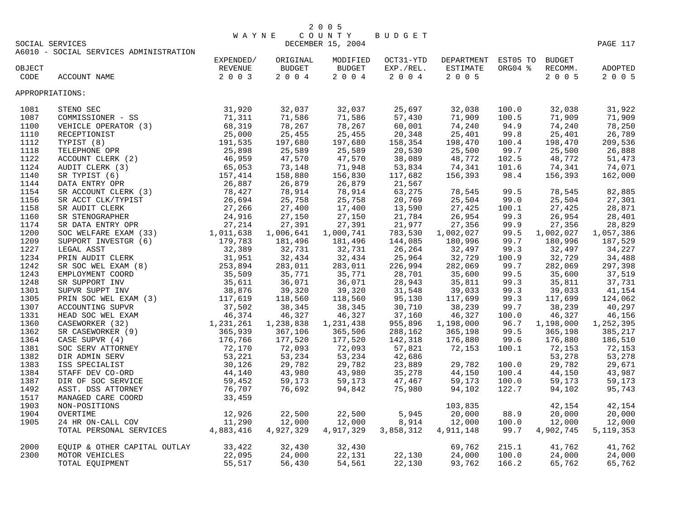|                 | 2005                |  |
|-----------------|---------------------|--|
|                 | WAYNE COUNTY BUDGET |  |
| COCTAL CERVICES | DECEMBER 15 2004    |  |

|        | SOCIAL SERVICES                                         |           | DECEMBER 15, 2004 |                   |                  |                            |         |                      | PAGE 117    |  |  |
|--------|---------------------------------------------------------|-----------|-------------------|-------------------|------------------|----------------------------|---------|----------------------|-------------|--|--|
|        | A6010 - SOCIAL SERVICES ADMINISTRATION                  |           |                   |                   |                  |                            |         |                      |             |  |  |
|        |                                                         | EXPENDED/ | ORIGINAL          | MODIFIED          | OCT31-YTD        | DEPARTMENT EST05 TO BUDGET |         |                      |             |  |  |
| OBJECT |                                                         | REVENUE   | <b>BUDGET</b>     | <b>BUDGET</b>     | EXP./REL.        | ESTIMATE                   | ORG04 % | RECOMM.              | ADOPTED     |  |  |
| CODE   | ACCOUNT NAME                                            | 2 0 0 3   | 2004              | 2004              | 2 0 0 4          | 2 0 0 5                    |         | 2 0 0 5              | 2 0 0 5     |  |  |
|        | APPROPRIATIONS:                                         |           |                   |                   |                  |                            |         |                      |             |  |  |
| 1081   |                                                         |           | 32,037            | 32,037            | 25,697           | 32,038                     | 100.0   | 32,038               | 31,922      |  |  |
| 1087   |                                                         |           | 71,586            | 71,586            | 57,430           | 71,909                     | 100.5   | 71,909               | 71,909      |  |  |
| 1100   |                                                         |           | 78,267            | 78,267            | 60,001           | 74,240                     | 94.9    | 74,240               | 78,250      |  |  |
| 1110   |                                                         |           | 25,455            | 25,455            | 20,348           | 25,401                     | 99.8    | 25,401               | 26,789      |  |  |
| 1112   |                                                         |           | 197,680           | 197,680           | 158,354          | 198,470                    | 100.4   | 198,470              | 209,536     |  |  |
| 1118   |                                                         |           | 25,589            | 25,589            |                  | 25,500                     | 99.7    | 25,500               | 26,888      |  |  |
| 1122   |                                                         |           | 47,570            | 47,570            | 20,530<br>38,089 | 48,772                     | 102.5   | 48,772               | 51,473      |  |  |
| 1124   |                                                         |           | 73,148            | 71,948            | 53,834           | 74,341                     | 101.6   | 74,341               | 74,071      |  |  |
| 1140   |                                                         |           | 158,880           | 156,830           | 117,682          | 156,393                    | 98.4    | 156,393              | 162,000     |  |  |
| 1144   |                                                         |           | 26,879            | 26,879            | 21,567           |                            |         |                      |             |  |  |
| 1154   |                                                         |           | 78,914            | 78,914            | 63,275           | 78,545                     | 99.5    | 78,545               | 82,885      |  |  |
| 1156   |                                                         |           | 25,758            | 25,758            | 20,769           | 25,504                     | 99.0    | 25,504               | 27,301      |  |  |
| 1158   |                                                         |           | 27,400            | 17,400            | 13,590           | 27,425                     |         | 27,425               | 28,871      |  |  |
|        |                                                         |           |                   |                   |                  | 26,954                     | 100.1   | 26,954               |             |  |  |
| 1160   |                                                         |           | 27,150<br>27,391  | 27,150            | 21,784           | 27,356                     | 99.3    | 27,356               | 28,401      |  |  |
| 1174   |                                                         |           |                   | 27,391            | 21,977           |                            | 99.9    |                      | 28,829      |  |  |
| 1200   |                                                         |           | 1,006,641         | 1,000,741         | 783,530          | 1,002,027                  | 99.5    | 1,002,027<br>180,996 | 1,057,386   |  |  |
| 1209   |                                                         |           | 181,496           | 181,496<br>32,731 | 144,085          | 180,996                    | 99.7    |                      | 187,529     |  |  |
| 1227   |                                                         |           | 32,731            |                   | 26,264           | 32,497                     | 99.3    | 32,497               | 34,227      |  |  |
| 1234   |                                                         |           | 32,434            | 32,434            | 25,964           | 32,729                     | 100.9   | 32,729               | 34,488      |  |  |
| 1242   |                                                         |           | 283,011           | 283,011           | 226,994          | 282,069                    | 99.7    | 282,069              | 297,398     |  |  |
| 1243   |                                                         |           | 35,771            | 35,771            | 28,701           | 35,600                     | 99.5    | 35,600               | 37,519      |  |  |
| 1248   |                                                         |           | 36,071            | 36,071            | 28,943           | 35,811                     | 99.3    | 35,811               | 37,731      |  |  |
| 1301   |                                                         |           | 39,320            | 39,320            | 31,548           | 39,033                     | 99.3    | 39,033               | 41,154      |  |  |
| 1305   |                                                         |           | 118,560           | 118,560           | 95,130           | 117,699                    | 99.3    | 117,699              | 124,062     |  |  |
| 1307   |                                                         |           | 38,345            | 38,345            | 30,710           | 38,239                     | 99.7    | 38,239               | 40,297      |  |  |
| 1331   |                                                         |           | 46,327            | 46,327            | 37,160           | 46,327                     | 100.0   | 46,327               | 46,156      |  |  |
| 1360   |                                                         |           | 1,238,838         | 1,231,438         | 955,896          | 1,198,000                  | 96.7    | 1,198,000            | 1,252,395   |  |  |
| 1362   |                                                         |           | 367,106           | 365,506           | 288,162          | 365,198                    | 99.5    | 365,198              | 385,217     |  |  |
| 1364   |                                                         |           | 177,520           | 177,520           | 142,318          | 176,880                    | 99.6    | 176,880              | 186,510     |  |  |
| 1381   |                                                         |           | 72,093            | 72,093            | 57,821           | 72,153                     | 100.1   | 72,153               | 72,153      |  |  |
| 1382   |                                                         |           | 53,234            | 53,234            | 42,686           |                            |         | 53,278               | 53,278      |  |  |
| 1383   |                                                         |           | 29,782            | 29,782            | 23,889           | 29,782                     | 100.0   | 29,782               | 29,671      |  |  |
| 1384   |                                                         |           | 43,980            | 43,980            | 35,278           | 44,150                     | 100.4   | 44,150               | 43,987      |  |  |
| 1387   |                                                         |           | 59,173            | 59,173            | 47,467           | 59,173                     | 100.0   | 59,173               | 59,173      |  |  |
| 1492   |                                                         |           | 76,692            | 94,842            | 75,980           | 94,102                     | 122.7   | 94,102               | 95,743      |  |  |
| 1517   |                                                         |           |                   |                   |                  |                            |         |                      |             |  |  |
| 1903   |                                                         |           |                   |                   |                  | 103,835                    |         | 42,154               | 42,154      |  |  |
| 1904   |                                                         |           | 22,500            | 22,500            | 5,945            | 20,000                     | 88.9    | 20,000               | 20,000      |  |  |
| 1905   |                                                         |           | 12,000            | 12,000            | 8,914            | 12,000                     | 100.0   | 12,000               | 12,000      |  |  |
|        |                                                         |           | 4,927,329         | 4,917,329         | 3,858,312        | 4,911,148                  | 99.7    | 4,902,745            | 5, 119, 353 |  |  |
| 2000   | EQUIP & OTHER CAPITAL OUTLAY $33,422$<br>MOTOD MENICIES |           | 32,430            | 32,430            |                  | 69,762                     | 215.1   | 41,762               | 41,762      |  |  |
| 2300   | MOTOR VEHICLES                                          | 22,095    | 24,000            | 22,131            | 22,130           | 24,000                     | 100.0   | 24,000               | 24,000      |  |  |
|        | TOTAL EQUIPMENT                                         | 55,517    | 56,430            | 54,561            | 22,130           | 93,762                     | 166.2   | 65,762               | 65,762      |  |  |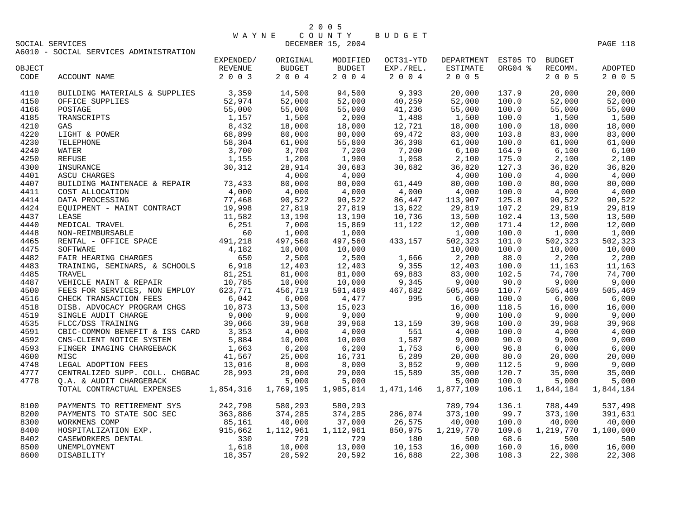| 2 0 0 5 |  |  |
|---------|--|--|
|---------|--|--|

## W A Y N E C O U N T Y B U D G E T DECEMBER 15, 2004 PAGE 118

A6010 - SOCIAL SERVICES ADMINISTRATION

|        |                                                                                                                                                                                                                                                                                                                                                                                                                                                                             | EXPENDED/ | ORIGINAL                                               | MODIFIED                                                                                                                                                              | OCT31-YTD       | DEPARTMENT       | EST05 TO | <b>BUDGET</b>                                                                                   |                           |
|--------|-----------------------------------------------------------------------------------------------------------------------------------------------------------------------------------------------------------------------------------------------------------------------------------------------------------------------------------------------------------------------------------------------------------------------------------------------------------------------------|-----------|--------------------------------------------------------|-----------------------------------------------------------------------------------------------------------------------------------------------------------------------|-----------------|------------------|----------|-------------------------------------------------------------------------------------------------|---------------------------|
| OBJECT |                                                                                                                                                                                                                                                                                                                                                                                                                                                                             | REVENUE   | <b>BUDGET</b>                                          | <b>BUDGET</b>                                                                                                                                                         | EXP./REL.       | ESTIMATE         | ORG04 %  | RECOMM.                                                                                         | ADOPTED                   |
| CODE   | ACCOUNT NAME                                                                                                                                                                                                                                                                                                                                                                                                                                                                | 2 0 0 3   | $2 0 0 4$                                              |                                                                                                                                                                       | 2 0 0 4 2 0 0 4 | 2 0 0 5          |          | 2 0 0 5                                                                                         | 2 0 0 5                   |
| 4110   | BUILDING MATERIALS & SUPPLIES 3,359<br>OFFICE SUPPLIES<br>POSTAGE<br>POSTAGE<br>TRANSCRIPTS<br>TRANSCRIPTS<br>S2,974<br>DSTAGE<br>TRANSCRIPTS<br>55,000<br>1,157<br>GAS<br>8,432<br>LIGHT & POWER<br>86,899<br>TELEPHONE<br>58,304<br>WATER<br>3,700<br>REFUSE<br>1,155<br>INSURANCE<br>ASCU CHARGES<br>30,312<br>A                                                                                                                                                         |           | 14,500                                                 |                                                                                                                                                                       | 94,500 9,393    | 20,000           | 137.9    | 20,000                                                                                          | 20,000                    |
| 4150   |                                                                                                                                                                                                                                                                                                                                                                                                                                                                             |           | 52,000                                                 |                                                                                                                                                                       | 40,259          | 52,000           | 100.0    | 52,000                                                                                          | 52,000                    |
| 4166   |                                                                                                                                                                                                                                                                                                                                                                                                                                                                             |           | 55,000                                                 | 51,500<br>52,000<br>55,000                                                                                                                                            | 41,236          | 55,000           | 100.0    | 55,000                                                                                          | 55,000                    |
| 4185   |                                                                                                                                                                                                                                                                                                                                                                                                                                                                             |           |                                                        |                                                                                                                                                                       |                 | 1,500            | 100.0    | 1,500                                                                                           | 1,500                     |
| 4210   |                                                                                                                                                                                                                                                                                                                                                                                                                                                                             |           |                                                        |                                                                                                                                                                       |                 | 18,000           | 100.0    | 18,000                                                                                          | 18,000                    |
| 4220   |                                                                                                                                                                                                                                                                                                                                                                                                                                                                             |           |                                                        |                                                                                                                                                                       |                 | 83,000           | 103.8    | 83,000                                                                                          | 83,000                    |
| 4230   |                                                                                                                                                                                                                                                                                                                                                                                                                                                                             |           |                                                        |                                                                                                                                                                       |                 | 61,000           | 100.0    | 61,000                                                                                          | 61,000                    |
| 4240   | $\begin{tabular}{l l l l} \multicolumn{1}{c}{\textbf{LEPHUNL}} \\ \multicolumn{1}{c}{\textbf{ATER}} \\ \multicolumn{1}{c}{\textbf{EFUSE}} \\ \multicolumn{1}{c}{\textbf{ANSURANCE}} \\ \multicolumn{1}{c}{\textbf{ASCU CHARGES}} & 30 \,, \texttt{31-2} \\ \multicolumn{1}{c}{\textbf{ASCU CHARGES}} & 4 \,, \texttt{UCU} \\ \multicolumn{1}{c}{\textbf{ASCU CHARGES}} & 4 \,, \texttt{UCU} \\ \multicolumn{1}{c}{\textbf{SULIDING MANTENACE}} & \texttt{R EPAIR} & 73 \,,$ |           | $1,500$<br>$18,000$<br>$80,000$<br>$61,000$<br>$3,700$ | $\begin{array}{ccc} 55,000 & 41,236\ 2,000 & 1,488\ 18,000 & 12,721\ 80,000 & 69,472\ 55,800 & 36,398\ 7,200 & 7,200\ 1,900 & 1,058\ 30,683 & 30,682\ \end{array}$    |                 | 6,100            | 164.9    | 6,100                                                                                           | 6,100                     |
| 4250   |                                                                                                                                                                                                                                                                                                                                                                                                                                                                             |           |                                                        |                                                                                                                                                                       |                 | 2,100<br>36,820  | 175.0    | 2,100                                                                                           | 2,100                     |
| 4300   |                                                                                                                                                                                                                                                                                                                                                                                                                                                                             |           |                                                        |                                                                                                                                                                       |                 |                  | 127.3    | 36,820                                                                                          | 36,820                    |
| 4401   |                                                                                                                                                                                                                                                                                                                                                                                                                                                                             |           |                                                        | $\frac{4,000}{80,000}$ 61,449                                                                                                                                         |                 | 4,000            | 100.0    | 4,000                                                                                           | 4,000                     |
| 4407   |                                                                                                                                                                                                                                                                                                                                                                                                                                                                             |           |                                                        |                                                                                                                                                                       | 61,449          | 80,000           | 100.0    | 80,000                                                                                          | 80,000                    |
| 4411   |                                                                                                                                                                                                                                                                                                                                                                                                                                                                             |           |                                                        |                                                                                                                                                                       |                 | 4,000<br>113,907 | 100.0    | 4,000                                                                                           | 4,000                     |
| 4414   |                                                                                                                                                                                                                                                                                                                                                                                                                                                                             |           |                                                        |                                                                                                                                                                       |                 |                  | 125.8    | 90,522                                                                                          | 90,522                    |
| 4424   |                                                                                                                                                                                                                                                                                                                                                                                                                                                                             |           |                                                        |                                                                                                                                                                       |                 | 29,819<br>13,500 | 107.2    | 29,819                                                                                          | 29,819                    |
| 4437   |                                                                                                                                                                                                                                                                                                                                                                                                                                                                             |           |                                                        |                                                                                                                                                                       |                 |                  | 102.4    | 13,500                                                                                          | 13,500                    |
| 4440   |                                                                                                                                                                                                                                                                                                                                                                                                                                                                             |           | 7,000<br>1,000                                         |                                                                                                                                                                       |                 | 12,000           | 171.4    | 12,000                                                                                          | 12,000                    |
| 4448   | COST ALLOCATION (1993)<br>COST ALLOCATION (1998)<br>EQUIPMENT – MAINT CONTRACT (1998)<br>LEASE (1998)<br>LEASE (1998)<br>LEASE (251<br>MON-REIMBURSABLE (60)<br>ENTAL – OFFICE SPACE (491, 218<br>NON-REIMBURSABLE (1998)                                                                                                                                                                                                                                                   |           |                                                        | $\begin{array}{cccc} 60,000 & 61,449 \ 4,000 & 4,000 \ 90,522 & 86,447 \ 27,819 & 13,622 \ 13,190 & 10,736 \ 15,869 & 11,122 \ 1,000 \ 497,560 & 433,157 \end{array}$ |                 | 1,000            | 100.0    | 12,000<br>1,000                                                                                 | 12,000<br>1,000           |
| 4465   |                                                                                                                                                                                                                                                                                                                                                                                                                                                                             |           | 497,560<br>10,000                                      |                                                                                                                                                                       | 433,157         | 502,323          | 101.0    | 502,323                                                                                         | 502,323                   |
| 4475   | SOFTWARE<br>SOFTWARE<br>FAIR HEARING CHARGES<br>TRAINING, SEMINARS, & SCHOOLS<br>TRAVEL<br>TRAVEL 81, 251<br>TRAVEL 81, 251<br>10, 785<br>10, 000<br>FEES FOR SERVICES, NON EMPLOY<br>FEES FOR SERVICES, NON EMPLOY<br>TRAVEL 10, 785<br>10, 000<br>FEES                                                                                                                                                                                                                    |           |                                                        | $10,000$<br>$2,500$<br>$1,666$<br>$2,200$<br>$12,403$<br>$81,000$<br>$69,883$<br>$83,000$<br>$10,000$<br>$9,345$<br>$9,000$<br>$591,469$<br>$467,682$<br>$505,469$    |                 |                  | 100.0    | 10,000                                                                                          | 10,000                    |
| 4482   |                                                                                                                                                                                                                                                                                                                                                                                                                                                                             |           |                                                        |                                                                                                                                                                       |                 |                  | 88.0     | 2,200                                                                                           | $2,200$<br>11,163         |
| 4483   |                                                                                                                                                                                                                                                                                                                                                                                                                                                                             |           |                                                        |                                                                                                                                                                       |                 |                  | 100.0    | 11,163                                                                                          | 11,163                    |
| 4485   |                                                                                                                                                                                                                                                                                                                                                                                                                                                                             |           |                                                        |                                                                                                                                                                       |                 |                  | 102.5    | 74,700                                                                                          | 74,700                    |
| 4487   |                                                                                                                                                                                                                                                                                                                                                                                                                                                                             |           |                                                        |                                                                                                                                                                       |                 |                  | 90.0     | 9,000                                                                                           | 9,000                     |
| 4500   |                                                                                                                                                                                                                                                                                                                                                                                                                                                                             |           | 456,719                                                |                                                                                                                                                                       |                 |                  | 110.7    | 505,469                                                                                         | 505,469                   |
| 4516   | CHECK TRANSACTION FEES<br>DISB. ADVOCACY PROGRAM CHGS<br>SINGLE AUDIT CHARGE<br>TLCC/DSS TRAINING<br>CHECK TRANSACTION FEES<br>$6,042$<br>$10,873$<br>$13,500$<br>$9,000$<br>$9,000$<br>$9,000$<br>$9,000$<br>$9,000$<br>$9,000$<br>$9,000$<br>$9,000$<br>$9,0$                                                                                                                                                                                                             |           |                                                        |                                                                                                                                                                       |                 |                  | 100.0    | 6,000                                                                                           | 6,000                     |
| 4518   |                                                                                                                                                                                                                                                                                                                                                                                                                                                                             |           |                                                        |                                                                                                                                                                       |                 |                  | 118.5    | 16,000                                                                                          | 16,000                    |
| 4519   |                                                                                                                                                                                                                                                                                                                                                                                                                                                                             |           |                                                        |                                                                                                                                                                       |                 |                  | 100.0    | 9,000                                                                                           | 9,000                     |
| 4535   |                                                                                                                                                                                                                                                                                                                                                                                                                                                                             |           |                                                        |                                                                                                                                                                       |                 |                  | 100.0    | 39,968                                                                                          | 39,968                    |
| 4591   |                                                                                                                                                                                                                                                                                                                                                                                                                                                                             |           |                                                        |                                                                                                                                                                       |                 |                  | 100.0    |                                                                                                 | 4,000                     |
| 4592   |                                                                                                                                                                                                                                                                                                                                                                                                                                                                             |           |                                                        |                                                                                                                                                                       |                 |                  | 90.0     |                                                                                                 | 9,000                     |
| 4593   |                                                                                                                                                                                                                                                                                                                                                                                                                                                                             |           |                                                        |                                                                                                                                                                       |                 |                  | 96.8     | $\begin{array}{r} 4,000 \\ 9,000 \\ 6,000 \\ 20,000 \\ 9,000 \\ 35,000 \\ 5,000 \\ \end{array}$ | 6,000                     |
| 4600   |                                                                                                                                                                                                                                                                                                                                                                                                                                                                             |           |                                                        |                                                                                                                                                                       |                 |                  | 80.0     |                                                                                                 | 20,000                    |
| 4748   |                                                                                                                                                                                                                                                                                                                                                                                                                                                                             |           |                                                        |                                                                                                                                                                       |                 |                  | 112.5    |                                                                                                 | 9,000                     |
| 4777   |                                                                                                                                                                                                                                                                                                                                                                                                                                                                             |           |                                                        |                                                                                                                                                                       |                 |                  | 120.7    |                                                                                                 | 35,000                    |
| 4778   |                                                                                                                                                                                                                                                                                                                                                                                                                                                                             |           |                                                        |                                                                                                                                                                       |                 |                  | 100.0    | 5,000                                                                                           | 5,000                     |
|        |                                                                                                                                                                                                                                                                                                                                                                                                                                                                             |           |                                                        |                                                                                                                                                                       |                 |                  |          |                                                                                                 | 106.1 1,844,184 1,844,184 |
| 8100   | PAYMENTS TO RETIREMENT SYS<br>PAYMENTS TO STATE SOC SEC 363,886 374,285<br>WORKMENS COMP 85,161 40,000<br>HOSPITALIZATION EXP. 915,662 1,112,961 1<br>CASEWORKERS DENTAL 330 729<br>UNEMPLOYMENT 1,618 10,000<br>DISABILITY 18,357 20,592                                                                                                                                                                                                                                   |           | 580,293 580,293                                        |                                                                                                                                                                       |                 | 789,794          | 136.1    | 788,449                                                                                         | 537,498                   |
| 8200   |                                                                                                                                                                                                                                                                                                                                                                                                                                                                             |           |                                                        | 374,285 286,074                                                                                                                                                       |                 | 373,100          | 99.7     | 373,100                                                                                         | 391,631                   |
| 8300   |                                                                                                                                                                                                                                                                                                                                                                                                                                                                             |           |                                                        |                                                                                                                                                                       |                 | 40,000           | 100.0    | 40,000                                                                                          | 40,000                    |
| 8400   |                                                                                                                                                                                                                                                                                                                                                                                                                                                                             |           |                                                        | $\begin{array}{cccc} 40,000 & 37,000 & 26,575 \ 1,112,961 & 1,112,961 & 850,975 & 1 \ 729 & 729 & 180 \ 10,000 & 13,000 & 10,153 \end{array}$                         |                 | 1,219,770        |          | 109.6 1,219,770                                                                                 | 1,100,000                 |
| 8402   |                                                                                                                                                                                                                                                                                                                                                                                                                                                                             |           |                                                        |                                                                                                                                                                       |                 | 500<br>16,000    |          | $68.6$ 500<br>160.0 16,000                                                                      | 500                       |
| 8500   |                                                                                                                                                                                                                                                                                                                                                                                                                                                                             |           |                                                        |                                                                                                                                                                       |                 |                  |          |                                                                                                 | 16,000                    |
| 8600   |                                                                                                                                                                                                                                                                                                                                                                                                                                                                             |           |                                                        | 20,592                                                                                                                                                                | 16,688          | 22,308           | 108.3    | 22,308                                                                                          | 22,308                    |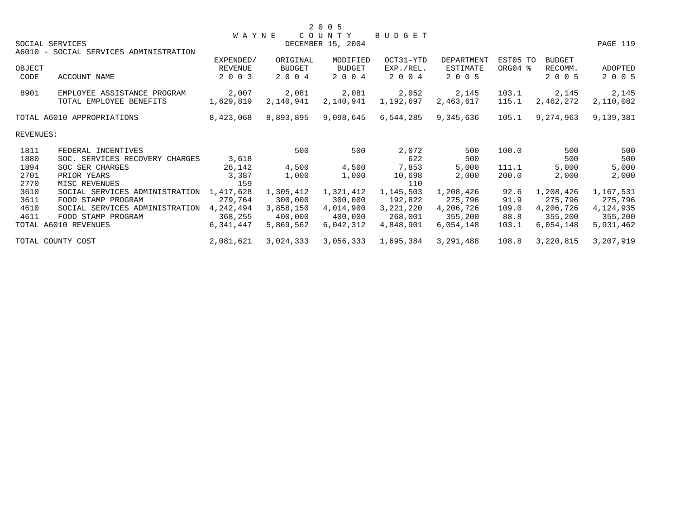|           |                                        | <b>WAYNE</b> |           | COUNTY            | <b>BUDGET</b> |            |          |               |           |
|-----------|----------------------------------------|--------------|-----------|-------------------|---------------|------------|----------|---------------|-----------|
|           | SOCIAL SERVICES                        |              |           | DECEMBER 15, 2004 |               |            |          |               | PAGE 119  |
|           | A6010 - SOCIAL SERVICES ADMINISTRATION |              |           |                   |               |            |          |               |           |
|           |                                        | EXPENDED/    | ORIGINAL  | MODIFIED          | OCT31-YTD     | DEPARTMENT | EST05 TO | <b>BUDGET</b> |           |
| OBJECT    |                                        | REVENUE      | BUDGET    | BUDGET            | EXP./REL.     | ESTIMATE   | ORG04 %  | RECOMM.       | ADOPTED   |
| CODE      | ACCOUNT NAME                           | 2 0 0 3      | 2 0 0 4   | 2 0 0 4           | 2 0 0 4       | 2 0 0 5    |          | 2 0 0 5       | 2 0 0 5   |
| 8901      | EMPLOYEE ASSISTANCE PROGRAM            | 2,007        | 2,081     | 2,081             | 2,052         | 2,145      | 103.1    | 2,145         | 2,145     |
|           | TOTAL EMPLOYEE BENEFITS                | 1,629,819    | 2,140,941 | 2,140,941         | 1,192,697     | 2,463,617  | 115.1    | 2,462,272     | 2,110,082 |
|           | TOTAL A6010 APPROPRIATIONS             | 8,423,068    | 8,893,895 | 9,098,645         | 6,544,285     | 9,345,636  | 105.1    | 9,274,963     | 9,139,381 |
| REVENUES: |                                        |              |           |                   |               |            |          |               |           |
| 1811      | FEDERAL INCENTIVES                     |              | 500       | 500               | 2,072         | 500        | 100.0    | 500           | 500       |
| 1880      | SOC. SERVICES RECOVERY CHARGES         | 3,618        |           |                   | 622           | 500        |          | 500           | 500       |
| 1894      | SOC SER CHARGES                        | 26,142       | 4,500     | 4,500             | 7,853         | 5,000      | 111.1    | 5,000         | 5,000     |
| 2701      | PRIOR YEARS                            | 3,387        | 1,000     | 1,000             | 10,698        | 2,000      | 200.0    | 2,000         | 2,000     |
| 2770      | MISC REVENUES                          | 159          |           |                   | 110           |            |          |               |           |
| 3610      | SOCIAL SERVICES ADMINISTRATION         | 1,417,628    | 1,305,412 | 1,321,412         | 1,145,503     | 1,208,426  | 92.6     | 1,208,426     | 1,167,531 |
| 3611      | FOOD STAMP PROGRAM                     | 279,764      | 300,000   | 300,000           | 192,822       | 275,796    | 91.9     | 275,796       | 275,796   |
| 4610      | SOCIAL SERVICES ADMINISTRATION         | 4,242,494    | 3,858,150 | 4,014,900         | 3,221,220     | 4,206,726  | 109.0    | 4,206,726     | 4,124,935 |
| 4611      | FOOD STAMP PROGRAM                     | 368,255      | 400,000   | 400,000           | 268,001       | 355,200    | 88.8     | 355,200       | 355,200   |
|           | TOTAL A6010 REVENUES                   | 6,341,447    | 5,869,562 | 6,042,312         | 4,848,901     | 6,054,148  | 103.1    | 6,054,148     | 5,931,462 |
|           | TOTAL COUNTY COST                      | 2,081,621    | 3,024,333 | 3,056,333         | 1,695,384     | 3,291,488  | 108.8    | 3,220,815     | 3,207,919 |
|           |                                        |              |           |                   |               |            |          |               |           |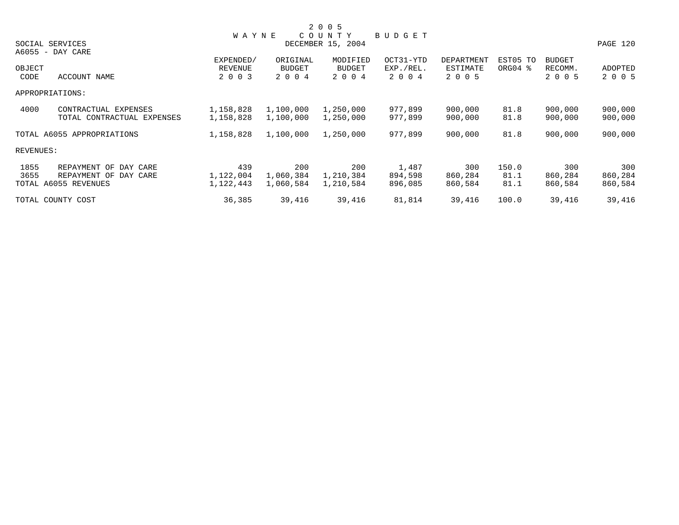|                            |                                                                                                                                                          |               |               |                                        |            |          |               | PAGE 120 |
|----------------------------|----------------------------------------------------------------------------------------------------------------------------------------------------------|---------------|---------------|----------------------------------------|------------|----------|---------------|----------|
|                            |                                                                                                                                                          |               |               |                                        |            |          |               |          |
|                            | EXPENDED/                                                                                                                                                | ORIGINAL      | MODIFIED      | OCT31-YTD                              | DEPARTMENT | EST05 TO | <b>BUDGET</b> |          |
|                            | REVENUE                                                                                                                                                  | <b>BUDGET</b> | <b>BUDGET</b> | EXP./REL.                              | ESTIMATE   | ORG04 %  | RECOMM.       | ADOPTED  |
| ACCOUNT NAME               | 2 0 0 3                                                                                                                                                  | 2 0 0 4       | 2 0 0 4       | 2 0 0 4                                | 2 0 0 5    |          | 2 0 0 5       | 2 0 0 5  |
|                            |                                                                                                                                                          |               |               |                                        |            |          |               |          |
| CONTRACTUAL EXPENSES       | 1,158,828                                                                                                                                                | 1,100,000     | 1,250,000     | 977,899                                | 900,000    | 81.8     | 900,000       | 900,000  |
| TOTAL CONTRACTUAL EXPENSES | 1,158,828                                                                                                                                                | 1,100,000     | 1,250,000     | 977,899                                | 900,000    | 81.8     | 900,000       | 900,000  |
|                            | 1,158,828                                                                                                                                                | 1,100,000     | 1,250,000     | 977,899                                | 900,000    | 81.8     | 900,000       | 900,000  |
|                            |                                                                                                                                                          |               |               |                                        |            |          |               |          |
| REPAYMENT OF DAY CARE      | 439                                                                                                                                                      | 200           | 200           | 1,487                                  | 300        | 150.0    | 300           | 300      |
| REPAYMENT OF DAY CARE      | 1,122,004                                                                                                                                                | 1,060,384     | 1,210,384     | 894,598                                | 860,284    | 81.1     | 860,284       | 860,284  |
|                            | 1,122,443                                                                                                                                                | 1,060,584     | 1,210,584     | 896,085                                | 860,584    | 81.1     | 860,584       | 860,584  |
|                            | 36,385                                                                                                                                                   | 39,416        | 39,416        | 81,814                                 | 39,416     | 100.0    | 39,416        | 39,416   |
|                            | SOCIAL SERVICES<br>A6055 - DAY CARE<br>OBJECT<br>APPROPRIATIONS:<br>TOTAL A6055 APPROPRIATIONS<br>REVENUES:<br>TOTAL A6055 REVENUES<br>TOTAL COUNTY COST |               | <b>WAYNE</b>  | 2 0 0 5<br>COUNTY<br>DECEMBER 15, 2004 | BUDGET     |          |               |          |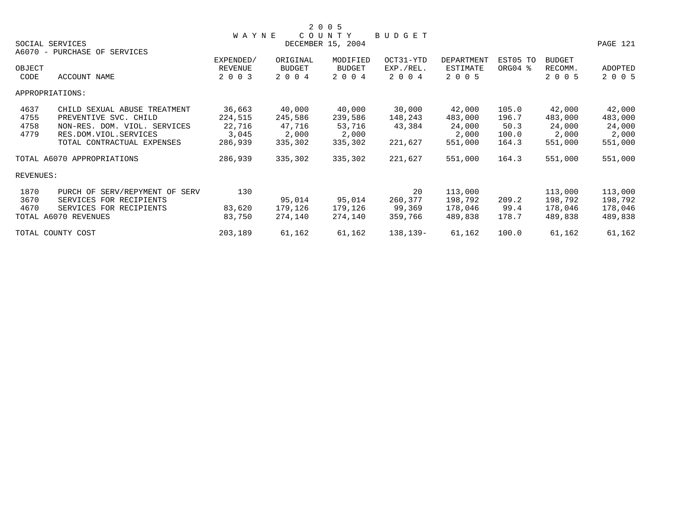|           |                                |              |               | 2 0 0 5           |           |            |          |               |          |
|-----------|--------------------------------|--------------|---------------|-------------------|-----------|------------|----------|---------------|----------|
|           |                                | <b>WAYNE</b> |               | COUNTY            | BUDGET    |            |          |               |          |
|           | SOCIAL SERVICES                |              |               | DECEMBER 15, 2004 |           |            |          |               | PAGE 121 |
|           | A6070 - PURCHASE OF SERVICES   |              |               |                   |           |            |          |               |          |
|           |                                | EXPENDED/    | ORIGINAL      | MODIFIED          | OCT31-YTD | DEPARTMENT | EST05 TO | <b>BUDGET</b> |          |
| OBJECT    |                                | REVENUE      | <b>BUDGET</b> | BUDGET            | EXP./REL. | ESTIMATE   | ORG04 %  | RECOMM.       | ADOPTED  |
| CODE      | ACCOUNT NAME                   | 2 0 0 3      | 2 0 0 4       | 2 0 0 4           | 2 0 0 4   | 2 0 0 5    |          | 2 0 0 5       | 2 0 0 5  |
|           | APPROPRIATIONS:                |              |               |                   |           |            |          |               |          |
| 4637      | CHILD SEXUAL ABUSE TREATMENT   | 36,663       | 40,000        | 40,000            | 30,000    | 42,000     | 105.0    | 42,000        | 42,000   |
| 4755      | PREVENTIVE SVC. CHILD          | 224,515      | 245,586       | 239,586           | 148,243   | 483,000    | 196.7    | 483,000       | 483,000  |
| 4758      | NON-RES. DOM. VIOL. SERVICES   | 22,716       | 47,716        | 53,716            | 43,384    | 24,000     | 50.3     | 24,000        | 24,000   |
| 4779      | RES.DOM.VIOL.SERVICES          | 3,045        | 2,000         | 2,000             |           | 2,000      | 100.0    | 2,000         | 2,000    |
|           | TOTAL CONTRACTUAL EXPENSES     | 286,939      | 335,302       | 335,302           | 221,627   | 551,000    | 164.3    | 551,000       | 551,000  |
|           | TOTAL A6070 APPROPRIATIONS     | 286,939      | 335,302       | 335,302           | 221,627   | 551,000    | 164.3    | 551,000       | 551,000  |
| REVENUES: |                                |              |               |                   |           |            |          |               |          |
| 1870      | PURCH OF SERV/REPYMENT OF SERV | 130          |               |                   | 20        | 113,000    |          | 113,000       | 113,000  |
| 3670      | SERVICES FOR RECIPIENTS        |              | 95,014        | 95,014            | 260,377   | 198,792    | 209.2    | 198,792       | 198,792  |
| 4670      | SERVICES FOR RECIPIENTS        | 83,620       | 179,126       | 179,126           | 99,369    | 178,046    | 99.4     | 178,046       | 178,046  |
|           | TOTAL A6070 REVENUES           | 83,750       | 274,140       | 274,140           | 359,766   | 489,838    | 178.7    | 489,838       | 489,838  |
|           | TOTAL COUNTY COST              | 203,189      | 61,162        | 61,162            | 138,139-  | 61,162     | 100.0    | 61,162        | 61,162   |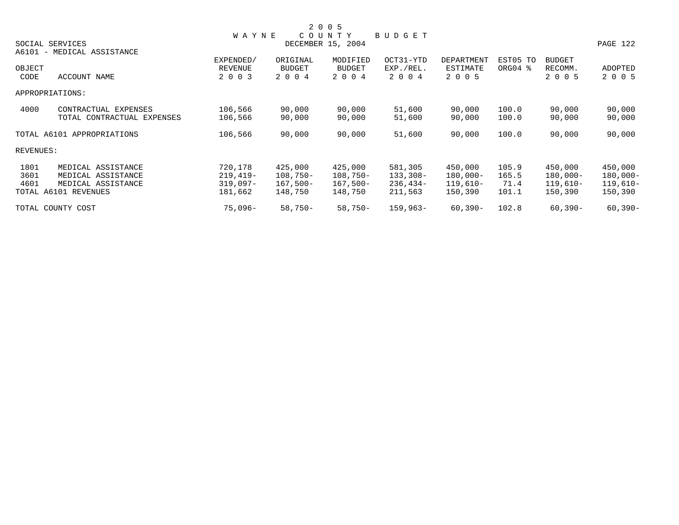|           |                            |              |               | 2 0 0 5           |               |             |          |               |             |
|-----------|----------------------------|--------------|---------------|-------------------|---------------|-------------|----------|---------------|-------------|
|           |                            | <b>WAYNE</b> |               | COUNTY            | <b>BUDGET</b> |             |          |               |             |
|           | SOCIAL SERVICES            |              |               | DECEMBER 15, 2004 |               |             |          |               | PAGE 122    |
|           | A6101 - MEDICAL ASSISTANCE |              |               |                   |               |             |          |               |             |
|           |                            | EXPENDED/    | ORIGINAL      | MODIFIED          | OCT31-YTD     | DEPARTMENT  | EST05 TO | <b>BUDGET</b> |             |
| OBJECT    |                            | REVENUE      | <b>BUDGET</b> | <b>BUDGET</b>     | EXP./REL.     | ESTIMATE    | ORG04 %  | RECOMM.       | ADOPTED     |
| CODE      | ACCOUNT NAME               | 2 0 0 3      | 2 0 0 4       | 2 0 0 4           | 2 0 0 4       | 2 0 0 5     |          | 2 0 0 5       | 2 0 0 5     |
|           | APPROPRIATIONS:            |              |               |                   |               |             |          |               |             |
| 4000      | CONTRACTUAL EXPENSES       | 106,566      | 90,000        | 90,000            | 51,600        | 90,000      | 100.0    | 90,000        | 90,000      |
|           | TOTAL CONTRACTUAL EXPENSES | 106,566      | 90,000        | 90,000            | 51,600        | 90,000      | 100.0    | 90,000        | 90,000      |
|           | TOTAL A6101 APPROPRIATIONS | 106,566      | 90,000        | 90,000            | 51,600        | 90,000      | 100.0    | 90,000        | 90,000      |
| REVENUES: |                            |              |               |                   |               |             |          |               |             |
| 1801      | MEDICAL ASSISTANCE         | 720,178      | 425,000       | 425,000           | 581,305       | 450,000     | 105.9    | 450,000       | 450,000     |
| 3601      | MEDICAL ASSISTANCE         | $219,419-$   | $108,750-$    | $108,750-$        | 133,308-      | $180,000-$  | 165.5    | $180,000 -$   | $180,000 -$ |
| 4601      | MEDICAL ASSISTANCE         | $319,097-$   | $167,500-$    | $167,500-$        | 236,434–      | $119,610-$  | 71.4     | $119,610-$    | $119,610-$  |
|           | TOTAL A6101 REVENUES       | 181,662      | 148,750       | 148,750           | 211,563       | 150,390     | 101.1    | 150,390       | 150,390     |
|           | TOTAL COUNTY COST          | 75,096-      | $58,750-$     | $58,750-$         | $159,963-$    | $60, 390 -$ | 102.8    | $60, 390 -$   | $60, 390 -$ |
|           |                            |              |               |                   |               |             |          |               |             |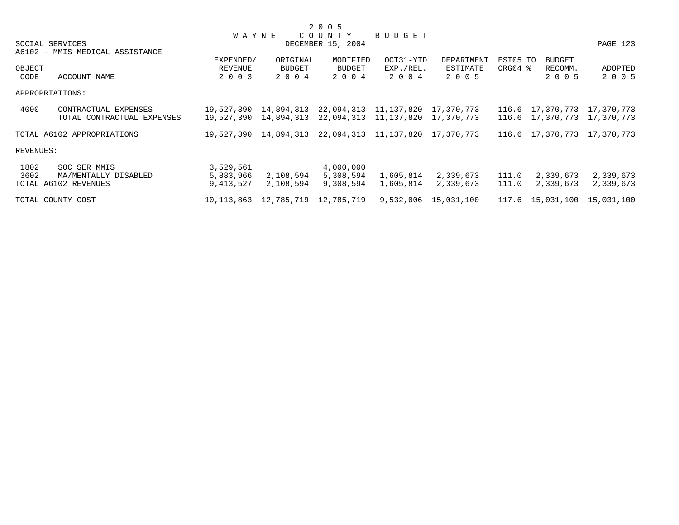|           |                                 |              |                                             | 2 0 0 5               |           |            |          |                             |            |
|-----------|---------------------------------|--------------|---------------------------------------------|-----------------------|-----------|------------|----------|-----------------------------|------------|
|           |                                 | <b>WAYNE</b> |                                             | COUNTY                | BUDGET    |            |          |                             |            |
|           | SOCIAL SERVICES                 |              |                                             | DECEMBER 15, 2004     |           |            |          |                             | PAGE 123   |
|           | A6102 - MMIS MEDICAL ASSISTANCE |              |                                             |                       |           |            |          |                             |            |
|           |                                 | EXPENDED/    | ORIGINAL                                    | MODIFIED              | OCT31-YTD | DEPARTMENT | EST05 TO | <b>BUDGET</b>               |            |
| OBJECT    |                                 | REVENUE      | BUDGET                                      | BUDGET                | EXP./REL. | ESTIMATE   | ORG04 %  | RECOMM.                     | ADOPTED    |
| CODE      | ACCOUNT NAME                    | 2 0 0 3      | 2 0 0 4                                     | 2 0 0 4               | 2 0 0 4   | 2 0 0 5    |          | 2 0 0 5                     | 2 0 0 5    |
|           | APPROPRIATIONS:                 |              |                                             |                       |           |            |          |                             |            |
| 4000      | CONTRACTUAL EXPENSES            | 19,527,390   | 14,894,313 22,094,313 11,137,820            |                       |           | 17,370,773 |          | 116.6 17,370,773            | 17,370,773 |
|           | TOTAL CONTRACTUAL EXPENSES      |              | 19,527,390 14,894,313                       | 22,094,313 11,137,820 |           | 17,370,773 |          | 116.6 17,370,773 17,370,773 |            |
|           | TOTAL A6102 APPROPRIATIONS      |              | 19,527,390 14,894,313 22,094,313 11,137,820 |                       |           | 17,370,773 |          | 116.6 17,370,773 17,370,773 |            |
| REVENUES: |                                 |              |                                             |                       |           |            |          |                             |            |
| 1802      | SOC SER MMIS                    | 3,529,561    |                                             | 4,000,000             |           |            |          |                             |            |
| 3602      | MA/MENTALLY DISABLED            | 5,883,966    | 2,108,594                                   | 5,308,594             | 1,605,814 | 2,339,673  | 111.0    | 2,339,673                   | 2,339,673  |
|           | TOTAL A6102 REVENUES            | 9,413,527    | 2,108,594                                   | 9,308,594             | 1,605,814 | 2,339,673  | 111.0    | 2,339,673                   | 2,339,673  |
|           | TOTAL COUNTY COST               | 10,113,863   | 12,785,719 12,785,719                       |                       | 9,532,006 | 15,031,100 |          | 117.6 15,031,100            | 15,031,100 |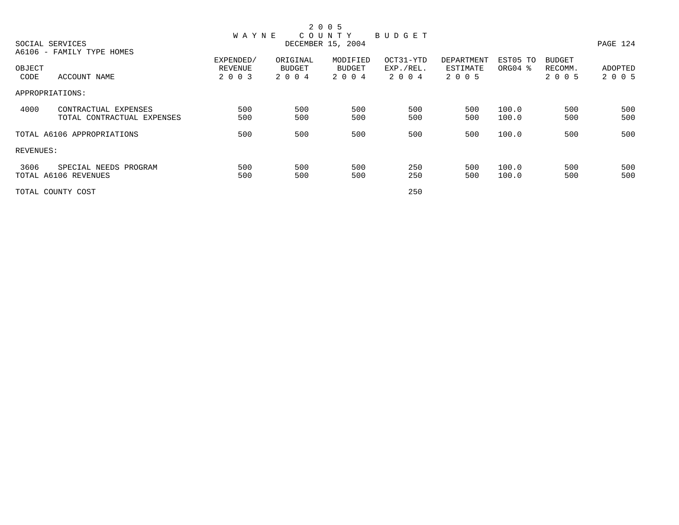|           |                            |              |          | 2 0 0 5           |               |            |                     |               |          |
|-----------|----------------------------|--------------|----------|-------------------|---------------|------------|---------------------|---------------|----------|
|           |                            | <b>WAYNE</b> |          | COUNTY            | <b>BUDGET</b> |            |                     |               |          |
|           | SOCIAL SERVICES            |              |          | DECEMBER 15, 2004 |               |            |                     |               | PAGE 124 |
|           | A6106 - FAMILY TYPE HOMES  |              |          |                   |               |            |                     |               |          |
|           |                            | EXPENDED/    | ORIGINAL | MODIFIED          | OCT31-YTD     | DEPARTMENT | EST05 TO            | <b>BUDGET</b> |          |
| OBJECT    |                            | REVENUE      | BUDGET   | BUDGET            | EXP./REL.     | ESTIMATE   | ORG04 $\frac{8}{3}$ | RECOMM.       | ADOPTED  |
| CODE      | ACCOUNT NAME               | 2 0 0 3      | 2 0 0 4  | 2 0 0 4           | 2004          | 2 0 0 5    |                     | 2 0 0 5       | 2 0 0 5  |
|           | APPROPRIATIONS:            |              |          |                   |               |            |                     |               |          |
| 4000      | CONTRACTUAL EXPENSES       | 500          | 500      | 500               | 500           | 500        | 100.0               | 500           | 500      |
|           | TOTAL CONTRACTUAL EXPENSES | 500          | 500      | 500               | 500           | 500        | 100.0               | 500           | 500      |
|           | TOTAL A6106 APPROPRIATIONS | 500          | 500      | 500               | 500           | 500        | 100.0               | 500           | 500      |
| REVENUES: |                            |              |          |                   |               |            |                     |               |          |
| 3606      | SPECIAL NEEDS PROGRAM      | 500          | 500      | 500               | 250           | 500        | 100.0               | 500           | 500      |
|           | TOTAL A6106 REVENUES       | 500          | 500      | 500               | 250           | 500        | 100.0               | 500           | 500      |
|           | TOTAL COUNTY COST          |              |          |                   | 250           |            |                     |               |          |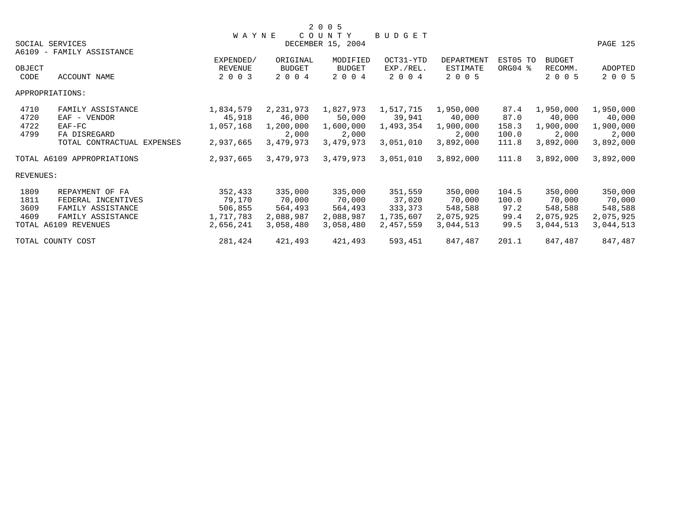|           |                            |              |               | 2 0 0 5           |           |                 |          |               |           |
|-----------|----------------------------|--------------|---------------|-------------------|-----------|-----------------|----------|---------------|-----------|
|           |                            | <b>WAYNE</b> |               | COUNTY            | BUDGET    |                 |          |               |           |
|           | SOCIAL SERVICES            |              |               | DECEMBER 15, 2004 |           |                 |          |               | PAGE 125  |
|           | A6109 - FAMILY ASSISTANCE  |              |               |                   |           |                 |          |               |           |
|           |                            | EXPENDED/    | ORIGINAL      | MODIFIED          | OCT31-YTD | DEPARTMENT      | EST05 TO | <b>BUDGET</b> |           |
| OBJECT    |                            | REVENUE      | <b>BUDGET</b> | <b>BUDGET</b>     | EXP./REL. | <b>ESTIMATE</b> | ORG04 %  | RECOMM.       | ADOPTED   |
| CODE      | ACCOUNT NAME               | 2 0 0 3      | 2 0 0 4       | 2 0 0 4           | 2 0 0 4   | 2 0 0 5         |          | 2 0 0 5       | 2 0 0 5   |
|           | APPROPRIATIONS:            |              |               |                   |           |                 |          |               |           |
| 4710      | FAMILY ASSISTANCE          | 1,834,579    | 2,231,973     | 1,827,973         | 1,517,715 | 1,950,000       | 87.4     | 1,950,000     | 1,950,000 |
| 4720      | EAF - VENDOR               | 45,918       | 46,000        | 50,000            | 39,941    | 40,000          | 87.0     | 40,000        | 40,000    |
| 4722      | $EAF-FC$                   | 1,057,168    | 1,200,000     | 1,600,000         | 1,493,354 | 1,900,000       | 158.3    | 1,900,000     | 1,900,000 |
| 4799      | FA DISREGARD               |              | 2,000         | 2,000             |           | 2,000           | 100.0    | 2,000         | 2,000     |
|           | TOTAL CONTRACTUAL EXPENSES | 2,937,665    | 3,479,973     | 3,479,973         | 3,051,010 | 3,892,000       | 111.8    | 3,892,000     | 3,892,000 |
|           | TOTAL A6109 APPROPRIATIONS | 2,937,665    | 3,479,973     | 3,479,973         | 3,051,010 | 3,892,000       | 111.8    | 3,892,000     | 3,892,000 |
| REVENUES: |                            |              |               |                   |           |                 |          |               |           |
| 1809      | REPAYMENT OF FA            | 352,433      | 335,000       | 335,000           | 351,559   | 350,000         | 104.5    | 350,000       | 350,000   |
| 1811      | FEDERAL INCENTIVES         | 79,170       | 70,000        | 70,000            | 37,020    | 70,000          | 100.0    | 70,000        | 70,000    |
| 3609      | FAMILY ASSISTANCE          | 506,855      | 564,493       | 564,493           | 333,373   | 548,588         | 97.2     | 548,588       | 548,588   |
| 4609      | FAMILY ASSISTANCE          | 1,717,783    | 2,088,987     | 2,088,987         | 1,735,607 | 2,075,925       | 99.4     | 2,075,925     | 2,075,925 |
|           | TOTAL A6109 REVENUES       | 2,656,241    | 3,058,480     | 3,058,480         | 2,457,559 | 3,044,513       | 99.5     | 3,044,513     | 3,044,513 |
|           | TOTAL COUNTY COST          | 281,424      | 421,493       | 421,493           | 593,451   | 847,487         | 201.1    | 847,487       | 847,487   |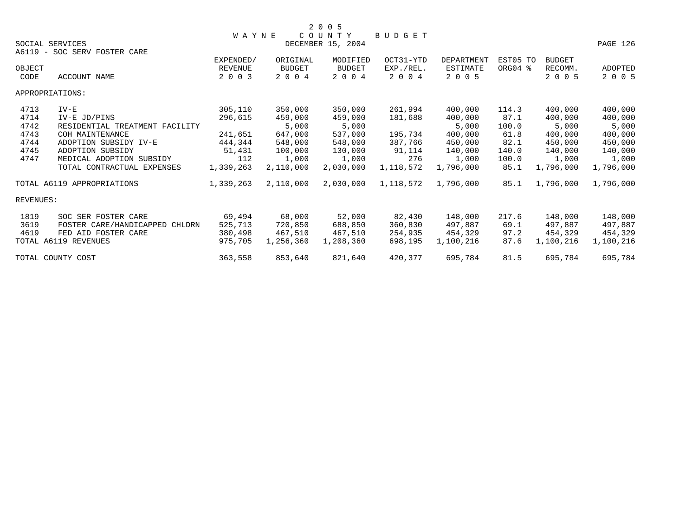|                  |                                | <b>WAYNE</b> |               | COUNTY            | <b>BUDGET</b> |                 |          |               |                |
|------------------|--------------------------------|--------------|---------------|-------------------|---------------|-----------------|----------|---------------|----------------|
|                  | SOCIAL SERVICES                |              |               | DECEMBER 15, 2004 |               |                 |          |               | PAGE 126       |
|                  | A6119 - SOC SERV FOSTER CARE   |              |               |                   |               |                 |          |               |                |
|                  |                                | EXPENDED/    | ORIGINAL      | MODIFIED          | OCT31-YTD     | DEPARTMENT      | EST05 TO | <b>BUDGET</b> |                |
| OBJECT           |                                | REVENUE      | <b>BUDGET</b> | <b>BUDGET</b>     | EXP./REL.     | <b>ESTIMATE</b> | ORG04 %  | RECOMM.       | <b>ADOPTED</b> |
| CODE             | ACCOUNT NAME                   | 2 0 0 3      | 2 0 0 4       | 2 0 0 4           | 2 0 0 4       | 2 0 0 5         |          | 2 0 0 5       | 2 0 0 5        |
|                  | APPROPRIATIONS:                |              |               |                   |               |                 |          |               |                |
| 4713             | $IV-E$                         | 305,110      | 350,000       | 350,000           | 261,994       | 400,000         | 114.3    | 400,000       | 400,000        |
| 4714             | IV-E JD/PINS                   | 296,615      | 459,000       | 459,000           | 181,688       | 400,000         | 87.1     | 400,000       | 400,000        |
| 4742             | RESIDENTIAL TREATMENT FACILITY |              | 5,000         | 5,000             |               | 5,000           | 100.0    | 5,000         | 5,000          |
| 4743             | COH MAINTENANCE                | 241,651      | 647,000       | 537,000           | 195,734       | 400,000         | 61.8     | 400,000       | 400,000        |
| 4744             | ADOPTION SUBSIDY IV-E          | 444,344      | 548,000       | 548,000           | 387,766       | 450,000         | 82.1     | 450,000       | 450,000        |
| 4745             | ADOPTION SUBSIDY               | 51,431       | 100,000       | 130,000           | 91,114        | 140,000         | 140.0    | 140,000       | 140,000        |
| 4747             | MEDICAL ADOPTION SUBSIDY       | 112          | 1,000         | 1,000             | 276           | 1,000           | 100.0    | 1,000         | 1,000          |
|                  | TOTAL CONTRACTUAL EXPENSES     | 1,339,263    | 2,110,000     | 2,030,000         | 1,118,572     | 1,796,000       | 85.1     | 1,796,000     | 1,796,000      |
|                  | TOTAL A6119 APPROPRIATIONS     | 1,339,263    | 2,110,000     | 2,030,000         | 1,118,572     | 1,796,000       | 85.1     | 1,796,000     | 1,796,000      |
| <b>REVENUES:</b> |                                |              |               |                   |               |                 |          |               |                |
| 1819             | SOC SER FOSTER CARE            | 69,494       | 68,000        | 52,000            | 82,430        | 148,000         | 217.6    | 148,000       | 148,000        |
| 3619             | FOSTER CARE/HANDICAPPED CHLDRN | 525,713      | 720,850       | 688,850           | 360,830       | 497,887         | 69.1     | 497,887       | 497,887        |
| 4619             | FED AID FOSTER CARE            | 380,498      | 467,510       | 467,510           | 254,935       | 454,329         | 97.2     | 454,329       | 454,329        |
|                  | TOTAL A6119 REVENUES           | 975,705      | 1,256,360     | 1,208,360         | 698,195       | 1,100,216       | 87.6     | 1,100,216     | 1,100,216      |
|                  | TOTAL COUNTY COST              | 363,558      | 853,640       | 821,640           | 420,377       | 695,784         | 81.5     | 695,784       | 695,784        |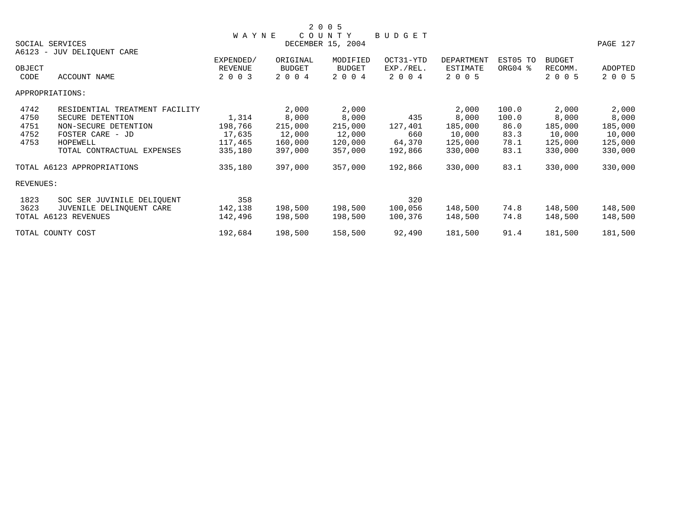|                |                                |                    |                          | 2 0 0 5                  |                      |                               |          |                    |          |
|----------------|--------------------------------|--------------------|--------------------------|--------------------------|----------------------|-------------------------------|----------|--------------------|----------|
|                |                                | <b>WAYNE</b>       |                          | COUNTY                   | BUDGET               |                               |          |                    |          |
|                | SOCIAL SERVICES                |                    |                          | DECEMBER 15, 2004        |                      |                               |          |                    | PAGE 127 |
|                | A6123 - JUV DELIQUENT CARE     |                    |                          |                          |                      |                               |          |                    |          |
|                |                                | EXPENDED/          | ORIGINAL                 | MODIFIED                 | OCT31-YTD            | <b>DEPARTMENT</b><br>ESTIMATE | EST05 TO | <b>BUDGET</b>      | ADOPTED  |
| OBJECT<br>CODE | ACCOUNT NAME                   | REVENUE<br>2 0 0 3 | <b>BUDGET</b><br>2 0 0 4 | <b>BUDGET</b><br>2 0 0 4 | EXP./REL.<br>2 0 0 4 | 2 0 0 5                       | ORG04 %  | RECOMM.<br>2 0 0 5 | 2 0 0 5  |
|                |                                |                    |                          |                          |                      |                               |          |                    |          |
|                | APPROPRIATIONS:                |                    |                          |                          |                      |                               |          |                    |          |
| 4742           | RESIDENTIAL TREATMENT FACILITY |                    | 2,000                    | 2,000                    |                      | 2,000                         | 100.0    | 2,000              | 2,000    |
| 4750           | SECURE DETENTION               | 1,314              | 8,000                    | 8,000                    | 435                  | 8,000                         | 100.0    | 8,000              | 8,000    |
| 4751           | NON-SECURE DETENTION           | 198,766            | 215,000                  | 215,000                  | 127,401              | 185,000                       | 86.0     | 185,000            | 185,000  |
| 4752           | FOSTER CARE - JD               | 17,635             | 12,000                   | 12,000                   | 660                  | 10,000                        | 83.3     | 10,000             | 10,000   |
| 4753           | HOPEWELL                       | 117,465            | 160,000                  | 120,000                  | 64,370               | 125,000                       | 78.1     | 125,000            | 125,000  |
|                | TOTAL CONTRACTUAL EXPENSES     | 335,180            | 397,000                  | 357,000                  | 192,866              | 330,000                       | 83.1     | 330,000            | 330,000  |
|                | TOTAL A6123 APPROPRIATIONS     | 335,180            | 397,000                  | 357,000                  | 192,866              | 330,000                       | 83.1     | 330,000            | 330,000  |
| REVENUES:      |                                |                    |                          |                          |                      |                               |          |                    |          |
| 1823           | SOC SER JUVINILE DELIQUENT     | 358                |                          |                          | 320                  |                               |          |                    |          |
| 3623           | JUVENILE DELINQUENT CARE       | 142,138            | 198,500                  | 198,500                  | 100,056              | 148,500                       | 74.8     | 148,500            | 148,500  |
|                | TOTAL A6123 REVENUES           | 142,496            | 198,500                  | 198,500                  | 100,376              | 148,500                       | 74.8     | 148,500            | 148,500  |
|                | TOTAL COUNTY COST              | 192,684            | 198,500                  | 158,500                  | 92,490               | 181,500                       | 91.4     | 181,500            | 181,500  |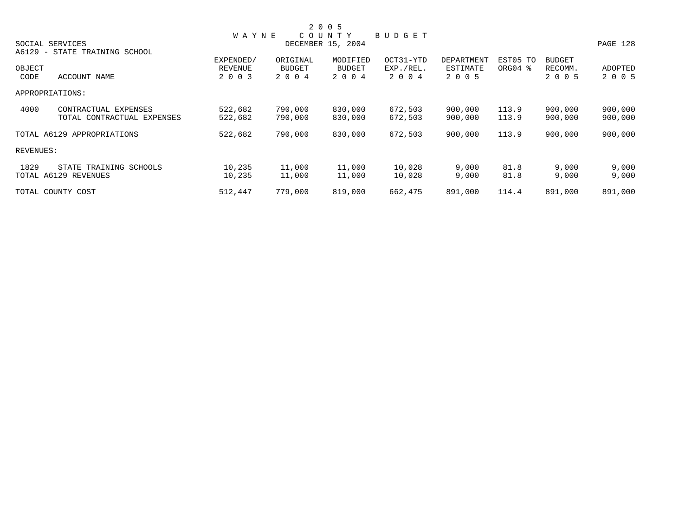|           |                                                   |              |               | 2 0 0 5           |               |            |          |               |          |
|-----------|---------------------------------------------------|--------------|---------------|-------------------|---------------|------------|----------|---------------|----------|
|           |                                                   | <b>WAYNE</b> |               | COUNTY            | <b>BUDGET</b> |            |          |               |          |
|           | SOCIAL SERVICES                                   |              |               | DECEMBER 15, 2004 |               |            |          |               | PAGE 128 |
| A6129     | STATE TRAINING SCHOOL<br>$\overline{\phantom{0}}$ |              |               |                   |               |            |          |               |          |
|           |                                                   | EXPENDED/    | ORIGINAL      | MODIFIED          | OCT31-YTD     | DEPARTMENT | EST05 TO | <b>BUDGET</b> |          |
| OBJECT    |                                                   | REVENUE      | <b>BUDGET</b> | <b>BUDGET</b>     | EXP./REL.     | ESTIMATE   | ORG04 %  | RECOMM.       | ADOPTED  |
| CODE      | ACCOUNT NAME                                      | 2 0 0 3      | 2 0 0 4       | 2 0 0 4           | 2004          | 2 0 0 5    |          | 2 0 0 5       | 2 0 0 5  |
|           | APPROPRIATIONS:                                   |              |               |                   |               |            |          |               |          |
| 4000      | CONTRACTUAL EXPENSES                              | 522,682      | 790,000       | 830,000           | 672,503       | 900,000    | 113.9    | 900,000       | 900,000  |
|           | TOTAL CONTRACTUAL EXPENSES                        | 522,682      | 790,000       | 830,000           | 672,503       | 900,000    | 113.9    | 900,000       | 900,000  |
|           | TOTAL A6129 APPROPRIATIONS                        | 522,682      | 790,000       | 830,000           | 672,503       | 900,000    | 113.9    | 900,000       | 900,000  |
| REVENUES: |                                                   |              |               |                   |               |            |          |               |          |
| 1829      | STATE TRAINING SCHOOLS                            | 10,235       | 11,000        | 11,000            | 10,028        | 9,000      | 81.8     | 9,000         | 9,000    |
|           | TOTAL A6129 REVENUES                              | 10,235       | 11,000        | 11,000            | 10,028        | 9,000      | 81.8     | 9,000         | 9,000    |
|           | TOTAL COUNTY COST                                 | 512,447      | 779,000       | 819,000           | 662,475       | 891,000    | 114.4    | 891,000       | 891,000  |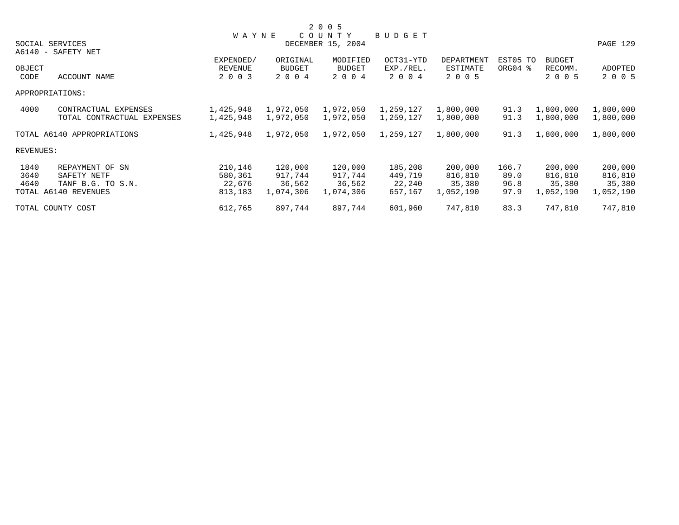|           |                            |              |           | 2 0 0 5           |           |            |          |               |           |
|-----------|----------------------------|--------------|-----------|-------------------|-----------|------------|----------|---------------|-----------|
|           |                            | <b>WAYNE</b> |           | COUNTY            | BUDGET    |            |          |               |           |
|           | SOCIAL SERVICES            |              |           | DECEMBER 15, 2004 |           |            |          |               | PAGE 129  |
|           | A6140 - SAFETY NET         |              |           |                   |           |            |          |               |           |
|           |                            | EXPENDED/    | ORIGINAL  | MODIFIED          | OCT31-YTD | DEPARTMENT | EST05 TO | <b>BUDGET</b> |           |
| OBJECT    |                            | REVENUE      | BUDGET    | <b>BUDGET</b>     | EXP./REL. | ESTIMATE   | ORG04 %  | RECOMM.       | ADOPTED   |
| CODE      | ACCOUNT NAME               | 2 0 0 3      | 2 0 0 4   | 2 0 0 4           | 2 0 0 4   | 2 0 0 5    |          | 2 0 0 5       | 2 0 0 5   |
|           | APPROPRIATIONS:            |              |           |                   |           |            |          |               |           |
| 4000      | CONTRACTUAL EXPENSES       | 1,425,948    | 1,972,050 | 1,972,050         | 1,259,127 | 1,800,000  | 91.3     | 1,800,000     | 1,800,000 |
|           | TOTAL CONTRACTUAL EXPENSES | 1,425,948    | 1,972,050 | 1,972,050         | 1,259,127 | 1,800,000  | 91.3     | 1,800,000     | 1,800,000 |
|           | TOTAL A6140 APPROPRIATIONS | 1,425,948    | 1,972,050 | 1,972,050         | 1,259,127 | 1,800,000  | 91.3     | 1,800,000     | 1,800,000 |
| REVENUES: |                            |              |           |                   |           |            |          |               |           |
| 1840      | REPAYMENT OF SN            | 210,146      | 120,000   | 120,000           | 185,208   | 200,000    | 166.7    | 200,000       | 200,000   |
| 3640      | SAFETY NETF                | 580,361      | 917,744   | 917,744           | 449,719   | 816,810    | 89.0     | 816,810       | 816,810   |
| 4640      | TANF B.G. TO S.N.          | 22,676       | 36,562    | 36,562            | 22,240    | 35,380     | 96.8     | 35,380        | 35,380    |
|           | TOTAL A6140 REVENUES       | 813,183      | 1,074,306 | 1,074,306         | 657,167   | 1,052,190  | 97.9     | 1,052,190     | 1,052,190 |
|           | TOTAL COUNTY COST          | 612,765      | 897,744   | 897,744           | 601,960   | 747,810    | 83.3     | 747,810       | 747,810   |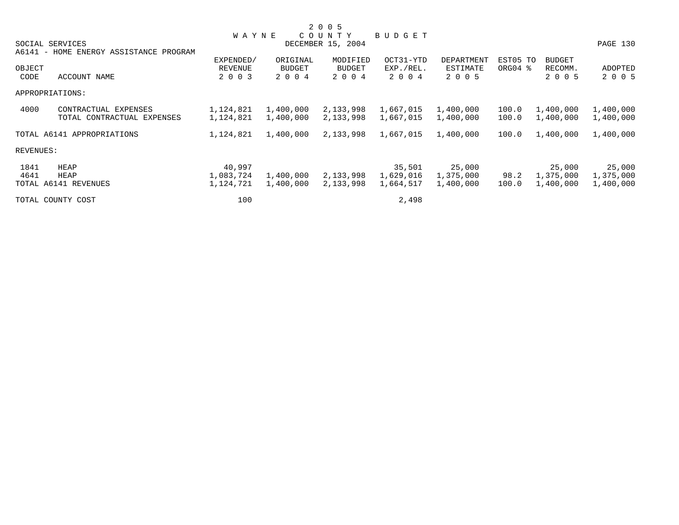|           |                                        |              |               | 2 0 0 5           |               |            |                     |               |           |
|-----------|----------------------------------------|--------------|---------------|-------------------|---------------|------------|---------------------|---------------|-----------|
|           |                                        | <b>WAYNE</b> |               | COUNTY            | <b>BUDGET</b> |            |                     |               |           |
|           | SOCIAL SERVICES                        |              |               | DECEMBER 15, 2004 |               |            |                     |               | PAGE 130  |
|           | A6141 - HOME ENERGY ASSISTANCE PROGRAM |              |               |                   |               |            |                     |               |           |
|           |                                        | EXPENDED/    | ORIGINAL      | MODIFIED          | OCT31-YTD     | DEPARTMENT | EST05 TO            | <b>BUDGET</b> |           |
| OBJECT    |                                        | REVENUE      | <b>BUDGET</b> | <b>BUDGET</b>     | EXP./REL.     | ESTIMATE   | ORG04 $\frac{8}{3}$ | RECOMM.       | ADOPTED   |
| CODE      | ACCOUNT NAME                           | 2 0 0 3      | 2 0 0 4       | 2 0 0 4           | 2004          | 2 0 0 5    |                     | 2 0 0 5       | 2 0 0 5   |
|           | APPROPRIATIONS:                        |              |               |                   |               |            |                     |               |           |
| 4000      | CONTRACTUAL EXPENSES                   | 1,124,821    | 1,400,000     | 2,133,998         | 1,667,015     | 1,400,000  | 100.0               | 1,400,000     | 1,400,000 |
|           | TOTAL CONTRACTUAL EXPENSES             | 1,124,821    | 1,400,000     | 2,133,998         | 1,667,015     | 1,400,000  | 100.0               | 1,400,000     | 1,400,000 |
|           | TOTAL A6141 APPROPRIATIONS             | 1,124,821    | 1,400,000     | 2,133,998         | 1,667,015     | 1,400,000  | 100.0               | 1,400,000     | 1,400,000 |
| REVENUES: |                                        |              |               |                   |               |            |                     |               |           |
| 1841      | HEAP                                   | 40,997       |               |                   | 35,501        | 25,000     |                     | 25,000        | 25,000    |
| 4641      | HEAP                                   | 1,083,724    | 1,400,000     | 2,133,998         | 1,629,016     | 1,375,000  | 98.2                | 1,375,000     | 1,375,000 |
|           | TOTAL A6141 REVENUES                   | 1,124,721    | 1,400,000     | 2,133,998         | 1,664,517     | 1,400,000  | 100.0               | 1,400,000     | 1,400,000 |
|           | TOTAL COUNTY COST                      | 100          |               |                   | 2,498         |            |                     |               |           |
|           |                                        |              |               |                   |               |            |                     |               |           |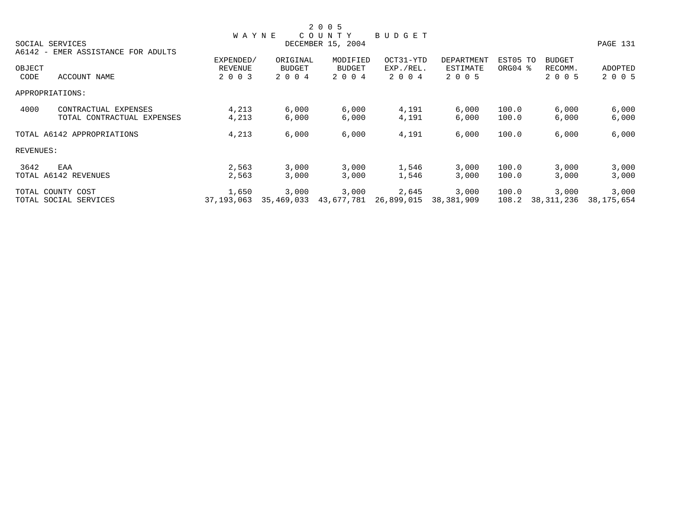|           |                                    |                |            | 2 0 0 5           |            |            |          |               |            |
|-----------|------------------------------------|----------------|------------|-------------------|------------|------------|----------|---------------|------------|
|           |                                    | <b>WAYNE</b>   |            | COUNTY            | BUDGET     |            |          |               |            |
|           | SOCIAL SERVICES                    |                |            | DECEMBER 15, 2004 |            |            |          |               | PAGE 131   |
|           | A6142 - EMER ASSISTANCE FOR ADULTS |                |            |                   |            |            |          |               |            |
|           |                                    | EXPENDED/      | ORIGINAL   | MODIFIED          | OCT31-YTD  | DEPARTMENT | EST05 TO | <b>BUDGET</b> |            |
| OBJECT    |                                    | <b>REVENUE</b> | BUDGET     | <b>BUDGET</b>     | EXP./REL.  | ESTIMATE   | ORG04 %  | RECOMM.       | ADOPTED    |
| CODE      | ACCOUNT NAME                       | 2 0 0 3        | 2 0 0 4    | 2 0 0 4           | 2 0 0 4    | 2 0 0 5    |          | 2 0 0 5       | 2 0 0 5    |
|           | APPROPRIATIONS:                    |                |            |                   |            |            |          |               |            |
| 4000      | CONTRACTUAL EXPENSES               | 4,213          | 6,000      | 6,000             | 4,191      | 6,000      | 100.0    | 6,000         | 6,000      |
|           | TOTAL CONTRACTUAL EXPENSES         | 4,213          | 6,000      | 6,000             | 4,191      | 6,000      | 100.0    | 6,000         | 6,000      |
|           | TOTAL A6142 APPROPRIATIONS         | 4,213          | 6,000      | 6,000             | 4,191      | 6,000      | 100.0    | 6,000         | 6,000      |
| REVENUES: |                                    |                |            |                   |            |            |          |               |            |
| 3642      | EAA                                | 2,563          | 3,000      | 3,000             | 1,546      | 3,000      | 100.0    | 3,000         | 3,000      |
|           | TOTAL A6142 REVENUES               | 2,563          | 3,000      | 3,000             | 1,546      | 3,000      | 100.0    | 3,000         | 3,000      |
|           | TOTAL COUNTY COST                  | 1,650          | 3,000      | 3,000             | 2,645      | 3,000      | 100.0    | 3,000         | 3,000      |
|           | TOTAL SOCIAL SERVICES              | 37, 193, 063   | 35,469,033 | 43,677,781        | 26,899,015 | 38,381,909 | 108.2    | 38,311,236    | 38,175,654 |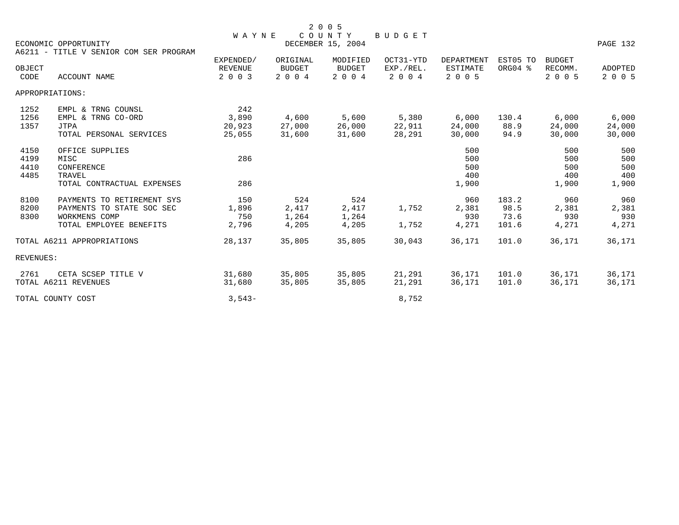|           |                                        | <b>WAYNE</b>   |               | COUNTY            | BUDGET    |                   |          |               |          |
|-----------|----------------------------------------|----------------|---------------|-------------------|-----------|-------------------|----------|---------------|----------|
|           | ECONOMIC OPPORTUNITY                   |                |               | DECEMBER 15, 2004 |           |                   |          |               | PAGE 132 |
|           | A6211 - TITLE V SENIOR COM SER PROGRAM |                |               |                   |           |                   |          |               |          |
|           |                                        | EXPENDED/      | ORIGINAL      | MODIFIED          | OCT31-YTD | <b>DEPARTMENT</b> | EST05 TO | <b>BUDGET</b> |          |
| OBJECT    |                                        | <b>REVENUE</b> | <b>BUDGET</b> | <b>BUDGET</b>     | EXP./REL. | <b>ESTIMATE</b>   | ORG04 %  | RECOMM.       | ADOPTED  |
| CODE      | ACCOUNT NAME                           | 2 0 0 3        | 2 0 0 4       | 2 0 0 4           | 2 0 0 4   | 2 0 0 5           |          | 2 0 0 5       | 2 0 0 5  |
|           | APPROPRIATIONS:                        |                |               |                   |           |                   |          |               |          |
| 1252      | EMPL & TRNG COUNSL                     | 242            |               |                   |           |                   |          |               |          |
| 1256      | EMPL & TRNG CO-ORD                     | 3,890          | 4,600         | 5,600             | 5,380     | 6,000             | 130.4    | 6,000         | 6,000    |
| 1357      | <b>JTPA</b>                            | 20,923         | 27,000        | 26,000            | 22,911    | 24,000            | 88.9     | 24,000        | 24,000   |
|           | TOTAL PERSONAL SERVICES                | 25,055         | 31,600        | 31,600            | 28,291    | 30,000            | 94.9     | 30,000        | 30,000   |
| 4150      | OFFICE SUPPLIES                        |                |               |                   |           | 500               |          | 500           | 500      |
| 4199      | MISC                                   | 286            |               |                   |           | 500               |          | 500           | 500      |
| 4410      | CONFERENCE                             |                |               |                   |           | 500               |          | 500           | 500      |
| 4485      | TRAVEL                                 |                |               |                   |           | 400               |          | 400           | 400      |
|           | TOTAL CONTRACTUAL EXPENSES             | 286            |               |                   |           | 1,900             |          | 1,900         | 1,900    |
| 8100      | PAYMENTS TO RETIREMENT SYS             | 150            | 524           | 524               |           | 960               | 183.2    | 960           | 960      |
| 8200      | PAYMENTS TO STATE SOC SEC              | 1,896          | 2,417         | 2,417             | 1,752     | 2,381             | 98.5     | 2,381         | 2,381    |
| 8300      | WORKMENS COMP                          | 750            | 1,264         | 1,264             |           | 930               | 73.6     | 930           | 930      |
|           | TOTAL EMPLOYEE BENEFITS                | 2,796          | 4,205         | 4,205             | 1,752     | 4,271             | 101.6    | 4,271         | 4,271    |
|           | TOTAL A6211 APPROPRIATIONS             | 28,137         | 35,805        | 35,805            | 30,043    | 36,171            | 101.0    | 36,171        | 36,171   |
| REVENUES: |                                        |                |               |                   |           |                   |          |               |          |
| 2761      | CETA SCSEP TITLE V                     | 31,680         | 35,805        | 35,805            | 21,291    | 36,171            | 101.0    | 36,171        | 36,171   |
|           | TOTAL A6211 REVENUES                   | 31,680         | 35,805        | 35,805            | 21,291    | 36,171            | 101.0    | 36,171        | 36,171   |
|           | TOTAL COUNTY COST                      | $3,543-$       |               |                   | 8,752     |                   |          |               |          |
|           |                                        |                |               |                   |           |                   |          |               |          |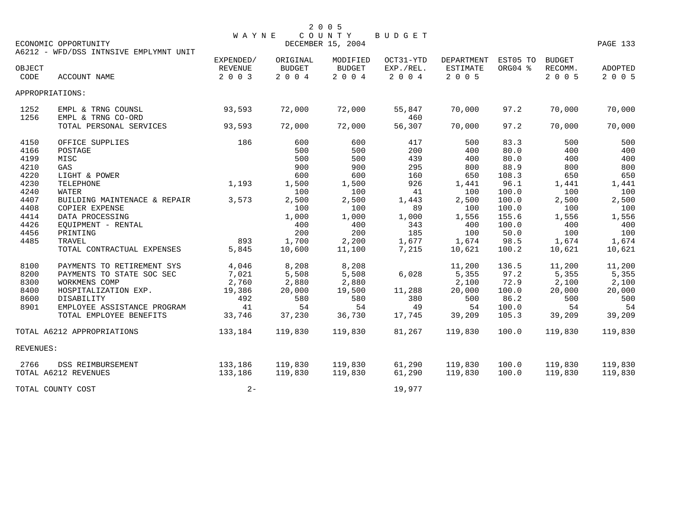|                                              | ECONOMIC OPPORTUNITY<br>A6212 - WFD/DSS INTNSIVE EMPLYMNT UNIT                                                                                                           | WAYNE                                                    |                                                          | 2 0 0 5<br>COUNTY<br>DECEMBER 15, 2004                   | BUDGET                                 |                                                           |                                                          |                                                           | PAGE 133                                                  |
|----------------------------------------------|--------------------------------------------------------------------------------------------------------------------------------------------------------------------------|----------------------------------------------------------|----------------------------------------------------------|----------------------------------------------------------|----------------------------------------|-----------------------------------------------------------|----------------------------------------------------------|-----------------------------------------------------------|-----------------------------------------------------------|
| OBJECT<br>CODE                               | ACCOUNT NAME                                                                                                                                                             | EXPENDED/<br>REVENUE<br>2 0 0 3                          | ORIGINAL<br><b>BUDGET</b><br>2 0 0 4                     | MODIFIED<br><b>BUDGET</b><br>2 0 0 4                     | OCT31-YTD<br>EXP./REL.<br>2 0 0 4      | DEPARTMENT<br>ESTIMATE<br>2 0 0 5                         | EST05 TO<br>ORG04 %                                      | BUDGET<br>RECOMM.<br>2 0 0 5                              | ADOPTED<br>2 0 0 5                                        |
| APPROPRIATIONS:                              |                                                                                                                                                                          |                                                          |                                                          |                                                          |                                        |                                                           |                                                          |                                                           |                                                           |
| 1252<br>1256                                 | EMPL & TRNG COUNSL<br>EMPL & TRNG CO-ORD                                                                                                                                 | 93,593                                                   | 72,000                                                   | 72,000                                                   | 55,847<br>460                          | 70,000                                                    | 97.2                                                     | 70,000                                                    | 70,000                                                    |
|                                              | TOTAL PERSONAL SERVICES                                                                                                                                                  | 93,593                                                   | 72,000                                                   | 72,000                                                   | 56,307                                 | 70,000                                                    | 97.2                                                     | 70,000                                                    | 70,000                                                    |
| 4150<br>4166<br>4199<br>4210                 | OFFICE SUPPLIES<br>POSTAGE<br>MISC<br>GAS                                                                                                                                | 186                                                      | 600<br>500<br>500<br>900                                 | 600<br>500<br>500<br>900                                 | 417<br>200<br>439<br>295               | 500<br>400<br>400<br>800                                  | 83.3<br>80.0<br>80.0<br>88.9                             | 500<br>400<br>400<br>800                                  | 500<br>400<br>400<br>800                                  |
| 4220<br>4230<br>4240<br>4407                 | LIGHT & POWER<br>TELEPHONE<br>WATER<br>BUILDING MAINTENACE & REPAIR                                                                                                      | 1,193<br>3,573                                           | 600<br>1,500<br>100<br>2,500                             | 600<br>1,500<br>100<br>2,500                             | 160<br>926<br>41<br>1,443              | 650<br>1,441<br>100<br>2,500                              | 108.3<br>96.1<br>100.0<br>100.0                          | 650<br>1,441<br>100<br>2,500                              | 650<br>1,441<br>100<br>2,500                              |
| 4408<br>4414<br>4426<br>4456                 | <b>COPIER EXPENSE</b><br>DATA PROCESSING<br>EQUIPMENT - RENTAL<br>PRINTING                                                                                               |                                                          | 100<br>1,000<br>400<br>200                               | 100<br>1,000<br>400<br>200                               | 89<br>1,000<br>343<br>185              | 100<br>1,556<br>400<br>100                                | 100.0<br>155.6<br>100.0<br>50.0                          | 100<br>1,556<br>400<br>100                                | 100<br>1,556<br>400<br>100                                |
| 4485                                         | TRAVEL<br>TOTAL CONTRACTUAL EXPENSES                                                                                                                                     | 893<br>5,845                                             | 1,700<br>10,600                                          | 2,200<br>11,100                                          | 1,677<br>7,215                         | 1,674<br>10,621                                           | 98.5<br>100.2                                            | 1,674<br>10,621                                           | 1,674<br>10,621                                           |
| 8100<br>8200<br>8300<br>8400<br>8600<br>8901 | PAYMENTS TO RETIREMENT SYS<br>PAYMENTS TO STATE SOC SEC<br>WORKMENS COMP<br>HOSPITALIZATION EXP.<br>DISABILITY<br>EMPLOYEE ASSISTANCE PROGRAM<br>TOTAL EMPLOYEE BENEFITS | 4,046<br>7,021<br>2,760<br>19,386<br>492<br>41<br>33,746 | 8,208<br>5,508<br>2,880<br>20,000<br>580<br>54<br>37,230 | 8,208<br>5,508<br>2,880<br>19,500<br>580<br>54<br>36,730 | 6,028<br>11,288<br>380<br>49<br>17,745 | 11,200<br>5,355<br>2,100<br>20,000<br>500<br>54<br>39,209 | 136.5<br>97.2<br>72.9<br>100.0<br>86.2<br>100.0<br>105.3 | 11,200<br>5,355<br>2,100<br>20,000<br>500<br>54<br>39,209 | 11,200<br>5,355<br>2,100<br>20,000<br>500<br>54<br>39,209 |
|                                              | TOTAL A6212 APPROPRIATIONS                                                                                                                                               | 133,184                                                  | 119,830                                                  | 119,830                                                  | 81,267                                 | 119,830                                                   | 100.0                                                    | 119,830                                                   | 119,830                                                   |
| REVENUES:                                    |                                                                                                                                                                          |                                                          |                                                          |                                                          |                                        |                                                           |                                                          |                                                           |                                                           |
| 2766                                         | DSS REIMBURSEMENT<br>TOTAL A6212 REVENUES                                                                                                                                | 133,186<br>133,186                                       | 119,830<br>119,830                                       | 119,830<br>119,830                                       | 61,290<br>61,290                       | 119,830<br>119,830                                        | 100.0<br>100.0                                           | 119,830<br>119,830                                        | 119,830<br>119,830                                        |
|                                              | TOTAL COUNTY COST                                                                                                                                                        | $2 -$                                                    |                                                          |                                                          | 19,977                                 |                                                           |                                                          |                                                           |                                                           |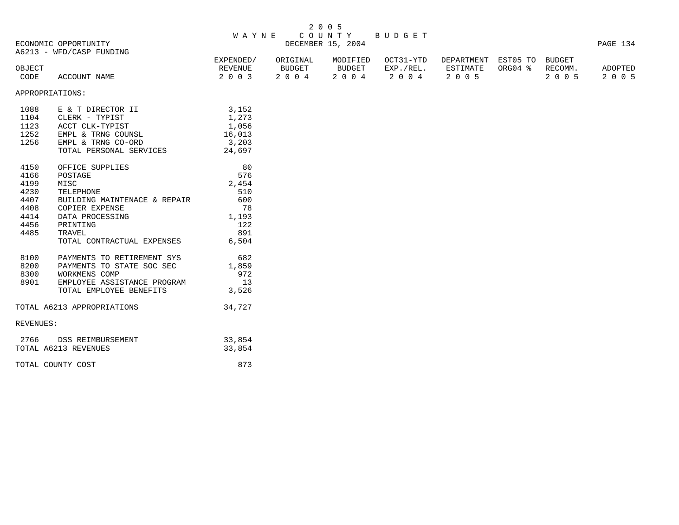| 2 0 0 5 |  |  |
|---------|--|--|
|---------|--|--|

## W A Y N E C O U N T Y B U D G E T DECEMBER 15, 2004 PAGE 134

A6213 - WFD/CASP FUNDING

|        | A0213 - WFD/CASP FUNDING |           |          |          |           |                            |                 |      |         |
|--------|--------------------------|-----------|----------|----------|-----------|----------------------------|-----------------|------|---------|
|        |                          | EXPENDED/ | ORIGINAL | MODIFIED | OCT31-YTD | DEPARTMENT EST05 TO BUDGET |                 |      |         |
| OBJECT |                          | REVENUE   | BUDGET   | BUDGET   | EXP./REL. | ESTIMATE                   | ORG04 % RECOMM. |      | ADOPTED |
| CODE   | ACCOUNT NAME             | 2 0 0 3   | 2004     | 2004     | 2004      | 2005                       |                 | 2005 | 2005    |

APPROPRIATIONS:

| 1088<br>1123<br>1252<br>1256                        | E & T DIRECTOR II<br>1104 CLERK - TYPIST<br>ACCT CLK-TYPIST<br>EMPL & TRNG COUNSL<br>EMPL & TRNG CO-ORD<br>TOTAL PERSONAL SERVICES                                            | 3,152<br>1,273<br>1,056<br>16,013<br>3,203<br>24,697                   |
|-----------------------------------------------------|-------------------------------------------------------------------------------------------------------------------------------------------------------------------------------|------------------------------------------------------------------------|
| 4166<br>4199<br>4230<br>4407<br>4414<br>4485 TRAVEL | 4150 OFFICE SUPPLIES<br>POSTAGE<br>MISC<br>TELEPHONE<br>BUILDING MAINTENACE & REPAIR<br>4408 COPIER EXPENSE<br>DATA PROCESSING<br>4456 PRINTING<br>TOTAL CONTRACTUAL EXPENSES | 80<br>576<br>2,454<br>510<br>600<br>78<br>1,193<br>122<br>891<br>6,504 |
| 8300<br>8901                                        | 8100 PAYMENTS TO RETIREMENT SYS<br>8200 PAYMENTS TO STATE SOC SEC<br>WORKMENS COMP<br>EMPLOYEE ASSISTANCE PROGRAM<br>TOTAL EMPLOYEE BENEFITS                                  | 682<br>1,859<br>972<br>13<br>3,526                                     |
|                                                     | TOTAL A6213 APPROPRIATIONS                                                                                                                                                    | 34,727                                                                 |
| REVENUES:                                           |                                                                                                                                                                               |                                                                        |
|                                                     | 2766 DSS REIMBURSEMENT<br>TOTAL A6213 REVENUES                                                                                                                                | 33,854<br>33,854                                                       |
|                                                     | TOTAL COUNTY COST                                                                                                                                                             | 873                                                                    |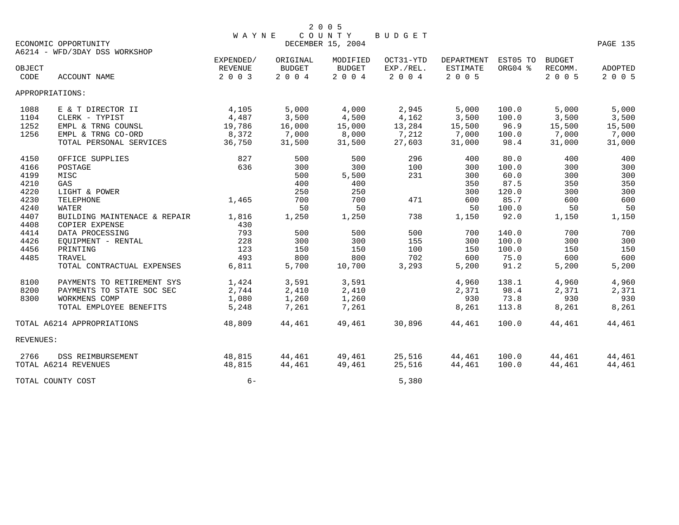|                | ECONOMIC OPPORTUNITY                           | <b>WAYNE</b>              |                                           | COUNTY<br>DECEMBER 15, 2004 | BUDGET               |                     |          |                    | PAGE 135           |
|----------------|------------------------------------------------|---------------------------|-------------------------------------------|-----------------------------|----------------------|---------------------|----------|--------------------|--------------------|
|                | A6214 - WFD/3DAY DSS WORKSHOP                  | EXPENDED/                 | ORIGINAL                                  | MODIFIED                    | OCT31-YTD            | DEPARTMENT          | EST05 TO | <b>BUDGET</b>      |                    |
| OBJECT<br>CODE | ACCOUNT NAME                                   | <b>REVENUE</b><br>2 0 0 3 | <b>BUDGET</b><br>$2\quad 0\quad 0\quad 4$ | <b>BUDGET</b><br>2 0 0 4    | EXP./REL.<br>2 0 0 4 | ESTIMATE<br>2 0 0 5 | ORG04 %  | RECOMM.<br>2 0 0 5 | ADOPTED<br>2 0 0 5 |
|                | APPROPRIATIONS:                                |                           |                                           |                             |                      |                     |          |                    |                    |
| 1088           | E & T DIRECTOR II                              | 4,105                     | 5,000                                     | 4,000                       | 2,945                | 5,000               | 100.0    | 5,000              | 5,000              |
| 1104           | CLERK - TYPIST                                 | 4,487                     | 3,500                                     | 4,500                       | 4,162                | 3,500               | 100.0    | 3,500              | 3,500              |
| 1252           | EMPL & TRNG COUNSL                             | 19,786                    | 16,000                                    | 15,000                      | 13,284               | 15,500              | 96.9     | 15,500             | 15,500             |
| 1256           | EMPL & TRNG CO-ORD                             | 8,372                     | 7,000                                     | 8,000                       | 7,212                | 7,000               | 100.0    | 7,000              | 7,000              |
|                | TOTAL PERSONAL SERVICES                        | 36,750                    | 31,500                                    | 31,500                      | 27,603               | 31,000              | 98.4     | 31,000             | 31,000             |
| 4150           | OFFICE SUPPLIES                                | 827                       | 500                                       | 500                         | 296                  | 400                 | 80.0     | 400                | 400                |
| 4166           | POSTAGE                                        | 636                       | 300                                       | 300                         | 100                  | 300                 | 100.0    | 300                | 300                |
| 4199           | MISC                                           |                           | 500                                       | 5,500                       | 231                  | 300                 | 60.0     | 300                | 300                |
| 4210           | GAS                                            |                           | 400                                       | 400                         |                      | 350                 | 87.5     | 350                | 350                |
| 4220           | LIGHT & POWER                                  |                           | 250                                       | 250                         |                      | 300                 | 120.0    | 300                | 300                |
| 4230           | TELEPHONE                                      | 1,465                     | 700                                       | 700                         | 471                  | 600                 | 85.7     | 600                | 600                |
| 4240           | WATER                                          |                           | 50                                        | 50                          |                      | 50                  | 100.0    | 50                 | 50                 |
| 4407<br>4408   | BUILDING MAINTENACE & REPAIR<br>COPIER EXPENSE | 1,816<br>430              | 1,250                                     | 1,250                       | 738                  | 1,150               | 92.0     | 1,150              | 1,150              |
| 4414           | DATA PROCESSING                                | 793                       | 500                                       | 500                         | 500                  | 700                 | 140.0    | 700                | 700                |
| 4426           | EQUIPMENT - RENTAL                             | 228                       | 300                                       | 300                         | 155                  | 300                 | 100.0    | 300                | 300                |
| 4456           | PRINTING                                       | 123                       | 150                                       | 150                         | 100                  | 150                 | 100.0    | 150                | 150                |
| 4485           | TRAVEL                                         | 493                       | 800                                       | 800                         | 702                  | 600                 | 75.0     | 600                | 600                |
|                | TOTAL CONTRACTUAL EXPENSES                     | 6,811                     | 5,700                                     | 10,700                      | 3,293                | 5,200               | 91.2     | 5,200              | 5,200              |
| 8100           | PAYMENTS TO RETIREMENT SYS                     | 1,424                     | 3,591                                     | 3,591                       |                      | 4,960               | 138.1    | 4,960              | 4,960              |
| 8200           | PAYMENTS TO STATE SOC SEC                      | 2,744                     | 2,410                                     | 2,410                       |                      | 2,371               | 98.4     | 2,371              | 2,371              |
| 8300           | WORKMENS COMP                                  | 1,080                     | 1,260                                     | 1,260                       |                      | 930                 | 73.8     | 930                | 930                |
|                | TOTAL EMPLOYEE BENEFITS                        | 5,248                     | 7,261                                     | 7,261                       |                      | 8,261               | 113.8    | 8,261              | 8,261              |
|                | TOTAL A6214 APPROPRIATIONS                     | 48,809                    | 44,461                                    | 49,461                      | 30,896               | 44,461              | 100.0    | 44,461             | 44,461             |
| REVENUES:      |                                                |                           |                                           |                             |                      |                     |          |                    |                    |
| 2766           | DSS REIMBURSEMENT                              | 48,815                    | 44,461                                    | 49,461                      | 25,516               | 44,461              | 100.0    | 44,461             | 44,461             |
|                | TOTAL A6214 REVENUES                           | 48,815                    | 44,461                                    | 49,461                      | 25,516               | 44,461              | 100.0    | 44,461             | 44,461             |
|                | TOTAL COUNTY COST                              | $6-$                      |                                           |                             | 5,380                |                     |          |                    |                    |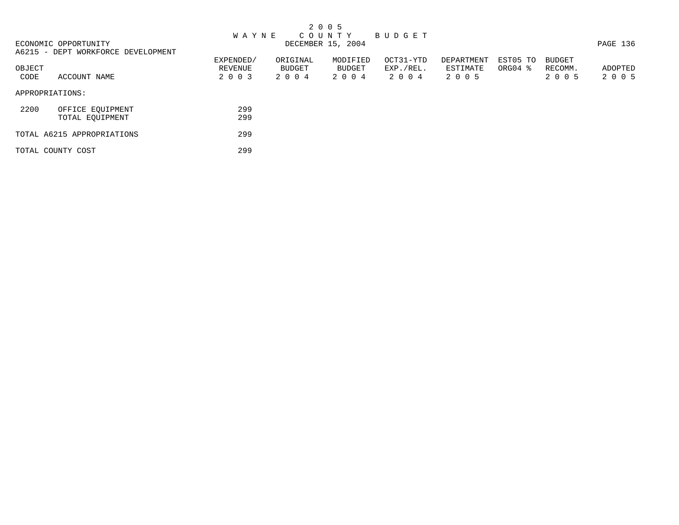|                                              |                      |                    | 2 0 0 5                          |                        |                        |                       |                   |          |
|----------------------------------------------|----------------------|--------------------|----------------------------------|------------------------|------------------------|-----------------------|-------------------|----------|
| ECONOMIC OPPORTUNITY                         | <b>WAYNE</b>         |                    | C O U N T Y<br>DECEMBER 15, 2004 | BUDGET                 |                        |                       |                   | PAGE 136 |
| A6215 - DEPT WORKFORCE DEVELOPMENT<br>OBJECT | EXPENDED/<br>REVENUE | ORIGINAL<br>BUDGET | MODIFIED<br>BUDGET               | OCT31-YTD<br>EXP./REL. | DEPARTMENT<br>ESTIMATE | EST05 TO<br>$ORGO4$ % | BUDGET<br>RECOMM. | ADOPTED  |
| CODE<br>ACCOUNT NAME                         | 2 0 0 3              | 2 0 0 4            | 2004                             | 2004                   | 2 0 0 5                |                       | 2 0 0 5           | 2 0 0 5  |
| APPROPRIATIONS:                              |                      |                    |                                  |                        |                        |                       |                   |          |
| 2200<br>OFFICE EQUIPMENT<br>TOTAL EQUIPMENT  | 299<br>299           |                    |                                  |                        |                        |                       |                   |          |
| TOTAL A6215 APPROPRIATIONS                   | 299                  |                    |                                  |                        |                        |                       |                   |          |
| TOTAL COUNTY COST                            | 299                  |                    |                                  |                        |                        |                       |                   |          |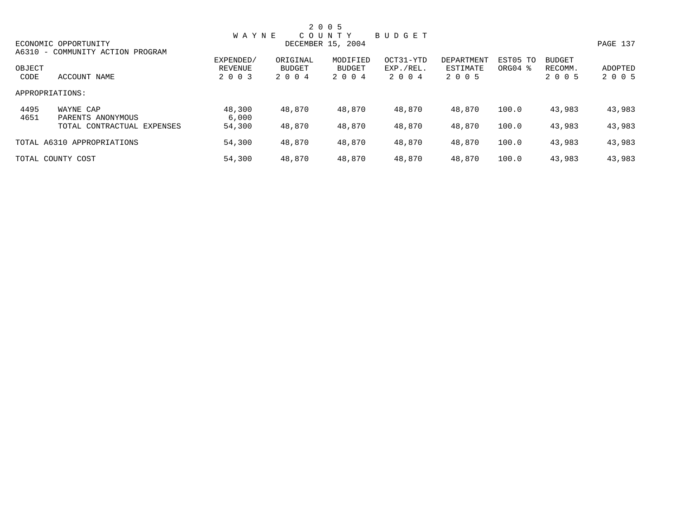|              |                                  |                 |          | 2 0 0 5           |               |            |                     |               |          |
|--------------|----------------------------------|-----------------|----------|-------------------|---------------|------------|---------------------|---------------|----------|
|              |                                  | <b>WAYNE</b>    |          | COUNTY            | <b>BUDGET</b> |            |                     |               |          |
|              | ECONOMIC OPPORTUNITY             |                 |          | DECEMBER 15, 2004 |               |            |                     |               | PAGE 137 |
|              | A6310 - COMMUNITY ACTION PROGRAM |                 |          |                   |               |            |                     |               |          |
|              |                                  | EXPENDED/       | ORIGINAL | MODIFIED          | OCT31-YTD     | DEPARTMENT | EST05 TO            | <b>BUDGET</b> |          |
| OBJECT       |                                  | REVENUE         | BUDGET   | BUDGET            | EXP./REL.     | ESTIMATE   | ORG04 $\frac{8}{3}$ | RECOMM.       | ADOPTED  |
| CODE         | ACCOUNT NAME                     | 2 0 0 3         | 2 0 0 4  | 2 0 0 4           | 2004          | 2 0 0 5    |                     | 2 0 0 5       | 2 0 0 5  |
|              | APPROPRIATIONS:                  |                 |          |                   |               |            |                     |               |          |
| 4495<br>4651 | WAYNE CAP<br>PARENTS ANONYMOUS   | 48,300<br>6,000 | 48,870   | 48,870            | 48,870        | 48,870     | 100.0               | 43,983        | 43,983   |
|              | TOTAL CONTRACTUAL EXPENSES       | 54,300          | 48,870   | 48,870            | 48,870        | 48,870     | 100.0               | 43,983        | 43,983   |
|              | TOTAL A6310 APPROPRIATIONS       | 54,300          | 48,870   | 48,870            | 48,870        | 48,870     | 100.0               | 43,983        | 43,983   |
|              | TOTAL COUNTY COST                | 54,300          | 48,870   | 48,870            | 48,870        | 48,870     | 100.0               | 43,983        | 43,983   |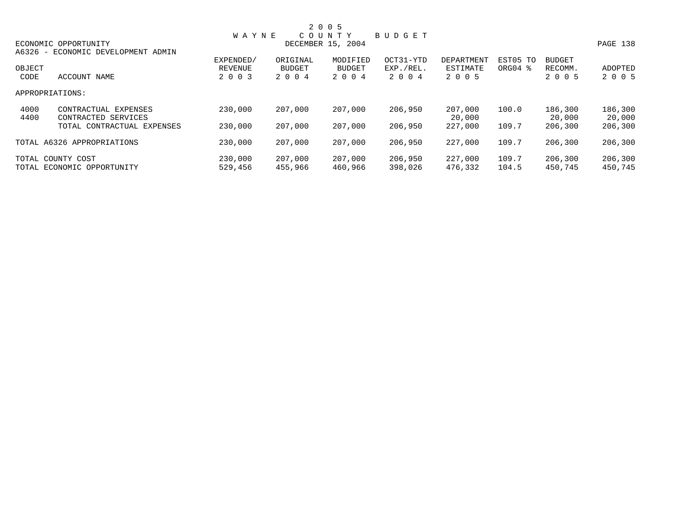|        |                                    |                   |          | 2 0 0 5       |               |            |          |               |          |
|--------|------------------------------------|-------------------|----------|---------------|---------------|------------|----------|---------------|----------|
|        |                                    | <b>WAYNE</b>      |          | COUNTY        | <b>BUDGET</b> |            |          |               |          |
|        | ECONOMIC OPPORTUNITY               | DECEMBER 15, 2004 |          |               |               |            |          |               | PAGE 138 |
|        | A6326 - ECONOMIC DEVELOPMENT ADMIN |                   |          |               |               |            |          |               |          |
|        |                                    | EXPENDED/         | ORIGINAL | MODIFIED      | OCT31-YTD     | DEPARTMENT | EST05 TO | <b>BUDGET</b> |          |
| OBJECT |                                    | REVENUE           | BUDGET   | <b>BUDGET</b> | EXP./REL.     | ESTIMATE   | ORG04 %  | RECOMM.       | ADOPTED  |
| CODE   | ACCOUNT NAME                       | 2 0 0 3           | 2 0 0 4  | 2 0 0 4       | 2004          | 2 0 0 5    |          | 2 0 0 5       | 2 0 0 5  |
|        | APPROPRIATIONS:                    |                   |          |               |               |            |          |               |          |
| 4000   | CONTRACTUAL EXPENSES               | 230,000           | 207,000  | 207,000       | 206,950       | 207,000    | 100.0    | 186,300       | 186,300  |
| 4400   | CONTRACTED SERVICES                |                   |          |               |               | 20,000     |          | 20,000        | 20,000   |
|        | TOTAL CONTRACTUAL EXPENSES         | 230,000           | 207,000  | 207,000       | 206,950       | 227,000    | 109.7    | 206,300       | 206,300  |
|        | TOTAL A6326 APPROPRIATIONS         | 230,000           | 207,000  | 207,000       | 206,950       | 227,000    | 109.7    | 206,300       | 206,300  |
|        | TOTAL COUNTY COST                  | 230,000           | 207,000  | 207,000       | 206,950       | 227,000    | 109.7    | 206,300       | 206,300  |
|        | TOTAL ECONOMIC OPPORTUNITY         | 529,456           | 455,966  | 460,966       | 398,026       | 476,332    | 104.5    | 450,745       | 450,745  |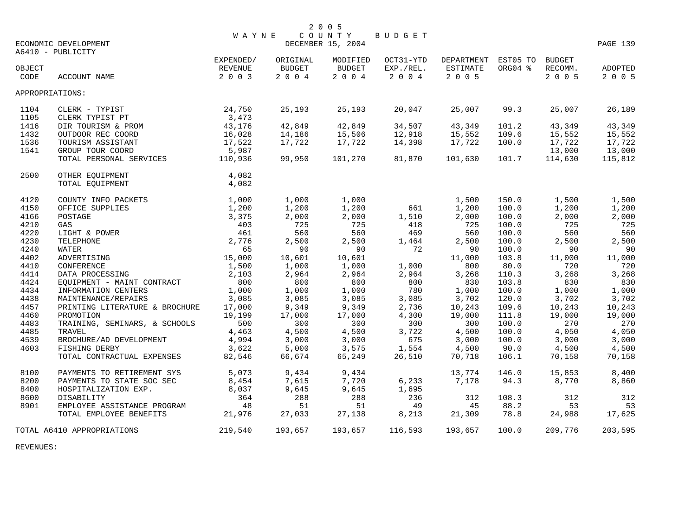|        |                                           | <b>WAYNE</b> |               | 2 0 0 5<br>COUNTY | BUDGET    |                     |         |         |          |
|--------|-------------------------------------------|--------------|---------------|-------------------|-----------|---------------------|---------|---------|----------|
|        | ECONOMIC DEVELOPMENT<br>A6410 - PUBLICITY |              |               | DECEMBER 15, 2004 |           |                     |         |         | PAGE 139 |
|        |                                           | EXPENDED/    | ORIGINAL      | MODIFIED          | OCT31-YTD | DEPARTMENT EST05 TO |         | BUDGET  |          |
| OBJECT |                                           | REVENUE      | <b>BUDGET</b> | <b>BUDGET</b>     | EXP./REL. | ESTIMATE            | ORG04 % | RECOMM. | ADOPTED  |
| CODE   | ACCOUNT NAME                              | 2 0 0 3      | $2 0 0 4$     | 2 0 0 4           | 2 0 0 4   | 2 0 0 5             |         | 2 0 0 5 | 2 0 0 5  |
|        | APPROPRIATIONS:                           |              |               |                   |           |                     |         |         |          |
| 1104   | CLERK - TYPIST                            | 24,750       | 25,193        | 25,193            | 20,047    | 25,007              | 99.3    | 25,007  | 26,189   |
| 1105   | CLERK TYPIST PT                           | 3,473        |               |                   |           |                     |         |         |          |
| 1416   | DIR TOURISM & PROM                        | 43,176       | 42,849        | 42,849            | 34,507    | 43,349              | 101.2   | 43,349  | 43,349   |
| 1432   | OUTDOOR REC COORD                         | 16,028       | 14,186        | 15,506            | 12,918    | 15,552              | 109.6   | 15,552  | 15,552   |
| 1536   | TOURISM ASSISTANT                         | 17,522       | 17,722        | 17,722            | 14,398    | 17,722              | 100.0   | 17,722  | 17,722   |
| 1541   | GROUP TOUR COORD                          | 5,987        |               |                   |           |                     |         | 13,000  | 13,000   |
|        | TOTAL PERSONAL SERVICES                   | 110,936      | 99,950        | 101,270           | 81,870    | 101,630             | 101.7   | 114,630 | 115,812  |
| 2500   | OTHER EQUIPMENT                           | 4,082        |               |                   |           |                     |         |         |          |
|        | TOTAL EQUIPMENT                           | 4,082        |               |                   |           |                     |         |         |          |
| 4120   | COUNTY INFO PACKETS                       | 1,000        | 1,000         | 1,000             |           | 1,500               | 150.0   | 1,500   | 1,500    |
| 4150   | OFFICE SUPPLIES                           | 1,200        | 1,200         | 1,200             | 661       | 1,200               | 100.0   | 1,200   | 1,200    |
| 4166   | POSTAGE                                   | 3,375        | 2,000         | 2,000             | 1,510     | 2,000               | 100.0   | 2,000   | 2,000    |
| 4210   | GAS                                       | 403          | 725           | 725               | 418       | 725                 | 100.0   | 725     | 725      |
| 4220   | LIGHT & POWER                             | 461          | 560           | 560               | 469       | 560                 | 100.0   | 560     | 560      |
| 4230   | TELEPHONE                                 | 2,776        | 2,500         | 2,500             | 1,464     | 2,500               | 100.0   | 2,500   | 2,500    |
| 4240   | WATER                                     | 65           | 90            | 90                | 72        | 90                  | 100.0   | 90      | 90       |
| 4402   | ADVERTISING                               | 15,000       | 10,601        | 10,601            |           | 11,000              | 103.8   | 11,000  | 11,000   |
| 4410   | CONFERENCE                                | 1,500        | 1,000         | 1,000             | 1,000     | 800                 | 80.0    | 720     | 720      |
| 4414   | DATA PROCESSING                           | 2,103        | 2,964         | 2,964             | 2,964     | 3,268               | 110.3   | 3,268   | 3,268    |
| 4424   | EQUIPMENT - MAINT CONTRACT                | 800          | 800           | 800               | 800       | 830                 | 103.8   | 830     | 830      |
| 4434   | INFORMATION CENTERS                       | 1,000        | 1,000         | 1,000             | 780       | 1,000               | 100.0   | 1,000   | 1,000    |
| 4438   | MAINTENANCE/REPAIRS                       | 3,085        | 3,085         | 3,085             | 3,085     | 3,702               | 120.0   | 3,702   | 3,702    |
| 4457   | PRINTING LITERATURE & BROCHURE            | 17,000       | 9,349         | 9,349             | 2,736     | 10,243              | 109.6   | 10,243  | 10,243   |
| 4460   | PROMOTION                                 | 19,199       | 17,000        | 17,000            | 4,300     | 19,000              | 111.8   | 19,000  | 19,000   |
| 4483   | TRAINING, SEMINARS, & SCHOOLS             | 500          | 300           | 300               | 300       | 300                 | 100.0   | 270     | 270      |
| 4485   | TRAVEL                                    | 4,463        | 4,500         | 4,500             | 3,722     | 4,500               | 100.0   | 4,050   | 4,050    |
| 4539   | BROCHURE/AD DEVELOPMENT                   | 4,994        | 3,000         | 3,000             | 675       | 3,000               | 100.0   | 3,000   | 3,000    |
| 4603   | FISHING DERBY                             | 3,622        | 5,000         | 3,575             | 1,554     | 4,500               | 90.0    | 4,500   | 4,500    |
|        | TOTAL CONTRACTUAL EXPENSES                | 82,546       | 66,674        | 65,249            | 26,510    | 70,718              | 106.1   | 70,158  | 70,158   |
| 8100   | PAYMENTS TO RETIREMENT SYS                | 5,073        | 9,434         | 9,434             |           | 13,774              | 146.0   | 15,853  | 8,400    |
| 8200   | PAYMENTS TO STATE SOC SEC                 | 8,454        | 7,615         | 7,720             | 6,233     | 7,178               | 94.3    | 8,770   | 8,860    |
| 8400   | HOSPITALIZATION EXP.                      | 8,037        | 9,645         | 9,645             | 1,695     |                     |         |         |          |
| 8600   | DISABILITY                                | 364          | 288           | 288               | 236       | 312                 | 108.3   | 312     | 312      |
| 8901   | EMPLOYEE ASSISTANCE PROGRAM               | 48           | 51            | 51                | 49        | 45                  | 88.2    | 53      | 53       |
|        | TOTAL EMPLOYEE BENEFITS                   | 21,976       | 27,033        | 27,138            | 8,213     | 21,309              | 78.8    | 24,988  | 17,625   |
|        | TOTAL A6410 APPROPRIATIONS                | 219,540      | 193,657       | 193,657           | 116,593   | 193,657             | 100.0   | 209,776 | 203,595  |

REVENUES: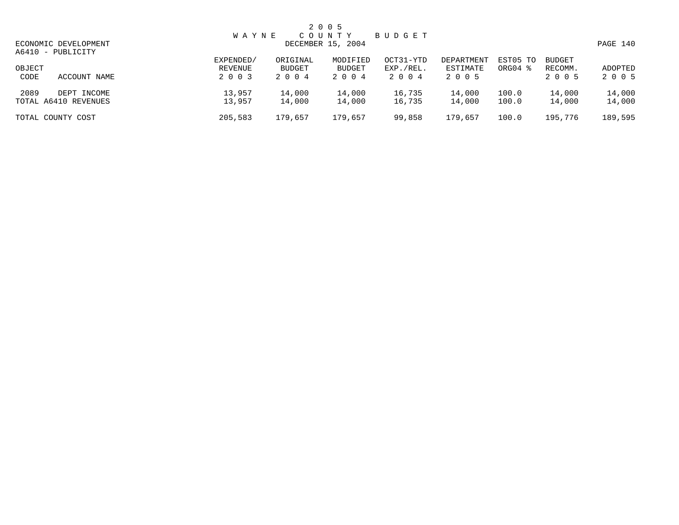|                                             | <b>WAYNE</b>                           |                            | 2 0 0 5<br>COUNTY             | BUDGET                         |                                   |                                 |                                     |                    |
|---------------------------------------------|----------------------------------------|----------------------------|-------------------------------|--------------------------------|-----------------------------------|---------------------------------|-------------------------------------|--------------------|
| ECONOMIC DEVELOPMENT<br>A6410 - PUBLICITY   | DECEMBER 15, 2004                      |                            |                               |                                |                                   |                                 |                                     |                    |
| OBJECT<br>CODE<br>ACCOUNT NAME              | EXPENDED/<br><b>REVENUE</b><br>2 0 0 3 | ORIGINAL<br>BUDGET<br>2004 | MODIFIED<br>BUDGET<br>2 0 0 4 | OCT31-YTD<br>EXP./REL.<br>2004 | DEPARTMENT<br>ESTIMATE<br>2 0 0 5 | EST05 TO<br>ORG04 $\frac{8}{3}$ | <b>BUDGET</b><br>RECOMM.<br>2 0 0 5 | ADOPTED<br>2 0 0 5 |
| 2089<br>DEPT INCOME<br>TOTAL A6410 REVENUES | 13,957<br>13,957                       | 14,000<br>14,000           | 14,000<br>14,000              | 16,735<br>16,735               | 14,000<br>14,000                  | 100.0<br>100.0                  | 14,000<br>14,000                    | 14,000<br>14,000   |
| TOTAL COUNTY COST                           | 205,583                                | 179,657                    | 179,657                       | 99,858                         | 179,657                           | 100.0                           | 195,776                             | 189,595            |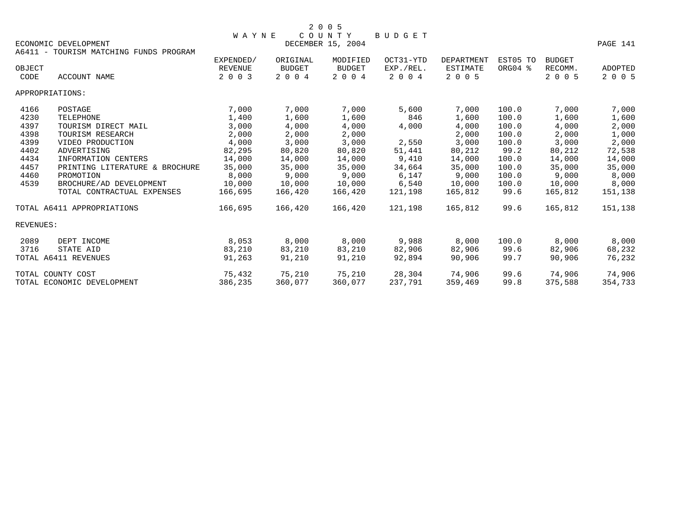|                      | 2005                |  |
|----------------------|---------------------|--|
|                      | WAYNE COUNTY BUDGET |  |
| RCONOMIC DRVELOPMENT | DECEMBER 15 2004    |  |

ECONOMIC DEVELOPMENT CONSULTED A RESOLUTION OF DECEMBER 15, 2004 CONOMIC DEVELOPMENT PAGE 141 A6411 - TOURISM MATCHING FUNDS PROGRAM EXPENDED/ ORIGINAL MODIFIED OCT31-YTD DEPARTMENT EST05 TO BUDGET OBJECT REVENUE BUDGET BUDGET EXP./REL. ESTIMATE ORG04 % RECOMM. ADOPTED  $2003$   $2004$   $2004$   $2004$   $2003$ APPROPRIATIONS: 4166 POSTAGE 7,000 7,000 7,000 5,600 7,000 100.0 7,000 7,000  $4230$  TELEPHONE  $1,400$   $1,600$   $1,600$   $846$   $1,600$   $100.0$   $1,600$   $1,600$  4397 TOURISM DIRECT MAIL 3,000 4,000 4,000 4,000 4,000 100.0 4,000 2,000 4398 TOURISM RESEARCH 2,000 2,000 2,000 2,000 100.0 2,000 1,000 4399 VIDEO PRODUCTION 4,000 3,000 3,000 2,550 3,000 100.0 3,000 2,000 4402 ADVERTISING 82,295 80,820 80,820 51,441 80,212 99.2 80,212 72,538 4434 INFORMATION CENTERS 14,000 14,000 14,000 9,410 14,000 100.0 14,000 14,000 4457 PRINTING LITERATURE & BROCHURE 35,000 35,000 35,000 34,664 35,000 100.0 35,000 35,000 4460 PROMOTION 8,000 9,000 9,000 6,147 9,000 100.0 9,000 8,000 4539 BROCHURE/AD DEVELOPMENT 10,000 10,000 10,000 6,540 10,000 100.0 10,000 8,000 TOTAL CONTRACTUAL EXPENSES 166,695 166,420 166,420 121,198 165,812 99.6 165,812 151,138 TOTAL A6411 APPROPRIATIONS 166,695 166,420 166,420 121,198 165,812 99.6 165,812 151,138 REVENUES: 2089 DEPT INCOME 8,053 8,000 8,000 9,988 8,000 100.0 8,000 8,000 3716 STATE AID 83,210 83,210 83,210 82,906 82,906 99.6 82,906 68,232 TOTAL A6411 REVENUES 91,263 91,210 91,210 92,894 90,906 99.7 90,906 76,232 TOTAL COUNTY COST 75,432 75,210 75,210 28,304 74,906 99.6 74,906 74,906 TOTAL ECONOMIC DEVELOPMENT 386,235 360,077 360,077 237,791 359,469 99.8 375,588 354,733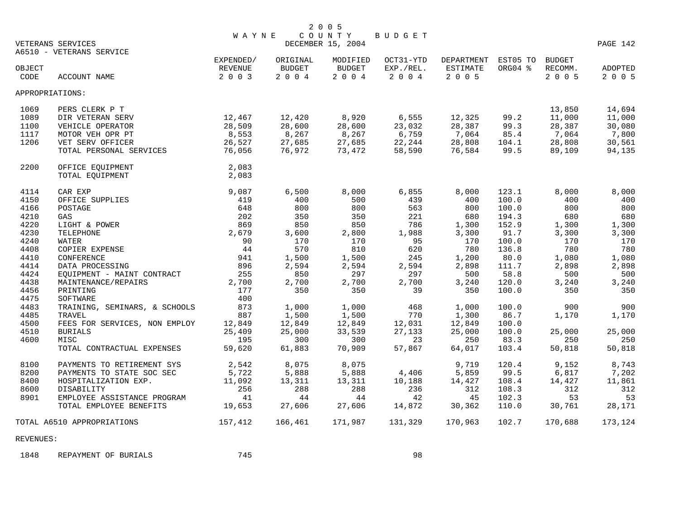|              |                               |              |               | 2 0 0 5                     |           |                     |         |               |          |
|--------------|-------------------------------|--------------|---------------|-----------------------------|-----------|---------------------|---------|---------------|----------|
|              | VETERANS SERVICES             | <b>WAYNE</b> |               | COUNTY<br>DECEMBER 15, 2004 | BUDGET    |                     |         |               | PAGE 142 |
|              | A6510 - VETERANS SERVICE      |              |               |                             |           |                     |         |               |          |
|              |                               | EXPENDED/    | ORIGINAL      | MODIFIED                    | OCT31-YTD | DEPARTMENT EST05 TO |         | <b>BUDGET</b> |          |
| OBJECT       |                               | REVENUE      | <b>BUDGET</b> | BUDGET                      | EXP./REL. | <b>ESTIMATE</b>     | ORG04 % | RECOMM.       | ADOPTED  |
| CODE         | ACCOUNT NAME                  | 2 0 0 3      | 2 0 0 4       | 2 0 0 4                     | 2 0 0 4   | 2 0 0 5             |         | 2 0 0 5       | 2 0 0 5  |
|              | APPROPRIATIONS:               |              |               |                             |           |                     |         |               |          |
| 1069         | PERS CLERK P T                |              |               |                             |           |                     |         | 13,850        | 14,694   |
| 1089         | DIR VETERAN SERV              | 12,467       | 12,420        | 8,920                       | 6,555     | 12,325              | 99.2    | 11,000        | 11,000   |
| 1100         | VEHICLE OPERATOR              | 28,509       | 28,600        | 28,600                      | 23,032    | 28,387              | 99.3    | 28,387        | 30,080   |
| 1117         | MOTOR VEH OPR PT              | 8,553        | 8,267         | 8,267                       | 6,759     | 7,064               | 85.4    | 7,064         | 7,800    |
| 1206         |                               | 26,527       | 27,685        | 27,685                      | 22,244    | 28,808              |         | 28,808        |          |
|              | VET SERV OFFICER              |              |               |                             |           |                     | 104.1   |               | 30,561   |
|              | TOTAL PERSONAL SERVICES       | 76,056       | 76,972        | 73,472                      | 58,590    | 76,584              | 99.5    | 89,109        | 94,135   |
| 2200         | OFFICE EQUIPMENT              | 2,083        |               |                             |           |                     |         |               |          |
|              | TOTAL EOUIPMENT               | 2,083        |               |                             |           |                     |         |               |          |
| 4114         | CAR EXP                       | 9,087        | 6,500         | 8,000                       | 6,855     | 8,000               | 123.1   | 8,000         | 8,000    |
| 4150         | OFFICE SUPPLIES               | 419          | 400           | 500                         | 439       | 400                 | 100.0   | 400           | 400      |
| 4166         | POSTAGE                       | 648          | 800           | 800                         | 563       | 800                 | 100.0   | 800           | 800      |
| 4210         | GAS                           | 202          | 350           | 350                         | 221       | 680                 | 194.3   | 680           | 680      |
| 4220         | LIGHT & POWER                 | 869          | 850           | 850                         | 786       | 1,300               | 152.9   | 1,300         | 1,300    |
| 4230         | TELEPHONE                     | 2,679        | 3,600         | 2,800                       | 1,988     | 3,300               | 91.7    | 3,300         | 3,300    |
| 4240         | WATER                         | 90           | 170           | 170                         | 95        | 170                 | 100.0   | 170           | 170      |
| 4408         | COPIER EXPENSE                | 44           | 570           | 810                         | 620       | 780                 | 136.8   | 780           | 780      |
| 4410         | <b>CONFERENCE</b>             | 941          | 1,500         | 1,500                       | 245       | 1,200               | 80.0    | 1,080         | 1,080    |
| 4414         |                               | 896          | 2,594         | 2,594                       | 2,594     |                     |         |               | 2,898    |
|              | DATA PROCESSING               |              |               |                             |           | 2,898               | 111.7   | 2,898         |          |
| 4424         | EQUIPMENT - MAINT CONTRACT    | 255          | 850           | 297                         | 297       | 500                 | 58.8    | 500           | 500      |
| 4438         | MAINTENANCE/REPAIRS           | 2,700        | 2,700         | 2,700                       | 2,700     | 3,240               | 120.0   | 3,240         | 3,240    |
| 4456<br>4475 | PRINTING                      | 177<br>400   | 350           | 350                         | 39        | 350                 | 100.0   | 350           | 350      |
| 4483         | SOFTWARE                      | 873          |               | 1,000                       | 468       | 1,000               | 100.0   | 900           | 900      |
|              | TRAINING, SEMINARS, & SCHOOLS |              | 1,000         |                             |           |                     |         |               |          |
| 4485         | TRAVEL                        | 887          | 1,500         | 1,500                       | 770       | 1,300               | 86.7    | 1,170         | 1,170    |
| 4500         | FEES FOR SERVICES, NON EMPLOY | 12,849       | 12,849        | 12,849                      | 12,031    | 12,849              | 100.0   |               |          |
| 4510         | <b>BURIALS</b>                | 25,409       | 25,000        | 33,539                      | 27,133    | 25,000              | 100.0   | 25,000        | 25,000   |
| 4600         | MISC                          | 195          | 300           | 300                         | 23        | 250                 | 83.3    | 250           | 250      |
|              | TOTAL CONTRACTUAL EXPENSES    | 59,620       | 61,883        | 70,909                      | 57,867    | 64,017              | 103.4   | 50,818        | 50,818   |
| 8100         | PAYMENTS TO RETIREMENT SYS    | 2,542        | 8,075         | 8,075                       |           | 9,719               | 120.4   | 9,152         | 8,743    |
| 8200         | PAYMENTS TO STATE SOC SEC     | 5,722        | 5,888         | 5,888                       | 4,406     | 5,859               | 99.5    | 6,817         | 7,202    |
| 8400         | HOSPITALIZATION EXP.          | 11,092       | 13,311        | 13,311                      | 10,188    | 14,427              | 108.4   | 14,427        | 11,861   |
| 8600         | DISABILITY                    | 256          | 288           | 288                         | 236       | 312                 | 108.3   | 312           | 312      |
| 8901         | EMPLOYEE ASSISTANCE PROGRAM   | 41           | 44            | 44                          | 42        | 45                  | 102.3   | 53            | 53       |
|              | TOTAL EMPLOYEE BENEFITS       | 19,653       | 27,606        | 27,606                      | 14,872    | 30,362              | 110.0   | 30,761        | 28,171   |
|              | TOTAL A6510 APPROPRIATIONS    | 157,412      | 166,461       | 171,987                     | 131,329   | 170,963             | 102.7   | 170,688       | 173,124  |
|              |                               |              |               |                             |           |                     |         |               |          |

REVENUES:

1848 REPAYMENT OF BURIALS 745 745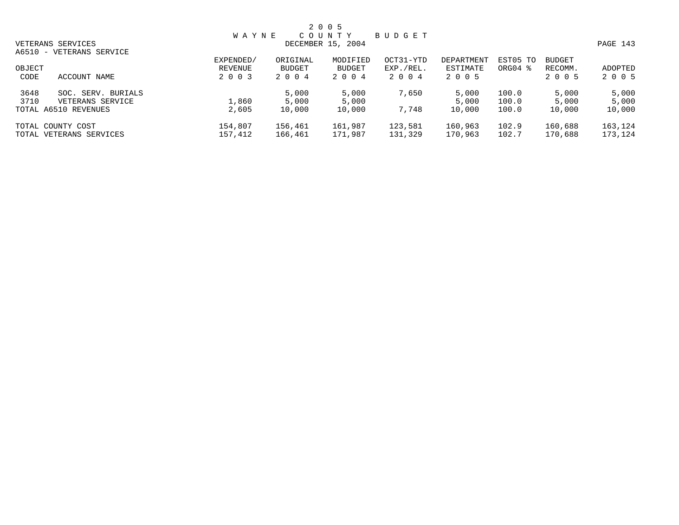|                            | <b>WAYNE</b>      |          | C O U N T Y   | BUDGET    |            |          |               |         |  |
|----------------------------|-------------------|----------|---------------|-----------|------------|----------|---------------|---------|--|
| VETERANS SERVICES          | DECEMBER 15, 2004 |          |               |           |            |          |               |         |  |
| A6510 - VETERANS SERVICE   |                   |          |               |           |            |          |               |         |  |
|                            | EXPENDED/         | ORIGINAL | MODIFIED      | OCT31-YTD | DEPARTMENT | EST05 TO | <b>BUDGET</b> |         |  |
| OBJECT                     | REVENUE           | BUDGET   | <b>BUDGET</b> | EXP./REL. | ESTIMATE   | ORG04 %  | RECOMM.       | ADOPTED |  |
| CODE<br>ACCOUNT NAME       | 2 0 0 3           | 2004     | 2004          | 2004      | 2005       |          | 2 0 0 5       | 2 0 0 5 |  |
| 3648<br>SOC. SERV. BURIALS |                   | 5,000    | 5,000         | 7,650     | 5,000      | 100.0    | 5,000         | 5,000   |  |
| 3710<br>VETERANS SERVICE   | 1,860             | 5,000    | 5,000         |           | 5,000      | 100.0    | 5,000         | 5,000   |  |
| TOTAL A6510 REVENUES       | 2,605             | 10,000   | 10,000        | 7,748     | 10,000     | 100.0    | 10,000        | 10,000  |  |
| TOTAL COUNTY COST          | 154,807           | 156,461  | 161,987       | 123,581   | 160,963    | 102.9    | 160,688       | 163,124 |  |
| TOTAL VETERANS SERVICES    | 157,412           | 166,461  | 171,987       | 131,329   | 170,963    | 102.7    | 170,688       | 173,124 |  |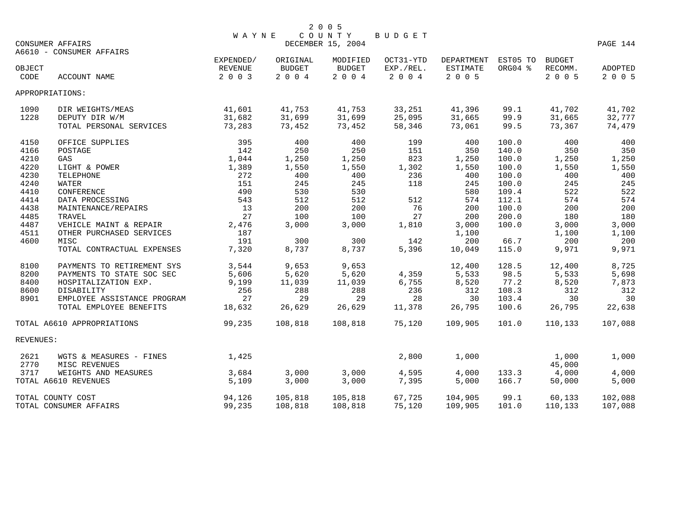|                | <b>CONSUMER AFFAIRS</b>                     | <b>WAYNE</b>                           |                                   | 2 0 0 5<br>COUNTY<br>DECEMBER 15, 2004 | <b>BUDGET</b>                     |                                          |                     |                              | PAGE 144                  |
|----------------|---------------------------------------------|----------------------------------------|-----------------------------------|----------------------------------------|-----------------------------------|------------------------------------------|---------------------|------------------------------|---------------------------|
|                | A6610 - CONSUMER AFFAIRS                    |                                        |                                   |                                        |                                   |                                          |                     |                              |                           |
| OBJECT<br>CODE | <b>ACCOUNT NAME</b>                         | EXPENDED/<br><b>REVENUE</b><br>2 0 0 3 | ORIGINAL<br><b>BUDGET</b><br>2004 | MODIFIED<br><b>BUDGET</b><br>2004      | OCT31-YTD<br>EXP./REL.<br>2 0 0 4 | DEPARTMENT<br><b>ESTIMATE</b><br>2 0 0 5 | EST05 TO<br>ORG04 % | BUDGET<br>RECOMM.<br>2 0 0 5 | <b>ADOPTED</b><br>2 0 0 5 |
|                | APPROPRIATIONS:                             |                                        |                                   |                                        |                                   |                                          |                     |                              |                           |
| 1090<br>1228   | DIR WEIGHTS/MEAS                            | 41,601<br>31,682                       | 41,753<br>31,699                  | 41,753                                 | 33,251                            | 41,396<br>31,665                         | 99.1<br>99.9        | 41,702<br>31,665             | 41,702                    |
|                | DEPUTY DIR W/M<br>TOTAL PERSONAL SERVICES   | 73,283                                 | 73,452                            | 31,699<br>73,452                       | 25,095<br>58,346                  | 73,061                                   | 99.5                | 73,367                       | 32,777<br>74,479          |
| 4150           | OFFICE SUPPLIES                             | 395                                    | 400                               | 400                                    | 199                               | 400                                      | 100.0               | 400                          | 400                       |
| 4166           | POSTAGE                                     | 142                                    | 250                               | 250                                    | 151                               | 350                                      | 140.0               | 350                          | 350                       |
| 4210           | GAS                                         | 1,044                                  | 1,250                             | 1,250                                  | 823                               | 1,250                                    | 100.0               | 1,250                        | 1,250                     |
| 4220           | LIGHT & POWER                               | 1,389                                  | 1,550                             | 1,550                                  | 1,302                             | 1,550                                    | 100.0               | 1,550                        | 1,550                     |
| 4230           | TELEPHONE                                   | 272                                    | 400                               | 400                                    | 236                               | 400                                      | 100.0               | 400                          | 400                       |
| 4240           | <b>WATER</b>                                | 151                                    | 245                               | 245                                    | 118                               | 245                                      | 100.0               | 245                          | 245                       |
| 4410           | CONFERENCE                                  | 490                                    | 530                               | 530                                    |                                   | 580                                      | 109.4               | 522                          | 522                       |
| 4414           | DATA PROCESSING                             | 543                                    | 512                               | 512                                    | 512                               | 574                                      | 112.1               | 574                          | 574                       |
| 4438           | MAINTENANCE/REPAIRS                         | 13                                     | 200                               | 200                                    | 76                                | 200                                      | 100.0               | 200                          | 200                       |
| 4485           | TRAVEL                                      | 27                                     | 100                               | 100                                    | 27                                | 200                                      | 200.0               | 180                          | 180                       |
| 4487           | VEHICLE MAINT & REPAIR                      | 2,476                                  | 3,000                             | 3,000                                  | 1,810                             | 3,000                                    | 100.0               | 3,000                        | 3,000                     |
| 4511           | OTHER PURCHASED SERVICES                    | 187                                    |                                   |                                        |                                   | 1,100                                    |                     | 1,100                        | 1,100                     |
| 4600           | MISC                                        | 191                                    | 300                               | 300                                    | 142                               | 200                                      | 66.7                | 200                          | 200                       |
|                | TOTAL CONTRACTUAL EXPENSES                  | 7,320                                  | 8,737                             | 8,737                                  | 5,396                             | 10,049                                   | 115.0               | 9,971                        | 9,971                     |
| 8100           | PAYMENTS TO RETIREMENT SYS                  | 3,544                                  | 9,653                             | 9,653                                  |                                   | 12,400                                   | 128.5               | 12,400                       | 8,725                     |
| 8200           | PAYMENTS TO STATE SOC SEC                   | 5,606                                  | 5,620                             | 5,620                                  | 4,359                             | 5,533                                    | 98.5                | 5,533                        | 5,698                     |
| 8400           | HOSPITALIZATION EXP.                        | 9,199                                  | 11,039                            | 11,039                                 | 6,755                             | 8,520                                    | 77.2                | 8,520                        | 7,873                     |
| 8600           | DISABILITY                                  | 256                                    | 288                               | 288                                    | 236                               | 312                                      | 108.3               | 312                          | 312                       |
| 8901           | EMPLOYEE ASSISTANCE PROGRAM                 | 27                                     | 29                                | 29                                     | 28                                | 30                                       | 103.4               | 30                           | 30                        |
|                | TOTAL EMPLOYEE BENEFITS                     | 18,632                                 | 26,629                            | 26,629                                 | 11,378                            | 26,795                                   | 100.6               | 26,795                       | 22,638                    |
|                | TOTAL A6610 APPROPRIATIONS                  | 99,235                                 | 108,818                           | 108,818                                | 75,120                            | 109,905                                  | 101.0               | 110,133                      | 107,088                   |
| REVENUES:      |                                             |                                        |                                   |                                        |                                   |                                          |                     |                              |                           |
| 2621<br>2770   | WGTS & MEASURES - FINES<br>MISC REVENUES    | 1,425                                  |                                   |                                        | 2,800                             | 1,000                                    |                     | 1,000<br>45,000              | 1,000                     |
| 3717           | WEIGHTS AND MEASURES                        | 3,684                                  | 3,000                             | 3,000                                  | 4,595                             | 4,000                                    | 133.3               | 4,000                        | 4,000                     |
|                | TOTAL A6610 REVENUES                        | 5,109                                  | 3,000                             | 3,000                                  | 7,395                             | 5,000                                    | 166.7               | 50,000                       | 5,000                     |
|                | TOTAL COUNTY COST<br>TOTAL CONSUMER AFFAIRS | 94,126<br>99,235                       | 105,818<br>108,818                | 105,818<br>108,818                     | 67,725<br>75,120                  | 104,905<br>109,905                       | 99.1<br>101.0       | 60,133<br>110,133            | 102,088<br>107,088        |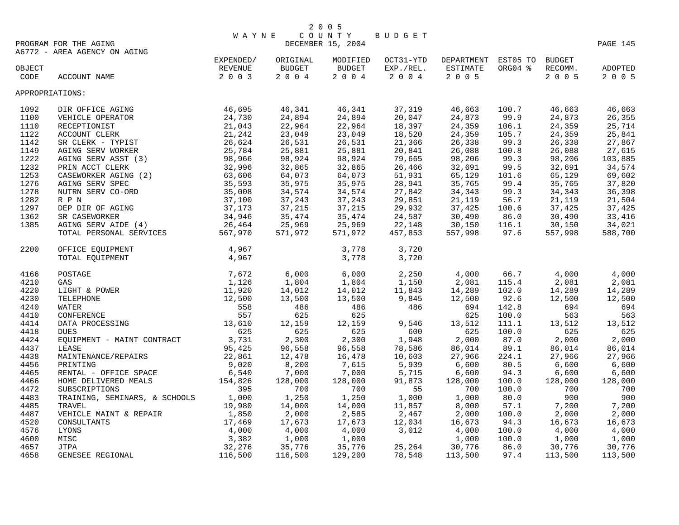|                 |                                              | <b>WAYNE</b>           |               | COUNTY            | BUDGET    |                     |         |               |          |
|-----------------|----------------------------------------------|------------------------|---------------|-------------------|-----------|---------------------|---------|---------------|----------|
|                 | PROGRAM FOR THE AGING                        | EXPENDED/<br>EXPENDED/ |               | DECEMBER 15, 2004 |           |                     |         |               | PAGE 145 |
|                 | A6772 - AREA AGENCY ON AGING                 |                        |               |                   |           |                     |         |               |          |
|                 |                                              |                        | ORIGINAL      | MODIFIED          | OCT31-YTD | DEPARTMENT EST05 TO |         | <b>BUDGET</b> |          |
| OBJECT          |                                              |                        | <b>BUDGET</b> | <b>BUDGET</b>     | EXP./REL. | ESTIMATE            | ORG04 % | RECOMM.       | ADOPTED  |
| CODE            | ACCOUNT NAME                                 | 2 0 0 3                | $2\ 0\ 0\ 4$  | $2 0 0 4$         | $2 0 0 4$ | 2 0 0 5             |         | $2\ 0\ 0\ 5$  | 2 0 0 5  |
| APPROPRIATIONS: |                                              |                        |               |                   |           |                     |         |               |          |
| 1092            | DIR OFFICE AGING                             | 46,695                 | 46,341        | 46,341            | 37,319    | 46,663              | 100.7   | 46,663        | 46,663   |
| 1100            | VEHICLE OPERATOR                             | 24,730                 | 24,894        | 24,894            | 20,047    | 24,873              | 99.9    | 24,873        | 26,355   |
| 1110            | RECEPTIONIST                                 | 21,043                 | 22,964        | 22,964            | 18,397    | 24,359              | 106.1   | 24,359        | 25,714   |
| 1122            | ACCOUNT CLERK                                | 21,242                 | 23,049        | 23,049            | 18,520    | 24,359              | 105.7   | 24,359        | 25,841   |
| 1142            | SR CLERK - TYPIST                            | 26,624                 | 26,531        | 26,531            | 21,366    | 26,338              | 99.3    | 26,338        | 27,867   |
| 1149            | AGING SERV WORKER                            | 25,784                 | 25,881        | 25,881            | 20,841    | 26,088              | 100.8   | 26,088        | 27,615   |
| 1222            | AGING SERV ASST (3)                          | 98,966                 | 98,924        | 98,924            | 79,665    | 98,206              | 99.3    | 98,206        | 103,885  |
| 1232            | PRIN ACCT CLERK                              | 32,996                 | 32,865        | 32,865            | 26,466    | 32,691              | 99.5    | 32,691        | 34,574   |
| 1253            | CASEWORKER AGING (2)                         | 63,606                 | 64,073        | 64,073            | 51,931    | 65,129              | 101.6   | 65,129        | 69,602   |
| 1276            | AGING SERV SPEC                              | 35,593                 | 35,975        | 35,975            | 28,941    | 35,765              | 99.4    | 35,765        | 37,820   |
| 1278            | NUTRN SERV CO-ORD                            | 35,008                 | 34,574        | 34,574            | 27,842    | 34,343              | 99.3    | 34,343        | 36,398   |
| 1282            | R P N                                        | 37,100                 | 37,243        | 37,243            | 29,851    | 21,119              | 56.7    | 21,119        | 21,504   |
| 1297            | DEP DIR OF AGING                             | 37,173                 | 37,215        | 37,215            | 29,932    | 37,425              | 100.6   | 37,425        | 37,425   |
|                 |                                              | 34,946                 | 35,474        | 35,474            | 24,587    | 30,490              | 86.0    | 30,490        | 33,416   |
| 1362<br>1385    | SR CASEWORKER<br>AGING SERV AIDE (4)         | 26,464                 | 25,969        | 25,969            | 22,148    | 30,150              | 116.1   | 30,150        | 34,021   |
|                 |                                              |                        | 571,972       |                   | 457,853   |                     | 97.6    |               |          |
|                 | TOTAL PERSONAL SERVICES                      | 567,970                |               | 571,972           |           | 557,998             |         | 557,998       | 588,700  |
| 2200            | OFFICE EQUIPMENT                             | 4,967                  |               | 3,778             | 3,720     |                     |         |               |          |
|                 | TOTAL EQUIPMENT                              | 4,967                  |               | 3,778             | 3,720     |                     |         |               |          |
| 4166            | POSTAGE                                      | 7,672                  | 6,000         | 6,000             | 2,250     | 4,000               | 66.7    | 4,000         | 4,000    |
| 4210            | GAS                                          | 1,126                  | 1,804         | 1,804             | 1,150     | 2,081               | 115.4   | 2,081         | 2,081    |
| 4220            | LIGHT & POWER                                | 11,920                 | 14,012        | 14,012            | 11,843    | 14,289              | 102.0   | 14,289        | 14,289   |
| 4230            | TELEPHONE                                    | 12,500                 | 13,500        | 13,500            | 9,845     | 12,500              | 92.6    | 12,500        | 12,500   |
| 4240            | WATER                                        | 558                    | 486           | 486               | 486       | 694                 | 142.8   | 694           | 694      |
| 4410            | CONFERENCE                                   | 557                    | 625           | 625               |           | 625                 | 100.0   | 563           | 563      |
| 4414            | 13,610<br>DATA PROCESSING                    |                        | 12,159        | 12,159            | 9,546     | 13,512              | 111.1   | 13,512        | 13,512   |
| 4418            | <b>DUES</b>                                  | 625                    | 625           | 625               | 600       | 625                 | 100.0   | 625           | 625      |
| 4424            | $\verb EQUIPMENT - MAINT CONTRACT 3,731  \\$ |                        | 2,300         | 2,300             | 1,948     | 2,000               | 87.0    | 2,000         | 2,000    |
| 4437            | LEASE                                        | 95,425                 | 96,558        | 96,558            | 78,586    | 86,014              | 89.1    | 86,014        | 86,014   |
| 4438            | MAINTENANCE/REPAIRS                          | 22,861                 | 12,478        | 16,478            | 10,603    | 27,966              | 224.1   | 27,966        | 27,966   |
| 4456            | PRINTING                                     | 9,020                  | 8,200         | 7,615             | 5,939     | 6,600               | 80.5    | 6,600         | 6,600    |
| 4465            | RENTAL - OFFICE SPACE                        | 6,540                  | 7,000         | 7,000             | 5,715     | 6,600               | 94.3    | 6,600         | 6,600    |
| 4466            | HOME DELIVERED MEALS                         | 154,826                | 128,000       | 128,000           | 91,873    | 128,000             | 100.0   | 128,000       | 128,000  |
| 4472            | SUBSCRIPTIONS                                | 395                    | 700           | 700               | 55        | 700                 | 100.0   | 700           | 700      |
| 4483            | TRAINING, SEMINARS, & SCHOOLS 1,000          |                        | 1,250         | 1,250             | 1,000     | 1,000               | 80.0    | 900           | 900      |
| 4485            | TRAVEL                                       | 19,980                 | 14,000        | 14,000            | 11,857    | 8,000               | 57.1    | 7,200         | 7,200    |
| 4487            | VEHICLE MAINT & REPAIR                       | 1,850                  | 2,000         | 2,585             | 2,467     | 2,000               | 100.0   | 2,000         | 2,000    |
| 4520            | CONSULTANTS                                  | 17,469                 | 17,673        | 17,673            | 12,034    | 16,673              | 94.3    | 16,673        | 16,673   |
| 4576            | LYONS                                        | 4,000                  | 4,000         | 4,000             | 3,012     | 4,000               | 100.0   | 4,000         | 4,000    |
| 4600            | MISC                                         | 3,382                  | 1,000         | 1,000             |           | 1,000               | 100.0   | 1,000         | 1,000    |
| 4657            | <b>JTPA</b>                                  | 32,276                 | 35,776        | 35,776            | 25,264    | 30,776              | 86.0    | 30,776        | 30,776   |
| 4658            | GENESEE REGIONAL                             | 116,500                | 116,500       | 129,200           | 78,548    | 113,500             | 97.4    | 113,500       | 113,500  |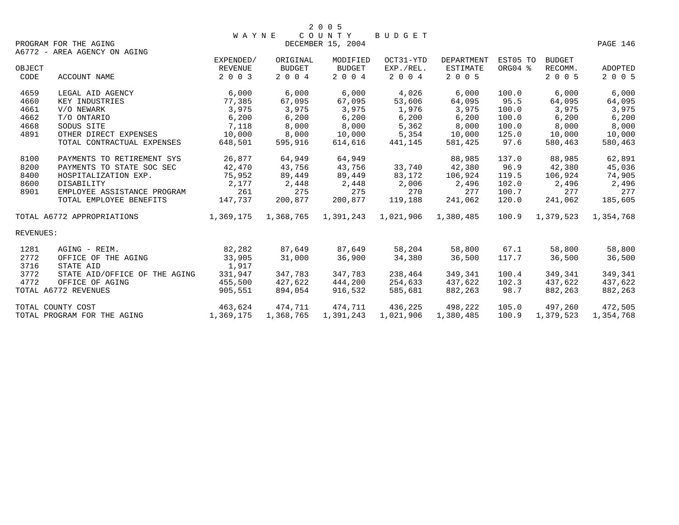|           |                               | <b>WAYNE</b> |           | C O U N T Y            | BUDGET    |                   |          |               |           |
|-----------|-------------------------------|--------------|-----------|------------------------|-----------|-------------------|----------|---------------|-----------|
|           | PROGRAM FOR THE AGING         |              |           | DECEMBER 15, 2004      |           |                   |          |               | PAGE 146  |
|           | A6772 - AREA AGENCY ON AGING  |              |           |                        |           |                   |          |               |           |
|           |                               | EXPENDED/    | ORIGINAL  | MODIFIED               | OCT31-YTD | <b>DEPARTMENT</b> | EST05 TO | <b>BUDGET</b> |           |
| OBJECT    |                               | REVENUE      | BUDGET    | <b>BUDGET</b>          | EXP./REL. | ESTIMATE          | ORG04 %  | RECOMM.       | ADOPTED   |
| CODE      | ACCOUNT NAME                  | 2 0 0 3      | 2 0 0 4   | 2 0 0 4                | 2 0 0 4   | 2 0 0 5           |          | 2 0 0 5       | 2 0 0 5   |
| 4659      | LEGAL AID AGENCY              | 6,000        | 6,000     | 6,000                  | 4,026     | 6,000             | 100.0    | 6,000         | 6,000     |
| 4660      | KEY INDUSTRIES                | 77,385       | 67,095    | 67,095                 | 53,606    | 64,095            | 95.5     | 64,095        | 64,095    |
| 4661      | V/O NEWARK                    | 3,975        | 3,975     | 3,975                  | 1,976     | 3,975             | 100.0    | 3,975         | 3,975     |
| 4662      | T/O ONTARIO                   | 6,200        | 6,200     | 6,200                  | 6,200     | 6,200             | 100.0    | 6,200         | 6,200     |
| 4668      | SODUS SITE                    | 7,118        | 8,000     | 8,000                  | 5,362     | 8,000             | 100.0    | 8,000         | 8,000     |
| 4891      | OTHER DIRECT EXPENSES         | 10,000       | 8,000     | 10,000                 | 5,354     | 10,000            | 125.0    | 10,000        | 10,000    |
|           | TOTAL CONTRACTUAL EXPENSES    | 648,501      | 595,916   | 614,616                | 441,145   | 581,425           | 97.6     | 580,463       | 580,463   |
| 8100      | PAYMENTS TO RETIREMENT SYS    | 26,877       | 64,949    | 64,949                 |           | 88,985            | 137.0    | 88,985        | 62,891    |
| 8200      | PAYMENTS TO STATE SOC SEC     | 42,470       | 43,756    | 43,756                 | 33,740    | 42,380            | 96.9     | 42,380        | 45,036    |
| 8400      | HOSPITALIZATION EXP.          | 75,952       | 89,449    | 89,449                 | 83,172    | 106,924           | 119.5    | 106,924       | 74,905    |
| 8600      | DISABILITY                    | 2,177        | 2,448     | 2,448                  | 2,006     | 2,496             | 102.0    | 2,496         | 2,496     |
| 8901      | EMPLOYEE ASSISTANCE PROGRAM   | 261          | 275       | 275                    | 270       | 277               | 100.7    | 277           | 277       |
|           | TOTAL EMPLOYEE BENEFITS       | 147,737      | 200,877   | 200,877                | 119,188   | 241,062           | 120.0    | 241,062       | 185,605   |
|           | TOTAL A6772 APPROPRIATIONS    | 1,369,175    |           | 1,368,765    1,391,243 | 1,021,906 | 1,380,485         | 100.9    | 1,379,523     | 1,354,768 |
| REVENUES: |                               |              |           |                        |           |                   |          |               |           |
| 1281      | AGING - REIM.                 | 82,282       | 87,649    | 87,649                 | 58,204    | 58,800            | 67.1     | 58,800        | 58,800    |
| 2772      | OFFICE OF THE AGING           | 33,905       | 31,000    | 36,900                 | 34,380    | 36,500            | 117.7    | 36,500        | 36,500    |
| 3716      | STATE AID                     | 1,917        |           |                        |           |                   |          |               |           |
| 3772      | STATE AID/OFFICE OF THE AGING | 331,947      | 347,783   | 347,783                | 238,464   | 349,341           | 100.4    | 349,341       | 349,341   |
| 4772      | OFFICE OF AGING               | 455,500      | 427,622   | 444,200                | 254,633   | 437,622           | 102.3    | 437,622       | 437,622   |
|           | TOTAL A6772 REVENUES          | 905,551      | 894,054   | 916,532                | 585,681   | 882,263           | 98.7     | 882,263       | 882,263   |
|           | TOTAL COUNTY COST             | 463,624      | 474,711   | 474,711                | 436,225   | 498,222           | 105.0    | 497,260       | 472,505   |
|           | TOTAL PROGRAM FOR THE AGING   | 1,369,175    | 1,368,765 | 1,391,243              | 1,021,906 | 1,380,485         | 100.9    | 1,379,523     | 1,354,768 |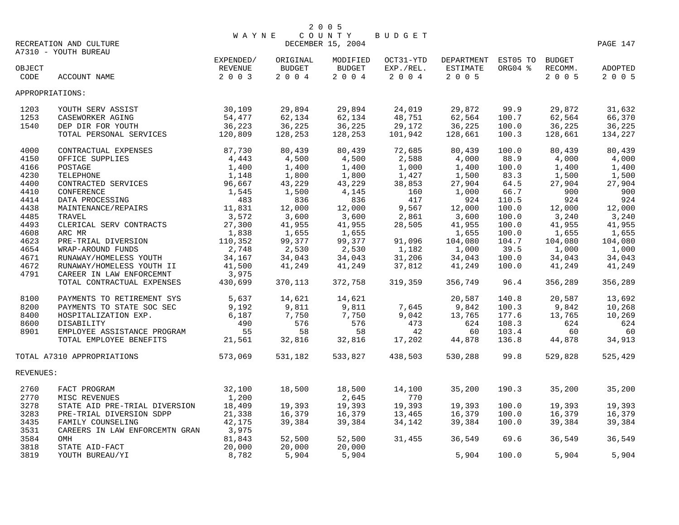|                 | RECREATION AND CULTURE         | WAYNE                           |                                   | 2 0 0 5<br>DECEMBER 15, 2004      | BUDGET                           |                                          |                     |                                     | PAGE 147           |
|-----------------|--------------------------------|---------------------------------|-----------------------------------|-----------------------------------|----------------------------------|------------------------------------------|---------------------|-------------------------------------|--------------------|
|                 | A7310 - YOUTH BUREAU           |                                 |                                   |                                   |                                  |                                          |                     |                                     |                    |
| OBJECT<br>CODE  | ACCOUNT NAME                   | EXPENDED/<br>REVENUE<br>2 0 0 3 | ORIGINAL<br><b>BUDGET</b><br>2004 | MODIFIED<br><b>BUDGET</b><br>2004 | OCT31-YTD<br>EXP./REL.<br>$2004$ | DEPARTMENT<br><b>ESTIMATE</b><br>2 0 0 5 | EST05 TO<br>ORG04 % | <b>BUDGET</b><br>RECOMM.<br>2 0 0 5 | ADOPTED<br>2 0 0 5 |
| APPROPRIATIONS: |                                |                                 |                                   |                                   |                                  |                                          |                     |                                     |                    |
| 1203            | YOUTH SERV ASSIST              | 30,109                          | 29,894                            | 29,894                            | 24,019                           | 29,872                                   | 99.9                | 29,872                              | 31,632             |
| 1253            | CASEWORKER AGING               | 54,477                          | 62,134                            | 62,134                            | 48,751                           | 62,564                                   | 100.7               | 62,564                              | 66,370             |
| 1540            | DEP DIR FOR YOUTH              | 36,223                          | 36,225                            | 36,225                            | 29,172                           | 36,225                                   | 100.0               | 36,225                              | 36,225             |
|                 | TOTAL PERSONAL SERVICES        | 120,809                         | 128,253                           | 128,253                           | 101,942                          | 128,661                                  | 100.3               | 128,661                             | 134,227            |
| 4000            | CONTRACTUAL EXPENSES           | 87,730                          | 80,439                            | 80,439                            | 72,685                           | 80,439                                   | 100.0               | 80,439                              | 80,439             |
| 4150            | OFFICE SUPPLIES                | 4,443                           | 4,500                             | 4,500                             | 2,588                            | 4,000                                    | 88.9                | 4,000                               | 4,000              |
| 4166            | POSTAGE                        | 1,400                           | 1,400                             | 1,400                             | 1,000                            | 1,400                                    | 100.0               | 1,400                               | 1,400              |
| 4230            | TELEPHONE                      | 1,148                           | 1,800                             | 1,800                             | 1,427                            | 1,500                                    | 83.3                | 1,500                               | 1,500              |
| 4400            | CONTRACTED SERVICES            | 96,667                          | 43,229                            | 43,229                            | 38,853                           | 27,904                                   | 64.5                | 27,904                              | 27,904             |
| 4410            | CONFERENCE                     | 1,545                           | 1,500                             | 4,145                             | 160                              | 1,000                                    | 66.7                | 900                                 | 900                |
| 4414            | DATA PROCESSING                | 483                             | 836                               | 836                               | 417                              | 924                                      | 110.5               | 924                                 | 924                |
| 4438            | MAINTENANCE/REPAIRS            | 11,831                          | 12,000                            | 12,000                            | 9,567                            | 12,000                                   | 100.0               | 12,000                              | 12,000             |
| 4485            | TRAVEL                         | 3,572                           | 3,600                             | 3,600                             | 2,861                            | 3,600                                    | 100.0               | 3,240                               | 3,240              |
| 4493            | CLERICAL SERV CONTRACTS        | 27,300                          | 41,955                            | 41,955                            | 28,505                           | 41,955                                   | 100.0               | 41,955                              | 41,955             |
| 4608            | ARC MR                         | 1,838                           | 1,655                             | 1,655                             |                                  | 1,655                                    | 100.0               | 1,655                               | 1,655              |
| 4623            | PRE-TRIAL DIVERSION            | 110,352                         | 99,377                            | 99,377                            | 91,096                           | 104,080                                  | 104.7               | 104,080                             | 104,080            |
| 4654            | WRAP-AROUND FUNDS              | 2,748                           | 2,530                             | 2,530                             | 1,182                            | 1,000                                    | 39.5                | 1,000                               | 1,000              |
| 4671            | RUNAWAY/HOMELESS YOUTH         | 34,167                          | 34,043                            | 34,043                            | 31,206                           | 34,043                                   | 100.0               | 34,043                              | 34,043             |
| 4672            | RUNAWAY/HOMELESS YOUTH II      | 41,500                          | 41,249                            | 41,249                            | 37,812                           | 41,249                                   | 100.0               | 41,249                              | 41,249             |
| 4791            | CAREER IN LAW ENFORCEMNT       | 3,975                           |                                   |                                   |                                  |                                          |                     |                                     |                    |
|                 | TOTAL CONTRACTUAL EXPENSES     | 430,699                         | 370,113                           | 372,758                           | 319,359                          | 356,749                                  | 96.4                | 356,289                             | 356,289            |
| 8100            | PAYMENTS TO RETIREMENT SYS     | 5,637                           | 14,621                            | 14,621                            |                                  | 20,587                                   | 140.8               | 20,587                              | 13,692             |
| 8200            | PAYMENTS TO STATE SOC SEC      | 9,192                           | 9,811                             | 9,811                             | 7,645                            | 9,842                                    | 100.3               | 9,842                               | 10,268             |
| 8400            | HOSPITALIZATION EXP.           | 6,187                           | 7,750                             | 7,750                             | 9,042                            | 13,765                                   | 177.6               | 13,765                              | 10,269             |
| 8600            | DISABILITY                     | 490                             | 576                               | 576                               | 473                              | 624                                      | 108.3               | 624                                 | 624                |
| 8901            | EMPLOYEE ASSISTANCE PROGRAM    | 55                              | 58                                | 58                                | 42                               | 60                                       | 103.4               | 60                                  | 60                 |
|                 | TOTAL EMPLOYEE BENEFITS        | 21,561                          | 32,816                            | 32,816                            | 17,202                           | 44,878                                   | 136.8               | 44,878                              | 34,913             |
|                 | TOTAL A7310 APPROPRIATIONS     | 573,069                         | 531,182                           | 533,827                           | 438,503                          | 530,288                                  | 99.8                | 529,828                             | 525,429            |
| REVENUES:       |                                |                                 |                                   |                                   |                                  |                                          |                     |                                     |                    |
| 2760            | FACT PROGRAM                   | 32,100                          | 18,500                            | 18,500                            | 14,100                           | 35,200                                   | 190.3               | 35,200                              | 35,200             |
| 2770            | MISC REVENUES                  | 1,200                           |                                   | 2,645                             | 770                              |                                          |                     |                                     |                    |
| 3278            | STATE AID PRE-TRIAL DIVERSION  | 18,409                          | 19,393                            | 19,393                            | 19,393                           | 19,393                                   | 100.0               | 19,393                              | 19,393             |
| 3283            | PRE-TRIAL DIVERSION SDPP       | 21,338                          | 16,379                            | 16,379                            | 13,465                           | 16,379                                   | 100.0               | 16,379                              | 16,379             |
| 3435            | FAMILY COUNSELING              | 42,175                          | 39,384                            | 39,384                            | 34,142                           | 39,384                                   | 100.0               | 39,384                              | 39,384             |
| 3531            | CAREERS IN LAW ENFORCEMTN GRAN | 3,975                           |                                   |                                   |                                  |                                          |                     |                                     |                    |
| 3584            | OMH                            | 81,843                          | 52,500                            | 52,500                            | 31,455                           | 36,549                                   | 69.6                | 36,549                              | 36,549             |
| 3818            | STATE AID-FACT                 | 20,000                          | 20,000                            | 20,000                            |                                  |                                          |                     |                                     |                    |
| 3819            | YOUTH BUREAU/YI                | 8,782                           | 5,904                             | 5,904                             |                                  | 5,904                                    | 100.0               | 5,904                               | 5,904              |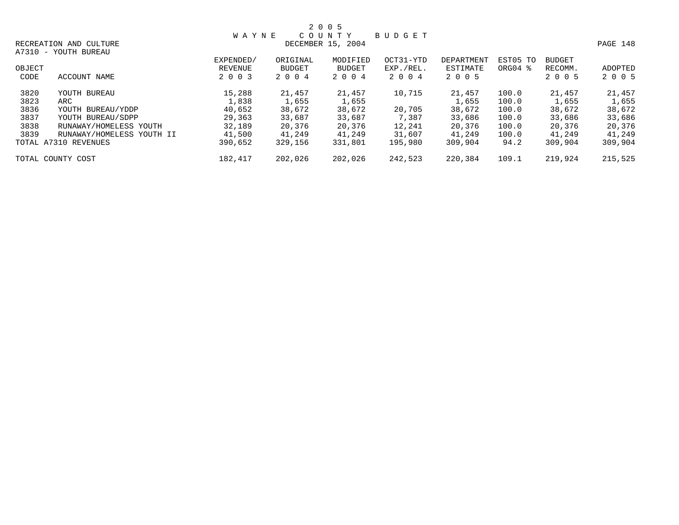|        |                           | <b>WAYNE</b> |               | 2 0 0 5<br>COUNTY | <b>BUDGET</b> |            |             |               |          |
|--------|---------------------------|--------------|---------------|-------------------|---------------|------------|-------------|---------------|----------|
|        | RECREATION AND CULTURE    |              |               | DECEMBER 15, 2004 |               |            |             |               | PAGE 148 |
|        | A7310 - YOUTH BUREAU      |              |               |                   |               |            |             |               |          |
|        |                           | EXPENDED/    | ORIGINAL      | MODIFIED          | OCT31-YTD     | DEPARTMENT | EST05 TO    | <b>BUDGET</b> |          |
| OBJECT |                           | REVENUE      | <b>BUDGET</b> | <b>BUDGET</b>     | EXP./REL.     | ESTIMATE   | $ORG04$ $%$ | RECOMM.       | ADOPTED  |
| CODE   | ACCOUNT NAME              | 2 0 0 3      | 2 0 0 4       | 2 0 0 4           | 2 0 0 4       | 2 0 0 5    |             | 2 0 0 5       | 2 0 0 5  |
| 3820   | YOUTH BUREAU              | 15,288       | 21,457        | 21,457            | 10,715        | 21,457     | 100.0       | 21,457        | 21,457   |
| 3823   | ARC                       | 1,838        | 1,655         | 1,655             |               | 1,655      | 100.0       | 1,655         | 1,655    |
| 3836   | YOUTH BUREAU/YDDP         | 40,652       | 38,672        | 38,672            | 20,705        | 38,672     | 100.0       | 38,672        | 38,672   |
| 3837   | YOUTH BUREAU/SDPP         | 29,363       | 33,687        | 33,687            | 7,387         | 33,686     | 100.0       | 33,686        | 33,686   |
| 3838   | RUNAWAY/HOMELESS YOUTH    | 32,189       | 20,376        | 20,376            | 12,241        | 20,376     | 100.0       | 20,376        | 20,376   |
| 3839   | RUNAWAY/HOMELESS YOUTH II | 41,500       | 41,249        | 41,249            | 31,607        | 41,249     | 100.0       | 41,249        | 41,249   |
|        | TOTAL A7310 REVENUES      | 390,652      | 329,156       | 331,801           | 195,980       | 309,904    | 94.2        | 309,904       | 309,904  |
|        | TOTAL COUNTY COST         | 182,417      | 202,026       | 202,026           | 242,523       | 220,384    | 109.1       | 219,924       | 215,525  |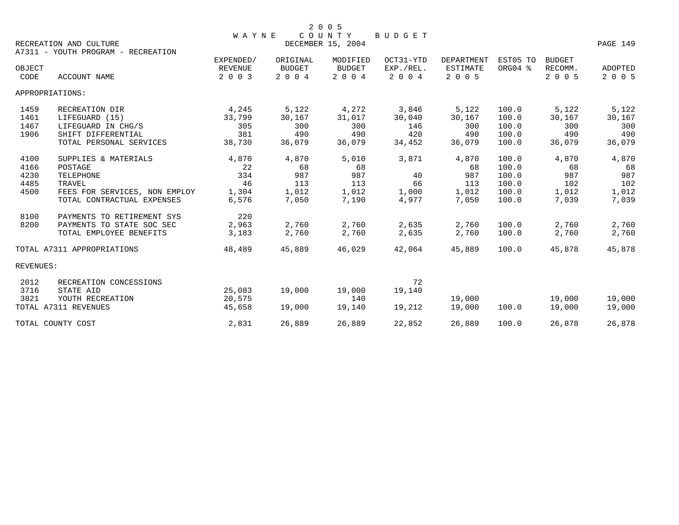|           |                                    | <b>WAYNE</b> |               | COUNTY            | <b>BUDGET</b> |                   |          |               |                |
|-----------|------------------------------------|--------------|---------------|-------------------|---------------|-------------------|----------|---------------|----------------|
|           | RECREATION AND CULTURE             |              |               | DECEMBER 15, 2004 |               |                   |          |               | PAGE 149       |
|           | A7311 - YOUTH PROGRAM - RECREATION |              |               |                   |               |                   |          |               |                |
|           |                                    | EXPENDED/    | ORIGINAL      | MODIFIED          | OCT31-YTD     | <b>DEPARTMENT</b> | EST05 TO | <b>BUDGET</b> |                |
| OBJECT    |                                    | REVENUE      | <b>BUDGET</b> | <b>BUDGET</b>     | EXP./REL.     | <b>ESTIMATE</b>   | ORG04 %  | RECOMM.       | <b>ADOPTED</b> |
| CODE      | <b>ACCOUNT NAME</b>                | 2 0 0 3      | 2 0 0 4       | 2 0 0 4           | 2 0 0 4       | 2 0 0 5           |          | 2 0 0 5       | 2 0 0 5        |
|           | APPROPRIATIONS:                    |              |               |                   |               |                   |          |               |                |
| 1459      | RECREATION DIR                     | 4,245        | 5,122         | 4,272             | 3,846         | 5,122             | 100.0    | 5,122         | 5,122          |
| 1461      | LIFEGUARD (15)                     | 33,799       | 30,167        | 31,017            | 30,040        | 30,167            | 100.0    | 30,167        | 30,167         |
| 1467      | LIFEGUARD IN CHG/S                 | 305          | 300           | 300               | 146           | 300               | 100.0    | 300           | 300            |
| 1906      | SHIFT DIFFERENTIAL                 | 381          | 490           | 490               | 420           | 490               | 100.0    | 490           | 490            |
|           | TOTAL PERSONAL SERVICES            | 38,730       | 36,079        | 36,079            | 34,452        | 36,079            | 100.0    | 36,079        | 36,079         |
| 4100      | SUPPLIES & MATERIALS               | 4,870        | 4,870         | 5,010             | 3,871         | 4,870             | 100.0    | 4,870         | 4,870          |
| 4166      | POSTAGE                            | 22           | 68            | 68                |               | 68                | 100.0    | 68            | 68             |
| 4230      | <b>TELEPHONE</b>                   | 334          | 987           | 987               | 40            | 987               | 100.0    | 987           | 987            |
| 4485      | TRAVEL                             | 46           | 113           | 113               | 66            | 113               | 100.0    | 102           | 102            |
| 4500      | FEES FOR SERVICES, NON EMPLOY      | 1,304        | 1,012         | 1,012             | 1,000         | 1,012             | 100.0    | 1,012         | 1,012          |
|           | TOTAL CONTRACTUAL EXPENSES         | 6,576        | 7,050         | 7,190             | 4,977         | 7,050             | 100.0    | 7,039         | 7,039          |
| 8100      | PAYMENTS TO RETIREMENT SYS         | 220          |               |                   |               |                   |          |               |                |
| 8200      | PAYMENTS TO STATE SOC SEC          | 2,963        | 2,760         | 2,760             | 2,635         | 2,760             | 100.0    | 2,760         | 2,760          |
|           | TOTAL EMPLOYEE BENEFITS            | 3,183        | 2,760         | 2,760             | 2,635         | 2,760             | 100.0    | 2,760         | 2,760          |
|           | TOTAL A7311 APPROPRIATIONS         | 48,489       | 45,889        | 46,029            | 42,064        | 45,889            | 100.0    | 45,878        | 45,878         |
| REVENUES: |                                    |              |               |                   |               |                   |          |               |                |
| 2012      | RECREATION CONCESSIONS             |              |               |                   | 72            |                   |          |               |                |
| 3716      | STATE AID                          | 25,083       | 19,000        | 19,000            | 19,140        |                   |          |               |                |
| 3821      | YOUTH RECREATION                   | 20,575       |               | 140               |               | 19,000            |          | 19,000        | 19,000         |
|           | TOTAL A7311 REVENUES               | 45,658       | 19,000        | 19,140            | 19,212        | 19,000            | 100.0    | 19,000        | 19,000         |
|           | TOTAL COUNTY COST                  | 2,831        | 26,889        | 26,889            | 22,852        | 26,889            | 100.0    | 26,878        | 26,878         |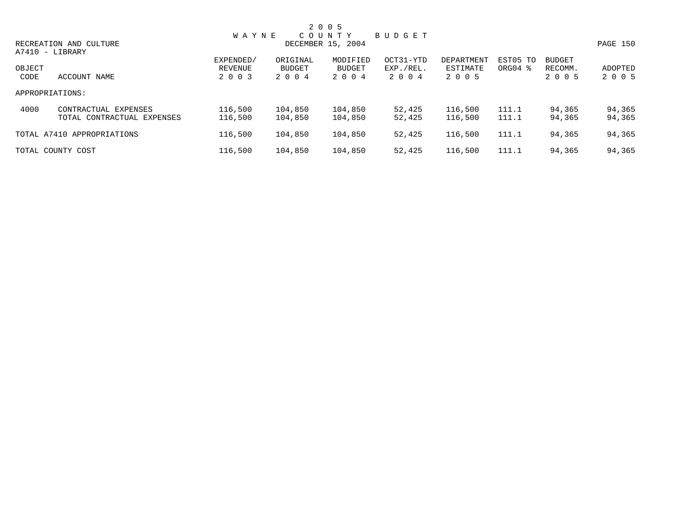|        |                            |              |               | 2 0 0 5           |               |            |          |               |          |
|--------|----------------------------|--------------|---------------|-------------------|---------------|------------|----------|---------------|----------|
|        |                            | <b>WAYNE</b> |               | COUNTY            | <b>BUDGET</b> |            |          |               |          |
|        | RECREATION AND CULTURE     |              |               | DECEMBER 15, 2004 |               |            |          |               | PAGE 150 |
|        | A7410 - LIBRARY            |              |               |                   |               |            |          |               |          |
|        |                            | EXPENDED/    | ORIGINAL      | MODIFIED          | OCT31-YTD     | DEPARTMENT | EST05 TO | <b>BUDGET</b> |          |
| OBJECT |                            | REVENUE      | <b>BUDGET</b> | BUDGET            | EXP./REL.     | ESTIMATE   | ORG04 %  | RECOMM.       | ADOPTED  |
| CODE   | ACCOUNT NAME               | 2 0 0 3      | 2004          | 2004              | 2004          | 2 0 0 5    |          | 2 0 0 5       | 2 0 0 5  |
|        | APPROPRIATIONS:            |              |               |                   |               |            |          |               |          |
| 4000   | CONTRACTUAL EXPENSES       | 116,500      | 104,850       | 104,850           | 52,425        | 116,500    | 111.1    | 94,365        | 94,365   |
|        | TOTAL CONTRACTUAL EXPENSES | 116,500      | 104,850       | 104,850           | 52,425        | 116,500    | 111.1    | 94,365        | 94,365   |
|        | TOTAL A7410 APPROPRIATIONS | 116,500      | 104,850       | 104,850           | 52,425        | 116,500    | 111.1    | 94,365        | 94,365   |
|        | TOTAL COUNTY COST          | 116,500      | 104,850       | 104,850           | 52,425        | 116,500    | 111.1    | 94,365        | 94,365   |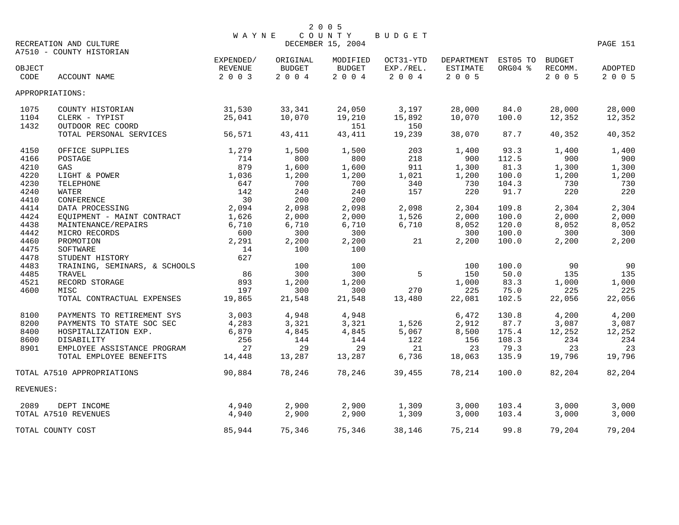|           | RECREATION AND CULTURE<br>A7510 - COUNTY HISTORIAN | WAYNE                |                           | 2 0 0 5<br>COUNTY<br>DECEMBER 15, 2004 | BUDGET                 |                               |                     |                          | PAGE 151       |
|-----------|----------------------------------------------------|----------------------|---------------------------|----------------------------------------|------------------------|-------------------------------|---------------------|--------------------------|----------------|
| OBJECT    |                                                    | EXPENDED/<br>REVENUE | ORIGINAL<br><b>BUDGET</b> | MODIFIED<br><b>BUDGET</b>              | OCT31-YTD<br>EXP./REL. | DEPARTMENT<br><b>ESTIMATE</b> | EST05 TO<br>ORG04 % | <b>BUDGET</b><br>RECOMM. | <b>ADOPTED</b> |
| CODE      | ACCOUNT NAME                                       | 2 0 0 3              | 2 0 0 4                   | 2004                                   | 2 0 0 4                | 2 0 0 5                       |                     | 2 0 0 5                  | 2 0 0 5        |
|           | APPROPRIATIONS:                                    |                      |                           |                                        |                        |                               |                     |                          |                |
| 1075      | COUNTY HISTORIAN                                   | 31,530               | 33,341                    | 24,050                                 | 3,197                  | 28,000                        | 84.0                | 28,000                   | 28,000         |
| 1104      | CLERK - TYPIST                                     | 25,041               | 10,070                    | 19,210                                 | 15,892                 | 10,070                        | 100.0               | 12,352                   | 12,352         |
| 1432      | OUTDOOR REC COORD                                  |                      |                           | 151                                    | 150                    |                               |                     |                          |                |
|           | TOTAL PERSONAL SERVICES                            | 56,571               | 43,411                    | 43,411                                 | 19,239                 | 38,070                        | 87.7                | 40,352                   | 40,352         |
| 4150      | OFFICE SUPPLIES                                    | 1,279                | 1,500                     | 1,500                                  | 203                    | 1,400                         | 93.3                | 1,400                    | 1,400          |
| 4166      | POSTAGE                                            | 714                  | 800                       | 800                                    | 218                    | 900                           | 112.5               | 900                      | 900            |
| 4210      | GAS                                                | 879                  | 1,600                     | 1,600                                  | 911                    | 1,300                         | 81.3                | 1,300                    | 1,300          |
| 4220      | LIGHT & POWER                                      | 1,036                | 1,200                     | 1,200                                  | 1,021                  | 1,200                         | 100.0               | 1,200                    | 1,200          |
| 4230      | TELEPHONE                                          | 647                  | 700                       | 700                                    | 340                    | 730                           | 104.3               | 730                      | 730            |
| 4240      | WATER                                              | 142                  | 240                       | 240                                    | 157                    | 220                           | 91.7                | 220                      | 220            |
| 4410      | CONFERENCE                                         | 30                   | 200                       | 200                                    |                        |                               |                     |                          |                |
| 4414      | DATA PROCESSING                                    | 2,094                | 2,098                     | 2,098                                  | 2,098                  | 2,304                         | 109.8               | 2,304                    | 2,304          |
| 4424      | EQUIPMENT - MAINT CONTRACT                         | 1,626                | 2,000                     | 2,000                                  | 1,526                  | 2,000                         | 100.0               | 2,000                    | 2,000          |
| 4438      | MAINTENANCE/REPAIRS                                | 6,710                | 6,710                     | 6,710                                  | 6,710                  | 8,052                         | 120.0               | 8,052                    | 8,052          |
| 4442      | MICRO RECORDS                                      | 600                  | 300                       | 300                                    |                        | 300                           | 100.0               | 300                      | 300            |
| 4460      | PROMOTION                                          | 2,291                | 2,200                     | 2,200                                  | 21                     | 2,200                         | 100.0               | 2,200                    | 2,200          |
| 4475      | SOFTWARE                                           | 14                   | 100                       | 100                                    |                        |                               |                     |                          |                |
| 4478      | STUDENT HISTORY                                    | 627                  |                           |                                        |                        |                               |                     |                          |                |
| 4483      | TRAINING, SEMINARS, & SCHOOLS                      |                      | 100                       | 100                                    |                        | 100                           | 100.0               | 90                       | 90             |
| 4485      | TRAVEL                                             | 86                   | 300                       | 300                                    | 5                      | 150                           | 50.0                | 135                      | 135            |
| 4521      | RECORD STORAGE                                     | 893                  | 1,200                     | 1,200                                  |                        | 1,000                         | 83.3                | 1,000                    | 1,000          |
| 4600      | MISC                                               | 197                  | 300                       | 300                                    | 270                    | 225                           | 75.0                | 225                      | 225            |
|           | TOTAL CONTRACTUAL EXPENSES                         | 19,865               | 21,548                    | 21,548                                 | 13,480                 | 22,081                        | 102.5               | 22,056                   | 22,056         |
| 8100      | PAYMENTS TO RETIREMENT SYS                         | 3,003                | 4,948                     | 4,948                                  |                        | 6,472                         | 130.8               | 4,200                    | 4,200          |
| 8200      | PAYMENTS TO STATE SOC SEC                          | 4,283                | 3,321                     | 3,321                                  | 1,526                  | 2,912                         | 87.7                | 3,087                    | 3,087          |
| 8400      | HOSPITALIZATION EXP.                               | 6,879                | 4,845                     | 4,845                                  | 5,067                  | 8,500                         | 175.4               | 12,252                   | 12,252         |
| 8600      | DISABILITY                                         | 256                  | 144                       | 144                                    | 122                    | 156                           | 108.3               | 234                      | 234            |
| 8901      | EMPLOYEE ASSISTANCE PROGRAM                        | 27                   | 29                        | 29                                     | 21                     | 23                            | 79.3                | 23                       | 23             |
|           | TOTAL EMPLOYEE BENEFITS                            | 14,448               | 13,287                    | 13,287                                 | 6,736                  | 18,063                        | 135.9               | 19,796                   | 19,796         |
|           | TOTAL A7510 APPROPRIATIONS                         | 90,884               | 78,246                    | 78,246                                 | 39,455                 | 78,214                        | 100.0               | 82,204                   | 82,204         |
| REVENUES: |                                                    |                      |                           |                                        |                        |                               |                     |                          |                |
| 2089      | DEPT INCOME                                        | 4,940                | 2,900                     | 2,900                                  | 1,309                  | 3,000                         | 103.4               | 3,000                    | 3,000          |
|           | TOTAL A7510 REVENUES                               | 4,940                | 2,900                     | 2,900                                  | 1,309                  | 3,000                         | 103.4               | 3,000                    | 3,000          |
|           | TOTAL COUNTY COST                                  | 85,944               | 75,346                    | 75,346                                 | 38,146                 | 75,214                        | 99.8                | 79,204                   | 79,204         |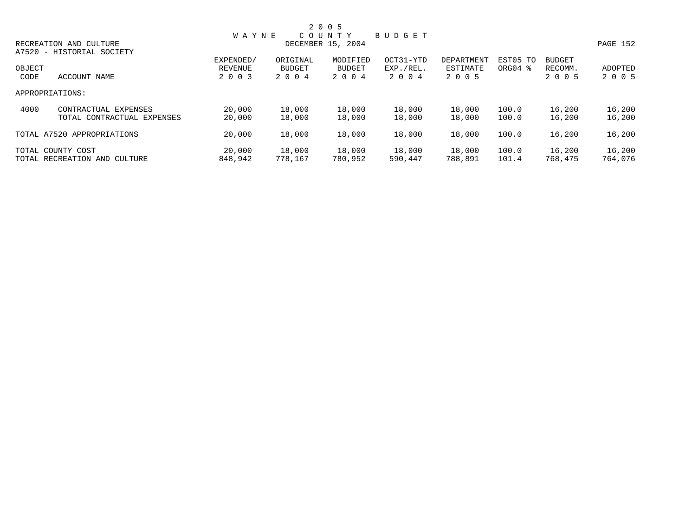|        |                              |              |               | 2 0 0 5           |               |            |                     |               |          |
|--------|------------------------------|--------------|---------------|-------------------|---------------|------------|---------------------|---------------|----------|
|        |                              | <b>WAYNE</b> |               | COUNTY            | <b>BUDGET</b> |            |                     |               |          |
|        | RECREATION AND CULTURE       |              |               | DECEMBER 15, 2004 |               |            |                     |               | PAGE 152 |
|        | A7520 - HISTORIAL SOCIETY    |              |               |                   |               |            |                     |               |          |
|        |                              | EXPENDED/    | ORIGINAL      | MODIFIED          | OCT31-YTD     | DEPARTMENT | EST05 TO            | <b>BUDGET</b> |          |
| OBJECT |                              | REVENUE      | <b>BUDGET</b> | <b>BUDGET</b>     | EXP./REL.     | ESTIMATE   | ORG04 $\frac{8}{3}$ | RECOMM.       | ADOPTED  |
| CODE   | ACCOUNT NAME                 | 2 0 0 3      | 2 0 0 4       | 2 0 0 4           | 2004          | 2 0 0 5    |                     | 2 0 0 5       | 2 0 0 5  |
|        | APPROPRIATIONS:              |              |               |                   |               |            |                     |               |          |
| 4000   | CONTRACTUAL EXPENSES         | 20,000       | 18,000        | 18,000            | 18,000        | 18,000     | 100.0               | 16,200        | 16,200   |
|        | TOTAL CONTRACTUAL EXPENSES   | 20,000       | 18,000        | 18,000            | 18,000        | 18,000     | 100.0               | 16,200        | 16,200   |
|        | TOTAL A7520 APPROPRIATIONS   | 20,000       | 18,000        | 18,000            | 18,000        | 18,000     | 100.0               | 16,200        | 16,200   |
|        | TOTAL COUNTY COST            | 20,000       | 18,000        | 18,000            | 18,000        | 18,000     | 100.0               | 16,200        | 16,200   |
|        | TOTAL RECREATION AND CULTURE | 848,942      | 778,167       | 780,952           | 590,447       | 788,891    | 101.4               | 768,475       | 764,076  |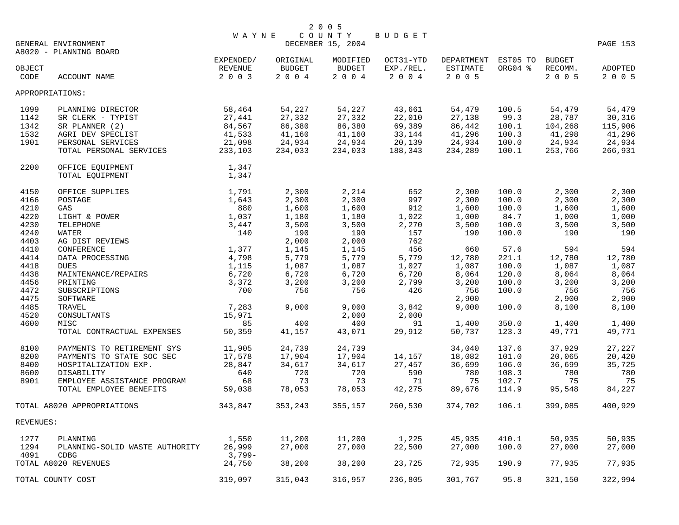|              |                                               |                |                | 2 0 0 5           |                |                     |                |                 |                 |
|--------------|-----------------------------------------------|----------------|----------------|-------------------|----------------|---------------------|----------------|-----------------|-----------------|
|              |                                               | <b>WAYNE</b>   |                | COUNTY            | <b>BUDGET</b>  |                     |                |                 |                 |
|              | GENERAL ENVIRONMENT<br>A8020 - PLANNING BOARD |                |                | DECEMBER 15, 2004 |                |                     |                |                 | <b>PAGE 153</b> |
|              |                                               | EXPENDED/      | ORIGINAL       | MODIFIED          | OCT31-YTD      | DEPARTMENT EST05 TO |                | BUDGET          |                 |
| OBJECT       |                                               | REVENUE        | <b>BUDGET</b>  | BUDGET            | EXP./REL.      | ESTIMATE            | ORG04 %        | RECOMM.         | ADOPTED         |
| CODE         | ACCOUNT NAME                                  | 2 0 0 3        | $2 0 0 4$      | $2 0 0 4$         | 2004           | 2 0 0 5             |                | 2 0 0 5         | 2 0 0 5         |
|              | APPROPRIATIONS:                               |                |                |                   |                |                     |                |                 |                 |
| 1099         | PLANNING DIRECTOR                             | 58,464         | 54,227         | 54,227            | 43,661         | 54,479              | 100.5          | 54,479          | 54,479          |
| 1142         | SR CLERK - TYPIST                             | 27,441         | 27,332         | 27,332            | 22,010         | 27,138              | 99.3           | 28,787          | 30,316          |
| 1342         | SR PLANNER (2)                                | 84,567         | 86,380         | 86,380            | 69,389         | 86,442              | 100.1          | 104,268         | 115,906         |
| 1532         | AGRI DEV SPECLIST                             | 41,533         | 41,160         | 41,160            | 33,144         | 41,296              | 100.3          | 41,298          | 41,296          |
| 1901         | PERSONAL SERVICES                             | 21,098         | 24,934         | 24,934            | 20,139         | 24,934              | 100.0          | 24,934          | 24,934          |
|              | TOTAL PERSONAL SERVICES                       | 233,103        | 234,033        | 234,033           | 188,343        | 234,289             | 100.1          | 253,766         | 266,931         |
| 2200         | OFFICE EQUIPMENT                              | 1,347          |                |                   |                |                     |                |                 |                 |
|              | TOTAL EQUIPMENT                               | 1,347          |                |                   |                |                     |                |                 |                 |
| 4150         | OFFICE SUPPLIES                               | 1,791          | 2,300          | 2,214             | 652            | 2,300               | 100.0          | 2,300           | 2,300           |
| 4166         | POSTAGE                                       | 1,643          | 2,300          | 2,300             | 997            | 2,300               | 100.0          | 2,300           | 2,300           |
| 4210         | GAS                                           | 880            | 1,600          | 1,600             | 912            | 1,600               | 100.0          | 1,600           | 1,600           |
| 4220         | LIGHT & POWER                                 | 1,037          | 1,180          | 1,180             | 1,022          | 1,000               | 84.7           | 1,000           | 1,000           |
| 4230         | TELEPHONE                                     | 3,447          | 3,500          | 3,500             | 2,270          | 3,500               | 100.0          | 3,500           | 3,500           |
| 4240         | WATER                                         | 140            | 190            | 190               | 157            | 190                 | 100.0          | 190             | 190             |
| 4403         | AG DIST REVIEWS                               |                | 2,000          | 2,000             | 762<br>456     |                     |                | 594             | 594             |
| 4410<br>4414 | CONFERENCE                                    | 1,377          | 1,145          | 1,145             |                | 660                 | 57.6           |                 |                 |
| 4418         | DATA PROCESSING<br><b>DUES</b>                | 4,798<br>1,115 | 5,779<br>1,087 | 5,779<br>1,087    | 5,779<br>1,027 | 12,780<br>1,087     | 221.1<br>100.0 | 12,780<br>1,087 | 12,780<br>1,087 |
| 4438         | MAINTENANCE/REPAIRS                           | 6,720          | 6,720          | 6,720             | 6,720          | 8,064               | 120.0          | 8,064           | 8,064           |
| 4456         | PRINTING                                      | 3,372          | 3,200          | 3,200             | 2,799          | 3,200               | 100.0          | 3,200           | 3,200           |
| 4472         | SUBSCRIPTIONS                                 | 700            | 756            | 756               | 426            | 756                 | 100.0          | 756             | 756             |
| 4475         | SOFTWARE                                      |                |                |                   |                | 2,900               |                | 2,900           | 2,900           |
| 4485         | TRAVEL                                        | 7,283          | 9,000          | 9,000             | 3,842          | 9,000               | 100.0          | 8,100           | 8,100           |
| 4520         | CONSULTANTS                                   | 15,971         |                | 2,000             | 2,000          |                     |                |                 |                 |
| 4600         | MISC                                          | 85             | 400            | 400               | 91             | 1,400               | 350.0          | 1,400           | 1,400           |
|              | TOTAL CONTRACTUAL EXPENSES                    | 50,359         | 41,157         | 43,071            | 29,912         | 50,737              | 123.3          | 49,771          | 49,771          |
| 8100         | PAYMENTS TO RETIREMENT SYS                    | 11,905         | 24,739         | 24,739            |                | 34,040              | 137.6          | 37,929          | 27,227          |
| 8200         | PAYMENTS TO STATE SOC SEC                     | 17,578         | 17,904         | 17,904            | 14,157         | 18,082              | 101.0          | 20,065          | 20,420          |
| 8400         | HOSPITALIZATION EXP.                          | 28,847         | 34,617         | 34,617            | 27,457         | 36,699              | 106.0          | 36,699          | 35,725          |
| 8600         | DISABILITY                                    | 640            | 720            | 720               | 590            | 780                 | 108.3          | 780             | 780             |
| 8901         | EMPLOYEE ASSISTANCE PROGRAM                   | 68             | 73             | 73                | 71             | 75                  | 102.7          | 75              | 75              |
|              | TOTAL EMPLOYEE BENEFITS                       | 59,038         | 78,053         | 78,053            | 42,275         | 89,676              | 114.9          | 95,548          | 84,227          |
|              | TOTAL A8020 APPROPRIATIONS                    | 343,847        | 353,243        | 355,157           | 260,530        | 374,702             | 106.1          | 399,085         | 400,929         |
| REVENUES:    |                                               |                |                |                   |                |                     |                |                 |                 |
| 1277         | PLANNING                                      | 1,550          | 11,200         | 11,200            | 1,225          | 45,935              | 410.1          | 50,935          | 50,935          |
| 1294         | PLANNING-SOLID WASTE AUTHORITY                | 26,999         | 27,000         | 27,000            | 22,500         | 27,000              | 100.0          | 27,000          | 27,000          |
| 4091         | <b>CDBG</b>                                   | $3,799-$       |                |                   |                |                     |                |                 |                 |
|              | TOTAL A8020 REVENUES                          | 24,750         | 38,200         | 38,200            | 23,725         | 72,935              | 190.9          | 77,935          | 77,935          |
|              | TOTAL COUNTY COST                             | 319,097        | 315,043        | 316,957           | 236,805        | 301,767             | 95.8           | 321,150         | 322,994         |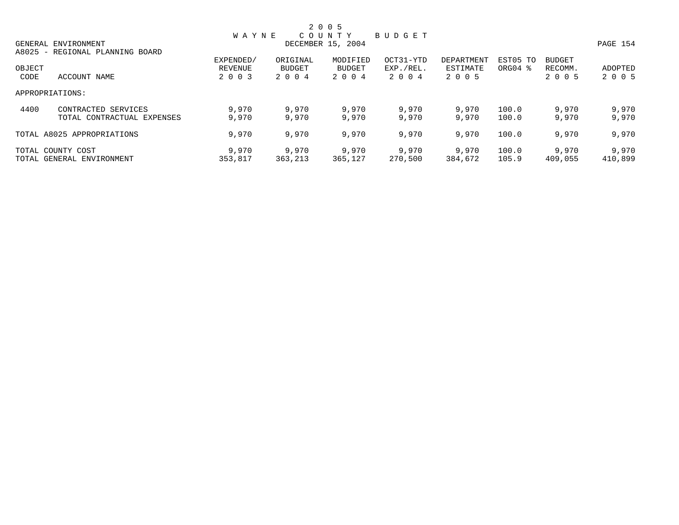|        |                                 |              |          | 2 0 0 5           |           |            |          |               |          |
|--------|---------------------------------|--------------|----------|-------------------|-----------|------------|----------|---------------|----------|
|        |                                 | <b>WAYNE</b> |          | COUNTY            | BUDGET    |            |          |               |          |
|        | GENERAL ENVIRONMENT             |              |          | DECEMBER 15, 2004 |           |            |          |               | PAGE 154 |
|        | A8025 - REGIONAL PLANNING BOARD |              |          |                   |           |            |          |               |          |
|        |                                 | EXPENDED/    | ORIGINAL | MODIFIED          | OCT31-YTD | DEPARTMENT | EST05 TO | <b>BUDGET</b> |          |
| OBJECT |                                 | REVENUE      | BUDGET   | BUDGET            | EXP./REL. | ESTIMATE   | ORG04 %  | RECOMM.       | ADOPTED  |
| CODE   | ACCOUNT NAME                    | 2 0 0 3      | 2 0 0 4  | 2 0 0 4           | 2004      | 2 0 0 5    |          | 2 0 0 5       | 2 0 0 5  |
|        | APPROPRIATIONS:                 |              |          |                   |           |            |          |               |          |
| 4400   | CONTRACTED SERVICES             | 9,970        | 9,970    | 9,970             | 9,970     | 9,970      | 100.0    | 9,970         | 9,970    |
|        | TOTAL CONTRACTUAL EXPENSES      | 9,970        | 9,970    | 9,970             | 9,970     | 9,970      | 100.0    | 9,970         | 9,970    |
|        | TOTAL A8025 APPROPRIATIONS      | 9,970        | 9,970    | 9,970             | 9,970     | 9,970      | 100.0    | 9,970         | 9,970    |
|        | TOTAL COUNTY COST               | 9,970        | 9,970    | 9,970             | 9,970     | 9,970      | 100.0    | 9,970         | 9,970    |
|        | TOTAL GENERAL ENVIRONMENT       | 353,817      | 363,213  | 365,127           | 270,500   | 384,672    | 105.9    | 409,055       | 410,899  |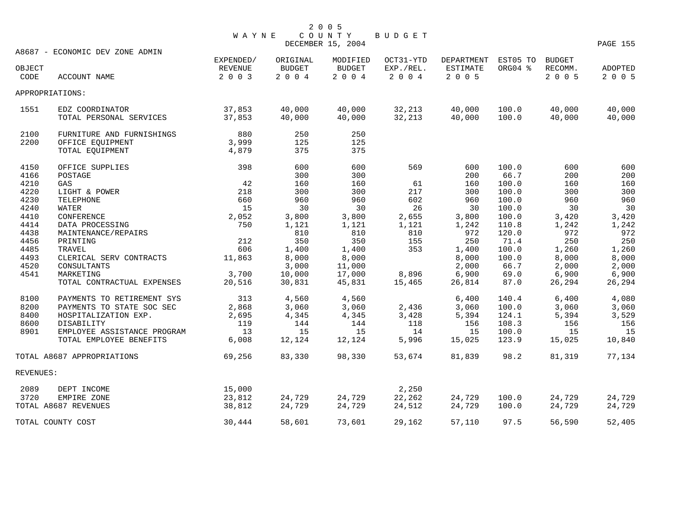| WAYNE COUNTY BUDGET |
|---------------------|
|                     |

|           |                                 |           |               | DECEMBER 15, 2004 |           |                     |         |         | PAGE 155 |
|-----------|---------------------------------|-----------|---------------|-------------------|-----------|---------------------|---------|---------|----------|
|           | A8687 - ECONOMIC DEV ZONE ADMIN |           |               |                   |           |                     |         |         |          |
|           |                                 | EXPENDED/ | ORIGINAL      | MODIFIED          | OCT31-YTD | DEPARTMENT EST05 TO |         | BUDGET  |          |
| OBJECT    |                                 | REVENUE   | <b>BUDGET</b> | <b>BUDGET</b>     | EXP./REL. | <b>ESTIMATE</b>     | ORG04 % | RECOMM. | ADOPTED  |
| CODE      | ACCOUNT NAME                    | 2 0 0 3   | $2 0 0 4$     | 2004              | $2 0 0 4$ | 2 0 0 5             |         | 2005    | 2 0 0 5  |
|           | APPROPRIATIONS:                 |           |               |                   |           |                     |         |         |          |
| 1551      | EDZ COORDINATOR                 | 37,853    | 40,000        | 40,000            | 32,213    | 40,000              | 100.0   | 40,000  | 40,000   |
|           | TOTAL PERSONAL SERVICES         | 37,853    | 40,000        | 40,000            | 32,213    | 40,000              | 100.0   | 40,000  | 40,000   |
| 2100      | FURNITURE AND FURNISHINGS       | 880       | 250           | 250               |           |                     |         |         |          |
| 2200      | OFFICE EQUIPMENT                | 3,999     | 125           | 125               |           |                     |         |         |          |
|           | TOTAL EQUIPMENT                 | 4,879     | 375           | 375               |           |                     |         |         |          |
| 4150      | OFFICE SUPPLIES                 | 398       | 600           | 600               | 569       | 600                 | 100.0   | 600     | 600      |
| 4166      | POSTAGE                         |           | 300           | 300               |           | 200                 | 66.7    | 200     | 200      |
| 4210      | GAS                             | 42        | 160           | 160               | 61        | 160                 | 100.0   | 160     | 160      |
| 4220      | LIGHT & POWER                   | 218       | 300           | 300               | 217       | 300                 | 100.0   | 300     | 300      |
| 4230      | TELEPHONE                       | 660       | 960           | 960               | 602       | 960                 | 100.0   | 960     | 960      |
| 4240      | WATER                           | 15        | 30            | 30                | 26        | 30                  | 100.0   | 30      | 30       |
| 4410      | CONFERENCE                      | 2,052     | 3,800         | 3,800             | 2,655     | 3,800               | 100.0   | 3,420   | 3,420    |
| 4414      | DATA PROCESSING                 | 750       | 1,121         | 1,121             | 1,121     | 1,242               | 110.8   | 1,242   | 1,242    |
| 4438      | MAINTENANCE/REPAIRS             |           | 810           | 810               | 810       | 972                 | 120.0   | 972     | 972      |
| 4456      | PRINTING                        | 212       | 350           | 350               | 155       | 250                 | 71.4    | 250     | 250      |
| 4485      | TRAVEL                          | 606       | 1,400         | 1,400             | 353       | 1,400               | 100.0   | 1,260   | 1,260    |
| 4493      | CLERICAL SERV CONTRACTS         | 11,863    | 8,000         | 8,000             |           | 8,000               | 100.0   | 8,000   | 8,000    |
| 4520      | CONSULTANTS                     |           | 3,000         | 11,000            |           | 2,000               | 66.7    | 2,000   | 2,000    |
| 4541      | MARKETING                       | 3,700     | 10,000        | 17,000            | 8,896     | 6,900               | 69.0    | 6,900   | 6,900    |
|           | TOTAL CONTRACTUAL EXPENSES      | 20,516    | 30,831        | 45,831            | 15,465    | 26,814              | 87.0    | 26,294  | 26,294   |
| 8100      | PAYMENTS TO RETIREMENT SYS      | 313       | 4,560         | 4,560             |           | 6,400               | 140.4   | 6,400   | 4,080    |
| 8200      | PAYMENTS TO STATE SOC SEC       | 2,868     | 3,060         | 3,060             | 2,436     | 3,060               | 100.0   | 3,060   | 3,060    |
| 8400      | HOSPITALIZATION EXP.            | 2,695     | 4,345         | 4,345             | 3,428     | 5,394               | 124.1   | 5,394   | 3,529    |
| 8600      | DISABILITY                      | 119       | 144           | 144               | 118       | 156                 | 108.3   | 156     | 156      |
| 8901      | EMPLOYEE ASSISTANCE PROGRAM     | 13        | 15            | 15                | 14        | 15                  | 100.0   | 15      | 15       |
|           | TOTAL EMPLOYEE BENEFITS         | 6,008     | 12,124        | 12,124            | 5,996     | 15,025              | 123.9   | 15,025  | 10,840   |
|           | TOTAL A8687 APPROPRIATIONS      | 69,256    | 83,330        | 98,330            | 53,674    | 81,839              | 98.2    | 81,319  | 77,134   |
| REVENUES: |                                 |           |               |                   |           |                     |         |         |          |
| 2089      | DEPT INCOME                     | 15,000    |               |                   | 2,250     |                     |         |         |          |
| 3720      | EMPIRE ZONE                     | 23,812    | 24,729        | 24,729            | 22,262    | 24,729              | 100.0   | 24,729  | 24,729   |
|           | TOTAL A8687 REVENUES            | 38,812    | 24,729        | 24,729            | 24,512    | 24,729              | 100.0   | 24,729  | 24,729   |
|           | TOTAL COUNTY COST               | 30,444    | 58,601        | 73,601            | 29,162    | 57,110              | 97.5    | 56,590  | 52,405   |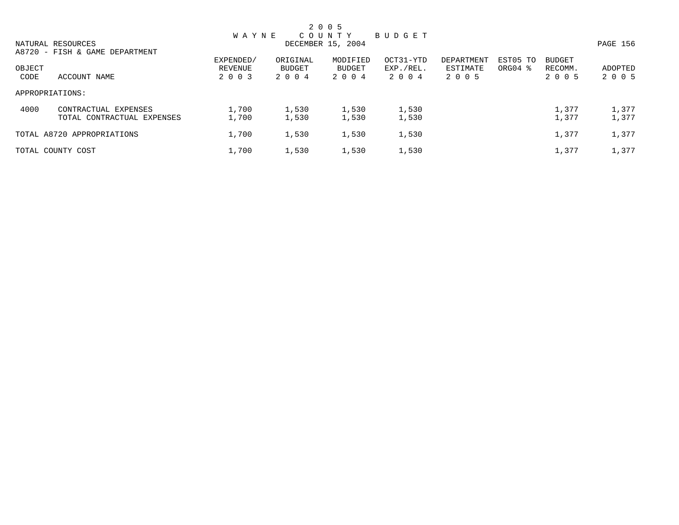|        |                                |              |          | 2 0 0 5           |               |            |                     |               |          |
|--------|--------------------------------|--------------|----------|-------------------|---------------|------------|---------------------|---------------|----------|
|        |                                | <b>WAYNE</b> |          | C O U N T Y       | <b>BUDGET</b> |            |                     |               |          |
|        | NATURAL RESOURCES              |              |          | DECEMBER 15, 2004 |               |            |                     |               | PAGE 156 |
|        | A8720 - FISH & GAME DEPARTMENT |              |          |                   |               |            |                     |               |          |
|        |                                | EXPENDED/    | ORIGINAL | MODIFIED          | OCT31-YTD     | DEPARTMENT | EST05 TO            | <b>BUDGET</b> |          |
| OBJECT |                                | REVENUE      | BUDGET   | BUDGET            | EXP./REL.     | ESTIMATE   | ORG04 $\frac{8}{3}$ | RECOMM.       | ADOPTED  |
| CODE   | ACCOUNT NAME                   | 2 0 0 3      | 2004     | 2 0 0 4           | 2004          | 2 0 0 5    |                     | 2 0 0 5       | 2 0 0 5  |
|        | APPROPRIATIONS:                |              |          |                   |               |            |                     |               |          |
| 4000   | CONTRACTUAL EXPENSES           | 1,700        | 1,530    | 1,530             | 1,530         |            |                     | 1,377         | 1,377    |
|        | TOTAL CONTRACTUAL EXPENSES     | 1,700        | 1,530    | 1,530             | 1,530         |            |                     | 1,377         | 1,377    |
|        | TOTAL A8720 APPROPRIATIONS     | 1,700        | 1,530    | 1,530             | 1,530         |            |                     | 1,377         | 1,377    |
|        | TOTAL COUNTY COST              | 1,700        | 1,530    | 1,530             | 1,530         |            |                     | 1,377         | 1,377    |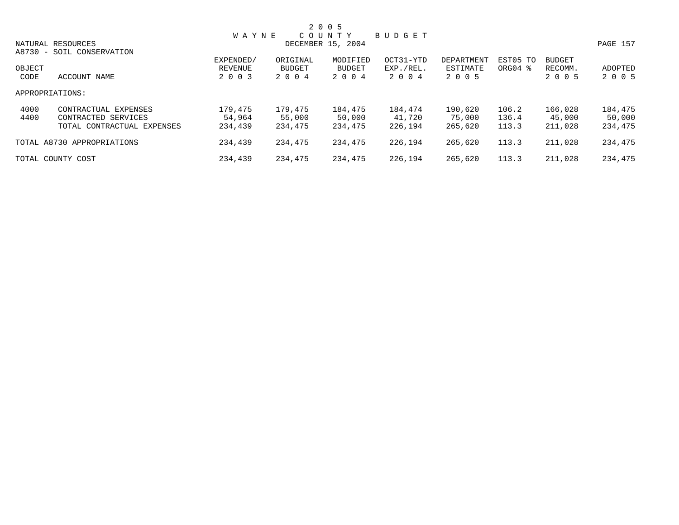|        |                            |              |          | 2 0 0 5           |               |            |                     |               |          |
|--------|----------------------------|--------------|----------|-------------------|---------------|------------|---------------------|---------------|----------|
|        |                            | <b>WAYNE</b> |          | COUNTY            | <b>BUDGET</b> |            |                     |               |          |
|        | NATURAL RESOURCES          |              |          | DECEMBER 15, 2004 |               |            |                     |               | PAGE 157 |
|        | A8730 - SOIL CONSERVATION  |              |          |                   |               |            |                     |               |          |
|        |                            | EXPENDED/    | ORIGINAL | MODIFIED          | OCT31-YTD     | DEPARTMENT | EST05 TO            | <b>BUDGET</b> |          |
| OBJECT |                            | REVENUE      | BUDGET   | BUDGET            | EXP./REL.     | ESTIMATE   | ORG04 $\frac{8}{3}$ | RECOMM.       | ADOPTED  |
| CODE   | ACCOUNT NAME               | 2 0 0 3      | 2 0 0 4  | 2 0 0 4           | 2004          | 2 0 0 5    |                     | 2 0 0 5       | 2 0 0 5  |
|        | APPROPRIATIONS:            |              |          |                   |               |            |                     |               |          |
| 4000   | CONTRACTUAL EXPENSES       | 179,475      | 179,475  | 184,475           | 184,474       | 190,620    | 106.2               | 166,028       | 184,475  |
| 4400   | CONTRACTED SERVICES        | 54,964       | 55,000   | 50,000            | 41,720        | 75,000     | 136.4               | 45,000        | 50,000   |
|        | TOTAL CONTRACTUAL EXPENSES | 234,439      | 234,475  | 234,475           | 226,194       | 265,620    | 113.3               | 211,028       | 234,475  |
|        | TOTAL A8730 APPROPRIATIONS | 234,439      | 234,475  | 234,475           | 226,194       | 265,620    | 113.3               | 211,028       | 234,475  |
|        | TOTAL COUNTY COST          | 234,439      | 234,475  | 234,475           | 226,194       | 265,620    | 113.3               | 211,028       | 234,475  |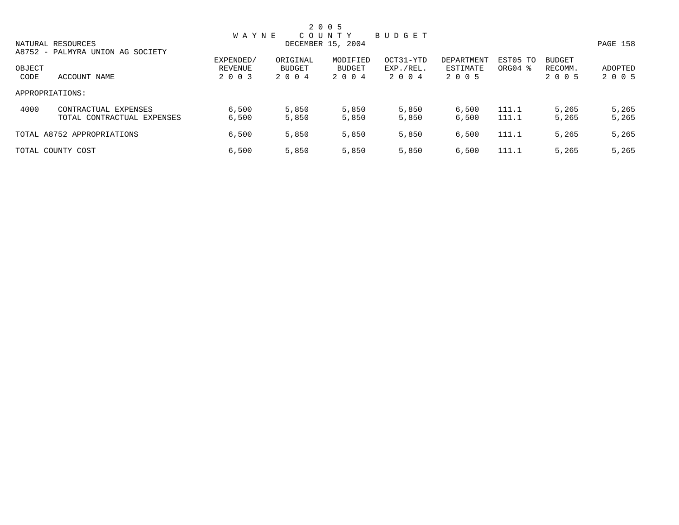|        |                                  |              |          | 2 0 0 5           |           |            |                     |               |          |
|--------|----------------------------------|--------------|----------|-------------------|-----------|------------|---------------------|---------------|----------|
|        |                                  | <b>WAYNE</b> |          | COUNTY            | BUDGET    |            |                     |               |          |
|        | NATURAL RESOURCES                |              |          | DECEMBER 15, 2004 |           |            |                     |               | PAGE 158 |
|        | A8752 - PALMYRA UNION AG SOCIETY |              |          |                   |           |            |                     |               |          |
|        |                                  | EXPENDED/    | ORIGINAL | MODIFIED          | OCT31-YTD | DEPARTMENT | EST05 TO            | <b>BUDGET</b> |          |
| OBJECT |                                  | REVENUE      | BUDGET   | BUDGET            | EXP./REL. | ESTIMATE   | ORG04 $\frac{8}{3}$ | RECOMM.       | ADOPTED  |
| CODE   | ACCOUNT NAME                     | 2 0 0 3      | 2004     | 2 0 0 4           | 2004      | 2 0 0 5    |                     | 2 0 0 5       | 2 0 0 5  |
|        | APPROPRIATIONS:                  |              |          |                   |           |            |                     |               |          |
| 4000   | CONTRACTUAL EXPENSES             | 6,500        | 5,850    | 5,850             | 5,850     | 6,500      | 111.1               | 5,265         | 5,265    |
|        | TOTAL CONTRACTUAL EXPENSES       | 6,500        | 5,850    | 5,850             | 5,850     | 6,500      | 111.1               | 5,265         | 5,265    |
|        | TOTAL A8752 APPROPRIATIONS       | 6,500        | 5,850    | 5,850             | 5,850     | 6,500      | 111.1               | 5,265         | 5,265    |
|        | TOTAL COUNTY COST                | 6,500        | 5,850    | 5,850             | 5,850     | 6,500      | 111.1               | 5,265         | 5,265    |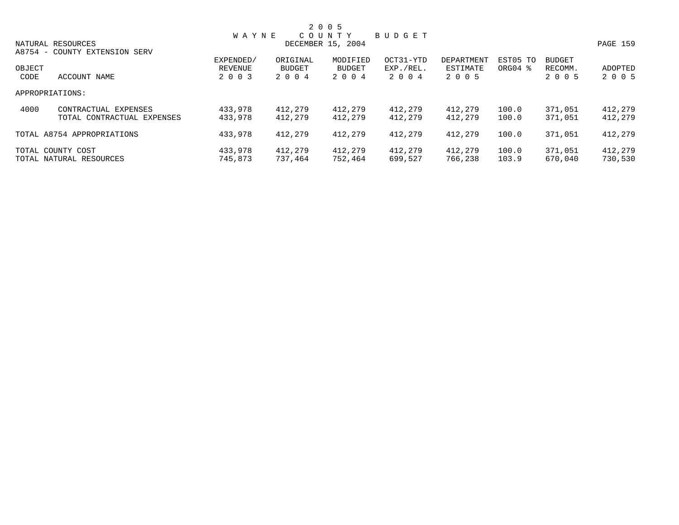|        |                               |              |          | 2 0 0 5           |               |            |                     |               |          |
|--------|-------------------------------|--------------|----------|-------------------|---------------|------------|---------------------|---------------|----------|
|        |                               | <b>WAYNE</b> |          | COUNTY            | <b>BUDGET</b> |            |                     |               |          |
|        | NATURAL RESOURCES             |              |          | DECEMBER 15, 2004 |               |            |                     |               | PAGE 159 |
|        | A8754 - COUNTY EXTENSION SERV |              |          |                   |               |            |                     |               |          |
|        |                               | EXPENDED/    | ORIGINAL | MODIFIED          | OCT31-YTD     | DEPARTMENT | EST05 TO            | <b>BUDGET</b> |          |
| OBJECT |                               | REVENUE      | BUDGET   | <b>BUDGET</b>     | EXP./REL.     | ESTIMATE   | ORG04 $\frac{8}{3}$ | RECOMM.       | ADOPTED  |
| CODE   | ACCOUNT NAME                  | 2 0 0 3      | 2 0 0 4  | 2 0 0 4           | 2004          | 2 0 0 5    |                     | 2 0 0 5       | 2 0 0 5  |
|        | APPROPRIATIONS:               |              |          |                   |               |            |                     |               |          |
| 4000   | CONTRACTUAL EXPENSES          | 433,978      | 412,279  | 412,279           | 412,279       | 412,279    | 100.0               | 371,051       | 412,279  |
|        | TOTAL CONTRACTUAL EXPENSES    | 433,978      | 412,279  | 412,279           | 412,279       | 412,279    | 100.0               | 371,051       | 412,279  |
|        | TOTAL A8754 APPROPRIATIONS    | 433,978      | 412,279  | 412,279           | 412,279       | 412,279    | 100.0               | 371,051       | 412,279  |
|        | TOTAL COUNTY COST             | 433,978      | 412,279  | 412,279           | 412,279       | 412,279    | 100.0               | 371,051       | 412,279  |
|        | TOTAL NATURAL RESOURCES       | 745,873      | 737.464  | 752,464           | 699,527       | 766,238    | 103.9               | 670,040       | 730,530  |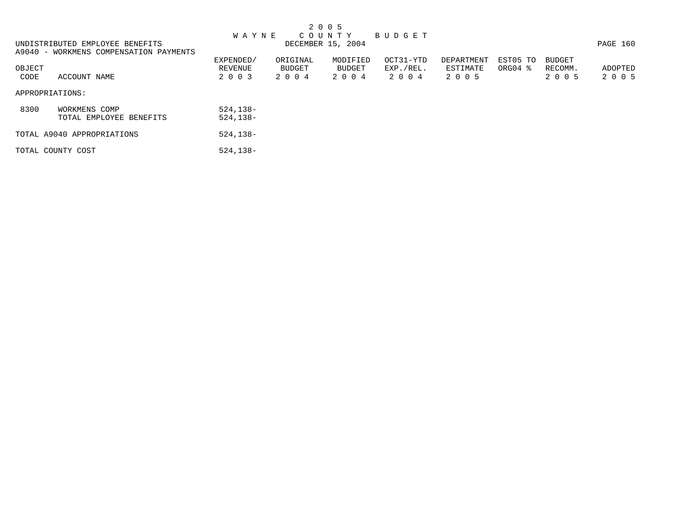|                                 |  |  |  | 2005 |                   |                     |  |
|---------------------------------|--|--|--|------|-------------------|---------------------|--|
|                                 |  |  |  |      |                   | WAYNE COUNTY BUDGET |  |
| UNDISTRIBUTED EMPLOYEE BENEFITS |  |  |  |      | DECEMBER 15, 2004 |                     |  |

UNDISTRIBUTED EMPLOYEE BENEFITS **EXAMPLE 160** DECEMBER 15, 2004 **PAGE 160** A9040 - WORKMENS COMPENSATION PAYMENTS EXPENDED/ ORIGINAL MODIFIED OCT31-YTD DEPARTMENT EST05 TO BUDGET OBJECT REVENUE BUDGET BUDGET EXP./REL. ESTIMATE ORG04 % RECOMM. ADOPTED  $2004$   $2004$   $2003$   $2004$   $2005$ APPROPRIATIONS: 8300 WORKMENS COMP<br>TOTAL EMPLOYEE BENEFITS 524,138-TOTAL EMPLOYEE BENEFITS TOTAL A9040 APPROPRIATIONS 524,138- TOTAL COUNTY COST 524,138-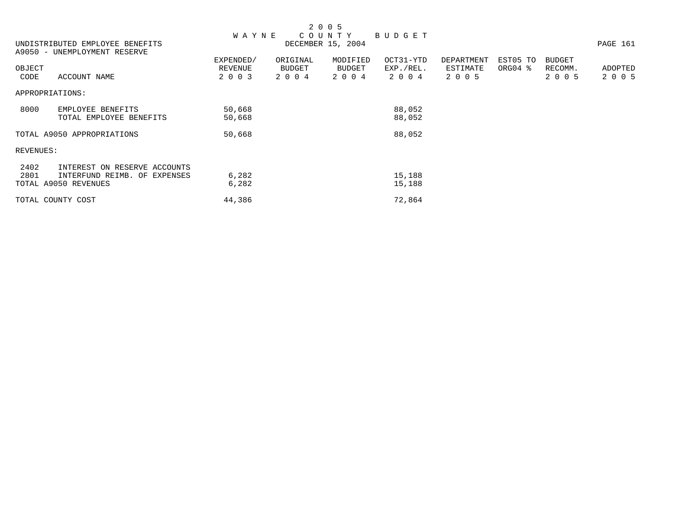|           |                                 |              |          | 2 0 0 5           |               |            |          |               |          |
|-----------|---------------------------------|--------------|----------|-------------------|---------------|------------|----------|---------------|----------|
|           |                                 | <b>WAYNE</b> |          | COUNTY            | <b>BUDGET</b> |            |          |               |          |
|           | UNDISTRIBUTED EMPLOYEE BENEFITS |              |          | DECEMBER 15, 2004 |               |            |          |               | PAGE 161 |
|           | A9050 - UNEMPLOYMENT RESERVE    |              |          |                   |               |            |          |               |          |
|           |                                 | EXPENDED/    | ORIGINAL | MODIFIED          | OCT31-YTD     | DEPARTMENT | EST05 TO | <b>BUDGET</b> |          |
| OBJECT    |                                 | REVENUE      | BUDGET   | <b>BUDGET</b>     | EXP./REL.     | ESTIMATE   | ORG04 %  | RECOMM.       | ADOPTED  |
| CODE      | ACCOUNT NAME                    | 2 0 0 3      | 2 0 0 4  | 2 0 0 4           | 2 0 0 4       | 2 0 0 5    |          | 2 0 0 5       | 2 0 0 5  |
|           | APPROPRIATIONS:                 |              |          |                   |               |            |          |               |          |
| 8000      | EMPLOYEE BENEFITS               | 50,668       |          |                   | 88,052        |            |          |               |          |
|           | TOTAL EMPLOYEE BENEFITS         | 50,668       |          |                   | 88,052        |            |          |               |          |
|           | TOTAL A9050 APPROPRIATIONS      | 50,668       |          |                   | 88,052        |            |          |               |          |
| REVENUES: |                                 |              |          |                   |               |            |          |               |          |
| 2402      | INTEREST ON RESERVE ACCOUNTS    |              |          |                   |               |            |          |               |          |
| 2801      | INTERFUND REIMB. OF EXPENSES    | 6,282        |          |                   | 15,188        |            |          |               |          |
|           | TOTAL A9050 REVENUES            | 6,282        |          |                   | 15,188        |            |          |               |          |
|           | TOTAL COUNTY COST               | 44,386       |          |                   | 72,864        |            |          |               |          |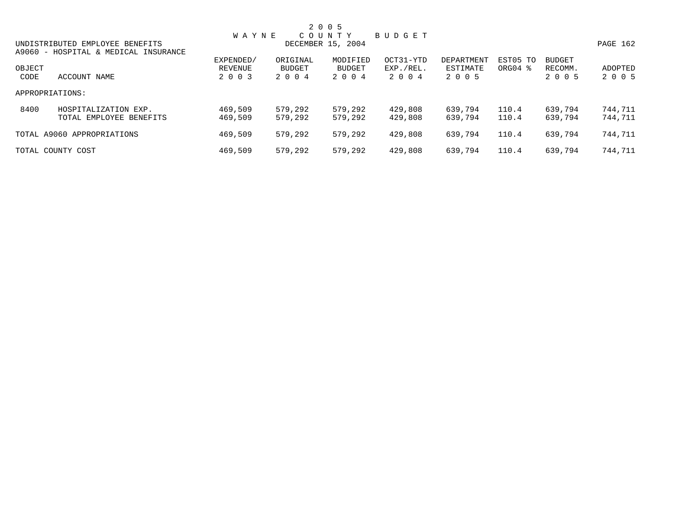|        |                                      |              |          | 2 0 0 5           |           |            |          |               |          |
|--------|--------------------------------------|--------------|----------|-------------------|-----------|------------|----------|---------------|----------|
|        |                                      | <b>WAYNE</b> |          | COUNTY            | BUDGET    |            |          |               |          |
|        | UNDISTRIBUTED EMPLOYEE BENEFITS      |              |          | DECEMBER 15, 2004 |           |            |          |               | PAGE 162 |
|        | A9060 - HOSPITAL & MEDICAL INSURANCE |              |          |                   |           |            |          |               |          |
|        |                                      | EXPENDED/    | ORIGINAL | MODIFIED          | OCT31-YTD | DEPARTMENT | EST05 TO | <b>BUDGET</b> |          |
| OBJECT |                                      | REVENUE      | BUDGET   | BUDGET            | EXP./REL. | ESTIMATE   | ORG04 %  | RECOMM.       | ADOPTED  |
| CODE   | ACCOUNT NAME                         | 2 0 0 3      | 2004     | 2004              | 2004      | 2 0 0 5    |          | 2 0 0 5       | 2 0 0 5  |
|        | APPROPRIATIONS:                      |              |          |                   |           |            |          |               |          |
| 8400   | HOSPITALIZATION EXP.                 | 469,509      | 579,292  | 579,292           | 429,808   | 639,794    | 110.4    | 639,794       | 744,711  |
|        | TOTAL EMPLOYEE BENEFITS              | 469,509      | 579,292  | 579,292           | 429,808   | 639,794    | 110.4    | 639,794       | 744,711  |
|        | TOTAL A9060 APPROPRIATIONS           | 469,509      | 579,292  | 579,292           | 429,808   | 639,794    | 110.4    | 639,794       | 744,711  |
|        | TOTAL COUNTY COST                    | 469,509      | 579,292  | 579,292           | 429,808   | 639,794    | 110.4    | 639,794       | 744,711  |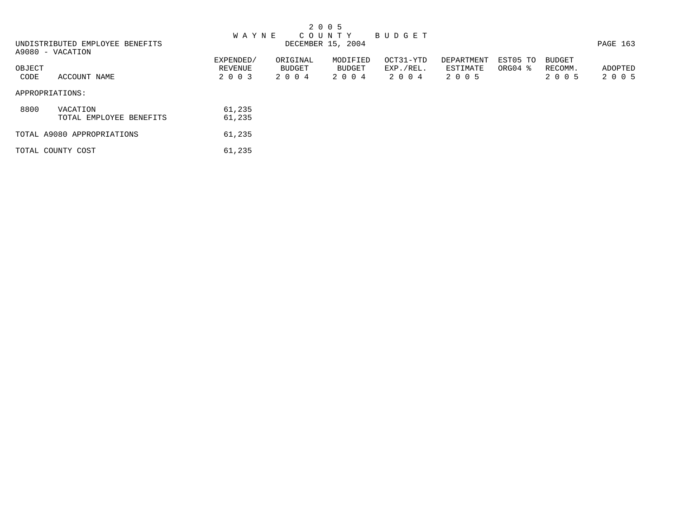|        |                                 |              |          | 2 0 0 5           |           |            |                     |         |          |
|--------|---------------------------------|--------------|----------|-------------------|-----------|------------|---------------------|---------|----------|
|        |                                 | <b>WAYNE</b> |          | C O U N T Y       | BUDGET    |            |                     |         |          |
|        | UNDISTRIBUTED EMPLOYEE BENEFITS |              |          | DECEMBER 15, 2004 |           |            |                     |         | PAGE 163 |
|        | A9080 - VACATION                |              |          |                   |           |            |                     |         |          |
|        |                                 | EXPENDED/    | ORIGINAL | MODIFIED          | OCT31-YTD | DEPARTMENT | EST05 TO            | BUDGET  |          |
| OBJECT |                                 | REVENUE      | BUDGET   | BUDGET            | EXP./REL. | ESTIMATE   | ORG04 $\frac{8}{3}$ | RECOMM. | ADOPTED  |
| CODE   | ACCOUNT NAME                    | 2 0 0 3      | 2004     | 2 0 0 4           | 2004      | 2 0 0 5    |                     | 2 0 0 5 | 2 0 0 5  |
|        | APPROPRIATIONS:                 |              |          |                   |           |            |                     |         |          |
| 8800   | VACATION                        | 61,235       |          |                   |           |            |                     |         |          |
|        | TOTAL EMPLOYEE BENEFITS         | 61,235       |          |                   |           |            |                     |         |          |
|        | TOTAL A9080 APPROPRIATIONS      | 61,235       |          |                   |           |            |                     |         |          |
|        | TOTAL COUNTY COST               | 61,235       |          |                   |           |            |                     |         |          |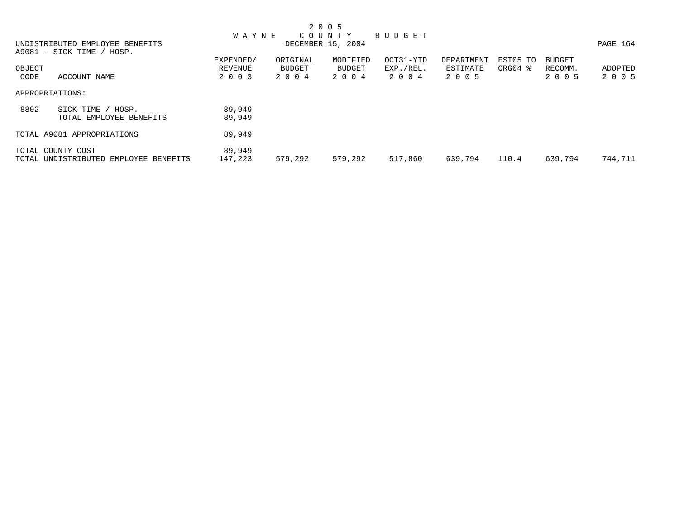|        |                                       |              |          | 2 0 0 5           |           |            |                     |               |          |
|--------|---------------------------------------|--------------|----------|-------------------|-----------|------------|---------------------|---------------|----------|
|        |                                       | <b>WAYNE</b> |          | COUNTY            | BUDGET    |            |                     |               |          |
|        | UNDISTRIBUTED EMPLOYEE BENEFITS       |              |          | DECEMBER 15, 2004 |           |            |                     |               | PAGE 164 |
|        | A9081 - SICK TIME / HOSP.             |              |          |                   |           |            |                     |               |          |
|        |                                       | EXPENDED/    | ORIGINAL | MODIFIED          | OCT31-YTD | DEPARTMENT | EST05 TO            | <b>BUDGET</b> |          |
| OBJECT |                                       | REVENUE      | BUDGET   | BUDGET            | EXP./REL. | ESTIMATE   | ORG04 $\frac{8}{3}$ | RECOMM.       | ADOPTED  |
| CODE   | ACCOUNT NAME                          | 2 0 0 3      | 2 0 0 4  | 2 0 0 4           | 2004      | 2 0 0 5    |                     | 2 0 0 5       | 2 0 0 5  |
|        | APPROPRIATIONS:                       |              |          |                   |           |            |                     |               |          |
| 8802   | SICK TIME<br>HOSP.                    | 89,949       |          |                   |           |            |                     |               |          |
|        | TOTAL EMPLOYEE BENEFITS               | 89,949       |          |                   |           |            |                     |               |          |
|        | TOTAL A9081 APPROPRIATIONS            | 89,949       |          |                   |           |            |                     |               |          |
|        | TOTAL COUNTY COST                     | 89,949       |          |                   |           |            |                     |               |          |
|        | TOTAL UNDISTRIBUTED EMPLOYEE BENEFITS | 147,223      | 579,292  | 579,292           | 517,860   | 639,794    | 110.4               | 639,794       | 744,711  |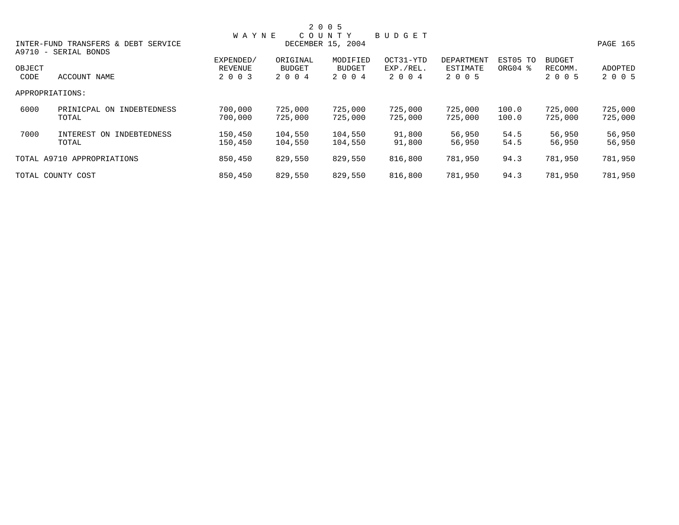|                |                                                             |                                 |                                      | 2 0 0 5                              |                                |                                   |                     |                                     |                    |  |
|----------------|-------------------------------------------------------------|---------------------------------|--------------------------------------|--------------------------------------|--------------------------------|-----------------------------------|---------------------|-------------------------------------|--------------------|--|
|                |                                                             | <b>WAYNE</b>                    |                                      | COUNTY                               | BUDGET                         |                                   |                     |                                     |                    |  |
|                | INTER-FUND TRANSFERS & DEBT SERVICE<br>A9710 - SERIAL BONDS | DECEMBER 15, 2004               |                                      |                                      |                                |                                   |                     |                                     |                    |  |
| OBJECT<br>CODE | ACCOUNT NAME                                                | EXPENDED/<br>REVENUE<br>2 0 0 3 | ORIGINAL<br><b>BUDGET</b><br>2 0 0 4 | MODIFIED<br><b>BUDGET</b><br>2 0 0 4 | OCT31-YTD<br>EXP./REL.<br>2004 | DEPARTMENT<br>ESTIMATE<br>2 0 0 5 | EST05 TO<br>ORG04 % | <b>BUDGET</b><br>RECOMM.<br>2 0 0 5 | ADOPTED<br>2 0 0 5 |  |
|                | APPROPRIATIONS:                                             |                                 |                                      |                                      |                                |                                   |                     |                                     |                    |  |
| 6000           | PRINICPAL ON INDEBTEDNESS<br>TOTAL                          | 700,000<br>700,000              | 725,000<br>725,000                   | 725,000<br>725,000                   | 725,000<br>725,000             | 725,000<br>725,000                | 100.0<br>100.0      | 725,000<br>725,000                  | 725,000<br>725,000 |  |
| 7000           | INTEREST<br>INDEBTEDNESS<br>ON<br>TOTAL                     | 150,450<br>150,450              | 104,550<br>104,550                   | 104,550<br>104,550                   | 91,800<br>91,800               | 56,950<br>56,950                  | 54.5<br>54.5        | 56,950<br>56,950                    | 56,950<br>56,950   |  |
|                | TOTAL A9710 APPROPRIATIONS                                  | 850,450                         | 829,550                              | 829,550                              | 816,800                        | 781,950                           | 94.3                | 781,950                             | 781,950            |  |
|                | TOTAL COUNTY COST                                           | 850,450                         | 829,550                              | 829,550                              | 816,800                        | 781,950                           | 94.3                | 781,950                             | 781,950            |  |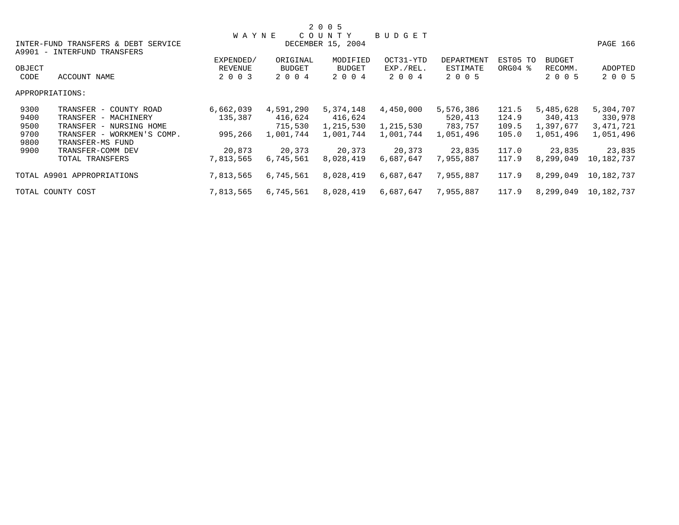|        |                                                                    |              |               | 2 0 0 5           |               |                   |          |               |            |
|--------|--------------------------------------------------------------------|--------------|---------------|-------------------|---------------|-------------------|----------|---------------|------------|
|        |                                                                    | <b>WAYNE</b> |               | COUNTY            | <b>BUDGET</b> |                   |          |               |            |
|        | INTER-FUND TRANSFERS & DEBT SERVICE<br>A9901 - INTERFUND TRANSFERS |              |               | DECEMBER 15, 2004 |               |                   |          |               | PAGE 166   |
|        |                                                                    | EXPENDED/    | ORIGINAL      | MODIFIED          | OCT31-YTD     | <b>DEPARTMENT</b> | EST05 TO | <b>BUDGET</b> |            |
| OBJECT |                                                                    | REVENUE      | <b>BUDGET</b> | BUDGET            | EXP./REL.     | ESTIMATE          | ORG04 %  | RECOMM.       | ADOPTED    |
| CODE   | ACCOUNT NAME                                                       | 2 0 0 3      | 2 0 0 4       | 2 0 0 4           | 2 0 0 4       | 2 0 0 5           |          | 2 0 0 5       | 2 0 0 5    |
|        | APPROPRIATIONS:                                                    |              |               |                   |               |                   |          |               |            |
| 9300   | TRANSFER - COUNTY ROAD                                             | 6,662,039    | 4,591,290     | 5,374,148         | 4,450,000     | 5,576,386         | 121.5    | 5,485,628     | 5,304,707  |
| 9400   | TRANSFER - MACHINERY                                               | 135,387      | 416,624       | 416,624           |               | 520,413           | 124.9    | 340,413       | 330,978    |
| 9500   | TRANSFER - NURSING HOME                                            |              | 715,530       | 1,215,530         | 1,215,530     | 783,757           | 109.5    | 1,397,677     | 3,471,721  |
| 9700   | TRANSFER - WORKMEN'S COMP.                                         | 995,266      | 1,001,744     | 1,001,744         | 1,001,744     | 1,051,496         | 105.0    | 1,051,496     | 1,051,496  |
| 9800   | TRANSFER-MS FUND                                                   |              |               |                   |               |                   |          |               |            |
| 9900   | TRANSFER-COMM DEV                                                  | 20,873       | 20,373        | 20,373            | 20,373        | 23,835            | 117.0    | 23,835        | 23,835     |
|        | TOTAL TRANSFERS                                                    | 7,813,565    | 6,745,561     | 8,028,419         | 6,687,647     | 7,955,887         | 117.9    | 8,299,049     | 10,182,737 |
|        | TOTAL A9901 APPROPRIATIONS                                         | 7,813,565    | 6,745,561     | 8,028,419         | 6,687,647     | 7,955,887         | 117.9    | 8,299,049     | 10,182,737 |
|        | TOTAL COUNTY COST                                                  | 7,813,565    | 6,745,561     | 8,028,419         | 6,687,647     | 7,955,887         | 117.9    | 8,299,049     | 10,182,737 |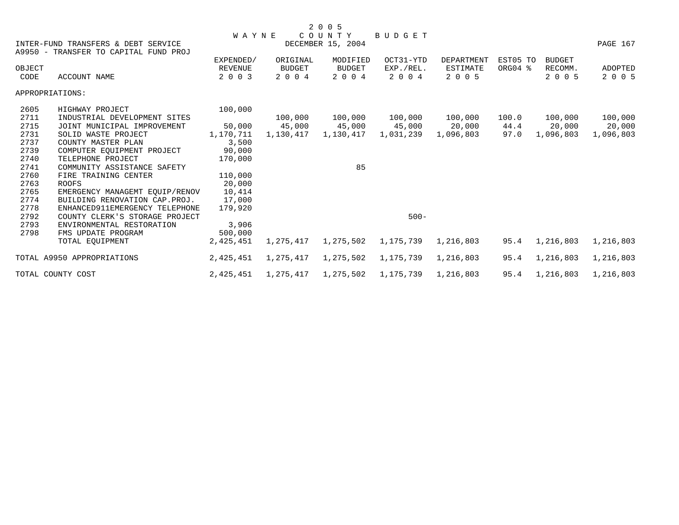|        |                                                                              |                      |                    | 2 0 0 5                   |                        |                               |                     |                          |           |
|--------|------------------------------------------------------------------------------|----------------------|--------------------|---------------------------|------------------------|-------------------------------|---------------------|--------------------------|-----------|
|        |                                                                              | <b>WAYNE</b>         |                    | COUNTY                    | <b>BUDGET</b>          |                               |                     |                          |           |
|        | INTER-FUND TRANSFERS & DEBT SERVICE<br>A9950 - TRANSFER TO CAPITAL FUND PROJ |                      |                    | DECEMBER 15, 2004         |                        |                               |                     |                          | PAGE 167  |
| OBJECT |                                                                              | EXPENDED/<br>REVENUE | ORIGINAL<br>BUDGET | MODIFIED<br><b>BUDGET</b> | OCT31-YTD<br>EXP./REL. | <b>DEPARTMENT</b><br>ESTIMATE | EST05 TO<br>ORG04 % | <b>BUDGET</b><br>RECOMM. | ADOPTED   |
| CODE   | ACCOUNT NAME                                                                 | 2 0 0 3              | 2 0 0 4            | 2 0 0 4                   | 2 0 0 4                | 2 0 0 5                       |                     | 2 0 0 5                  | 2 0 0 5   |
|        | APPROPRIATIONS:                                                              |                      |                    |                           |                        |                               |                     |                          |           |
| 2605   | HIGHWAY PROJECT                                                              | 100,000              |                    |                           |                        |                               |                     |                          |           |
| 2711   | INDUSTRIAL DEVELOPMENT SITES                                                 |                      |                    | 100,000 100,000           | 100,000                | 100,000                       | 100.0               | 100,000                  | 100,000   |
| 2715   | JOINT MUNICIPAL IMPROVEMENT                                                  | 50,000               |                    | 45,000 45,000             | 45,000                 | 20,000                        | 44.4                | 20,000                   | 20,000    |
| 2731   | SOLID WASTE PROJECT                                                          | 1,170,711            | 1,130,417          | 1,130,417                 | 1,031,239              | 1,096,803                     | 97.0                | 1,096,803                | 1,096,803 |
| 2737   | COUNTY MASTER PLAN                                                           | 3,500                |                    |                           |                        |                               |                     |                          |           |
| 2739   | COMPUTER EOUIPMENT PROJECT                                                   | 90,000               |                    |                           |                        |                               |                     |                          |           |
| 2740   | TELEPHONE PROJECT                                                            | 170,000              |                    |                           |                        |                               |                     |                          |           |
| 2741   | COMMUNITY ASSISTANCE SAFETY                                                  |                      |                    | 85                        |                        |                               |                     |                          |           |
| 2760   | FIRE TRAINING CENTER                                                         | 110,000              |                    |                           |                        |                               |                     |                          |           |
| 2763   | <b>ROOFS</b>                                                                 | 20,000               |                    |                           |                        |                               |                     |                          |           |
| 2765   | EMERGENCY MANAGEMT EQUIP/RENOV                                               | 10,414               |                    |                           |                        |                               |                     |                          |           |
| 2774   | BUILDING RENOVATION CAP. PROJ.                                               | 17,000               |                    |                           |                        |                               |                     |                          |           |
| 2778   | ENHANCED911EMERGENCY TELEPHONE                                               | 179,920              |                    |                           |                        |                               |                     |                          |           |
| 2792   | COUNTY CLERK'S STORAGE PROJECT                                               |                      |                    |                           | $500 -$                |                               |                     |                          |           |
| 2793   | ENVIRONMENTAL RESTORATION                                                    | 3,906                |                    |                           |                        |                               |                     |                          |           |
| 2798   | FMS UPDATE PROGRAM                                                           | 500,000              |                    |                           |                        |                               |                     |                          |           |
|        | TOTAL EQUIPMENT                                                              | 2,425,451            | 1,275,417          | 1,275,502                 | 1,175,739              | 1,216,803                     | 95.4                | 1,216,803                | 1,216,803 |
|        | TOTAL A9950 APPROPRIATIONS                                                   | 2,425,451            | 1,275,417          | 1,275,502                 | 1,175,739              | 1,216,803                     | 95.4                | 1,216,803                | 1,216,803 |
|        | TOTAL COUNTY COST                                                            | 2,425,451            | 1,275,417          | 1,275,502                 | 1,175,739              | 1,216,803                     | 95.4                | 1,216,803                | 1,216,803 |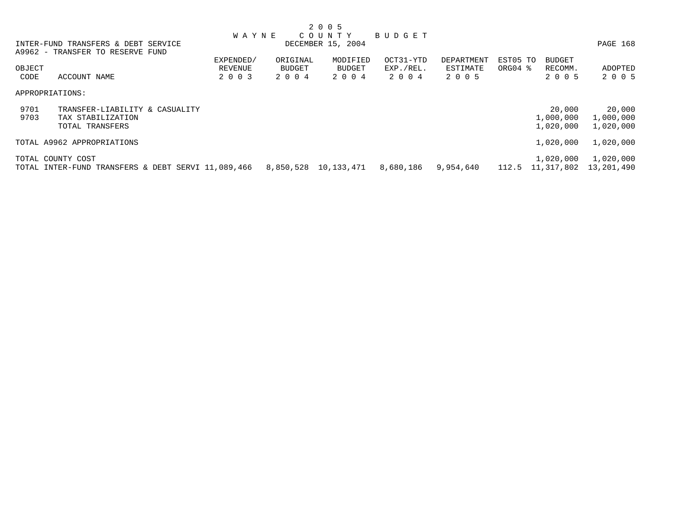|        |                                                    | <b>WAYNE</b> |          | COUNTY               | BUDGET    |            |          |               |            |
|--------|----------------------------------------------------|--------------|----------|----------------------|-----------|------------|----------|---------------|------------|
|        | INTER-FUND TRANSFERS & DEBT SERVICE                |              |          | DECEMBER 15, 2004    |           |            |          |               | PAGE 168   |
|        | A9962 - TRANSFER TO RESERVE FUND                   |              |          |                      |           |            |          |               |            |
|        |                                                    | EXPENDED/    | ORIGINAL | MODIFIED             | OCT31-YTD | DEPARTMENT | EST05 TO | <b>BUDGET</b> |            |
| OBJECT |                                                    | REVENUE      | BUDGET   | BUDGET               | EXP./REL. | ESTIMATE   | ORG04 %  | RECOMM.       | ADOPTED    |
| CODE   | ACCOUNT NAME                                       | 2 0 0 3      | 2004     | 2 0 0 4              | 2004      | 2005       |          | 2 0 0 5       | 2 0 0 5    |
|        | APPROPRIATIONS:                                    |              |          |                      |           |            |          |               |            |
| 9701   | TRANSFER-LIABILITY & CASUALITY                     |              |          |                      |           |            |          | 20,000        | 20,000     |
| 9703   | TAX STABILIZATION                                  |              |          |                      |           |            |          | 1,000,000     | 1,000,000  |
|        | TOTAL TRANSFERS                                    |              |          |                      |           |            |          | 1,020,000     | 1,020,000  |
|        | TOTAL A9962 APPROPRIATIONS                         |              |          |                      |           |            |          | 1,020,000     | 1,020,000  |
|        | TOTAL COUNTY COST                                  |              |          |                      |           |            |          | 1,020,000     | 1,020,000  |
|        | TOTAL INTER-FUND TRANSFERS & DEBT SERVI 11,089,466 |              |          | 8,850,528 10,133,471 | 8,680,186 | 9,954,640  | 112.5    | 11,317,802    | 13,201,490 |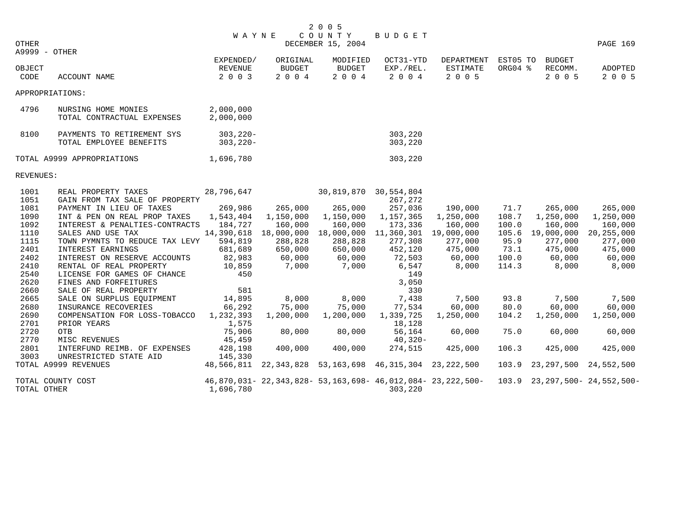|       | 2005                |  |
|-------|---------------------|--|
|       | WAYNE COUNTY BUDGET |  |
| OTHER | DECEMBER 15, 2004   |  |

|                | A9999 - OTHER                                         |                                 |                               |                                      |                                                        |                                                                  |                     |                                     |                    |
|----------------|-------------------------------------------------------|---------------------------------|-------------------------------|--------------------------------------|--------------------------------------------------------|------------------------------------------------------------------|---------------------|-------------------------------------|--------------------|
| OBJECT<br>CODE | ACCOUNT NAME                                          | EXPENDED/<br>REVENUE<br>2 0 0 3 | ORIGINAL<br>BUDGET<br>2 0 0 4 | MODIFIED<br><b>BUDGET</b><br>2 0 0 4 | OCT31-YTD<br>EXP./REL.<br>2 0 0 4                      | DEPARTMENT<br>ESTIMATE<br>2 0 0 5                                | EST05 TO<br>ORG04 % | <b>BUDGET</b><br>RECOMM.<br>2 0 0 5 | ADOPTED<br>2 0 0 5 |
|                | APPROPRIATIONS:                                       |                                 |                               |                                      |                                                        |                                                                  |                     |                                     |                    |
| 4796           | NURSING HOME MONIES<br>TOTAL CONTRACTUAL EXPENSES     | 2,000,000<br>2,000,000          |                               |                                      |                                                        |                                                                  |                     |                                     |                    |
| 8100           | PAYMENTS TO RETIREMENT SYS<br>TOTAL EMPLOYEE BENEFITS | $303, 220 -$<br>$303, 220 -$    |                               |                                      | 303,220<br>303,220                                     |                                                                  |                     |                                     |                    |
|                | TOTAL A9999 APPROPRIATIONS                            | 1,696,780                       |                               |                                      | 303,220                                                |                                                                  |                     |                                     |                    |
| REVENUES:      |                                                       |                                 |                               |                                      |                                                        |                                                                  |                     |                                     |                    |
| 1001<br>1051   | REAL PROPERTY TAXES<br>GAIN FROM TAX SALE OF PROPERTY | 28,796,647                      |                               | 30,819,870 30,554,804                | 267,272                                                |                                                                  |                     |                                     |                    |
| 1081           | PAYMENT IN LIEU OF TAXES                              | 269,986                         | 265,000                       | 265,000                              | 257,036                                                | 190,000                                                          | 71.7                | 265,000                             | 265,000            |
| 1090           | INT & PEN ON REAL PROP TAXES                          | 1,543,404                       | 1,150,000                     | 1,150,000                            | 1,157,365                                              | 1,250,000                                                        | 108.7               | 1,250,000                           | 1,250,000          |
| 1092           | INTEREST & PENALTIES-CONTRACTS                        | 184,727                         | 160,000                       | 160,000                              | 173,336                                                | 160,000                                                          | 100.0               | 160,000                             | 160,000            |
| 1110           | SALES AND USE TAX                                     | 14,390,618 18,000,000           |                               | 18,000,000 11,360,301                |                                                        | 19,000,000                                                       | 105.6               | 19,000,000                          | 20, 255, 000       |
| 1115           | TOWN PYMNTS TO REDUCE TAX LEVY                        | 594,819                         | 288,828                       | 288,828                              | 277,308                                                | 277,000                                                          | 95.9                | 277,000                             | 277,000            |
| 2401           | INTEREST EARNINGS                                     | 681,689                         | 650,000                       | 650,000                              | 452,120                                                | 475,000                                                          | 73.1                | 475,000                             | 475,000            |
| 2402           | INTEREST ON RESERVE ACCOUNTS                          | 82,983                          | 60,000                        | 60,000                               | 72,503                                                 | 60,000                                                           | 100.0               | 60,000                              | 60,000             |
| 2410           | RENTAL OF REAL PROPERTY                               | 10,859                          | 7,000                         | 7,000                                | 6,547                                                  | 8,000                                                            | 114.3               | 8,000                               | 8,000              |
| 2540           | LICENSE FOR GAMES OF CHANCE                           | 450                             |                               |                                      | 149                                                    |                                                                  |                     |                                     |                    |
| 2620           | FINES AND FORFEITURES                                 |                                 |                               |                                      | 3,050                                                  |                                                                  |                     |                                     |                    |
| 2660           | SALE OF REAL PROPERTY                                 | 581                             |                               |                                      | 330                                                    |                                                                  |                     |                                     |                    |
| 2665           | SALE ON SURPLUS EOUIPMENT                             | 14,895                          | 8,000                         | 8,000                                | 7,438                                                  | 7,500                                                            | 93.8                | 7,500                               | 7,500              |
| 2680           | INSURANCE RECOVERIES                                  | 66,292                          | 75,000                        | 75,000                               | 77,534                                                 | 60,000                                                           | 80.0                | 60,000                              | 60,000             |
| 2690           | COMPENSATION FOR LOSS-TOBACCO                         | 1,232,393                       | 1,200,000                     | 1,200,000                            | 1,339,725                                              | 1,250,000                                                        | 104.2               | 1,250,000                           | 1,250,000          |
| 2701           | PRIOR YEARS                                           | 1,575                           |                               |                                      | 18,128                                                 |                                                                  |                     |                                     |                    |
| 2720           | OTB                                                   | 75,906                          | 80,000                        | 80,000                               | 56,164                                                 | 60,000                                                           | 75.0                | 60,000                              | 60,000             |
| 2770           | MISC REVENUES                                         | 45,459                          |                               |                                      | $40,320-$                                              |                                                                  |                     |                                     |                    |
| 2801           | INTERFUND REIMB. OF EXPENSES                          | 428,198                         | 400,000                       | 400,000                              | 274,515                                                | 425,000                                                          | 106.3               | 425,000                             | 425,000            |
| 3003           | UNRESTRICTED STATE AID                                | 145,330                         |                               |                                      |                                                        |                                                                  |                     |                                     |                    |
|                | TOTAL A9999 REVENUES                                  |                                 |                               |                                      | 48,566,811 22,343,828 53,163,698 46,315,304 23,222,500 |                                                                  |                     | 103.9 23, 297, 500 24, 552, 500     |                    |
|                | TOTAL COUNTY COST<br>TOTAL OTHER                      | 1,696,780                       |                               |                                      | 303,220                                                | 46,870,031 - 22,343,828 - 53,163,698 - 46,012,084 - 23,222,500 - |                     | 103.9 23, 297, 500 - 24, 552, 500 - |                    |
|                |                                                       |                                 |                               |                                      |                                                        |                                                                  |                     |                                     |                    |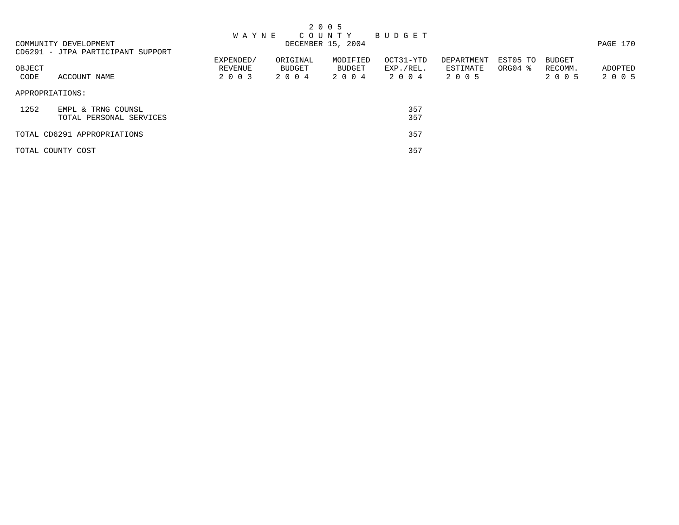|                       |                                   |              |          | 2 0 0 5           |             |            |             |               |          |
|-----------------------|-----------------------------------|--------------|----------|-------------------|-------------|------------|-------------|---------------|----------|
|                       |                                   | <b>WAYNE</b> |          | COUNTY            | B U D G E T |            |             |               |          |
| COMMUNITY DEVELOPMENT |                                   |              |          | DECEMBER 15, 2004 |             |            |             |               | PAGE 170 |
|                       | CD6291 - JTPA PARTICIPANT SUPPORT |              |          |                   |             |            |             |               |          |
|                       |                                   | EXPENDED/    | ORIGINAL | MODIFIED          | OCT31-YTD   | DEPARTMENT | EST05 TO    | <b>BUDGET</b> |          |
| OBJECT                |                                   | REVENUE      | BUDGET   | BUDGET            | EXP./REL.   | ESTIMATE   | $ORG04$ $%$ | RECOMM.       | ADOPTED  |
| CODE                  | ACCOUNT NAME                      | 2 0 0 3      | 2004     | 2004              | 2004        | 2 0 0 5    |             | 2 0 0 5       | 2 0 0 5  |
| APPROPRIATIONS:       |                                   |              |          |                   |             |            |             |               |          |
| 1252                  | EMPL & TRNG COUNSL                |              |          |                   | 357         |            |             |               |          |
|                       | TOTAL PERSONAL SERVICES           |              |          |                   | 357         |            |             |               |          |
|                       | TOTAL CD6291 APPROPRIATIONS       |              |          |                   | 357         |            |             |               |          |
| TOTAL COUNTY COST     |                                   |              |          |                   | 357         |            |             |               |          |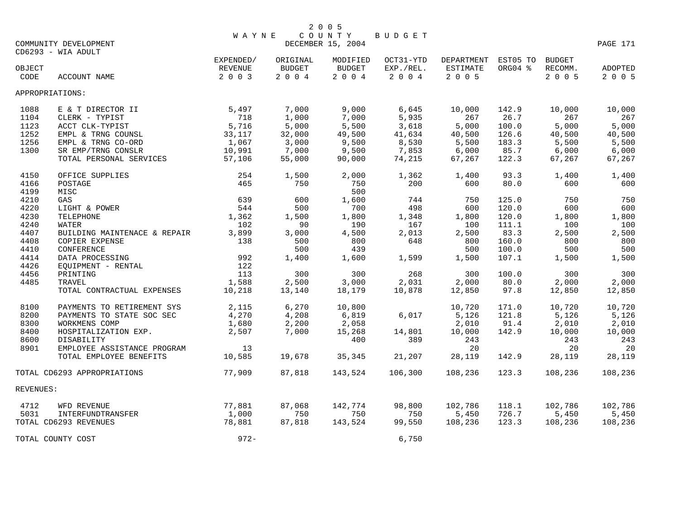|           |                                             | <b>WAYNE</b>         |                           | COUNTY                    | BUDGET                 |                                 |         |                          |          |
|-----------|---------------------------------------------|----------------------|---------------------------|---------------------------|------------------------|---------------------------------|---------|--------------------------|----------|
|           | COMMUNITY DEVELOPMENT<br>CD6293 - WIA ADULT |                      |                           | DECEMBER 15, 2004         |                        |                                 |         |                          | PAGE 171 |
| OBJECT    |                                             | EXPENDED/<br>REVENUE | ORIGINAL<br><b>BUDGET</b> | MODIFIED<br><b>BUDGET</b> | OCT31-YTD<br>EXP./REL. | DEPARTMENT EST05 TO<br>ESTIMATE | ORG04 % | <b>BUDGET</b><br>RECOMM. | ADOPTED  |
| CODE      | ACCOUNT NAME                                | 2 0 0 3              | 2004                      | 2004                      | 2004                   | $2 0 0 5$                       |         | 2 0 0 5                  | 2 0 0 5  |
|           | APPROPRIATIONS:                             |                      |                           |                           |                        |                                 |         |                          |          |
| 1088      | E & T DIRECTOR II                           | 5,497                | 7,000                     | 9,000                     | 6,645                  | 10,000                          | 142.9   | 10,000                   | 10,000   |
| 1104      | CLERK - TYPIST                              | 718                  | 1,000                     | 7,000                     | 5,935                  | 267                             | 26.7    | 267                      | 267      |
| 1123      | ACCT CLK-TYPIST                             | 5,716                | 5,000                     | 5,500                     | 3,618                  | 5,000                           | 100.0   | 5,000                    | 5,000    |
| 1252      | EMPL & TRNG COUNSL                          | 33,117               | 32,000                    | 49,500                    | 41,634                 | 40,500                          | 126.6   | 40,500                   | 40,500   |
| 1256      | EMPL & TRNG CO-ORD                          | 1,067                | 3,000                     | 9,500                     | 8,530                  | 5,500                           | 183.3   | 5,500                    | 5,500    |
| 1300      | SR EMP/TRNG CONSLR                          | 10,991               | 7,000                     | 9,500                     | 7,853                  | 6,000                           | 85.7    | 6,000                    | 6,000    |
|           | TOTAL PERSONAL SERVICES                     | 57,106               | 55,000                    | 90,000                    | 74,215                 | 67,267                          | 122.3   | 67,267                   | 67,267   |
| 4150      | OFFICE SUPPLIES                             | 254                  | 1,500                     | 2,000                     | 1,362                  | 1,400                           | 93.3    | 1,400                    | 1,400    |
| 4166      | POSTAGE                                     | 465                  | 750                       | 750                       | 200                    | 600                             | 80.0    | 600                      | 600      |
| 4199      | MISC                                        |                      |                           | 500                       |                        |                                 |         |                          |          |
| 4210      | GAS                                         | 639                  | 600                       | 1,600                     | 744                    | 750                             | 125.0   | 750                      | 750      |
| 4220      | LIGHT & POWER                               | 544                  | 500                       | 700                       | 498                    | 600                             | 120.0   | 600                      | 600      |
| 4230      | TELEPHONE                                   | 1,362                | 1,500                     | 1,800                     | 1,348                  | 1,800                           | 120.0   | 1,800                    | 1,800    |
| 4240      | WATER                                       | 102                  | 90                        | 190                       | 167                    | 100                             | 111.1   | 100                      | 100      |
| 4407      | BUILDING MAINTENACE & REPAIR                | 3,899                | 3,000                     | 4,500                     | 2,013                  | 2,500                           | 83.3    | 2,500                    | 2,500    |
| 4408      | COPIER EXPENSE                              | 138                  | 500                       | 800                       | 648                    | 800                             | 160.0   | 800                      | 800      |
| 4410      | CONFERENCE                                  |                      | 500                       | 439                       |                        | 500                             | 100.0   | 500                      | 500      |
| 4414      | DATA PROCESSING                             | 992                  | 1,400                     | 1,600                     | 1,599                  | 1,500                           | 107.1   | 1,500                    | 1,500    |
| 4426      | EOUIPMENT - RENTAL                          | 122                  |                           |                           |                        |                                 |         |                          |          |
| 4456      | PRINTING                                    | 113                  | 300                       | 300                       | 268                    | 300                             | 100.0   | 300                      | 300      |
| 4485      | TRAVEL                                      | 1,588                | 2,500                     | 3,000                     | 2,031                  | 2,000                           | 80.0    | 2,000                    | 2,000    |
|           | TOTAL CONTRACTUAL EXPENSES                  | 10,218               | 13,140                    | 18,179                    | 10,878                 | 12,850                          | 97.8    | 12,850                   | 12,850   |
| 8100      | PAYMENTS TO RETIREMENT SYS                  | 2,115                | 6,270                     | 10,800                    |                        | 10,720                          | 171.0   | 10,720                   | 10,720   |
| 8200      | PAYMENTS TO STATE SOC SEC                   | 4,270                | 4,208                     | 6,819                     | 6,017                  | 5,126                           | 121.8   | 5,126                    | 5,126    |
| 8300      | WORKMENS COMP                               | 1,680                | 2,200                     | 2,058                     |                        | 2,010                           | 91.4    | 2,010                    | 2,010    |
| 8400      | HOSPITALIZATION EXP.                        | 2,507                | 7,000                     | 15,268                    | 14,801                 | 10,000                          | 142.9   | 10,000                   | 10,000   |
| 8600      | DISABILITY                                  |                      |                           | 400                       | 389                    | 243                             |         | 243                      | 243      |
| 8901      | EMPLOYEE ASSISTANCE PROGRAM                 | 13                   |                           |                           |                        | 20                              |         | 20                       | 20       |
|           | TOTAL EMPLOYEE BENEFITS                     | 10,585               | 19,678                    | 35,345                    | 21,207                 | 28,119                          | 142.9   | 28,119                   | 28,119   |
|           | TOTAL CD6293 APPROPRIATIONS                 | 77,909               | 87,818                    | 143,524                   | 106,300                | 108,236                         | 123.3   | 108,236                  | 108,236  |
| REVENUES: |                                             |                      |                           |                           |                        |                                 |         |                          |          |
| 4712      | WFD REVENUE                                 | 77,881               | 87,068                    | 142,774                   | 98,800                 | 102,786                         | 118.1   | 102,786                  | 102,786  |
| 5031      | <b>INTERFUNDTRANSFER</b>                    | 1,000                | 750                       | 750                       | 750                    | 5,450                           | 726.7   | 5,450                    | 5,450    |
|           | TOTAL CD6293 REVENUES                       | 78,881               | 87,818                    | 143,524                   | 99,550                 | 108,236                         | 123.3   | 108,236                  | 108,236  |
|           | TOTAL COUNTY COST                           | $972 -$              |                           |                           | 6,750                  |                                 |         |                          |          |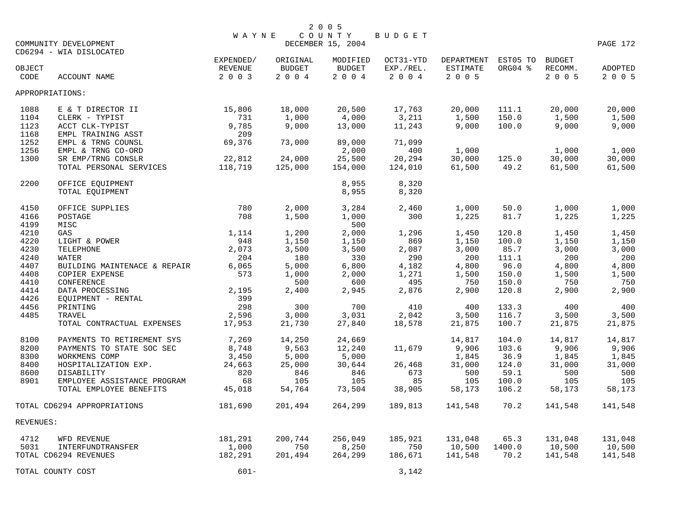|           |                              |                      |                    | 2 0 0 5                     |                        |                               |                     |                   |          |
|-----------|------------------------------|----------------------|--------------------|-----------------------------|------------------------|-------------------------------|---------------------|-------------------|----------|
|           | COMMUNITY DEVELOPMENT        | WAYNE                |                    | COUNTY<br>DECEMBER 15, 2004 | BUDGET                 |                               |                     |                   | PAGE 172 |
|           | CD6294 - WIA DISLOCATED      |                      |                    |                             |                        |                               |                     |                   |          |
| OBJECT    |                              | EXPENDED/<br>REVENUE | ORIGINAL<br>BUDGET | MODIFIED<br><b>BUDGET</b>   | OCT31-YTD<br>EXP./REL. | DEPARTMENT<br><b>ESTIMATE</b> | EST05 TO<br>ORG04 % | BUDGET<br>RECOMM. | ADOPTED  |
| CODE      | <b>ACCOUNT NAME</b>          | 2 0 0 3              | 2004               | 2004                        | 2 0 0 4                | 2 0 0 5                       |                     | 2 0 0 5           | 2 0 0 5  |
|           | APPROPRIATIONS:              |                      |                    |                             |                        |                               |                     |                   |          |
| 1088      | E & T DIRECTOR II            | 15,806               | 18,000             | 20,500                      | 17,763                 | 20,000                        | 111.1               | 20,000            | 20,000   |
| 1104      | CLERK - TYPIST               | 731                  | 1,000              | 4,000                       | 3,211                  | 1,500                         | 150.0               | 1,500             | 1,500    |
| 1123      | ACCT CLK-TYPIST              | 9,785                | 9,000              | 13,000                      | 11,243                 | 9,000                         | 100.0               | 9,000             | 9,000    |
| 1168      | EMPL TRAINING ASST           | 209                  |                    |                             |                        |                               |                     |                   |          |
| 1252      | EMPL & TRNG COUNSL           | 69,376               | 73,000             | 89,000                      | 71,099                 |                               |                     |                   |          |
| 1256      | EMPL & TRNG CO-ORD           |                      |                    | 2,000                       | 400                    | 1,000                         |                     | 1,000             | 1,000    |
| 1300      | SR EMP/TRNG CONSLR           | 22,812               | 24,000             | 25,500                      | 20,294                 | 30,000                        | 125.0               | 30,000            | 30,000   |
|           | TOTAL PERSONAL SERVICES      | 118,719              | 125,000            | 154,000                     | 124,010                | 61,500                        | 49.2                | 61,500            | 61,500   |
| 2200      | OFFICE EQUIPMENT             |                      |                    | 8,955                       | 8,320                  |                               |                     |                   |          |
|           | TOTAL EQUIPMENT              |                      |                    | 8,955                       | 8,320                  |                               |                     |                   |          |
| 4150      | OFFICE SUPPLIES              | 780                  | 2,000              | 3,284                       | 2,460                  | 1,000                         | 50.0                | 1,000             | 1,000    |
| 4166      | POSTAGE                      | 708                  | 1,500              | 1,000                       | 300                    | 1,225                         | 81.7                | 1,225             | 1,225    |
| 4199      | MISC                         |                      |                    | 500                         |                        |                               |                     |                   |          |
| 4210      | GAS                          | 1,114                | 1,200              | 2,000                       | 1,296                  | 1,450                         | 120.8               | 1,450             | 1,450    |
| 4220      | LIGHT & POWER                | 948                  | 1,150              | 1,150                       | 869                    | 1,150                         | 100.0               | 1,150             | 1,150    |
| 4230      | TELEPHONE                    | 2,073                | 3,500              | 3,500                       | 2,087                  | 3,000                         | 85.7                | 3,000             | 3,000    |
| 4240      | WATER                        | 204                  | 180                | 330                         | 290                    | 200                           | 111.1               | 200               | 200      |
| 4407      | BUILDING MAINTENACE & REPAIR | 6,065                | 5,000              | 6,800                       | 4,182                  | 4,800                         | 96.0                | 4,800             | 4,800    |
| 4408      | COPIER EXPENSE               | 573                  | 1,000              | 2,000                       | 1,271                  | 1,500                         | 150.0               | 1,500             | 1,500    |
| 4410      | CONFERENCE                   |                      | 500                | 600                         | 495                    | 750                           | 150.0               | 750               | 750      |
| 4414      | DATA PROCESSING              | 2,195                | 2,400              | 2,945                       | 2,876                  | 2,900                         | 120.8               | 2,900             | 2,900    |
| 4426      | EQUIPMENT - RENTAL           | 399                  |                    |                             |                        |                               |                     |                   |          |
| 4456      | PRINTING                     | 298                  | 300                | 700                         | 410                    | 400                           | 133.3               | 400               | 400      |
| 4485      | TRAVEL                       | 2,596                | 3,000              | 3,031                       | 2,042                  | 3,500                         | 116.7               | 3,500             | 3,500    |
|           | TOTAL CONTRACTUAL EXPENSES   | 17,953               | 21,730             | 27,840                      | 18,578                 | 21,875                        | 100.7               | 21,875            | 21,875   |
| 8100      | PAYMENTS TO RETIREMENT SYS   | 7,269                | 14,250             | 24,669                      |                        | 14,817                        | 104.0               | 14,817            | 14,817   |
| 8200      | PAYMENTS TO STATE SOC SEC    | 8,748                | 9,563              | 12,240                      | 11,679                 | 9,906                         | 103.6               | 9,906             | 9,906    |
| 8300      | WORKMENS COMP                | 3,450                | 5,000              | 5,000                       |                        | 1,845                         | 36.9                | 1,845             | 1,845    |
| 8400      | HOSPITALIZATION EXP.         | 24,663               | 25,000             | 30,644                      | 26,468                 | 31,000                        | 124.0               | 31,000            | 31,000   |
| 8600      | DISABILITY                   | 820                  | 846                | 846                         | 673                    | 500                           | 59.1                | 500               | 500      |
| 8901      | EMPLOYEE ASSISTANCE PROGRAM  | 68                   | 105                | 105                         | 85                     | 105                           | 100.0               | 105               | 105      |
|           | TOTAL EMPLOYEE BENEFITS      | 45,018               | 54,764             | 73,504                      | 38,905                 | 58,173                        | 106.2               | 58,173            | 58,173   |
|           | TOTAL CD6294 APPROPRIATIONS  | 181,690              | 201,494            | 264,299                     | 189,813                | 141,548                       | 70.2                | 141,548           | 141,548  |
| REVENUES: |                              |                      |                    |                             |                        |                               |                     |                   |          |
| 4712      | WFD REVENUE                  | 181,291              | 200,744            | 256,049                     | 185,921                | 131,048                       | 65.3                | 131,048           | 131,048  |
| 5031      | INTERFUNDTRANSFER            | 1,000                | 750                | 8,250                       | 750                    | 10,500                        | 1400.0              | 10,500            | 10,500   |
|           | TOTAL CD6294 REVENUES        | 182,291              | 201,494            | 264,299                     | 186,671                | 141,548                       | 70.2                | 141,548           | 141,548  |
|           | TOTAL COUNTY COST            | $601 -$              |                    |                             | 3,142                  |                               |                     |                   |          |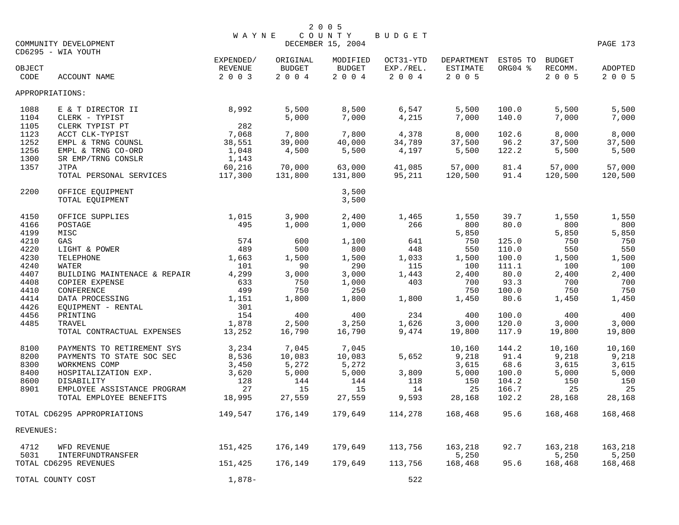|                 | COMMUNITY DEVELOPMENT        | <b>WAYNE</b>                    |                                   | 2 0 0 5<br>COUNTY<br>DECEMBER 15, 2004 | BUDGET                            |                                   |                     |                                     | PAGE 173           |
|-----------------|------------------------------|---------------------------------|-----------------------------------|----------------------------------------|-----------------------------------|-----------------------------------|---------------------|-------------------------------------|--------------------|
|                 | CD6295 - WIA YOUTH           |                                 |                                   |                                        |                                   |                                   |                     |                                     |                    |
| OBJECT<br>CODE  | ACCOUNT NAME                 | EXPENDED/<br>REVENUE<br>2 0 0 3 | ORIGINAL<br><b>BUDGET</b><br>2004 | MODIFIED<br><b>BUDGET</b><br>2 0 0 4   | OCT31-YTD<br>EXP./REL.<br>2 0 0 4 | DEPARTMENT<br>ESTIMATE<br>2 0 0 5 | EST05 TO<br>ORG04 % | <b>BUDGET</b><br>RECOMM.<br>2 0 0 5 | ADOPTED<br>2 0 0 5 |
| APPROPRIATIONS: |                              |                                 |                                   |                                        |                                   |                                   |                     |                                     |                    |
| 1088            | E & T DIRECTOR II            | 8,992                           | 5,500                             | 8,500                                  | 6,547                             | 5,500                             | 100.0               | 5,500                               | 5,500              |
| 1104            | CLERK - TYPIST               |                                 | 5,000                             | 7,000                                  | 4,215                             | 7,000                             | 140.0               | 7,000                               | 7,000              |
| 1105            | CLERK TYPIST PT              | 282                             |                                   |                                        |                                   |                                   |                     |                                     |                    |
| 1123            | ACCT CLK-TYPIST              | 7,068                           | 7,800                             | 7,800                                  | 4,378                             | 8,000                             | 102.6               | 8,000                               | 8,000              |
| 1252            | EMPL & TRNG COUNSL           | 38,551                          | 39,000                            | 40,000                                 | 34,789                            | 37,500                            | 96.2                | 37,500                              | 37,500             |
| 1256            | EMPL & TRNG CO-ORD           | 1,048                           | 4,500                             | 5,500                                  | 4,197                             | 5,500                             | 122.2               | 5,500                               | 5,500              |
| 1300            | SR EMP/TRNG CONSLR           | 1,143                           |                                   |                                        |                                   |                                   |                     |                                     |                    |
| 1357            | <b>JTPA</b>                  | 60,216                          | 70,000                            | 63,000                                 | 41,085                            | 57,000                            | 81.4                | 57,000                              | 57,000             |
|                 | TOTAL PERSONAL SERVICES      | 117,300                         | 131,800                           | 131,800                                | 95,211                            | 120,500                           | 91.4                | 120,500                             | 120,500            |
| 2200            | OFFICE EOUIPMENT             |                                 |                                   | 3,500                                  |                                   |                                   |                     |                                     |                    |
|                 | TOTAL EQUIPMENT              |                                 |                                   | 3,500                                  |                                   |                                   |                     |                                     |                    |
| 4150            | OFFICE SUPPLIES              | 1,015                           | 3,900                             | 2,400                                  | 1,465                             | 1,550                             | 39.7                | 1,550                               | 1,550              |
| 4166            | POSTAGE                      | 495                             | 1,000                             | 1,000                                  | 266                               | 800                               | 80.0                | 800                                 | 800                |
| 4199            | MISC                         |                                 |                                   |                                        |                                   | 5,850                             |                     | 5,850                               | 5,850              |
| 4210            | GAS                          | 574                             | 600                               | 1,100                                  | 641                               | 750                               | 125.0               | 750                                 | 750                |
| 4220            | LIGHT & POWER                | 489                             | 500                               | 800                                    | 448                               | 550                               | 110.0               | 550                                 | 550                |
| 4230            | TELEPHONE                    | 1,663                           | 1,500                             | 1,500                                  | 1,033                             | 1,500                             | 100.0               | 1,500                               | 1,500              |
| 4240            | WATER                        | 101                             | 90                                | 290                                    | 115                               | 100                               | 111.1               | 100                                 | 100                |
| 4407            | BUILDING MAINTENACE & REPAIR | 4,299                           | 3,000                             | 3,000                                  | 1,443                             | 2,400                             | 80.0                | 2,400                               | 2,400              |
| 4408            | COPIER EXPENSE               | 633                             | 750                               | 1,000                                  | 403                               | 700                               | 93.3                | 700                                 | 700                |
| 4410            | CONFERENCE                   | 499                             | 750                               | 250                                    |                                   | 750                               | 100.0               | 750                                 | 750                |
| 4414            | DATA PROCESSING              | 1,151                           | 1,800                             | 1,800                                  | 1,800                             | 1,450                             | 80.6                | 1,450                               | 1,450              |
| 4426            | EQUIPMENT - RENTAL           | 301                             |                                   |                                        |                                   |                                   |                     |                                     |                    |
| 4456            | PRINTING                     | 154                             | 400                               | 400                                    | 234                               | 400                               | 100.0               | 400                                 | 400                |
| 4485            | TRAVEL                       | 1,878                           | 2,500                             | 3,250                                  | 1,626                             | 3,000                             | 120.0               | 3,000                               | 3,000              |
|                 | TOTAL CONTRACTUAL EXPENSES   | 13,252                          | 16,790                            | 16,790                                 | 9,474                             | 19,800                            | 117.9               | 19,800                              | 19,800             |
| 8100            | PAYMENTS TO RETIREMENT SYS   | 3,234                           | 7,045                             | 7,045                                  |                                   | 10,160                            | 144.2               | 10,160                              | 10,160             |
| 8200            | PAYMENTS TO STATE SOC SEC    | 8,536                           | 10,083                            | 10,083                                 | 5,652                             | 9,218                             | 91.4                | 9,218                               | 9,218              |
| 8300            | WORKMENS COMP                | 3,450                           | 5,272                             | 5,272                                  |                                   | 3,615                             | 68.6                | 3,615                               | 3,615              |
| 8400            | HOSPITALIZATION EXP.         | 3,620                           | 5,000                             | 5,000                                  | 3,809                             | 5,000                             | 100.0               | 5,000                               | 5,000              |
| 8600            | DISABILITY                   | 128                             | 144                               | 144                                    | 118                               | 150                               | 104.2               | 150                                 | 150                |
| 8901            | EMPLOYEE ASSISTANCE PROGRAM  | 27                              | 15                                | 15                                     | 14                                | 25                                | 166.7               | 25                                  | 25                 |
|                 | TOTAL EMPLOYEE BENEFITS      | 18,995                          | 27,559                            | 27,559                                 | 9,593                             | 28,168                            | 102.2               | 28,168                              | 28,168             |
|                 | TOTAL CD6295 APPROPRIATIONS  | 149,547                         | 176,149                           | 179,649                                | 114,278                           | 168,468                           | 95.6                | 168,468                             | 168,468            |
| REVENUES:       |                              |                                 |                                   |                                        |                                   |                                   |                     |                                     |                    |
| 4712            | WFD REVENUE                  | 151,425                         | 176,149                           | 179,649                                | 113,756                           | 163,218                           | 92.7                | 163,218                             | 163,218            |
| 5031            | INTERFUNDTRANSFER            |                                 |                                   |                                        |                                   | 5,250                             |                     | 5,250                               | 5,250              |
|                 | TOTAL CD6295 REVENUES        | 151,425                         | 176,149                           | 179,649                                | 113,756                           | 168,468                           | 95.6                | 168,468                             | 168,468            |
|                 | TOTAL COUNTY COST            | $1,878-$                        |                                   |                                        | 522                               |                                   |                     |                                     |                    |
|                 |                              |                                 |                                   |                                        |                                   |                                   |                     |                                     |                    |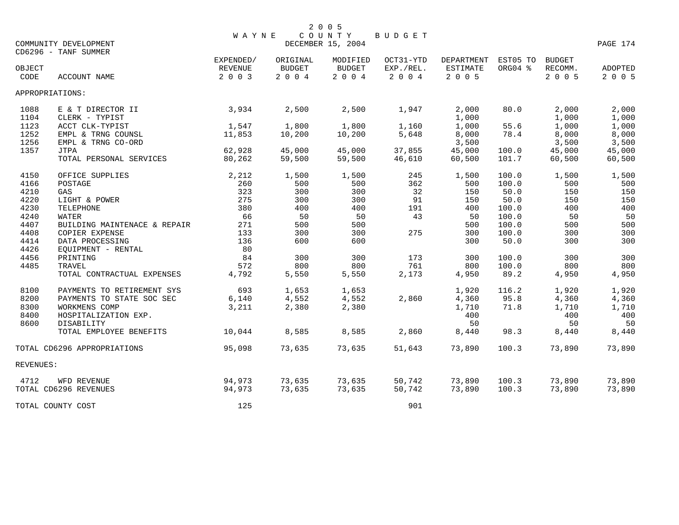|                                      | COMMUNITY DEVELOPMENT<br>CD6296 - TANF SUMMER                                                                  | <b>WAYNE</b>                    |                                      | 2 0 0 5<br>COUNTY<br>DECEMBER 15, 2004 | <b>BUDGET</b>                     |                                      |                         |                                      | PAGE 174                             |
|--------------------------------------|----------------------------------------------------------------------------------------------------------------|---------------------------------|--------------------------------------|----------------------------------------|-----------------------------------|--------------------------------------|-------------------------|--------------------------------------|--------------------------------------|
| OBJECT<br>CODE                       | ACCOUNT NAME                                                                                                   | EXPENDED/<br>REVENUE<br>2 0 0 3 | ORIGINAL<br><b>BUDGET</b><br>2 0 0 4 | MODIFIED<br><b>BUDGET</b><br>2004      | OCT31-YTD<br>EXP./REL.<br>2 0 0 4 | DEPARTMENT<br>ESTIMATE<br>2 0 0 5    | EST05 TO<br>ORG04 %     | <b>BUDGET</b><br>RECOMM.<br>2 0 0 5  | ADOPTED<br>2 0 0 5                   |
| APPROPRIATIONS:                      |                                                                                                                |                                 |                                      |                                        |                                   |                                      |                         |                                      |                                      |
| 1088<br>1104                         | E & T DIRECTOR II<br>CLERK - TYPIST                                                                            | 3,934                           | 2,500                                | 2,500                                  | 1,947                             | 2,000<br>1,000                       | 80.0                    | 2,000<br>1,000                       | 2,000<br>1,000                       |
| 1123<br>1252<br>1256                 | ACCT CLK-TYPIST<br>EMPL & TRNG COUNSL<br>EMPL & TRNG CO-ORD                                                    | 1,547<br>11,853                 | 1,800<br>10,200                      | 1,800<br>10,200                        | 1,160<br>5,648                    | 1,000<br>8,000<br>3,500              | 55.6<br>78.4            | 1,000<br>8,000<br>3,500              | 1,000<br>8,000<br>3,500              |
| 1357                                 | <b>JTPA</b><br>TOTAL PERSONAL SERVICES                                                                         | 62,928<br>80,262                | 45,000<br>59,500                     | 45,000<br>59,500                       | 37,855<br>46,610                  | 45,000<br>60,500                     | 100.0<br>101.7          | 45,000<br>60,500                     | 45,000<br>60,500                     |
| 4150<br>4166                         | OFFICE SUPPLIES<br>POSTAGE                                                                                     | 2,212<br>260                    | 1,500<br>500                         | 1,500<br>500                           | 245<br>362                        | 1,500<br>500                         | 100.0<br>100.0          | 1,500<br>500                         | 1,500<br>500                         |
| 4210<br>4220                         | GAS<br>LIGHT & POWER                                                                                           | 323<br>275                      | 300<br>300                           | 300<br>300                             | 32<br>91                          | 150<br>150                           | 50.0<br>50.0            | 150<br>150                           | 150<br>150                           |
| 4230<br>4240<br>4407                 | TELEPHONE<br>WATER<br>BUILDING MAINTENACE & REPAIR                                                             | 380<br>66<br>271                | 400<br>50<br>500                     | 400<br>50<br>500                       | 191<br>43                         | 400<br>50<br>500                     | 100.0<br>100.0<br>100.0 | 400<br>50<br>500                     | 400<br>50<br>500                     |
| 4408<br>4414                         | COPIER EXPENSE<br>DATA PROCESSING                                                                              | 133<br>136                      | 300<br>600                           | 300<br>600                             | 275                               | 300<br>300                           | 100.0<br>50.0           | 300<br>300                           | 300<br>300                           |
| 4426<br>4456<br>4485                 | EQUIPMENT - RENTAL<br>PRINTING<br>TRAVEL                                                                       | 80<br>84<br>572                 | 300<br>800                           | 300<br>800                             | 173<br>761                        | 300<br>800                           | 100.0<br>100.0          | 300<br>800                           | 300<br>800                           |
|                                      | TOTAL CONTRACTUAL EXPENSES                                                                                     | 4,792                           | 5,550                                | 5,550                                  | 2,173                             | 4,950                                | 89.2                    | 4,950                                | 4,950                                |
| 8100<br>8200<br>8300<br>8400<br>8600 | PAYMENTS TO RETIREMENT SYS<br>PAYMENTS TO STATE SOC SEC<br>WORKMENS COMP<br>HOSPITALIZATION EXP.<br>DISABILITY | 693<br>6,140<br>3,211           | 1,653<br>4,552<br>2,380              | 1,653<br>4,552<br>2,380                | 2,860                             | 1,920<br>4,360<br>1,710<br>400<br>50 | 116.2<br>95.8<br>71.8   | 1,920<br>4,360<br>1,710<br>400<br>50 | 1,920<br>4,360<br>1,710<br>400<br>50 |
|                                      | TOTAL EMPLOYEE BENEFITS                                                                                        | 10,044                          | 8,585                                | 8,585                                  | 2,860                             | 8,440                                | 98.3                    | 8,440                                | 8,440                                |
|                                      | TOTAL CD6296 APPROPRIATIONS                                                                                    | 95,098                          | 73,635                               | 73,635                                 | 51,643                            | 73,890                               | 100.3                   | 73,890                               | 73,890                               |
| REVENUES:                            |                                                                                                                |                                 |                                      |                                        |                                   |                                      |                         |                                      |                                      |
| 4712                                 | WFD REVENUE<br>TOTAL CD6296 REVENUES                                                                           | 94,973<br>94,973                | 73,635<br>73,635                     | 73,635<br>73,635                       | 50,742<br>50,742                  | 73,890<br>73,890                     | 100.3<br>100.3          | 73,890<br>73,890                     | 73,890<br>73,890                     |
|                                      | TOTAL COUNTY COST                                                                                              | 125                             |                                      |                                        | 901                               |                                      |                         |                                      |                                      |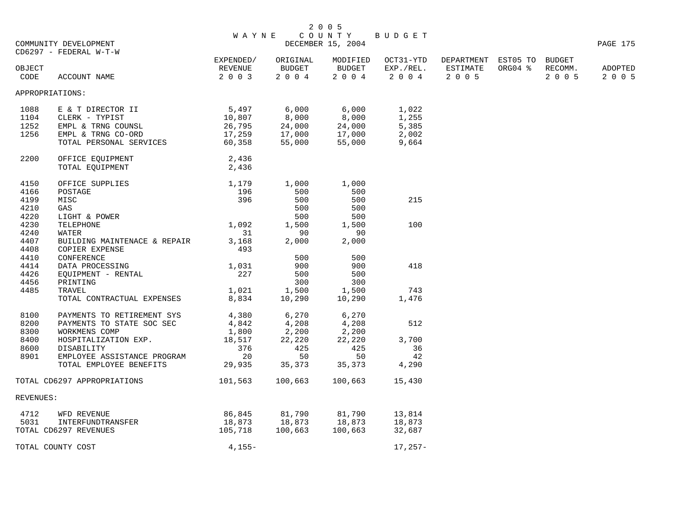|           |                              | <b>WAYNE</b> |           | COUNTY            | <b>BUDGET</b> |                     |         |               |          |
|-----------|------------------------------|--------------|-----------|-------------------|---------------|---------------------|---------|---------------|----------|
|           | COMMUNITY DEVELOPMENT        |              |           | DECEMBER 15, 2004 |               |                     |         |               | PAGE 175 |
|           | CD6297 - FEDERAL W-T-W       |              |           |                   |               |                     |         |               |          |
|           |                              | EXPENDED/    | ORIGINAL  | MODIFIED          | OCT31-YTD     | DEPARTMENT EST05 TO |         | <b>BUDGET</b> |          |
| OBJECT    |                              | REVENUE      | BUDGET    | BUDGET            | EXP./REL.     | ESTIMATE            | ORG04 % | RECOMM.       | ADOPTED  |
| CODE      | ACCOUNT NAME                 | 2 0 0 3      | $2 0 0 4$ | $2 0 0 4$         | 2 0 0 4       | 2 0 0 5             |         | 2 0 0 5       | 2 0 0 5  |
|           | APPROPRIATIONS:              |              |           |                   |               |                     |         |               |          |
| 1088      | E & T DIRECTOR II            | 5,497        | 6,000     | 6,000             | 1,022         |                     |         |               |          |
| 1104      | CLERK - TYPIST               | 10,807       | 8,000     | 8,000             | 1,255         |                     |         |               |          |
| 1252      | EMPL & TRNG COUNSL           | 26,795       | 24,000    | 24,000            | 5,385         |                     |         |               |          |
| 1256      | EMPL & TRNG CO-ORD           | 17,259       | 17,000    | 17,000            | 2,002         |                     |         |               |          |
|           | TOTAL PERSONAL SERVICES      | 60,358       | 55,000    | 55,000            | 9,664         |                     |         |               |          |
| 2200      | OFFICE EQUIPMENT             | 2,436        |           |                   |               |                     |         |               |          |
|           | TOTAL EOUIPMENT              | 2,436        |           |                   |               |                     |         |               |          |
| 4150      | OFFICE SUPPLIES              | 1,179        | 1,000     | 1,000             |               |                     |         |               |          |
| 4166      | POSTAGE                      | 196          | 500       | 500               |               |                     |         |               |          |
| 4199      | MISC                         | 396          | 500       | 500               | 215           |                     |         |               |          |
| 4210      | GAS                          |              | 500       | 500               |               |                     |         |               |          |
| 4220      | LIGHT & POWER                |              | 500       | 500               |               |                     |         |               |          |
| 4230      | TELEPHONE                    | 1,092        | 1,500     | 1,500             | 100           |                     |         |               |          |
| 4240      | WATER                        | 31           | 90        | 90                |               |                     |         |               |          |
| 4407      | BUILDING MAINTENACE & REPAIR | 3,168        | 2,000     | 2,000             |               |                     |         |               |          |
| 4408      | COPIER EXPENSE               | 493          |           |                   |               |                     |         |               |          |
| 4410      | CONFERENCE                   |              | 500       | 500               |               |                     |         |               |          |
| 4414      | DATA PROCESSING              | 1,031        | 900       | 900               | 418           |                     |         |               |          |
| 4426      | EQUIPMENT - RENTAL           | 227          | 500       | 500               |               |                     |         |               |          |
| 4456      | PRINTING                     |              | 300       | 300               |               |                     |         |               |          |
| 4485      | TRAVEL                       | 1,021        | 1,500     | 1,500             | 743           |                     |         |               |          |
|           | TOTAL CONTRACTUAL EXPENSES   | 8,834        | 10,290    | 10,290            | 1,476         |                     |         |               |          |
| 8100      | PAYMENTS TO RETIREMENT SYS   | 4,380        | 6,270     | 6,270             |               |                     |         |               |          |
| 8200      | PAYMENTS TO STATE SOC SEC    | 4,842        | 4,208     | 4,208             | 512           |                     |         |               |          |
| 8300      | WORKMENS COMP                | 1,800        | 2,200     | 2,200             |               |                     |         |               |          |
| 8400      | HOSPITALIZATION EXP.         | 18,517       | 22,220    | 22,220            | 3,700         |                     |         |               |          |
| 8600      | DISABILITY                   | 376          | 425       | 425               | 36            |                     |         |               |          |
| 8901      | EMPLOYEE ASSISTANCE PROGRAM  | 20           | 50        | 50                | 42            |                     |         |               |          |
|           | TOTAL EMPLOYEE BENEFITS      | 29,935       | 35,373    | 35,373            | 4,290         |                     |         |               |          |
|           | TOTAL CD6297 APPROPRIATIONS  | 101,563      | 100,663   | 100,663           | 15,430        |                     |         |               |          |
| REVENUES: |                              |              |           |                   |               |                     |         |               |          |
| 4712      | WFD REVENUE                  | 86,845       | 81,790    | 81,790            | 13,814        |                     |         |               |          |
| 5031      | INTERFUNDTRANSFER            | 18,873       | 18,873    | 18,873            | 18,873        |                     |         |               |          |
|           | TOTAL CD6297 REVENUES        | 105,718      | 100,663   | 100,663           | 32,687        |                     |         |               |          |
|           | TOTAL COUNTY COST            | $4,155-$     |           |                   | $17,257-$     |                     |         |               |          |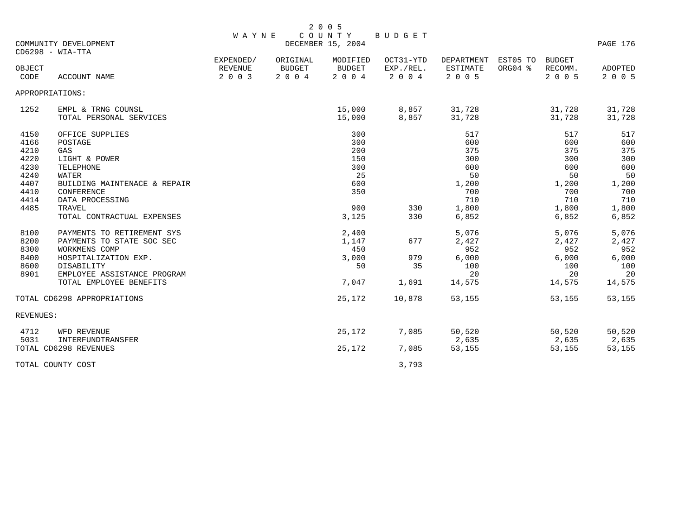|                 |                              |                |               | 2 0 0 5                     |               |                 |          |               |          |
|-----------------|------------------------------|----------------|---------------|-----------------------------|---------------|-----------------|----------|---------------|----------|
|                 | COMMUNITY DEVELOPMENT        | <b>WAYNE</b>   |               | COUNTY<br>DECEMBER 15, 2004 | <b>BUDGET</b> |                 |          |               | PAGE 176 |
|                 | $CD6298 - WIA-TTA$           |                |               |                             |               |                 |          |               |          |
|                 |                              | EXPENDED/      | ORIGINAL      | MODIFIED                    | OCT31-YTD     | DEPARTMENT      | EST05 TO | <b>BUDGET</b> |          |
| OBJECT          |                              | <b>REVENUE</b> | <b>BUDGET</b> | <b>BUDGET</b>               | EXP./REL.     | <b>ESTIMATE</b> | ORG04 %  | RECOMM.       | ADOPTED  |
| CODE            | <b>ACCOUNT NAME</b>          | 2 0 0 3        | 2 0 0 4       | 2 0 0 4                     | 2 0 0 4       | 2 0 0 5         |          | 2 0 0 5       | 2 0 0 5  |
| APPROPRIATIONS: |                              |                |               |                             |               |                 |          |               |          |
| 1252            | EMPL & TRNG COUNSL           |                |               | 15,000                      | 8,857         | 31,728          |          | 31,728        | 31,728   |
|                 | TOTAL PERSONAL SERVICES      |                |               | 15,000                      | 8,857         | 31,728          |          | 31,728        | 31,728   |
| 4150            | OFFICE SUPPLIES              |                |               | 300                         |               | 517             |          | 517           | 517      |
| 4166            | POSTAGE                      |                |               | 300                         |               | 600             |          | 600           | 600      |
| 4210            | GAS                          |                |               | 200                         |               | 375             |          | 375           | 375      |
| 4220            | LIGHT & POWER                |                |               | 150                         |               | 300             |          | 300           | 300      |
| 4230            | TELEPHONE                    |                |               | 300                         |               | 600             |          | 600           | 600      |
| 4240            | <b>WATER</b>                 |                |               | 25                          |               | 50              |          | 50            | 50       |
| 4407            | BUILDING MAINTENACE & REPAIR |                |               | 600                         |               | 1,200           |          | 1,200         | 1,200    |
| 4410            | <b>CONFERENCE</b>            |                |               | 350                         |               | 700             |          | 700           | 700      |
| 4414            | DATA PROCESSING              |                |               |                             |               | 710             |          | 710           | 710      |
| 4485            | TRAVEL                       |                |               | 900                         | 330           | 1,800           |          | 1,800         | 1,800    |
|                 | TOTAL CONTRACTUAL EXPENSES   |                |               | 3,125                       | 330           | 6,852           |          | 6,852         | 6,852    |
| 8100            | PAYMENTS TO RETIREMENT SYS   |                |               | 2,400                       |               | 5,076           |          | 5,076         | 5,076    |
| 8200            | PAYMENTS TO STATE SOC SEC    |                |               | 1,147                       | 677           | 2,427           |          | 2,427         | 2,427    |
| 8300            | WORKMENS COMP                |                |               | 450                         |               | 952             |          | 952           | 952      |
| 8400            | HOSPITALIZATION EXP.         |                |               | 3,000                       | 979           | 6,000           |          | 6,000         | 6,000    |
| 8600            | DISABILITY                   |                |               | 50                          | 35            | 100             |          | 100           | 100      |
| 8901            | EMPLOYEE ASSISTANCE PROGRAM  |                |               |                             |               | 20              |          | 20            | 20       |
|                 | TOTAL EMPLOYEE BENEFITS      |                |               | 7,047                       | 1,691         | 14,575          |          | 14,575        | 14,575   |
|                 | TOTAL CD6298 APPROPRIATIONS  |                |               | 25,172                      | 10,878        | 53,155          |          | 53,155        | 53,155   |
| REVENUES:       |                              |                |               |                             |               |                 |          |               |          |
| 4712            | WFD REVENUE                  |                |               | 25,172                      | 7,085         | 50,520          |          | 50,520        | 50,520   |
| 5031            | INTERFUNDTRANSFER            |                |               |                             |               | 2,635           |          | 2,635         | 2,635    |
|                 | TOTAL CD6298 REVENUES        |                |               | 25,172                      | 7,085         | 53,155          |          | 53,155        | 53,155   |
|                 | TOTAL COUNTY COST            |                |               |                             | 3,793         |                 |          |               |          |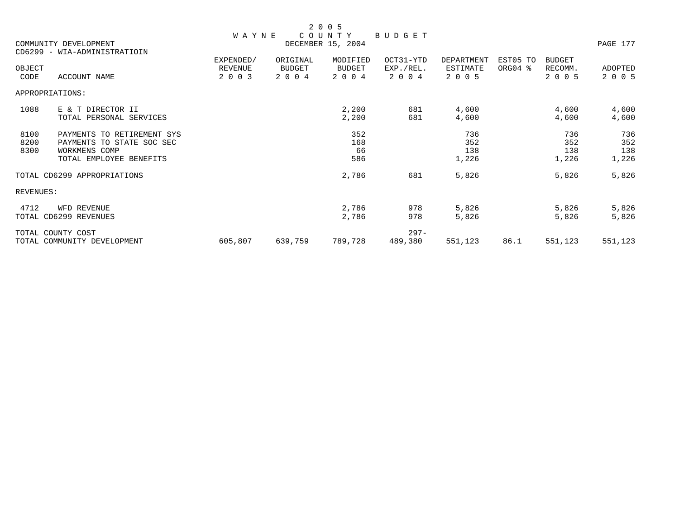|                                                       |                                                                                                     |                                        |                               | 2 0 0 5                              |                                   |                                   |                     |                                     |                            |
|-------------------------------------------------------|-----------------------------------------------------------------------------------------------------|----------------------------------------|-------------------------------|--------------------------------------|-----------------------------------|-----------------------------------|---------------------|-------------------------------------|----------------------------|
| COMMUNITY DEVELOPMENT<br>CD6299 - WIA-ADMINISTRATIOIN |                                                                                                     | <b>WAYNE</b>                           | PAGE 177                      |                                      |                                   |                                   |                     |                                     |                            |
| OBJECT<br>CODE                                        | <b>ACCOUNT NAME</b>                                                                                 | EXPENDED/<br><b>REVENUE</b><br>2 0 0 3 | ORIGINAL<br>BUDGET<br>2 0 0 4 | MODIFIED<br><b>BUDGET</b><br>2 0 0 4 | OCT31-YTD<br>EXP./REL.<br>2 0 0 4 | DEPARTMENT<br>ESTIMATE<br>2 0 0 5 | EST05 TO<br>ORG04 % | <b>BUDGET</b><br>RECOMM.<br>2 0 0 5 | ADOPTED<br>2 0 0 5         |
|                                                       | APPROPRIATIONS:                                                                                     |                                        |                               |                                      |                                   |                                   |                     |                                     |                            |
| 1088                                                  | E & T DIRECTOR II<br>TOTAL PERSONAL SERVICES                                                        |                                        |                               | 2,200<br>2,200                       | 681<br>681                        | 4,600<br>4,600                    |                     | 4,600<br>4,600                      | 4,600<br>4,600             |
| 8100<br>8200<br>8300                                  | PAYMENTS TO RETIREMENT SYS<br>PAYMENTS TO STATE SOC SEC<br>WORKMENS COMP<br>TOTAL EMPLOYEE BENEFITS |                                        |                               | 352<br>168<br>66<br>586              |                                   | 736<br>352<br>138<br>1,226        |                     | 736<br>352<br>138<br>1,226          | 736<br>352<br>138<br>1,226 |
|                                                       | TOTAL CD6299 APPROPRIATIONS                                                                         |                                        |                               | 2,786                                | 681                               | 5,826                             |                     | 5,826                               | 5,826                      |
| REVENUES:                                             |                                                                                                     |                                        |                               |                                      |                                   |                                   |                     |                                     |                            |
| 4712                                                  | WFD REVENUE<br>TOTAL CD6299 REVENUES                                                                |                                        |                               | 2,786<br>2,786                       | 978<br>978                        | 5,826<br>5,826                    |                     | 5,826<br>5,826                      | 5,826<br>5,826             |
|                                                       | TOTAL COUNTY COST<br>TOTAL COMMUNITY DEVELOPMENT                                                    | 605,807                                | 639,759                       | 789,728                              | $297 -$<br>489,380                | 551,123                           | 86.1                | 551,123                             | 551,123                    |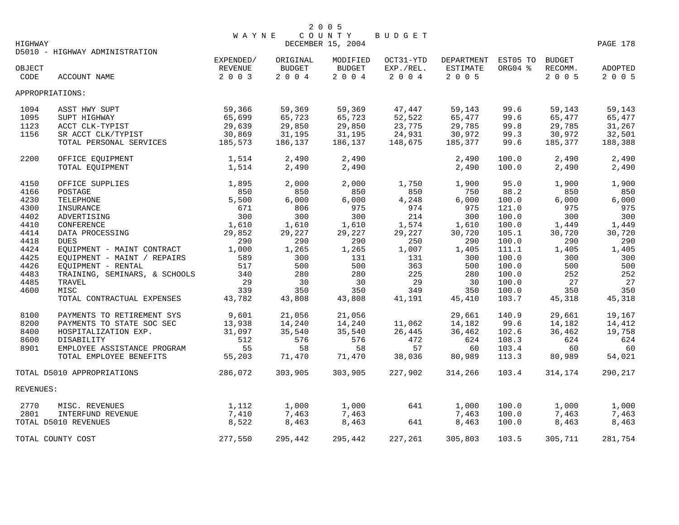| HIGHWAY                    |                                | <b>WAYNE</b> |               | 2 0 0 5<br>COUNTY<br>DECEMBER 15, 2004 | BUDGET    |                     |         |               | PAGE 178 |
|----------------------------|--------------------------------|--------------|---------------|----------------------------------------|-----------|---------------------|---------|---------------|----------|
|                            | D5010 - HIGHWAY ADMINISTRATION | EXPENDED/    | ORIGINAL      | MODIFIED                               | OCT31-YTD | DEPARTMENT EST05 TO |         | <b>BUDGET</b> |          |
| OBJECT                     |                                | REVENUE      | <b>BUDGET</b> | <b>BUDGET</b>                          | EXP./REL. | ESTIMATE            | ORG04 % | RECOMM.       | ADOPTED  |
| CODE                       | <b>ACCOUNT NAME</b>            | 2 0 0 3      | 2004          | 2004                                   | 2 0 0 4   | 2 0 0 5             |         | 2 0 0 5       | 2 0 0 5  |
|                            | APPROPRIATIONS:                |              |               |                                        |           |                     |         |               |          |
| 1094                       | ASST HWY SUPT                  | 59,366       | 59,369        | 59,369                                 | 47,447    | 59,143              | 99.6    | 59,143        | 59,143   |
| 1095                       | SUPT HIGHWAY                   | 65,699       | 65,723        | 65,723                                 | 52,522    | 65,477              | 99.6    | 65,477        | 65,477   |
| 1123                       | ACCT CLK-TYPIST                | 29,639       | 29,850        | 29,850                                 | 23,775    | 29,785              | 99.8    | 29,785        | 31,267   |
| 1156                       | SR ACCT CLK/TYPIST             | 30,869       | 31,195        | 31,195                                 | 24,931    | 30,972              | 99.3    | 30,972        | 32,501   |
|                            | TOTAL PERSONAL SERVICES        | 185,573      | 186,137       | 186,137                                | 148,675   | 185,377             | 99.6    | 185,377       | 188,388  |
| 2200                       | OFFICE EQUIPMENT               | 1,514        | 2,490         | 2,490                                  |           | 2,490               | 100.0   | 2,490         | 2,490    |
|                            | TOTAL EQUIPMENT                | 1,514        | 2,490         | 2,490                                  |           | 2,490               | 100.0   | 2,490         | 2,490    |
| 4150                       | OFFICE SUPPLIES                | 1,895        | 2,000         | 2,000                                  | 1,750     | 1,900               | 95.0    | 1,900         | 1,900    |
| 4166                       | POSTAGE                        | 850          | 850           | 850                                    | 850       | 750                 | 88.2    | 850           | 850      |
| 4230                       | TELEPHONE                      | 5,500        | 6,000         | 6,000                                  | 4,248     | 6,000               | 100.0   | 6,000         | 6,000    |
| 4300                       | INSURANCE                      | 671          | 806           | 975                                    | 974       | 975                 | 121.0   | 975           | 975      |
| 4402                       | ADVERTISING                    | 300          | 300           | 300                                    | 214       | 300                 | 100.0   | 300           | 300      |
| 4410                       | CONFERENCE                     | 1,610        | 1,610         | 1,610                                  | 1,574     | 1,610               | 100.0   | 1,449         | 1,449    |
| 4414                       | DATA PROCESSING                | 29,852       | 29,227        | 29,227                                 | 29,227    | 30,720              | 105.1   | 30,720        | 30,720   |
| 4418                       | <b>DUES</b>                    | 290          | 290           | 290                                    | 250       | 290                 | 100.0   | 290           | 290      |
| 4424                       | EQUIPMENT - MAINT CONTRACT     | 1,000        | 1,265         | 1,265                                  | 1,007     | 1,405               | 111.1   | 1,405         | 1,405    |
| 4425                       | EQUIPMENT - MAINT / REPAIRS    | 589          | 300           | 131                                    | 131       | 300                 | 100.0   | 300           | 300      |
| 4426                       | EQUIPMENT - RENTAL             | 517          | 500           | 500                                    | 363       | 500                 | 100.0   | 500           | 500      |
| 4483                       | TRAINING, SEMINARS, & SCHOOLS  | 340          | 280           | 280                                    | 225       | 280                 | 100.0   | 252           | 252      |
| 4485                       | TRAVEL                         | 29           | 30            | 30                                     | 29        | 30                  | 100.0   | 27            | 27       |
| 4600                       | MISC                           | 339          | 350           | 350                                    | 349       | 350                 | 100.0   | 350           | 350      |
|                            | TOTAL CONTRACTUAL EXPENSES     | 43,782       | 43,808        | 43,808                                 | 41,191    | 45,410              | 103.7   | 45,318        | 45,318   |
| 8100                       | PAYMENTS TO RETIREMENT SYS     | 9,601        | 21,056        | 21,056                                 |           | 29,661              | 140.9   | 29,661        | 19,167   |
| 8200                       | PAYMENTS TO STATE SOC SEC      | 13,938       | 14,240        | 14,240                                 | 11,062    | 14,182              | 99.6    | 14,182        | 14,412   |
| 8400                       | HOSPITALIZATION EXP.           | 31,097       | 35,540        | 35,540                                 | 26,445    | 36,462              | 102.6   | 36,462        | 19,758   |
| 8600                       | DISABILITY                     | 512          | 576           | 576                                    | 472       | 624                 | 108.3   | 624           | 624      |
| 8901                       | EMPLOYEE ASSISTANCE PROGRAM    | 55           | 58            | 58                                     | 57        | 60                  | 103.4   | 60            | 60       |
|                            | TOTAL EMPLOYEE BENEFITS        | 55,203       | 71,470        | 71,470                                 | 38,036    | 80,989              | 113.3   | 80,989        | 54,021   |
| TOTAL D5010 APPROPRIATIONS |                                | 286,072      | 303,905       | 303,905                                | 227,902   | 314,266             | 103.4   | 314,174       | 290,217  |
| REVENUES:                  |                                |              |               |                                        |           |                     |         |               |          |
| 2770                       | MISC. REVENUES                 | 1,112        | 1,000         | 1,000                                  | 641       | 1,000               | 100.0   | 1,000         | 1,000    |
| 2801                       | INTERFUND REVENUE              | 7,410        | 7,463         | 7,463                                  |           | 7,463               | 100.0   | 7,463         | 7,463    |
|                            | TOTAL D5010 REVENUES           | 8,522        | 8,463         | 8,463                                  | 641       | 8,463               | 100.0   | 8,463         | 8,463    |
| TOTAL COUNTY COST          |                                | 277,550      | 295,442       | 295,442                                | 227,261   | 305,803             | 103.5   | 305,711       | 281,754  |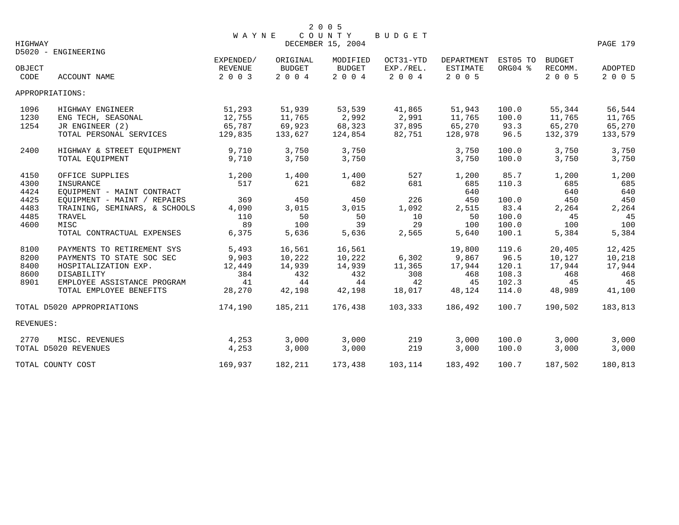| HIGHWAY              |                                                                                      | <b>WAYNE</b>                           |                                       | 2 0 0 5<br>COUNTY<br>DECEMBER 15, 2004 | <b>BUDGET</b>                       |                                          |                                |                                       | PAGE 179                              |
|----------------------|--------------------------------------------------------------------------------------|----------------------------------------|---------------------------------------|----------------------------------------|-------------------------------------|------------------------------------------|--------------------------------|---------------------------------------|---------------------------------------|
|                      | D5020 - ENGINEERING                                                                  |                                        |                                       |                                        |                                     |                                          |                                |                                       |                                       |
| OBJECT<br>CODE       | <b>ACCOUNT NAME</b>                                                                  | EXPENDED/<br><b>REVENUE</b><br>2 0 0 3 | ORIGINAL<br><b>BUDGET</b><br>$2004$   | MODIFIED<br><b>BUDGET</b><br>2004      | OCT31-YTD<br>EXP./REL.<br>2 0 0 4   | DEPARTMENT<br><b>ESTIMATE</b><br>2 0 0 5 | EST05 TO<br>ORG04 %            | <b>BUDGET</b><br>RECOMM.<br>2 0 0 5   | ADOPTED<br>2 0 0 5                    |
|                      | APPROPRIATIONS:                                                                      |                                        |                                       |                                        |                                     |                                          |                                |                                       |                                       |
| 1096<br>1230<br>1254 | HIGHWAY ENGINEER<br>ENG TECH, SEASONAL<br>JR ENGINEER (2)<br>TOTAL PERSONAL SERVICES | 51,293<br>12,755<br>65,787<br>129,835  | 51,939<br>11,765<br>69,923<br>133,627 | 53,539<br>2,992<br>68,323<br>124,854   | 41,865<br>2,991<br>37,895<br>82,751 | 51,943<br>11,765<br>65,270<br>128,978    | 100.0<br>100.0<br>93.3<br>96.5 | 55,344<br>11,765<br>65,270<br>132,379 | 56,544<br>11,765<br>65,270<br>133,579 |
| 2400                 | HIGHWAY & STREET EQUIPMENT<br>TOTAL EQUIPMENT                                        | 9,710<br>9,710                         | 3,750<br>3,750                        | 3,750<br>3,750                         |                                     | 3,750<br>3,750                           | 100.0<br>100.0                 | 3,750<br>3,750                        | 3,750<br>3,750                        |
| 4150<br>4300<br>4424 | OFFICE SUPPLIES<br>INSURANCE<br>EOUIPMENT - MAINT CONTRACT                           | 1,200<br>517                           | 1,400<br>621                          | 1,400<br>682                           | 527<br>681                          | 1,200<br>685<br>640                      | 85.7<br>110.3                  | 1,200<br>685<br>640                   | 1,200<br>685<br>640                   |
| 4425<br>4483         | EQUIPMENT - MAINT / REPAIRS<br>TRAINING, SEMINARS, & SCHOOLS                         | 369<br>4,090                           | 450<br>3,015                          | 450<br>3,015                           | 226<br>1,092                        | 450<br>2,515                             | 100.0<br>83.4                  | 450<br>2,264                          | 450<br>2,264                          |
| 4485<br>4600         | TRAVEL<br>MISC<br>TOTAL CONTRACTUAL EXPENSES                                         | 110<br>89<br>6,375                     | 50<br>100<br>5,636                    | 50<br>39<br>5,636                      | 10<br>29<br>2,565                   | 50<br>100<br>5,640                       | 100.0<br>100.0<br>100.1        | 45<br>100<br>5,384                    | 45<br>100<br>5,384                    |
| 8100                 | PAYMENTS TO RETIREMENT SYS                                                           | 5,493                                  | 16,561                                | 16,561                                 |                                     | 19,800                                   | 119.6                          | 20,405                                | 12,425                                |
| 8200<br>8400         | PAYMENTS TO STATE SOC SEC<br>HOSPITALIZATION EXP.                                    | 9,903<br>12,449                        | 10,222<br>14,939                      | 10,222<br>14,939                       | 6,302<br>11,365                     | 9,867<br>17,944                          | 96.5<br>120.1                  | 10,127<br>17,944                      | 10,218<br>17,944                      |
| 8600<br>8901         | DISABILITY<br>EMPLOYEE ASSISTANCE PROGRAM                                            | 384<br>41                              | 432<br>44                             | 432<br>44                              | 308<br>42                           | 468<br>45                                | 108.3<br>102.3                 | 468<br>45                             | 468<br>45                             |
|                      | TOTAL EMPLOYEE BENEFITS<br>TOTAL D5020 APPROPRIATIONS                                | 28,270<br>174,190                      | 42,198<br>185,211                     | 42,198<br>176,438                      | 18,017<br>103,333                   | 48,124<br>186,492                        | 114.0<br>100.7                 | 48,989<br>190,502                     | 41,100<br>183,813                     |
| REVENUES:            |                                                                                      |                                        |                                       |                                        |                                     |                                          |                                |                                       |                                       |
| 2770                 | MISC. REVENUES<br>TOTAL D5020 REVENUES                                               | 4,253<br>4,253                         | 3,000<br>3,000                        | 3,000<br>3,000                         | 219<br>219                          | 3,000<br>3,000                           | 100.0<br>100.0                 | 3,000<br>3,000                        | 3,000<br>3,000                        |
|                      | TOTAL COUNTY COST                                                                    | 169,937                                | 182,211                               | 173,438                                | 103,114                             | 183,492                                  | 100.7                          | 187,502                               | 180,813                               |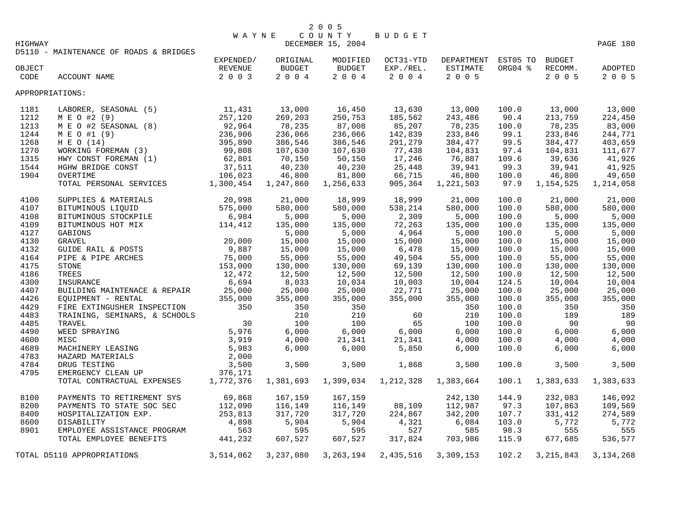|         | 2 0 0 5             |          |
|---------|---------------------|----------|
|         | WAYNE COUNTY BUDGET |          |
| HIGHWAY | DECEMBER 15, 2004   | PAGE 180 |

|                 | D5110 - MAINTENANCE OF ROADS & BRIDGES |           |               |               |           |            |          |             |                |
|-----------------|----------------------------------------|-----------|---------------|---------------|-----------|------------|----------|-------------|----------------|
|                 |                                        | EXPENDED/ | ORIGINAL      | MODIFIED      | OCT31-YTD | DEPARTMENT | EST05 TO | BUDGET      |                |
| OBJECT          |                                        | REVENUE   | <b>BUDGET</b> | <b>BUDGET</b> | EXP./REL. | ESTIMATE   | ORG04 %  | RECOMM.     | <b>ADOPTED</b> |
| CODE            | ACCOUNT NAME                           | 2 0 0 3   | 2004          | 2004          | 2 0 0 4   | $2 0 0 5$  |          | 2 0 0 5     | 2 0 0 5        |
| APPROPRIATIONS: |                                        |           |               |               |           |            |          |             |                |
| 1181            | LABORER, SEASONAL (5)                  | 11,431    | 13,000        | 16,450        | 13,630    | 13,000     | 100.0    | 13,000      | 13,000         |
| 1212            | M E O #2 (9)                           | 257,120   | 269,203       | 250,753       | 185,562   | 243,486    | 90.4     | 213,759     | 224,450        |
| 1213            | M E O #2 SEASONAL (8)                  | 92,964    | 78,235        | 87,008        | 85,207    | 78,235     | 100.0    | 78,235      | 83,000         |
| 1244            | M E O #1 (9)                           | 236,906   | 236,066       | 236,066       | 142,839   | 233,846    | 99.1     | 233,846     | 244,771        |
| 1268            | H E O (14)                             | 395,890   | 386,546       | 386,546       | 291,279   | 384,477    | 99.5     | 384,477     | 403,659        |
| 1270            | WORKING FOREMAN (3)                    | 99,808    | 107,630       | 107,630       | 77,438    | 104,831    | 97.4     | 104,831     | 111,677        |
| 1315            | HWY CONST FOREMAN (1)                  | 62,801    | 70,150        | 50,150        | 17,246    | 76,887     | 109.6    | 39,636      | 41,926         |
| 1544            | HGHW BRIDGE CONST                      | 37,511    | 40,230        | 40,230        | 25,448    | 39,941     | 99.3     | 39,941      | 41,925         |
| 1904            | OVERTIME                               | 106,023   | 46,800        | 81,800        | 66,715    | 46,800     | 100.0    | 46,800      | 49,650         |
|                 | TOTAL PERSONAL SERVICES                | 1,300,454 | 1,247,860     | 1,256,633     | 905,364   | 1,221,503  | 97.9     | 1,154,525   | 1,214,058      |
| 4100            | SUPPLIES & MATERIALS                   | 20,998    | 21,000        | 18,999        | 18,999    | 21,000     | 100.0    | 21,000      | 21,000         |
| 4107            | BITUMINOUS LIQUID                      | 575,000   | 580,000       | 580,000       | 538,214   | 580,000    | 100.0    | 580,000     | 580,000        |
| 4108            | BITUMINOUS STOCKPILE                   | 6,984     | 5,000         | 5,000         | 2,309     | 5,000      | 100.0    | 5,000       | 5,000          |
| 4109            | BITUMINOUS HOT MIX                     | 114,412   | 135,000       | 135,000       | 72,263    | 135,000    | 100.0    | 135,000     | 135,000        |
| 4127            | GABIONS                                |           | 5,000         | 5,000         | 4,964     | 5,000      | 100.0    | 5,000       | 5,000          |
| 4130            | <b>GRAVEL</b>                          | 20,000    | 15,000        | 15,000        | 15,000    | 15,000     | 100.0    | 15,000      | 15,000         |
| 4132            | GUIDE RAIL & POSTS                     | 9,887     | 15,000        | 15,000        | 6,478     | 15,000     | 100.0    | 15,000      | 15,000         |
| 4164            | PIPE & PIPE ARCHES                     | 75,000    | 55,000        | 55,000        | 49,504    | 55,000     | 100.0    | 55,000      | 55,000         |
| 4175            | <b>STONE</b>                           | 153,000   | 130,000       | 130,000       | 69,139    | 130,000    | 100.0    | 130,000     | 130,000        |
| 4186            | TREES                                  | 12,472    | 12,500        | 12,500        | 12,500    | 12,500     | 100.0    | 12,500      | 12,500         |
| 4300            | INSURANCE                              | 6,694     | 8,033         | 10,034        | 10,003    | 10,004     | 124.5    | 10,004      | 10,004         |
| 4407            | BUILDING MAINTENACE & REPAIR           | 25,000    | 25,000        | 25,000        | 22,771    | 25,000     | 100.0    | 25,000      | 25,000         |
| 4426            | EOUIPMENT - RENTAL                     | 355,000   | 355,000       | 355,000       | 355,000   | 355,000    | 100.0    | 355,000     | 355,000        |
| 4429            | FIRE EXTINGUSHER INSPECTION            | 350       | 350           | 350           |           | 350        | 100.0    | 350         | 350            |
| 4483            | TRAINING, SEMINARS, & SCHOOLS          |           | 210           | 210           | 60        | 210        | 100.0    | 189         | 189            |
| 4485            | TRAVEL                                 | 30        | 100           | 100           | 65        | 100        | 100.0    | 90          | 90             |
| 4490            | WEED SPRAYING                          | 5,976     | 6,000         | 6,000         | 6,000     | 6,000      | 100.0    | 6,000       | 6,000          |
| 4600            | MISC                                   | 3,919     | 4,000         | 21,341        | 21,341    | 4,000      | 100.0    | 4,000       | 4,000          |
| 4689            | MACHINERY LEASING                      | 5,983     | 6,000         | 6,000         | 5,850     | 6,000      | 100.0    | 6,000       | 6,000          |
| 4783            | HAZARD MATERIALS                       | 2,000     |               |               |           |            |          |             |                |
| 4784            | DRUG TESTING                           | 3,500     | 3,500         | 3,500         | 1,868     | 3,500      | 100.0    | 3,500       | 3,500          |
| 4795            | EMERGENCY CLEAN UP                     | 376,171   |               |               |           |            |          |             |                |
|                 | TOTAL CONTRACTUAL EXPENSES             | 1,772,376 | 1,381,693     | 1,399,034     | 1,212,328 | 1,383,664  | 100.1    | 1,383,633   | 1,383,633      |
| 8100            | PAYMENTS TO RETIREMENT SYS             | 69,868    | 167,159       | 167,159       |           | 242,130    | 144.9    | 232,083     | 146,092        |
| 8200            | PAYMENTS TO STATE SOC SEC              | 112,090   | 116,149       | 116,149       | 88,109    | 112,987    | 97.3     | 107,863     | 109,569        |
| 8400            | HOSPITALIZATION EXP.                   | 253,813   | 317,720       | 317,720       | 224,867   | 342,200    | 107.7    | 331,412     | 274,589        |
| 8600            | <b>DISABILITY</b>                      | 4,898     | 5,904         | 5,904         | 4,321     | 6,084      | 103.0    | 5,772       | 5,772          |
| 8901            | EMPLOYEE ASSISTANCE PROGRAM            | 563       | 595           | 595           | 527       | 585        | 98.3     | 555         | 555            |
|                 | TOTAL EMPLOYEE BENEFITS                | 441,232   | 607,527       | 607,527       | 317,824   | 703,986    | 115.9    | 677,685     | 536,577        |
|                 | TOTAL D5110 APPROPRIATIONS             | 3,514,062 | 3,237,080     | 3, 263, 194   | 2,435,516 | 3,309,153  | 102.2    | 3, 215, 843 | 3, 134, 268    |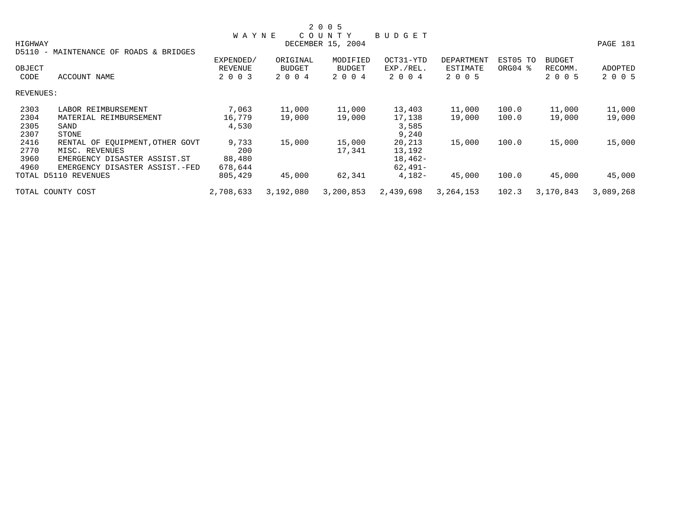|           |                                                            |              |               | 2 0 0 5           |           |             |          |               |           |
|-----------|------------------------------------------------------------|--------------|---------------|-------------------|-----------|-------------|----------|---------------|-----------|
|           |                                                            | <b>WAYNE</b> |               | COUNTY            | BUDGET    |             |          |               |           |
| HIGHWAY   |                                                            |              |               | DECEMBER 15, 2004 |           |             |          |               | PAGE 181  |
| D5110     | MAINTENANCE OF ROADS & BRIDGES<br>$\overline{\phantom{a}}$ |              |               |                   |           |             |          |               |           |
|           |                                                            | EXPENDED/    | ORIGINAL      | MODIFIED          | OCT31-YTD | DEPARTMENT  | EST05 TO | <b>BUDGET</b> |           |
| OBJECT    |                                                            | REVENUE      | <b>BUDGET</b> | BUDGET            | EXP./REL. | ESTIMATE    | ORG04 %  | RECOMM.       | ADOPTED   |
| CODE      | ACCOUNT NAME                                               | 2 0 0 3      | 2 0 0 4       | 2 0 0 4           | 2 0 0 4   | 2 0 0 5     |          | 2 0 0 5       | 2 0 0 5   |
| REVENUES: |                                                            |              |               |                   |           |             |          |               |           |
| 2303      | LABOR REIMBURSEMENT                                        | 7,063        | 11,000        | 11,000            | 13,403    | 11,000      | 100.0    | 11,000        | 11,000    |
| 2304      | MATERIAL REIMBURSEMENT                                     | 16,779       | 19,000        | 19,000            | 17,138    | 19,000      | 100.0    | 19,000        | 19,000    |
| 2305      | SAND                                                       | 4,530        |               |                   | 3,585     |             |          |               |           |
| 2307      | STONE                                                      |              |               |                   | 9,240     |             |          |               |           |
| 2416      | RENTAL OF EQUIPMENT, OTHER GOVT                            | 9,733        | 15,000        | 15,000            | 20,213    | 15,000      | 100.0    | 15,000        | 15,000    |
| 2770      | MISC. REVENUES                                             | 200          |               | 17,341            | 13,192    |             |          |               |           |
| 3960      | EMERGENCY DISASTER ASSIST.ST                               | 88,480       |               |                   | 18,462-   |             |          |               |           |
| 4960      | EMERGENCY DISASTER ASSIST.-FED                             | 678,644      |               |                   | $62,491-$ |             |          |               |           |
|           | TOTAL D5110 REVENUES                                       | 805,429      | 45,000        | 62,341            | $4,182-$  | 45,000      | 100.0    | 45,000        | 45,000    |
|           | TOTAL COUNTY COST                                          | 2,708,633    | 3,192,080     | 3,200,853         | 2,439,698 | 3, 264, 153 | 102.3    | 3,170,843     | 3,089,268 |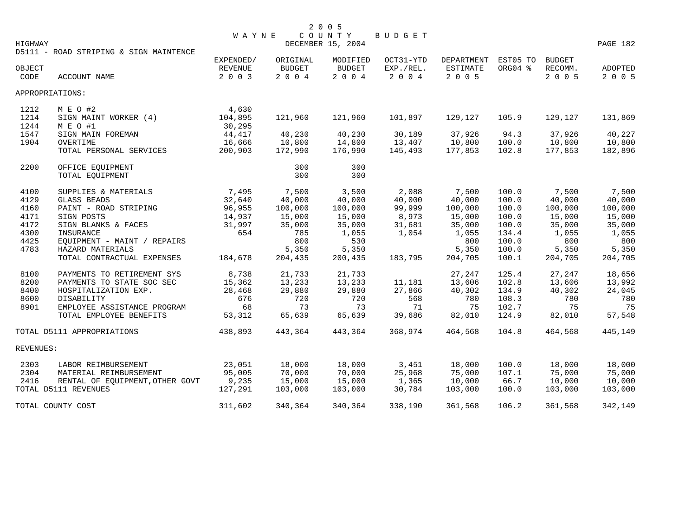| DECEMBER 15, 2004<br>HIGHWAY<br>D5111 - ROAD STRIPING & SIGN MAINTENCE<br>OCT31-YTD<br>DEPARTMENT EST05 TO<br><b>BUDGET</b><br>EXPENDED/<br>ORIGINAL<br>MODIFIED<br><b>BUDGET</b><br><b>BUDGET</b><br>EXP./REL.<br>ESTIMATE<br>ORG04 %<br>RECOMM.<br>OBJECT<br>REVENUE<br>ADOPTED<br>$2004$<br>$2004$<br>2 0 0 4<br>2 0 0 5<br>2 0 0 5<br>ACCOUNT NAME<br>2 0 0 3<br>CODE<br>APPROPRIATIONS:<br>4,630<br>1212<br>M E O #2<br>104,895<br>1214<br>SIGN MAINT WORKER (4)<br>121,960<br>121,960<br>101,897<br>129,127<br>105.9<br>129,127<br>1244<br>M E O #1<br>30,295<br>1547<br>44,417<br>40,230<br>40,230<br>30,189<br>37,926<br>37,926<br>SIGN MAIN FOREMAN<br>94.3<br>1904<br>16,666<br>10,800<br>14,800<br>13,407<br>10,800<br>100.0<br>10,800<br>10,800<br>OVERTIME<br>TOTAL PERSONAL SERVICES<br>200,903<br>172,990<br>176,990<br>145,493<br>102.8<br>177,853<br>177,853<br>2200<br>300<br>300<br>OFFICE EQUIPMENT<br>300<br>300<br>TOTAL EQUIPMENT<br>7,495<br>7,500<br>2,088<br>7,500<br>4100<br>SUPPLIES & MATERIALS<br>3,500<br>7,500<br>100.0<br>7,500<br>40,000<br>4129<br><b>GLASS BEADS</b><br>32,640<br>40,000<br>40,000<br>40,000<br>40,000<br>100.0<br>4160<br>PAINT - ROAD STRIPING<br>96,955<br>100,000<br>100,000<br>99,999<br>100,000<br>100.0<br>100,000<br>100,000<br>4171<br>SIGN POSTS<br>14,937<br>8,973<br>15,000<br>100.0<br>15,000<br>15,000<br>15,000<br>15,000<br>4172<br>SIGN BLANKS & FACES<br>31,997<br>35,000<br>35,000<br>31,681<br>35,000<br>100.0<br>35,000<br>35,000<br>4300<br>654<br>1,055<br>1,054<br>134.4<br>1,055<br>1,055<br>INSURANCE<br>785<br>1,055<br>4425<br>800<br>530<br>100.0<br>EQUIPMENT - MAINT / REPAIRS<br>800<br>800<br>800<br>4783<br>HAZARD MATERIALS<br>5,350<br>5,350<br>5,350<br>100.0<br>5,350<br>5,350<br>204,705<br>100.1<br>204,705<br>TOTAL CONTRACTUAL EXPENSES<br>184,678<br>204,435<br>200,435<br>183,795<br>204,705<br>8,738<br>8100<br>PAYMENTS TO RETIREMENT SYS<br>21,733<br>27,247<br>125.4<br>27,247<br>21,733<br>8200<br>PAYMENTS TO STATE SOC SEC<br>15,362<br>13,233<br>13,233<br>11,181<br>13,606<br>102.8<br>13,606<br>27,866<br>8400<br>28,468<br>29,880<br>29,880<br>40,302<br>134.9<br>40,302<br>HOSPITALIZATION EXP.<br>8600<br><b>DISABILITY</b><br>676<br>720<br>720<br>568<br>780<br>108.3<br>780<br>8901<br>EMPLOYEE ASSISTANCE PROGRAM<br>68<br>73<br>73<br>71<br>75<br>102.7<br>75<br>TOTAL EMPLOYEE BENEFITS<br>53,312<br>65,639<br>65,639<br>39,686<br>82,010<br>124.9<br>82,010<br>438,893<br>443,364<br>443,364<br>368,974<br>464,568<br>104.8<br>464,568<br>TOTAL D5111 APPROPRIATIONS<br>REVENUES:<br>23,051<br>3,451<br>18,000<br>2303<br>LABOR REIMBURSEMENT<br>18,000<br>18,000<br>18,000<br>100.0<br>95,005<br>70,000<br>70,000<br>25,968<br>75,000<br>107.1<br>75,000<br>2304<br>MATERIAL REIMBURSEMENT<br>9,235<br>15,000<br>15,000<br>1,365<br>10,000<br>66.7<br>10,000<br>10,000<br>2416<br>RENTAL OF EQUIPMENT, OTHER GOVT<br>TOTAL D5111 REVENUES<br>30,784<br>127,291<br>103,000<br>103,000<br>103,000<br>100.0<br>103,000<br>TOTAL COUNTY COST |  | <b>WAYNE</b> |         | COUNTY  | <b>BUDGET</b> |         |       |         |          |
|---------------------------------------------------------------------------------------------------------------------------------------------------------------------------------------------------------------------------------------------------------------------------------------------------------------------------------------------------------------------------------------------------------------------------------------------------------------------------------------------------------------------------------------------------------------------------------------------------------------------------------------------------------------------------------------------------------------------------------------------------------------------------------------------------------------------------------------------------------------------------------------------------------------------------------------------------------------------------------------------------------------------------------------------------------------------------------------------------------------------------------------------------------------------------------------------------------------------------------------------------------------------------------------------------------------------------------------------------------------------------------------------------------------------------------------------------------------------------------------------------------------------------------------------------------------------------------------------------------------------------------------------------------------------------------------------------------------------------------------------------------------------------------------------------------------------------------------------------------------------------------------------------------------------------------------------------------------------------------------------------------------------------------------------------------------------------------------------------------------------------------------------------------------------------------------------------------------------------------------------------------------------------------------------------------------------------------------------------------------------------------------------------------------------------------------------------------------------------------------------------------------------------------------------------------------------------------------------------------------------------------------------------------------------------------------------------------------------------------------------------------------------------------------------------------------------------------------------------------------------------------------------------------------------------------------------------------------------------------------------------------------------------------------------------------------|--|--------------|---------|---------|---------------|---------|-------|---------|----------|
|                                                                                                                                                                                                                                                                                                                                                                                                                                                                                                                                                                                                                                                                                                                                                                                                                                                                                                                                                                                                                                                                                                                                                                                                                                                                                                                                                                                                                                                                                                                                                                                                                                                                                                                                                                                                                                                                                                                                                                                                                                                                                                                                                                                                                                                                                                                                                                                                                                                                                                                                                                                                                                                                                                                                                                                                                                                                                                                                                                                                                                                               |  |              |         |         |               |         |       |         | PAGE 182 |
|                                                                                                                                                                                                                                                                                                                                                                                                                                                                                                                                                                                                                                                                                                                                                                                                                                                                                                                                                                                                                                                                                                                                                                                                                                                                                                                                                                                                                                                                                                                                                                                                                                                                                                                                                                                                                                                                                                                                                                                                                                                                                                                                                                                                                                                                                                                                                                                                                                                                                                                                                                                                                                                                                                                                                                                                                                                                                                                                                                                                                                                               |  |              |         |         |               |         |       |         |          |
|                                                                                                                                                                                                                                                                                                                                                                                                                                                                                                                                                                                                                                                                                                                                                                                                                                                                                                                                                                                                                                                                                                                                                                                                                                                                                                                                                                                                                                                                                                                                                                                                                                                                                                                                                                                                                                                                                                                                                                                                                                                                                                                                                                                                                                                                                                                                                                                                                                                                                                                                                                                                                                                                                                                                                                                                                                                                                                                                                                                                                                                               |  |              |         |         |               |         |       |         |          |
|                                                                                                                                                                                                                                                                                                                                                                                                                                                                                                                                                                                                                                                                                                                                                                                                                                                                                                                                                                                                                                                                                                                                                                                                                                                                                                                                                                                                                                                                                                                                                                                                                                                                                                                                                                                                                                                                                                                                                                                                                                                                                                                                                                                                                                                                                                                                                                                                                                                                                                                                                                                                                                                                                                                                                                                                                                                                                                                                                                                                                                                               |  |              |         |         |               |         |       |         |          |
|                                                                                                                                                                                                                                                                                                                                                                                                                                                                                                                                                                                                                                                                                                                                                                                                                                                                                                                                                                                                                                                                                                                                                                                                                                                                                                                                                                                                                                                                                                                                                                                                                                                                                                                                                                                                                                                                                                                                                                                                                                                                                                                                                                                                                                                                                                                                                                                                                                                                                                                                                                                                                                                                                                                                                                                                                                                                                                                                                                                                                                                               |  |              |         |         |               |         |       |         | 2 0 0 5  |
|                                                                                                                                                                                                                                                                                                                                                                                                                                                                                                                                                                                                                                                                                                                                                                                                                                                                                                                                                                                                                                                                                                                                                                                                                                                                                                                                                                                                                                                                                                                                                                                                                                                                                                                                                                                                                                                                                                                                                                                                                                                                                                                                                                                                                                                                                                                                                                                                                                                                                                                                                                                                                                                                                                                                                                                                                                                                                                                                                                                                                                                               |  |              |         |         |               |         |       |         |          |
|                                                                                                                                                                                                                                                                                                                                                                                                                                                                                                                                                                                                                                                                                                                                                                                                                                                                                                                                                                                                                                                                                                                                                                                                                                                                                                                                                                                                                                                                                                                                                                                                                                                                                                                                                                                                                                                                                                                                                                                                                                                                                                                                                                                                                                                                                                                                                                                                                                                                                                                                                                                                                                                                                                                                                                                                                                                                                                                                                                                                                                                               |  |              |         |         |               |         |       |         |          |
|                                                                                                                                                                                                                                                                                                                                                                                                                                                                                                                                                                                                                                                                                                                                                                                                                                                                                                                                                                                                                                                                                                                                                                                                                                                                                                                                                                                                                                                                                                                                                                                                                                                                                                                                                                                                                                                                                                                                                                                                                                                                                                                                                                                                                                                                                                                                                                                                                                                                                                                                                                                                                                                                                                                                                                                                                                                                                                                                                                                                                                                               |  |              |         |         |               |         |       |         |          |
|                                                                                                                                                                                                                                                                                                                                                                                                                                                                                                                                                                                                                                                                                                                                                                                                                                                                                                                                                                                                                                                                                                                                                                                                                                                                                                                                                                                                                                                                                                                                                                                                                                                                                                                                                                                                                                                                                                                                                                                                                                                                                                                                                                                                                                                                                                                                                                                                                                                                                                                                                                                                                                                                                                                                                                                                                                                                                                                                                                                                                                                               |  |              |         |         |               |         |       |         | 131,869  |
|                                                                                                                                                                                                                                                                                                                                                                                                                                                                                                                                                                                                                                                                                                                                                                                                                                                                                                                                                                                                                                                                                                                                                                                                                                                                                                                                                                                                                                                                                                                                                                                                                                                                                                                                                                                                                                                                                                                                                                                                                                                                                                                                                                                                                                                                                                                                                                                                                                                                                                                                                                                                                                                                                                                                                                                                                                                                                                                                                                                                                                                               |  |              |         |         |               |         |       |         |          |
|                                                                                                                                                                                                                                                                                                                                                                                                                                                                                                                                                                                                                                                                                                                                                                                                                                                                                                                                                                                                                                                                                                                                                                                                                                                                                                                                                                                                                                                                                                                                                                                                                                                                                                                                                                                                                                                                                                                                                                                                                                                                                                                                                                                                                                                                                                                                                                                                                                                                                                                                                                                                                                                                                                                                                                                                                                                                                                                                                                                                                                                               |  |              |         |         |               |         |       |         | 40,227   |
|                                                                                                                                                                                                                                                                                                                                                                                                                                                                                                                                                                                                                                                                                                                                                                                                                                                                                                                                                                                                                                                                                                                                                                                                                                                                                                                                                                                                                                                                                                                                                                                                                                                                                                                                                                                                                                                                                                                                                                                                                                                                                                                                                                                                                                                                                                                                                                                                                                                                                                                                                                                                                                                                                                                                                                                                                                                                                                                                                                                                                                                               |  |              |         |         |               |         |       |         |          |
|                                                                                                                                                                                                                                                                                                                                                                                                                                                                                                                                                                                                                                                                                                                                                                                                                                                                                                                                                                                                                                                                                                                                                                                                                                                                                                                                                                                                                                                                                                                                                                                                                                                                                                                                                                                                                                                                                                                                                                                                                                                                                                                                                                                                                                                                                                                                                                                                                                                                                                                                                                                                                                                                                                                                                                                                                                                                                                                                                                                                                                                               |  |              |         |         |               |         |       |         | 182,896  |
|                                                                                                                                                                                                                                                                                                                                                                                                                                                                                                                                                                                                                                                                                                                                                                                                                                                                                                                                                                                                                                                                                                                                                                                                                                                                                                                                                                                                                                                                                                                                                                                                                                                                                                                                                                                                                                                                                                                                                                                                                                                                                                                                                                                                                                                                                                                                                                                                                                                                                                                                                                                                                                                                                                                                                                                                                                                                                                                                                                                                                                                               |  |              |         |         |               |         |       |         |          |
|                                                                                                                                                                                                                                                                                                                                                                                                                                                                                                                                                                                                                                                                                                                                                                                                                                                                                                                                                                                                                                                                                                                                                                                                                                                                                                                                                                                                                                                                                                                                                                                                                                                                                                                                                                                                                                                                                                                                                                                                                                                                                                                                                                                                                                                                                                                                                                                                                                                                                                                                                                                                                                                                                                                                                                                                                                                                                                                                                                                                                                                               |  |              |         |         |               |         |       |         |          |
|                                                                                                                                                                                                                                                                                                                                                                                                                                                                                                                                                                                                                                                                                                                                                                                                                                                                                                                                                                                                                                                                                                                                                                                                                                                                                                                                                                                                                                                                                                                                                                                                                                                                                                                                                                                                                                                                                                                                                                                                                                                                                                                                                                                                                                                                                                                                                                                                                                                                                                                                                                                                                                                                                                                                                                                                                                                                                                                                                                                                                                                               |  |              |         |         |               |         |       |         |          |
|                                                                                                                                                                                                                                                                                                                                                                                                                                                                                                                                                                                                                                                                                                                                                                                                                                                                                                                                                                                                                                                                                                                                                                                                                                                                                                                                                                                                                                                                                                                                                                                                                                                                                                                                                                                                                                                                                                                                                                                                                                                                                                                                                                                                                                                                                                                                                                                                                                                                                                                                                                                                                                                                                                                                                                                                                                                                                                                                                                                                                                                               |  |              |         |         |               |         |       |         |          |
|                                                                                                                                                                                                                                                                                                                                                                                                                                                                                                                                                                                                                                                                                                                                                                                                                                                                                                                                                                                                                                                                                                                                                                                                                                                                                                                                                                                                                                                                                                                                                                                                                                                                                                                                                                                                                                                                                                                                                                                                                                                                                                                                                                                                                                                                                                                                                                                                                                                                                                                                                                                                                                                                                                                                                                                                                                                                                                                                                                                                                                                               |  |              |         |         |               |         |       |         | 40,000   |
|                                                                                                                                                                                                                                                                                                                                                                                                                                                                                                                                                                                                                                                                                                                                                                                                                                                                                                                                                                                                                                                                                                                                                                                                                                                                                                                                                                                                                                                                                                                                                                                                                                                                                                                                                                                                                                                                                                                                                                                                                                                                                                                                                                                                                                                                                                                                                                                                                                                                                                                                                                                                                                                                                                                                                                                                                                                                                                                                                                                                                                                               |  |              |         |         |               |         |       |         |          |
|                                                                                                                                                                                                                                                                                                                                                                                                                                                                                                                                                                                                                                                                                                                                                                                                                                                                                                                                                                                                                                                                                                                                                                                                                                                                                                                                                                                                                                                                                                                                                                                                                                                                                                                                                                                                                                                                                                                                                                                                                                                                                                                                                                                                                                                                                                                                                                                                                                                                                                                                                                                                                                                                                                                                                                                                                                                                                                                                                                                                                                                               |  |              |         |         |               |         |       |         |          |
|                                                                                                                                                                                                                                                                                                                                                                                                                                                                                                                                                                                                                                                                                                                                                                                                                                                                                                                                                                                                                                                                                                                                                                                                                                                                                                                                                                                                                                                                                                                                                                                                                                                                                                                                                                                                                                                                                                                                                                                                                                                                                                                                                                                                                                                                                                                                                                                                                                                                                                                                                                                                                                                                                                                                                                                                                                                                                                                                                                                                                                                               |  |              |         |         |               |         |       |         |          |
|                                                                                                                                                                                                                                                                                                                                                                                                                                                                                                                                                                                                                                                                                                                                                                                                                                                                                                                                                                                                                                                                                                                                                                                                                                                                                                                                                                                                                                                                                                                                                                                                                                                                                                                                                                                                                                                                                                                                                                                                                                                                                                                                                                                                                                                                                                                                                                                                                                                                                                                                                                                                                                                                                                                                                                                                                                                                                                                                                                                                                                                               |  |              |         |         |               |         |       |         |          |
|                                                                                                                                                                                                                                                                                                                                                                                                                                                                                                                                                                                                                                                                                                                                                                                                                                                                                                                                                                                                                                                                                                                                                                                                                                                                                                                                                                                                                                                                                                                                                                                                                                                                                                                                                                                                                                                                                                                                                                                                                                                                                                                                                                                                                                                                                                                                                                                                                                                                                                                                                                                                                                                                                                                                                                                                                                                                                                                                                                                                                                                               |  |              |         |         |               |         |       |         |          |
|                                                                                                                                                                                                                                                                                                                                                                                                                                                                                                                                                                                                                                                                                                                                                                                                                                                                                                                                                                                                                                                                                                                                                                                                                                                                                                                                                                                                                                                                                                                                                                                                                                                                                                                                                                                                                                                                                                                                                                                                                                                                                                                                                                                                                                                                                                                                                                                                                                                                                                                                                                                                                                                                                                                                                                                                                                                                                                                                                                                                                                                               |  |              |         |         |               |         |       |         |          |
|                                                                                                                                                                                                                                                                                                                                                                                                                                                                                                                                                                                                                                                                                                                                                                                                                                                                                                                                                                                                                                                                                                                                                                                                                                                                                                                                                                                                                                                                                                                                                                                                                                                                                                                                                                                                                                                                                                                                                                                                                                                                                                                                                                                                                                                                                                                                                                                                                                                                                                                                                                                                                                                                                                                                                                                                                                                                                                                                                                                                                                                               |  |              |         |         |               |         |       |         |          |
|                                                                                                                                                                                                                                                                                                                                                                                                                                                                                                                                                                                                                                                                                                                                                                                                                                                                                                                                                                                                                                                                                                                                                                                                                                                                                                                                                                                                                                                                                                                                                                                                                                                                                                                                                                                                                                                                                                                                                                                                                                                                                                                                                                                                                                                                                                                                                                                                                                                                                                                                                                                                                                                                                                                                                                                                                                                                                                                                                                                                                                                               |  |              |         |         |               |         |       |         |          |
|                                                                                                                                                                                                                                                                                                                                                                                                                                                                                                                                                                                                                                                                                                                                                                                                                                                                                                                                                                                                                                                                                                                                                                                                                                                                                                                                                                                                                                                                                                                                                                                                                                                                                                                                                                                                                                                                                                                                                                                                                                                                                                                                                                                                                                                                                                                                                                                                                                                                                                                                                                                                                                                                                                                                                                                                                                                                                                                                                                                                                                                               |  |              |         |         |               |         |       |         | 18,656   |
|                                                                                                                                                                                                                                                                                                                                                                                                                                                                                                                                                                                                                                                                                                                                                                                                                                                                                                                                                                                                                                                                                                                                                                                                                                                                                                                                                                                                                                                                                                                                                                                                                                                                                                                                                                                                                                                                                                                                                                                                                                                                                                                                                                                                                                                                                                                                                                                                                                                                                                                                                                                                                                                                                                                                                                                                                                                                                                                                                                                                                                                               |  |              |         |         |               |         |       |         | 13,992   |
|                                                                                                                                                                                                                                                                                                                                                                                                                                                                                                                                                                                                                                                                                                                                                                                                                                                                                                                                                                                                                                                                                                                                                                                                                                                                                                                                                                                                                                                                                                                                                                                                                                                                                                                                                                                                                                                                                                                                                                                                                                                                                                                                                                                                                                                                                                                                                                                                                                                                                                                                                                                                                                                                                                                                                                                                                                                                                                                                                                                                                                                               |  |              |         |         |               |         |       |         | 24,045   |
|                                                                                                                                                                                                                                                                                                                                                                                                                                                                                                                                                                                                                                                                                                                                                                                                                                                                                                                                                                                                                                                                                                                                                                                                                                                                                                                                                                                                                                                                                                                                                                                                                                                                                                                                                                                                                                                                                                                                                                                                                                                                                                                                                                                                                                                                                                                                                                                                                                                                                                                                                                                                                                                                                                                                                                                                                                                                                                                                                                                                                                                               |  |              |         |         |               |         |       |         | 780      |
|                                                                                                                                                                                                                                                                                                                                                                                                                                                                                                                                                                                                                                                                                                                                                                                                                                                                                                                                                                                                                                                                                                                                                                                                                                                                                                                                                                                                                                                                                                                                                                                                                                                                                                                                                                                                                                                                                                                                                                                                                                                                                                                                                                                                                                                                                                                                                                                                                                                                                                                                                                                                                                                                                                                                                                                                                                                                                                                                                                                                                                                               |  |              |         |         |               |         |       |         | 75       |
|                                                                                                                                                                                                                                                                                                                                                                                                                                                                                                                                                                                                                                                                                                                                                                                                                                                                                                                                                                                                                                                                                                                                                                                                                                                                                                                                                                                                                                                                                                                                                                                                                                                                                                                                                                                                                                                                                                                                                                                                                                                                                                                                                                                                                                                                                                                                                                                                                                                                                                                                                                                                                                                                                                                                                                                                                                                                                                                                                                                                                                                               |  |              |         |         |               |         |       |         | 57,548   |
|                                                                                                                                                                                                                                                                                                                                                                                                                                                                                                                                                                                                                                                                                                                                                                                                                                                                                                                                                                                                                                                                                                                                                                                                                                                                                                                                                                                                                                                                                                                                                                                                                                                                                                                                                                                                                                                                                                                                                                                                                                                                                                                                                                                                                                                                                                                                                                                                                                                                                                                                                                                                                                                                                                                                                                                                                                                                                                                                                                                                                                                               |  |              |         |         |               |         |       |         | 445,149  |
|                                                                                                                                                                                                                                                                                                                                                                                                                                                                                                                                                                                                                                                                                                                                                                                                                                                                                                                                                                                                                                                                                                                                                                                                                                                                                                                                                                                                                                                                                                                                                                                                                                                                                                                                                                                                                                                                                                                                                                                                                                                                                                                                                                                                                                                                                                                                                                                                                                                                                                                                                                                                                                                                                                                                                                                                                                                                                                                                                                                                                                                               |  |              |         |         |               |         |       |         |          |
|                                                                                                                                                                                                                                                                                                                                                                                                                                                                                                                                                                                                                                                                                                                                                                                                                                                                                                                                                                                                                                                                                                                                                                                                                                                                                                                                                                                                                                                                                                                                                                                                                                                                                                                                                                                                                                                                                                                                                                                                                                                                                                                                                                                                                                                                                                                                                                                                                                                                                                                                                                                                                                                                                                                                                                                                                                                                                                                                                                                                                                                               |  |              |         |         |               |         |       |         |          |
|                                                                                                                                                                                                                                                                                                                                                                                                                                                                                                                                                                                                                                                                                                                                                                                                                                                                                                                                                                                                                                                                                                                                                                                                                                                                                                                                                                                                                                                                                                                                                                                                                                                                                                                                                                                                                                                                                                                                                                                                                                                                                                                                                                                                                                                                                                                                                                                                                                                                                                                                                                                                                                                                                                                                                                                                                                                                                                                                                                                                                                                               |  |              |         |         |               |         |       |         | 18,000   |
|                                                                                                                                                                                                                                                                                                                                                                                                                                                                                                                                                                                                                                                                                                                                                                                                                                                                                                                                                                                                                                                                                                                                                                                                                                                                                                                                                                                                                                                                                                                                                                                                                                                                                                                                                                                                                                                                                                                                                                                                                                                                                                                                                                                                                                                                                                                                                                                                                                                                                                                                                                                                                                                                                                                                                                                                                                                                                                                                                                                                                                                               |  |              |         |         |               |         |       |         | 75,000   |
|                                                                                                                                                                                                                                                                                                                                                                                                                                                                                                                                                                                                                                                                                                                                                                                                                                                                                                                                                                                                                                                                                                                                                                                                                                                                                                                                                                                                                                                                                                                                                                                                                                                                                                                                                                                                                                                                                                                                                                                                                                                                                                                                                                                                                                                                                                                                                                                                                                                                                                                                                                                                                                                                                                                                                                                                                                                                                                                                                                                                                                                               |  |              |         |         |               |         |       |         |          |
|                                                                                                                                                                                                                                                                                                                                                                                                                                                                                                                                                                                                                                                                                                                                                                                                                                                                                                                                                                                                                                                                                                                                                                                                                                                                                                                                                                                                                                                                                                                                                                                                                                                                                                                                                                                                                                                                                                                                                                                                                                                                                                                                                                                                                                                                                                                                                                                                                                                                                                                                                                                                                                                                                                                                                                                                                                                                                                                                                                                                                                                               |  |              |         |         |               |         |       |         | 103,000  |
|                                                                                                                                                                                                                                                                                                                                                                                                                                                                                                                                                                                                                                                                                                                                                                                                                                                                                                                                                                                                                                                                                                                                                                                                                                                                                                                                                                                                                                                                                                                                                                                                                                                                                                                                                                                                                                                                                                                                                                                                                                                                                                                                                                                                                                                                                                                                                                                                                                                                                                                                                                                                                                                                                                                                                                                                                                                                                                                                                                                                                                                               |  | 311,602      | 340,364 | 340,364 | 338,190       | 361,568 | 106.2 | 361,568 | 342,149  |

2 0 0 5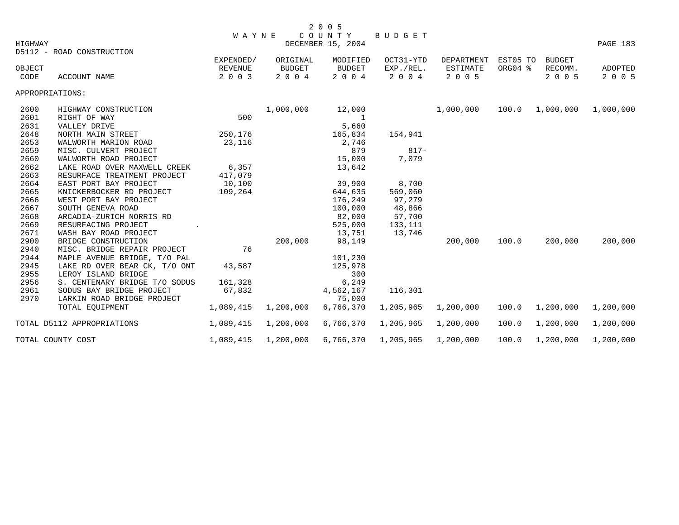|         |                               |              |               | 2 0 0 5           |           |                 |          |               |           |
|---------|-------------------------------|--------------|---------------|-------------------|-----------|-----------------|----------|---------------|-----------|
|         |                               | <b>WAYNE</b> |               | COUNTY            | BUDGET    |                 |          |               |           |
| HIGHWAY |                               |              |               | DECEMBER 15, 2004 |           |                 |          |               | PAGE 183  |
|         | D5112 - ROAD CONSTRUCTION     |              |               |                   |           |                 |          |               |           |
|         |                               | EXPENDED/    | ORIGINAL      | MODIFIED          | OCT31-YTD | DEPARTMENT      | EST05 TO | <b>BUDGET</b> |           |
| OBJECT  |                               | REVENUE      | <b>BUDGET</b> | <b>BUDGET</b>     | EXP./REL. | <b>ESTIMATE</b> | ORG04 %  | RECOMM.       | ADOPTED   |
| CODE    | ACCOUNT NAME                  | 2 0 0 3      | 2 0 0 4       | 2 0 0 4           | 2 0 0 4   | 2 0 0 5         |          | 2 0 0 5       | 2 0 0 5   |
|         | APPROPRIATIONS:               |              |               |                   |           |                 |          |               |           |
| 2600    | HIGHWAY CONSTRUCTION          |              | 1,000,000     | 12,000            |           | 1,000,000       | 100.0    | 1,000,000     | 1,000,000 |
| 2601    | RIGHT OF WAY                  | 500          |               | 1                 |           |                 |          |               |           |
| 2631    | VALLEY DRIVE                  |              |               | 5,660             |           |                 |          |               |           |
| 2648    | NORTH MAIN STREET             | 250,176      |               | 165,834           | 154,941   |                 |          |               |           |
| 2653    | WALWORTH MARION ROAD          | 23,116       |               | 2,746             |           |                 |          |               |           |
| 2659    | MISC. CULVERT PROJECT         |              |               | 879               | $817 -$   |                 |          |               |           |
| 2660    | WALWORTH ROAD PROJECT         |              |               | 15,000            | 7,079     |                 |          |               |           |
| 2662    | LAKE ROAD OVER MAXWELL CREEK  | 6,357        |               | 13,642            |           |                 |          |               |           |
| 2663    | RESURFACE TREATMENT PROJECT   | 417,079      |               |                   |           |                 |          |               |           |
| 2664    | EAST PORT BAY PROJECT         | 10,100       |               | 39,900            | 8,700     |                 |          |               |           |
| 2665    | KNICKERBOCKER RD PROJECT      | 109,264      |               | 644,635           | 569,060   |                 |          |               |           |
| 2666    | WEST PORT BAY PROJECT         |              |               | 176,249           | 97,279    |                 |          |               |           |
| 2667    | SOUTH GENEVA ROAD             |              |               | 100,000           | 48,866    |                 |          |               |           |
| 2668    | ARCADIA-ZURICH NORRIS RD      |              |               | 82,000            | 57,700    |                 |          |               |           |
| 2669    | RESURFACING PROJECT           |              |               | 525,000           | 133,111   |                 |          |               |           |
| 2671    | WASH BAY ROAD PROJECT         |              |               | 13,751            | 13,746    |                 |          |               |           |
| 2900    | BRIDGE CONSTRUCTION           |              | 200,000       | 98,149            |           | 200,000         | 100.0    | 200,000       | 200,000   |
| 2940    | MISC. BRIDGE REPAIR PROJECT   | 76           |               |                   |           |                 |          |               |           |
| 2944    | MAPLE AVENUE BRIDGE, T/O PAL  |              |               | 101,230           |           |                 |          |               |           |
| 2945    | LAKE RD OVER BEAR CK, T/O ONT | 43,587       |               | 125,978           |           |                 |          |               |           |
| 2955    | LEROY ISLAND BRIDGE           |              |               | 300               |           |                 |          |               |           |
| 2956    | S. CENTENARY BRIDGE T/O SODUS | 161,328      |               | 6,249             |           |                 |          |               |           |
| 2961    | SODUS BAY BRIDGE PROJECT      | 67,832       |               | 4,562,167         | 116,301   |                 |          |               |           |
| 2970    | LARKIN ROAD BRIDGE PROJECT    |              |               | 75,000            |           |                 |          |               |           |
|         | TOTAL EQUIPMENT               | 1,089,415    | 1,200,000     | 6,766,370         | 1,205,965 | 1,200,000       | 100.0    | 1,200,000     | 1,200,000 |
|         | TOTAL D5112 APPROPRIATIONS    | 1,089,415    | 1,200,000     | 6,766,370         | 1,205,965 | 1,200,000       | 100.0    | 1,200,000     | 1,200,000 |
|         | TOTAL COUNTY COST             | 1,089,415    | 1,200,000     | 6,766,370         | 1,205,965 | 1,200,000       | 100.0    | 1,200,000     | 1,200,000 |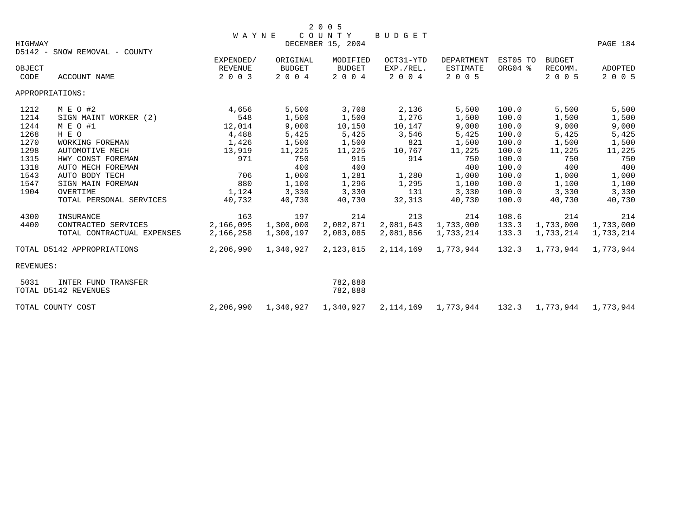|           |                               |              |               | 2 0 0 5                     |           |                         |          |                           |           |
|-----------|-------------------------------|--------------|---------------|-----------------------------|-----------|-------------------------|----------|---------------------------|-----------|
| HIGHWAY   |                               | <b>WAYNE</b> |               | COUNTY<br>DECEMBER 15, 2004 | BUDGET    |                         |          |                           | PAGE 184  |
|           | D5142 - SNOW REMOVAL - COUNTY |              |               |                             |           |                         |          |                           |           |
|           |                               | EXPENDED/    | ORIGINAL      | MODIFIED                    | OCT31-YTD | <b>DEPARTMENT</b>       | EST05 TO | <b>BUDGET</b>             |           |
| OBJECT    |                               | REVENUE      | <b>BUDGET</b> | <b>BUDGET</b>               | EXP./REL. | ESTIMATE                | ORG04 %  | RECOMM.                   | ADOPTED   |
| CODE      | <b>ACCOUNT NAME</b>           | 2 0 0 3      | 2 0 0 4       | 2 0 0 4                     | 2 0 0 4   | 2 0 0 5                 |          | 2 0 0 5                   | 2 0 0 5   |
|           | APPROPRIATIONS:               |              |               |                             |           |                         |          |                           |           |
| 1212      | M E O #2                      | 4,656        | 5,500         | 3,708                       | 2,136     | 5,500                   | 100.0    | 5,500                     | 5,500     |
| 1214      | SIGN MAINT WORKER (2)         | 548          | 1,500         | 1,500                       | 1,276     | 1,500                   | 100.0    | 1,500                     | 1,500     |
| 1244      | M E O #1                      | 12,014       | 9,000         | 10,150                      | 10,147    | 9,000                   | 100.0    | 9,000                     | 9,000     |
| 1268      | H E O                         | 4,488        | 5,425         | 5,425                       | 3,546     | 5,425                   | 100.0    | 5,425                     | 5,425     |
| 1270      | WORKING FOREMAN               | 1,426        | 1,500         | 1,500                       | 821       | 1,500                   | 100.0    | 1,500                     | 1,500     |
| 1298      | AUTOMOTIVE MECH               | 13,919       | 11,225        | 11,225                      | 10,767    | 11,225                  | 100.0    | 11,225                    | 11,225    |
| 1315      | HWY CONST FOREMAN             | 971          | 750           | 915                         | 914       | 750                     | 100.0    | 750                       | 750       |
| 1318      | AUTO MECH FOREMAN             |              | 400           | 400                         |           | 400                     | 100.0    | 400                       | 400       |
| 1543      | AUTO BODY TECH                | 706          | 1,000         | 1,281                       | 1,280     | 1,000                   | 100.0    | 1,000                     | 1,000     |
| 1547      | SIGN MAIN FOREMAN             | 880          | 1,100         | 1,296                       | 1,295     | 1,100                   | 100.0    | 1,100                     | 1,100     |
| 1904      | OVERTIME                      | 1,124        | 3,330         | 3,330                       | 131       | 3,330                   | 100.0    | 3,330                     | 3,330     |
|           | TOTAL PERSONAL SERVICES       | 40,732       | 40,730        | 40,730                      | 32,313    | 40,730                  | 100.0    | 40,730                    | 40,730    |
| 4300      | INSURANCE                     | 163          | 197           | 214                         | 213       | 214                     | 108.6    | 214                       | 214       |
| 4400      | CONTRACTED SERVICES           | 2,166,095    | 1,300,000     | 2,082,871                   | 2,081,643 | 1,733,000               | 133.3    | 1,733,000                 | 1,733,000 |
|           | TOTAL CONTRACTUAL EXPENSES    | 2,166,258    | 1,300,197     | 2,083,085                   | 2,081,856 | 1,733,214               | 133.3    | 1,733,214                 | 1,733,214 |
|           | TOTAL D5142 APPROPRIATIONS    | 2,206,990    | 1,340,927     | 2,123,815                   | 2,114,169 | 1,773,944               | 132.3    | 1,773,944                 | 1,773,944 |
| REVENUES: |                               |              |               |                             |           |                         |          |                           |           |
| 5031      | INTER FUND TRANSFER           |              |               | 782,888                     |           |                         |          |                           |           |
|           | TOTAL D5142 REVENUES          |              |               | 782,888                     |           |                         |          |                           |           |
|           | TOTAL COUNTY COST             | 2,206,990    |               | 1,340,927 1,340,927         |           | 2, 114, 169 1, 773, 944 |          | 132.3 1,773,944 1,773,944 |           |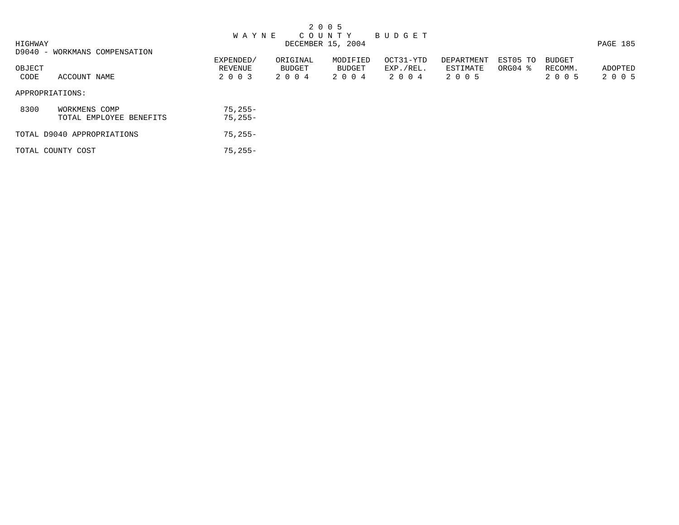|         |                               |              |          | 2 0 0 5           |           |            |          |               |          |
|---------|-------------------------------|--------------|----------|-------------------|-----------|------------|----------|---------------|----------|
|         |                               | <b>WAYNE</b> |          | COUNTY BUDGET     |           |            |          |               |          |
| HIGHWAY |                               |              |          | DECEMBER 15, 2004 |           |            |          |               | PAGE 185 |
|         | D9040 - WORKMANS COMPENSATION |              |          |                   |           |            |          |               |          |
|         |                               | EXPENDED/    | ORIGINAL | MODIFIED          | OCT31-YTD | DEPARTMENT | EST05 TO | <b>BUDGET</b> |          |
| OBJECT  |                               | REVENUE      | BUDGET   | BUDGET            | EXP./REL. | ESTIMATE   | ORG04 %  | RECOMM.       | ADOPTED  |
| CODE    | ACCOUNT NAME                  | 2 0 0 3      | 2004     | 2 0 0 4           | 2004      | 2 0 0 5    |          | 2 0 0 5       | 2 0 0 5  |
|         | APPROPRIATIONS:               |              |          |                   |           |            |          |               |          |
| 8300    | WORKMENS COMP                 | $75,255-$    |          |                   |           |            |          |               |          |
|         | TOTAL EMPLOYEE BENEFITS       | $75,255-$    |          |                   |           |            |          |               |          |
|         | TOTAL D9040 APPROPRIATIONS    | $75,255-$    |          |                   |           |            |          |               |          |
|         | TOTAL COUNTY COST             | $75.255 -$   |          |                   |           |            |          |               |          |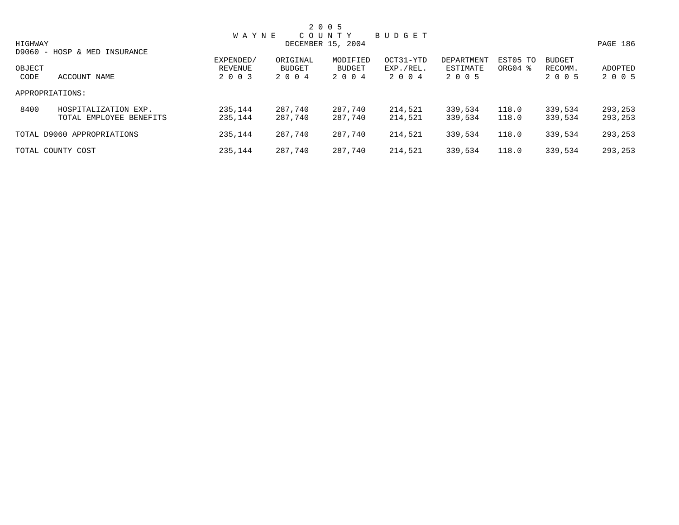|         |                              |              |          | 2 0 0 5           |           |            |                     |               |          |
|---------|------------------------------|--------------|----------|-------------------|-----------|------------|---------------------|---------------|----------|
|         |                              | <b>WAYNE</b> |          | COUNTY            | BUDGET    |            |                     |               |          |
| HIGHWAY |                              |              |          | DECEMBER 15, 2004 |           |            |                     |               | PAGE 186 |
|         | D9060 - HOSP & MED INSURANCE |              |          |                   |           |            |                     |               |          |
|         |                              | EXPENDED/    | ORIGINAL | MODIFIED          | OCT31-YTD | DEPARTMENT | EST05 TO            | <b>BUDGET</b> |          |
| OBJECT  |                              | REVENUE      | BUDGET   | BUDGET            | EXP./REL. | ESTIMATE   | ORG04 $\frac{8}{3}$ | RECOMM.       | ADOPTED  |
| CODE    | ACCOUNT NAME                 | 2 0 0 3      | 2 0 0 4  | 2 0 0 4           | 2 0 0 4   | 2 0 0 5    |                     | 2 0 0 5       | 2 0 0 5  |
|         | APPROPRIATIONS:              |              |          |                   |           |            |                     |               |          |
| 8400    | HOSPITALIZATION EXP.         | 235,144      | 287,740  | 287,740           | 214,521   | 339,534    | 118.0               | 339,534       | 293,253  |
|         | TOTAL EMPLOYEE BENEFITS      | 235,144      | 287.740  | 287,740           | 214,521   | 339,534    | 118.0               | 339,534       | 293,253  |
|         | TOTAL D9060 APPROPRIATIONS   | 235,144      | 287,740  | 287,740           | 214,521   | 339,534    | 118.0               | 339,534       | 293,253  |
|         | TOTAL COUNTY COST            | 235,144      | 287,740  | 287,740           | 214,521   | 339,534    | 118.0               | 339,534       | 293,253  |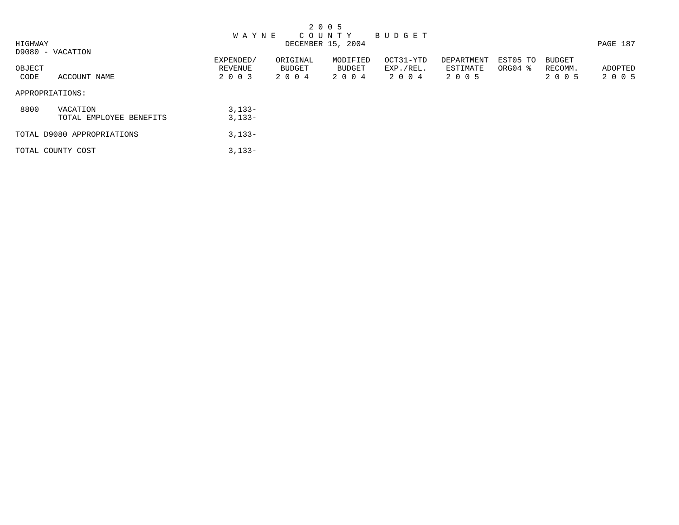|         |                                     |                      |                    | 2 0 0 5            |                        |                        |                     |                          |          |
|---------|-------------------------------------|----------------------|--------------------|--------------------|------------------------|------------------------|---------------------|--------------------------|----------|
|         |                                     | <b>WAYNE</b>         |                    | C O U N T Y        | B U D G E T            |                        |                     |                          |          |
| HIGHWAY |                                     |                      |                    | DECEMBER 15, 2004  |                        |                        |                     |                          | PAGE 187 |
|         | D9080 - VACATION                    |                      |                    |                    |                        |                        |                     |                          |          |
| OBJECT  |                                     | EXPENDED/<br>REVENUE | ORIGINAL<br>BUDGET | MODIFIED<br>BUDGET | OCT31-YTD<br>EXP./REL. | DEPARTMENT<br>ESTIMATE | EST05 TO<br>ORG04 % | <b>BUDGET</b><br>RECOMM. | ADOPTED  |
| CODE    | ACCOUNT NAME                        | 2 0 0 3              | 2004               | 2004               | 2004                   | 2 0 0 5                |                     | 2 0 0 5                  | 2 0 0 5  |
|         | APPROPRIATIONS:                     |                      |                    |                    |                        |                        |                     |                          |          |
| 8800    | VACATION<br>TOTAL EMPLOYEE BENEFITS | $3,133-$<br>$3,133-$ |                    |                    |                        |                        |                     |                          |          |
|         | TOTAL D9080 APPROPRIATIONS          | $3,133-$             |                    |                    |                        |                        |                     |                          |          |
|         | TOTAL COUNTY COST                   | $3,133-$             |                    |                    |                        |                        |                     |                          |          |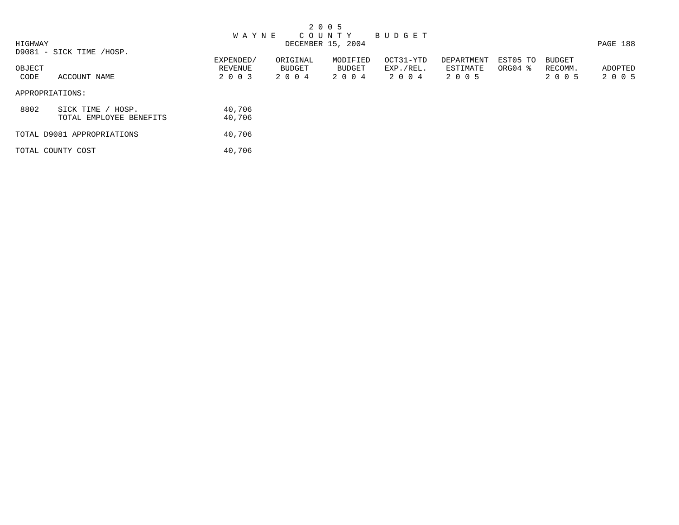|         |                            |              |          | 2 0 0 5           |             |            |                     |               |          |
|---------|----------------------------|--------------|----------|-------------------|-------------|------------|---------------------|---------------|----------|
|         |                            | <b>WAYNE</b> |          | C O U N T Y       | B U D G E T |            |                     |               |          |
| HIGHWAY |                            |              |          | DECEMBER 15, 2004 |             |            |                     |               | PAGE 188 |
|         | D9081 - SICK TIME /HOSP.   |              |          |                   |             |            |                     |               |          |
|         |                            | EXPENDED/    | ORIGINAL | MODIFIED          | OCT31-YTD   | DEPARTMENT | EST05 TO            | <b>BUDGET</b> |          |
| OBJECT  |                            | REVENUE      | BUDGET   | BUDGET            | EXP./REL.   | ESTIMATE   | ORG04 $\frac{8}{3}$ | RECOMM.       | ADOPTED  |
| CODE    | ACCOUNT NAME               | 2 0 0 3      | 2004     | 2 0 0 4           | 2004        | 2 0 0 5    |                     | 2 0 0 5       | 2 0 0 5  |
|         | APPROPRIATIONS:            |              |          |                   |             |            |                     |               |          |
| 8802    | SICK TIME / HOSP.          | 40,706       |          |                   |             |            |                     |               |          |
|         | TOTAL EMPLOYEE BENEFITS    | 40,706       |          |                   |             |            |                     |               |          |
|         | TOTAL D9081 APPROPRIATIONS | 40,706       |          |                   |             |            |                     |               |          |
|         | TOTAL COUNTY COST          | 40,706       |          |                   |             |            |                     |               |          |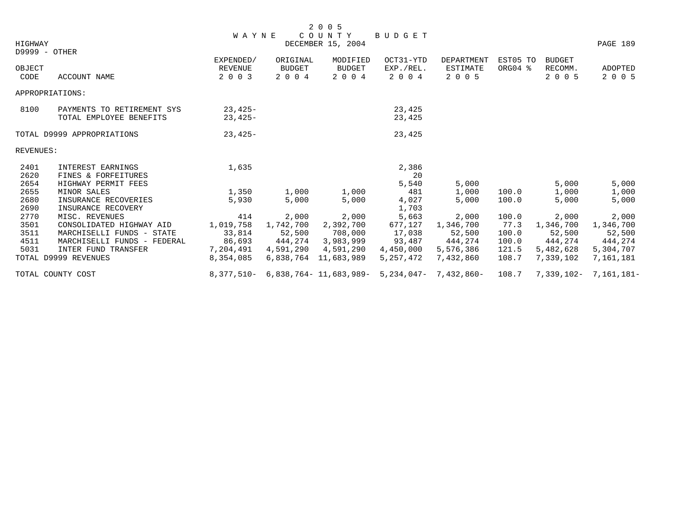|               |                             |                      |                    | 2 0 0 5                                                                |                        |                               |                     |                          |                       |
|---------------|-----------------------------|----------------------|--------------------|------------------------------------------------------------------------|------------------------|-------------------------------|---------------------|--------------------------|-----------------------|
|               |                             | <b>WAYNE</b>         |                    | COUNTY                                                                 | BUDGET                 |                               |                     |                          |                       |
| HIGHWAY       |                             |                      |                    | DECEMBER 15, 2004                                                      |                        |                               |                     |                          | PAGE 189              |
| D9999 - OTHER |                             |                      |                    |                                                                        |                        |                               |                     |                          |                       |
| OBJECT        |                             | EXPENDED/<br>REVENUE | ORIGINAL<br>BUDGET | MODIFIED<br><b>BUDGET</b>                                              | OCT31-YTD<br>EXP./REL. | <b>DEPARTMENT</b><br>ESTIMATE | EST05 TO<br>ORG04 % | <b>BUDGET</b><br>RECOMM. | ADOPTED               |
| CODE          | ACCOUNT NAME                | 2 0 0 3              | 2 0 0 4            | 2 0 0 4                                                                | 2 0 0 4                | 2 0 0 5                       |                     | 2 0 0 5                  | 2 0 0 5               |
|               | APPROPRIATIONS:             |                      |                    |                                                                        |                        |                               |                     |                          |                       |
| 8100          | PAYMENTS TO RETIREMENT SYS  | $23,425-$            |                    |                                                                        | 23,425                 |                               |                     |                          |                       |
|               | TOTAL EMPLOYEE BENEFITS     | $23,425-$            |                    |                                                                        | 23,425                 |                               |                     |                          |                       |
|               | TOTAL D9999 APPROPRIATIONS  | $23,425-$            |                    |                                                                        | 23,425                 |                               |                     |                          |                       |
| REVENUES:     |                             |                      |                    |                                                                        |                        |                               |                     |                          |                       |
| 2401          | INTEREST EARNINGS           | 1,635                |                    |                                                                        | 2,386                  |                               |                     |                          |                       |
| 2620          | FINES & FORFEITURES         |                      |                    |                                                                        | 20                     |                               |                     |                          |                       |
| 2654          | HIGHWAY PERMIT FEES         |                      |                    |                                                                        | 5,540                  | 5,000                         |                     | 5,000                    | 5,000                 |
| 2655          | MINOR SALES                 | 1,350                | 1,000              | 1,000                                                                  | 481                    | 1,000                         | 100.0               | 1,000                    | 1,000                 |
| 2680          | INSURANCE RECOVERIES        | 5,930                | 5,000              | 5,000                                                                  | 4,027                  | 5,000                         | 100.0               | 5,000                    | 5,000                 |
| 2690          | INSURANCE RECOVERY          |                      |                    |                                                                        | 1,703                  |                               |                     |                          |                       |
| 2770          | MISC. REVENUES              | 414                  | 2,000              | 2,000                                                                  | 5,663                  | 2,000                         | 100.0               | 2,000                    | 2,000                 |
| 3501          | CONSOLIDATED HIGHWAY AID    | 1,019,758            | 1,742,700          | 2,392,700                                                              | 677,127                | 1,346,700                     | 77.3                | 1,346,700                | 1,346,700             |
| 3511          | MARCHISELLI FUNDS - STATE   | 33,814               | 52,500             | 708,000                                                                | 17,038                 | 52,500                        | 100.0               | 52,500                   | 52,500                |
| 4511          | MARCHISELLI FUNDS - FEDERAL | 86,693               |                    | 444,274 3,983,999                                                      |                        | 93,487 444,274                | 100.0               | 444,274                  | 444,274               |
| 5031          | INTER FUND TRANSFER         | 7,204,491            |                    | 4,591,290  4,591,290                                                   | 4,450,000              | 5,576,386                     | 121.5               | 5,482,628                | 5,304,707             |
|               | TOTAL D9999 REVENUES        | 8,354,085            |                    | 6,838,764 11,683,989                                                   | 5, 257, 472            | 7,432,860                     | 108.7               | 7,339,102                | 7,161,181             |
|               | TOTAL COUNTY COST           |                      |                    | 8, 377, 510 - 6, 838, 764 - 11, 683, 989 - 5, 234, 047 - 7, 432, 860 - |                        |                               | 108.7               |                          | 7,339,102- 7,161,181- |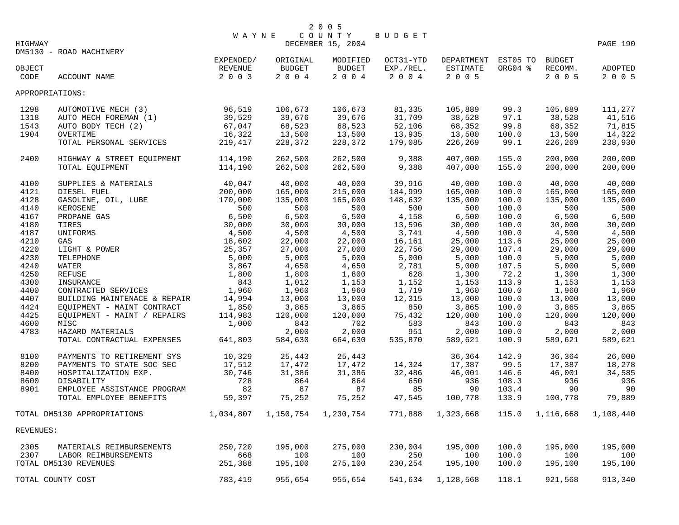| HIGHWAY         |                              | <b>WAYNE</b>         |                    | 2 0 0 5<br>COUNTY BUDGET<br>DECEMBER 15, 2004 |                        |                                 |         |                          | PAGE 190       |
|-----------------|------------------------------|----------------------|--------------------|-----------------------------------------------|------------------------|---------------------------------|---------|--------------------------|----------------|
| OBJECT          | DM5130 - ROAD MACHINERY      | EXPENDED/<br>REVENUE | ORIGINAL<br>BUDGET | MODIFIED<br><b>BUDGET</b>                     | OCT31-YTD<br>EXP./REL. | DEPARTMENT EST05 TO<br>ESTIMATE | ORG04 % | <b>BUDGET</b><br>RECOMM. | <b>ADOPTED</b> |
| CODE            | ACCOUNT NAME                 | 2003                 | 2 0 0 4            | 2004                                          | 2 0 0 4                | 2 0 0 5                         |         | 2 0 0 5                  | 2 0 0 5        |
| APPROPRIATIONS: |                              |                      |                    |                                               |                        |                                 |         |                          |                |
| 1298            | AUTOMOTIVE MECH (3)          | 96,519               | 106,673            | 106,673                                       | 81,335                 | 105,889                         | 99.3    | 105,889                  | 111,277        |
| 1318            | AUTO MECH FOREMAN (1)        | 39,529               | 39,676             | 39,676                                        | 31,709                 | 38,528                          | 97.1    | 38,528                   | 41,516         |
| 1543            | AUTO BODY TECH (2)           | 67,047               | 68,523             | 68,523                                        | 52,106                 | 68,352                          | 99.8    | 68,352                   | 71,815         |
| 1904            | OVERTIME                     | 16,322               | 13,500             | 13,500                                        | 13,935                 | 13,500                          | 100.0   | 13,500                   | 14,322         |
|                 | TOTAL PERSONAL SERVICES      | 219,417              | 228,372            | 228,372                                       | 179,085                | 226,269                         | 99.1    | 226,269                  | 238,930        |
| 2400            | HIGHWAY & STREET EQUIPMENT   | 114,190              | 262,500            | 262,500                                       | 9,388                  | 407,000                         | 155.0   | 200,000                  | 200,000        |
|                 | TOTAL EQUIPMENT              | 114,190              | 262,500            | 262,500                                       | 9,388                  | 407,000                         | 155.0   | 200,000                  | 200,000        |
| 4100            | SUPPLIES & MATERIALS         | 40,047               | 40,000             | 40,000                                        | 39,916                 | 40,000                          | 100.0   | 40,000                   | 40,000         |
| 4121            | DIESEL FUEL                  | 200,000              | 165,000            | 215,000                                       | 184,999                | 165,000                         | 100.0   | 165,000                  | 165,000        |
| 4128            | GASOLINE, OIL, LUBE          | 170,000              | 135,000            | 165,000                                       | 148,632                | 135,000                         | 100.0   | 135,000                  | 135,000        |
| 4140            | KEROSENE                     | 500                  | 500                | 500                                           | 500                    | 500                             | 100.0   | 500                      | 500            |
| 4167            | PROPANE GAS                  | 6,500                | 6,500              | 6,500                                         | 4,158                  | 6,500                           | 100.0   | 6,500                    | 6,500          |
| 4180            | TIRES                        | 30,000               | 30,000             | 30,000                                        | 13,596                 | 30,000                          | 100.0   | 30,000                   | 30,000         |
| 4187            | UNIFORMS                     | 4,500                | 4,500              | 4,500                                         | 3,741                  | 4,500                           | 100.0   | 4,500                    | 4,500          |
| 4210            | GAS                          | 18,602               | 22,000             | 22,000                                        | 16,161                 | 25,000                          | 113.6   | 25,000                   | 25,000         |
| 4220            | LIGHT & POWER                | 25,357               | 27,000             | 27,000                                        | 22,756                 | 29,000                          | 107.4   | 29,000                   | 29,000         |
| 4230            | TELEPHONE                    | 5,000                | 5,000              | 5,000                                         | 5,000                  | 5,000                           | 100.0   | 5,000                    | 5,000          |
| 4240            | WATER                        | 3,867                | 4,650              | 4,650                                         | 2,781                  | 5,000                           | 107.5   | 5,000                    | 5,000          |
| 4250            | REFUSE                       | 1,800                | 1,800              | 1,800                                         | 628                    | 1,300                           | 72.2    | 1,300                    | 1,300          |
| 4300            | INSURANCE                    | 843                  | 1,012              | 1,153                                         | 1,152                  | 1,153                           | 113.9   | 1,153                    | 1,153          |
| 4400            | CONTRACTED SERVICES          | 1,960                | 1,960              | 1,960                                         | 1,719                  | 1,960                           | 100.0   | 1,960                    | 1,960          |
| 4407            | BUILDING MAINTENACE & REPAIR | 14,994               | 13,000             | 13,000                                        | 12,315                 | 13,000                          | 100.0   | 13,000                   | 13,000         |
| 4424            | EQUIPMENT - MAINT CONTRACT   | 1,850                | 3,865              | 3,865                                         | 850                    | 3,865                           | 100.0   | 3,865                    | 3,865          |
| 4425            | EOUIPMENT - MAINT / REPAIRS  | 114,983              | 120,000            | 120,000                                       | 75,432                 | 120,000                         | 100.0   | 120,000                  | 120,000        |
| 4600            | MISC                         | 1,000                | 843                | 702                                           | 583                    | 843                             | 100.0   | 843                      | 843            |
| 4783            | HAZARD MATERIALS             |                      | 2,000              | 2,000                                         | 951                    | 2,000                           | 100.0   | 2,000                    | 2,000          |
|                 | TOTAL CONTRACTUAL EXPENSES   | 641,803              | 584,630            | 664,630                                       | 535,870                | 589,621                         | 100.9   | 589,621                  | 589,621        |
| 8100            | PAYMENTS TO RETIREMENT SYS   | 10,329               | 25,443             | 25,443                                        |                        | 36,364                          | 142.9   | 36,364                   | 26,000         |
| 8200            | PAYMENTS TO STATE SOC SEC    | 17,512               | 17,472             | 17,472                                        | 14,324                 | 17,387                          | 99.5    | 17,387                   | 18,278         |
| 8400            | HOSPITALIZATION EXP.         | 30,746               | 31,386             | 31,386                                        | 32,486                 | 46,001                          | 146.6   | 46,001                   | 34,585         |
| 8600            | DISABILITY                   | 728                  | 864                | 864                                           | 650                    | 936                             | 108.3   | 936                      | 936            |
| 8901            | EMPLOYEE ASSISTANCE PROGRAM  | 82                   | 87                 | 87                                            | 85                     | 90                              | 103.4   | 90                       | 90             |
|                 |                              | 59,397               | 75,252             |                                               |                        |                                 | 133.9   |                          |                |
|                 | TOTAL EMPLOYEE BENEFITS      |                      |                    | 75,252                                        | 47,545                 | 100,778                         |         | 100,778                  | 79,889         |
|                 | TOTAL DM5130 APPROPRIATIONS  | 1,034,807            |                    | 1,150,754 1,230,754                           | 771,888                | 1,323,668                       | 115.0   | 1,116,668                | 1,108,440      |
| REVENUES:       |                              |                      |                    |                                               |                        |                                 |         |                          |                |
| 2305            | MATERIALS REIMBURSEMENTS     | 250,720              | 195,000            | 275,000                                       | 230,004                | 195,000                         | 100.0   | 195,000                  | 195,000        |
| 2307            | LABOR REIMBURSEMENTS         | 668                  | 100                | 100                                           | 250                    | 100                             | 100.0   | 100                      | 100            |
|                 | TOTAL DM5130 REVENUES        | 251,388              | 195,100            | 275,100                                       | 230,254                | 195,100                         | 100.0   | 195,100                  | 195,100        |
|                 | TOTAL COUNTY COST            | 783,419              | 955,654            | 955,654                                       | 541,634                | 1,128,568                       | 118.1   | 921,568                  | 913,340        |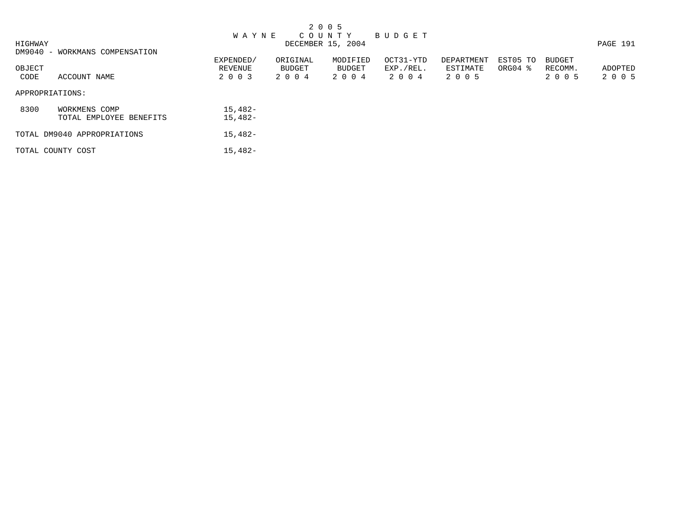|         |                                |              |          | 2 0 0 5           |           |            |           |               |          |
|---------|--------------------------------|--------------|----------|-------------------|-----------|------------|-----------|---------------|----------|
|         |                                | <b>WAYNE</b> |          | C O U N T Y       | BUDGET    |            |           |               |          |
| HIGHWAY |                                |              |          | DECEMBER 15, 2004 |           |            |           |               | PAGE 191 |
|         | DM9040 - WORKMANS COMPENSATION |              |          |                   |           |            |           |               |          |
|         |                                | EXPENDED/    | ORIGINAL | MODIFIED          | OCT31-YTD | DEPARTMENT | EST05 TO  | <b>BUDGET</b> |          |
| OBJECT  |                                | REVENUE      | BUDGET   | BUDGET            | EXP./REL. | ESTIMATE   | $ORGO4$ % | RECOMM.       | ADOPTED  |
| CODE    | ACCOUNT NAME                   | 2 0 0 3      | 2004     | 2004              | 2004      | 2 0 0 5    |           | 2 0 0 5       | 2 0 0 5  |
|         | APPROPRIATIONS:                |              |          |                   |           |            |           |               |          |
| 8300    | WORKMENS COMP                  | $15,482-$    |          |                   |           |            |           |               |          |
|         | TOTAL EMPLOYEE BENEFITS        | $15,482-$    |          |                   |           |            |           |               |          |
|         | TOTAL DM9040 APPROPRIATIONS    | $15,482-$    |          |                   |           |            |           |               |          |
|         | TOTAL COUNTY COST              | $15,482-$    |          |                   |           |            |           |               |          |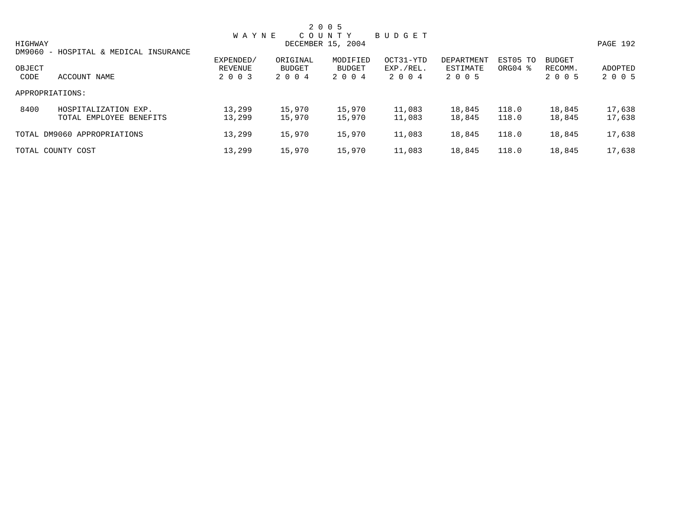|                 |                                                 |                    |                   | 2 0 0 5                     |                      |                     |                     |                    |                    |
|-----------------|-------------------------------------------------|--------------------|-------------------|-----------------------------|----------------------|---------------------|---------------------|--------------------|--------------------|
| HIGHWAY         |                                                 | <b>WAYNE</b>       |                   | COUNTY<br>DECEMBER 15, 2004 | BUDGET               |                     |                     |                    | PAGE 192           |
|                 | DM9060 - HOSPITAL & MEDICAL INSURANCE           | EXPENDED/          | ORIGINAL          | MODIFIED                    | OCT31-YTD            | DEPARTMENT          | EST05 TO            | <b>BUDGET</b>      |                    |
| OBJECT<br>CODE  | ACCOUNT NAME                                    | REVENUE<br>2 0 0 3 | BUDGET<br>2 0 0 4 | BUDGET<br>2 0 0 4           | EXP./REL.<br>2 0 0 4 | ESTIMATE<br>2 0 0 5 | ORG04 $\frac{8}{3}$ | RECOMM.<br>2 0 0 5 | ADOPTED<br>2 0 0 5 |
| APPROPRIATIONS: |                                                 |                    |                   |                             |                      |                     |                     |                    |                    |
| 8400            | HOSPITALIZATION EXP.<br>TOTAL EMPLOYEE BENEFITS | 13,299<br>13,299   | 15,970<br>15,970  | 15,970<br>15,970            | 11,083<br>11,083     | 18,845<br>18,845    | 118.0<br>118.0      | 18,845<br>18,845   | 17,638<br>17,638   |
|                 | TOTAL DM9060 APPROPRIATIONS                     | 13,299             | 15,970            | 15,970                      | 11,083               | 18,845              | 118.0               | 18,845             | 17,638             |
|                 | TOTAL COUNTY COST                               | 13,299             | 15,970            | 15,970                      | 11,083               | 18,845              | 118.0               | 18,845             | 17,638             |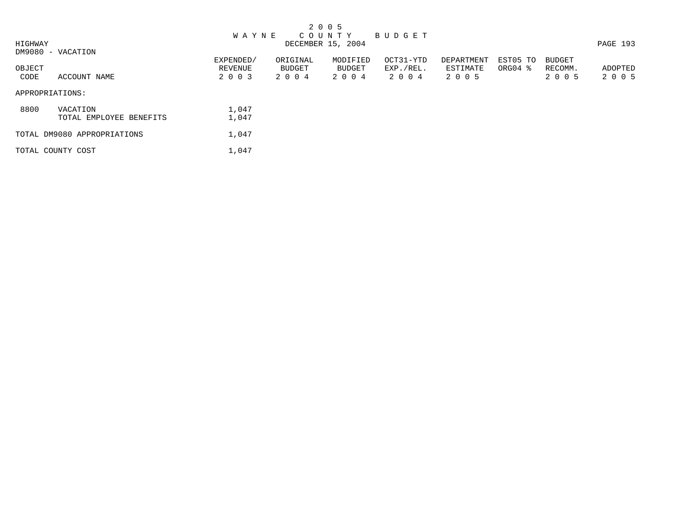|         |                             |              |          | 2 0 0 5           |             |            |          |               |          |
|---------|-----------------------------|--------------|----------|-------------------|-------------|------------|----------|---------------|----------|
|         |                             | <b>WAYNE</b> |          | COUNTY            | B U D G E T |            |          |               |          |
| HIGHWAY |                             |              |          | DECEMBER 15, 2004 |             |            |          |               | PAGE 193 |
|         | DM9080 - VACATION           |              |          |                   |             |            |          |               |          |
|         |                             | EXPENDED/    | ORIGINAL | MODIFIED          | OCT31-YTD   | DEPARTMENT | EST05 TO | <b>BUDGET</b> |          |
| OBJECT  |                             | REVENUE      | BUDGET   | BUDGET            | EXP./REL.   | ESTIMATE   | ORG04 %  | RECOMM.       | ADOPTED  |
| CODE    | ACCOUNT NAME                | 2 0 0 3      | 2004     | 2 0 0 4           | 2004        | 2 0 0 5    |          | 2 0 0 5       | 2 0 0 5  |
|         | APPROPRIATIONS:             |              |          |                   |             |            |          |               |          |
| 8800    | VACATION                    | 1,047        |          |                   |             |            |          |               |          |
|         | TOTAL EMPLOYEE BENEFITS     | 1,047        |          |                   |             |            |          |               |          |
|         | TOTAL DM9080 APPROPRIATIONS | 1,047        |          |                   |             |            |          |               |          |
|         | TOTAL COUNTY COST           | 1,047        |          |                   |             |            |          |               |          |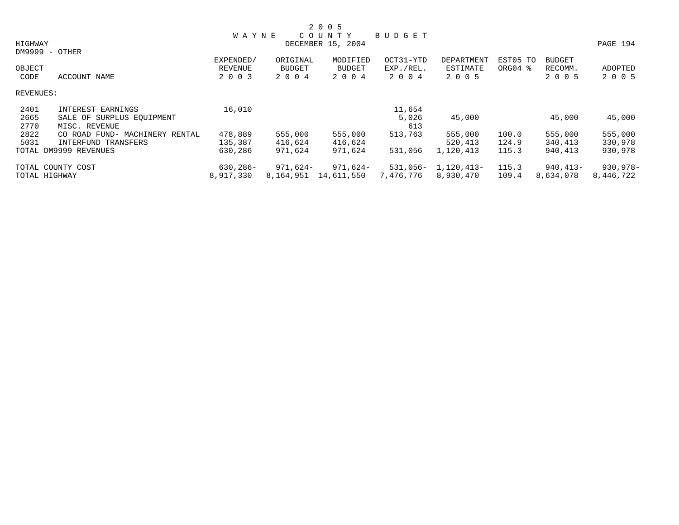|           |                                |              |               | 2 0 0 5           |           |                         |          |               |            |
|-----------|--------------------------------|--------------|---------------|-------------------|-----------|-------------------------|----------|---------------|------------|
|           |                                | <b>WAYNE</b> |               | COUNTY            | BUDGET    |                         |          |               |            |
| HIGHWAY   |                                |              |               | DECEMBER 15, 2004 |           |                         |          |               | PAGE 194   |
|           | DM9999 - OTHER                 |              |               |                   |           |                         |          |               |            |
|           |                                | EXPENDED/    | ORIGINAL      | MODIFIED          | OCT31-YTD | DEPARTMENT              | EST05 TO | <b>BUDGET</b> |            |
| OBJECT    |                                | REVENUE      | <b>BUDGET</b> | <b>BUDGET</b>     | EXP./REL. | ESTIMATE                | ORG04 %  | RECOMM.       | ADOPTED    |
| CODE      | ACCOUNT NAME                   | 2 0 0 3      | 2 0 0 4       | 2 0 0 4           | 2 0 0 4   | 2 0 0 5                 |          | 2 0 0 5       | 2 0 0 5    |
| REVENUES: |                                |              |               |                   |           |                         |          |               |            |
| 2401      | INTEREST EARNINGS              | 16,010       |               |                   | 11,654    |                         |          |               |            |
| 2665      | SALE OF SURPLUS EOUIPMENT      |              |               |                   | 5,026     | 45,000                  |          | 45,000        | 45,000     |
| 2770      | MISC. REVENUE                  |              |               |                   | 613       |                         |          |               |            |
| 2822      | CO ROAD FUND- MACHINERY RENTAL | 478,889      | 555,000       | 555,000           | 513,763   | 555,000                 | 100.0    | 555,000       | 555,000    |
| 5031      | INTERFUND TRANSFERS            | 135,387      | 416,624       | 416,624           |           | 520,413                 | 124.9    | 340,413       | 330,978    |
|           | TOTAL DM9999 REVENUES          | 630,286      | 971,624       | 971,624           | 531,056   | 1,120,413               | 115.3    | 940,413       | 930,978    |
|           | TOTAL COUNTY COST              | 630,286-     | 971,624-      | 971,624-          |           | $531,056 - 1,120,413 -$ | 115.3    | 940,413-      | $930,978-$ |
|           | TOTAL HIGHWAY                  | 8,917,330    | 8,164,951     | 14,611,550        | 7,476,776 | 8,930,470               | 109.4    | 8,634,078     | 8,446,722  |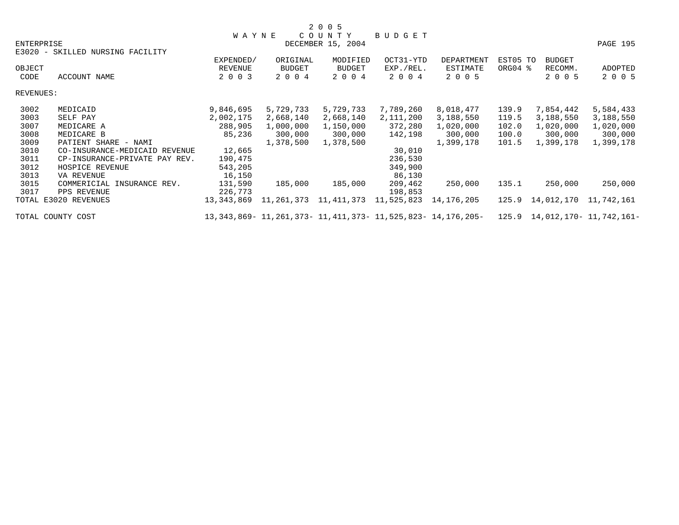|            |                                  | <b>WAYNE</b>   |                           | COUNTY            | BUDGET     |                                                             |          |                               |            |
|------------|----------------------------------|----------------|---------------------------|-------------------|------------|-------------------------------------------------------------|----------|-------------------------------|------------|
| ENTERPRISE |                                  |                |                           | DECEMBER 15, 2004 |            |                                                             |          |                               | PAGE 195   |
|            | E3020 - SKILLED NURSING FACILITY |                |                           |                   |            |                                                             |          |                               |            |
|            |                                  | EXPENDED/      | ORIGINAL                  | MODIFIED          | OCT31-YTD  | DEPARTMENT                                                  | EST05 TO | <b>BUDGET</b>                 |            |
| OBJECT     |                                  | <b>REVENUE</b> | BUDGET                    | <b>BUDGET</b>     | EXP./REL.  | ESTIMATE                                                    | ORG04 %  | RECOMM.                       | ADOPTED    |
| CODE       | ACCOUNT NAME                     | 2 0 0 3        | 2 0 0 4                   | 2 0 0 4           | 2 0 0 4    | 2 0 0 5                                                     |          | 2 0 0 5                       | 2 0 0 5    |
| REVENUES:  |                                  |                |                           |                   |            |                                                             |          |                               |            |
| 3002       | MEDICAID                         | 9,846,695      | 5,729,733                 | 5,729,733         | 7,789,260  | 8,018,477                                                   | 139.9    | 7,854,442                     | 5,584,433  |
| 3003       | SELF PAY                         | 2,002,175      | 2,668,140                 | 2,668,140         | 2,111,200  | 3,188,550                                                   | 119.5    | 3,188,550                     | 3,188,550  |
| 3007       | MEDICARE A                       | 288,905        | 1,000,000                 | 1,150,000         | 372,280    | 1,020,000                                                   | 102.0    | 1,020,000                     | 1,020,000  |
| 3008       | MEDICARE B                       | 85,236         | 300,000                   | 300,000           | 142,198    | 300,000                                                     | 100.0    | 300,000                       | 300,000    |
| 3009       | PATIENT SHARE - NAMI             |                | 1,378,500                 | 1,378,500         |            | 1,399,178                                                   | 101.5    | 1,399,178                     | 1,399,178  |
| 3010       | CO-INSURANCE-MEDICAID REVENUE    | 12,665         |                           |                   | 30,010     |                                                             |          |                               |            |
| 3011       | CP-INSURANCE-PRIVATE PAY REV.    | 190,475        |                           |                   | 236,530    |                                                             |          |                               |            |
| 3012       | HOSPICE REVENUE                  | 543,205        |                           |                   | 349,900    |                                                             |          |                               |            |
| 3013       | VA REVENUE                       | 16,150         |                           |                   | 86,130     |                                                             |          |                               |            |
| 3015       | COMMERICIAL INSURANCE REV.       | 131,590        | 185,000                   | 185,000           | 209,462    | 250,000                                                     | 135.1    | 250,000                       | 250,000    |
| 3017       | PPS REVENUE                      | 226,773        |                           |                   | 198,853    |                                                             |          |                               |            |
|            | TOTAL E3020 REVENUES             | 13,343,869     | 11, 261, 373 11, 411, 373 |                   | 11,525,823 | 14,176,205                                                  | 125.9    | 14,012,170                    | 11,742,161 |
|            | TOTAL COUNTY COST                |                |                           |                   |            | 13,343,869- 11,261,373- 11,411,373- 11,525,823- 14,176,205- |          | 125.9 14,012,170- 11,742,161- |            |

2 0 0 5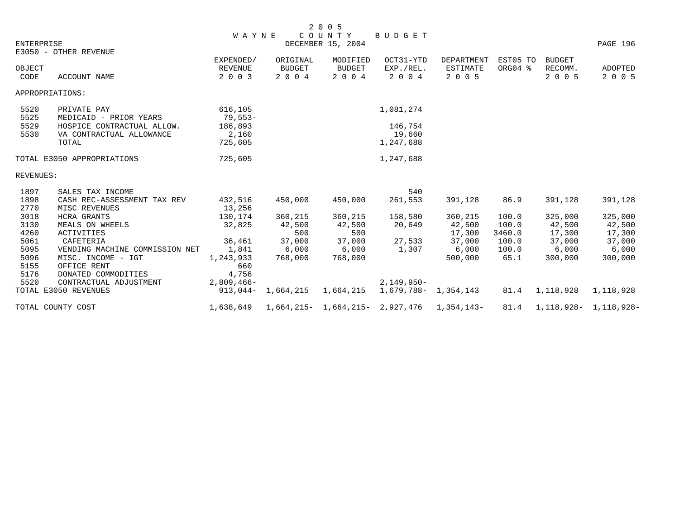|            |                                | <b>WAYNE</b> |                     | 2 0 0 5<br>COUNTY                              | BUDGET       |                      |          |                  |                                    |
|------------|--------------------------------|--------------|---------------------|------------------------------------------------|--------------|----------------------|----------|------------------|------------------------------------|
| ENTERPRISE |                                |              |                     | DECEMBER 15, 2004                              |              |                      |          |                  | PAGE 196                           |
|            | E3050 - OTHER REVENUE          |              |                     |                                                |              |                      |          |                  |                                    |
|            |                                | EXPENDED/    | ORIGINAL            | MODIFIED                                       | OCT31-YTD    | DEPARTMENT           | EST05 TO | BUDGET           |                                    |
| OBJECT     |                                | REVENUE      | <b>BUDGET</b>       | <b>BUDGET</b>                                  | EXP./REL.    | ESTIMATE             | ORG04 %  | RECOMM.          | ADOPTED                            |
| CODE       | <b>ACCOUNT NAME</b>            | 2 0 0 3      | 2 0 0 4             | 2 0 0 4                                        | 2 0 0 4      | 2 0 0 5              |          | 2 0 0 5          | 2 0 0 5                            |
|            | APPROPRIATIONS:                |              |                     |                                                |              |                      |          |                  |                                    |
| 5520       | PRIVATE PAY                    | 616,105      |                     |                                                | 1,081,274    |                      |          |                  |                                    |
| 5525       | MEDICAID - PRIOR YEARS         | 79,553-      |                     |                                                |              |                      |          |                  |                                    |
| 5529       | HOSPICE CONTRACTUAL ALLOW.     | 186,893      |                     |                                                | 146,754      |                      |          |                  |                                    |
| 5530       | VA CONTRACTUAL ALLOWANCE       | 2,160        |                     |                                                | 19,660       |                      |          |                  |                                    |
|            | TOTAL                          | 725,605      |                     |                                                | 1,247,688    |                      |          |                  |                                    |
|            | TOTAL E3050 APPROPRIATIONS     | 725,605      |                     |                                                | 1,247,688    |                      |          |                  |                                    |
| REVENUES:  |                                |              |                     |                                                |              |                      |          |                  |                                    |
| 1897       | SALES TAX INCOME               |              |                     |                                                | 540          |                      |          |                  |                                    |
| 1898       | CASH REC-ASSESSMENT TAX REV    | 432,516      | 450,000             | 450,000                                        | 261,553      | 391,128              | 86.9     | 391,128          | 391,128                            |
| 2770       | MISC REVENUES                  | 13,256       |                     |                                                |              |                      |          |                  |                                    |
| 3018       | <b>HCRA GRANTS</b>             | 130,174      | 360,215             | 360,215                                        | 158,580      | 360,215              | 100.0    | 325,000          | 325,000                            |
| 3130       | MEALS ON WHEELS                | 32,825       | 42,500              | 42,500                                         | 20,649       | 42,500               | 100.0    | 42,500           | 42,500                             |
| 4260       | <b>ACTIVITIES</b>              |              | 500                 | 500                                            |              | 17,300               | 3460.0   | 17,300           | 17,300                             |
| 5061       | CAFETERIA                      | 36,461       | 37,000              | 37,000                                         | 27,533       | 37,000               | 100.0    | 37,000           | 37,000                             |
| 5095       | VENDING MACHINE COMMISSION NET | 1,841        | 6,000               | 6,000                                          | 1,307        | 6,000                | 100.0    | 6,000            | 6,000                              |
| 5096       | MISC. INCOME - IGT             | 1,243,933    | 768,000             | 768,000                                        |              | 500,000              | 65.1     | 300,000          | 300,000                            |
| 5155       | OFFICE RENT                    | 660          |                     |                                                |              |                      |          |                  |                                    |
| 5176       | DONATED COMMODITIES            | 4,756        |                     |                                                |              |                      |          |                  |                                    |
| 5520       | CONTRACTUAL ADJUSTMENT         | $2,809,466-$ |                     |                                                | $2,149,950-$ |                      |          |                  |                                    |
|            | TOTAL E3050 REVENUES           | 913,044-     | 1,664,215 1,664,215 |                                                |              | 1,679,788- 1,354,143 |          | 81.4 1, 118, 928 | 1,118,928                          |
|            | TOTAL COUNTY COST              | 1,638,649    |                     | $1,664,215 - 1,664,215 - 2,927,476$ 1,354,143- |              |                      |          |                  | $81.4$ 1, 118, 928 - 1, 118, 928 - |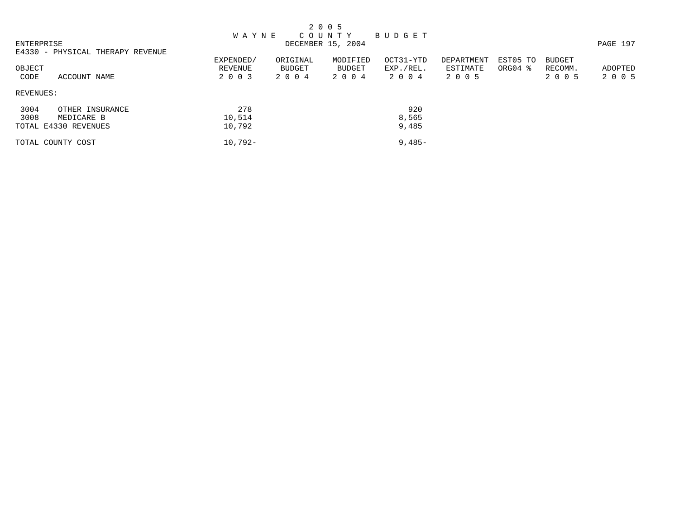|            |                                  |              |          | 2 0 0 5           |           |            |          |               |          |
|------------|----------------------------------|--------------|----------|-------------------|-----------|------------|----------|---------------|----------|
|            |                                  | <b>WAYNE</b> |          | C O U N T Y       | BUDGET    |            |          |               |          |
| ENTERPRISE |                                  |              |          | DECEMBER 15, 2004 |           |            |          |               | PAGE 197 |
|            | E4330 - PHYSICAL THERAPY REVENUE |              |          |                   |           |            |          |               |          |
|            |                                  | EXPENDED/    | ORIGINAL | MODIFIED          | OCT31-YTD | DEPARTMENT | EST05 TO | <b>BUDGET</b> |          |
| OBJECT     |                                  | REVENUE      | BUDGET   | BUDGET            | EXP./REL. | ESTIMATE   | ORG04 %  | RECOMM.       | ADOPTED  |
| CODE       | ACCOUNT NAME                     | 2 0 0 3      | 2004     | 2 0 0 4           | 2004      | 2 0 0 5    |          | 2 0 0 5       | 2 0 0 5  |
| REVENUES:  |                                  |              |          |                   |           |            |          |               |          |
| 3004       | OTHER INSURANCE                  | 278          |          |                   | 920       |            |          |               |          |
| 3008       | MEDICARE B                       | 10,514       |          |                   | 8,565     |            |          |               |          |
|            | TOTAL E4330 REVENUES             | 10,792       |          |                   | 9,485     |            |          |               |          |
|            | TOTAL COUNTY COST                | $10,792-$    |          |                   | $9,485-$  |            |          |               |          |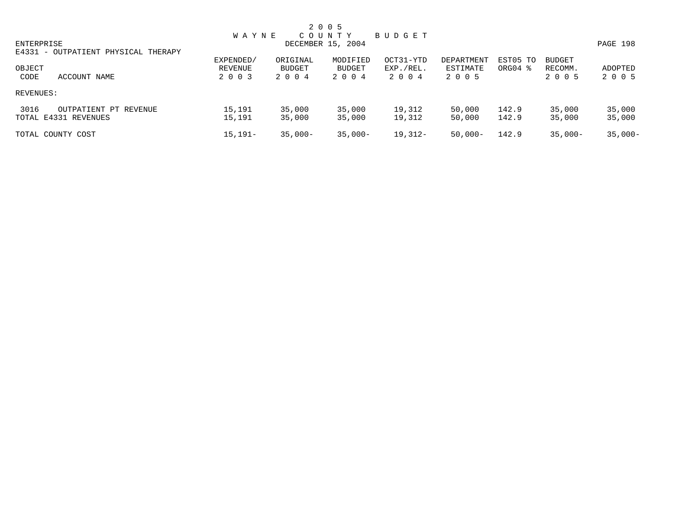|                                     |              |            | 2 0 0 5           |           |            |          |               |           |
|-------------------------------------|--------------|------------|-------------------|-----------|------------|----------|---------------|-----------|
|                                     | <b>WAYNE</b> |            | COUNTY            | BUDGET    |            |          |               |           |
| ENTERPRISE                          |              |            | DECEMBER 15, 2004 |           |            |          |               | PAGE 198  |
| E4331 - OUTPATIENT PHYSICAL THERAPY |              |            |                   |           |            |          |               |           |
|                                     | EXPENDED/    | ORIGINAL   | MODIFIED          | OCT31-YTD | DEPARTMENT | EST05 TO | <b>BUDGET</b> |           |
| OBJECT                              | REVENUE      | BUDGET     | <b>BUDGET</b>     | EXP./REL. | ESTIMATE   | ORG04 %  | RECOMM.       | ADOPTED   |
| CODE<br>ACCOUNT NAME                | 2 0 0 3      | 2004       | 2004              | 2004      | 2 0 0 5    |          | 2 0 0 5       | 2 0 0 5   |
| REVENUES:                           |              |            |                   |           |            |          |               |           |
| 3016<br>OUTPATIENT PT REVENUE       | 15,191       | 35,000     | 35,000            | 19,312    | 50,000     | 142.9    | 35,000        | 35,000    |
| TOTAL E4331 REVENUES                | 15,191       | 35,000     | 35,000            | 19,312    | 50,000     | 142.9    | 35,000        | 35,000    |
| TOTAL COUNTY COST                   | $15.191 -$   | $35.000 -$ | $35.000 -$        | 19,312-   | $50,000-$  | 142.9    | $35.000 -$    | $35,000-$ |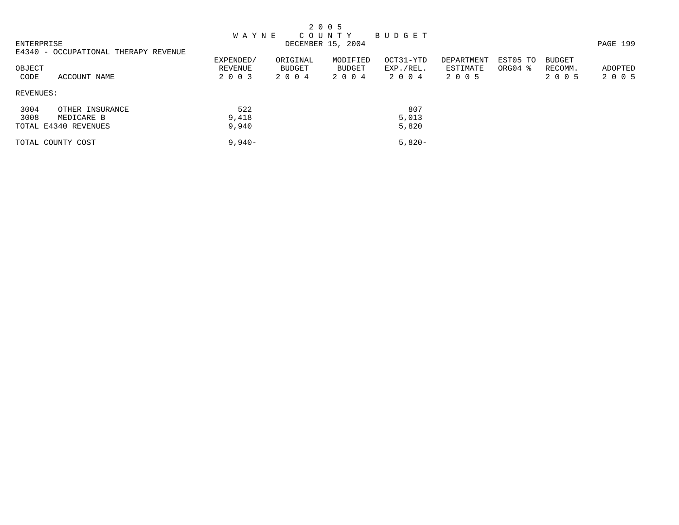|                |                                      |                                 |                               | 2 0 0 5                          |                                |                                   |                                 |                                     |                    |
|----------------|--------------------------------------|---------------------------------|-------------------------------|----------------------------------|--------------------------------|-----------------------------------|---------------------------------|-------------------------------------|--------------------|
| ENTERPRISE     |                                      | <b>WAYNE</b>                    |                               | C O U N T Y<br>DECEMBER 15, 2004 | BUDGET                         |                                   |                                 |                                     | PAGE 199           |
|                | E4340 - OCCUPATIONAL THERAPY REVENUE |                                 |                               |                                  |                                |                                   |                                 |                                     |                    |
| OBJECT<br>CODE | ACCOUNT NAME                         | EXPENDED/<br>REVENUE<br>2 0 0 3 | ORIGINAL<br>BUDGET<br>2 0 0 4 | MODIFIED<br>BUDGET<br>2 0 0 4    | OCT31-YTD<br>EXP./REL.<br>2004 | DEPARTMENT<br>ESTIMATE<br>2 0 0 5 | EST05 TO<br>ORG04 $\frac{8}{3}$ | <b>BUDGET</b><br>RECOMM.<br>2 0 0 5 | ADOPTED<br>2 0 0 5 |
| REVENUES:      |                                      |                                 |                               |                                  |                                |                                   |                                 |                                     |                    |
| 3004           | OTHER INSURANCE                      | 522                             |                               |                                  | 807                            |                                   |                                 |                                     |                    |
| 3008           | MEDICARE B                           | 9,418                           |                               |                                  | 5,013                          |                                   |                                 |                                     |                    |
|                | TOTAL E4340 REVENUES                 | 9,940                           |                               |                                  | 5,820                          |                                   |                                 |                                     |                    |
|                | TOTAL COUNTY COST                    | $9,940-$                        |                               |                                  | $5,820-$                       |                                   |                                 |                                     |                    |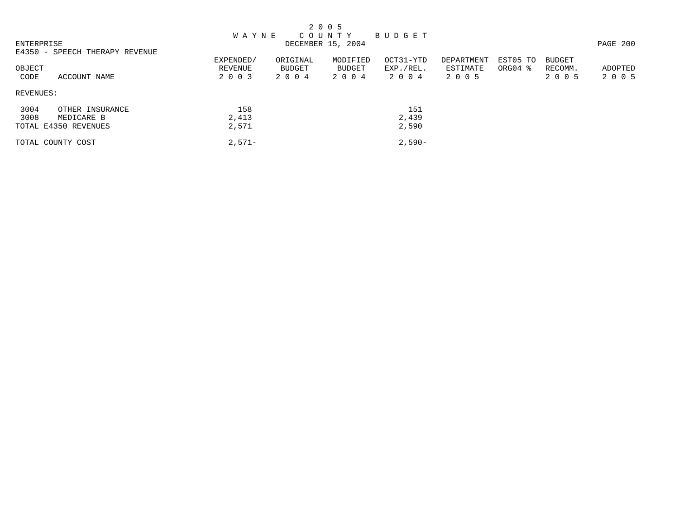|                                |              |          | 2 0 0 5           |             |            |          |         |          |
|--------------------------------|--------------|----------|-------------------|-------------|------------|----------|---------|----------|
|                                | <b>WAYNE</b> |          | C O U N T Y       | B U D G E T |            |          |         |          |
| ENTERPRISE                     |              |          | DECEMBER 15, 2004 |             |            |          |         | PAGE 200 |
| E4350 - SPEECH THERAPY REVENUE |              |          |                   |             |            |          |         |          |
|                                | EXPENDED/    | ORIGINAL | MODIFIED          | OCT31-YTD   | DEPARTMENT | EST05 TO | BUDGET  |          |
| OBJECT                         | REVENUE      | BUDGET   | BUDGET            | EXP./REL.   | ESTIMATE   | ORG04 %  | RECOMM. | ADOPTED  |
| CODE<br>ACCOUNT NAME           | 2 0 0 3      | 2004     | 2 0 0 4           | 2004        | 2 0 0 5    |          | 2 0 0 5 | 2 0 0 5  |
| REVENUES:                      |              |          |                   |             |            |          |         |          |
| 3004<br>OTHER INSURANCE        | 158          |          |                   | 151         |            |          |         |          |
| 3008<br>MEDICARE B             | 2,413        |          |                   | 2,439       |            |          |         |          |
| TOTAL E4350 REVENUES           | 2,571        |          |                   | 2,590       |            |          |         |          |
| TOTAL COUNTY COST              | $2.571-$     |          |                   | $2.590-$    |            |          |         |          |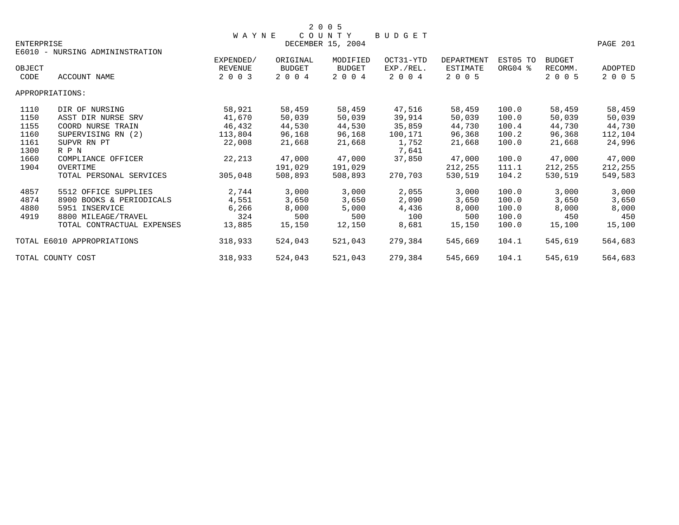|                   |                                 |                |               | 2 0 0 5           |               |                   |          |               |          |
|-------------------|---------------------------------|----------------|---------------|-------------------|---------------|-------------------|----------|---------------|----------|
|                   |                                 | <b>WAYNE</b>   |               | COUNTY            | <b>BUDGET</b> |                   |          |               |          |
| <b>ENTERPRISE</b> | E6010 - NURSING ADMININSTRATION |                |               | DECEMBER 15, 2004 |               |                   |          |               | PAGE 201 |
|                   |                                 | EXPENDED/      | ORIGINAL      | MODIFIED          | OCT31-YTD     | <b>DEPARTMENT</b> | EST05 TO | <b>BUDGET</b> |          |
| OBJECT            |                                 | <b>REVENUE</b> | <b>BUDGET</b> | <b>BUDGET</b>     | EXP./REL.     | ESTIMATE          | ORG04 %  | RECOMM.       | ADOPTED  |
| CODE              | ACCOUNT NAME                    | 2 0 0 3        | 2 0 0 4       | 2 0 0 4           | 2 0 0 4       | 2 0 0 5           |          | 2 0 0 5       | 2 0 0 5  |
|                   | APPROPRIATIONS:                 |                |               |                   |               |                   |          |               |          |
| 1110              | DIR OF NURSING                  | 58,921         | 58,459        | 58,459            | 47,516        | 58,459            | 100.0    | 58,459        | 58,459   |
| 1150              | ASST DIR NURSE SRV              | 41,670         | 50,039        | 50,039            | 39,914        | 50,039            | 100.0    | 50,039        | 50,039   |
| 1155              | COORD NURSE TRAIN               | 46,432         | 44,530        | 44,530            | 35,859        | 44,730            | 100.4    | 44,730        | 44,730   |
| 1160              | SUPERVISING RN (2)              | 113,804        | 96,168        | 96,168            | 100,171       | 96,368            | 100.2    | 96,368        | 112,104  |
| 1161              | SUPVR RN PT                     | 22,008         | 21,668        | 21,668            | 1,752         | 21,668            | 100.0    | 21,668        | 24,996   |
| 1300              | R P N                           |                |               |                   | 7,641         |                   |          |               |          |
| 1660              | COMPLIANCE OFFICER              | 22,213         | 47,000        | 47,000            | 37,850        | 47,000            | 100.0    | 47,000        | 47,000   |
| 1904              | OVERTIME                        |                | 191,029       | 191,029           |               | 212,255           | 111.1    | 212,255       | 212,255  |
|                   | TOTAL PERSONAL SERVICES         | 305,048        | 508,893       | 508,893           | 270,703       | 530,519           | 104.2    | 530,519       | 549,583  |
| 4857              | 5512 OFFICE SUPPLIES            | 2,744          | 3,000         | 3,000             | 2,055         | 3,000             | 100.0    | 3,000         | 3,000    |
| 4874              | 8900 BOOKS & PERIODICALS        | 4,551          | 3,650         | 3,650             | 2,090         | 3,650             | 100.0    | 3,650         | 3,650    |
| 4880              | 5951 INSERVICE                  | 6,266          | 8,000         | 5,000             | 4,436         | 8,000             | 100.0    | 8,000         | 8,000    |
| 4919              | 8800 MILEAGE/TRAVEL             | 324            | 500           | 500               | 100           | 500               | 100.0    | 450           | 450      |
|                   | TOTAL CONTRACTUAL EXPENSES      | 13,885         | 15,150        | 12,150            | 8,681         | 15,150            | 100.0    | 15,100        | 15,100   |
|                   | TOTAL E6010 APPROPRIATIONS      | 318,933        | 524,043       | 521,043           | 279,384       | 545,669           | 104.1    | 545,619       | 564,683  |
|                   | TOTAL COUNTY COST               | 318,933        | 524,043       | 521,043           | 279,384       | 545,669           | 104.1    | 545,619       | 564,683  |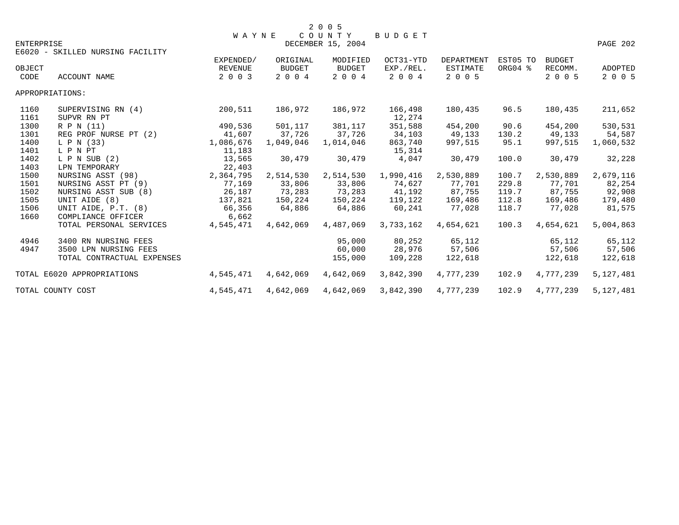|                   |                                   | <b>WAYNE</b>              |                          | 2 0 0 5<br>COUNTY        | BUDGET               |                            |          |                    |                           |
|-------------------|-----------------------------------|---------------------------|--------------------------|--------------------------|----------------------|----------------------------|----------|--------------------|---------------------------|
| <b>ENTERPRISE</b> |                                   |                           |                          | DECEMBER 15, 2004        |                      |                            |          |                    | PAGE 202                  |
|                   | E6020 - SKILLED NURSING FACILITY  | EXPENDED/                 | ORIGINAL                 | MODIFIED                 | OCT31-YTD            | DEPARTMENT                 | EST05 TO | <b>BUDGET</b>      |                           |
| OBJECT<br>CODE    | ACCOUNT NAME                      | <b>REVENUE</b><br>2 0 0 3 | <b>BUDGET</b><br>2 0 0 4 | <b>BUDGET</b><br>2 0 0 4 | EXP./REL.<br>2 0 0 4 | <b>ESTIMATE</b><br>2 0 0 5 | ORG04 %  | RECOMM.<br>2 0 0 5 | <b>ADOPTED</b><br>2 0 0 5 |
|                   | APPROPRIATIONS:                   |                           |                          |                          |                      |                            |          |                    |                           |
| 1160<br>1161      | SUPERVISING RN (4)<br>SUPVR RN PT | 200,511                   | 186,972                  | 186,972                  | 166,498<br>12,274    | 180,435                    | 96.5     | 180,435            | 211,652                   |
| 1300              | R P N (11)                        | 490,536                   | 501,117                  | 381,117                  | 351,588              | 454,200                    | 90.6     | 454,200            | 530,531                   |
| 1301              | REG PROF NURSE PT (2)             | 41,607                    | 37,726                   | 37,726                   | 34,103               | 49,133                     | 130.2    | 49,133             | 54,587                    |
| 1400              | L P N (33)                        | 1,086,676                 | 1,049,046                | 1,014,046                | 863,740              | 997,515                    | 95.1     | 997,515            | 1,060,532                 |
| 1401              | L P N PT                          | 11,183                    |                          |                          | 15,314               |                            |          |                    |                           |
| 1402              | $L$ P N SUB $(2)$                 | 13,565                    | 30,479                   | 30,479                   | 4,047                | 30,479                     | 100.0    | 30,479             | 32,228                    |
| 1403              | LPN TEMPORARY                     | 22,403                    |                          |                          |                      |                            |          |                    |                           |
| 1500              | NURSING ASST (98)                 | 2,364,795                 | 2,514,530                | 2,514,530                | 1,990,416            | 2,530,889                  | 100.7    | 2,530,889          | 2,679,116                 |
| 1501              | NURSING ASST PT (9)               | 77,169                    | 33,806                   | 33,806                   | 74,627               | 77,701                     | 229.8    | 77,701             | 82,254                    |
| 1502              | NURSING ASST SUB (8)              | 26,187                    | 73,283                   | 73,283                   | 41,192               | 87,755                     | 119.7    | 87,755             | 92,908                    |
| 1505              | UNIT AIDE (8)                     | 137,821                   | 150,224                  | 150,224                  | 119,122              | 169,486                    | 112.8    | 169,486            | 179,480                   |
| 1506              | UNIT AIDE, P.T. (8)               | 66,356                    | 64,886                   | 64,886                   | 60,241               | 77,028                     | 118.7    | 77,028             | 81,575                    |
| 1660              | COMPLIANCE OFFICER                | 6,662                     |                          |                          |                      |                            |          |                    |                           |
|                   | TOTAL PERSONAL SERVICES           | 4,545,471                 | 4,642,069                | 4,487,069                | 3,733,162            | 4,654,621                  | 100.3    | 4,654,621          | 5,004,863                 |
| 4946              | 3400 RN NURSING FEES              |                           |                          | 95,000                   | 80,252               | 65,112                     |          | 65,112             | 65,112                    |
| 4947              | 3500 LPN NURSING FEES             |                           |                          | 60,000                   | 28,976               | 57,506                     |          | 57,506             | 57,506                    |
|                   | TOTAL CONTRACTUAL EXPENSES        |                           |                          | 155,000                  | 109,228              | 122,618                    |          | 122,618            | 122,618                   |
|                   | TOTAL E6020 APPROPRIATIONS        | 4,545,471                 | 4,642,069                | 4,642,069                | 3,842,390            | 4,777,239                  | 102.9    | 4,777,239          | 5,127,481                 |
|                   | TOTAL COUNTY COST                 | 4,545,471                 | 4,642,069                | 4,642,069                | 3,842,390            | 4,777,239                  | 102.9    | 4,777,239          | 5,127,481                 |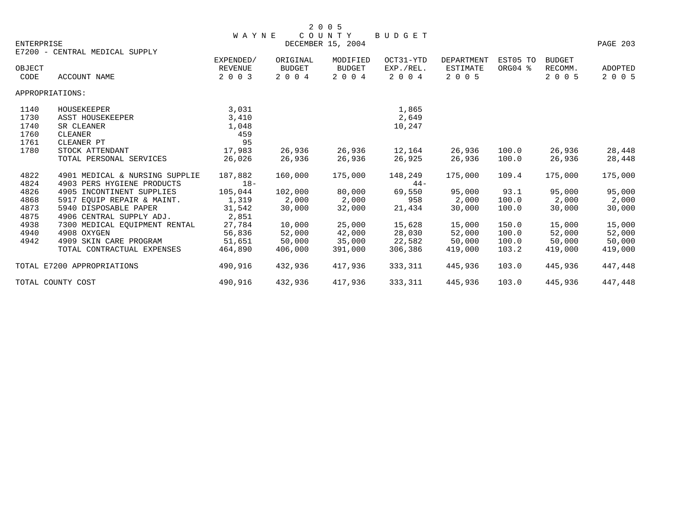| ENTERPRISE     |                                | <b>WAYNE</b>              |                          | COUNTY<br>DECEMBER 15, 2004 | <b>BUDGET</b>        |                     |          |                    | PAGE 203           |
|----------------|--------------------------------|---------------------------|--------------------------|-----------------------------|----------------------|---------------------|----------|--------------------|--------------------|
|                | E7200 - CENTRAL MEDICAL SUPPLY |                           |                          |                             |                      |                     |          |                    |                    |
|                |                                | EXPENDED/                 | ORIGINAL                 | MODIFIED                    | OCT31-YTD            | <b>DEPARTMENT</b>   | EST05 TO | <b>BUDGET</b>      |                    |
| OBJECT<br>CODE | ACCOUNT NAME                   | <b>REVENUE</b><br>2 0 0 3 | <b>BUDGET</b><br>2 0 0 4 | <b>BUDGET</b><br>2 0 0 4    | EXP./REL.<br>2 0 0 4 | ESTIMATE<br>2 0 0 5 | ORG04 %  | RECOMM.<br>2 0 0 5 | ADOPTED<br>2 0 0 5 |
|                | APPROPRIATIONS:                |                           |                          |                             |                      |                     |          |                    |                    |
| 1140           | HOUSEKEEPER                    | 3,031                     |                          |                             | 1,865                |                     |          |                    |                    |
| 1730           | ASST HOUSEKEEPER               | 3,410                     |                          |                             | 2,649                |                     |          |                    |                    |
| 1740           | SR CLEANER                     | 1,048                     |                          |                             | 10,247               |                     |          |                    |                    |
| 1760           | CLEANER                        | 459                       |                          |                             |                      |                     |          |                    |                    |
| 1761           | CLEANER PT                     | 95                        |                          |                             |                      |                     |          |                    |                    |
| 1780           | STOCK ATTENDANT                | 17,983                    | 26,936                   | 26,936                      | 12,164               | 26,936              | 100.0    | 26,936             | 28,448             |
|                | TOTAL PERSONAL SERVICES        | 26,026                    | 26,936                   | 26,936                      | 26,925               | 26,936              | 100.0    | 26,936             | 28,448             |
| 4822           | 4901 MEDICAL & NURSING SUPPLIE | 187,882                   | 160,000                  | 175,000                     | 148,249              | 175,000             | 109.4    | 175,000            | 175,000            |
| 4824           | 4903 PERS HYGIENE PRODUCTS     | $18-$                     |                          |                             | $44 -$               |                     |          |                    |                    |
| 4826           | 4905 INCONTINENT SUPPLIES      | 105,044                   | 102,000                  | 80,000                      | 69,550               | 95,000              | 93.1     | 95,000             | 95,000             |
| 4868           | 5917 EOUIP REPAIR & MAINT.     | 1,319                     | 2,000                    | 2,000                       | 958                  | 2,000               | 100.0    | 2,000              | 2,000              |
| 4873           | 5940 DISPOSABLE PAPER          | 31,542                    | 30,000                   | 32,000                      | 21,434               | 30,000              | 100.0    | 30,000             | 30,000             |
| 4875           | 4906 CENTRAL SUPPLY ADJ.       | 2,851                     |                          |                             |                      |                     |          |                    |                    |
| 4938           | 7300 MEDICAL EOUIPMENT RENTAL  | 27,784                    | 10,000                   | 25,000                      | 15,628               | 15,000              | 150.0    | 15,000             | 15,000             |
| 4940           | 4908 OXYGEN                    | 56,836                    | 52,000                   | 42,000                      | 28,030               | 52,000              | 100.0    | 52,000             | 52,000             |
| 4942           | 4909 SKIN CARE PROGRAM         | 51,651                    | 50,000                   | 35,000                      | 22,582               | 50,000              | 100.0    | 50,000             | 50,000             |
|                | TOTAL CONTRACTUAL EXPENSES     | 464,890                   | 406,000                  | 391,000                     | 306,386              | 419,000             | 103.2    | 419,000            | 419,000            |
|                | TOTAL E7200 APPROPRIATIONS     | 490,916                   | 432,936                  | 417,936                     | 333,311              | 445,936             | 103.0    | 445,936            | 447,448            |
|                | TOTAL COUNTY COST              | 490,916                   | 432,936                  | 417,936                     | 333,311              | 445,936             | 103.0    | 445,936            | 447,448            |

2 0 0 5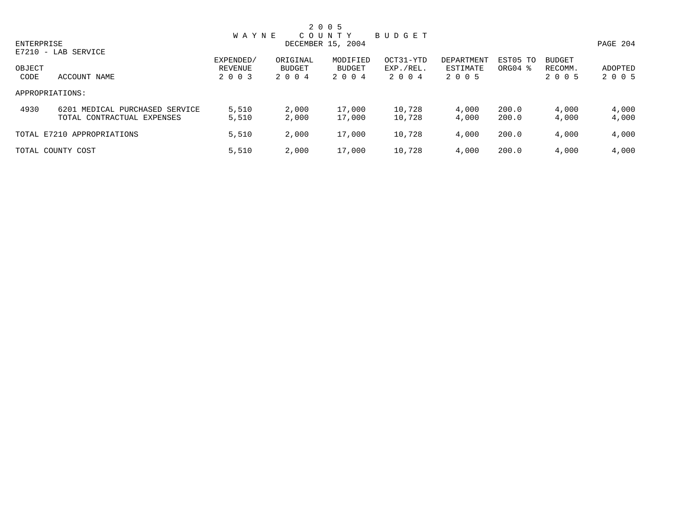|            |                                                              |                      |                    | 2 0 0 5            |                        |                        |                     |                          |                |
|------------|--------------------------------------------------------------|----------------------|--------------------|--------------------|------------------------|------------------------|---------------------|--------------------------|----------------|
|            |                                                              | <b>WAYNE</b>         |                    | C O U N T Y        | BUDGET                 |                        |                     |                          |                |
| ENTERPRISE |                                                              |                      |                    | DECEMBER 15, 2004  |                        |                        |                     |                          | PAGE 204       |
| OBJECT     | E7210 - LAB SERVICE                                          | EXPENDED/<br>REVENUE | ORIGINAL<br>BUDGET | MODIFIED<br>BUDGET | OCT31-YTD<br>EXP./REL. | DEPARTMENT<br>ESTIMATE | EST05 TO<br>ORG04 % | <b>BUDGET</b><br>RECOMM. | ADOPTED        |
| CODE       | ACCOUNT NAME                                                 | 2 0 0 3              | 2 0 0 4            | 2 0 0 4            | 2004                   | 2 0 0 5                |                     | 2 0 0 5                  | 2 0 0 5        |
|            | APPROPRIATIONS:                                              |                      |                    |                    |                        |                        |                     |                          |                |
| 4930       | 6201 MEDICAL PURCHASED SERVICE<br>TOTAL CONTRACTUAL EXPENSES | 5,510<br>5,510       | 2,000<br>2,000     | 17,000<br>17,000   | 10,728<br>10,728       | 4,000<br>4,000         | 200.0<br>200.0      | 4,000<br>4,000           | 4,000<br>4,000 |
|            | TOTAL E7210 APPROPRIATIONS                                   | 5,510                | 2,000              | 17,000             | 10,728                 | 4,000                  | 200.0               | 4,000                    | 4,000          |
|            | TOTAL COUNTY COST                                            | 5,510                | 2,000              | 17,000             | 10,728                 | 4,000                  | 200.0               | 4,000                    | 4,000          |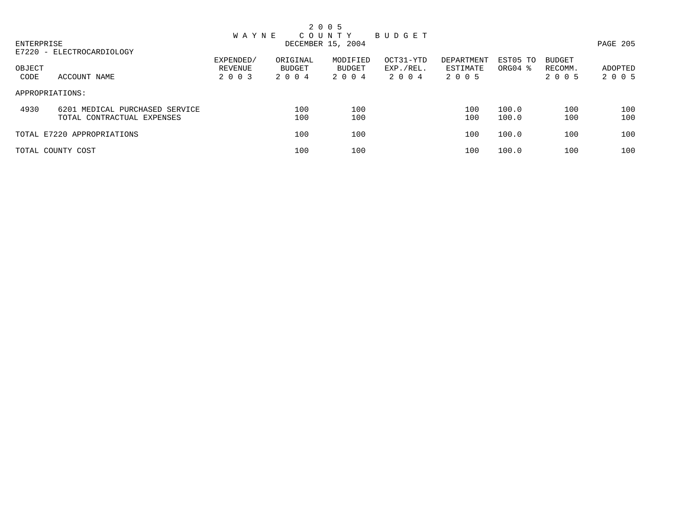|                |                                                              |                                                            |                            | 2 0 0 5                       |                                |                                   |                     |                              |                    |
|----------------|--------------------------------------------------------------|------------------------------------------------------------|----------------------------|-------------------------------|--------------------------------|-----------------------------------|---------------------|------------------------------|--------------------|
| ENTERPRISE     |                                                              | C O U N T Y<br><b>WAYNE</b><br>BUDGET<br>DECEMBER 15, 2004 |                            |                               |                                |                                   |                     |                              |                    |
| OBJECT<br>CODE | E7220 - ELECTROCARDIOLOGY<br>ACCOUNT NAME                    | EXPENDED/<br>REVENUE<br>2 0 0 3                            | ORIGINAL<br>BUDGET<br>2004 | MODIFIED<br>BUDGET<br>2 0 0 4 | OCT31-YTD<br>EXP./REL.<br>2004 | DEPARTMENT<br>ESTIMATE<br>2 0 0 5 | EST05 TO<br>ORG04 % | BUDGET<br>RECOMM.<br>2 0 0 5 | ADOPTED<br>2 0 0 5 |
|                | APPROPRIATIONS:                                              |                                                            |                            |                               |                                |                                   |                     |                              |                    |
| 4930           | 6201 MEDICAL PURCHASED SERVICE<br>TOTAL CONTRACTUAL EXPENSES |                                                            | 100<br>100                 | 100<br>100                    |                                | 100<br>100                        | 100.0<br>100.0      | 100<br>100                   | 100<br>100         |
|                | TOTAL E7220 APPROPRIATIONS                                   |                                                            | 100                        | 100                           |                                | 100                               | 100.0               | 100                          | 100                |
|                | TOTAL COUNTY COST                                            |                                                            | 100                        | 100                           |                                | 100                               | 100.0               | 100                          | 100                |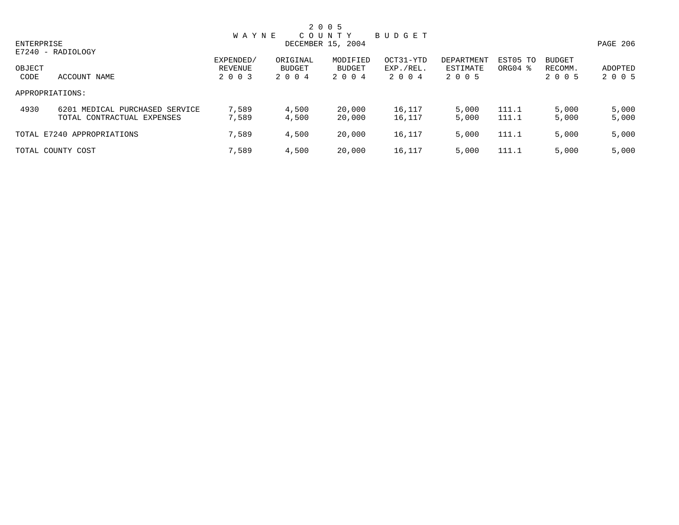|            |                                |                      |                    | 2 0 0 5            |                        |                        |                     |                          |          |
|------------|--------------------------------|----------------------|--------------------|--------------------|------------------------|------------------------|---------------------|--------------------------|----------|
|            |                                | <b>WAYNE</b>         |                    | C O U N T Y        | BUDGET                 |                        |                     |                          |          |
| ENTERPRISE |                                |                      |                    | DECEMBER 15, 2004  |                        |                        |                     |                          | PAGE 206 |
|            | E7240 - RADIOLOGY              |                      |                    |                    |                        |                        |                     |                          |          |
| OBJECT     |                                | EXPENDED/<br>REVENUE | ORIGINAL<br>BUDGET | MODIFIED<br>BUDGET | OCT31-YTD<br>EXP./REL. | DEPARTMENT<br>ESTIMATE | EST05 TO<br>ORG04 % | <b>BUDGET</b><br>RECOMM. | ADOPTED  |
| CODE       | ACCOUNT NAME                   | 2 0 0 3              | 2 0 0 4            | 2 0 0 4            | 2004                   | 2 0 0 5                |                     | 2 0 0 5                  | 2 0 0 5  |
|            | APPROPRIATIONS:                |                      |                    |                    |                        |                        |                     |                          |          |
| 4930       | 6201 MEDICAL PURCHASED SERVICE | 7,589                | 4,500              | 20,000             | 16,117                 | 5,000                  | 111.1               | 5,000                    | 5,000    |
|            | TOTAL CONTRACTUAL EXPENSES     | 7,589                | 4,500              | 20,000             | 16,117                 | 5,000                  | 111.1               | 5,000                    | 5,000    |
|            | TOTAL E7240 APPROPRIATIONS     | 7,589                | 4,500              | 20,000             | 16,117                 | 5,000                  | 111.1               | 5,000                    | 5,000    |
|            | TOTAL COUNTY COST              | 7,589                | 4,500              | 20,000             | 16,117                 | 5,000                  | 111.1               | 5,000                    | 5,000    |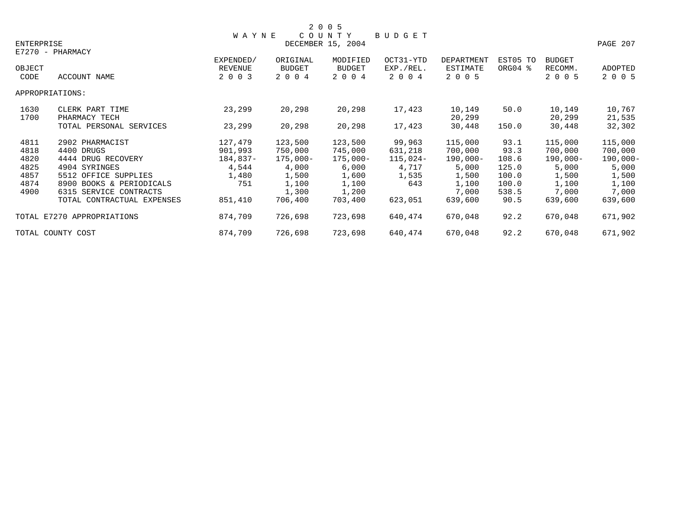|                   |                            |              |            | 2 0 0 5           |           |                 |          |               |             |
|-------------------|----------------------------|--------------|------------|-------------------|-----------|-----------------|----------|---------------|-------------|
|                   |                            | <b>WAYNE</b> |            | COUNTY            | BUDGET    |                 |          |               |             |
| <b>ENTERPRISE</b> |                            |              |            | DECEMBER 15, 2004 |           |                 |          |               | PAGE 207    |
|                   | E7270 - PHARMACY           |              |            |                   |           |                 |          |               |             |
|                   |                            | EXPENDED/    | ORIGINAL   | MODIFIED          | OCT31-YTD | DEPARTMENT      | EST05 TO | <b>BUDGET</b> |             |
| OBJECT            |                            | REVENUE      | BUDGET     | <b>BUDGET</b>     | EXP./REL. | <b>ESTIMATE</b> | ORG04 %  | RECOMM.       | ADOPTED     |
| CODE              | ACCOUNT NAME               | 2 0 0 3      | 2 0 0 4    | 2 0 0 4           | 2 0 0 4   | 2 0 0 5         |          | 2 0 0 5       | 2 0 0 5     |
|                   | APPROPRIATIONS:            |              |            |                   |           |                 |          |               |             |
| 1630              | CLERK PART TIME            | 23,299       | 20,298     | 20,298            | 17,423    | 10,149          | 50.0     | 10,149        | 10,767      |
| 1700              | PHARMACY TECH              |              |            |                   |           | 20,299          |          | 20,299        | 21,535      |
|                   | TOTAL PERSONAL SERVICES    | 23,299       | 20,298     | 20,298            | 17,423    | 30,448          | 150.0    | 30,448        | 32,302      |
| 4811              | 2902 PHARMACIST            | 127,479      | 123,500    | 123,500           | 99,963    | 115,000         | 93.1     | 115,000       | 115,000     |
| 4818              | 4400 DRUGS                 | 901,993      | 750,000    | 745,000           | 631,218   | 700,000         | 93.3     | 700,000       | 700,000     |
| 4820              | 4444 DRUG RECOVERY         | 184,837-     | $175,000-$ | 175,000-          | 115,024-  | $190,000-$      | 108.6    | $190,000 -$   | $190,000 -$ |
| 4825              | 4904 SYRINGES              | 4,544        | 4,000      | 6,000             | 4,717     | 5,000           | 125.0    | 5,000         | 5,000       |
| 4857              | 5512 OFFICE SUPPLIES       | 1,480        | 1,500      | 1,600             | 1,535     | 1,500           | 100.0    | 1,500         | 1,500       |
| 4874              | 8900 BOOKS & PERIODICALS   | 751          | 1,100      | 1,100             | 643       | 1,100           | 100.0    | 1,100         | 1,100       |
| 4900              | 6315 SERVICE CONTRACTS     |              | 1,300      | 1,200             |           | 7,000           | 538.5    | 7,000         | 7,000       |
|                   | TOTAL CONTRACTUAL EXPENSES | 851,410      | 706,400    | 703,400           | 623,051   | 639,600         | 90.5     | 639,600       | 639,600     |
|                   | TOTAL E7270 APPROPRIATIONS | 874,709      | 726,698    | 723,698           | 640,474   | 670,048         | 92.2     | 670,048       | 671,902     |
|                   | TOTAL COUNTY COST          | 874,709      | 726,698    | 723,698           | 640,474   | 670,048         | 92.2     | 670,048       | 671,902     |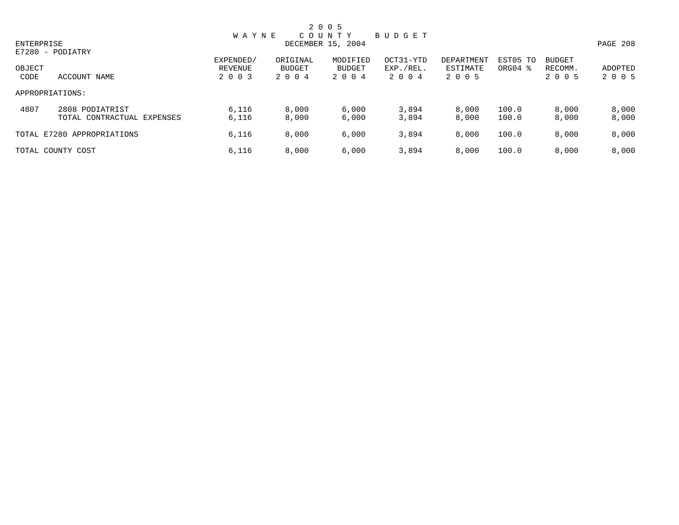|            |                            |              |          | 2 0 0 5           |           |            |          |               |          |
|------------|----------------------------|--------------|----------|-------------------|-----------|------------|----------|---------------|----------|
|            |                            | <b>WAYNE</b> |          | C O U N T Y       | BUDGET    |            |          |               |          |
| ENTERPRISE |                            |              |          | DECEMBER 15, 2004 |           |            |          |               | PAGE 208 |
|            | E7280 - PODIATRY           |              |          |                   |           |            |          |               |          |
|            |                            | EXPENDED/    | ORIGINAL | MODIFIED          | OCT31-YTD | DEPARTMENT | EST05 TO | <b>BUDGET</b> |          |
| OBJECT     |                            | REVENUE      | BUDGET   | BUDGET            | EXP./REL. | ESTIMATE   | ORG04 %  | RECOMM.       | ADOPTED  |
| CODE       | ACCOUNT NAME               | 2 0 0 3      | 2 0 0 4  | 2 0 0 4           | 2004      | 2 0 0 5    |          | 2 0 0 5       | 2 0 0 5  |
|            | APPROPRIATIONS:            |              |          |                   |           |            |          |               |          |
| 4807       | 2808 PODIATRIST            | 6,116        | 8,000    | 6,000             | 3,894     | 8,000      | 100.0    | 8,000         | 8,000    |
|            | TOTAL CONTRACTUAL EXPENSES | 6,116        | 8,000    | 6,000             | 3,894     | 8,000      | 100.0    | 8,000         | 8,000    |
|            | TOTAL E7280 APPROPRIATIONS | 6,116        | 8,000    | 6,000             | 3,894     | 8,000      | 100.0    | 8,000         | 8,000    |
|            | TOTAL COUNTY COST          | 6,116        | 8,000    | 6,000             | 3,894     | 8,000      | 100.0    | 8,000         | 8,000    |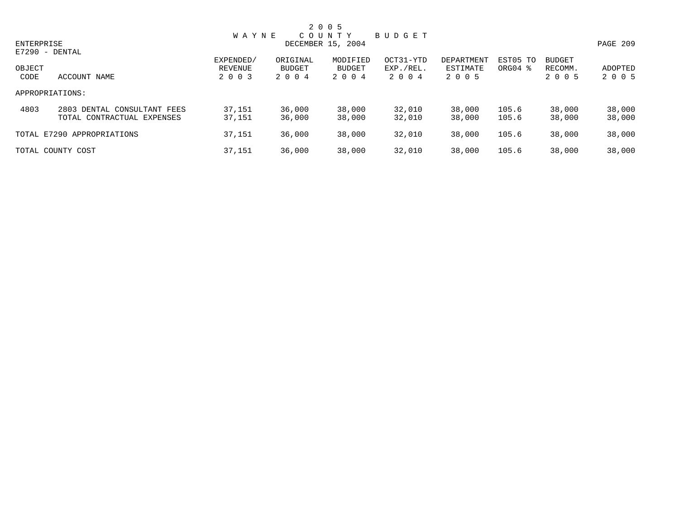|        |                             |              |               | 2 0 0 5           |           |            |          |               |          |
|--------|-----------------------------|--------------|---------------|-------------------|-----------|------------|----------|---------------|----------|
|        |                             | <b>WAYNE</b> |               | C O U N T Y       | BUDGET    |            |          |               |          |
|        | ENTERPRISE                  |              |               | DECEMBER 15, 2004 |           |            |          |               | PAGE 209 |
|        | E7290 - DENTAL              |              |               |                   |           |            |          |               |          |
|        |                             | EXPENDED/    | ORIGINAL      | MODIFIED          | OCT31-YTD | DEPARTMENT | EST05 TO | <b>BUDGET</b> |          |
| OBJECT |                             | REVENUE      | <b>BUDGET</b> | BUDGET            | EXP./REL. | ESTIMATE   | ORG04 %  | RECOMM.       | ADOPTED  |
| CODE   | ACCOUNT NAME                | 2 0 0 3      | 2 0 0 4       | 2 0 0 4           | 2 0 0 4   | 2 0 0 5    |          | 2 0 0 5       | 2 0 0 5  |
|        | APPROPRIATIONS:             |              |               |                   |           |            |          |               |          |
| 4803   | 2803 DENTAL CONSULTANT FEES | 37,151       | 36,000        | 38,000            | 32,010    | 38,000     | 105.6    | 38,000        | 38,000   |
|        | TOTAL CONTRACTUAL EXPENSES  | 37,151       | 36,000        | 38,000            | 32,010    | 38,000     | 105.6    | 38,000        | 38,000   |
|        | TOTAL E7290 APPROPRIATIONS  | 37,151       | 36,000        | 38,000            | 32,010    | 38,000     | 105.6    | 38,000        | 38,000   |
|        | TOTAL COUNTY COST           | 37,151       | 36,000        | 38,000            | 32,010    | 38,000     | 105.6    | 38,000        | 38,000   |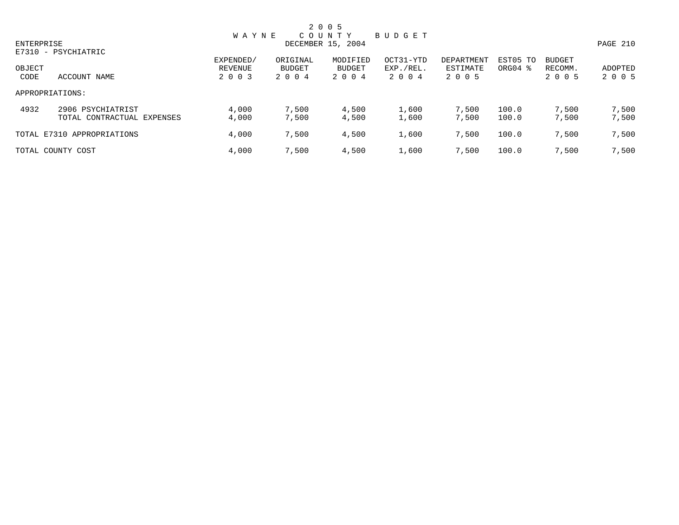|            |                                                 |                      |                    | 2 0 0 5                          |                        |                        |                                 |                          |                |
|------------|-------------------------------------------------|----------------------|--------------------|----------------------------------|------------------------|------------------------|---------------------------------|--------------------------|----------------|
| ENTERPRISE |                                                 | <b>WAYNE</b>         |                    | C O U N T Y<br>DECEMBER 15, 2004 | BUDGET                 |                        |                                 |                          | PAGE 210       |
| OBJECT     | E7310 - PSYCHIATRIC                             | EXPENDED/<br>REVENUE | ORIGINAL<br>BUDGET | MODIFIED<br>BUDGET               | OCT31-YTD<br>EXP./REL. | DEPARTMENT<br>ESTIMATE | EST05 TO<br>ORG04 $\frac{8}{3}$ | <b>BUDGET</b><br>RECOMM. | ADOPTED        |
| CODE       | ACCOUNT NAME<br>APPROPRIATIONS:                 | 2 0 0 3              | 2004               | 2 0 0 4                          | 2 0 0 4                | 2 0 0 5                |                                 | 2 0 0 5                  | 2 0 0 5        |
| 4932       | 2906 PSYCHIATRIST                               | 4,000                | 7,500              | 4,500                            | 1,600                  | 7,500                  | 100.0                           | 7,500                    | 7,500          |
|            | TOTAL CONTRACTUAL EXPENSES                      | 4,000                | 7,500              | 4,500                            | 1,600                  | 7,500                  | 100.0                           | 7,500                    | 7,500          |
|            | TOTAL E7310 APPROPRIATIONS<br>TOTAL COUNTY COST | 4,000<br>4,000       | 7,500<br>7,500     | 4,500<br>4,500                   | 1,600<br>1,600         | 7,500<br>7,500         | 100.0<br>100.0                  | 7,500<br>7,500           | 7,500<br>7,500 |
|            |                                                 |                      |                    |                                  |                        |                        |                                 |                          |                |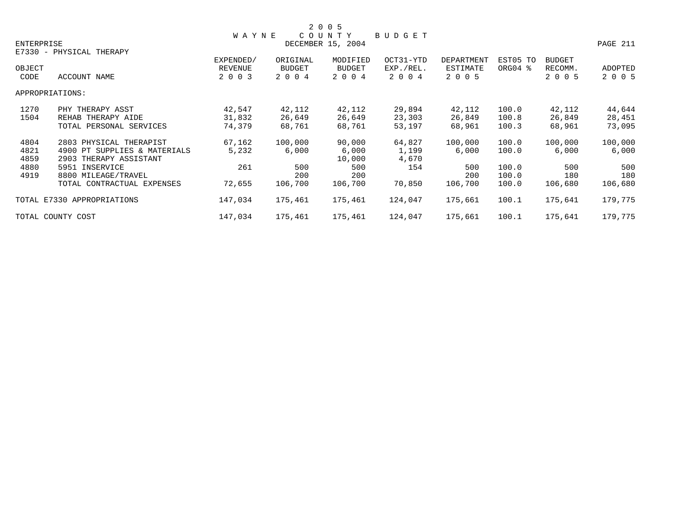|            |                              |                |               | 2 0 0 5           |           |                   |          |         |          |
|------------|------------------------------|----------------|---------------|-------------------|-----------|-------------------|----------|---------|----------|
|            |                              | <b>WAYNE</b>   |               | COUNTY            | BUDGET    |                   |          |         |          |
| ENTERPRISE |                              |                |               | DECEMBER 15, 2004 |           |                   |          |         | PAGE 211 |
|            | E7330 - PHYSICAL THERAPY     |                |               |                   |           |                   |          |         |          |
|            |                              | EXPENDED/      | ORIGINAL      | MODIFIED          | OCT31-YTD | <b>DEPARTMENT</b> | EST05 TO | BUDGET  |          |
| OBJECT     |                              | <b>REVENUE</b> | <b>BUDGET</b> | <b>BUDGET</b>     | EXP./REL. | ESTIMATE          | ORG04 %  | RECOMM. | ADOPTED  |
| CODE       | ACCOUNT NAME                 | 2 0 0 3        | 2 0 0 4       | 2 0 0 4           | 2 0 0 4   | 2 0 0 5           |          | 2 0 0 5 | 2 0 0 5  |
|            | APPROPRIATIONS:              |                |               |                   |           |                   |          |         |          |
| 1270       | PHY THERAPY ASST             | 42,547         | 42,112        | 42,112            | 29,894    | 42,112            | 100.0    | 42,112  | 44,644   |
| 1504       | REHAB THERAPY AIDE           | 31,832         | 26,649        | 26,649            | 23,303    | 26,849            | 100.8    | 26,849  | 28,451   |
|            | TOTAL PERSONAL SERVICES      | 74,379         | 68,761        | 68,761            | 53,197    | 68,961            | 100.3    | 68,961  | 73,095   |
| 4804       | 2803 PHYSICAL THERAPIST      | 67,162         | 100,000       | 90,000            | 64,827    | 100,000           | 100.0    | 100,000 | 100,000  |
| 4821       | 4900 PT SUPPLIES & MATERIALS | 5,232          | 6,000         | 6,000             | 1,199     | 6,000             | 100.0    | 6,000   | 6,000    |
| 4859       | 2903 THERAPY ASSISTANT       |                |               | 10,000            | 4,670     |                   |          |         |          |
| 4880       | 5951 INSERVICE               | 261            | 500           | 500               | 154       | 500               | 100.0    | 500     | 500      |
| 4919       | 8800 MILEAGE/TRAVEL          |                | 200           | 200               |           | 200               | 100.0    | 180     | 180      |
|            | TOTAL CONTRACTUAL EXPENSES   | 72,655         | 106,700       | 106,700           | 70,850    | 106,700           | 100.0    | 106,680 | 106,680  |
|            | TOTAL E7330 APPROPRIATIONS   | 147,034        | 175,461       | 175,461           | 124,047   | 175,661           | 100.1    | 175,641 | 179,775  |
|            | TOTAL COUNTY COST            | 147,034        | 175,461       | 175,461           | 124,047   | 175,661           | 100.1    | 175,641 | 179,775  |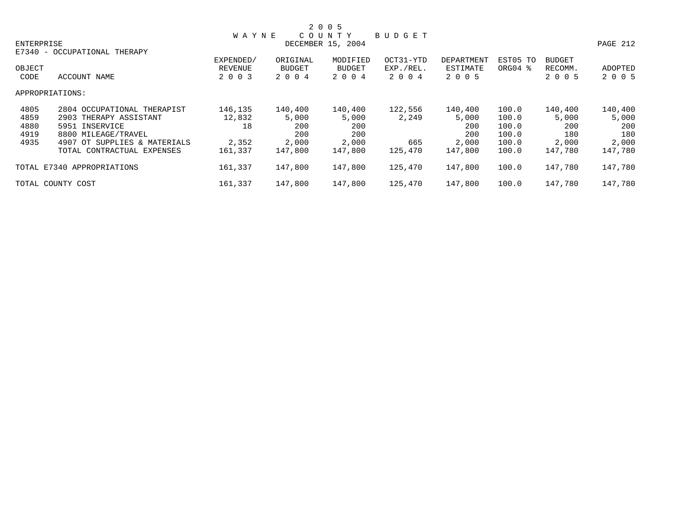|            |                              |              |          | 2 0 0 5           |           |            |          |               |          |
|------------|------------------------------|--------------|----------|-------------------|-----------|------------|----------|---------------|----------|
|            |                              | <b>WAYNE</b> |          | COUNTY            | BUDGET    |            |          |               |          |
| ENTERPRISE |                              |              |          | DECEMBER 15, 2004 |           |            |          |               | PAGE 212 |
|            | E7340 - OCCUPATIONAL THERAPY |              |          |                   |           |            |          |               |          |
|            |                              | EXPENDED/    | ORIGINAL | MODIFIED          | OCT31-YTD | DEPARTMENT | EST05 TO | <b>BUDGET</b> |          |
| OBJECT     |                              | REVENUE      | BUDGET   | BUDGET            | EXP./REL. | ESTIMATE   | ORG04 %  | RECOMM.       | ADOPTED  |
| CODE       | ACCOUNT NAME                 | 2 0 0 3      | 2 0 0 4  | 2 0 0 4           | 2 0 0 4   | 2 0 0 5    |          | 2 0 0 5       | 2 0 0 5  |
|            | APPROPRIATIONS:              |              |          |                   |           |            |          |               |          |
| 4805       | 2804 OCCUPATIONAL THERAPIST  | 146,135      | 140,400  | 140,400           | 122,556   | 140,400    | 100.0    | 140,400       | 140,400  |
| 4859       | 2903 THERAPY ASSISTANT       | 12,832       | 5,000    | 5,000             | 2,249     | 5,000      | 100.0    | 5,000         | 5,000    |
| 4880       | 5951 INSERVICE               | 18           | 200      | 200               |           | 200        | 100.0    | 200           | 200      |
| 4919       | 8800 MILEAGE/TRAVEL          |              | 200      | 200               |           | 200        | 100.0    | 180           | 180      |
| 4935       | 4907 OT SUPPLIES & MATERIALS | 2,352        | 2,000    | 2,000             | 665       | 2,000      | 100.0    | 2,000         | 2,000    |
|            | TOTAL CONTRACTUAL EXPENSES   | 161,337      | 147,800  | 147,800           | 125,470   | 147,800    | 100.0    | 147,780       | 147,780  |
|            | TOTAL E7340 APPROPRIATIONS   | 161,337      | 147,800  | 147,800           | 125,470   | 147,800    | 100.0    | 147,780       | 147,780  |
|            | TOTAL COUNTY COST            | 161,337      | 147,800  | 147,800           | 125,470   | 147,800    | 100.0    | 147,780       | 147,780  |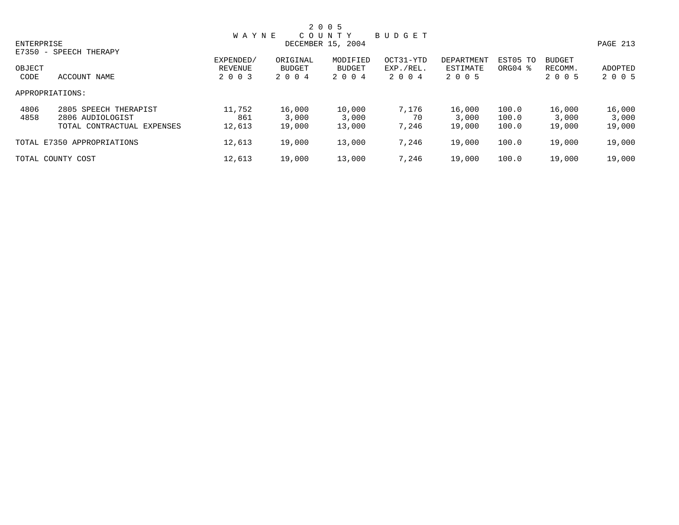|            |                            |              |          | 2 0 0 5           |               |            |          |               |          |
|------------|----------------------------|--------------|----------|-------------------|---------------|------------|----------|---------------|----------|
|            |                            | <b>WAYNE</b> |          | COUNTY            | <b>BUDGET</b> |            |          |               |          |
| ENTERPRISE |                            |              |          | DECEMBER 15, 2004 |               |            |          |               | PAGE 213 |
|            | E7350 - SPEECH THERAPY     |              |          |                   |               |            |          |               |          |
|            |                            | EXPENDED/    | ORIGINAL | MODIFIED          | OCT31-YTD     | DEPARTMENT | EST05 TO | <b>BUDGET</b> |          |
| OBJECT     |                            | REVENUE      | BUDGET   | <b>BUDGET</b>     | EXP./REL.     | ESTIMATE   | ORG04 %  | RECOMM.       | ADOPTED  |
| CODE       | ACCOUNT NAME               | 2 0 0 3      | 2 0 0 4  | 2 0 0 4           | 2 0 0 4       | 2 0 0 5    |          | 2 0 0 5       | 2 0 0 5  |
|            | APPROPRIATIONS:            |              |          |                   |               |            |          |               |          |
| 4806       | 2805 SPEECH THERAPIST      | 11,752       | 16,000   | 10,000            | 7.176         | 16,000     | 100.0    | 16,000        | 16,000   |
| 4858       | 2806 AUDIOLOGIST           | 861          | 3,000    | 3,000             | 70            | 3,000      | 100.0    | 3,000         | 3,000    |
|            | TOTAL CONTRACTUAL EXPENSES | 12,613       | 19,000   | 13,000            | 7.246         | 19,000     | 100.0    | 19,000        | 19,000   |
|            | TOTAL E7350 APPROPRIATIONS | 12,613       | 19,000   | 13,000            | 7,246         | 19,000     | 100.0    | 19,000        | 19,000   |
|            | TOTAL COUNTY COST          | 12,613       | 19,000   | 13,000            | 7,246         | 19,000     | 100.0    | 19,000        | 19,000   |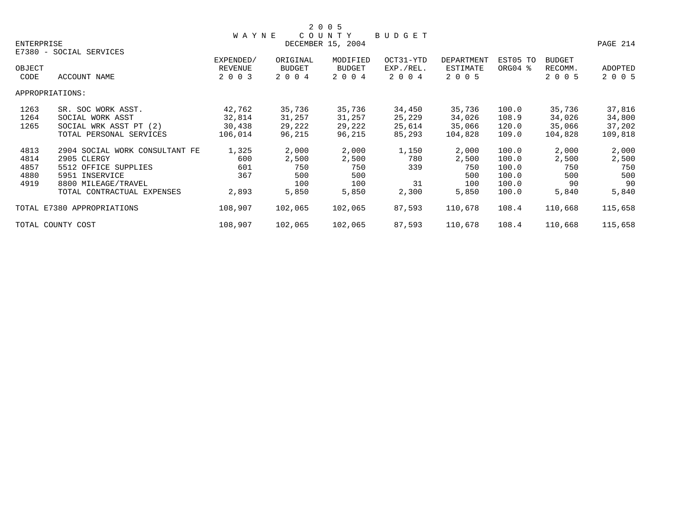|                            |                                |                   |          | 2 0 0 5  |           |                   |          |               |          |
|----------------------------|--------------------------------|-------------------|----------|----------|-----------|-------------------|----------|---------------|----------|
|                            |                                | <b>WAYNE</b>      |          | COUNTY   | BUDGET    |                   |          |               |          |
| ENTERPRISE                 |                                | DECEMBER 15, 2004 |          |          |           |                   |          |               | PAGE 214 |
|                            | E7380 - SOCIAL SERVICES        |                   |          |          |           |                   |          |               |          |
|                            |                                | EXPENDED/         | ORIGINAL | MODIFIED | OCT31-YTD | <b>DEPARTMENT</b> | EST05 TO | <b>BUDGET</b> |          |
| OBJECT                     |                                | <b>REVENUE</b>    | BUDGET   | BUDGET   | EXP./REL. | ESTIMATE          | ORG04 %  | RECOMM.       | ADOPTED  |
| CODE                       | ACCOUNT NAME                   | 2 0 0 3           | 2 0 0 4  | 2 0 0 4  | 2 0 0 4   | 2 0 0 5           |          | 2 0 0 5       | 2 0 0 5  |
|                            | APPROPRIATIONS:                |                   |          |          |           |                   |          |               |          |
| 1263                       | SR. SOC WORK ASST.             | 42,762            | 35,736   | 35,736   | 34,450    | 35,736            | 100.0    | 35,736        | 37,816   |
| 1264                       | SOCIAL WORK ASST               | 32,814            | 31,257   | 31,257   | 25,229    | 34,026            | 108.9    | 34,026        | 34,800   |
| 1265                       | SOCIAL WRK ASST PT (2)         | 30,438            | 29,222   | 29,222   | 25,614    | 35,066            | 120.0    | 35,066        | 37,202   |
|                            | TOTAL PERSONAL SERVICES        | 106,014           | 96,215   | 96,215   | 85,293    | 104,828           | 109.0    | 104,828       | 109,818  |
| 4813                       | 2904 SOCIAL WORK CONSULTANT FE | 1,325             | 2,000    | 2,000    | 1,150     | 2,000             | 100.0    | 2,000         | 2,000    |
| 4814                       | 2905 CLERGY                    | 600               | 2,500    | 2,500    | 780       | 2,500             | 100.0    | 2,500         | 2,500    |
| 4857                       | 5512 OFFICE SUPPLIES           | 601               | 750      | 750      | 339       | 750               | 100.0    | 750           | 750      |
| 4880                       | 5951 INSERVICE                 | 367               | 500      | 500      |           | 500               | 100.0    | 500           | 500      |
| 4919                       | 8800 MILEAGE/TRAVEL            |                   | 100      | 100      | 31        | 100               | 100.0    | 90            | 90       |
|                            | TOTAL CONTRACTUAL EXPENSES     | 2,893             | 5,850    | 5,850    | 2,300     | 5,850             | 100.0    | 5,840         | 5,840    |
| TOTAL E7380 APPROPRIATIONS |                                | 108,907           | 102,065  | 102,065  | 87,593    | 110,678           | 108.4    | 110,668       | 115,658  |
| TOTAL COUNTY COST          |                                | 108,907           | 102,065  | 102,065  | 87,593    | 110,678           | 108.4    | 110,668       | 115,658  |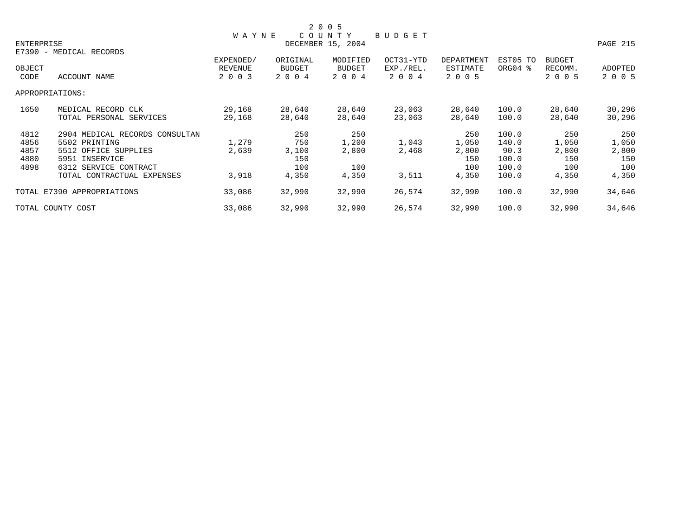|            |                                |              |          | 2 0 0 5           |           |            |          |               |          |
|------------|--------------------------------|--------------|----------|-------------------|-----------|------------|----------|---------------|----------|
|            |                                | <b>WAYNE</b> |          | COUNTY            | BUDGET    |            |          |               |          |
| ENTERPRISE |                                |              |          | DECEMBER 15, 2004 |           |            |          |               | PAGE 215 |
|            | E7390 - MEDICAL RECORDS        |              |          |                   |           |            |          |               |          |
|            |                                | EXPENDED/    | ORIGINAL | MODIFIED          | OCT31-YTD | DEPARTMENT | EST05 TO | <b>BUDGET</b> |          |
| OBJECT     |                                | REVENUE      | BUDGET   | <b>BUDGET</b>     | EXP./REL. | ESTIMATE   | ORG04 %  | RECOMM.       | ADOPTED  |
| CODE       | ACCOUNT NAME                   | 2 0 0 3      | 2 0 0 4  | 2 0 0 4           | 2 0 0 4   | 2 0 0 5    |          | 2 0 0 5       | 2 0 0 5  |
|            | APPROPRIATIONS:                |              |          |                   |           |            |          |               |          |
| 1650       | MEDICAL RECORD CLK             | 29,168       | 28,640   | 28,640            | 23,063    | 28,640     | 100.0    | 28,640        | 30,296   |
|            | TOTAL PERSONAL SERVICES        | 29,168       | 28,640   | 28,640            | 23,063    | 28,640     | 100.0    | 28,640        | 30,296   |
| 4812       | 2904 MEDICAL RECORDS CONSULTAN |              | 250      | 250               |           | 250        | 100.0    | 250           | 250      |
| 4856       | 5502 PRINTING                  | 1,279        | 750      | 1,200             | 1,043     | 1,050      | 140.0    | 1,050         | 1,050    |
| 4857       | 5512 OFFICE SUPPLIES           | 2,639        | 3,100    | 2,800             | 2,468     | 2,800      | 90.3     | 2,800         | 2,800    |
| 4880       | 5951 INSERVICE                 |              | 150      |                   |           | 150        | 100.0    | 150           | 150      |
| 4898       | 6312 SERVICE CONTRACT          |              | 100      | 100               |           | 100        | 100.0    | 100           | 100      |
|            | TOTAL CONTRACTUAL EXPENSES     | 3,918        | 4,350    | 4,350             | 3,511     | 4,350      | 100.0    | 4,350         | 4,350    |
|            | TOTAL E7390 APPROPRIATIONS     | 33,086       | 32,990   | 32,990            | 26,574    | 32,990     | 100.0    | 32,990        | 34,646   |
|            | TOTAL COUNTY COST              | 33,086       | 32,990   | 32,990            | 26,574    | 32,990     | 100.0    | 32,990        | 34,646   |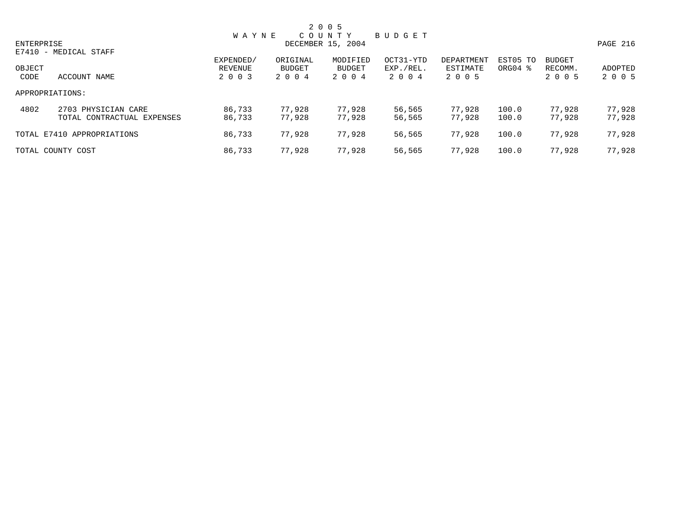|            |                            |                      |                    | 2 0 0 5            |                        |                        |                                 |                          |          |
|------------|----------------------------|----------------------|--------------------|--------------------|------------------------|------------------------|---------------------------------|--------------------------|----------|
|            |                            | <b>WAYNE</b>         |                    | COUNTY             | BUDGET                 |                        |                                 |                          |          |
| ENTERPRISE |                            |                      |                    | DECEMBER 15, 2004  |                        |                        |                                 |                          | PAGE 216 |
|            | E7410 - MEDICAL STAFF      |                      |                    |                    |                        |                        |                                 |                          |          |
| OBJECT     |                            | EXPENDED/<br>REVENUE | ORIGINAL<br>BUDGET | MODIFIED<br>BUDGET | OCT31-YTD<br>EXP./REL. | DEPARTMENT<br>ESTIMATE | EST05 TO<br>ORG04 $\frac{8}{3}$ | <b>BUDGET</b><br>RECOMM. | ADOPTED  |
| CODE       | ACCOUNT NAME               | 2 0 0 3              | 2004               | 2 0 0 4            | 2 0 0 4                | 2 0 0 5                |                                 | 2 0 0 5                  | 2 0 0 5  |
|            | APPROPRIATIONS:            |                      |                    |                    |                        |                        |                                 |                          |          |
| 4802       | 2703 PHYSICIAN CARE        | 86,733               | 77,928             | 77,928             | 56,565                 | 77,928                 | 100.0                           | 77.928                   | 77,928   |
|            | TOTAL CONTRACTUAL EXPENSES | 86,733               | 77,928             | 77,928             | 56,565                 | 77.928                 | 100.0                           | 77.928                   | 77,928   |
|            | TOTAL E7410 APPROPRIATIONS | 86,733               | 77,928             | 77,928             | 56,565                 | 77,928                 | 100.0                           | 77,928                   | 77,928   |
|            | TOTAL COUNTY COST          | 86,733               | 77.928             | 77,928             | 56,565                 | 77,928                 | 100.0                           | 77,928                   | 77,928   |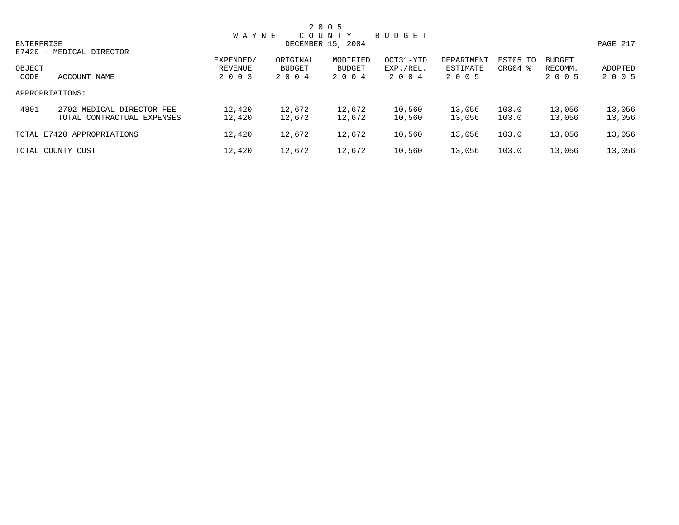|            |                            |              |          | 2 0 0 5           |           |            |                     |               |          |
|------------|----------------------------|--------------|----------|-------------------|-----------|------------|---------------------|---------------|----------|
|            |                            | <b>WAYNE</b> |          | COUNTY            | BUDGET    |            |                     |               |          |
| ENTERPRISE |                            |              |          | DECEMBER 15, 2004 |           |            |                     |               | PAGE 217 |
|            | E7420 - MEDICAL DIRECTOR   |              |          |                   |           |            |                     |               |          |
|            |                            | EXPENDED/    | ORIGINAL | MODIFIED          | OCT31-YTD | DEPARTMENT | EST05 TO            | <b>BUDGET</b> |          |
| OBJECT     |                            | REVENUE      | BUDGET   | BUDGET            | EXP./REL. | ESTIMATE   | ORG04 $\frac{8}{3}$ | RECOMM.       | ADOPTED  |
| CODE       | ACCOUNT NAME               | 2 0 0 3      | 2004     | 2 0 0 4           | 2 0 0 4   | 2 0 0 5    |                     | 2 0 0 5       | 2 0 0 5  |
|            | APPROPRIATIONS:            |              |          |                   |           |            |                     |               |          |
| 4801       | 2702 MEDICAL DIRECTOR FEE  | 12,420       | 12,672   | 12,672            | 10,560    | 13,056     | 103.0               | 13,056        | 13,056   |
|            | TOTAL CONTRACTUAL EXPENSES | 12,420       | 12,672   | 12,672            | 10,560    | 13,056     | 103.0               | 13,056        | 13,056   |
|            | TOTAL E7420 APPROPRIATIONS | 12,420       | 12,672   | 12,672            | 10,560    | 13,056     | 103.0               | 13,056        | 13,056   |
|            | TOTAL COUNTY COST          | 12,420       | 12,672   | 12,672            | 10,560    | 13,056     | 103.0               | 13,056        | 13,056   |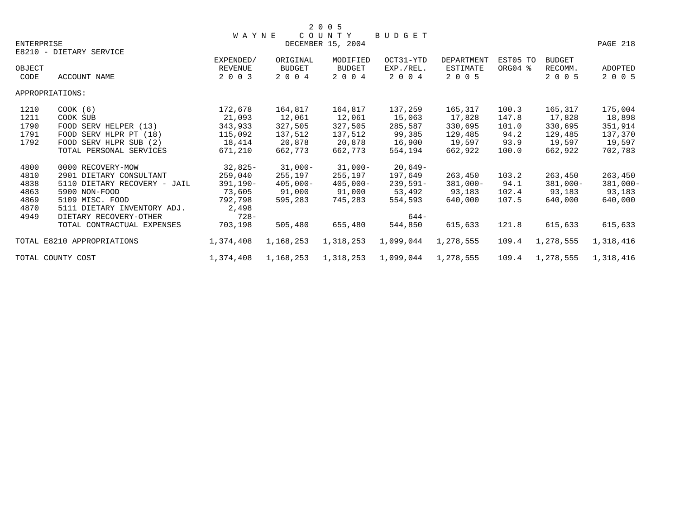|            |                              | <b>WAYNE</b>                |                    | COUNTY                    | <b>BUDGET</b>          |                               |                     |                          |             |
|------------|------------------------------|-----------------------------|--------------------|---------------------------|------------------------|-------------------------------|---------------------|--------------------------|-------------|
| ENTERPRISE |                              |                             |                    | DECEMBER 15, 2004         |                        |                               |                     |                          | PAGE 218    |
|            | E8210 - DIETARY SERVICE      |                             |                    |                           |                        |                               |                     |                          |             |
| OBJECT     |                              | EXPENDED/<br><b>REVENUE</b> | ORIGINAL<br>BUDGET | MODIFIED<br><b>BUDGET</b> | OCT31-YTD<br>EXP./REL. | <b>DEPARTMENT</b><br>ESTIMATE | EST05 TO<br>ORG04 % | <b>BUDGET</b><br>RECOMM. | ADOPTED     |
| CODE       | <b>ACCOUNT NAME</b>          | 2 0 0 3                     | 2 0 0 4            | 2 0 0 4                   | 2 0 0 4                | 2 0 0 5                       |                     | 2 0 0 5                  | 2 0 0 5     |
|            | APPROPRIATIONS:              |                             |                    |                           |                        |                               |                     |                          |             |
| 1210       | $COOK$ (6)                   | 172,678                     | 164,817            | 164,817                   | 137,259                | 165,317                       | 100.3               | 165,317                  | 175,004     |
| 1211       | COOK SUB                     | 21,093                      | 12,061             | 12,061                    | 15,063                 | 17,828                        | 147.8               | 17,828                   | 18,898      |
| 1790       | FOOD SERV HELPER (13)        | 343,933                     | 327,505            | 327,505                   | 285,587                | 330,695                       | 101.0               | 330,695                  | 351,914     |
| 1791       | FOOD SERV HLPR PT (18)       | 115,092                     | 137,512            | 137,512                   | 99,385                 | 129,485                       | 94.2                | 129,485                  | 137,370     |
| 1792       | FOOD SERV HLPR SUB (2)       | 18,414                      | 20,878             | 20,878                    | 16,900                 | 19,597                        | 93.9                | 19,597                   | 19,597      |
|            | TOTAL PERSONAL SERVICES      | 671,210                     | 662,773            | 662,773                   | 554,194                | 662,922                       | 100.0               | 662,922                  | 702,783     |
| 4800       | 0000 RECOVERY-MOW            | $32,825-$                   | $31,000-$          | 31,000-                   | 20,649-                |                               |                     |                          |             |
| 4810       | 2901 DIETARY CONSULTANT      | 259,040                     | 255,197            | 255,197                   | 197,649                | 263,450                       | 103.2               | 263,450                  | 263,450     |
| 4838       | 5110 DIETARY RECOVERY - JAIL | $391,190-$                  | $405,000 -$        | $405,000 -$               | $239,591-$             | $381,000-$                    | 94.1                | $381,000-$               | $381,000 -$ |
| 4863       | 5900 NON-FOOD                | 73,605                      | 91,000             | 91,000                    | 53,492                 | 93,183                        | 102.4               | 93,183                   | 93,183      |
| 4869       | 5109 MISC. FOOD              | 792,798                     | 595,283            | 745,283                   | 554,593                | 640,000                       | 107.5               | 640,000                  | 640,000     |
| 4870       | 5111 DIETARY INVENTORY ADJ.  | 2,498                       |                    |                           |                        |                               |                     |                          |             |
| 4949       | DIETARY RECOVERY-OTHER       | $728 -$                     |                    |                           | $644-$                 |                               |                     |                          |             |
|            | TOTAL CONTRACTUAL EXPENSES   | 703,198                     | 505,480            | 655,480                   | 544,850                | 615,633                       | 121.8               | 615,633                  | 615,633     |
|            | TOTAL E8210 APPROPRIATIONS   | 1,374,408                   | 1,168,253          | 1,318,253                 | 1,099,044              | 1,278,555                     | 109.4               | 1,278,555                | 1,318,416   |
|            | TOTAL COUNTY COST            | 1,374,408                   | 1,168,253          | 1,318,253                 | 1,099,044              | 1,278,555                     | 109.4               | 1,278,555                | 1,318,416   |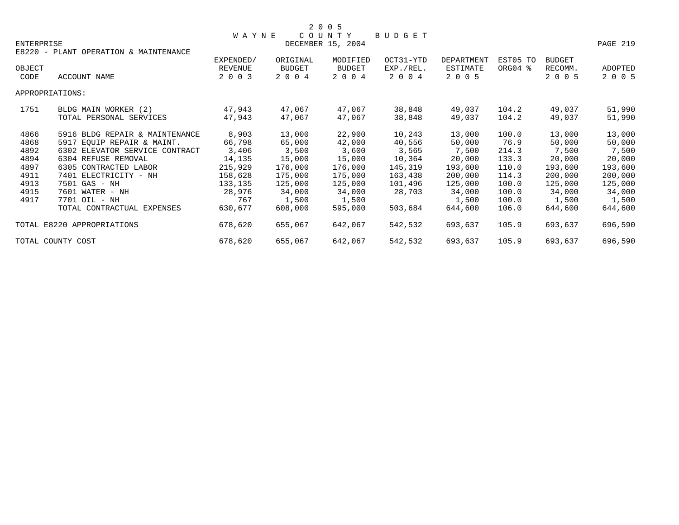| ENTERPRISE |                                       | <b>WAYNE</b> |               | COUNTY<br>DECEMBER 15, 2004 | BUDGET    |            |          |               | PAGE 219 |
|------------|---------------------------------------|--------------|---------------|-----------------------------|-----------|------------|----------|---------------|----------|
|            | E8220 - PLANT OPERATION & MAINTENANCE | EXPENDED/    | ORIGINAL      | MODIFIED                    | OCT31-YTD | DEPARTMENT | EST05 TO | <b>BUDGET</b> |          |
| OBJECT     |                                       | REVENUE      | <b>BUDGET</b> | <b>BUDGET</b>               | EXP./REL. | ESTIMATE   | ORG04 %  | RECOMM.       | ADOPTED  |
| CODE       | ACCOUNT NAME                          | 2 0 0 3      | 2 0 0 4       | 2 0 0 4                     | 2 0 0 4   | 2 0 0 5    |          | 2 0 0 5       | 2 0 0 5  |
|            | APPROPRIATIONS:                       |              |               |                             |           |            |          |               |          |
| 1751       | BLDG MAIN WORKER (2)                  | 47,943       | 47,067        | 47,067                      | 38,848    | 49,037     | 104.2    | 49,037        | 51,990   |
|            | TOTAL PERSONAL SERVICES               | 47,943       | 47,067        | 47,067                      | 38,848    | 49,037     | 104.2    | 49,037        | 51,990   |
| 4866       | 5916 BLDG REPAIR & MAINTENANCE        | 8,903        | 13,000        | 22,900                      | 10,243    | 13,000     | 100.0    | 13,000        | 13,000   |
| 4868       | 5917 EOUIP REPAIR & MAINT.            | 66,798       | 65,000        | 42,000                      | 40,556    | 50,000     | 76.9     | 50,000        | 50,000   |
| 4892       | 6302 ELEVATOR SERVICE CONTRACT        | 3,406        | 3,500         | 3,600                       | 3,565     | 7,500      | 214.3    | 7,500         | 7,500    |
| 4894       | 6304 REFUSE REMOVAL                   | 14,135       | 15,000        | 15,000                      | 10,364    | 20,000     | 133.3    | 20,000        | 20,000   |
| 4897       | 6305 CONTRACTED LABOR                 | 215,929      | 176,000       | 176,000                     | 145,319   | 193,600    | 110.0    | 193,600       | 193,600  |
| 4911       | 7401 ELECTRICITY - NH                 | 158,628      | 175,000       | 175,000                     | 163,438   | 200,000    | 114.3    | 200,000       | 200,000  |
| 4913       | 7501 GAS - NH                         | 133,135      | 125,000       | 125,000                     | 101,496   | 125,000    | 100.0    | 125,000       | 125,000  |
| 4915       | 7601 WATER - NH                       | 28,976       | 34,000        | 34,000                      | 28,703    | 34,000     | 100.0    | 34,000        | 34,000   |
| 4917       | 7701 OIL - NH                         | 767          | 1,500         | 1,500                       |           | 1,500      | 100.0    | 1,500         | 1,500    |
|            | TOTAL CONTRACTUAL EXPENSES            | 630,677      | 608,000       | 595,000                     | 503,684   | 644,600    | 106.0    | 644,600       | 644,600  |
|            | TOTAL E8220 APPROPRIATIONS            | 678,620      | 655,067       | 642,067                     | 542,532   | 693,637    | 105.9    | 693,637       | 696,590  |
|            | TOTAL COUNTY COST                     | 678,620      | 655,067       | 642,067                     | 542,532   | 693,637    | 105.9    | 693,637       | 696,590  |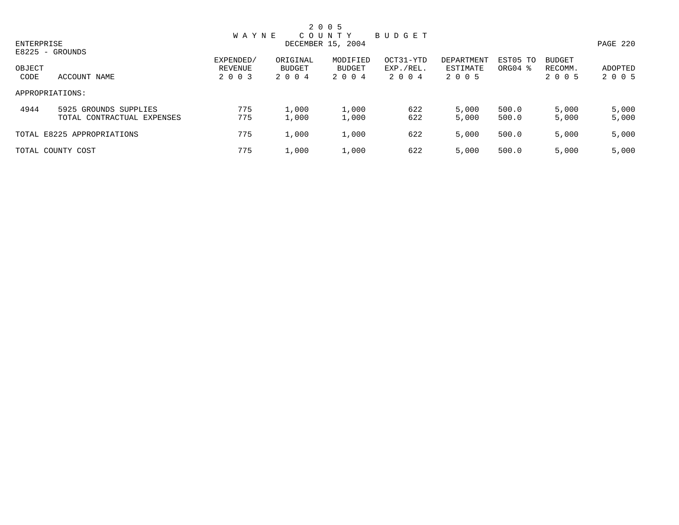|                |                                                     |                                 |                            | 2 0 0 5                       |                                   |                                   |                                 |                                     |                    |
|----------------|-----------------------------------------------------|---------------------------------|----------------------------|-------------------------------|-----------------------------------|-----------------------------------|---------------------------------|-------------------------------------|--------------------|
| ENTERPRISE     |                                                     | <b>WAYNE</b>                    |                            | COUNTY<br>DECEMBER 15, 2004   | BUDGET                            |                                   |                                 |                                     | PAGE 220           |
| OBJECT<br>CODE | E8225 - GROUNDS<br>ACCOUNT NAME                     | EXPENDED/<br>REVENUE<br>2 0 0 3 | ORIGINAL<br>BUDGET<br>2004 | MODIFIED<br>BUDGET<br>2 0 0 4 | OCT31-YTD<br>EXP./REL.<br>2 0 0 4 | DEPARTMENT<br>ESTIMATE<br>2 0 0 5 | EST05 TO<br>ORG04 $\frac{8}{3}$ | <b>BUDGET</b><br>RECOMM.<br>2 0 0 5 | ADOPTED<br>2 0 0 5 |
|                | APPROPRIATIONS:                                     |                                 |                            |                               |                                   |                                   |                                 |                                     |                    |
| 4944           | 5925 GROUNDS SUPPLIES<br>TOTAL CONTRACTUAL EXPENSES | 775<br>775                      | 1,000<br>1,000             | 1,000<br>1,000                | 622<br>622                        | 5,000<br>5,000                    | 500.0<br>500.0                  | 5,000<br>5,000                      | 5,000<br>5,000     |
|                | TOTAL E8225 APPROPRIATIONS                          | 775                             | 1,000                      | 1,000                         | 622                               | 5,000                             | 500.0                           | 5,000                               | 5,000              |
|                | TOTAL COUNTY COST                                   | 775                             | 1,000                      | 1,000                         | 622                               | 5,000                             | 500.0                           | 5,000                               | 5,000              |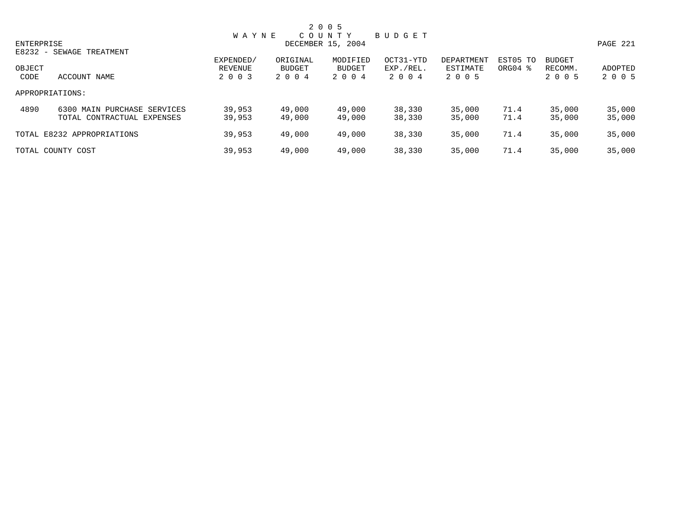|                |                                                           |                    |                  | 2 0 0 5           |                      |                     |              |                    |                    |
|----------------|-----------------------------------------------------------|--------------------|------------------|-------------------|----------------------|---------------------|--------------|--------------------|--------------------|
|                |                                                           | <b>WAYNE</b>       |                  | COUNTY            | BUDGET               |                     |              |                    |                    |
| ENTERPRISE     |                                                           |                    |                  | DECEMBER 15, 2004 |                      |                     |              |                    | PAGE 221           |
|                | E8232 - SEWAGE TREATMENT                                  | EXPENDED/          | ORIGINAL         | MODIFIED          | OCT31-YTD            | DEPARTMENT          | EST05 TO     | <b>BUDGET</b>      |                    |
| OBJECT<br>CODE | ACCOUNT NAME                                              | REVENUE<br>2 0 0 3 | BUDGET<br>2004   | BUDGET<br>2 0 0 4 | EXP./REL.<br>2 0 0 4 | ESTIMATE<br>2 0 0 5 | ORG04 %      | RECOMM.<br>2 0 0 5 | ADOPTED<br>2 0 0 5 |
|                | APPROPRIATIONS:                                           |                    |                  |                   |                      |                     |              |                    |                    |
| 4890           | 6300 MAIN PURCHASE SERVICES<br>TOTAL CONTRACTUAL EXPENSES | 39,953<br>39,953   | 49,000<br>49,000 | 49,000<br>49,000  | 38,330<br>38,330     | 35,000<br>35,000    | 71.4<br>71.4 | 35,000<br>35,000   | 35,000<br>35,000   |
|                | TOTAL E8232 APPROPRIATIONS                                | 39,953             | 49,000           | 49,000            | 38,330               | 35,000              | 71.4         | 35,000             | 35,000             |
|                | TOTAL COUNTY COST                                         | 39,953             | 49,000           | 49,000            | 38,330               | 35,000              | 71.4         | 35,000             | 35,000             |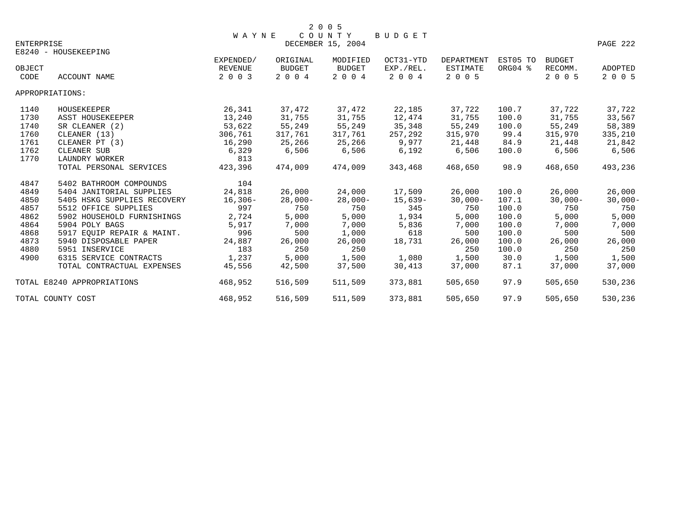| ENTERPRISE     |                             | <b>WAYNE</b>       |                   | COUNTY<br>DECEMBER 15, 2004 | BUDGET               |                     |          |                    | PAGE 222           |
|----------------|-----------------------------|--------------------|-------------------|-----------------------------|----------------------|---------------------|----------|--------------------|--------------------|
|                | E8240 - HOUSEKEEPING        |                    |                   |                             |                      |                     |          |                    |                    |
|                |                             | EXPENDED/          | ORIGINAL          | MODIFIED                    | OCT31-YTD            | DEPARTMENT          | EST05 TO | BUDGET             |                    |
| OBJECT<br>CODE | <b>ACCOUNT NAME</b>         | REVENUE<br>2 0 0 3 | BUDGET<br>2 0 0 4 | <b>BUDGET</b><br>2 0 0 4    | EXP./REL.<br>2 0 0 4 | ESTIMATE<br>2 0 0 5 | ORG04 %  | RECOMM.<br>2 0 0 5 | ADOPTED<br>2 0 0 5 |
|                | APPROPRIATIONS:             |                    |                   |                             |                      |                     |          |                    |                    |
| 1140           | HOUSEKEEPER                 | 26,341             | 37,472            | 37,472                      | 22,185               | 37,722              | 100.7    | 37,722             | 37,722             |
| 1730           | ASST HOUSEKEEPER            | 13,240             | 31,755            | 31,755                      | 12,474               | 31,755              | 100.0    | 31,755             | 33,567             |
| 1740           | SR CLEANER (2)              | 53,622             | 55,249            | 55,249                      | 35,348               | 55,249              | 100.0    | 55,249             | 58,389             |
| 1760           | CLEANER (13)                | 306,761            | 317,761           | 317,761                     | 257,292              | 315,970             | 99.4     | 315,970            | 335,210            |
| 1761           | CLEANER PT (3)              | 16,290             | 25,266            | 25,266                      | 9,977                | 21,448              | 84.9     | 21,448             | 21,842             |
| 1762           | CLEANER SUB                 | 6,329              | 6,506             | 6,506                       | 6,192                | 6,506               | 100.0    | 6,506              | 6,506              |
| 1770           | LAUNDRY WORKER              | 813                |                   |                             |                      |                     |          |                    |                    |
|                | TOTAL PERSONAL SERVICES     | 423,396            | 474,009           | 474,009                     | 343,468              | 468,650             | 98.9     | 468,650            | 493,236            |
| 4847           | 5402 BATHROOM COMPOUNDS     | 104                |                   |                             |                      |                     |          |                    |                    |
| 4849           | 5404 JANITORIAL SUPPLIES    | 24,818             | 26,000            | 24,000                      | 17,509               | 26,000              | 100.0    | 26,000             | 26,000             |
| 4850           | 5405 HSKG SUPPLIES RECOVERY | $16,306-$          | $28,000-$         | $28,000-$                   | 15,639-              | $30,000 -$          | 107.1    | $30,000 -$         | $30,000 -$         |
| 4857           | 5512 OFFICE SUPPLIES        | 997                | 750               | 750                         | 345                  | 750                 | 100.0    | 750                | 750                |
| 4862           | 5902 HOUSEHOLD FURNISHINGS  | 2,724              | 5,000             | 5,000                       | 1,934                | 5,000               | 100.0    | 5,000              | 5,000              |
| 4864           | 5904 POLY BAGS              | 5,917              | 7,000             | 7,000                       | 5,836                | 7,000               | 100.0    | 7,000              | 7,000              |
| 4868           | 5917 EOUIP REPAIR & MAINT.  | 996                | 500               | 1,000                       | 618                  | 500                 | 100.0    | 500                | 500                |
| 4873           | 5940 DISPOSABLE PAPER       | 24,887             | 26,000            | 26,000                      | 18,731               | 26,000              | 100.0    | 26,000             | 26,000             |
| 4880           | 5951 INSERVICE              | 183                | 250               | 250                         |                      | 250                 | 100.0    | 250                | 250                |
| 4900           | 6315 SERVICE CONTRACTS      | 1,237              | 5,000             | 1,500                       | 1,080                | 1,500               | 30.0     | 1,500              | 1,500              |
|                | TOTAL CONTRACTUAL EXPENSES  | 45,556             | 42,500            | 37,500                      | 30,413               | 37,000              | 87.1     | 37,000             | 37,000             |
|                | TOTAL E8240 APPROPRIATIONS  | 468,952            | 516,509           | 511,509                     | 373,881              | 505,650             | 97.9     | 505,650            | 530,236            |
|                | TOTAL COUNTY COST           | 468,952            | 516,509           | 511,509                     | 373,881              | 505,650             | 97.9     | 505,650            | 530,236            |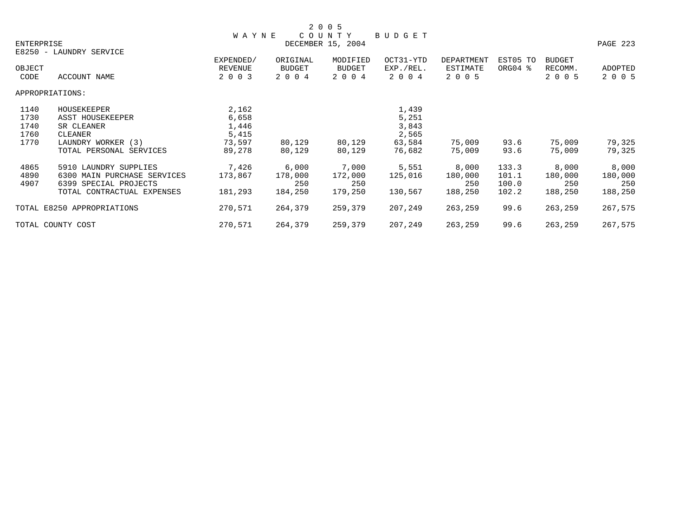|            |                             |                      |                    | 2 0 0 5            |                        |                               |                     |                          |          |
|------------|-----------------------------|----------------------|--------------------|--------------------|------------------------|-------------------------------|---------------------|--------------------------|----------|
|            |                             | <b>WAYNE</b>         |                    | COUNTY             | BUDGET                 |                               |                     |                          |          |
| ENTERPRISE |                             |                      |                    | DECEMBER 15, 2004  |                        |                               |                     |                          | PAGE 223 |
|            | E8250 - LAUNDRY SERVICE     |                      |                    |                    |                        |                               |                     |                          |          |
| OBJECT     |                             | EXPENDED/<br>REVENUE | ORIGINAL<br>BUDGET | MODIFIED<br>BUDGET | OCT31-YTD<br>EXP./REL. | <b>DEPARTMENT</b><br>ESTIMATE | EST05 TO<br>ORG04 % | <b>BUDGET</b><br>RECOMM. | ADOPTED  |
| CODE       | ACCOUNT NAME                | 2 0 0 3              | 2 0 0 4            | 2 0 0 4            | 2 0 0 4                | 2 0 0 5                       |                     | 2 0 0 5                  | 2 0 0 5  |
|            | APPROPRIATIONS:             |                      |                    |                    |                        |                               |                     |                          |          |
| 1140       | HOUSEKEEPER                 | 2,162                |                    |                    | 1,439                  |                               |                     |                          |          |
| 1730       | ASST HOUSEKEEPER            | 6,658                |                    |                    | 5,251                  |                               |                     |                          |          |
| 1740       | SR CLEANER                  | 1,446                |                    |                    | 3,843                  |                               |                     |                          |          |
| 1760       | CLEANER                     | 5,415                |                    |                    | 2,565                  |                               |                     |                          |          |
| 1770       | LAUNDRY WORKER (3)          | 73,597               | 80,129             | 80,129             | 63,584                 | 75,009                        | 93.6                | 75,009                   | 79,325   |
|            | TOTAL PERSONAL SERVICES     | 89,278               | 80,129             | 80,129             | 76,682                 | 75,009                        | 93.6                | 75,009                   | 79,325   |
| 4865       | 5910 LAUNDRY SUPPLIES       | 7,426                | 6,000              | 7,000              | 5,551                  | 8,000                         | 133.3               | 8,000                    | 8,000    |
| 4890       | 6300 MAIN PURCHASE SERVICES | 173,867              | 178,000            | 172,000            | 125,016                | 180,000                       | 101.1               | 180,000                  | 180,000  |
| 4907       | 6399 SPECIAL PROJECTS       |                      | 250                | 250                |                        | 250                           | 100.0               | 250                      | 250      |
|            | TOTAL CONTRACTUAL EXPENSES  | 181,293              | 184,250            | 179,250            | 130,567                | 188,250                       | 102.2               | 188,250                  | 188,250  |
|            | TOTAL E8250 APPROPRIATIONS  | 270,571              | 264,379            | 259,379            | 207,249                | 263,259                       | 99.6                | 263,259                  | 267,575  |
|            | TOTAL COUNTY COST           | 270,571              | 264,379            | 259,379            | 207,249                | 263,259                       | 99.6                | 263,259                  | 267,575  |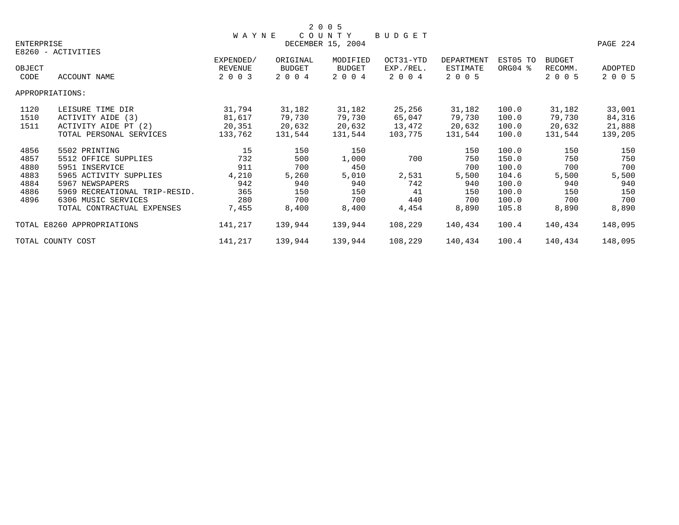|                                                      |                                                                                                                                                                                            |                                                         |                                                          | 2 0 0 5                                                    |                                           |                                                          |                                                                      |                                                          |                                                          |
|------------------------------------------------------|--------------------------------------------------------------------------------------------------------------------------------------------------------------------------------------------|---------------------------------------------------------|----------------------------------------------------------|------------------------------------------------------------|-------------------------------------------|----------------------------------------------------------|----------------------------------------------------------------------|----------------------------------------------------------|----------------------------------------------------------|
| ENTERPRISE                                           | E8260 - ACTIVITIES                                                                                                                                                                         | <b>WAYNE</b>                                            |                                                          | COUNTY<br>DECEMBER 15, 2004                                | BUDGET                                    |                                                          |                                                                      |                                                          | PAGE 224                                                 |
| OBJECT<br>CODE                                       | ACCOUNT NAME                                                                                                                                                                               | EXPENDED/<br>REVENUE<br>2 0 0 3                         | ORIGINAL<br><b>BUDGET</b><br>2 0 0 4                     | MODIFIED<br>BUDGET<br>2 0 0 4                              | OCT31-YTD<br>EXP./REL.<br>2 0 0 4         | DEPARTMENT<br>ESTIMATE<br>2 0 0 5                        | EST05 TO<br>ORG04 %                                                  | <b>BUDGET</b><br>RECOMM.<br>2 0 0 5                      | <b>ADOPTED</b><br>2 0 0 5                                |
|                                                      | APPROPRIATIONS:                                                                                                                                                                            |                                                         |                                                          |                                                            |                                           |                                                          |                                                                      |                                                          |                                                          |
| 1120<br>1510<br>1511                                 | LEISURE TIME DIR<br>ACTIVITY AIDE (3)<br>ACTIVITY AIDE PT (2)<br>TOTAL PERSONAL SERVICES                                                                                                   | 31,794<br>81,617<br>20,351<br>133,762                   | 31,182<br>79,730<br>20,632<br>131,544                    | 31,182<br>79,730<br>20,632<br>131,544                      | 25,256<br>65,047<br>13,472<br>103,775     | 31,182<br>79,730<br>20,632<br>131,544                    | 100.0<br>100.0<br>100.0<br>100.0                                     | 31,182<br>79,730<br>20,632<br>131,544                    | 33,001<br>84,316<br>21,888<br>139,205                    |
| 4856<br>4857<br>4880<br>4883<br>4884<br>4886<br>4896 | 5502 PRINTING<br>5512 OFFICE SUPPLIES<br>5951 INSERVICE<br>5965 ACTIVITY SUPPLIES<br>5967 NEWSPAPERS<br>5969 RECREATIONAL TRIP-RESID.<br>6306 MUSIC SERVICES<br>TOTAL CONTRACTUAL EXPENSES | 15<br>732<br>911<br>4,210<br>942<br>365<br>280<br>7,455 | 150<br>500<br>700<br>5,260<br>940<br>150<br>700<br>8,400 | 150<br>1,000<br>450<br>5,010<br>940<br>150<br>700<br>8,400 | 700<br>2,531<br>742<br>41<br>440<br>4,454 | 150<br>750<br>700<br>5,500<br>940<br>150<br>700<br>8,890 | 100.0<br>150.0<br>100.0<br>104.6<br>100.0<br>100.0<br>100.0<br>105.8 | 150<br>750<br>700<br>5,500<br>940<br>150<br>700<br>8,890 | 150<br>750<br>700<br>5,500<br>940<br>150<br>700<br>8,890 |
|                                                      | TOTAL E8260 APPROPRIATIONS                                                                                                                                                                 | 141,217                                                 | 139,944                                                  | 139,944                                                    | 108,229                                   | 140,434                                                  | 100.4                                                                | 140,434                                                  | 148,095                                                  |
|                                                      | TOTAL COUNTY COST                                                                                                                                                                          | 141,217                                                 | 139,944                                                  | 139,944                                                    | 108,229                                   | 140,434                                                  | 100.4                                                                | 140,434                                                  | 148,095                                                  |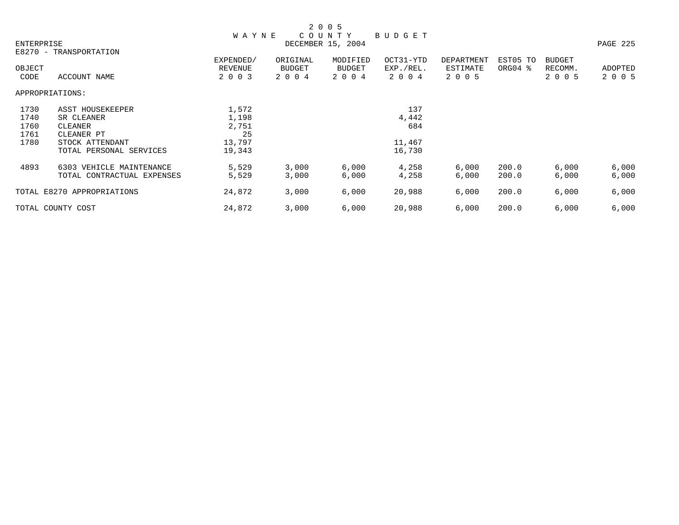|        |                            |              |          | 2 0 0 5           |               |                 |          |               |          |
|--------|----------------------------|--------------|----------|-------------------|---------------|-----------------|----------|---------------|----------|
|        |                            | <b>WAYNE</b> |          | COUNTY            | <b>BUDGET</b> |                 |          |               |          |
|        | ENTERPRISE                 |              |          | DECEMBER 15, 2004 |               |                 |          |               | PAGE 225 |
|        | E8270 - TRANSPORTATION     |              |          |                   |               |                 |          |               |          |
|        |                            | EXPENDED/    | ORIGINAL | MODIFIED          | OCT31-YTD     | DEPARTMENT      | EST05 TO | <b>BUDGET</b> |          |
| OBJECT |                            | REVENUE      | BUDGET   | <b>BUDGET</b>     | EXP./REL.     | <b>ESTIMATE</b> | ORG04 %  | RECOMM.       | ADOPTED  |
| CODE   | ACCOUNT NAME               | 2 0 0 3      | 2 0 0 4  | 2 0 0 4           | 2 0 0 4       | 2 0 0 5         |          | 2 0 0 5       | 2 0 0 5  |
|        | APPROPRIATIONS:            |              |          |                   |               |                 |          |               |          |
| 1730   | ASST HOUSEKEEPER           | 1,572        |          |                   | 137           |                 |          |               |          |
| 1740   | SR CLEANER                 | 1,198        |          |                   | 4,442         |                 |          |               |          |
| 1760   | CLEANER                    | 2,751        |          |                   | 684           |                 |          |               |          |
| 1761   | CLEANER PT                 | 25           |          |                   |               |                 |          |               |          |
| 1780   | STOCK ATTENDANT            | 13,797       |          |                   | 11,467        |                 |          |               |          |
|        | TOTAL PERSONAL SERVICES    | 19,343       |          |                   | 16,730        |                 |          |               |          |
| 4893   | 6303 VEHICLE MAINTENANCE   | 5,529        | 3,000    | 6,000             | 4,258         | 6,000           | 200.0    | 6,000         | 6,000    |
|        | TOTAL CONTRACTUAL EXPENSES | 5,529        | 3,000    | 6,000             | 4,258         | 6,000           | 200.0    | 6,000         | 6,000    |
|        | TOTAL E8270 APPROPRIATIONS | 24,872       | 3,000    | 6,000             | 20,988        | 6,000           | 200.0    | 6,000         | 6,000    |
|        | TOTAL COUNTY COST          | 24,872       | 3,000    | 6,000             | 20,988        | 6,000           | 200.0    | 6,000         | 6,000    |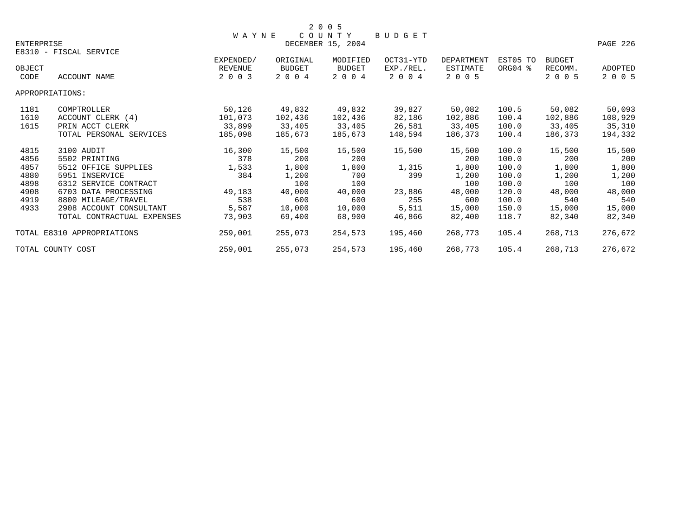|                   |                            |              |               | 2 0 0 5           |               |            |          |               |          |
|-------------------|----------------------------|--------------|---------------|-------------------|---------------|------------|----------|---------------|----------|
|                   |                            | <b>WAYNE</b> |               | COUNTY            | <b>BUDGET</b> |            |          |               |          |
| <b>ENTERPRISE</b> |                            |              |               | DECEMBER 15, 2004 |               |            |          |               | PAGE 226 |
|                   | E8310 - FISCAL SERVICE     |              |               |                   |               |            |          |               |          |
|                   |                            | EXPENDED/    | ORIGINAL      | MODIFIED          | OCT31-YTD     | DEPARTMENT | EST05 TO | <b>BUDGET</b> |          |
| OBJECT            |                            | REVENUE      | <b>BUDGET</b> | <b>BUDGET</b>     | EXP./REL.     | ESTIMATE   | ORG04 %  | RECOMM.       | ADOPTED  |
| CODE              | <b>ACCOUNT NAME</b>        | 2 0 0 3      | 2 0 0 4       | 2 0 0 4           | 2 0 0 4       | 2 0 0 5    |          | 2 0 0 5       | 2 0 0 5  |
| APPROPRIATIONS:   |                            |              |               |                   |               |            |          |               |          |
| 1181              | COMPTROLLER                | 50,126       | 49,832        | 49,832            | 39,827        | 50,082     | 100.5    | 50,082        | 50,093   |
| 1610              | ACCOUNT CLERK (4)          | 101,073      | 102,436       | 102,436           | 82,186        | 102,886    | 100.4    | 102,886       | 108,929  |
| 1615              | PRIN ACCT CLERK            | 33,899       | 33,405        | 33,405            | 26,581        | 33,405     | 100.0    | 33,405        | 35,310   |
|                   | TOTAL PERSONAL SERVICES    | 185,098      | 185,673       | 185,673           | 148,594       | 186,373    | 100.4    | 186,373       | 194,332  |
| 4815              | 3100 AUDIT                 | 16,300       | 15,500        | 15,500            | 15,500        | 15,500     | 100.0    | 15,500        | 15,500   |
| 4856              | 5502 PRINTING              | 378          | 200           | 200               |               | 200        | 100.0    | 200           | 200      |
| 4857              | 5512 OFFICE SUPPLIES       | 1,533        | 1,800         | 1,800             | 1,315         | 1,800      | 100.0    | 1,800         | 1,800    |
| 4880              | 5951 INSERVICE             | 384          | 1,200         | 700               | 399           | 1,200      | 100.0    | 1,200         | 1,200    |
| 4898              | 6312 SERVICE CONTRACT      |              | 100           | 100               |               | 100        | 100.0    | 100           | 100      |
| 4908              | 6703 DATA PROCESSING       | 49,183       | 40,000        | 40,000            | 23,886        | 48,000     | 120.0    | 48,000        | 48,000   |
| 4919              | 8800 MILEAGE/TRAVEL        | 538          | 600           | 600               | 255           | 600        | 100.0    | 540           | 540      |
| 4933              | 2908 ACCOUNT CONSULTANT    | 5,587        | 10,000        | 10,000            | 5,511         | 15,000     | 150.0    | 15,000        | 15,000   |
|                   | TOTAL CONTRACTUAL EXPENSES | 73,903       | 69,400        | 68,900            | 46,866        | 82,400     | 118.7    | 82,340        | 82,340   |
|                   | TOTAL E8310 APPROPRIATIONS | 259,001      | 255,073       | 254,573           | 195,460       | 268,773    | 105.4    | 268,713       | 276,672  |
|                   | TOTAL COUNTY COST          | 259,001      | 255,073       | 254,573           | 195,460       | 268,773    | 105.4    | 268,713       | 276,672  |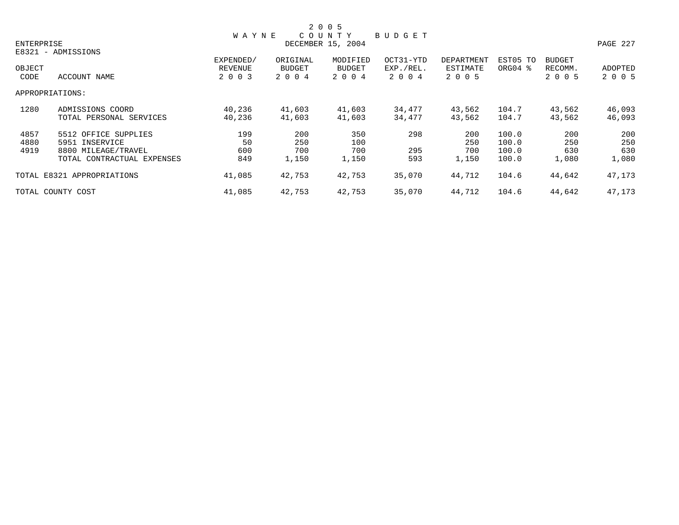|            |                            |              |          | 2 0 0 5           |           |                   |          |               |          |
|------------|----------------------------|--------------|----------|-------------------|-----------|-------------------|----------|---------------|----------|
|            |                            | <b>WAYNE</b> |          | COUNTY            | BUDGET    |                   |          |               |          |
| ENTERPRISE |                            |              |          | DECEMBER 15, 2004 |           |                   |          |               | PAGE 227 |
|            | E8321 - ADMISSIONS         |              |          |                   |           |                   |          |               |          |
|            |                            | EXPENDED/    | ORIGINAL | MODIFIED          | OCT31-YTD | <b>DEPARTMENT</b> | EST05 TO | <b>BUDGET</b> |          |
| OBJECT     |                            | REVENUE      | BUDGET   | BUDGET            | EXP./REL. | ESTIMATE          | ORG04 %  | RECOMM.       | ADOPTED  |
| CODE       | ACCOUNT NAME               | 2 0 0 3      | 2 0 0 4  | 2 0 0 4           | 2 0 0 4   | 2 0 0 5           |          | 2 0 0 5       | 2 0 0 5  |
|            | APPROPRIATIONS:            |              |          |                   |           |                   |          |               |          |
| 1280       | ADMISSIONS COORD           | 40,236       | 41,603   | 41,603            | 34,477    | 43,562            | 104.7    | 43,562        | 46,093   |
|            | TOTAL PERSONAL SERVICES    | 40,236       | 41,603   | 41,603            | 34,477    | 43,562            | 104.7    | 43,562        | 46,093   |
| 4857       | 5512 OFFICE SUPPLIES       | 199          | 200      | 350               | 298       | 200               | 100.0    | 200           | 200      |
| 4880       | 5951 INSERVICE             | 50           | 250      | 100               |           | 250               | 100.0    | 250           | 250      |
| 4919       | 8800 MILEAGE/TRAVEL        | 600          | 700      | 700               | 295       | 700               | 100.0    | 630           | 630      |
|            | TOTAL CONTRACTUAL EXPENSES | 849          | 1,150    | 1,150             | 593       | 1,150             | 100.0    | 1,080         | 1,080    |
|            | TOTAL E8321 APPROPRIATIONS | 41,085       | 42,753   | 42,753            | 35,070    | 44,712            | 104.6    | 44,642        | 47,173   |
|            | TOTAL COUNTY COST          | 41,085       | 42,753   | 42,753            | 35,070    | 44,712            | 104.6    | 44,642        | 47,173   |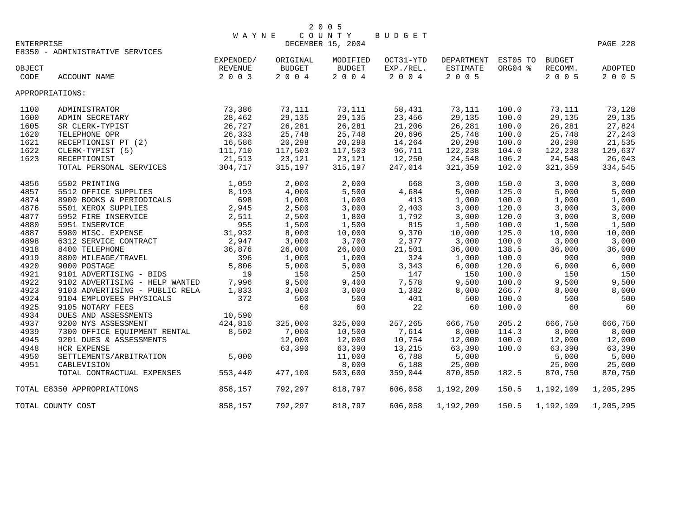|            |                                 | <b>WAYNE</b> |               | COUNTY            | BUDGET    |                     |         |           |                |
|------------|---------------------------------|--------------|---------------|-------------------|-----------|---------------------|---------|-----------|----------------|
| ENTERPRISE |                                 |              |               | DECEMBER 15, 2004 |           |                     |         |           | PAGE 228       |
|            | E8350 - ADMINISTRATIVE SERVICES |              |               |                   |           |                     |         |           |                |
|            |                                 | EXPENDED/    | ORIGINAL      | MODIFIED          | OCT31-YTD | DEPARTMENT EST05 TO |         | BUDGET    |                |
| OBJECT     |                                 | REVENUE      | <b>BUDGET</b> | <b>BUDGET</b>     | EXP./REL. | ESTIMATE            | ORG04 % | RECOMM.   | <b>ADOPTED</b> |
| CODE       | ACCOUNT NAME                    | 2 0 0 3      | 2004          | 2 0 0 4           | 2 0 0 4   | 2 0 0 5             |         | 2 0 0 5   | 2 0 0 5        |
|            |                                 |              |               |                   |           |                     |         |           |                |
|            | APPROPRIATIONS:                 |              |               |                   |           |                     |         |           |                |
| 1100       | ADMINISTRATOR                   | 73,386       | 73,111        | 73,111            | 58,431    | 73,111              | 100.0   | 73,111    | 73,128         |
| 1600       | ADMIN SECRETARY                 | 28,462       | 29,135        | 29,135            | 23,456    | 29,135              | 100.0   | 29,135    | 29,135         |
| 1605       | SR CLERK-TYPIST                 | 26,727       | 26,281        | 26,281            | 21,206    | 26,281              | 100.0   | 26,281    | 27,824         |
| 1620       | TELEPHONE OPR                   | 26,333       | 25,748        | 25,748            | 20,696    | 25,748              | 100.0   | 25,748    | 27,243         |
| 1621       | RECEPTIONIST PT (2)             | 16,586       | 20,298        | 20,298            | 14,264    | 20,298              | 100.0   | 20,298    | 21,535         |
| 1622       | CLERK-TYPIST (5)                | 111,710      | 117,503       | 117,503           | 96,711    | 122,238             | 104.0   | 122,238   | 129,637        |
| 1623       | RECEPTIONIST                    | 21,513       | 23,121        | 23,121            | 12,250    | 24,548              | 106.2   | 24,548    | 26,043         |
|            | TOTAL PERSONAL SERVICES         | 304,717      | 315,197       | 315,197           | 247,014   | 321,359             | 102.0   | 321,359   | 334,545        |
| 4856       | 5502 PRINTING                   | 1,059        | 2,000         | 2,000             | 668       | 3,000               | 150.0   | 3,000     | 3,000          |
| 4857       | 5512 OFFICE SUPPLIES            | 8,193        | 4,000         | 5,500             | 4,684     | 5,000               | 125.0   | 5,000     | 5,000          |
| 4874       | 8900 BOOKS & PERIODICALS        | 698          | 1,000         | 1,000             | 413       | 1,000               | 100.0   | 1,000     | 1,000          |
| 4876       | 5501 XEROX SUPPLIES             | 2,945        | 2,500         | 3,000             | 2,403     | 3,000               | 120.0   | 3,000     | 3,000          |
|            |                                 |              |               |                   |           |                     |         |           |                |
| 4877       | 5952 FIRE INSERVICE             | 2,511        | 2,500         | 1,800             | 1,792     | 3,000               | 120.0   | 3,000     | 3,000          |
| 4880       | 5951 INSERVICE                  | 955          | 1,500         | 1,500             | 815       | 1,500               | 100.0   | 1,500     | 1,500          |
| 4887       | 5980 MISC. EXPENSE              | 31,932       | 8,000         | 10,000            | 9,370     | 10,000              | 125.0   | 10,000    | 10,000         |
| 4898       | 6312 SERVICE CONTRACT           | 2,947        | 3,000         | 3,700             | 2,377     | 3,000               | 100.0   | 3,000     | 3,000          |
| 4918       | 8400 TELEPHONE                  | 36,876       | 26,000        | 26,000            | 21,501    | 36,000              | 138.5   | 36,000    | 36,000         |
| 4919       | 8800 MILEAGE/TRAVEL             | 396          | 1,000         | 1,000             | 324       | 1,000               | 100.0   | 900       | 900            |
| 4920       | 9000 POSTAGE                    | 5,806        | 5,000         | 5,000             | 3,343     | 6,000               | 120.0   | 6,000     | 6,000          |
| 4921       | 9101 ADVERTISING - BIDS         | 19           | 150           | 250               | 147       | 150                 | 100.0   | 150       | 150            |
| 4922       | 9102 ADVERTISING - HELP WANTED  | 7,996        | 9,500         | 9,400             | 7,578     | 9,500               | 100.0   | 9,500     | 9,500          |
| 4923       | 9103 ADVERTISING - PUBLIC RELA  | 1,833        | 3,000         | 3,000             | 1,382     | 8,000               | 266.7   | 8,000     | 8,000          |
| 4924       | 9104 EMPLOYEES PHYSICALS        | 372          | 500           | 500               | 401       | 500                 | 100.0   | 500       | 500            |
| 4925       | 9105 NOTARY FEES                |              | 60            | 60                | 22        | 60                  | 100.0   | 60        | 60             |
| 4934       | DUES AND ASSESSMENTS            | 10,590       |               |                   |           |                     |         |           |                |
| 4937       | 9200 NYS ASSESSMENT             | 424,810      | 325,000       | 325,000           | 257,265   | 666,750             | 205.2   | 666,750   | 666,750        |
| 4939       | 7300 OFFICE EQUIPMENT RENTAL    | 8,502        | 7,000         | 10,500            | 7,614     | 8,000               | 114.3   | 8,000     | 8,000          |
| 4945       | 9201 DUES & ASSESSMENTS         |              | 12,000        | 12,000            | 10,754    | 12,000              | 100.0   | 12,000    | 12,000         |
| 4948       | <b>HCR EXPENSE</b>              |              | 63,390        | 63,390            | 13,215    | 63,390              | 100.0   | 63,390    | 63,390         |
| 4950       | SETTLEMENTS/ARBITRATION         | 5,000        |               | 11,000            | 6,788     | 5,000               |         | 5,000     | 5,000          |
| 4951       | CABLEVISION                     |              |               | 8,000             | 6,188     | 25,000              |         | 25,000    | 25,000         |
|            | TOTAL CONTRACTUAL EXPENSES      | 553,440      | 477,100       | 503,600           | 359,044   | 870,850             | 182.5   | 870,750   | 870,750        |
|            | TOTAL E8350 APPROPRIATIONS      | 858,157      | 792,297       | 818,797           | 606,058   | 1,192,209           | 150.5   | 1,192,109 | 1,205,295      |
|            | TOTAL COUNTY COST               | 858,157      | 792,297       | 818,797           | 606,058   | 1,192,209           | 150.5   | 1,192,109 | 1,205,295      |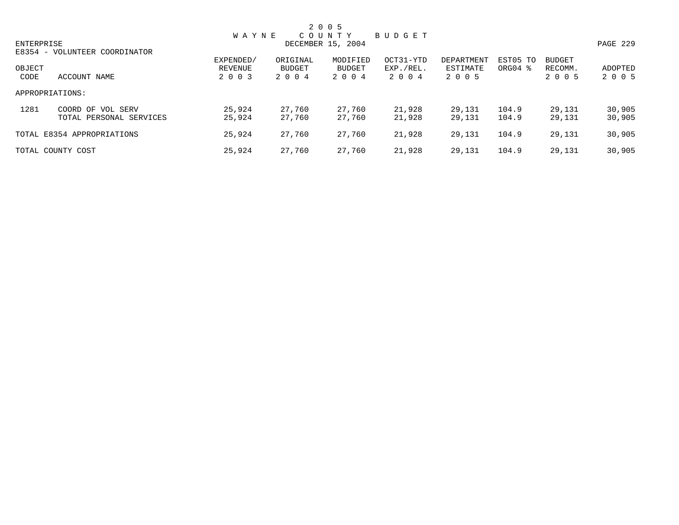|            |                                              |                      |                    | 2 0 0 5                     |                        |                        |                                 |                          |                  |
|------------|----------------------------------------------|----------------------|--------------------|-----------------------------|------------------------|------------------------|---------------------------------|--------------------------|------------------|
| ENTERPRISE |                                              | <b>WAYNE</b>         |                    | COUNTY<br>DECEMBER 15, 2004 | BUDGET                 |                        |                                 |                          | PAGE 229         |
| OBJECT     | E8354 - VOLUNTEER COORDINATOR                | EXPENDED/<br>REVENUE | ORIGINAL<br>BUDGET | MODIFIED<br>BUDGET          | OCT31-YTD<br>EXP./REL. | DEPARTMENT<br>ESTIMATE | EST05 TO<br>ORG04 $\frac{8}{3}$ | <b>BUDGET</b><br>RECOMM. | ADOPTED          |
| CODE       | ACCOUNT NAME                                 | 2 0 0 3              | 2 0 0 4            | 2 0 0 4                     | 2 0 0 4                | 2 0 0 5                |                                 | 2 0 0 5                  | 2 0 0 5          |
|            | APPROPRIATIONS:                              |                      |                    |                             |                        |                        |                                 |                          |                  |
| 1281       | COORD OF VOL SERV<br>TOTAL PERSONAL SERVICES | 25,924<br>25,924     | 27,760<br>27.760   | 27,760<br>27.760            | 21,928<br>21,928       | 29,131<br>29,131       | 104.9<br>104.9                  | 29,131<br>29,131         | 30,905<br>30,905 |
|            | TOTAL E8354 APPROPRIATIONS                   | 25,924               | 27,760             | 27,760                      | 21,928                 | 29,131                 | 104.9                           | 29,131                   | 30,905           |
|            | TOTAL COUNTY COST                            | 25,924               | 27,760             | 27,760                      | 21,928                 | 29,131                 | 104.9                           | 29,131                   | 30,905           |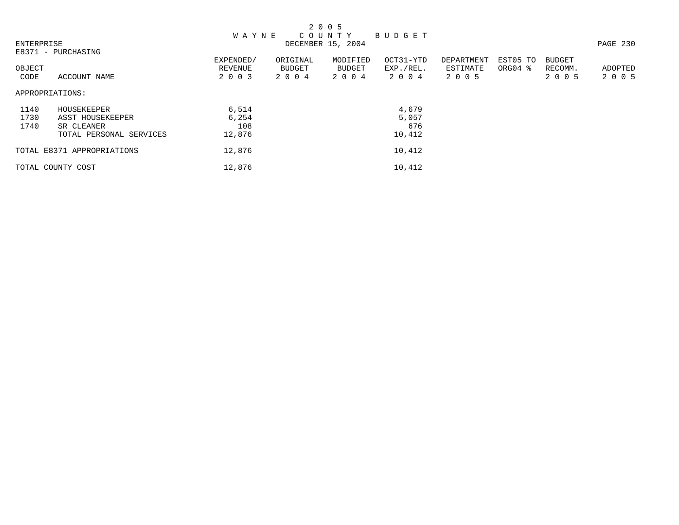|                   |                            |              |          | 2 0 0 5           |               |            |          |               |          |
|-------------------|----------------------------|--------------|----------|-------------------|---------------|------------|----------|---------------|----------|
|                   |                            | <b>WAYNE</b> |          | C O U N T Y       | <b>BUDGET</b> |            |          |               |          |
| <b>ENTERPRISE</b> |                            |              |          | DECEMBER 15, 2004 |               |            |          |               | PAGE 230 |
|                   | E8371 - PURCHASING         |              |          |                   |               |            |          |               |          |
|                   |                            | EXPENDED/    | ORIGINAL | MODIFIED          | OCT31-YTD     | DEPARTMENT | EST05 TO | <b>BUDGET</b> |          |
| OBJECT            |                            | REVENUE      | BUDGET   | BUDGET            | EXP./REL.     | ESTIMATE   | ORG04 %  | RECOMM.       | ADOPTED  |
| CODE              | ACCOUNT NAME               | 2 0 0 3      | 2 0 0 4  | 2 0 0 4           | 2004          | 2 0 0 5    |          | 2 0 0 5       | 2 0 0 5  |
| APPROPRIATIONS:   |                            |              |          |                   |               |            |          |               |          |
| 1140              | HOUSEKEEPER                | 6,514        |          |                   | 4,679         |            |          |               |          |
| 1730              | ASST HOUSEKEEPER           | 6,254        |          |                   | 5,057         |            |          |               |          |
| 1740              | SR CLEANER                 | 108          |          |                   | 676           |            |          |               |          |
|                   | TOTAL PERSONAL SERVICES    | 12,876       |          |                   | 10,412        |            |          |               |          |
|                   | TOTAL E8371 APPROPRIATIONS | 12,876       |          |                   | 10,412        |            |          |               |          |
|                   | TOTAL COUNTY COST          | 12,876       |          |                   | 10,412        |            |          |               |          |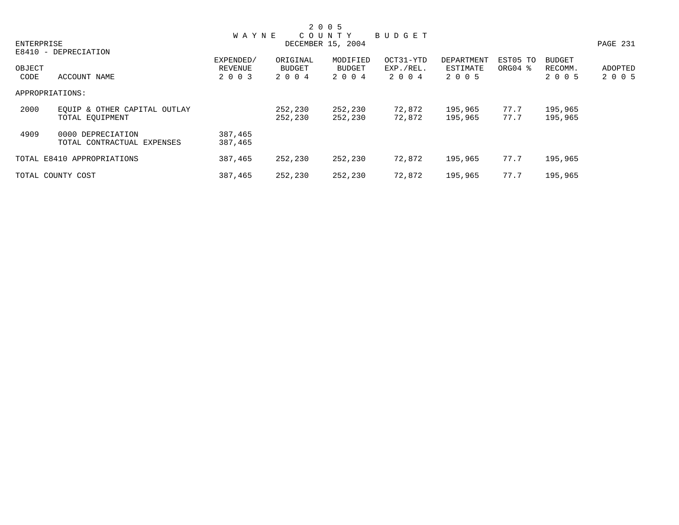|                                      |              |          | 2 0 0 5           |           |            |                     |               |          |
|--------------------------------------|--------------|----------|-------------------|-----------|------------|---------------------|---------------|----------|
|                                      | <b>WAYNE</b> |          | C O U N T Y       | BUDGET    |            |                     |               |          |
| ENTERPRISE                           |              |          | DECEMBER 15, 2004 |           |            |                     |               | PAGE 231 |
| E8410 - DEPRECIATION                 |              |          |                   |           |            |                     |               |          |
|                                      | EXPENDED/    | ORIGINAL | MODIFIED          | OCT31-YTD | DEPARTMENT | EST05 TO            | <b>BUDGET</b> |          |
| OBJECT                               | REVENUE      | BUDGET   | BUDGET            | EXP./REL. | ESTIMATE   | ORG04 $\frac{8}{3}$ | RECOMM.       | ADOPTED  |
| CODE<br>ACCOUNT NAME                 | 2 0 0 3      | 2 0 0 4  | 2 0 0 4           | 2 0 0 4   | 2 0 0 5    |                     | 2 0 0 5       | 2 0 0 5  |
| APPROPRIATIONS:                      |              |          |                   |           |            |                     |               |          |
| 2000<br>EOUIP & OTHER CAPITAL OUTLAY |              | 252,230  | 252,230           | 72,872    | 195,965    | 77.7                | 195,965       |          |
| TOTAL EOUIPMENT                      |              | 252,230  | 252,230           | 72,872    | 195,965    | 77.7                | 195,965       |          |
| 4909<br>0000 DEPRECIATION            | 387,465      |          |                   |           |            |                     |               |          |
| TOTAL CONTRACTUAL EXPENSES           | 387,465      |          |                   |           |            |                     |               |          |
| TOTAL E8410 APPROPRIATIONS           | 387,465      | 252,230  | 252,230           | 72,872    | 195,965    | 77.7                | 195,965       |          |
|                                      |              |          |                   |           |            |                     |               |          |
| TOTAL COUNTY COST                    | 387,465      | 252,230  | 252,230           | 72,872    | 195,965    | 77.7                | 195,965       |          |
|                                      |              |          |                   |           |            |                     |               |          |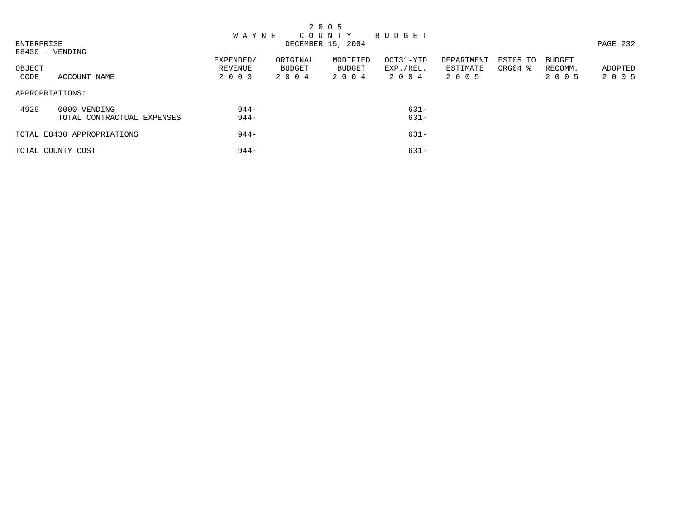|                |                                            |                                 |                            | 2 0 0 5                       |                                |                                   |                                 |                                     |                    |
|----------------|--------------------------------------------|---------------------------------|----------------------------|-------------------------------|--------------------------------|-----------------------------------|---------------------------------|-------------------------------------|--------------------|
|                |                                            | <b>WAYNE</b>                    |                            | COUNTY BUDGET                 |                                |                                   |                                 |                                     |                    |
| ENTERPRISE     | E8430 - VENDING                            |                                 |                            | DECEMBER 15, 2004             |                                |                                   |                                 |                                     | PAGE 232           |
| OBJECT<br>CODE | ACCOUNT NAME                               | EXPENDED/<br>REVENUE<br>2 0 0 3 | ORIGINAL<br>BUDGET<br>2004 | MODIFIED<br>BUDGET<br>2 0 0 4 | OCT31-YTD<br>EXP./REL.<br>2004 | DEPARTMENT<br>ESTIMATE<br>2 0 0 5 | EST05 TO<br>ORG04 $\frac{8}{3}$ | <b>BUDGET</b><br>RECOMM.<br>2 0 0 5 | ADOPTED<br>2 0 0 5 |
|                | APPROPRIATIONS:                            |                                 |                            |                               |                                |                                   |                                 |                                     |                    |
| 4929           | 0000 VENDING<br>TOTAL CONTRACTUAL EXPENSES | $944-$<br>$944-$                |                            |                               | 631-<br>$631 -$                |                                   |                                 |                                     |                    |
|                | TOTAL E8430 APPROPRIATIONS                 | $944-$                          |                            |                               | $631 -$                        |                                   |                                 |                                     |                    |
|                | TOTAL COUNTY COST                          | $944-$                          |                            |                               | $631 -$                        |                                   |                                 |                                     |                    |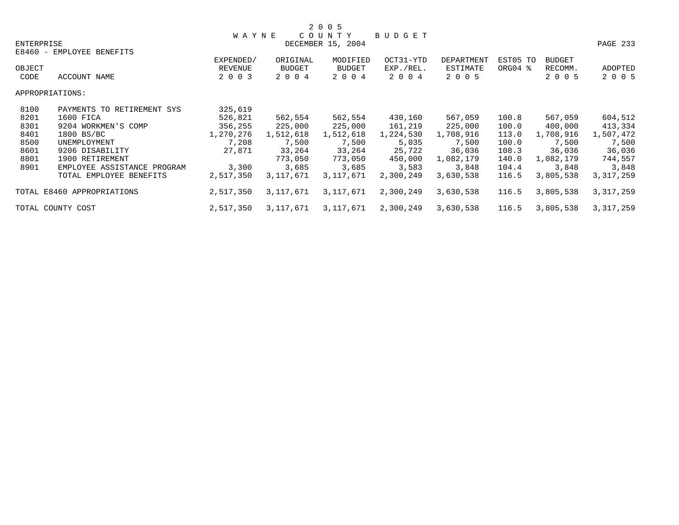|                                                                                                                   |                             |                                 |                                      | 2 0 0 5                              |                                   |                                   |                     |                                     |                    |
|-------------------------------------------------------------------------------------------------------------------|-----------------------------|---------------------------------|--------------------------------------|--------------------------------------|-----------------------------------|-----------------------------------|---------------------|-------------------------------------|--------------------|
| <b>ENTERPRISE</b>                                                                                                 | E8460 - EMPLOYEE BENEFITS   | <b>WAYNE</b>                    | COUN                                 | T Y<br>DECEMBER 15, 2004             | BUDGET                            |                                   |                     |                                     | PAGE 233           |
| OBJECT<br>CODE                                                                                                    | ACCOUNT NAME                | EXPENDED/<br>REVENUE<br>2 0 0 3 | ORIGINAL<br><b>BUDGET</b><br>2 0 0 4 | MODIFIED<br><b>BUDGET</b><br>2 0 0 4 | OCT31-YTD<br>EXP./REL.<br>2 0 0 4 | DEPARTMENT<br>ESTIMATE<br>2 0 0 5 | EST05 TO<br>ORG04 % | <b>BUDGET</b><br>RECOMM.<br>2 0 0 5 | ADOPTED<br>2 0 0 5 |
|                                                                                                                   | APPROPRIATIONS:             |                                 |                                      |                                      |                                   |                                   |                     |                                     |                    |
| 8100                                                                                                              | PAYMENTS TO RETIREMENT SYS  | 325,619                         |                                      |                                      |                                   |                                   |                     |                                     |                    |
| 8201                                                                                                              | 1600 FICA                   | 526,821                         | 562,554                              | 562,554                              | 430,160                           | 567,059                           | 100.8               | 567,059                             | 604,512            |
| 8301                                                                                                              | 9204 WORKMEN'S COMP         | 356,255                         | 225,000                              | 225,000                              | 161,219                           | 225,000                           | 100.0               | 400,000                             | 413,334            |
| 8401                                                                                                              | 1800 BS/BC                  | 1,270,276                       | 1,512,618                            | 1,512,618                            | 1,224,530                         | 1,708,916                         | 113.0               | 1,708,916                           | 1,507,472          |
| 8500                                                                                                              | UNEMPLOYMENT                | 7,208                           | 7,500                                | 7,500                                | 5,035                             | 7,500                             | 100.0               | 7,500                               | 7,500              |
| 8601                                                                                                              | 9206 DISABILITY             | 27,871                          | 33,264                               | 33,264                               | 25,722                            | 36,036                            | 108.3               | 36,036                              | 36,036             |
| 8801                                                                                                              | 1900 RETIREMENT             |                                 | 773,050                              | 773,050                              | 450,000                           | 1,082,179                         | 140.0               | 1,082,179                           | 744,557            |
| 8901                                                                                                              | EMPLOYEE ASSISTANCE PROGRAM | 3,300                           | 3,685                                | 3,685                                | 3,583                             | 3,848                             | 104.4               | 3,848                               | 3,848              |
|                                                                                                                   | TOTAL EMPLOYEE BENEFITS     | 2,517,350                       | 3,117,671                            | 3,117,671                            | 2,300,249                         | 3,630,538                         | 116.5               | 3,805,538                           | 3, 317, 259        |
| TOTAL E8460 APPROPRIATIONS<br>2,517,350<br>3,117,671<br>3,117,671<br>2,300,249<br>3,630,538<br>116.5<br>3,805,538 |                             |                                 |                                      |                                      |                                   |                                   |                     |                                     | 3, 317, 259        |
| 2,517,350<br>3,117,671<br>2,300,249<br>116.5<br>3,805,538<br>TOTAL COUNTY COST<br>3,117,671<br>3,630,538          |                             |                                 |                                      |                                      |                                   |                                   | 3, 317, 259         |                                     |                    |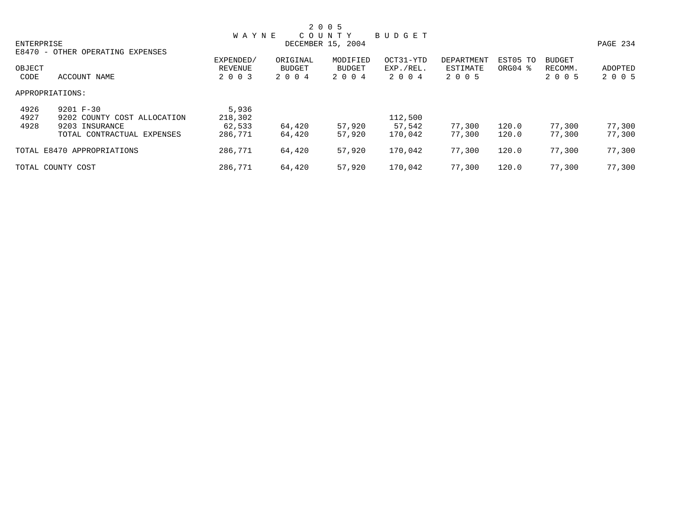|            | 2 0 0 5                          |           |               |                   |           |            |          |         |                |  |  |  |
|------------|----------------------------------|-----------|---------------|-------------------|-----------|------------|----------|---------|----------------|--|--|--|
|            |                                  | W A Y N E |               | COUNTY            | BUDGET    |            |          |         |                |  |  |  |
| ENTERPRISE |                                  |           |               | DECEMBER 15, 2004 |           |            |          |         | PAGE 234       |  |  |  |
|            | E8470 - OTHER OPERATING EXPENSES |           |               |                   |           |            |          |         |                |  |  |  |
|            |                                  | EXPENDED/ | ORIGINAL      | MODIFIED          | OCT31-YTD | DEPARTMENT | EST05 TO | BUDGET  |                |  |  |  |
| OBJECT     |                                  | REVENUE   | <b>BUDGET</b> | BUDGET            | EXP./REL. | ESTIMATE   | ORG04 %  | RECOMM. | <b>ADOPTED</b> |  |  |  |
| CODE       | ACCOUNT NAME                     | 2 0 0 3   | 2 0 0 4       | 2 0 0 4           | 2004      | 2 0 0 5    |          | 2 0 0 5 | 2 0 0 5        |  |  |  |
|            | APPROPRIATIONS:                  |           |               |                   |           |            |          |         |                |  |  |  |
| 4926       | 9201 F-30                        | 5,936     |               |                   |           |            |          |         |                |  |  |  |
| 4927       | 9202 COUNTY COST ALLOCATION      | 218,302   |               |                   | 112,500   |            |          |         |                |  |  |  |
| 4928       | 9203 INSURANCE                   | 62,533    | 64,420        | 57,920            | 57,542    | 77,300     | 120.0    | 77,300  | 77,300         |  |  |  |
|            | TOTAL CONTRACTUAL EXPENSES       | 286,771   | 64,420        | 57,920            | 170.042   | 77,300     | 120.0    | 77,300  | 77,300         |  |  |  |
|            | TOTAL E8470 APPROPRIATIONS       | 286,771   | 64,420        | 57,920            | 170,042   | 77,300     | 120.0    | 77,300  | 77,300         |  |  |  |
|            | TOTAL COUNTY COST                | 286,771   | 64,420        | 57,920            | 170,042   | 77,300     | 120.0    | 77,300  | 77,300         |  |  |  |
|            |                                  |           |               |                   |           |            |          |         |                |  |  |  |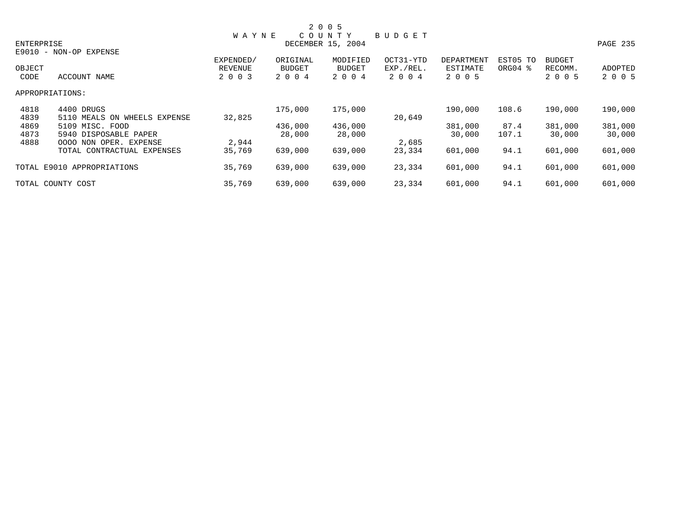|            |                              |              |               | 2 0 0 5           |               |            |          |               |                 |
|------------|------------------------------|--------------|---------------|-------------------|---------------|------------|----------|---------------|-----------------|
|            |                              | <b>WAYNE</b> |               | COUNTY            | <b>BUDGET</b> |            |          |               |                 |
| ENTERPRISE |                              |              |               | DECEMBER 15, 2004 |               |            |          |               | <b>PAGE 235</b> |
|            | E9010 - NON-OP EXPENSE       |              |               |                   |               |            |          |               |                 |
|            |                              | EXPENDED/    | ORIGINAL      | MODIFIED          | OCT31-YTD     | DEPARTMENT | EST05 TO | <b>BUDGET</b> |                 |
| OBJECT     |                              | REVENUE      | <b>BUDGET</b> | <b>BUDGET</b>     | EXP./REL.     | ESTIMATE   | ORG04 %  | RECOMM.       | ADOPTED         |
| CODE       | ACCOUNT NAME                 | 2 0 0 3      | 2 0 0 4       | 2 0 0 4           | 2004          | 2 0 0 5    |          | 2 0 0 5       | 2 0 0 5         |
|            | APPROPRIATIONS:              |              |               |                   |               |            |          |               |                 |
| 4818       | 4400 DRUGS                   |              | 175,000       | 175,000           |               | 190,000    | 108.6    | 190,000       | 190,000         |
| 4839       | 5110 MEALS ON WHEELS EXPENSE | 32,825       |               |                   | 20,649        |            |          |               |                 |
| 4869       | 5109 MISC. FOOD              |              | 436,000       | 436,000           |               | 381,000    | 87.4     | 381,000       | 381,000         |
| 4873       | 5940 DISPOSABLE PAPER        |              | 28,000        | 28,000            |               | 30,000     | 107.1    | 30,000        | 30,000          |
| 4888       | 0000 NON OPER. EXPENSE       | 2,944        |               |                   | 2,685         |            |          |               |                 |
|            | TOTAL CONTRACTUAL EXPENSES   | 35,769       | 639,000       | 639,000           | 23,334        | 601,000    | 94.1     | 601,000       | 601,000         |
|            | TOTAL E9010 APPROPRIATIONS   | 35,769       | 639,000       | 639,000           | 23,334        | 601,000    | 94.1     | 601,000       | 601,000         |
|            | TOTAL COUNTY COST            | 35,769       | 639,000       | 639,000           | 23,334        | 601,000    | 94.1     | 601,000       | 601,000         |
|            |                              |              |               |                   |               |            |          |               |                 |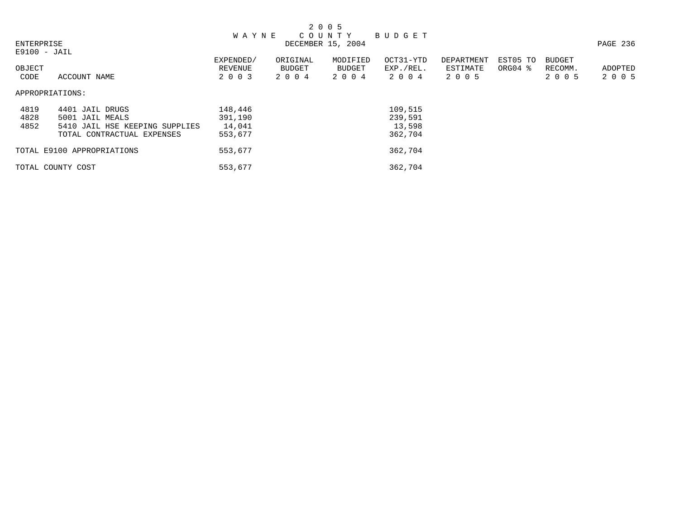| 2 0 0 5        |                                |              |               |                   |           |            |                     |               |          |  |
|----------------|--------------------------------|--------------|---------------|-------------------|-----------|------------|---------------------|---------------|----------|--|
|                |                                | <b>WAYNE</b> |               | COUNTY            | BUDGET    |            |                     |               |          |  |
| ENTERPRISE     |                                |              |               | DECEMBER 15, 2004 |           |            |                     |               | PAGE 236 |  |
| $E9100 - JAIL$ |                                |              |               |                   |           |            |                     |               |          |  |
|                |                                | EXPENDED/    | ORIGINAL      | MODIFIED          | OCT31-YTD | DEPARTMENT | EST05 TO            | <b>BUDGET</b> |          |  |
| OBJECT         |                                | REVENUE      | <b>BUDGET</b> | BUDGET            | EXP./REL. | ESTIMATE   | ORG04 $\frac{8}{3}$ | RECOMM.       | ADOPTED  |  |
| CODE           | ACCOUNT NAME                   | 2 0 0 3      | 2 0 0 4       | 2 0 0 4           | 2004      | 2 0 0 5    |                     | 2 0 0 5       | 2 0 0 5  |  |
|                |                                |              |               |                   |           |            |                     |               |          |  |
|                | APPROPRIATIONS:                |              |               |                   |           |            |                     |               |          |  |
|                |                                |              |               |                   |           |            |                     |               |          |  |
| 4819           | 4401 JAIL DRUGS                | 148,446      |               |                   | 109,515   |            |                     |               |          |  |
| 4828           | 5001 JAIL MEALS                | 391,190      |               |                   | 239,591   |            |                     |               |          |  |
| 4852           | 5410 JAIL HSE KEEPING SUPPLIES | 14,041       |               |                   | 13,598    |            |                     |               |          |  |
|                | TOTAL CONTRACTUAL EXPENSES     | 553,677      |               |                   | 362,704   |            |                     |               |          |  |
|                |                                |              |               |                   |           |            |                     |               |          |  |
|                | TOTAL E9100 APPROPRIATIONS     | 553,677      |               |                   | 362,704   |            |                     |               |          |  |
|                |                                |              |               |                   |           |            |                     |               |          |  |
|                | TOTAL COUNTY COST              | 553,677      |               |                   | 362,704   |            |                     |               |          |  |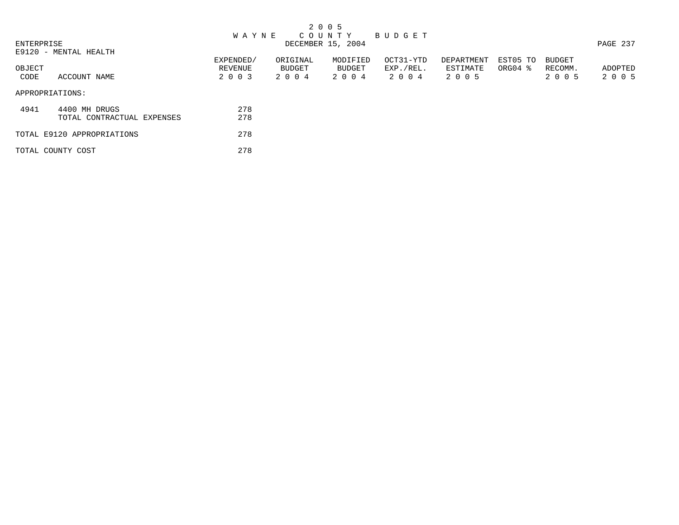|            |                            |              |          | 2 0 0 5           |           |            |          |               |          |
|------------|----------------------------|--------------|----------|-------------------|-----------|------------|----------|---------------|----------|
|            |                            | <b>WAYNE</b> |          | COUNTY BUDGET     |           |            |          |               |          |
| ENTERPRISE |                            |              |          | DECEMBER 15, 2004 |           |            |          |               | PAGE 237 |
|            | E9120 - MENTAL HEALTH      |              |          |                   |           |            |          |               |          |
|            |                            | EXPENDED/    | ORIGINAL | MODIFIED          | OCT31-YTD | DEPARTMENT | EST05 TO | <b>BUDGET</b> |          |
| OBJECT     |                            | REVENUE      | BUDGET   | BUDGET            | EXP./REL. | ESTIMATE   | ORG04 %  | RECOMM.       | ADOPTED  |
| CODE       | ACCOUNT NAME               | 2 0 0 3      | 2004     | 2 0 0 4           | 2004      | 2 0 0 5    |          | 2 0 0 5       | 2 0 0 5  |
|            | APPROPRIATIONS:            |              |          |                   |           |            |          |               |          |
| 4941       | 4400 MH DRUGS              | 278          |          |                   |           |            |          |               |          |
|            | TOTAL CONTRACTUAL EXPENSES | 278          |          |                   |           |            |          |               |          |
|            | TOTAL E9120 APPROPRIATIONS | 278          |          |                   |           |            |          |               |          |
|            | TOTAL COUNTY COST          | 278          |          |                   |           |            |          |               |          |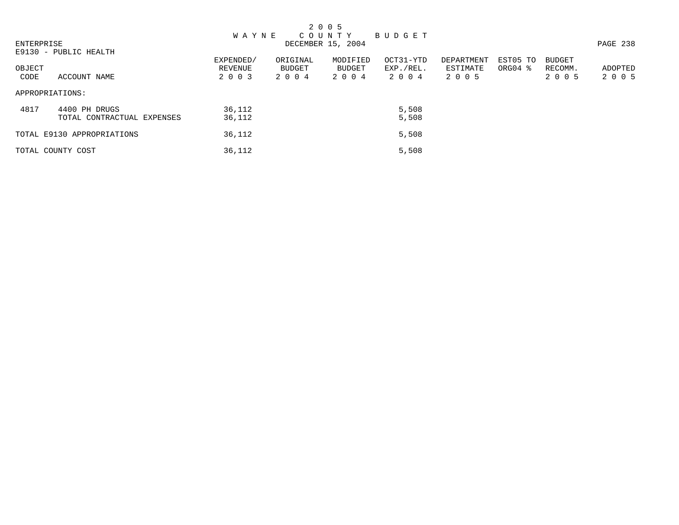|                 |                                             |                    |                   | 2 0 0 5           |                   |                     |                     |                    |                    |
|-----------------|---------------------------------------------|--------------------|-------------------|-------------------|-------------------|---------------------|---------------------|--------------------|--------------------|
|                 |                                             | <b>WAYNE</b>       |                   | COUNTY BUDGET     |                   |                     |                     |                    |                    |
| ENTERPRISE      |                                             |                    |                   | DECEMBER 15, 2004 |                   |                     |                     |                    | PAGE 238           |
|                 | E9130 - PUBLIC HEALTH                       | EXPENDED/          | ORIGINAL          | MODIFIED          | OCT31-YTD         | DEPARTMENT          | EST05 TO            | <b>BUDGET</b>      |                    |
| OBJECT<br>CODE  | ACCOUNT NAME                                | REVENUE<br>2 0 0 3 | BUDGET<br>2 0 0 4 | BUDGET<br>2 0 0 4 | EXP./REL.<br>2004 | ESTIMATE<br>2 0 0 5 | ORG04 $\frac{8}{3}$ | RECOMM.<br>2 0 0 5 | ADOPTED<br>2 0 0 5 |
| APPROPRIATIONS: |                                             |                    |                   |                   |                   |                     |                     |                    |                    |
| 4817            | 4400 PH DRUGS<br>TOTAL CONTRACTUAL EXPENSES | 36,112<br>36,112   |                   |                   | 5,508<br>5,508    |                     |                     |                    |                    |
|                 | TOTAL E9130 APPROPRIATIONS                  | 36,112             |                   |                   | 5,508             |                     |                     |                    |                    |
|                 | TOTAL COUNTY COST                           | 36,112             |                   |                   | 5,508             |                     |                     |                    |                    |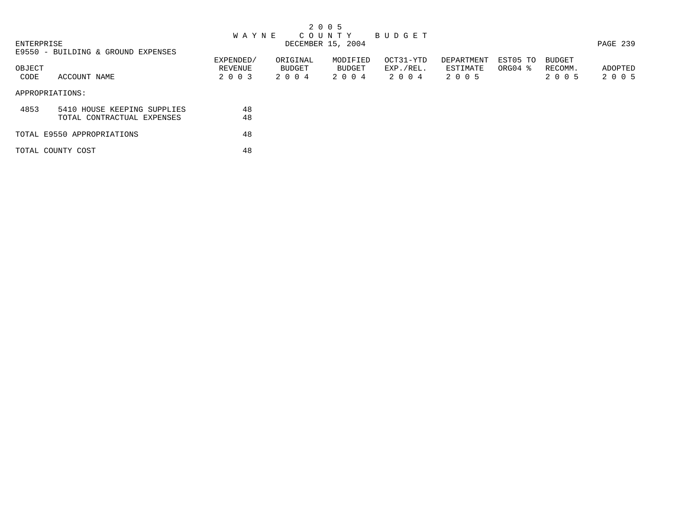| 2 0 0 5 |
|---------|
|---------|

## ENTERPRISE ENTERPRISE EN ENERGY OUT TYPE OUN TYPE UP OF EXTREMELY AND GET AND GET OUT TYPE OF THE MANUSCRIPT OF THE MANUSCRIPT OF THE MANUSCRIPT OF THE MANUSCRIPT OF THE MANUSCRIPT OF THE MANUSCRIPT OF THE MANUSCRIPT OF TH ENTERPRISE DECEMBER 15, 2004 PAGE 239

E9550 - BUILDING & GROUND EXPENSES

| OBJECT |                             | EXPENDED/<br>REVENUE | ORIGINAL<br>BUDGET | MODIFIED<br>BUDGET | OCT31-YTD<br>EXP./REL. | DEPARTMENT<br>ESTIMATE | EST05 TO<br>ORG04 $\frac{8}{3}$ | BUDGET<br>RECOMM. | ADOPTED |
|--------|-----------------------------|----------------------|--------------------|--------------------|------------------------|------------------------|---------------------------------|-------------------|---------|
| CODE   | ACCOUNT NAME                | 2 0 0 3              | 2 0 0 4            | 2 0 0 4            | 2 0 0 4                | 2 0 0 5                |                                 | 2 0 0 5           | 2 0 0 5 |
|        | APPROPRIATIONS:             |                      |                    |                    |                        |                        |                                 |                   |         |
| 4853   | 5410 HOUSE KEEPING SUPPLIES | 48                   |                    |                    |                        |                        |                                 |                   |         |
|        | TOTAL CONTRACTUAL EXPENSES  | 48                   |                    |                    |                        |                        |                                 |                   |         |
|        | TOTAL E9550 APPROPRIATIONS  | 48                   |                    |                    |                        |                        |                                 |                   |         |
|        | TOTAL COUNTY COST           | 48                   |                    |                    |                        |                        |                                 |                   |         |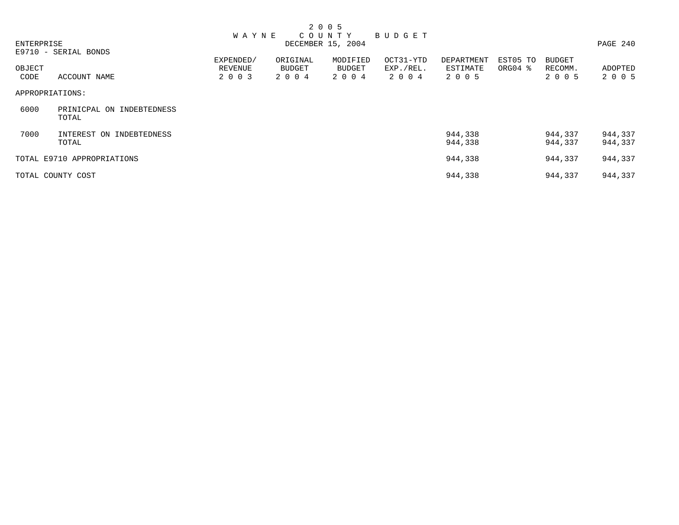| ENTERPRISE     |                                       | <b>WAYNE</b>       |                          | 2 0 0 5<br>COUNTY<br>DECEMBER 15, 2004 | BUDGET               |                     |          |                    | PAGE 240                  |
|----------------|---------------------------------------|--------------------|--------------------------|----------------------------------------|----------------------|---------------------|----------|--------------------|---------------------------|
|                | E9710 - SERIAL BONDS                  | EXPENDED/          | ORIGINAL                 | MODIFIED                               | OCT31-YTD            | <b>DEPARTMENT</b>   | EST05 TO | <b>BUDGET</b>      |                           |
| OBJECT<br>CODE | ACCOUNT NAME                          | REVENUE<br>2 0 0 3 | <b>BUDGET</b><br>2 0 0 4 | <b>BUDGET</b><br>2 0 0 4               | EXP./REL.<br>2 0 0 4 | ESTIMATE<br>2 0 0 5 | ORG04 %  | RECOMM.<br>2 0 0 5 | <b>ADOPTED</b><br>2 0 0 5 |
|                | APPROPRIATIONS:                       |                    |                          |                                        |                      |                     |          |                    |                           |
| 6000           | PRINICPAL ON<br>INDEBTEDNESS<br>TOTAL |                    |                          |                                        |                      |                     |          |                    |                           |
| 7000           | INTEREST ON INDEBTEDNESS<br>TOTAL     |                    |                          |                                        |                      | 944,338<br>944,338  |          | 944,337<br>944,337 | 944,337<br>944,337        |
|                | TOTAL E9710 APPROPRIATIONS            |                    |                          |                                        |                      | 944,338             |          | 944,337            | 944,337                   |
|                | TOTAL COUNTY COST                     |                    |                          |                                        |                      | 944,338             |          | 944,337            | 944,337                   |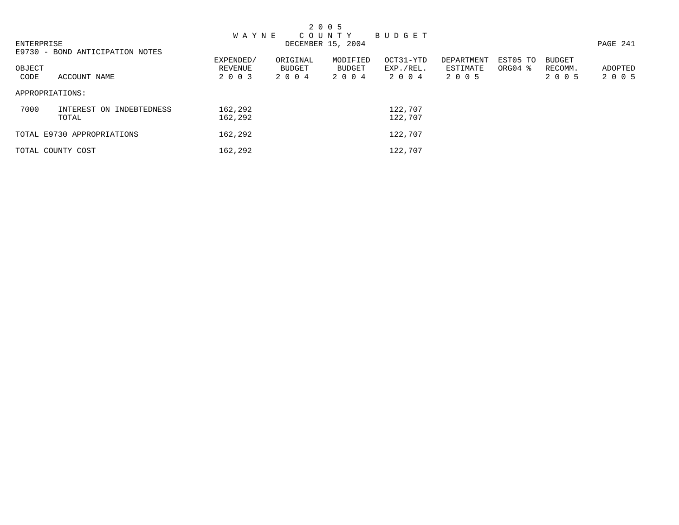|            |                                   |                      |                    | 2 0 0 5            |                        |                        |                                 |                          |         |
|------------|-----------------------------------|----------------------|--------------------|--------------------|------------------------|------------------------|---------------------------------|--------------------------|---------|
|            |                                   | <b>WAYNE</b>         |                    | C O U N T Y        | BUDGET                 |                        |                                 |                          |         |
| ENTERPRISE |                                   |                      |                    | DECEMBER 15, 2004  |                        | PAGE 241               |                                 |                          |         |
|            | E9730 - BOND ANTICIPATION NOTES   |                      |                    |                    |                        |                        |                                 |                          |         |
| OBJECT     |                                   | EXPENDED/<br>REVENUE | ORIGINAL<br>BUDGET | MODIFIED<br>BUDGET | OCT31-YTD<br>EXP./REL. | DEPARTMENT<br>ESTIMATE | EST05 TO<br>ORG04 $\frac{8}{3}$ | <b>BUDGET</b><br>RECOMM. | ADOPTED |
| CODE       | ACCOUNT NAME                      | 2 0 0 3              | 2004               | 2 0 0 4            | 2 0 0 4                | 2 0 0 5                |                                 | 2 0 0 5                  | 2 0 0 5 |
|            | APPROPRIATIONS:                   |                      |                    |                    |                        |                        |                                 |                          |         |
| 7000       | INTEREST ON INDEBTEDNESS<br>TOTAL | 162,292<br>162,292   |                    |                    | 122,707<br>122,707     |                        |                                 |                          |         |
|            | TOTAL E9730 APPROPRIATIONS        | 162,292              |                    |                    | 122,707                |                        |                                 |                          |         |
|            | TOTAL COUNTY COST                 | 162,292              |                    |                    | 122,707                |                        |                                 |                          |         |